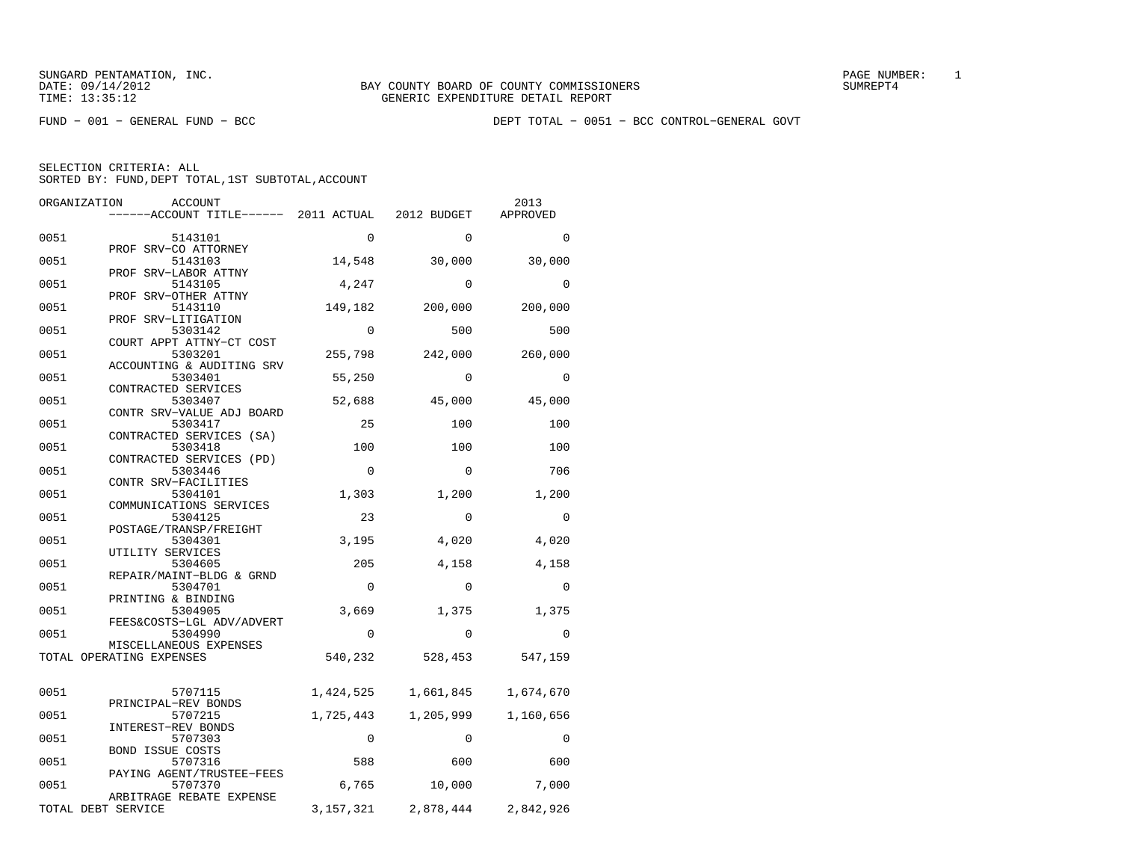FUND − 001 − GENERAL FUND − BCC DEPT TOTAL − 0051 − BCC CONTROL−GENERAL GOVT

| ORGANIZATION       | ACCOUNT<br>------ACCOUNT TITLE------ 2011 ACTUAL |             | 2012 BUDGET | 2013<br>APPROVED |
|--------------------|--------------------------------------------------|-------------|-------------|------------------|
|                    |                                                  |             |             |                  |
| 0051               | 5143101                                          | 0           | $\Omega$    | $\Omega$         |
|                    | PROF SRV-CO ATTORNEY                             |             |             |                  |
| 0051               | 5143103                                          | 14,548      | 30,000      | 30,000           |
| 0051               | PROF SRV-LABOR ATTNY<br>5143105                  | 4,247       | $\Omega$    | $\Omega$         |
|                    | PROF SRV-OTHER ATTNY                             |             |             |                  |
| 0051               | 5143110                                          | 149,182     | 200,000     | 200,000          |
|                    | PROF SRV-LITIGATION                              |             |             |                  |
| 0051               | 5303142<br>COURT APPT ATTNY-CT COST              | $\Omega$    | 500         | 500              |
| 0051               | 5303201                                          | 255,798     | 242,000     | 260,000          |
|                    | ACCOUNTING & AUDITING SRV                        |             |             |                  |
| 0051               | 5303401                                          | 55,250      | $\Omega$    | $\Omega$         |
|                    | CONTRACTED SERVICES                              |             |             |                  |
| 0051               | 5303407<br>CONTR SRV-VALUE ADJ BOARD             | 52,688      | 45,000      | 45,000           |
| 0051               | 5303417                                          | 25          | 100         | 100              |
|                    | CONTRACTED SERVICES (SA)                         |             |             |                  |
| 0051               | 5303418                                          | 100         | 100         | 100              |
|                    | CONTRACTED SERVICES (PD)                         |             |             |                  |
| 0051               | 5303446<br>CONTR SRV-FACILITIES                  | $\mathbf 0$ | $\mathbf 0$ | 706              |
| 0051               | 5304101                                          | 1,303       | 1,200       | 1,200            |
|                    | COMMUNICATIONS SERVICES                          |             |             |                  |
| 0051               | 5304125                                          | 23          | $\mathbf 0$ | 0                |
|                    | POSTAGE/TRANSP/FREIGHT                           |             |             |                  |
| 0051               | 5304301<br>UTILITY SERVICES                      | 3,195       | 4,020       | 4,020            |
| 0051               | 5304605                                          | 205         | 4,158       | 4,158            |
|                    | REPAIR/MAINT-BLDG & GRND                         |             |             |                  |
| 0051               | 5304701                                          | $\Omega$    | $\Omega$    | $\Omega$         |
|                    | PRINTING & BINDING                               |             |             |                  |
| 0051               | 5304905<br>FEES&COSTS-LGL ADV/ADVERT             | 3,669       | 1,375       | 1,375            |
| 0051               | 5304990                                          | $\mathbf 0$ | $\mathbf 0$ | 0                |
|                    | MISCELLANEOUS EXPENSES                           |             |             |                  |
|                    | TOTAL OPERATING EXPENSES                         | 540,232     | 528,453     | 547,159          |
|                    |                                                  |             |             |                  |
| 0051               | 5707115                                          | 1,424,525   | 1,661,845   | 1,674,670        |
|                    | PRINCIPAL-REV BONDS                              |             |             |                  |
| 0051               | 5707215                                          | 1,725,443   | 1,205,999   | 1,160,656        |
|                    | INTEREST-REV BONDS                               |             |             |                  |
| 0051               | 5707303                                          | 0           | 0           | 0                |
| 0051               | <b>BOND ISSUE COSTS</b><br>5707316               | 588         | 600         | 600              |
|                    | PAYING AGENT/TRUSTEE-FEES                        |             |             |                  |
| 0051               | 5707370                                          | 6,765       | 10,000      | 7,000            |
|                    | ARBITRAGE REBATE EXPENSE                         |             |             |                  |
| TOTAL DEBT SERVICE |                                                  | 3, 157, 321 | 2,878,444   | 2,842,926        |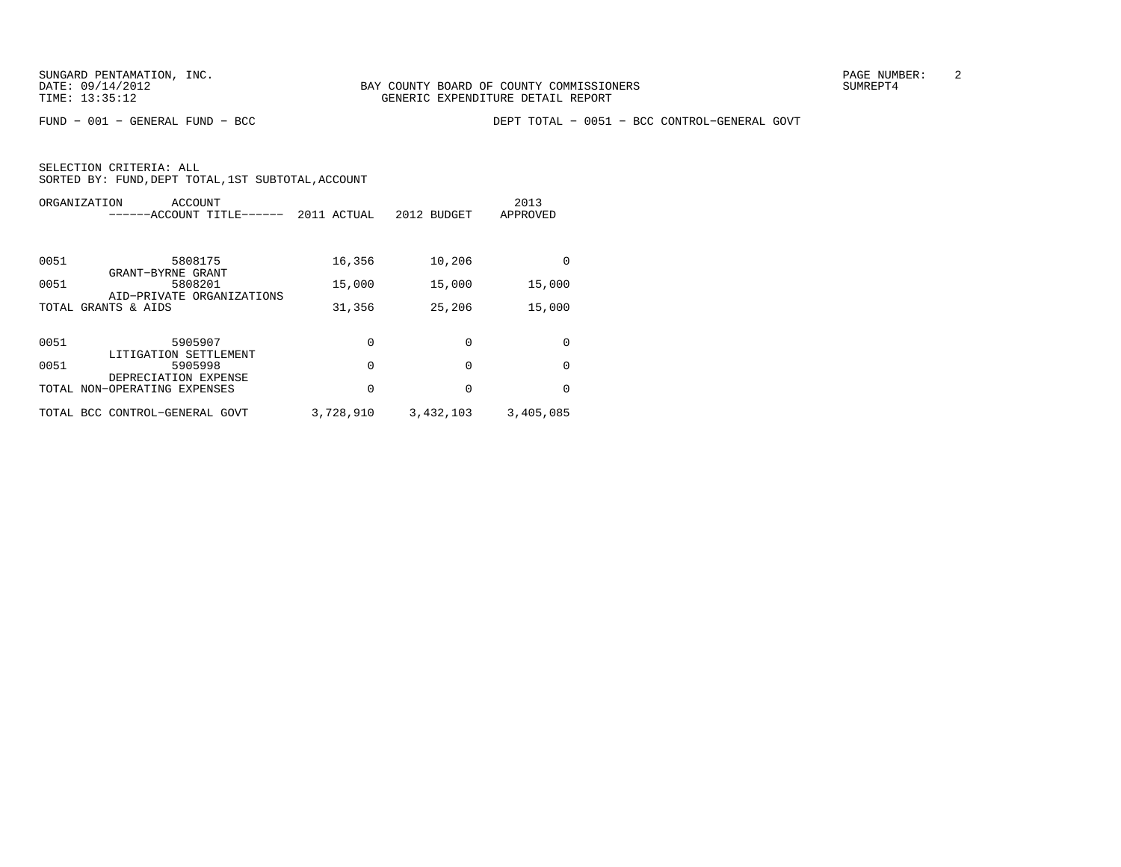FUND − 001 − GENERAL FUND − BCC DEPT TOTAL − 0051 − BCC CONTROL−GENERAL GOVT

| ORGANIZATION                   | ACCOUNT<br>------ACCOUNT TITLE------ | 2011 ACTUAL | 2012 BUDGET | 2013<br>APPROVED |
|--------------------------------|--------------------------------------|-------------|-------------|------------------|
| 0051<br>GRANT-BYRNE GRANT      | 5808175                              | 16,356      | 10,206      | $\Omega$         |
| 0051                           | 5808201                              | 15,000      | 15,000      | 15,000           |
| TOTAL GRANTS & AIDS            | AID-PRIVATE ORGANIZATIONS            | 31,356      | 25,206      | 15,000           |
| 0051                           | 5905907                              | 0           | $\Omega$    | $\Omega$         |
| 0051                           | LITIGATION SETTLEMENT<br>5905998     | 0           | $\Omega$    | $\Omega$         |
| TOTAL NON-OPERATING EXPENSES   | DEPRECIATION EXPENSE                 | 0           | $\Omega$    | $\Omega$         |
| TOTAL BCC CONTROL-GENERAL GOVT |                                      | 3,728,910   | 3,432,103   | 3,405,085        |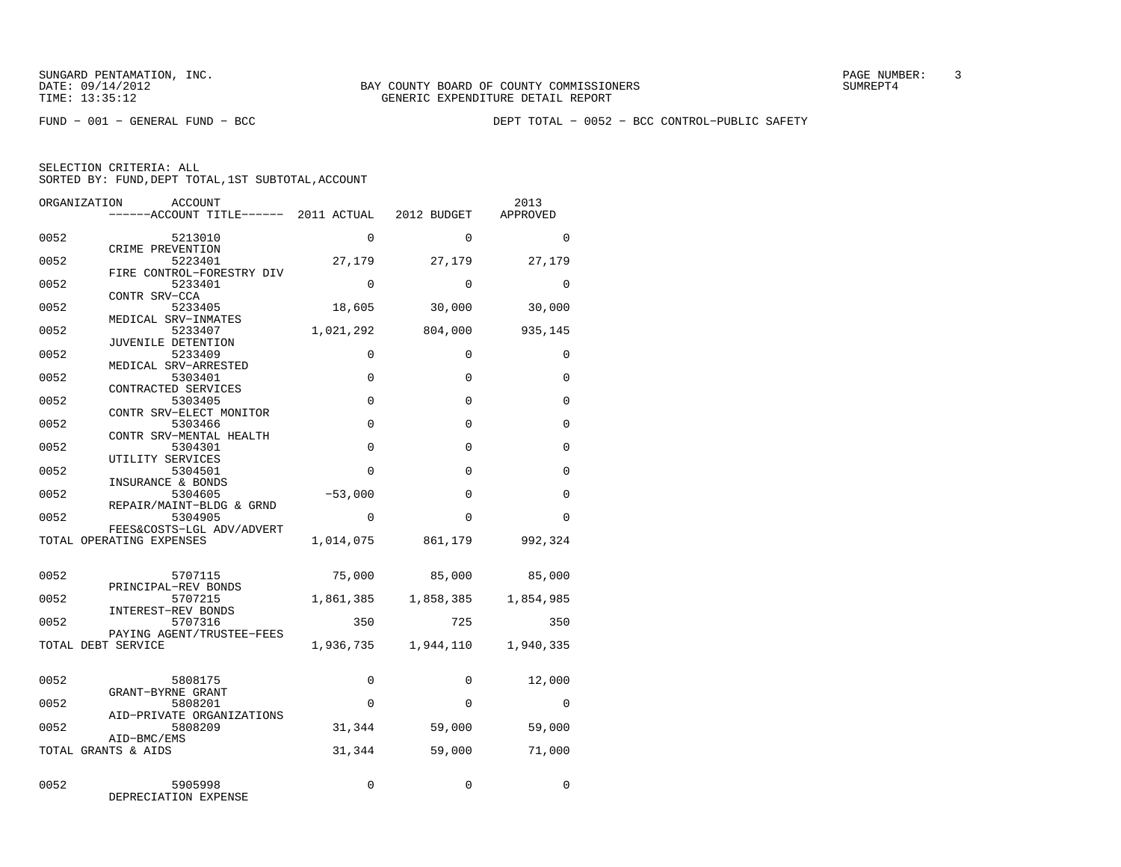FUND − 001 − GENERAL FUND − BCC DEPT TOTAL − 0052 − BCC CONTROL−PUBLIC SAFETY

| ORGANIZATION | ACCOUNT<br>------ACCOUNT TITLE------ 2011 ACTUAL 2012 BUDGET |             |             | 2013<br>APPROVED |
|--------------|--------------------------------------------------------------|-------------|-------------|------------------|
| 0052         | 5213010                                                      | $\Omega$    | $\Omega$    | $\Omega$         |
| 0052         | CRIME PREVENTION<br>5223401                                  | 27,179      | 27,179      | 27,179           |
| 0052         | FIRE CONTROL-FORESTRY DIV<br>5233401                         | $\mathbf 0$ | $\mathbf 0$ | $\mathbf 0$      |
| 0052         | CONTR SRV-CCA<br>5233405                                     | 18,605      | 30,000      | 30,000           |
| 0052         | MEDICAL SRV-INMATES<br>5233407                               | 1,021,292   | 804,000     | 935,145          |
| 0052         | JUVENILE DETENTION<br>5233409                                | 0           | $\Omega$    | 0                |
| 0052         | MEDICAL SRV-ARRESTED<br>5303401                              | $\mathbf 0$ | $\mathbf 0$ | 0                |
| 0052         | CONTRACTED SERVICES<br>5303405                               | $\Omega$    | $\Omega$    | $\Omega$         |
| 0052         | CONTR SRV-ELECT MONITOR<br>5303466                           | $\Omega$    | $\Omega$    | $\mathbf 0$      |
| 0052         | CONTR SRV-MENTAL HEALTH<br>5304301                           | $\mathbf 0$ | $\mathbf 0$ | $\mathbf 0$      |
|              | UTILITY SERVICES                                             |             |             |                  |
| 0052         | 5304501<br>INSURANCE & BONDS                                 | $\Omega$    | $\Omega$    | $\Omega$         |
| 0052         | 5304605<br>REPAIR/MAINT-BLDG & GRND                          | $-53,000$   | $\Omega$    | $\Omega$         |
| 0052         | 5304905<br>FEES&COSTS-LGL ADV/ADVERT                         | $\Omega$    | $\Omega$    | $\Omega$         |
|              | TOTAL OPERATING EXPENSES                                     | 1,014,075   | 861,179     | 992,324          |
| 0052         | 5707115                                                      | 75,000      | 85,000      | 85,000           |
| 0052         | PRINCIPAL-REV BONDS<br>5707215                               | 1,861,385   | 1,858,385   | 1,854,985        |
| 0052         | INTEREST-REV BONDS<br>5707316                                | 350         | 725         | 350              |
|              | PAYING AGENT/TRUSTEE-FEES<br>TOTAL DEBT SERVICE              | 1,936,735   | 1,944,110   | 1,940,335        |
| 0052         | 5808175                                                      | 0           | $\Omega$    | 12,000           |
|              | GRANT-BYRNE GRANT                                            | $\mathbf 0$ | $\Omega$    |                  |
| 0052         | 5808201<br>AID-PRIVATE ORGANIZATIONS                         |             |             | 0                |
| 0052         | 5808209<br>AID-BMC/EMS                                       | 31,344      | 59,000      | 59,000           |
|              | TOTAL GRANTS & AIDS                                          | 31,344      | 59,000      | 71,000           |
| 0052         | 5905998<br>DEPRECIATION EXPENSE                              | 0           | 0           | 0                |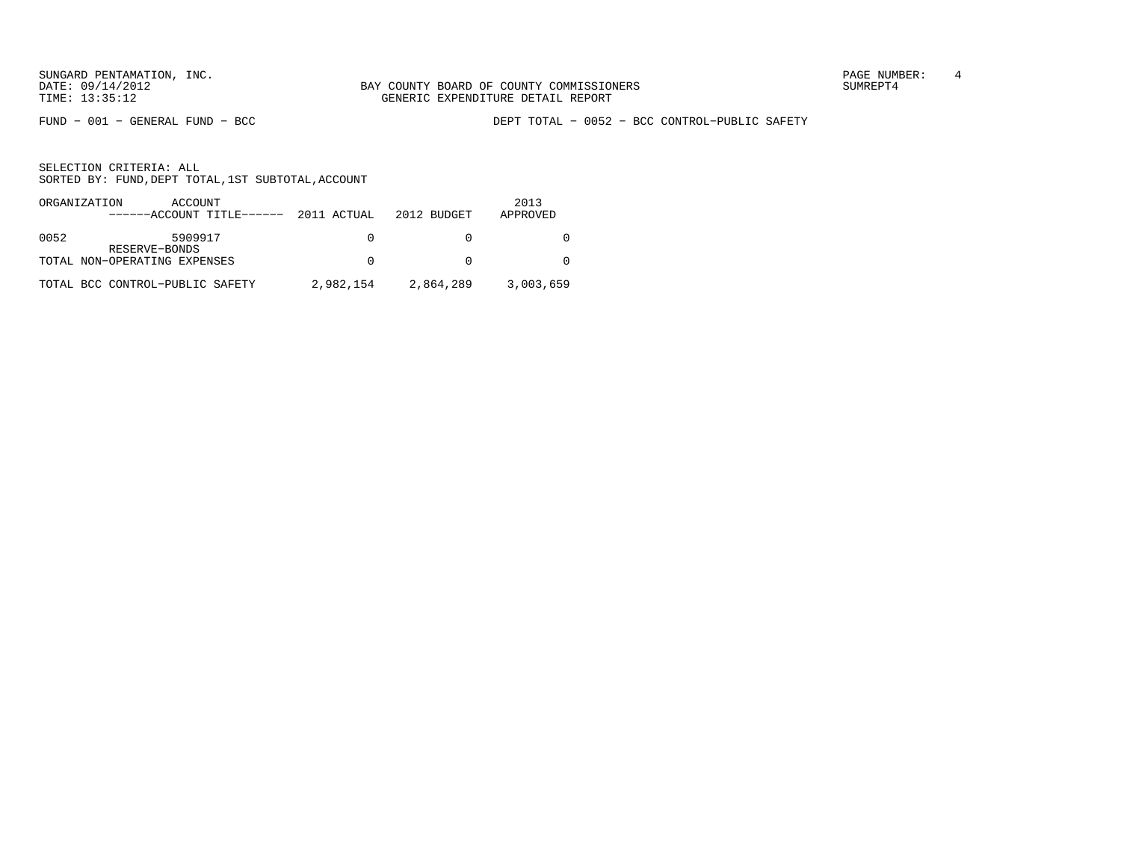SUNGARD PENTAMATION, INC.<br>
BAY COUNTY BOARD OF COUNTY COMMISSIONERS AND SUNREPT4 SUMREPT4

FUND − 001 − GENERAL FUND − BCC DEPT TOTAL − 0052 − BCC CONTROL−PUBLIC SAFETY

| ORGANIZATION | ACCOUNT<br>$---ACCOUNT$ TITLE $---2011$ ACTUAL |           | 2012 BUDGET | 2013      |
|--------------|------------------------------------------------|-----------|-------------|-----------|
|              |                                                |           |             | APPROVED  |
| 0052         | 5909917                                        | $\Omega$  |             |           |
|              | RESERVE-BONDS                                  |           |             |           |
|              | TOTAL NON-OPERATING EXPENSES                   | $\Omega$  |             |           |
|              | TOTAL BCC CONTROL-PUBLIC SAFETY                | 2,982,154 | 2,864,289   | 3,003,659 |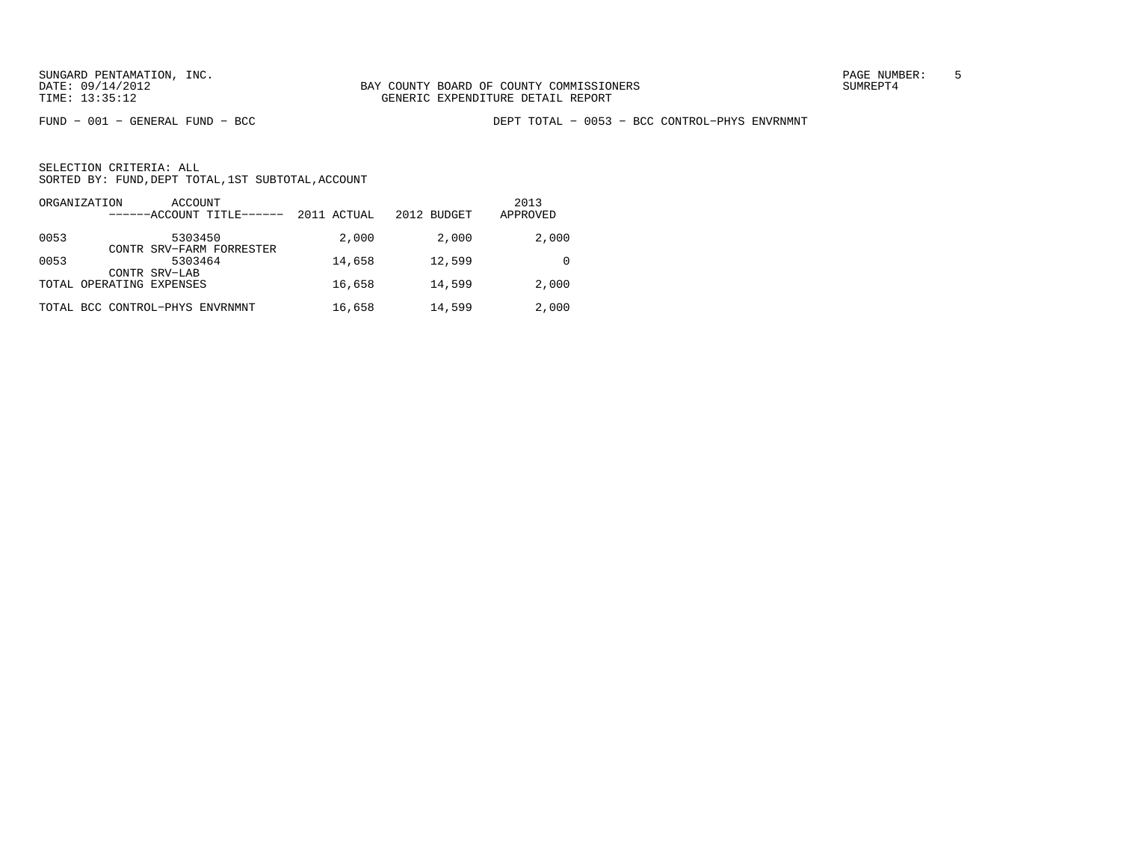FUND − 001 − GENERAL FUND − BCC DEPT TOTAL − 0053 − BCC CONTROL−PHYS ENVRNMNT

| ORGANIZATION<br>ACCOUNT<br>------ACCOUNT TITLE------         | 2011 ACTUAL | 2012 BUDGET | 2013<br>APPROVED |
|--------------------------------------------------------------|-------------|-------------|------------------|
| 0053<br>5303450                                              | 2,000       | 2,000       | 2,000            |
| CONTR SRV-FARM FORRESTER<br>0053<br>5303464<br>CONTR SRV-LAB | 14,658      | 12,599      |                  |
| TOTAL OPERATING EXPENSES                                     | 16,658      | 14,599      | 2,000            |
| TOTAL BCC CONTROL-PHYS ENVRNMNT                              | 16,658      | 14,599      | 2,000            |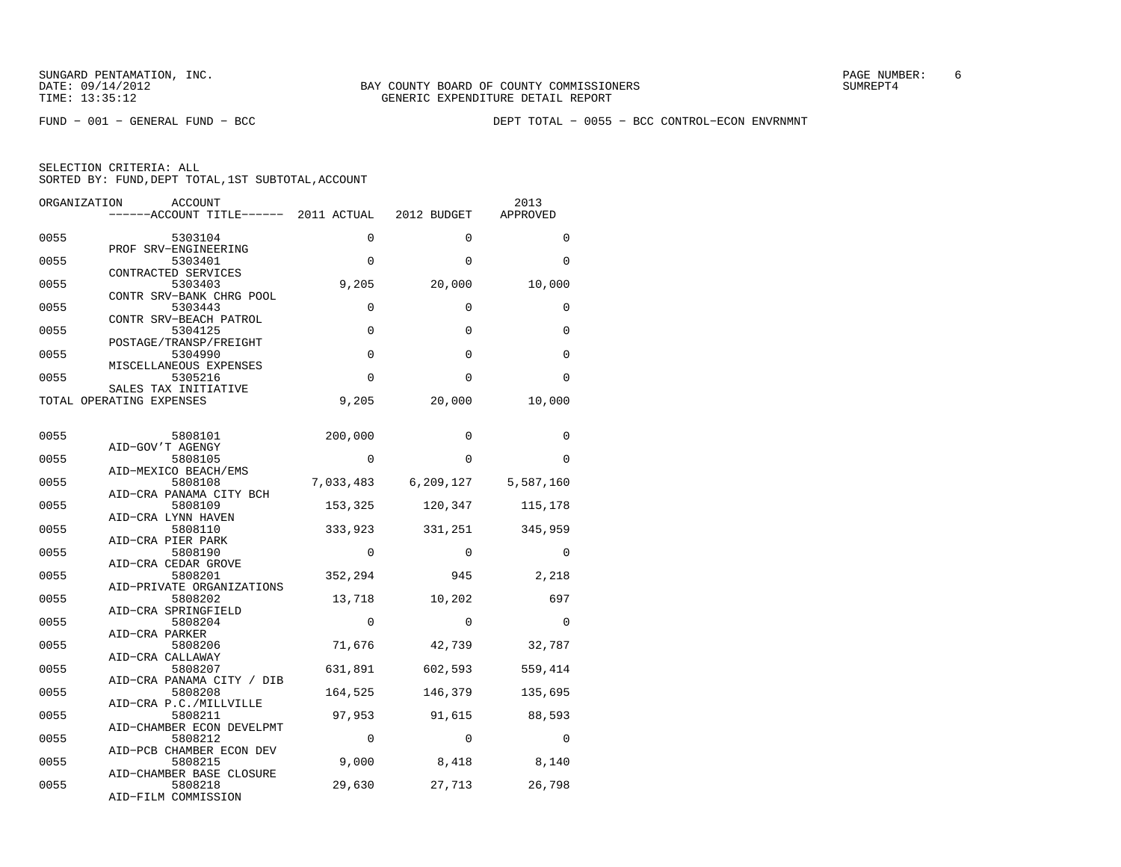FUND − 001 − GENERAL FUND − BCC DEPT TOTAL − 0055 − BCC CONTROL−ECON ENVRNMNT

| ORGANIZATION | ACCOUNT<br>------ACCOUNT TITLE------ 2011 ACTUAL |             | 2012 BUDGET         | 2013<br>APPROVED |
|--------------|--------------------------------------------------|-------------|---------------------|------------------|
| 0055         | 5303104                                          | 0           | $\Omega$            | $\Omega$         |
| 0055         | PROF SRV-ENGINEERING<br>5303401                  | $\mathbf 0$ | $\Omega$            | 0                |
| 0055         | CONTRACTED SERVICES<br>5303403                   | 9,205       | 20,000              | 10,000           |
| 0055         | CONTR SRV-BANK CHRG POOL<br>5303443              | $\mathbf 0$ | $\Omega$            | 0                |
| 0055         | CONTR SRV-BEACH PATROL<br>5304125                | 0           | 0                   | 0                |
| 0055         | POSTAGE/TRANSP/FREIGHT<br>5304990                | 0           | 0                   | $\Omega$         |
| 0055         | MISCELLANEOUS EXPENSES<br>5305216                | $\Omega$    | $\Omega$            | 0                |
|              | SALES TAX INITIATIVE<br>TOTAL OPERATING EXPENSES | 9,205       | 20,000              | 10,000           |
| 0055         | 5808101                                          | 200,000     | 0                   | 0                |
|              | AID-GOV'T AGENGY                                 |             |                     |                  |
| 0055         | 5808105<br>AID-MEXICO BEACH/EMS                  | $\Omega$    | $\Omega$            | $\Omega$         |
| 0055         | 5808108<br>AID-CRA PANAMA CITY BCH               |             | 7,033,483 6,209,127 | 5,587,160        |
| 0055         | 5808109<br>AID-CRA LYNN HAVEN                    | 153,325     | 120,347             | 115,178          |
| 0055         | 5808110<br>AID-CRA PIER PARK                     | 333,923     | 331,251             | 345,959          |
| 0055         | 5808190<br>AID-CRA CEDAR GROVE                   | $\Omega$    | $\Omega$            | $\Omega$         |
| 0055         | 5808201<br>AID-PRIVATE ORGANIZATIONS             | 352,294     | 945                 | 2,218            |
| 0055         | 5808202                                          | 13,718      | 10,202              | 697              |
| 0055         | AID-CRA SPRINGFIELD<br>5808204<br>AID-CRA PARKER | 0           | $\Omega$            | $\Omega$         |
| 0055         | 5808206                                          | 71,676      | 42,739              | 32,787           |
| 0055         | AID-CRA CALLAWAY<br>5808207                      | 631,891     | 602,593             | 559,414          |
| 0055         | AID-CRA PANAMA CITY / DIB<br>5808208             | 164,525     | 146,379             | 135,695          |
| 0055         | AID-CRA P.C./MILLVILLE<br>5808211                | 97,953      | 91,615              | 88,593           |
| 0055         | AID-CHAMBER ECON DEVELPMT<br>5808212             | $\Omega$    | $\Omega$            | $\Omega$         |
| 0055         | AID-PCB CHAMBER ECON DEV<br>5808215              | 9,000       | 8,418               | 8,140            |
| 0055         | AID-CHAMBER BASE CLOSURE<br>5808218              | 29,630      | 27,713              | 26,798           |
|              | AID-FILM COMMISSION                              |             |                     |                  |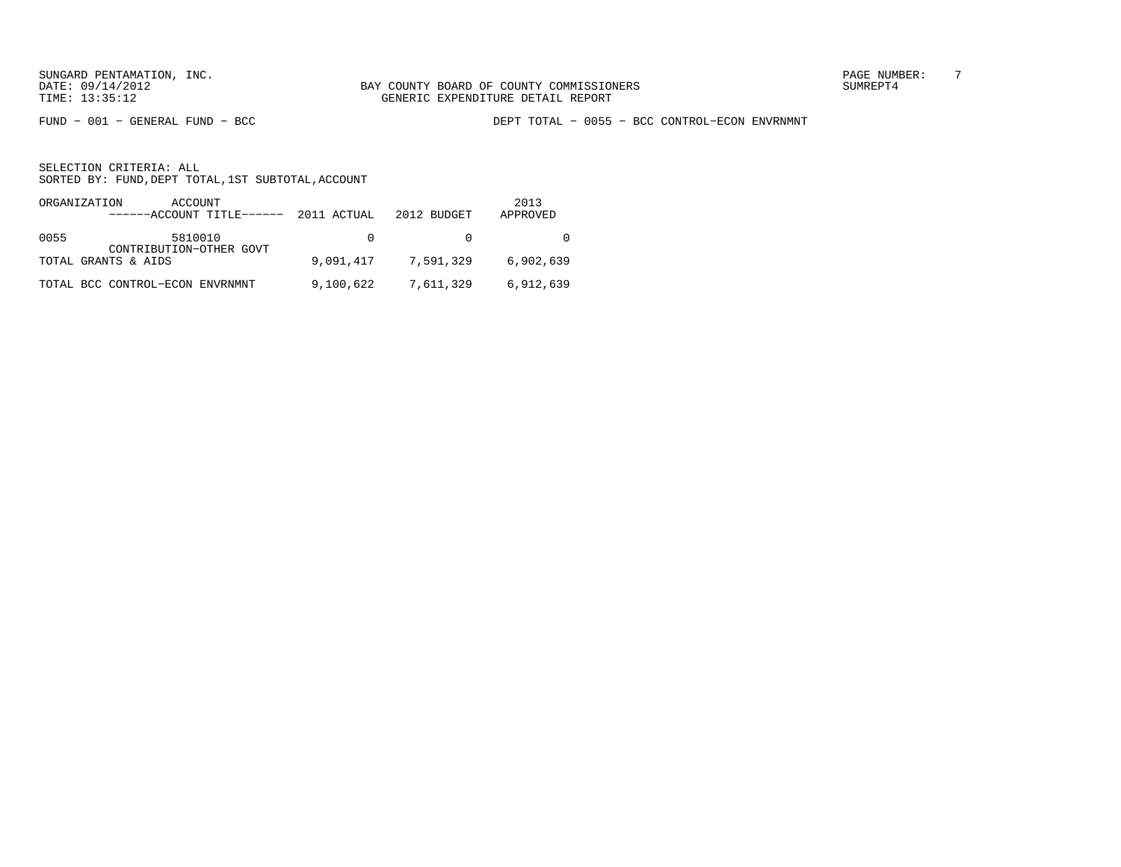FUND − 001 − GENERAL FUND − BCC DEPT TOTAL − 0055 − BCC CONTROL−ECON ENVRNMNT

|      | ORGANIZATION<br>ACCOUNT<br>------ACCOUNT TITLE------ | 2011 ACTUAL | 2012 BUDGET | 2013<br>APPROVED |
|------|------------------------------------------------------|-------------|-------------|------------------|
| 0055 | 5810010<br>CONTRIBUTION-OTHER GOVT                   | $\Omega$    |             |                  |
|      | TOTAL GRANTS & AIDS                                  | 9,091,417   | 7,591,329   | 6,902,639        |
|      | TOTAL BCC CONTROL-ECON ENVRNMNT                      | 9,100,622   | 7,611,329   | 6,912,639        |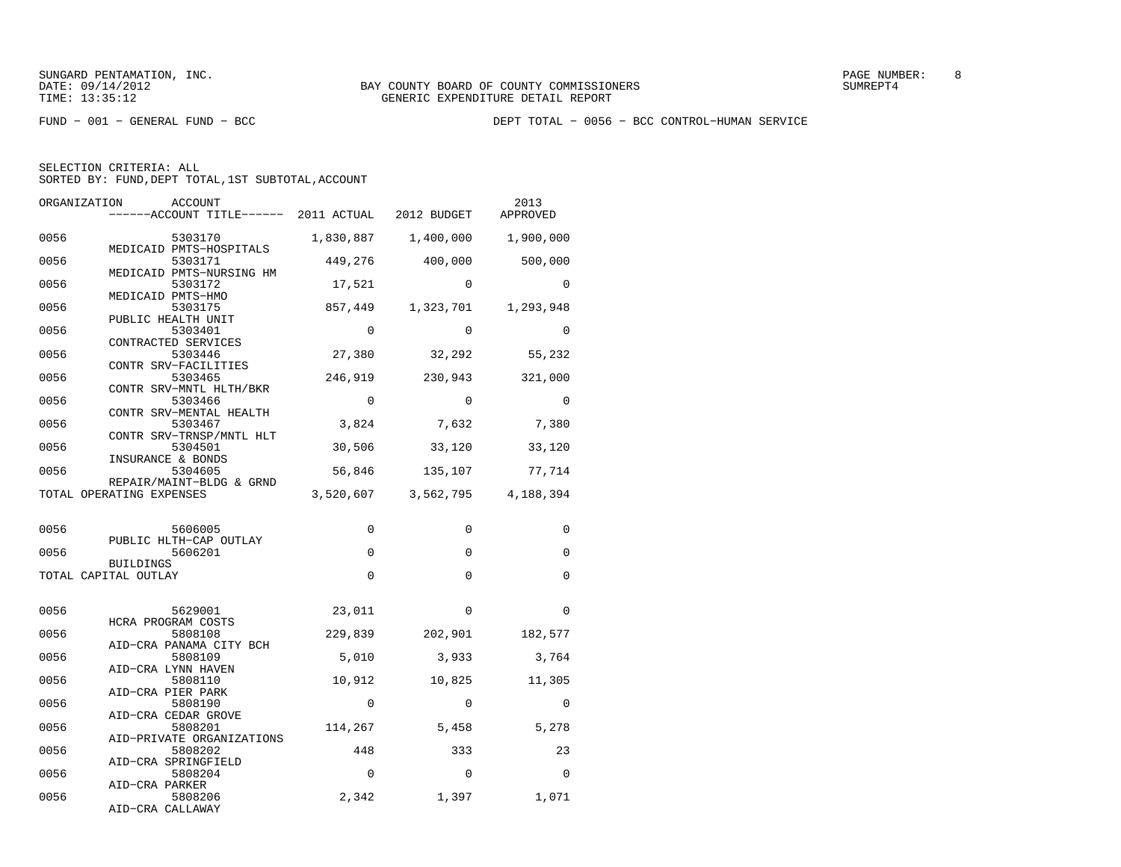FUND − 001 − GENERAL FUND − BCC DEPT TOTAL − 0056 − BCC CONTROL−HUMAN SERVICE

| ORGANIZATION | <b>ACCOUNT</b><br>------ACCOUNT TITLE------ 2011 ACTUAL 2012 BUDGET |             |                     | 2013<br>APPROVED    |
|--------------|---------------------------------------------------------------------|-------------|---------------------|---------------------|
| 0056         | 5303170                                                             | 1,830,887   |                     | 1,400,000 1,900,000 |
| 0056         | MEDICAID PMTS-HOSPITALS<br>5303171                                  | 449,276     | 400,000             | 500,000             |
| 0056         | MEDICAID PMTS-NURSING HM<br>5303172<br>MEDICAID PMTS-HMO            | 17,521      | $\Omega$            | $\Omega$            |
| 0056         | 5303175<br>PUBLIC HEALTH UNIT                                       | 857,449     | 1,323,701           | 1,293,948           |
| 0056         | 5303401<br>CONTRACTED SERVICES                                      | $\Omega$    | $\Omega$            | $\Omega$            |
| 0056         | 5303446<br>CONTR SRV-FACILITIES                                     | 27,380      | 32,292              | 55,232              |
| 0056         | 5303465<br>CONTR SRV-MNTL HLTH/BKR                                  | 246,919     | 230,943             | 321,000             |
| 0056         | 5303466<br>CONTR SRV-MENTAL HEALTH                                  | $\Omega$    | $\Omega$            | $\Omega$            |
| 0056         | 5303467<br>CONTR SRV-TRNSP/MNTL HLT                                 | 3,824       | 7,632               | 7,380               |
| 0056         | 5304501<br>INSURANCE & BONDS                                        | 30,506      | 33,120              | 33,120              |
| 0056         | 5304605<br>REPAIR/MAINT-BLDG & GRND                                 | 56,846      | 135,107             | 77,714              |
|              | TOTAL OPERATING EXPENSES                                            | 3,520,607   | 3,562,795 4,188,394 |                     |
| 0056         | 5606005                                                             | $\Omega$    | $\Omega$            | $\Omega$            |
| 0056         | PUBLIC HLTH-CAP OUTLAY<br>5606201                                   | $\mathbf 0$ | $\mathbf 0$         | $\Omega$            |
|              | <b>BUILDINGS</b><br>TOTAL CAPITAL OUTLAY                            | $\Omega$    | $\Omega$            | $\Omega$            |
| 0056         | 5629001                                                             | 23,011      | $\Omega$            | $\Omega$            |
| 0056         | HCRA PROGRAM COSTS                                                  |             |                     |                     |
|              | 5808108<br>AID-CRA PANAMA CITY BCH                                  | 229,839     | 202,901             | 182,577             |
| 0056         | 5808109<br>AID-CRA LYNN HAVEN                                       | 5,010       | 3,933               | 3,764               |
| 0056         | 5808110<br>AID-CRA PIER PARK                                        | 10,912      | 10,825              | 11,305              |
| 0056         | 5808190<br>AID-CRA CEDAR GROVE                                      | $\Omega$    | $\Omega$            | $\Omega$            |
| 0056         | 5808201<br>AID-PRIVATE ORGANIZATIONS                                | 114,267     | 5,458               | 5,278               |
| 0056         | 5808202<br>AID-CRA SPRINGFIELD                                      | 448         | 333                 | 23                  |
| 0056         | 5808204<br>AID-CRA PARKER                                           | $\Omega$    | $\Omega$            | $\Omega$            |
| 0056         | 5808206<br>AID-CRA CALLAWAY                                         | 2,342       | 1,397               | 1,071               |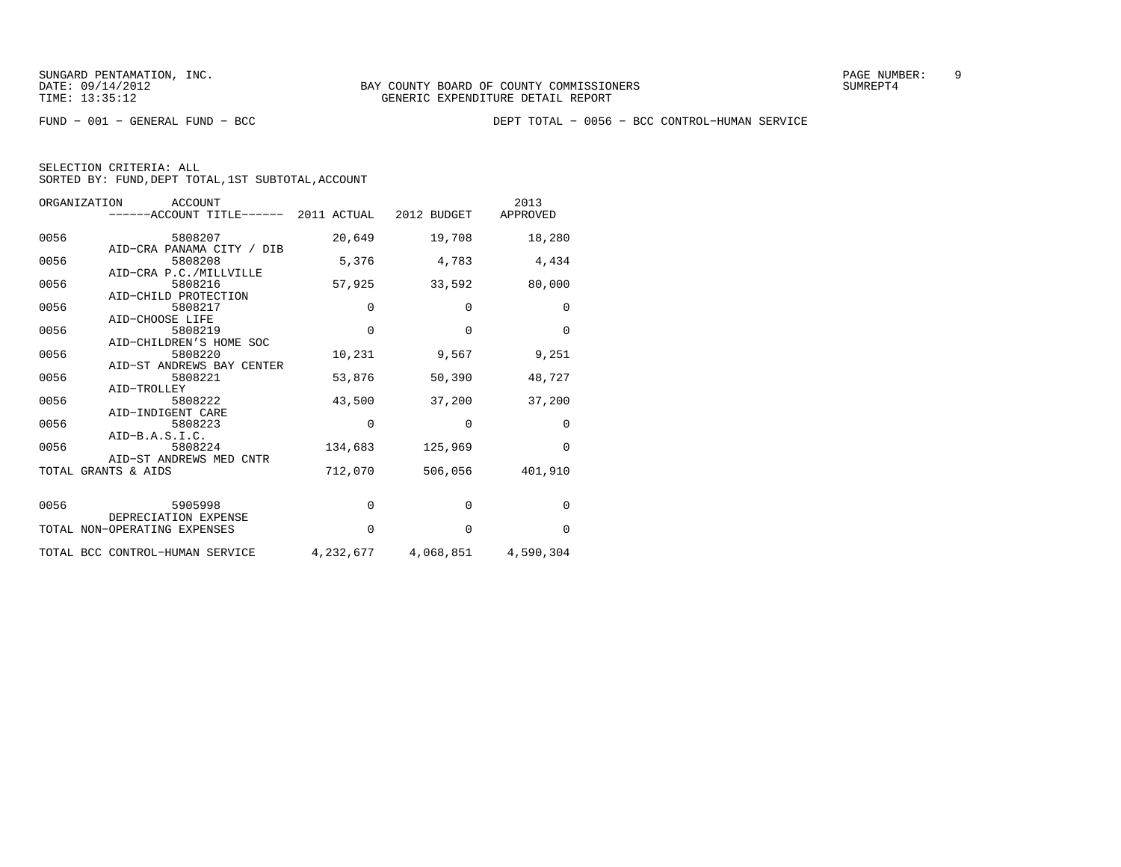FUND − 001 − GENERAL FUND − BCC DEPT TOTAL − 0056 − BCC CONTROL−HUMAN SERVICE

| ORGANIZATION<br>ACCOUNT<br>------ACCOUNT TITLE------ 2011 ACTUAL 2012 BUDGET |             |                     | 2013<br>APPROVED |
|------------------------------------------------------------------------------|-------------|---------------------|------------------|
| 0056<br>5808207                                                              | 20,649      | 19,708              | 18,280           |
| AID-CRA PANAMA CITY / DIB<br>5808208<br>0056                                 | 5,376       | 4,783               | 4,434            |
| AID-CRA P.C./MILLVILLE<br>0056<br>5808216                                    | 57,925      | 33,592              | 80,000           |
| AID-CHILD PROTECTION<br>0056<br>5808217                                      | 0           | 0                   | 0                |
| AID-CHOOSE LIFE<br>0056<br>5808219                                           | $\Omega$    | $\Omega$            | $\Omega$         |
| AID-CHILDREN'S HOME SOC<br>0056<br>5808220<br>AID-ST ANDREWS BAY CENTER      | 10,231      | 9,567               | 9,251            |
| 0056<br>5808221<br>AID-TROLLEY                                               | 53,876      | 50,390              | 48,727           |
| 0056<br>5808222<br>AID-INDIGENT CARE                                         | 43,500      | 37,200              | 37,200           |
| 0056<br>5808223<br>$AID-B.A.S.I.C.$                                          | 0           | 0                   | 0                |
| 0056<br>5808224<br>AID-ST ANDREWS MED CNTR                                   | 134,683     | 125,969             | $\Omega$         |
| TOTAL GRANTS & AIDS                                                          | 712,070     | 506,056             | 401,910          |
| 0056<br>5905998                                                              | $\mathbf 0$ | $\mathbf 0$         | $\Omega$         |
| DEPRECIATION EXPENSE<br>TOTAL NON-OPERATING EXPENSES                         | $\Omega$    | $\Omega$            | $\Omega$         |
| TOTAL BCC CONTROL-HUMAN SERVICE                                              | 4,232,677   | 4,068,851 4,590,304 |                  |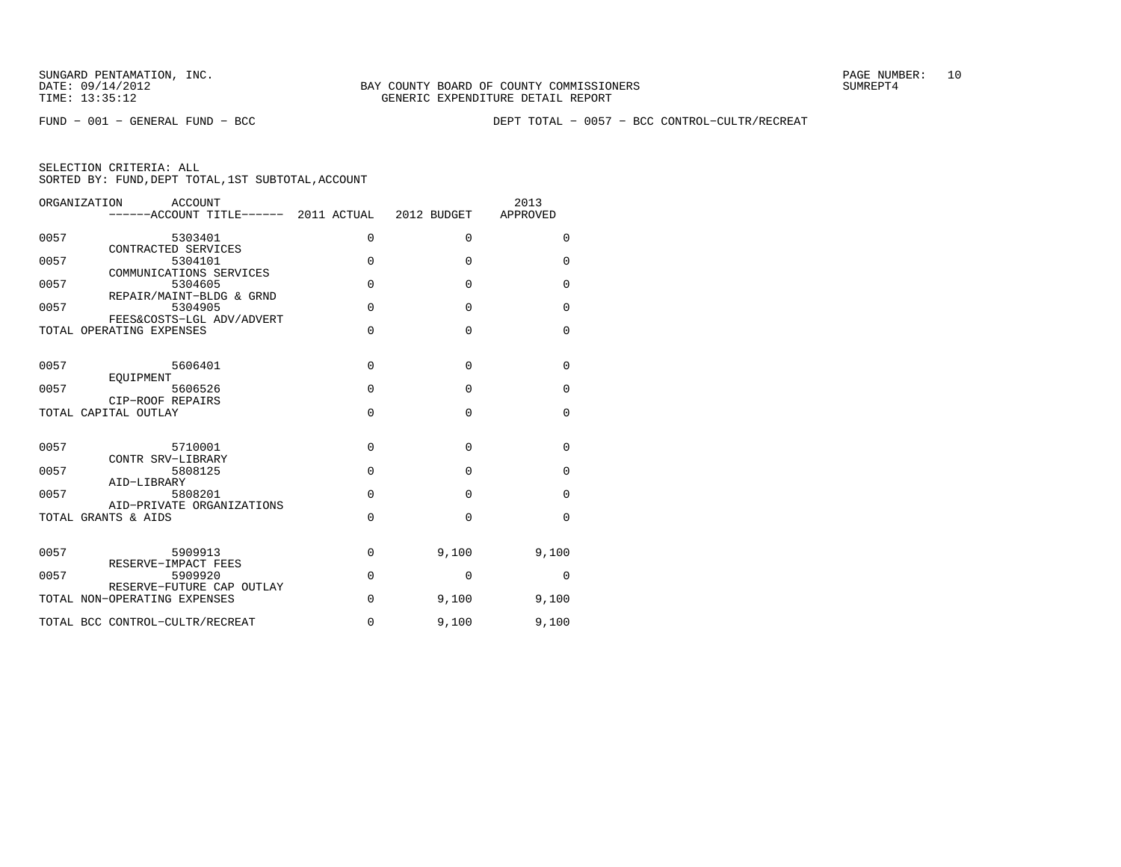FUND − 001 − GENERAL FUND − BCC DEPT TOTAL − 0057 − BCC CONTROL−CULTR/RECREAT

| <b>ACCOUNT</b><br>ORGANIZATION<br>------ACCOUNT TITLE------ 2011 ACTUAL 2012 BUDGET |             |              | 2013<br>APPROVED |
|-------------------------------------------------------------------------------------|-------------|--------------|------------------|
| 0057<br>5303401<br>CONTRACTED SERVICES                                              | 0           | $\mathbf{0}$ | 0                |
| 0057<br>5304101<br>COMMUNICATIONS SERVICES                                          | $\Omega$    | $\Omega$     | $\mathbf 0$      |
| 5304605<br>0057<br>REPAIR/MAINT-BLDG & GRND                                         | $\Omega$    | $\Omega$     | $\mathbf 0$      |
| 5304905<br>0057<br>FEES&COSTS-LGL ADV/ADVERT                                        | $\Omega$    | $\Omega$     | $\mathbf 0$      |
| TOTAL OPERATING EXPENSES                                                            | $\Omega$    | $\Omega$     | $\mathbf 0$      |
| 0057<br>5606401                                                                     | $\Omega$    | $\Omega$     | $\Omega$         |
| EOUIPMENT<br>0057<br>5606526<br>CIP-ROOF REPAIRS                                    | $\Omega$    | $\Omega$     | $\Omega$         |
| TOTAL CAPITAL OUTLAY                                                                | $\Omega$    | $\Omega$     | $\Omega$         |
| 0057<br>5710001                                                                     | $\Omega$    | $\Omega$     | $\Omega$         |
| CONTR SRV-LIBRARY<br>0057<br>5808125<br>AID-LIBRARY                                 | $\Omega$    | $\Omega$     | $\Omega$         |
| 5808201<br>0057<br>AID-PRIVATE ORGANIZATIONS                                        | $\Omega$    | $\Omega$     | $\Omega$         |
| TOTAL GRANTS & AIDS                                                                 | $\mathbf 0$ | $\Omega$     | $\mathbf 0$      |
| 0057<br>5909913                                                                     | $\mathbf 0$ | 9,100        | 9,100            |
| RESERVE-IMPACT FEES<br>0057<br>5909920                                              | $\mathbf 0$ | 0            | 0                |
| RESERVE-FUTURE CAP OUTLAY<br>TOTAL NON-OPERATING EXPENSES                           | $\mathbf 0$ | 9,100        | 9,100            |
| TOTAL BCC CONTROL-CULTR/RECREAT                                                     | $\Omega$    | 9,100        | 9,100            |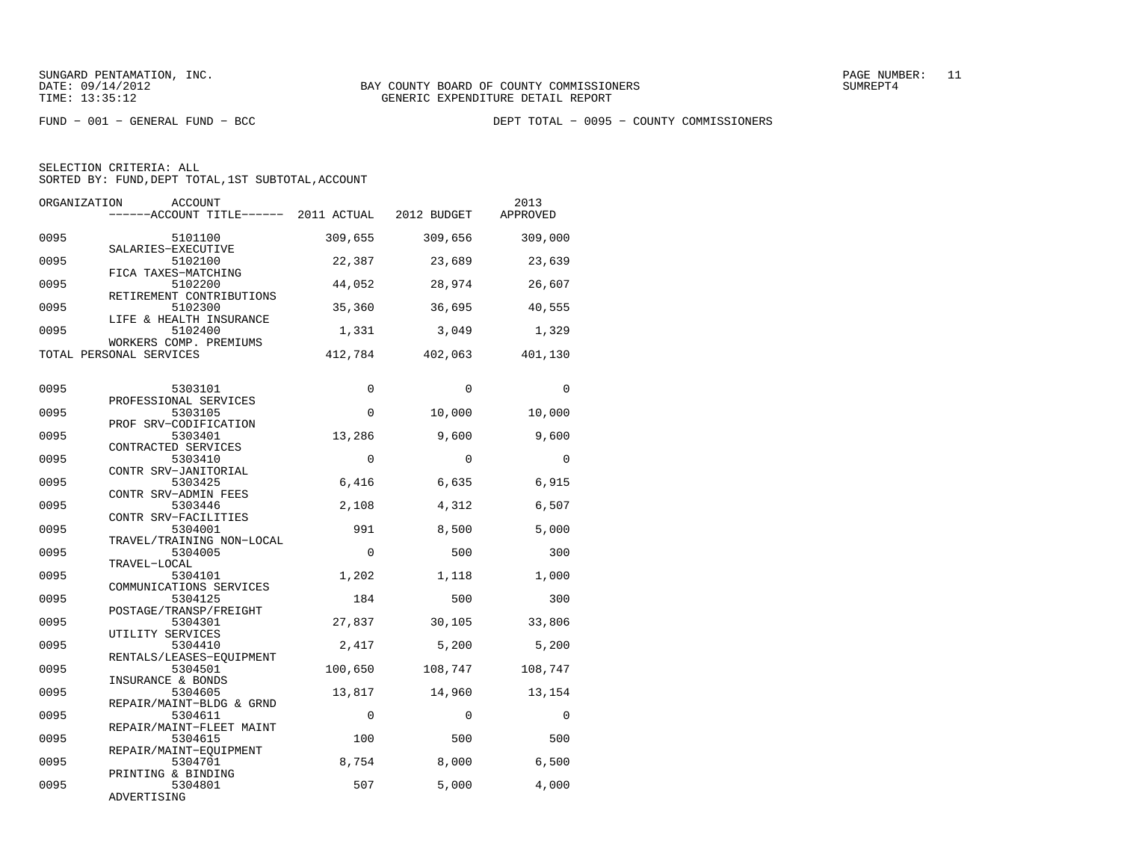FUND − 001 − GENERAL FUND − BCC DEPT TOTAL − 0095 − COUNTY COMMISSIONERS

| ORGANIZATION | <b>ACCOUNT</b><br>------ACCOUNT TITLE------ 2011 ACTUAL |             | 2012 BUDGET | 2013<br>APPROVED |
|--------------|---------------------------------------------------------|-------------|-------------|------------------|
| 0095         | 5101100<br>SALARIES-EXECUTIVE                           | 309,655     | 309,656     | 309,000          |
| 0095         | 5102100<br>FICA TAXES-MATCHING                          | 22,387      | 23,689      | 23,639           |
| 0095         | 5102200<br>RETIREMENT CONTRIBUTIONS                     | 44,052      | 28,974      | 26,607           |
| 0095         | 5102300<br>LIFE & HEALTH INSURANCE                      | 35,360      | 36,695      | 40,555           |
| 0095         | 5102400<br>WORKERS COMP. PREMIUMS                       | 1,331       | 3,049       | 1,329            |
|              | TOTAL PERSONAL SERVICES                                 | 412,784     | 402,063     | 401,130          |
| 0095         | 5303101                                                 | $\mathbf 0$ | $\Omega$    | $\mathbf 0$      |
| 0095         | PROFESSIONAL SERVICES<br>5303105                        | $\Omega$    | 10,000      | 10,000           |
| 0095         | PROF SRV-CODIFICATION<br>5303401                        | 13,286      | 9,600       | 9,600            |
| 0095         | CONTRACTED SERVICES<br>5303410                          | $\Omega$    | $\Omega$    | $\Omega$         |
| 0095         | CONTR SRV-JANITORIAL<br>5303425                         | 6,416       | 6,635       | 6,915            |
| 0095         | CONTR SRV-ADMIN FEES<br>5303446                         | 2,108       | 4,312       | 6,507            |
| 0095         | CONTR SRV-FACILITIES<br>5304001                         | 991         | 8,500       | 5,000            |
| 0095         | TRAVEL/TRAINING NON-LOCAL<br>5304005                    | $\Omega$    | 500         | 300              |
| 0095         | TRAVEL-LOCAL<br>5304101                                 | 1,202       | 1,118       | 1,000            |
| 0095         | COMMUNICATIONS SERVICES<br>5304125                      | 184         | 500         | 300              |
| 0095         | POSTAGE/TRANSP/FREIGHT<br>5304301                       | 27,837      | 30,105      | 33,806           |
| 0095         | UTILITY SERVICES<br>5304410                             | 2,417       | 5,200       | 5,200            |
| 0095         | RENTALS/LEASES-EQUIPMENT<br>5304501                     | 100,650     | 108,747     | 108,747          |
| 0095         | INSURANCE & BONDS<br>5304605                            | 13,817      | 14,960      | 13,154           |
| 0095         | REPAIR/MAINT-BLDG & GRND<br>5304611                     | $\Omega$    | $\Omega$    | $\Omega$         |
| 0095         | REPAIR/MAINT-FLEET MAINT<br>5304615                     | 100         | 500         | 500              |
| 0095         | REPAIR/MAINT-EOUIPMENT<br>5304701                       | 8,754       | 8,000       | 6,500            |
| 0095         | PRINTING & BINDING<br>5304801<br>ADVERTISING            | 507         | 5,000       | 4,000            |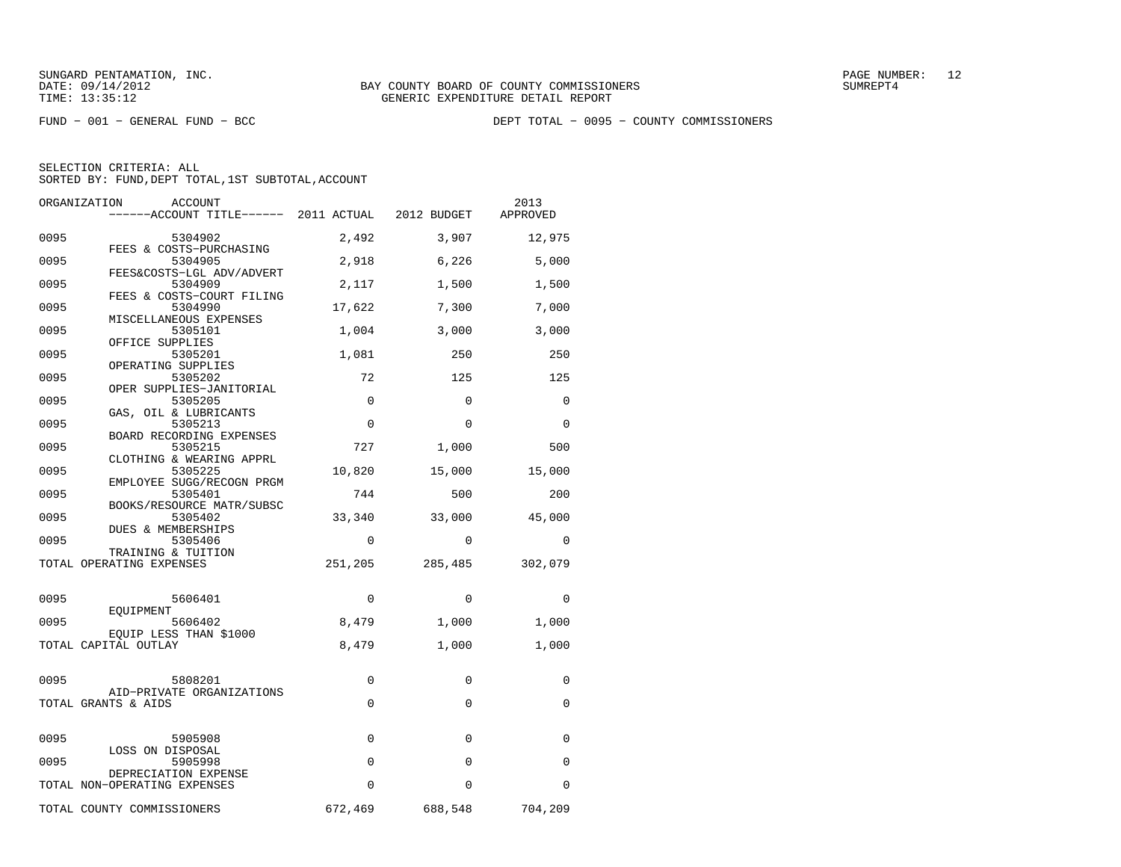FUND − 001 − GENERAL FUND − BCC DEPT TOTAL − 0095 − COUNTY COMMISSIONERS

| ORGANIZATION                 | ACCOUNT                              |             |             | 2013<br>APPROVED |
|------------------------------|--------------------------------------|-------------|-------------|------------------|
| 0095                         | 5304902                              | 2,492       | 3,907       | 12,975           |
| 0095                         | FEES & COSTS-PURCHASING<br>5304905   | 2,918       | 6,226       | 5,000            |
| 0095                         | FEES&COSTS-LGL ADV/ADVERT<br>5304909 | 2,117       | 1,500       | 1,500            |
| 0095                         | FEES & COSTS-COURT FILING<br>5304990 | 17,622      | 7,300       | 7,000            |
| 0095                         | MISCELLANEOUS EXPENSES<br>5305101    | 1,004       | 3,000       | 3,000            |
| 0095                         | OFFICE SUPPLIES<br>5305201           | 1,081       | 250         | 250              |
| 0095                         | OPERATING SUPPLIES<br>5305202        | 72          | 125         | 125              |
| 0095                         | OPER SUPPLIES-JANITORIAL<br>5305205  | $\Omega$    | $\Omega$    | $\Omega$         |
| 0095                         | GAS, OIL & LUBRICANTS<br>5305213     | $\Omega$    | $\Omega$    | $\Omega$         |
| 0095                         | BOARD RECORDING EXPENSES<br>5305215  | 727         | 1,000       | 500              |
| 0095                         | CLOTHING & WEARING APPRL<br>5305225  | 10,820      | 15,000      | 15,000           |
|                              | EMPLOYEE SUGG/RECOGN PRGM            |             |             |                  |
| 0095                         | 5305401<br>BOOKS/RESOURCE MATR/SUBSC | 744         | 500         | 200              |
| 0095                         | 5305402<br>DUES & MEMBERSHIPS        | 33,340      | 33,000      | 45,000           |
| 0095                         | 5305406<br>TRAINING & TUITION        | $\Omega$    | $\Omega$    | $\Omega$         |
| TOTAL OPERATING EXPENSES     |                                      | 251,205     | 285,485     | 302,079          |
| 0095                         | 5606401                              | 0           | $\mathbf 0$ | 0                |
| EOUIPMENT<br>0095            | 5606402                              | 8,479       | 1,000       | 1,000            |
| TOTAL CAPITAL OUTLAY         | EQUIP LESS THAN \$1000               | 8,479       | 1,000       | 1,000            |
|                              |                                      |             |             |                  |
| 0095                         | 5808201<br>AID-PRIVATE ORGANIZATIONS | 0           | 0           | 0                |
| TOTAL GRANTS & AIDS          |                                      | 0           | 0           | 0                |
| 0095                         | 5905908                              | $\mathbf 0$ | $\Omega$    | 0                |
| 0095                         | LOSS ON DISPOSAL<br>5905998          | 0           | $\Omega$    | 0                |
| TOTAL NON-OPERATING EXPENSES | DEPRECIATION EXPENSE                 | $\Omega$    | $\Omega$    | $\Omega$         |
| TOTAL COUNTY COMMISSIONERS   |                                      | 672,469     | 688,548     | 704,209          |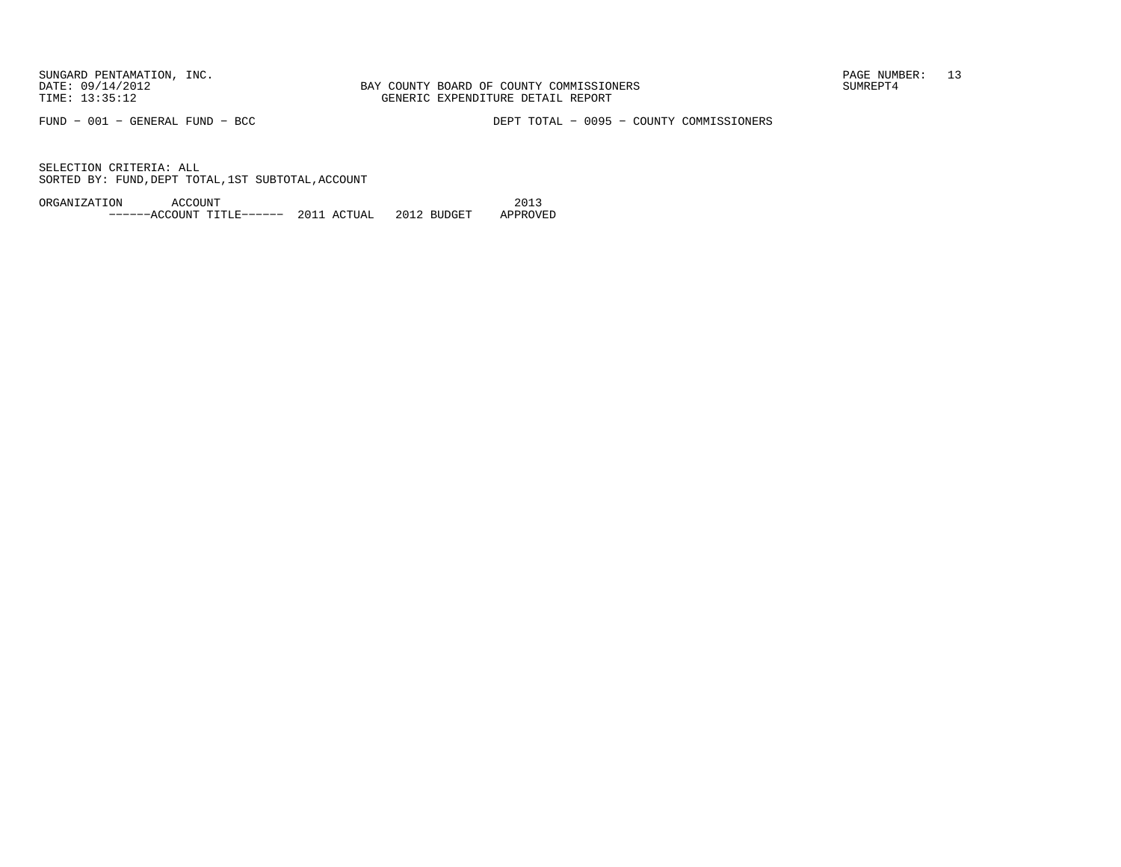FUND − 001 − GENERAL FUND − BCC DEPT TOTAL − 0095 − COUNTY COMMISSIONERS

SELECTION CRITERIA: ALLSORTED BY: FUND, DEPT TOTAL, 1ST SUBTOTAL, ACCOUNT

ORGANIZATION ACCOUNT 2013−−−−−−ACCOUNT TITLE−−−−−− 2011 ACTUAL 2012 BUDGET APPROVED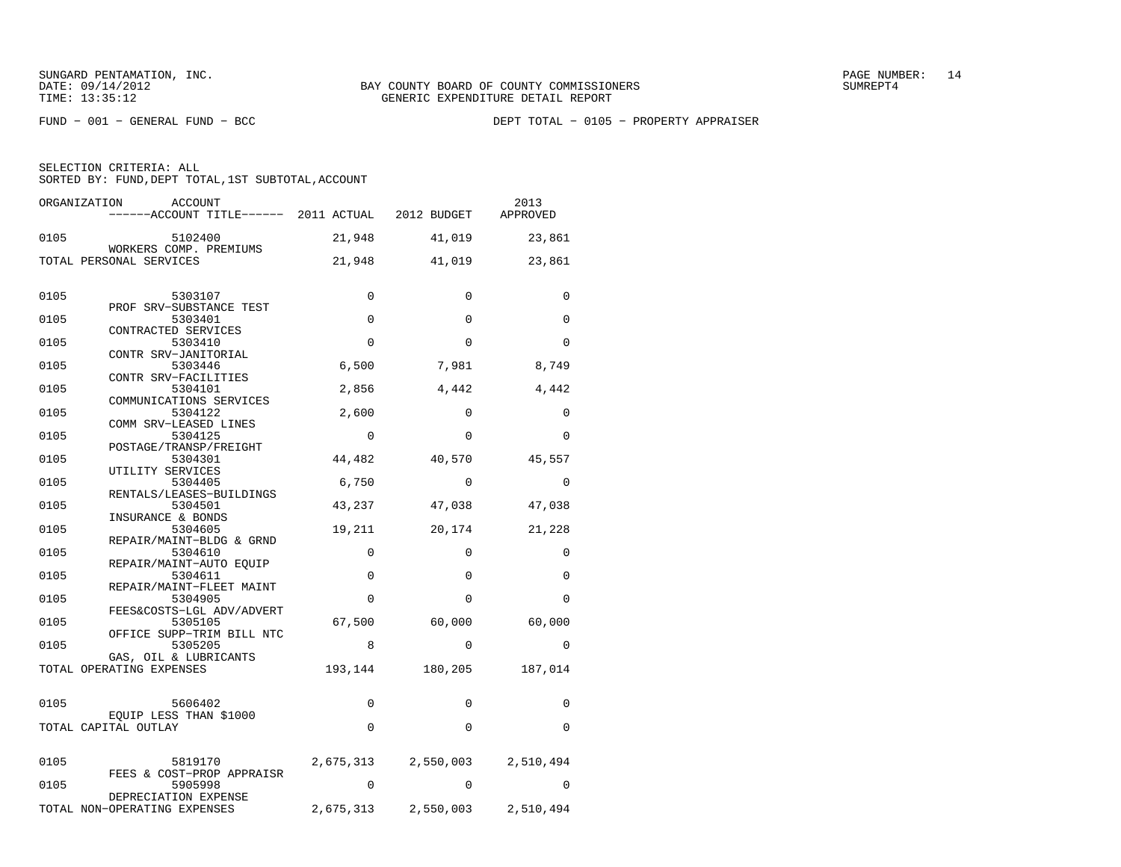SELECTION CRITERIA: ALL

SORTED BY: FUND, DEPT TOTAL, 1ST SUBTOTAL, ACCOUNT

| ORGANIZATION             | ACCOUNT                                           |             |                            | 2013                |
|--------------------------|---------------------------------------------------|-------------|----------------------------|---------------------|
|                          | ------ACCOUNT TITLE------ 2011 ACTUAL 2012 BUDGET |             |                            | APPROVED            |
| 0105                     | 5102400                                           | 21,948      | 41,019                     | 23,861              |
| TOTAL PERSONAL SERVICES  | WORKERS COMP. PREMIUMS                            | 21,948      | 41,019                     | 23,861              |
|                          |                                                   |             |                            |                     |
|                          |                                                   |             |                            |                     |
| 0105                     | 5303107<br>PROF SRV-SUBSTANCE TEST                | 0           | $\mathbf 0$                | 0                   |
| 0105                     | 5303401                                           | $\mathbf 0$ | $\mathbf 0$                | 0                   |
| 0105                     | CONTRACTED SERVICES<br>5303410                    | $\Omega$    | $\Omega$                   | $\Omega$            |
| 0105                     | CONTR SRV-JANITORIAL<br>5303446                   | 6,500       | 7,981                      | 8,749               |
|                          | CONTR SRV-FACILITIES                              |             |                            |                     |
| 0105                     | 5304101<br>COMMUNICATIONS SERVICES                | 2,856       | 4,442                      | 4,442               |
| 0105                     | 5304122                                           | 2,600       | $\mathbf 0$                | 0                   |
|                          | COMM SRV-LEASED LINES                             |             |                            |                     |
| 0105                     | 5304125<br>POSTAGE/TRANSP/FREIGHT                 | $\Omega$    | 0                          | $\Omega$            |
| 0105                     | 5304301                                           | 44,482      | 40,570                     | 45,557              |
| 0105                     | UTILITY SERVICES<br>5304405                       | 6,750       | $\mathbf 0$                | 0                   |
|                          | RENTALS/LEASES-BUILDINGS                          |             |                            |                     |
| 0105                     | 5304501<br>INSURANCE & BONDS                      | 43,237      | 47,038                     | 47,038              |
| 0105                     | 5304605                                           | 19,211      | 20,174                     | 21,228              |
| 0105                     | REPAIR/MAINT-BLDG & GRND<br>5304610               | 0           | 0                          | 0                   |
| 0105                     | REPAIR/MAINT-AUTO EQUIP<br>5304611                | $\mathbf 0$ | $\mathbf 0$                | 0                   |
|                          | REPAIR/MAINT-FLEET MAINT                          |             |                            |                     |
| 0105                     | 5304905                                           | $\Omega$    | $\Omega$                   | $\Omega$            |
| 0105                     | FEES&COSTS-LGL ADV/ADVERT<br>5305105              | 67,500      | 60,000 60,000              |                     |
| 0105                     | OFFICE SUPP-TRIM BILL NTC<br>5305205              | 8           | $\Omega$                   | $\Omega$            |
|                          | GAS, OIL & LUBRICANTS                             |             |                            |                     |
| TOTAL OPERATING EXPENSES |                                                   |             | 193, 144 180, 205 187, 014 |                     |
|                          |                                                   |             |                            |                     |
| 0105                     | 5606402<br>EQUIP LESS THAN \$1000                 | 0           | 0                          | 0                   |
| TOTAL CAPITAL OUTLAY     |                                                   | $\Omega$    | $\Omega$                   | $\Omega$            |
|                          |                                                   |             |                            |                     |
| 0105                     | 5819170                                           |             | 2,675,313 2,550,003        | 2,510,494           |
| 0105                     | FEES & COST-PROP APPRAISR<br>5905998              | $\Omega$    | $\Omega$                   | $\Omega$            |
|                          | DEPRECIATION EXPENSE                              |             |                            |                     |
|                          | TOTAL NON-OPERATING EXPENSES                      | 2,675,313   |                            | 2,550,003 2,510,494 |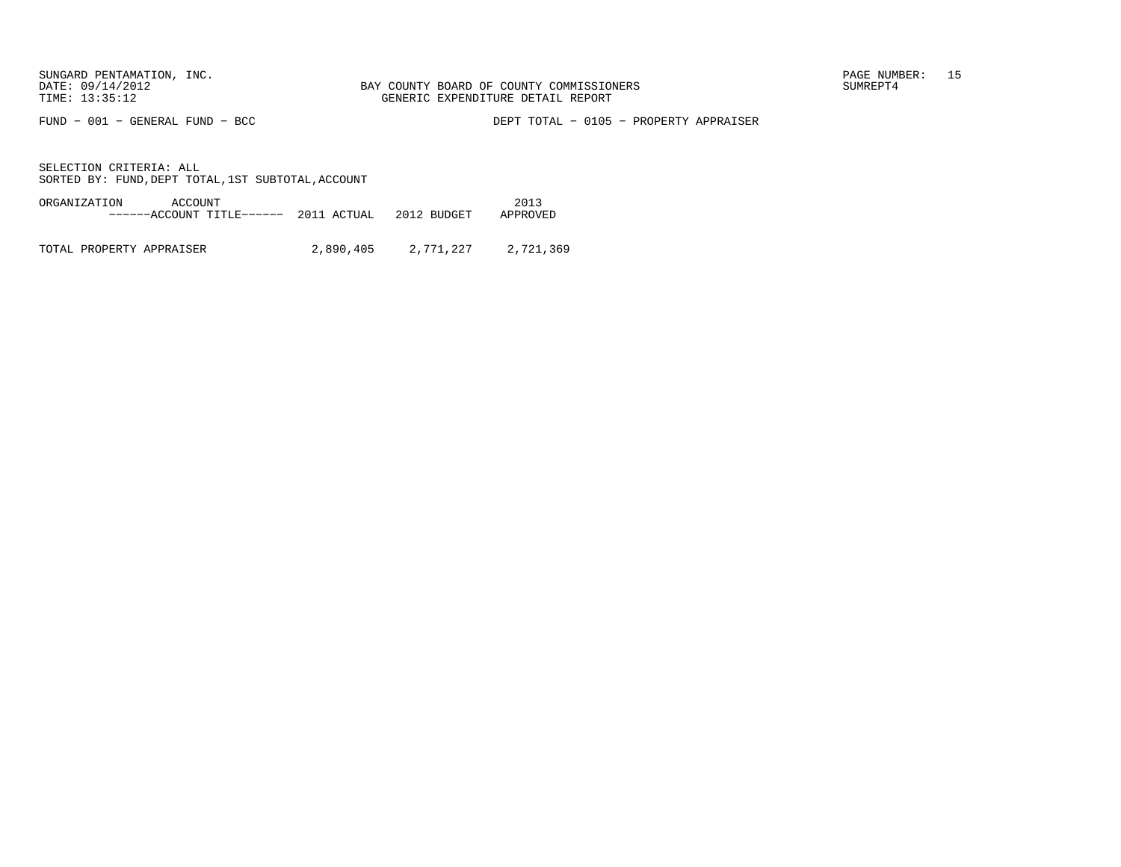FUND − 001 − GENERAL FUND − BCC DEPT TOTAL − 0105 − PROPERTY APPRAISER

SELECTION CRITERIA: ALLSORTED BY: FUND, DEPT TOTAL, 1ST SUBTOTAL, ACCOUNT

ORGANIZATION ACCOUNT 2013−−−−−−ACCOUNT TITLE−−−−−− 2011 ACTUAL 2012 BUDGET APPROVED

TOTAL PROPERTY APPRAISER 2,890,405 2,771,227 2,721,369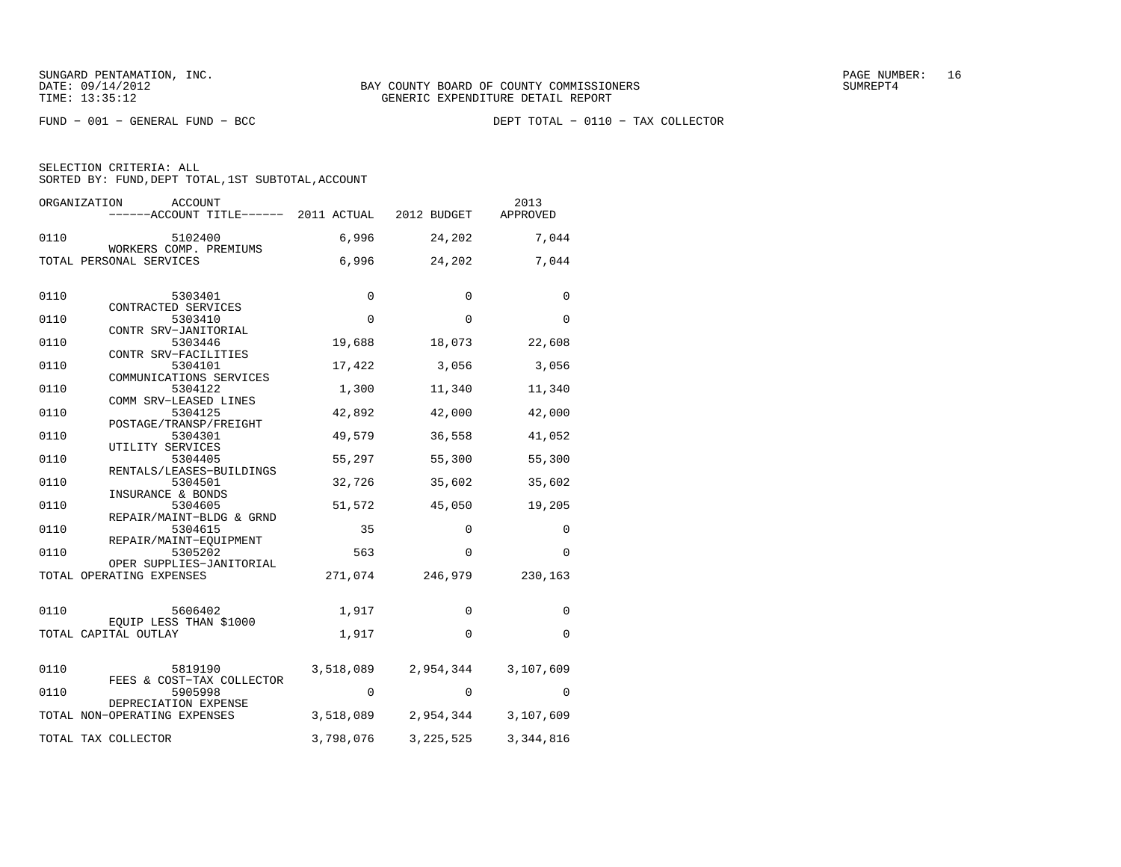SELECTION CRITERIA: ALL

SORTED BY: FUND, DEPT TOTAL, 1ST SUBTOTAL, ACCOUNT

| ORGANIZATION<br>ACCOUNT<br>------ACCOUNT TITLE------ 2011 ACTUAL |             | 2012 BUDGET | 2013<br>APPROVED |
|------------------------------------------------------------------|-------------|-------------|------------------|
| 0110<br>5102400                                                  | 6,996       | 24,202      | 7,044            |
| WORKERS COMP. PREMIUMS<br>TOTAL PERSONAL SERVICES                | 6,996       | 24,202      | 7,044            |
| 0110<br>5303401                                                  | 0           | $\Omega$    | 0                |
| CONTRACTED SERVICES                                              |             |             |                  |
| 0110<br>5303410                                                  | $\mathbf 0$ | $\Omega$    | 0                |
| CONTR SRV-JANITORIAL<br>0110<br>5303446                          | 19,688      | 18,073      | 22,608           |
| CONTR SRV-FACILITIES<br>0110<br>5304101                          | 17,422      | 3,056       | 3,056            |
| COMMUNICATIONS SERVICES<br>0110<br>5304122                       | 1,300       | 11,340      | 11,340           |
| COMM SRV-LEASED LINES<br>0110<br>5304125                         | 42,892      | 42,000      | 42,000           |
| POSTAGE/TRANSP/FREIGHT<br>0110<br>5304301                        | 49,579      | 36,558      | 41,052           |
| UTILITY SERVICES<br>0110<br>5304405                              | 55,297      | 55,300      | 55,300           |
| RENTALS/LEASES-BUILDINGS<br>0110<br>5304501                      | 32,726      | 35,602      | 35,602           |
| INSURANCE & BONDS<br>0110<br>5304605                             | 51,572      | 45,050      | 19,205           |
| REPAIR/MAINT-BLDG & GRND<br>0110<br>5304615                      | 35          | 0           | 0                |
| REPAIR/MAINT-EQUIPMENT<br>0110<br>5305202                        | 563         | $\Omega$    | 0                |
| OPER SUPPLIES-JANITORIAL                                         |             |             |                  |
| TOTAL OPERATING EXPENSES                                         | 271,074     | 246,979     | 230,163          |
| 0110<br>5606402                                                  | 1,917       | $\Omega$    | 0                |
| EQUIP LESS THAN \$1000<br>TOTAL CAPITAL OUTLAY                   | 1,917       | $\Omega$    | 0                |
|                                                                  |             |             |                  |
| 0110<br>5819190<br>FEES & COST-TAX COLLECTOR                     | 3,518,089   | 2,954,344   | 3,107,609        |
| 5905998<br>0110<br>DEPRECIATION EXPENSE                          | 0           | $\Omega$    | 0                |
| TOTAL NON-OPERATING EXPENSES                                     | 3,518,089   | 2,954,344   | 3,107,609        |
| TOTAL TAX COLLECTOR                                              | 3,798,076   | 3, 225, 525 | 3,344,816        |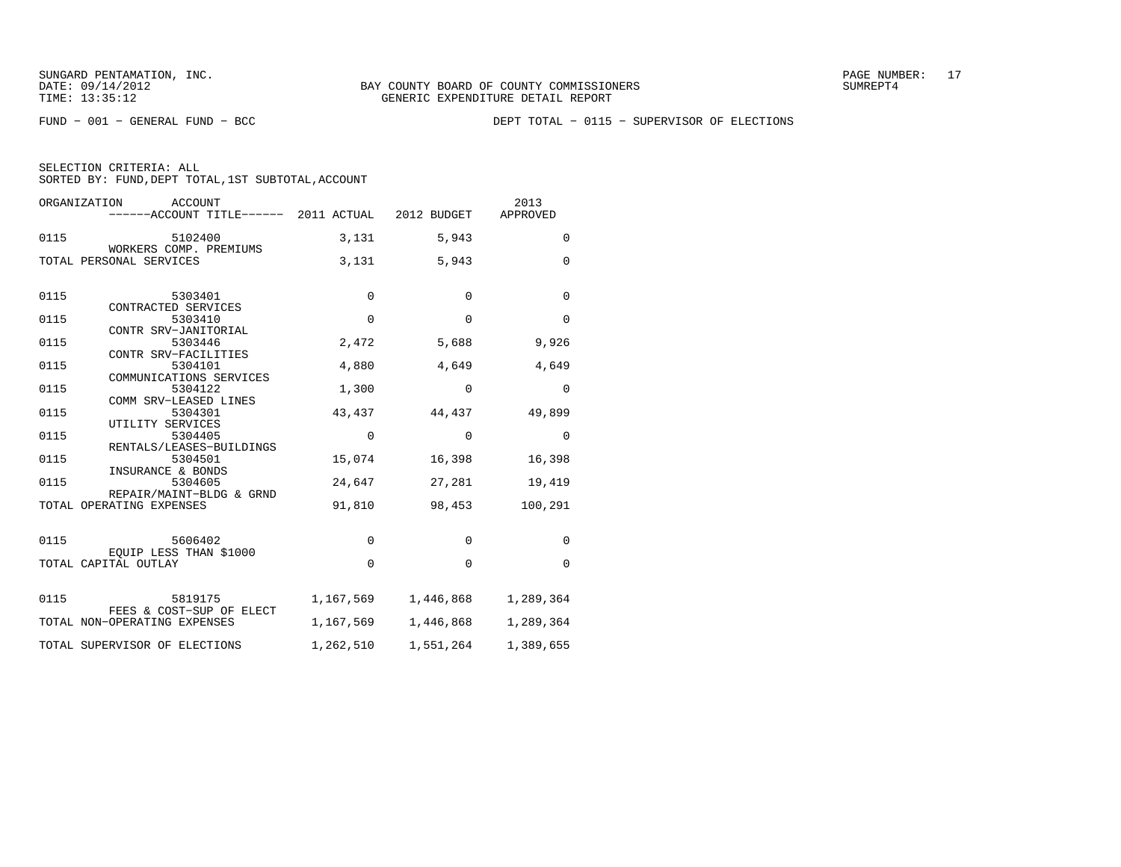FUND − 001 − GENERAL FUND − BCC DEPT TOTAL − 0115 − SUPERVISOR OF ELECTIONS

| ORGANIZATION<br>ACCOUNT<br>------ACCOUNT TITLE------ 2011 ACTUAL 2012 BUDGET |             |                | 2013<br>APPROVED |
|------------------------------------------------------------------------------|-------------|----------------|------------------|
| 0115<br>5102400<br>WORKERS COMP. PREMIUMS                                    |             | 5,943<br>3,131 | $\mathbf 0$      |
| TOTAL PERSONAL SERVICES                                                      | 3,131       | 5,943          | $\Omega$         |
| 0115<br>5303401                                                              | $\mathbf 0$ | $\mathbf 0$    | $\mathbf 0$      |
| CONTRACTED SERVICES<br>0115<br>5303410<br>CONTR SRV-JANITORIAL               | $\mathbf 0$ | $\Omega$       | $\Omega$         |
| 0115<br>5303446<br>CONTR SRV-FACILITIES                                      | 2,472       | 5,688          | 9,926            |
| 0115<br>5304101<br>COMMUNICATIONS SERVICES                                   | 4,880       | 4,649          | 4,649            |
| 0115<br>5304122<br>COMM SRV-LEASED LINES                                     | 1,300       | 0              | $\mathbf 0$      |
| 0115<br>5304301<br>UTILITY SERVICES                                          | 43,437      | 44,437         | 49,899           |
| 0115<br>5304405<br>RENTALS/LEASES-BUILDINGS                                  | $\mathbf 0$ | $\Omega$       | $\mathbf 0$      |
| 0115<br>5304501<br>INSURANCE & BONDS                                         | 15,074      | 16,398         | 16,398           |
| 0115<br>5304605<br>REPAIR/MAINT-BLDG & GRND                                  | 24,647      | 27,281         | 19,419           |
| TOTAL OPERATING EXPENSES                                                     | 91,810      | 98,453         | 100,291          |
| 0115<br>5606402                                                              | $\mathbf 0$ | $\Omega$       | $\Omega$         |
| EOUIP LESS THAN \$1000<br>TOTAL CAPITAL OUTLAY                               | $\Omega$    | 0              | $\Omega$         |
| 0115<br>5819175                                                              | 1,167,569   | 1,446,868      | 1,289,364        |
| FEES & COST-SUP OF ELECT<br>TOTAL NON-OPERATING EXPENSES                     | 1,167,569   | 1,446,868      | 1,289,364        |
| TOTAL SUPERVISOR OF ELECTIONS                                                | 1,262,510   | 1,551,264      | 1,389,655        |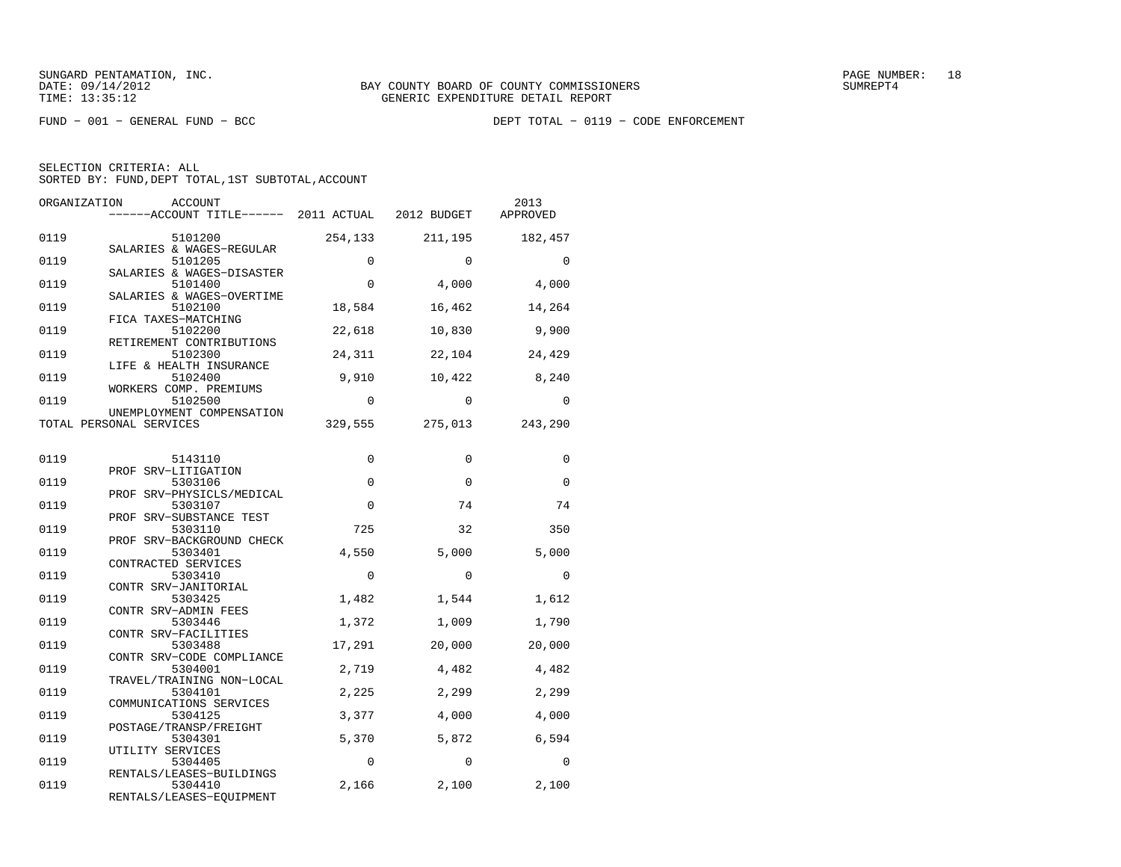FUND − 001 − GENERAL FUND − BCC DEPT TOTAL − 0119 − CODE ENFORCEMENT

|  | SELECTION CRITERIA: ALL                            |  |  |
|--|----------------------------------------------------|--|--|
|  | SORTED BY: FUND, DEPT TOTAL, 1ST SUBTOTAL, ACCOUNT |  |  |

| ORGANIZATION | ACCOUNT<br>------ACCOUNT TITLE------ 2011 ACTUAL 2012 BUDGET     |             |             | 2013<br>APPROVED |
|--------------|------------------------------------------------------------------|-------------|-------------|------------------|
| 0119         | 5101200                                                          | 254,133     | 211,195     | 182,457          |
| 0119         | SALARIES & WAGES-REGULAR<br>5101205<br>SALARIES & WAGES-DISASTER | $\mathbf 0$ | $\Omega$    | $\Omega$         |
| 0119         | 5101400<br>SALARIES & WAGES-OVERTIME                             | $\mathbf 0$ | 4,000       | 4,000            |
| 0119         | 5102100<br>FICA TAXES-MATCHING                                   | 18,584      | 16,462      | 14,264           |
| 0119         | 5102200<br>RETIREMENT CONTRIBUTIONS                              | 22,618      | 10,830      | 9,900            |
| 0119         | 5102300<br>LIFE & HEALTH INSURANCE                               | 24,311      | 22,104      | 24,429           |
| 0119         | 5102400<br>WORKERS COMP. PREMIUMS                                | 9,910       | 10,422      | 8,240            |
| 0119         | 5102500<br>UNEMPLOYMENT COMPENSATION                             | $\Omega$    | $\Omega$    | $\Omega$         |
|              | TOTAL PERSONAL SERVICES                                          | 329,555     | 275,013     | 243,290          |
| 0119         | 5143110                                                          | $\Omega$    | $\Omega$    | $\Omega$         |
| 0119         | PROF SRV-LITIGATION<br>5303106                                   | $\mathbf 0$ | $\mathbf 0$ | $\Omega$         |
| 0119         | PROF SRV-PHYSICLS/MEDICAL<br>5303107                             | $\Omega$    | 74          | 74               |
| 0119         | PROF SRV-SUBSTANCE TEST<br>5303110                               | 725         | 32          | 350              |
| 0119         | PROF SRV-BACKGROUND CHECK<br>5303401<br>CONTRACTED SERVICES      | 4,550       | 5,000       | 5,000            |
| 0119         | 5303410<br>CONTR SRV-JANITORIAL                                  | $\mathbf 0$ | $\mathbf 0$ | $\mathbf 0$      |
| 0119         | 5303425<br>CONTR SRV-ADMIN FEES                                  | 1,482       | 1,544       | 1,612            |
| 0119         | 5303446<br>CONTR SRV-FACILITIES                                  | 1,372       | 1,009       | 1,790            |
| 0119         | 5303488<br>CONTR SRV-CODE COMPLIANCE                             | 17,291      | 20,000      | 20,000           |
| 0119         | 5304001<br>TRAVEL/TRAINING NON-LOCAL                             | 2,719       | 4,482       | 4,482            |
| 0119         | 5304101<br>COMMUNICATIONS SERVICES                               | 2,225       | 2,299       | 2,299            |
| 0119         | 5304125<br>POSTAGE/TRANSP/FREIGHT                                | 3,377       | 4,000       | 4,000            |
| 0119         | 5304301<br>UTILITY SERVICES                                      | 5,370       | 5,872       | 6,594            |
| 0119         | 5304405<br>RENTALS/LEASES-BUILDINGS                              | $\Omega$    | $\Omega$    | $\Omega$         |
| 0119         | 5304410<br>RENTALS/LEASES-EQUIPMENT                              | 2,166       | 2,100       | 2,100            |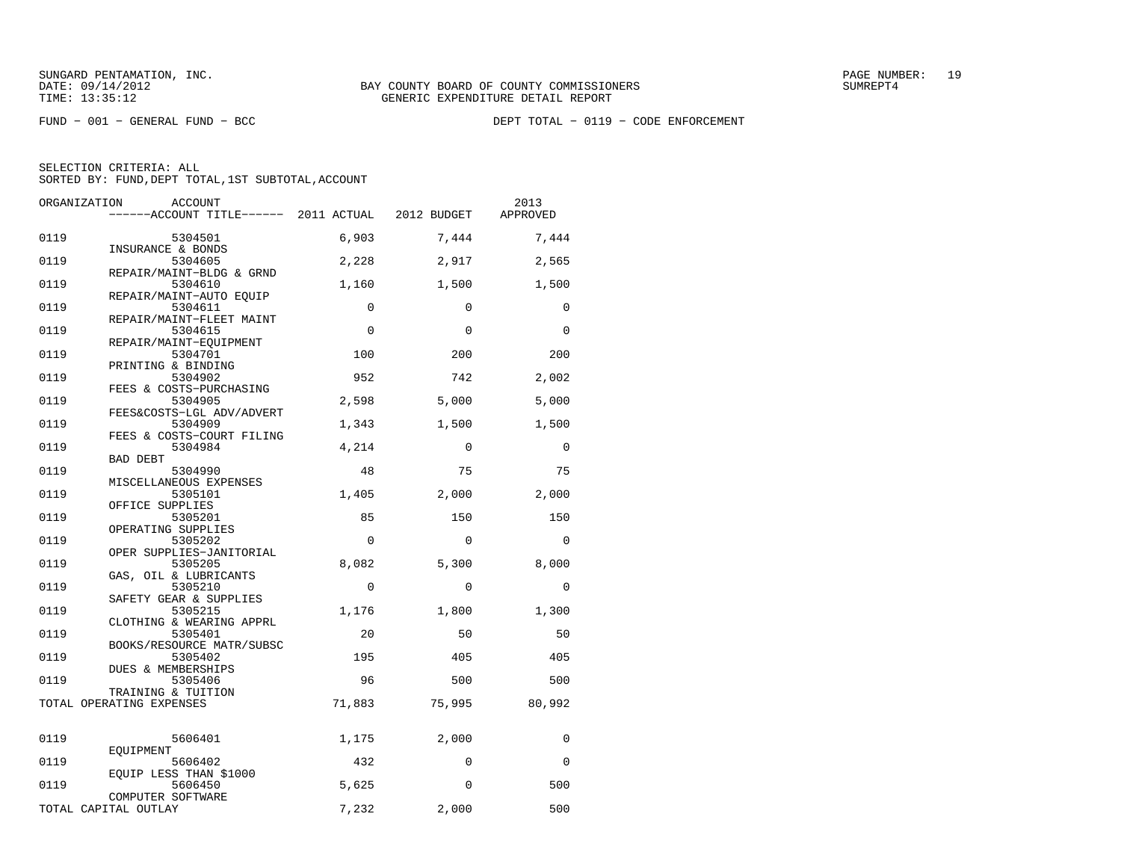| ORGANIZATION | ACCOUNT                                                       |             |             | 2013     |
|--------------|---------------------------------------------------------------|-------------|-------------|----------|
|              | ------ACCOUNT TITLE------ 2011 ACTUAL                         |             | 2012 BUDGET | APPROVED |
| 0119         | 5304501                                                       | 6,903       | 7,444       | 7,444    |
| 0119         | INSURANCE & BONDS<br>5304605                                  | 2,228       | 2,917       | 2,565    |
| 0119         | REPAIR/MAINT-BLDG & GRND<br>5304610                           | 1,160       | 1,500       | 1,500    |
| 0119         | REPAIR/MAINT-AUTO EOUIP<br>5304611                            | $\mathbf 0$ | $\mathbf 0$ | 0        |
| 0119         | REPAIR/MAINT-FLEET MAINT<br>5304615<br>REPAIR/MAINT-EOUIPMENT | $\Omega$    | $\Omega$    | $\Omega$ |
| 0119         | 5304701<br>PRINTING & BINDING                                 | 100         | 200         | 200      |
| 0119         | 5304902<br>FEES & COSTS-PURCHASING                            | 952         | 742         | 2,002    |
| 0119         | 5304905<br>FEES&COSTS-LGL ADV/ADVERT                          | 2,598       | 5,000       | 5,000    |
| 0119         | 5304909<br>FEES & COSTS-COURT FILING                          | 1,343       | 1,500       | 1,500    |
| 0119         | 5304984<br><b>BAD DEBT</b>                                    | 4,214       | $\Omega$    | $\Omega$ |
| 0119         | 5304990<br>MISCELLANEOUS EXPENSES                             | 48          | 75          | 75       |
| 0119         | 5305101<br>OFFICE SUPPLIES                                    | 1,405       | 2,000       | 2,000    |
| 0119         | 5305201<br>OPERATING SUPPLIES                                 | 85          | 150         | 150      |
| 0119         | 5305202<br>OPER SUPPLIES-JANITORIAL                           | $\Omega$    | $\Omega$    | $\Omega$ |
| 0119         | 5305205<br>GAS, OIL & LUBRICANTS                              | 8,082       | 5,300       | 8,000    |
| 0119         | 5305210<br>SAFETY GEAR & SUPPLIES                             | $\Omega$    | $\Omega$    | $\Omega$ |
| 0119         | 5305215<br>CLOTHING & WEARING APPRL                           | 1,176       | 1,800       | 1,300    |
| 0119         | 5305401<br>BOOKS/RESOURCE MATR/SUBSC                          | 20          | 50          | 50       |
| 0119         | 5305402<br>DUES & MEMBERSHIPS                                 | 195         | 405         | 405      |
| 0119         | 5305406<br>TRAINING & TUITION                                 | 96          | 500         | 500      |
|              | TOTAL OPERATING EXPENSES                                      | 71,883      | 75,995      | 80,992   |
| 0119         | 5606401                                                       | 1,175       | 2,000       | 0        |
| 0119         | EOUIPMENT<br>5606402                                          | 432         | $\mathbf 0$ | 0        |
| 0119         | EQUIP LESS THAN \$1000<br>5606450<br>COMPUTER SOFTWARE        | 5,625       | $\Omega$    | 500      |
|              | TOTAL CAPITAL OUTLAY                                          | 7,232       | 2,000       | 500      |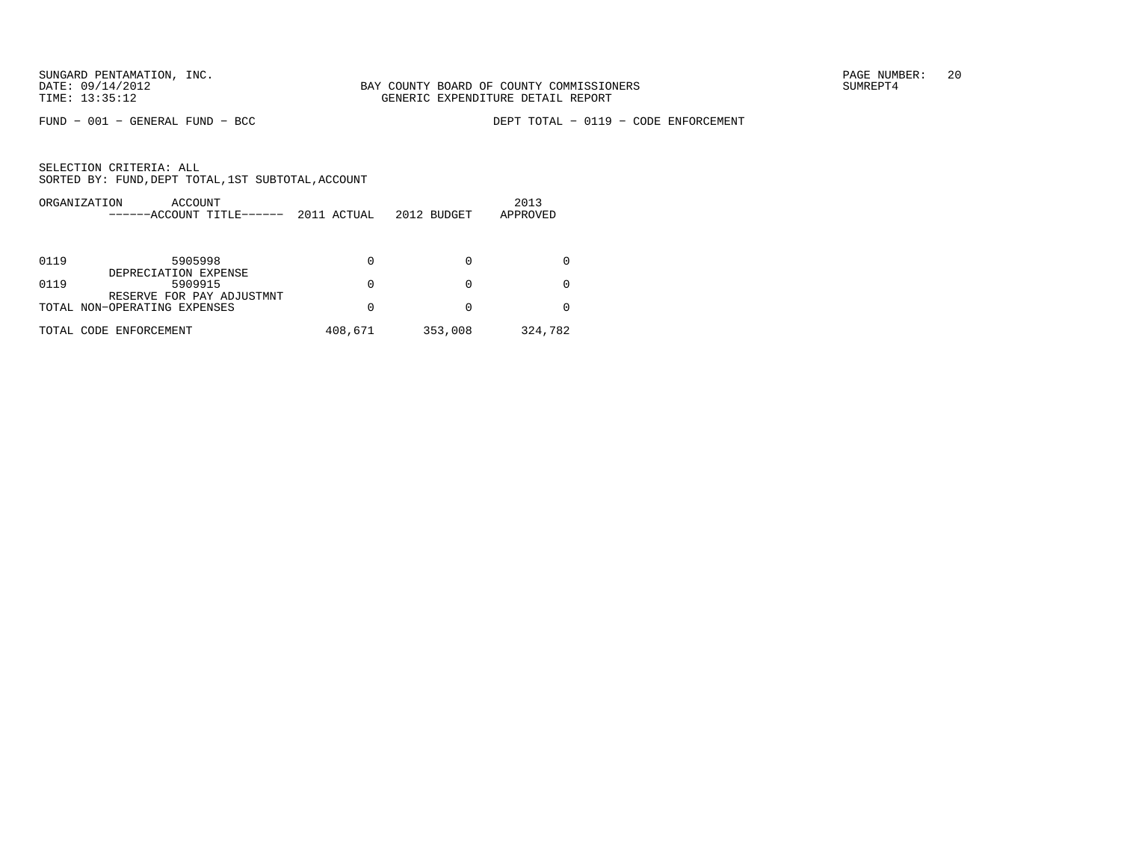FUND − 001 − GENERAL FUND − BCC DEPT TOTAL − 0119 − CODE ENFORCEMENT

| ORGANIZATION<br>ACCOUNT<br>------ACCOUNT TITLE------      | 2011 ACTUAL | 2012 BUDGET | 2013<br>APPROVED |
|-----------------------------------------------------------|-------------|-------------|------------------|
| 0119<br>5905998                                           | 0           |             |                  |
| DEPRECIATION EXPENSE<br>5909915<br>0119                   | 0           | $\Omega$    |                  |
| RESERVE FOR PAY ADJUSTMNT<br>TOTAL NON-OPERATING EXPENSES | 0           |             |                  |
| TOTAL CODE ENFORCEMENT                                    | 408,671     | 353,008     | 324,782          |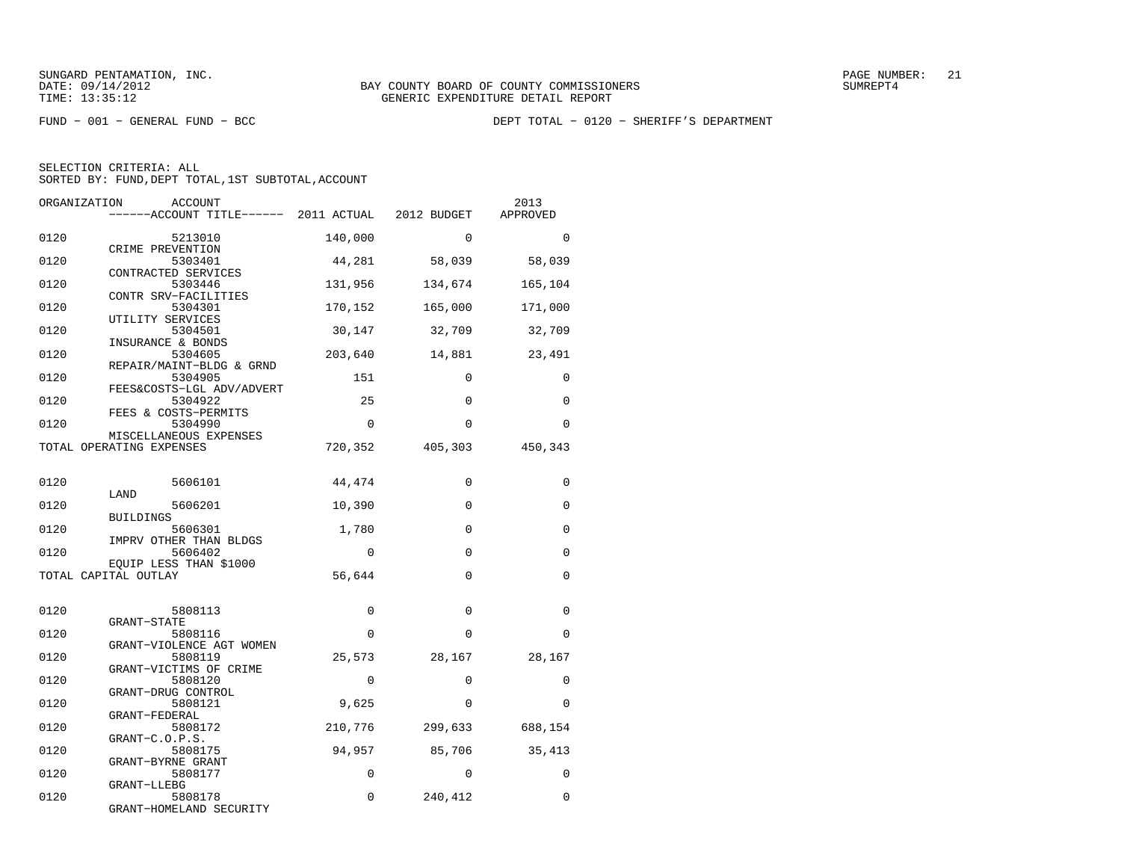FUND − 001 − GENERAL FUND − BCC DEPT TOTAL − 0120 − SHERIFF'S DEPARTMENT

| ORGANIZATION | <b>ACCOUNT</b><br>-----ACCOUNT TITLE------ 2011 ACTUAL 2012 BUDGET |             |             | 2013<br>APPROVED |
|--------------|--------------------------------------------------------------------|-------------|-------------|------------------|
| 0120         | 5213010                                                            | 140,000     | $\Omega$    | $\Omega$         |
| 0120         | CRIME PREVENTION<br>5303401                                        | 44,281      | 58,039      | 58,039           |
| 0120         | CONTRACTED SERVICES<br>5303446                                     | 131,956     | 134,674     | 165,104          |
| 0120         | CONTR SRV-FACILITIES<br>5304301                                    | 170,152     | 165,000     | 171,000          |
| 0120         | UTILITY SERVICES<br>5304501                                        | 30,147      | 32,709      | 32,709           |
| 0120         | INSURANCE & BONDS<br>5304605                                       | 203,640     | 14,881      | 23,491           |
| 0120         | REPAIR/MAINT-BLDG & GRND<br>5304905                                | 151         | $\Omega$    | $\Omega$         |
| 0120         | FEES&COSTS-LGL ADV/ADVERT<br>5304922                               | 25          | $\Omega$    | $\Omega$         |
| 0120         | FEES & COSTS-PERMITS<br>5304990                                    | $\Omega$    | $\Omega$    | $\Omega$         |
|              | MISCELLANEOUS EXPENSES<br>TOTAL OPERATING EXPENSES                 | 720,352     | 405,303     | 450,343          |
|              |                                                                    |             |             |                  |
| 0120         | 5606101<br>LAND                                                    | 44,474      | 0           | $\Omega$         |
| 0120         | 5606201<br><b>BUILDINGS</b>                                        | 10,390      | $\Omega$    | $\Omega$         |
| 0120         | 5606301<br>IMPRV OTHER THAN BLDGS                                  | 1,780       | $\Omega$    | $\Omega$         |
| 0120         | 5606402                                                            | $\mathbf 0$ | $\mathbf 0$ | $\Omega$         |
|              | EQUIP LESS THAN \$1000<br>TOTAL CAPITAL OUTLAY                     | 56,644      | $\Omega$    | $\Omega$         |
|              |                                                                    |             |             |                  |
| 0120         | 5808113<br>GRANT-STATE                                             | 0           | $\Omega$    | $\Omega$         |
| 0120         | 5808116<br>GRANT-VIOLENCE AGT WOMEN                                | $\Omega$    | $\Omega$    | $\Omega$         |
| 0120         | 5808119<br>GRANT-VICTIMS OF CRIME                                  | 25,573      | 28,167      | 28,167           |
| 0120         | 5808120<br>GRANT-DRUG CONTROL                                      | $\mathbf 0$ | $\Omega$    | $\Omega$         |
| 0120         | 5808121<br>GRANT-FEDERAL                                           | 9,625       | $\Omega$    | $\Omega$         |
| 0120         | 5808172<br>GRANT-C.O.P.S.                                          | 210,776     | 299,633     | 688,154          |
| 0120         | 5808175<br>GRANT-BYRNE GRANT                                       | 94,957      | 85,706      | 35,413           |
| 0120         | 5808177<br>GRANT-LLEBG                                             | $\Omega$    | $\Omega$    | $\Omega$         |
| 0120         | 5808178<br>GRANT-HOMELAND SECURITY                                 | $\Omega$    | 240,412     | $\Omega$         |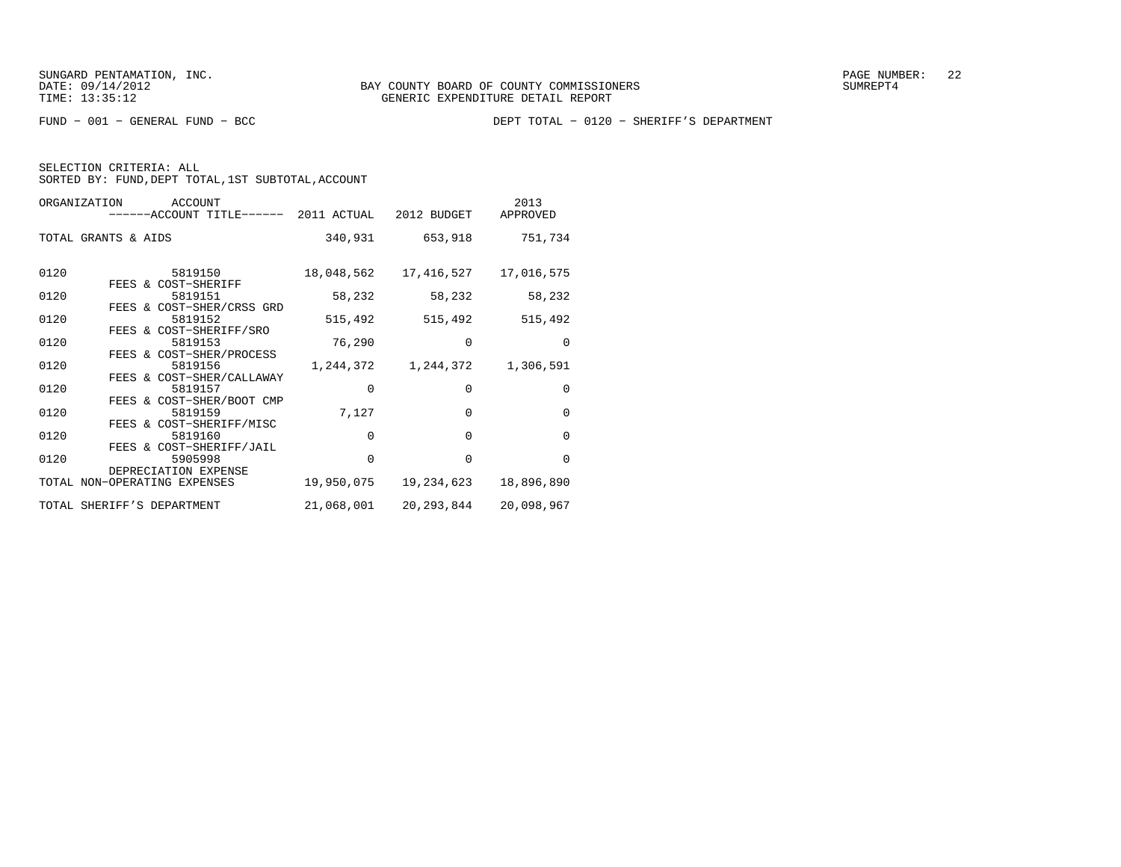SELECTION CRITERIA: ALL

SORTED BY: FUND, DEPT TOTAL, 1ST SUBTOTAL, ACCOUNT

| ORGANIZATION<br>ACCOUNT<br>------ACCOUNT TITLE------ 2011 ACTUAL 2012 BUDGET |            |                         | 2013<br>APPROVED |
|------------------------------------------------------------------------------|------------|-------------------------|------------------|
| TOTAL GRANTS & AIDS                                                          |            | 340,931 653,918         | 751,734          |
| 0120<br>5819150<br>FEES & COST-SHERIFF                                       | 18,048,562 | 17,416,527              | 17,016,575       |
| 0120<br>5819151                                                              | 58,232     | 58,232                  | 58,232           |
| FEES & COST-SHER/CRSS GRD<br>0120<br>5819152<br>FEES & COST-SHERIFF/SRO      | 515,492    | 515,492                 | 515,492          |
| 0120<br>5819153<br>FEES & COST-SHER/PROCESS                                  | 76,290     | $\Omega$                | $\Omega$         |
| 0120<br>5819156<br>FEES & COST-SHER/CALLAWAY                                 |            | 1, 244, 372 1, 244, 372 | 1,306,591        |
| 0120<br>5819157<br>FEES & COST-SHER/BOOT CMP                                 | $\Omega$   | $\Omega$                | $\mathbf 0$      |
| 0120<br>5819159<br>FEES & COST-SHERIFF/MISC                                  | 7,127      | $\Omega$                | $\Omega$         |
| 0120<br>5819160<br>FEES & COST-SHERIFF/JAIL                                  | $\Omega$   | $\Omega$                | $\Omega$         |
| 0120<br>5905998<br>DEPRECIATION EXPENSE                                      | $\Omega$   | $\Omega$                | $\Omega$         |
| TOTAL NON-OPERATING EXPENSES                                                 | 19,950,075 | 19,234,623              | 18,896,890       |
| TOTAL SHERIFF'S DEPARTMENT                                                   | 21,068,001 | 20,293,844              | 20,098,967       |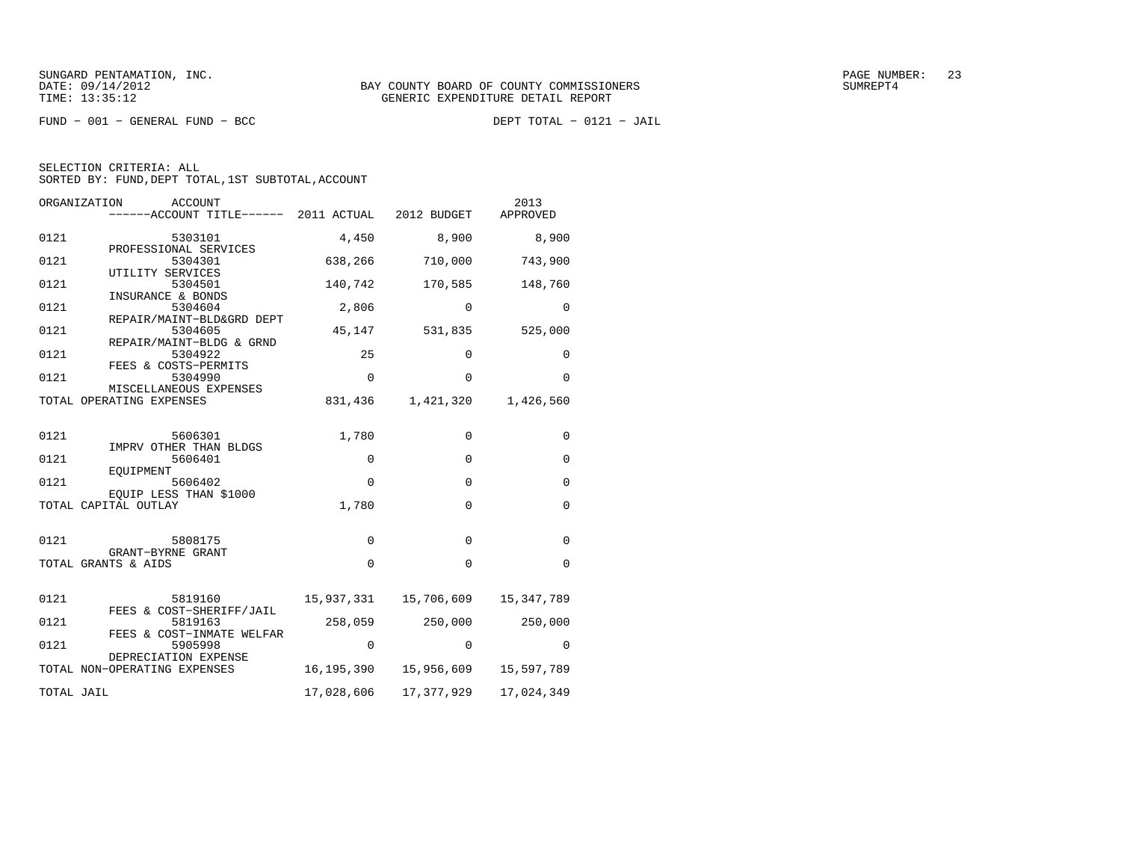$FUND - 001 - GENERAL FUND - BCC$ 

DEPT TOTAL - 0121 - JAIL

| ORGANIZATION<br>ACCOUNT<br>------ACCOUNT TITLE------ 2011 ACTUAL |             | 2012 BUDGET  | 2013<br>APPROVED |
|------------------------------------------------------------------|-------------|--------------|------------------|
| 0121<br>5303101                                                  | 4,450       | 8,900        | 8,900            |
| PROFESSIONAL SERVICES<br>0121<br>5304301                         | 638,266     | 710,000      | 743,900          |
| UTILITY SERVICES<br>0121<br>5304501                              | 140,742     | 170,585      | 148,760          |
| INSURANCE & BONDS<br>0121<br>5304604                             | 2,806       | 0            | $\Omega$         |
| REPAIR/MAINT-BLD&GRD DEPT<br>0121<br>5304605                     | 45,147      | 531,835      | 525,000          |
| REPAIR/MAINT-BLDG & GRND<br>0121<br>5304922                      | 25          | $\Omega$     | $\Omega$         |
| FEES & COSTS-PERMITS<br>0121<br>5304990                          | $\mathbf 0$ | 0            | $\mathbf 0$      |
| MISCELLANEOUS EXPENSES<br>TOTAL OPERATING EXPENSES               | 831,436     | 1,421,320    | 1,426,560        |
|                                                                  |             |              |                  |
| 0121<br>5606301<br>IMPRV OTHER THAN BLDGS                        | 1,780       | $\Omega$     | $\mathbf 0$      |
| 0121<br>5606401<br>EOUIPMENT                                     | $\mathbf 0$ | $\Omega$     | $\Omega$         |
| 0121<br>5606402<br>EOUIP LESS THAN \$1000                        | $\Omega$    | $\Omega$     | $\Omega$         |
| TOTAL CAPITAL OUTLAY                                             | 1,780       | 0            | $\mathbf 0$      |
| 0121<br>5808175                                                  | $\mathbf 0$ | $\mathbf{0}$ | $\mathbf 0$      |
| GRANT-BYRNE GRANT<br>TOTAL GRANTS & AIDS                         | $\mathbf 0$ | $\mathbf{0}$ | $\Omega$         |
|                                                                  |             |              |                  |
| 0121<br>5819160<br>FEES & COST-SHERIFF/JAIL                      | 15,937,331  | 15,706,609   | 15, 347, 789     |
| 0121<br>5819163<br>FEES & COST-INMATE WELFAR                     | 258,059     | 250,000      | 250,000          |
| 0121<br>5905998<br>DEPRECIATION EXPENSE                          | $\mathbf 0$ | $\mathbf 0$  | 0                |
| TOTAL NON-OPERATING EXPENSES                                     | 16,195,390  | 15,956,609   | 15,597,789       |
| TOTAL JAIL                                                       | 17,028,606  | 17, 377, 929 | 17,024,349       |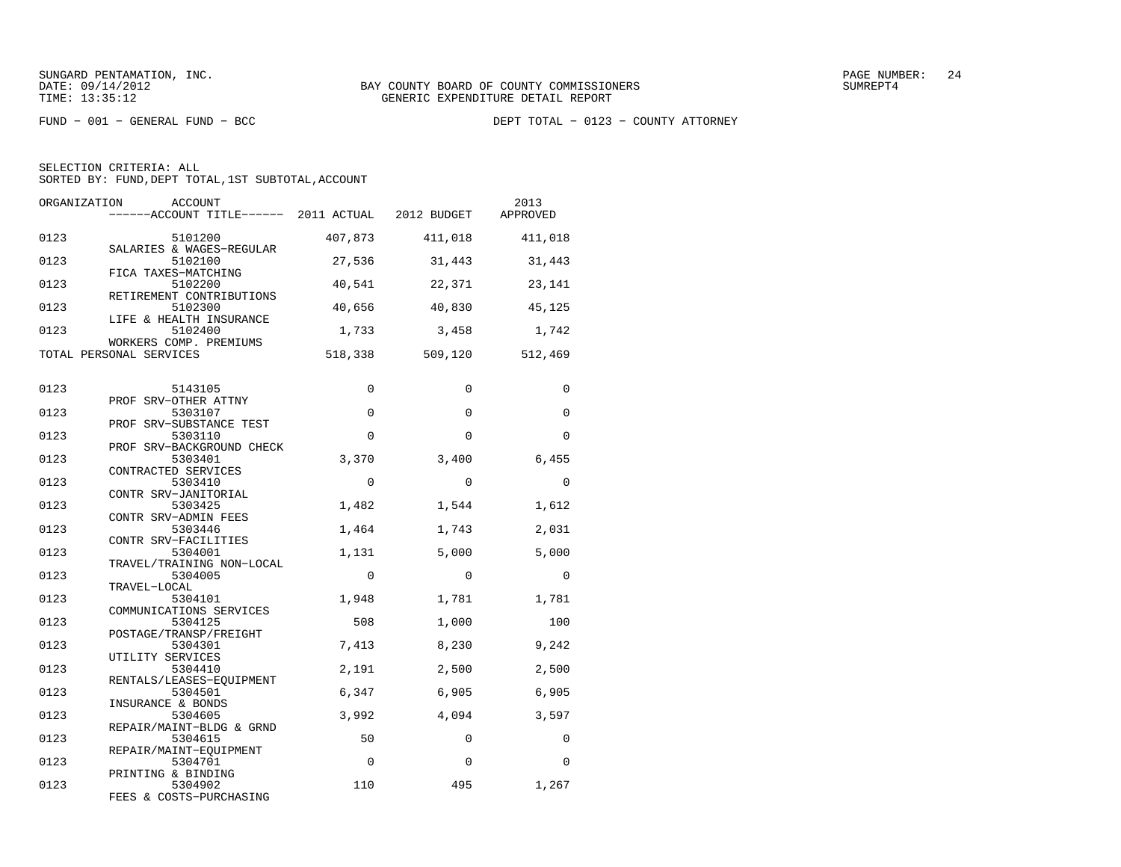SUNGARD PENTAMATION, INC.  $24$ 

SELECTION CRITERIA: ALLSORTED BY: FUND, DEPT TOTAL, 1ST SUBTOTAL, ACCOUNT

ORGANIZATION ACCOUNT 2013−−−−−−ACCOUNT TITLE−−−−−− 2011 ACTUAL 2012 BUDGET 0123 5101200 407,873 411,018 411,018 SALARIES & WAGES−REGULAR 0123 5102100 27,536 31,443 31,443 FICA TAXES−MATCHING 0123 5102200 40,541 22,371 23,141 RETIREMENT CONTRIBUTIONS0123 5102300 40,656 40,830 45,125 LIFE & HEALTH INSURANCE0123 5102400 1,733 3,458 1,742 WORKERS COMP. PREMIUMSTOTAL PERSONAL SERVICES 518,338 509,120 512,469 0123 5143105 0 0 0 PROF SRV−OTHER ATTNY0123 5303107 0 0 0 PROF SRV−SUBSTANCE TEST0123 5303110 0 0 0 0 0 PROF SRV−BACKGROUND CHECK0123 5303401 3,370 3,400 6,455 CONTRACTED SERVICES0123 5303410 0 0 0 CONTR SRV−JANITORIAL0123 5303425 1,482 1,544 1,612 CONTR SRV−ADMIN FEES0123 5303446 1,464 1,743 2,031 CONTR SRV−FACILITIES 0123 5304001 1,131 5,000 5,000 TRAVEL/TRAINING NON−LOCAL 0123 5304005 0 0 0 0 0 0 TRAVEL−LOCAL 0123 5304101 1,948 1,781 1,781 COMMUNICATIONS SERVICES 0123 5304125 508 1,000 100 POSTAGE/TRANSP/FREIGHT 0123 5304301 7,413 8,230 9,242 UTILITY SERVICES 0123 5304410 2,191 2,500 2,500 RENTALS/LEASES−EQUIPMENT 0123 5304501 6,347 6,905 6,905 INSURANCE & BONDS0123 5304605 3,992 4,094 3,597 REPAIR/MAINT−BLDG & GRND<br>0123 5304615 5304615 50 0 0 REPAIR/MAINT−EQUIPMENT 0123 5304701 0 0 0 PRINTING & BINDING0123 5304902 110 495 1,267 FEES & COSTS−PURCHASING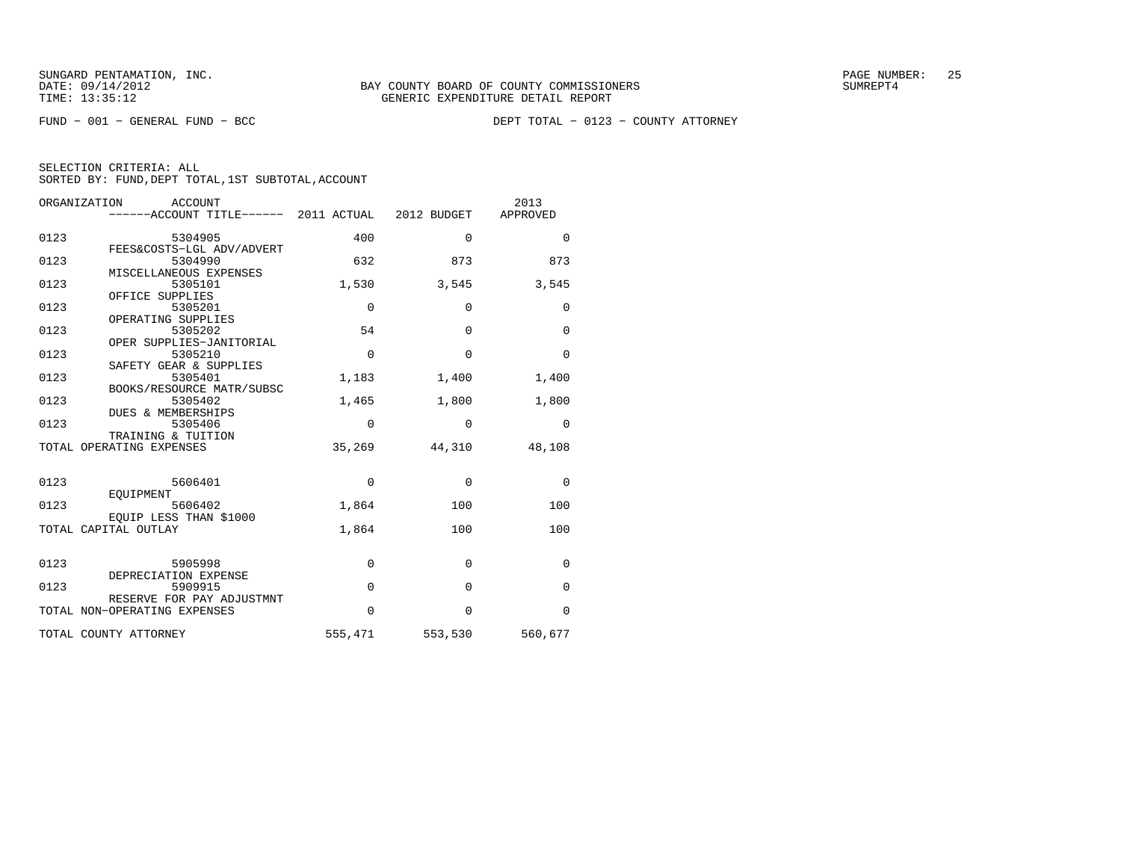FUND − 001 − GENERAL FUND − BCC DEPT TOTAL − 0123 − COUNTY ATTORNEY

|      | ORGANIZATION<br>ACCOUNT                           |             |             | 2013        |
|------|---------------------------------------------------|-------------|-------------|-------------|
|      | ------ACCOUNT TITLE------ 2011 ACTUAL 2012 BUDGET |             |             | APPROVED    |
|      |                                                   |             |             |             |
| 0123 | 5304905                                           | 400         | $\Omega$    | $\Omega$    |
|      | FEES&COSTS-LGL ADV/ADVERT                         |             |             |             |
| 0123 | 5304990                                           | 632         | 873         | 873         |
|      | MISCELLANEOUS EXPENSES                            |             |             |             |
| 0123 | 5305101<br>OFFICE SUPPLIES                        | 1,530       | 3,545       | 3,545       |
| 0123 | 5305201                                           | 0           | 0           | 0           |
|      | OPERATING SUPPLIES                                |             |             |             |
| 0123 | 5305202                                           | 54          | $\Omega$    | $\Omega$    |
|      | OPER SUPPLIES-JANITORIAL                          |             |             |             |
| 0123 | 5305210                                           | $\mathbf 0$ | $\Omega$    | $\Omega$    |
|      | SAFETY GEAR & SUPPLIES                            |             |             |             |
| 0123 | 5305401                                           | 1,183       | 1,400       | 1,400       |
|      | BOOKS/RESOURCE MATR/SUBSC                         |             |             |             |
| 0123 | 5305402                                           | 1,465       | 1,800       | 1,800       |
|      | DUES & MEMBERSHIPS                                |             |             |             |
| 0123 | 5305406                                           | $\Omega$    | $\Omega$    | $\Omega$    |
|      | TRAINING & TUITION                                |             |             |             |
|      | TOTAL OPERATING EXPENSES                          | 35,269      | 44,310      | 48,108      |
|      |                                                   |             |             |             |
|      |                                                   |             | $\mathbf 0$ |             |
| 0123 | 5606401<br>EOUIPMENT                              | $\mathbf 0$ |             | $\mathbf 0$ |
| 0123 | 5606402                                           | 1,864       | 100         | 100         |
|      | EOUIP LESS THAN \$1000                            |             |             |             |
|      | TOTAL CAPITAL OUTLAY                              | 1,864       | 100         | 100         |
|      |                                                   |             |             |             |
|      |                                                   |             |             |             |
| 0123 | 5905998                                           | $\mathbf 0$ | $\Omega$    | $\mathbf 0$ |
|      | DEPRECIATION EXPENSE                              |             |             |             |
| 0123 | 5909915                                           | $\Omega$    | $\Omega$    | $\mathbf 0$ |
|      | RESERVE FOR PAY ADJUSTMNT                         |             |             |             |
|      | TOTAL NON-OPERATING EXPENSES                      | $\Omega$    | $\Omega$    | $\Omega$    |
|      |                                                   |             |             |             |
|      | TOTAL COUNTY ATTORNEY                             | 555,471     | 553,530     | 560,677     |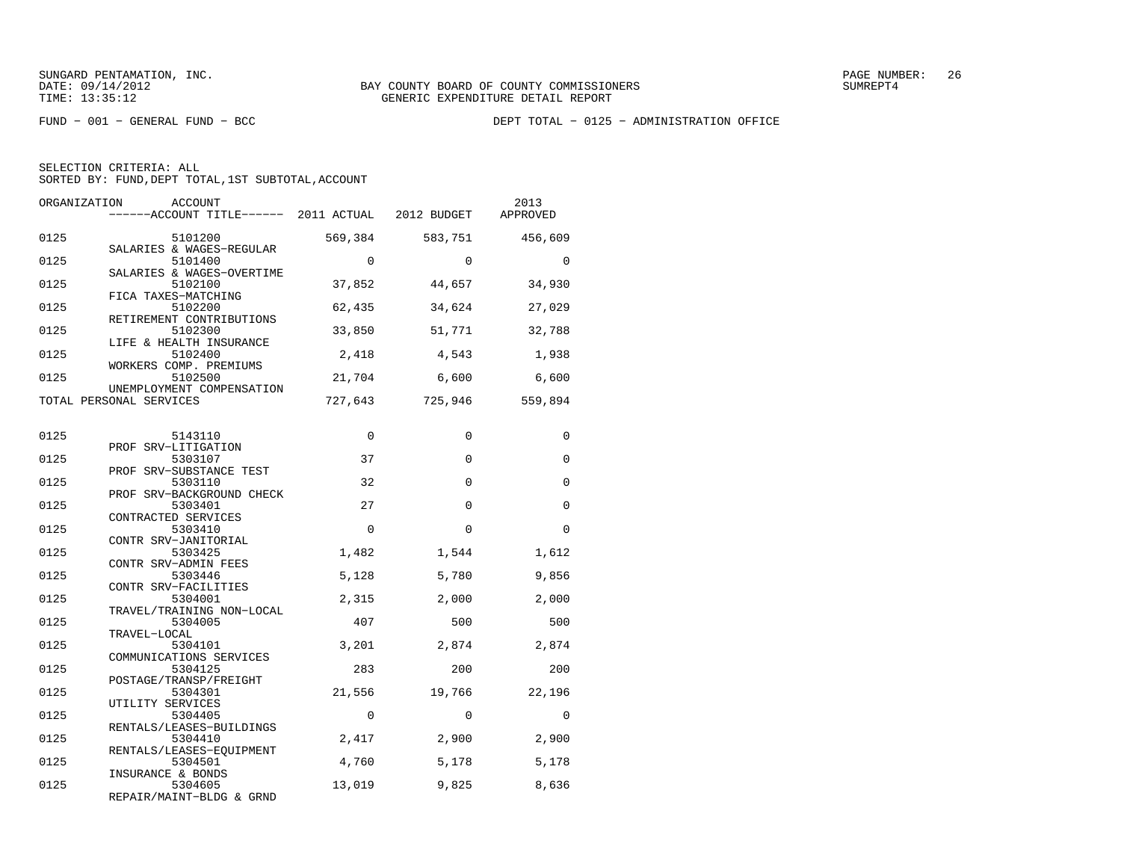FUND − 001 − GENERAL FUND − BCC DEPT TOTAL − 0125 − ADMINISTRATION OFFICE

| ORGANIZATION | ACCOUNT<br>------ACCOUNT TITLE------ 2011 ACTUAL 2012 BUDGET |             |             | 2013<br>APPROVED |
|--------------|--------------------------------------------------------------|-------------|-------------|------------------|
| 0125         | 5101200<br>SALARIES & WAGES-REGULAR                          | 569,384     | 583,751     | 456,609          |
| 0125         | 5101400<br>SALARIES & WAGES-OVERTIME                         | $\Omega$    | $\Omega$    | $\Omega$         |
| 0125         | 5102100<br>FICA TAXES-MATCHING                               | 37,852      | 44,657      | 34,930           |
| 0125         | 5102200<br>RETIREMENT CONTRIBUTIONS                          | 62,435      | 34,624      | 27,029           |
| 0125         | 5102300<br>LIFE & HEALTH INSURANCE                           | 33,850      | 51,771      | 32,788           |
| 0125         | 5102400<br>WORKERS COMP. PREMIUMS                            | 2,418       | 4,543       | 1,938            |
| 0125         | 5102500<br>UNEMPLOYMENT COMPENSATION                         | 21,704      | 6,600       | 6,600            |
|              | TOTAL PERSONAL SERVICES                                      | 727,643     | 725,946     | 559,894          |
| 0125         | 5143110                                                      | $\mathbf 0$ | $\mathbf 0$ | 0                |
| 0125         | PROF SRV-LITIGATION<br>5303107                               | 37          | 0           | 0                |
| 0125         | PROF SRV-SUBSTANCE TEST<br>5303110                           | 32          | $\Omega$    | $\Omega$         |
| 0125         | PROF SRV-BACKGROUND CHECK<br>5303401<br>CONTRACTED SERVICES  | 27          | $\Omega$    | $\Omega$         |
| 0125         | 5303410<br>CONTR SRV-JANITORIAL                              | $\Omega$    | $\Omega$    | $\Omega$         |
| 0125         | 5303425<br>CONTR SRV-ADMIN FEES                              | 1,482       | 1,544       | 1,612            |
| 0125         | 5303446<br>CONTR SRV-FACILITIES                              | 5,128       | 5,780       | 9,856            |
| 0125         | 5304001<br>TRAVEL/TRAINING NON-LOCAL                         | 2,315       | 2,000       | 2,000            |
| 0125         | 5304005<br>TRAVEL-LOCAL                                      | 407         | 500         | 500              |
| 0125         | 5304101<br>COMMUNICATIONS SERVICES                           | 3,201       | 2,874       | 2,874            |
| 0125         | 5304125<br>POSTAGE/TRANSP/FREIGHT                            | 283         | 200         | 200              |
| 0125         | 5304301<br>UTILITY SERVICES                                  | 21,556      | 19,766      | 22,196           |
| 0125         | 5304405<br>RENTALS/LEASES-BUILDINGS                          | $\Omega$    | $\Omega$    | $\Omega$         |
| 0125         | 5304410<br>RENTALS/LEASES-EQUIPMENT                          | 2,417       | 2,900       | 2,900            |
| 0125         | 5304501<br>INSURANCE & BONDS                                 | 4,760       | 5,178       | 5,178            |
| 0125         | 5304605<br>REPAIR/MAINT-BLDG & GRND                          | 13,019      | 9,825       | 8,636            |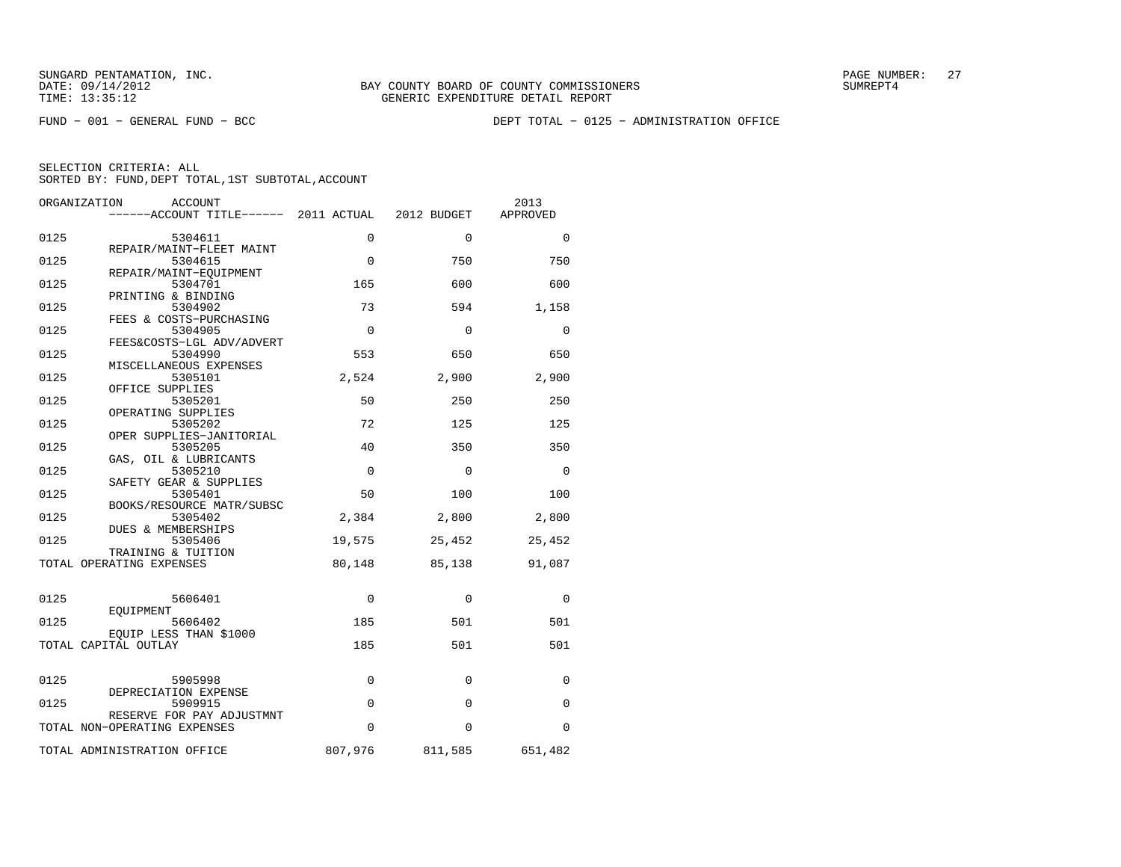FUND − 001 − GENERAL FUND − BCC DEPT TOTAL − 0125 − ADMINISTRATION OFFICE

| ORGANIZATION | <b>ACCOUNT</b><br>------ACCOUNT TITLE------ 2011 ACTUAL   |             | 2012 BUDGET | 2013<br>APPROVED |
|--------------|-----------------------------------------------------------|-------------|-------------|------------------|
| 0125         | 5304611                                                   | $\Omega$    | $\Omega$    | $\Omega$         |
| 0125         | REPAIR/MAINT-FLEET MAINT<br>5304615                       | $\Omega$    | 750         | 750              |
| 0125         | REPAIR/MAINT-EOUIPMENT<br>5304701                         | 165         | 600         | 600              |
|              | PRINTING & BINDING                                        |             |             |                  |
| 0125         | 5304902<br>FEES & COSTS-PURCHASING                        | 73          | 594         | 1,158            |
| 0125         | 5304905<br>FEES&COSTS-LGL ADV/ADVERT                      | $\mathbf 0$ | 0           | 0                |
| 0125         | 5304990                                                   | 553         | 650         | 650              |
| 0125         | MISCELLANEOUS EXPENSES<br>5305101                         | 2,524       | 2,900       | 2,900            |
| 0125         | OFFICE SUPPLIES<br>5305201                                | 50          | 250         | 250              |
| 0125         | OPERATING SUPPLIES<br>5305202                             | 72          | 125         | 125              |
|              | OPER SUPPLIES-JANITORIAL                                  |             |             |                  |
| 0125         | 5305205<br>GAS, OIL & LUBRICANTS                          | 40          | 350         | 350              |
| 0125         | 5305210<br>SAFETY GEAR & SUPPLIES                         | $\mathbf 0$ | 0           | $\mathbf 0$      |
| 0125         | 5305401                                                   | 50          | 100         | 100              |
| 0125         | BOOKS/RESOURCE MATR/SUBSC<br>5305402                      | 2,384       | 2,800       | 2,800            |
| 0125         | DUES & MEMBERSHIPS<br>5305406                             | 19,575      | 25,452      | 25,452           |
|              | TRAINING & TUITION<br>TOTAL OPERATING EXPENSES            | 80,148      | 85,138      | 91,087           |
|              |                                                           |             |             |                  |
| 0125         | 5606401                                                   | $\Omega$    | $\Omega$    | $\Omega$         |
| 0125         | EOUIPMENT<br>5606402                                      | 185         | 501         | 501              |
|              | EQUIP LESS THAN \$1000<br>TOTAL CAPITAL OUTLAY            | 185         | 501         | 501              |
|              |                                                           |             |             |                  |
| 0125         | 5905998                                                   | 0           | 0           | 0                |
| 0125         | DEPRECIATION EXPENSE<br>5909915                           | $\mathbf 0$ | 0           | $\mathbf 0$      |
|              | RESERVE FOR PAY ADJUSTMNT<br>TOTAL NON-OPERATING EXPENSES | $\mathbf 0$ | 0           | $\Omega$         |
|              | TOTAL ADMINISTRATION OFFICE                               | 807,976     | 811,585     | 651,482          |
|              |                                                           |             |             |                  |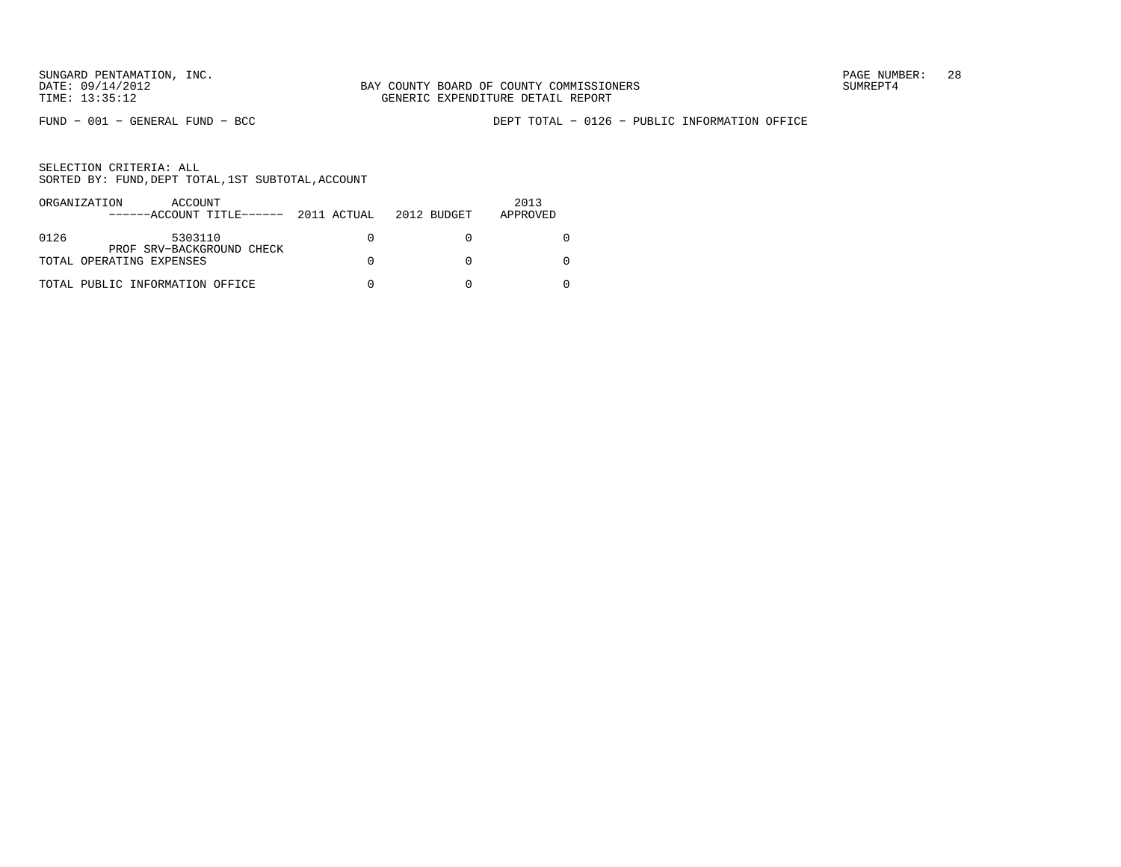FUND − 001 − GENERAL FUND − BCC DEPT TOTAL − 0126 − PUBLIC INFORMATION OFFICE

|      | ORGANIZATION<br>ACCOUNT<br>$----ACCOUNT$ TITLE $--- 2011$ ACTUAL 2012 BUDGET |  | 2013<br>APPROVED |
|------|------------------------------------------------------------------------------|--|------------------|
| 0126 | 5303110                                                                      |  |                  |
|      | PROF SRV-BACKGROUND CHECK<br>TOTAL OPERATING EXPENSES                        |  |                  |
|      | TOTAL PUBLIC INFORMATION OFFICE                                              |  |                  |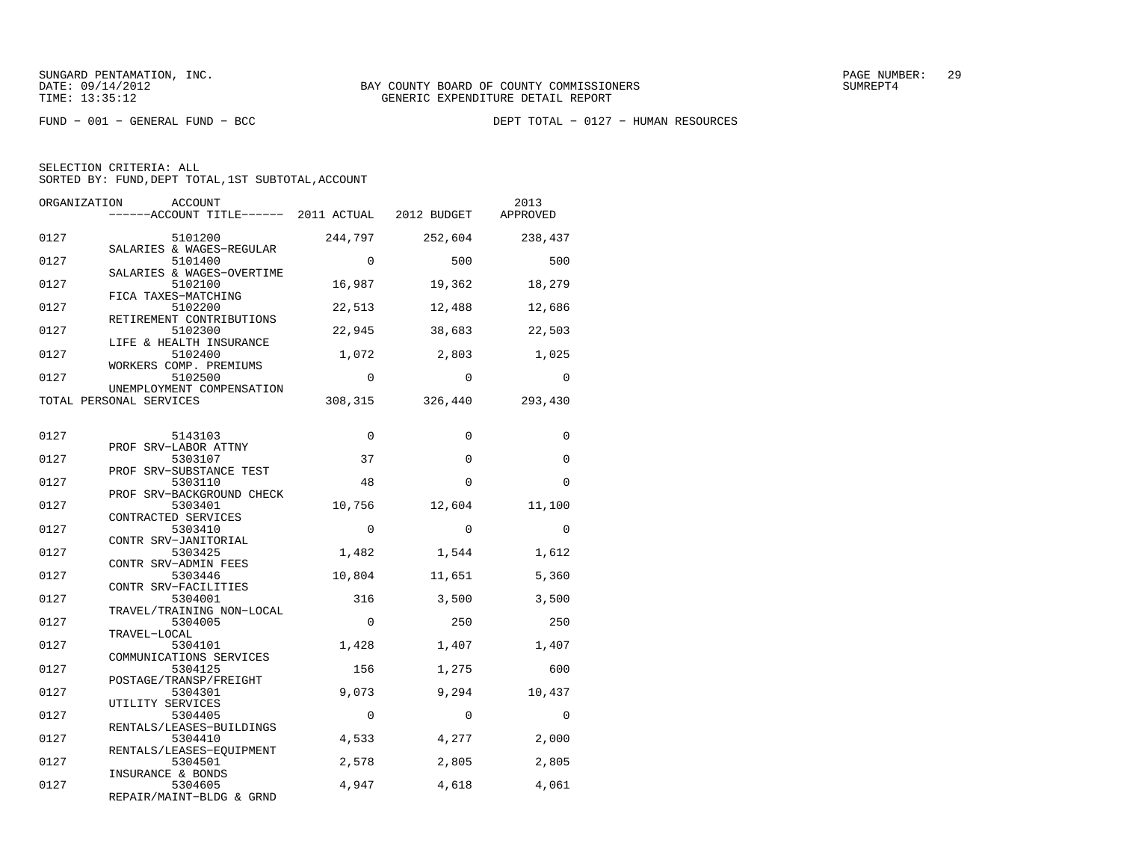FUND − 001 − GENERAL FUND − BCC DEPT TOTAL − 0127 − HUMAN RESOURCES

| ORGANIZATION | <b>ACCOUNT</b><br>------ACCOUNT TITLE------ 2011 ACTUAL 2012 BUDGET |             |          | 2013<br>APPROVED |
|--------------|---------------------------------------------------------------------|-------------|----------|------------------|
| 0127         | 5101200<br>SALARIES & WAGES-REGULAR                                 | 244,797     | 252,604  | 238,437          |
| 0127         | 5101400<br>SALARIES & WAGES-OVERTIME                                | $\Omega$    | 500      | 500              |
| 0127         | 5102100<br>FICA TAXES-MATCHING                                      | 16,987      | 19,362   | 18,279           |
| 0127         | 5102200<br>RETIREMENT CONTRIBUTIONS                                 | 22,513      | 12,488   | 12,686           |
| 0127         | 5102300<br>LIFE & HEALTH INSURANCE                                  | 22,945      | 38,683   | 22,503           |
| 0127         | 5102400<br>WORKERS COMP. PREMIUMS                                   | 1,072       | 2,803    | 1,025            |
| 0127         | 5102500<br>UNEMPLOYMENT COMPENSATION                                | $\Omega$    | $\Omega$ | $\Omega$         |
|              | TOTAL PERSONAL SERVICES                                             | 308,315     | 326,440  | 293,430          |
| 0127         | 5143103                                                             | $\Omega$    | $\Omega$ | $\Omega$         |
| 0127         | PROF SRV-LABOR ATTNY<br>5303107                                     | 37          | $\Omega$ | $\Omega$         |
| 0127         | PROF SRV-SUBSTANCE TEST<br>5303110                                  | 48          | $\Omega$ | $\Omega$         |
| 0127         | PROF SRV-BACKGROUND CHECK<br>5303401                                | 10,756      | 12,604   | 11,100           |
| 0127         | CONTRACTED SERVICES<br>5303410<br>CONTR SRV-JANITORIAL              | 0           | $\Omega$ | $\Omega$         |
| 0127         | 5303425<br>CONTR SRV-ADMIN FEES                                     | 1,482       | 1,544    | 1,612            |
| 0127         | 5303446<br>CONTR SRV-FACILITIES                                     | 10,804      | 11,651   | 5,360            |
| 0127         | 5304001<br>TRAVEL/TRAINING NON-LOCAL                                | 316         | 3,500    | 3,500            |
| 0127         | 5304005<br>TRAVEL-LOCAL                                             | $\mathbf 0$ | 250      | 250              |
| 0127         | 5304101<br>COMMUNICATIONS SERVICES                                  | 1,428       | 1,407    | 1,407            |
| 0127         | 5304125<br>POSTAGE/TRANSP/FREIGHT                                   | 156         | 1,275    | 600              |
| 0127         | 5304301<br>UTILITY SERVICES                                         | 9,073       | 9,294    | 10,437           |
| 0127         | 5304405<br>RENTALS/LEASES-BUILDINGS                                 | $\mathbf 0$ | $\Omega$ | $\Omega$         |
| 0127         | 5304410<br>RENTALS/LEASES-EQUIPMENT                                 | 4,533       | 4,277    | 2,000            |
| 0127         | 5304501<br>INSURANCE & BONDS                                        | 2,578       | 2,805    | 2,805            |
| 0127         | 5304605<br>REPAIR/MAINT-BLDG & GRND                                 | 4,947       | 4,618    | 4,061            |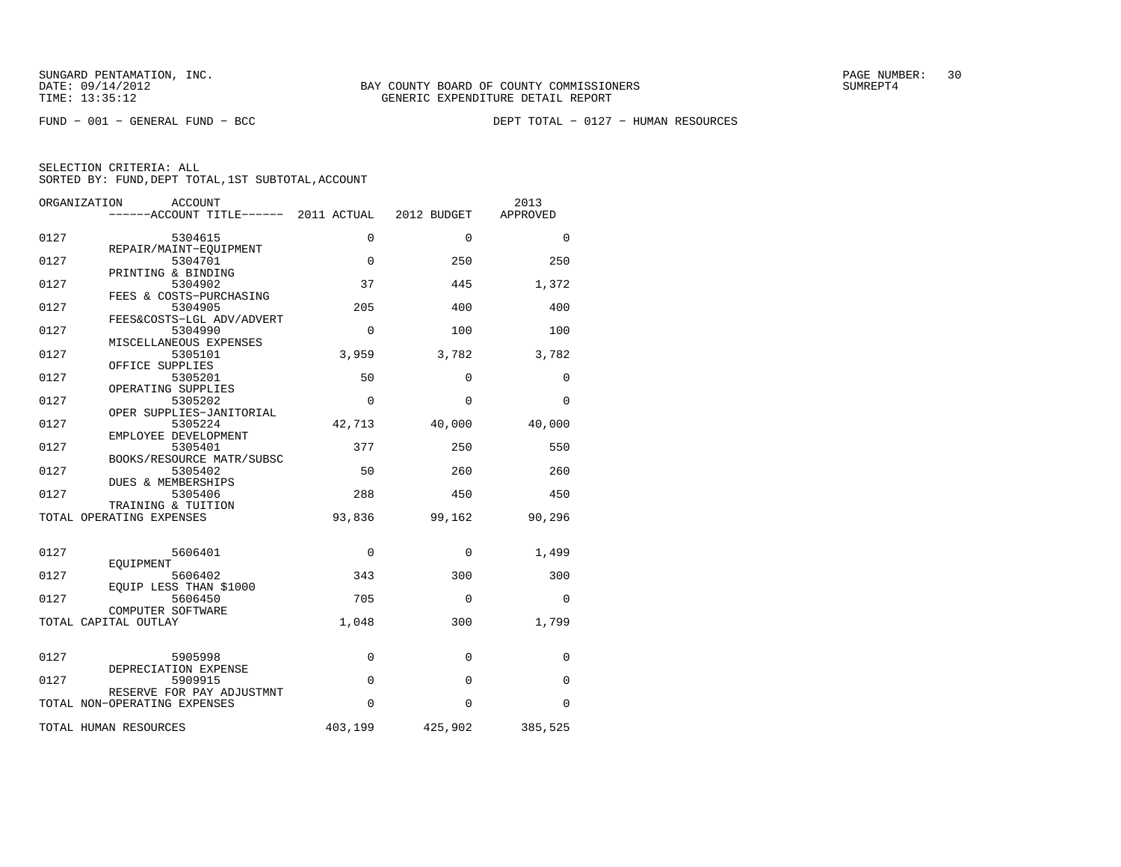FUND − 001 − GENERAL FUND − BCC DEPT TOTAL − 0127 − HUMAN RESOURCES

| 0127<br>0127<br>0127 | 5304615<br>REPAIR/MAINT-EQUIPMENT<br>5304701                                                                                                                                                                                                                           | $\Omega$                             | $\Omega$                        | $\Omega$ |
|----------------------|------------------------------------------------------------------------------------------------------------------------------------------------------------------------------------------------------------------------------------------------------------------------|--------------------------------------|---------------------------------|----------|
|                      |                                                                                                                                                                                                                                                                        |                                      |                                 |          |
|                      |                                                                                                                                                                                                                                                                        | $\Omega$                             | 250                             | 250      |
|                      | PRINTING & BINDING<br>5304902                                                                                                                                                                                                                                          | 37                                   | 445                             | 1,372    |
| 0127                 | 5304905                                                                                                                                                                                                                                                                | 205                                  | 400                             | 400      |
| 0127                 | 5304990                                                                                                                                                                                                                                                                | 0                                    | 100                             | 100      |
| 0127                 | MISCELLANEOUS EXPENSES<br>5305101                                                                                                                                                                                                                                      | 3,959                                | 3,782                           | 3,782    |
| 0127                 | 5305201                                                                                                                                                                                                                                                                | 50                                   | $\Omega$                        | 0        |
| 0127                 | OPERATING SUPPLIES<br>5305202                                                                                                                                                                                                                                          | $\Omega$                             | $\Omega$                        | 0        |
| 0127                 | 5305224                                                                                                                                                                                                                                                                | 42,713                               | 40,000                          | 40,000   |
| 0127                 | 5305401                                                                                                                                                                                                                                                                | 377                                  | 250                             | 550      |
| 0127                 | BOOKS/RESOURCE MATR/SUBSC<br>5305402                                                                                                                                                                                                                                   | 50                                   | 260                             | 260      |
| 0127                 | DUES & MEMBERSHIPS<br>5305406                                                                                                                                                                                                                                          | 288                                  | 450                             | 450      |
|                      | TRAINING & TUITION<br>TOTAL OPERATING EXPENSES                                                                                                                                                                                                                         | 93,836                               | 99,162                          | 90,296   |
|                      |                                                                                                                                                                                                                                                                        |                                      |                                 |          |
| 0127                 | 5606401                                                                                                                                                                                                                                                                | 0                                    | $\Omega$                        | 1,499    |
| 0127                 | 5606402                                                                                                                                                                                                                                                                | 343                                  | 300                             | 300      |
| 0127                 | 5606450                                                                                                                                                                                                                                                                | 705                                  | $\Omega$                        | 0        |
|                      | TOTAL CAPITAL OUTLAY                                                                                                                                                                                                                                                   | 1,048                                | 300                             | 1,799    |
|                      |                                                                                                                                                                                                                                                                        |                                      | $\Omega$                        | 0        |
|                      | DEPRECIATION EXPENSE                                                                                                                                                                                                                                                   |                                      |                                 | 0        |
|                      | RESERVE FOR PAY ADJUSTMNT                                                                                                                                                                                                                                              |                                      |                                 | 0        |
|                      |                                                                                                                                                                                                                                                                        |                                      |                                 | 385,525  |
| 0127<br>0127         | FEES & COSTS-PURCHASING<br>FEES&COSTS-LGL ADV/ADVERT<br>OFFICE SUPPLIES<br>OPER SUPPLIES-JANITORIAL<br>EMPLOYEE DEVELOPMENT<br>EOUIPMENT<br>EOUIP LESS THAN \$1000<br>COMPUTER SOFTWARE<br>5905998<br>5909915<br>TOTAL NON-OPERATING EXPENSES<br>TOTAL HUMAN RESOURCES | 0<br>$\Omega$<br>$\Omega$<br>403,199 | $\Omega$<br>$\Omega$<br>425,902 |          |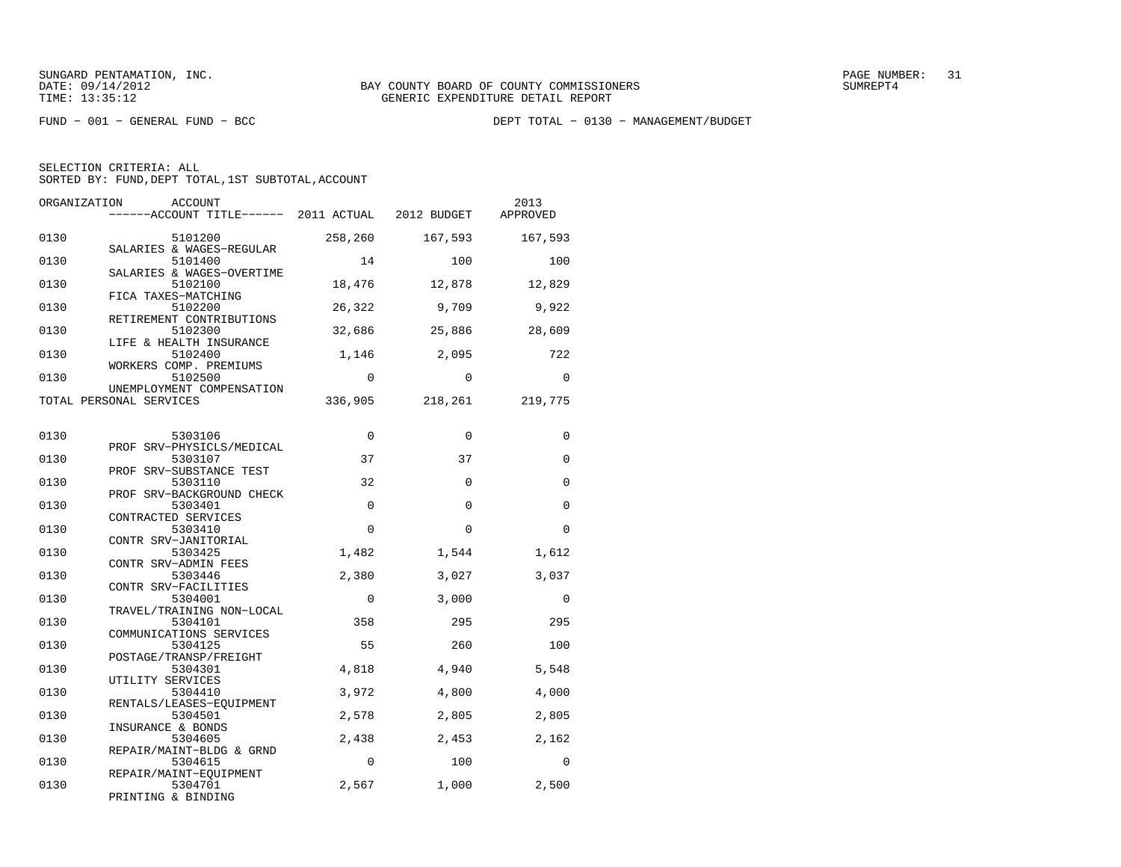FUND − 001 − GENERAL FUND − BCC DEPT TOTAL − 0130 − MANAGEMENT/BUDGET

| ORGANIZATION | <b>ACCOUNT</b><br>------ACCOUNT TITLE------ 2011 ACTUAL        |             | 2012 BUDGET | 2013<br>APPROVED |
|--------------|----------------------------------------------------------------|-------------|-------------|------------------|
| 0130         | 5101200<br>SALARIES & WAGES-REGULAR                            | 258,260     | 167,593     | 167,593          |
| 0130         | 5101400                                                        | 14          | 100         | 100              |
| 0130         | SALARIES & WAGES-OVERTIME<br>5102100                           | 18,476      | 12,878      | 12,829           |
| 0130         | FICA TAXES-MATCHING<br>5102200                                 | 26,322      | 9,709       | 9,922            |
| 0130         | RETIREMENT CONTRIBUTIONS<br>5102300<br>LIFE & HEALTH INSURANCE | 32,686      | 25,886      | 28,609           |
| 0130         | 5102400<br>WORKERS COMP. PREMIUMS                              | 1,146       | 2,095       | 722              |
| 0130         | 5102500<br>UNEMPLOYMENT COMPENSATION                           | 0           | $\mathbf 0$ | $\Omega$         |
|              | TOTAL PERSONAL SERVICES                                        | 336,905     | 218,261     | 219,775          |
| 0130         | 5303106                                                        | $\Omega$    | $\Omega$    | $\Omega$         |
| 0130         | PROF SRV-PHYSICLS/MEDICAL<br>5303107                           | 37          | 37          | $\Omega$         |
| 0130         | PROF SRV-SUBSTANCE TEST<br>5303110                             | 32          | $\Omega$    | $\Omega$         |
| 0130         | PROF SRV-BACKGROUND CHECK<br>5303401                           | $\Omega$    | $\Omega$    | $\Omega$         |
| 0130         | CONTRACTED SERVICES<br>5303410<br>CONTR SRV-JANITORIAL         | $\Omega$    | $\Omega$    | $\Omega$         |
| 0130         | 5303425<br>CONTR SRV-ADMIN FEES                                | 1,482       | 1,544       | 1,612            |
| 0130         | 5303446<br>CONTR SRV-FACILITIES                                | 2,380       | 3,027       | 3,037            |
| 0130         | 5304001<br>TRAVEL/TRAINING NON-LOCAL                           | $\mathbf 0$ | 3,000       | $\mathbf 0$      |
| 0130         | 5304101<br>COMMUNICATIONS SERVICES                             | 358         | 295         | 295              |
| 0130         | 5304125<br>POSTAGE/TRANSP/FREIGHT                              | 55          | 260         | 100              |
| 0130         | 5304301<br>UTILITY SERVICES                                    | 4,818       | 4,940       | 5,548            |
| 0130         | 5304410<br>RENTALS/LEASES-EOUIPMENT                            | 3,972       | 4,800       | 4,000            |
| 0130         | 5304501<br>INSURANCE & BONDS                                   | 2,578       | 2,805       | 2,805            |
| 0130         | 5304605<br>REPAIR/MAINT-BLDG & GRND                            | 2,438       | 2,453       | 2,162            |
| 0130         | 5304615<br>REPAIR/MAINT-EQUIPMENT                              | 0           | 100         | $\Omega$         |
| 0130         | 5304701<br>PRINTING & BINDING                                  | 2,567       | 1,000       | 2,500            |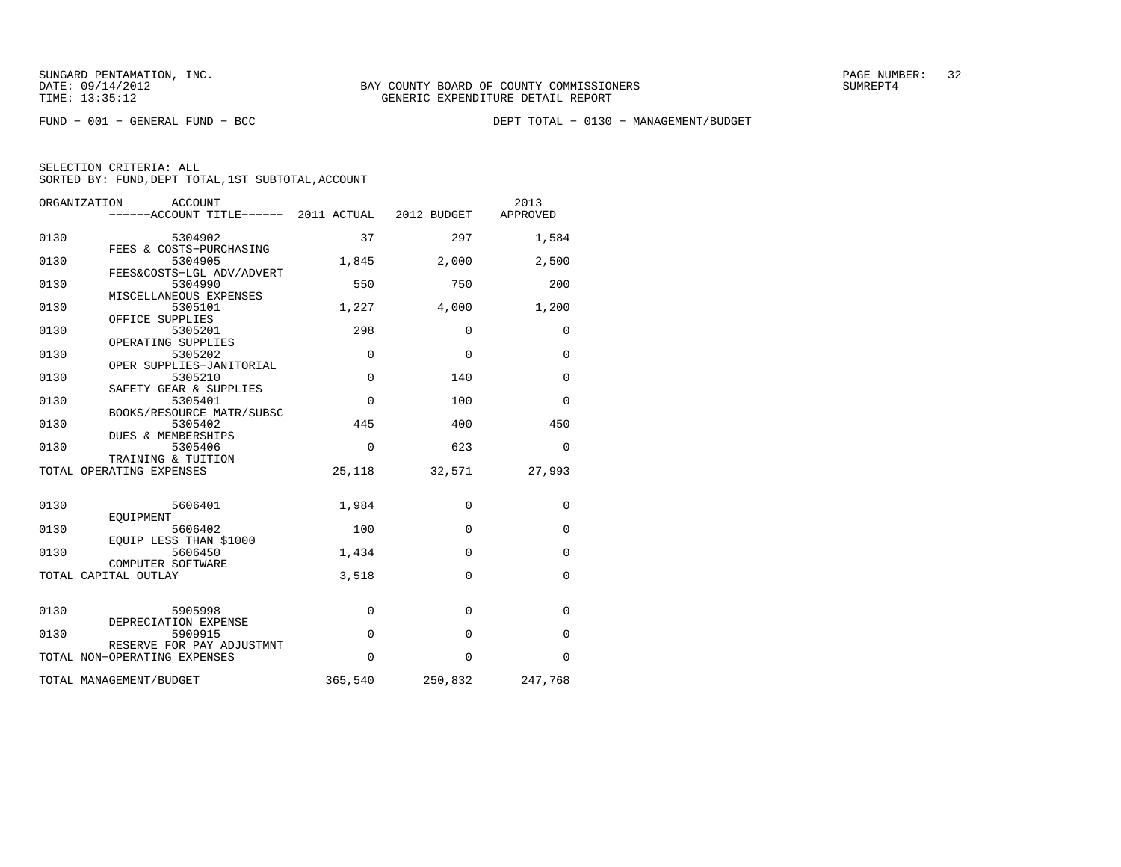FUND − 001 − GENERAL FUND − BCC DEPT TOTAL − 0130 − MANAGEMENT/BUDGET

|                           |             | 2013<br>APPROVED                                  |
|---------------------------|-------------|---------------------------------------------------|
| 37                        | 297         | 1,584                                             |
| 1,845                     | 2,000       | 2,500                                             |
| 550                       | 750         | 200                                               |
| 1,227                     | 4,000       | 1,200                                             |
| 298                       | $\Omega$    | $\Omega$                                          |
| $\mathbf 0$               | $\Omega$    | $\mathbf 0$                                       |
| $\overline{0}$            | 140         | $\mathbf 0$                                       |
| $\mathbf 0$               | 100         | $\mathbf 0$                                       |
| 445                       | 400         | 450                                               |
| $\Omega$                  | 623         | $\mathbf 0$                                       |
| 25,118                    | 32,571      | 27,993                                            |
| 1,984                     | $\mathbf 0$ | $\mathbf 0$                                       |
| 100                       | $\Omega$    | $\Omega$                                          |
| 1,434                     | $\Omega$    | $\mathbf 0$                                       |
| 3,518                     | $\Omega$    | $\mathbf 0$                                       |
|                           | $\Omega$    | $\mathbf 0$                                       |
| $\Omega$                  | $\Omega$    | $\Omega$                                          |
| $\Omega$                  | $\Omega$    | $\Omega$                                          |
| 365,540                   | 250,832     | 247,768                                           |
| FEES&COSTS-LGL ADV/ADVERT | $\mathbf 0$ | $----ACCOUNT$ TITLE $--- 2011$ ACTUAL 2012 BUDGET |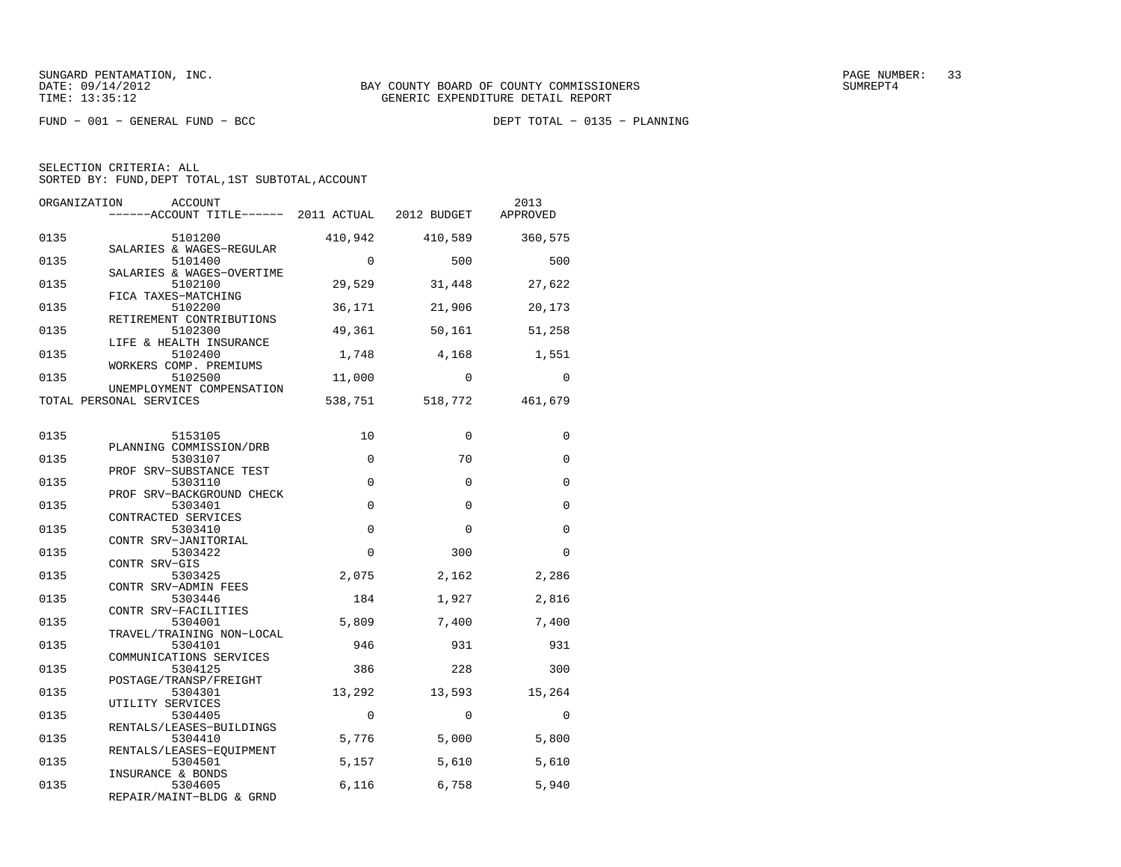$FUND - 001 - GENERAL FUND - BCC$ 

DEPT TOTAL - 0135 - PLANNING

| ORGANIZATION | ACCOUNT<br>------ACCOUNT TITLE------ 2011 ACTUAL 2012 BUDGET |             |          | 2013<br>APPROVED |
|--------------|--------------------------------------------------------------|-------------|----------|------------------|
| 0135         | 5101200<br>SALARIES & WAGES-REGULAR                          | 410,942     | 410,589  | 360,575          |
| 0135         | 5101400<br>SALARIES & WAGES-OVERTIME                         | $\Omega$    | 500      | 500              |
| 0135         | 5102100<br>FICA TAXES-MATCHING                               | 29,529      | 31,448   | 27,622           |
| 0135         | 5102200<br>RETIREMENT CONTRIBUTIONS                          | 36,171      | 21,906   | 20,173           |
| 0135         | 5102300<br>LIFE & HEALTH INSURANCE                           | 49,361      | 50,161   | 51,258           |
| 0135         | 5102400<br>WORKERS COMP. PREMIUMS                            | 1,748       | 4,168    | 1,551            |
| 0135         | 5102500<br>UNEMPLOYMENT COMPENSATION                         | 11,000      | $\Omega$ | $\Omega$         |
|              | TOTAL PERSONAL SERVICES                                      | 538,751     | 518,772  | 461,679          |
| 0135         | 5153105                                                      | 10          | $\Omega$ | 0                |
| 0135         | PLANNING COMMISSION/DRB<br>5303107                           | $\Omega$    | 70       | $\Omega$         |
| 0135         | PROF SRV-SUBSTANCE TEST<br>5303110                           | $\Omega$    | $\Omega$ | $\Omega$         |
| 0135         | PROF SRV-BACKGROUND CHECK<br>5303401                         | $\Omega$    | $\Omega$ | $\Omega$         |
| 0135         | CONTRACTED SERVICES<br>5303410                               | $\mathbf 0$ | $\Omega$ | $\Omega$         |
| 0135         | CONTR SRV-JANITORIAL<br>5303422                              | $\Omega$    | 300      | $\Omega$         |
| 0135         | CONTR SRV-GIS<br>5303425                                     | 2,075       | 2,162    | 2,286            |
| 0135         | CONTR SRV-ADMIN FEES<br>5303446<br>CONTR SRV-FACILITIES      | 184         | 1,927    | 2,816            |
| 0135         | 5304001<br>TRAVEL/TRAINING NON-LOCAL                         | 5,809       | 7,400    | 7,400            |
| 0135         | 5304101<br>COMMUNICATIONS SERVICES                           | 946         | 931      | 931              |
| 0135         | 5304125<br>POSTAGE/TRANSP/FREIGHT                            | 386         | 228      | 300              |
| 0135         | 5304301<br>UTILITY SERVICES                                  | 13,292      | 13,593   | 15,264           |
| 0135         | 5304405<br>RENTALS/LEASES-BUILDINGS                          | $\Omega$    | $\Omega$ | $\Omega$         |
| 0135         | 5304410<br>RENTALS/LEASES-EOUIPMENT                          | 5,776       | 5,000    | 5,800            |
| 0135         | 5304501<br>INSURANCE & BONDS                                 | 5,157       | 5,610    | 5,610            |
| 0135         | 5304605<br>REPAIR/MAINT-BLDG & GRND                          | 6,116       | 6,758    | 5,940            |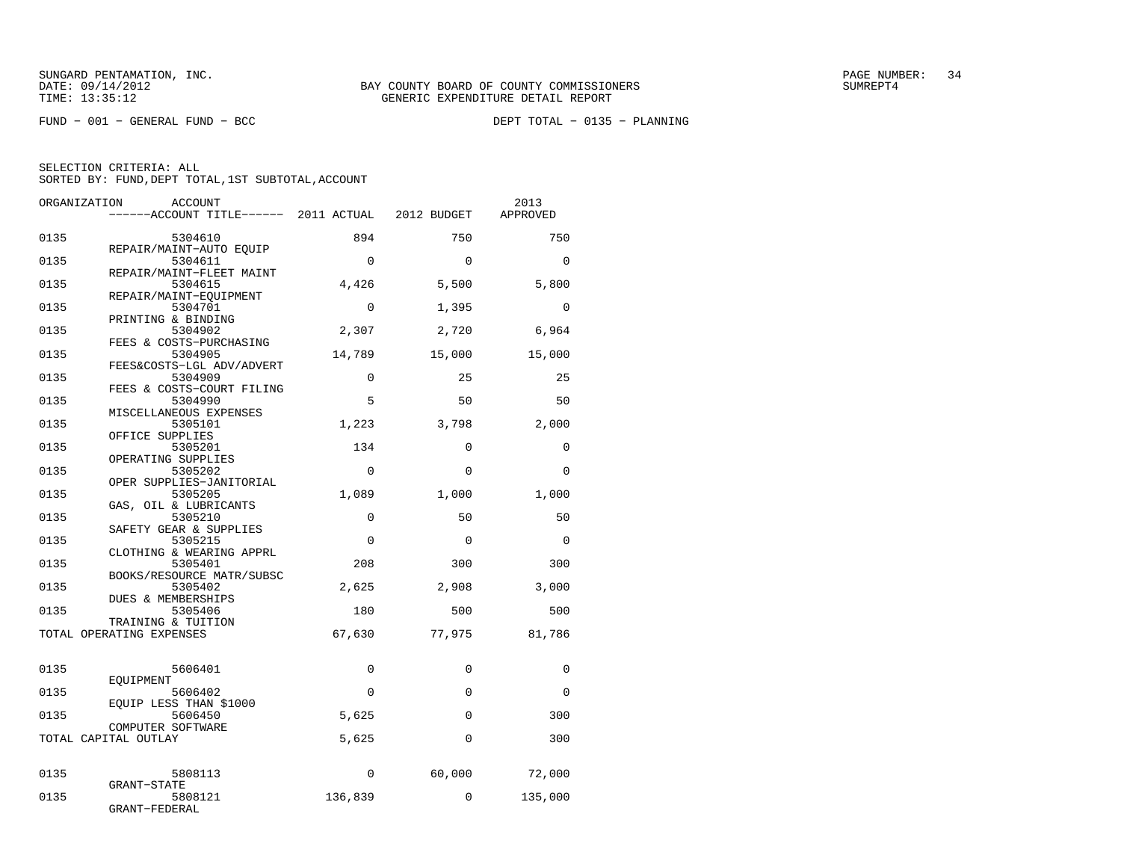$FUND - 001 - GENERAL FUND - BCC$ 

DEPT TOTAL - 0135 - PLANNING

| ORGANIZATION<br>ACCOUNT                                           | ------ACCOUNT TITLE------ 2011 ACTUAL 2012 BUDGET |                            | 2013<br>APPROVED |
|-------------------------------------------------------------------|---------------------------------------------------|----------------------------|------------------|
| 0135<br>5304610                                                   | 894                                               | 750                        | 750              |
| REPAIR/MAINT-AUTO EOUIP<br>0135<br>5304611                        |                                                   | $\Omega$<br>$\Omega$       | $\Omega$         |
| REPAIR/MAINT-FLEET MAINT<br>0135<br>5304615                       | 4,426                                             | 5,500                      | 5,800            |
| REPAIR/MAINT-EOUIPMENT<br>0135<br>5304701                         |                                                   | $\Omega$<br>1,395          | $\Omega$         |
| PRINTING & BINDING<br>0135<br>5304902                             | 2,307                                             | 2,720                      | 6,964            |
| FEES & COSTS-PURCHASING<br>0135<br>5304905                        | 14,789                                            | 15,000                     | 15,000           |
| FEES&COSTS-LGL ADV/ADVERT<br>0135<br>5304909                      |                                                   | $\Omega$<br>25             | 25               |
| FEES & COSTS-COURT FILING<br>0135<br>5304990                      |                                                   | 5<br>50                    | 50               |
| MISCELLANEOUS EXPENSES<br>0135<br>5305101                         | 1,223                                             | 3,798                      | 2,000            |
| OFFICE SUPPLIES<br>0135<br>5305201                                | 134                                               | $\Omega$                   | 0                |
| OPERATING SUPPLIES<br>0135<br>5305202<br>OPER SUPPLIES-JANITORIAL |                                                   | $\Omega$<br>$\Omega$       | $\Omega$         |
| 0135<br>5305205<br>GAS, OIL & LUBRICANTS                          | 1,089                                             | 1,000                      | 1,000            |
| 0135<br>5305210<br>SAFETY GEAR & SUPPLIES                         |                                                   | $\mathbf 0$<br>50          | 50               |
| 0135<br>5305215<br>CLOTHING & WEARING APPRL                       |                                                   | $\Omega$<br>$\Omega$       | $\Omega$         |
| 0135<br>5305401<br>BOOKS/RESOURCE MATR/SUBSC                      | 208                                               | 300                        | 300              |
| 0135<br>5305402<br>DUES & MEMBERSHIPS                             | 2,625                                             | 2,908                      | 3,000            |
| 5305406<br>0135<br>TRAINING & TUITION                             | 180                                               | 500                        | 500              |
| TOTAL OPERATING EXPENSES                                          | 67,630                                            | 77,975                     | 81,786           |
| 0135<br>5606401                                                   |                                                   | 0<br>0                     | 0                |
| EOUIPMENT<br>0135<br>5606402                                      |                                                   | $\mathbf 0$<br>$\mathbf 0$ | $\Omega$         |
| EOUIP LESS THAN \$1000<br>0135<br>5606450                         | 5,625                                             | $\Omega$                   | 300              |
| COMPUTER SOFTWARE<br>TOTAL CAPITAL OUTLAY                         | 5,625                                             | $\Omega$                   | 300              |
|                                                                   |                                                   |                            |                  |
| 0135<br>5808113<br><b>GRANT-STATE</b>                             |                                                   | $\mathbf 0$<br>60,000      | 72,000           |
| 0135<br>5808121<br>GRANT-FEDERAL                                  | 136,839                                           | $\Omega$                   | 135,000          |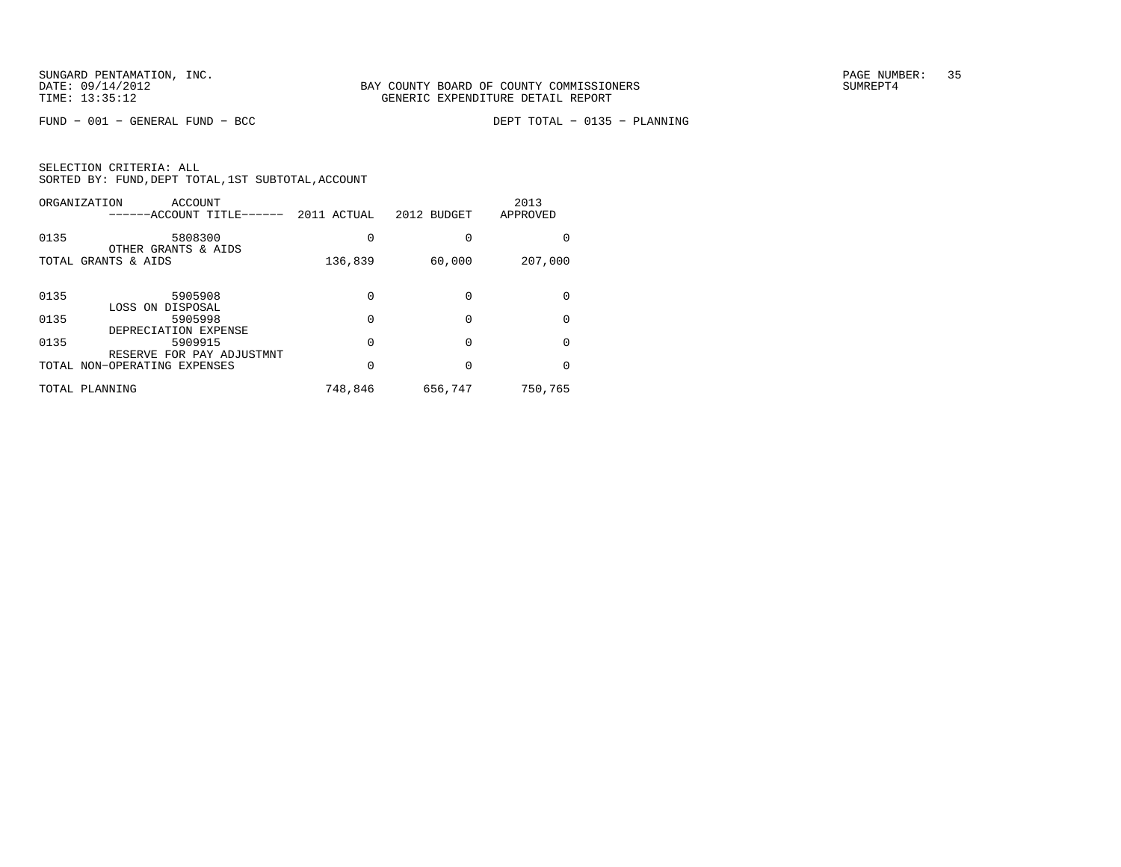$FUND - 001 - GENERAL FUND - BCC$ 

DEPT TOTAL - 0135 - PLANNING

| SELECTION CRITERIA: ALL |  |                                                    |  |
|-------------------------|--|----------------------------------------------------|--|
|                         |  | SORTED BY: FUND, DEPT TOTAL, 1ST SUBTOTAL, ACCOUNT |  |

| ORGANIZATION<br>ACCOUNT<br>------ACCOUNT TITLE------        | 2011 ACTUAL  | 2012 BUDGET | 2013<br>APPROVED |
|-------------------------------------------------------------|--------------|-------------|------------------|
| 0135<br>5808300<br>OTHER GRANTS & AIDS                      | 0            |             | 0                |
| TOTAL GRANTS & AIDS                                         | 136,839      | 60,000      | 207,000          |
| 0135<br>5905908                                             | 0            |             | $\Omega$         |
| LOSS ON DISPOSAL<br>0135<br>5905998<br>DEPRECIATION EXPENSE | <sup>0</sup> |             | $\Omega$         |
| 0135<br>5909915<br>RESERVE FOR PAY ADJUSTMNT                | 0            | 0           | $\Omega$         |
| TOTAL NON-OPERATING EXPENSES                                | 0            |             | $\Omega$         |
| TOTAL PLANNING                                              | 748,846      | 656,747     | 750,765          |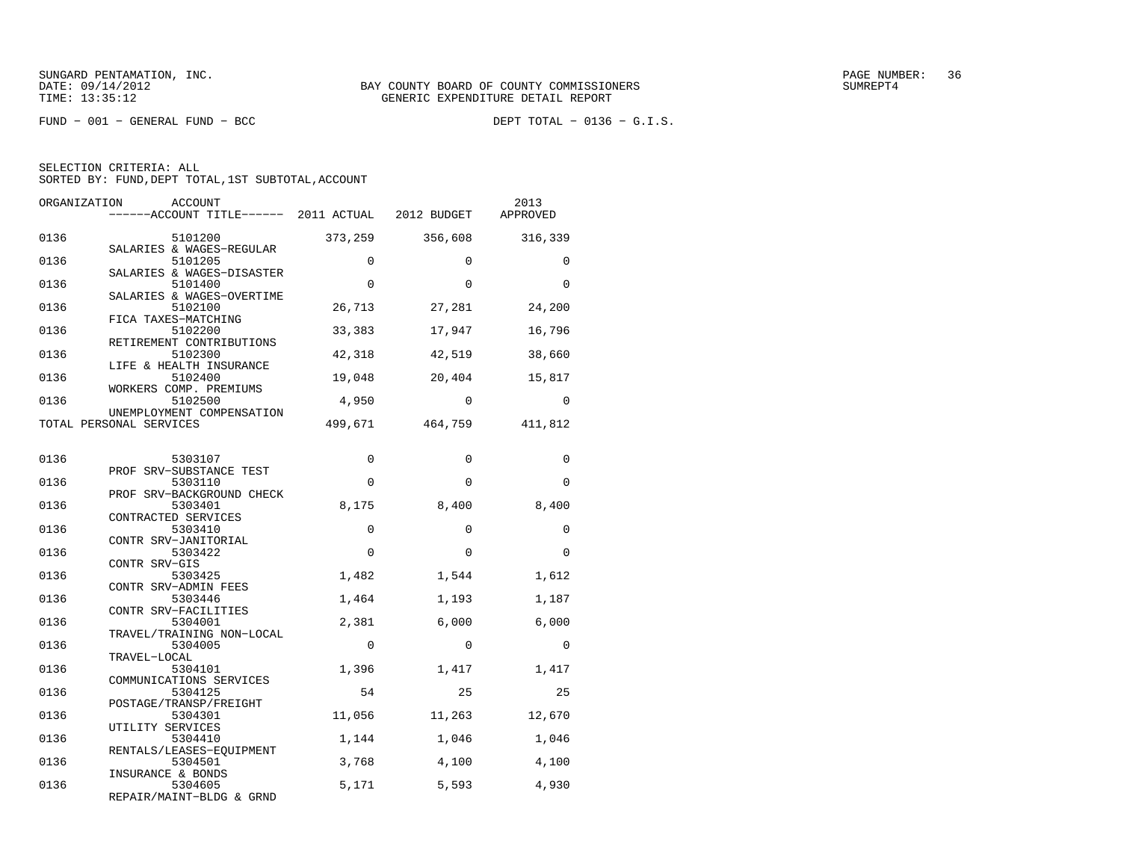$FUND - 001 - GENERAL FUND - BCC$ 

DEPT TOTAL -  $0136 - G.I.S.$ 

| ORGANIZATION | ACCOUNT<br>------ACCOUNT TITLE------ 2011 ACTUAL 2012 BUDGET |          |              | 2013<br>APPROVED |
|--------------|--------------------------------------------------------------|----------|--------------|------------------|
| 0136         | 5101200<br>SALARIES & WAGES-REGULAR                          | 373,259  | 356,608      | 316,339          |
| 0136         | 5101205<br>SALARIES & WAGES-DISASTER                         | $\Omega$ | $\Omega$     | $\Omega$         |
| 0136         | 5101400<br>SALARIES & WAGES-OVERTIME                         | $\Omega$ | $\Omega$     | $\Omega$         |
| 0136         | 5102100<br>FICA TAXES-MATCHING                               | 26,713   | 27,281       | 24,200           |
| 0136         | 5102200<br>RETIREMENT CONTRIBUTIONS                          | 33,383   | 17,947       | 16,796           |
| 0136         | 5102300<br>LIFE & HEALTH INSURANCE                           | 42,318   | 42,519       | 38,660           |
| 0136         | 5102400<br>WORKERS COMP. PREMIUMS                            | 19,048   | 20,404       | 15,817           |
| 0136         | 5102500<br>UNEMPLOYMENT COMPENSATION                         | 4,950    | $\Omega$     | 0                |
|              | TOTAL PERSONAL SERVICES                                      | 499,671  | 464,759      | 411,812          |
| 0136         | 5303107                                                      | 0        | $\mathbf 0$  | 0                |
| 0136         | PROF SRV-SUBSTANCE TEST<br>5303110                           | $\Omega$ | $\Omega$     | $\Omega$         |
| 0136         | PROF SRV-BACKGROUND CHECK<br>5303401<br>CONTRACTED SERVICES  | 8,175    | 8,400        | 8,400            |
| 0136         | 5303410<br>CONTR SRV-JANITORIAL                              | $\Omega$ | $\Omega$     | $\Omega$         |
| 0136         | 5303422<br>CONTR SRV-GIS                                     | $\Omega$ | $\Omega$     | $\Omega$         |
| 0136         | 5303425<br>CONTR SRV-ADMIN FEES                              | 1,482    | 1,544        | 1,612            |
| 0136         | 5303446<br>CONTR SRV-FACILITIES                              | 1,464    | 1,193        | 1,187            |
| 0136         | 5304001<br>TRAVEL/TRAINING NON-LOCAL                         | 2,381    | 6,000        | 6,000            |
| 0136         | 5304005<br>TRAVEL-LOCAL                                      | $\Omega$ | $\Omega$     | $\Omega$         |
| 0136         | 5304101<br>COMMUNICATIONS SERVICES                           | 1,396    | 1,417        | 1,417            |
| 0136         | 5304125<br>POSTAGE/TRANSP/FREIGHT                            | 54       | $25^{\circ}$ | 25               |
| 0136         | 5304301<br>UTILITY SERVICES                                  | 11,056   | 11,263       | 12,670           |
| 0136         | 5304410<br>RENTALS/LEASES-EOUIPMENT                          | 1,144    | 1,046        | 1,046            |
| 0136         | 5304501<br>INSURANCE & BONDS                                 | 3,768    | 4,100        | 4,100            |
| 0136         | 5304605<br>REPAIR/MAINT-BLDG & GRND                          | 5,171    | 5,593        | 4,930            |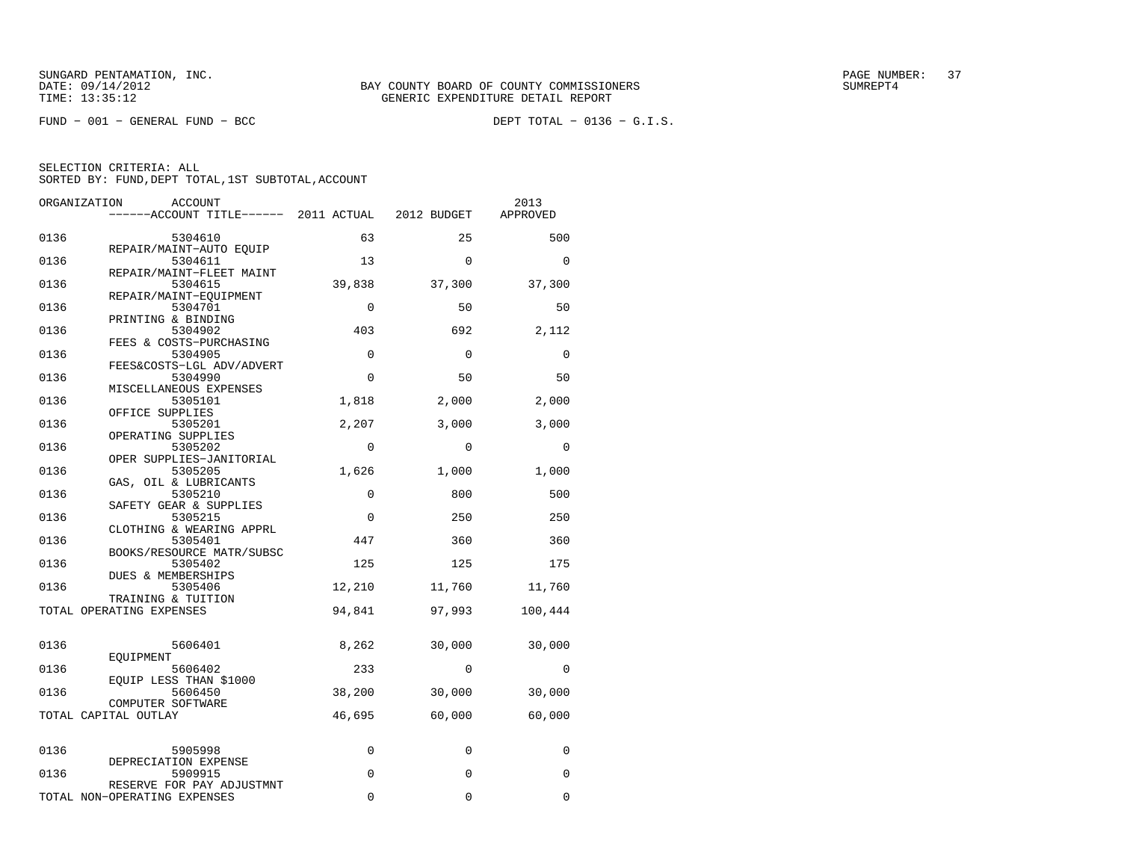$FUND - 001 - GENERAL FUND - BCC$ 

DEPT TOTAL -  $0136 - G.I.S.$ 

| ORGANIZATION | ACCOUNT<br>------ACCOUNT TITLE------ 2011 ACTUAL          |             | 2012 BUDGET | 2013<br>APPROVED |
|--------------|-----------------------------------------------------------|-------------|-------------|------------------|
| 0136         | 5304610                                                   | 63          | 25          | 500              |
| 0136         | REPAIR/MAINT-AUTO EQUIP<br>5304611                        | 13          | $\Omega$    | $\Omega$         |
| 0136         | REPAIR/MAINT-FLEET MAINT<br>5304615                       | 39,838      | 37,300      | 37,300           |
| 0136         | REPAIR/MAINT-EQUIPMENT<br>5304701                         | $\Omega$    | 50          | 50               |
| 0136         | PRINTING & BINDING<br>5304902<br>FEES & COSTS-PURCHASING  | 403         | 692         | 2,112            |
| 0136         | 5304905<br>FEES&COSTS-LGL ADV/ADVERT                      | $\mathbf 0$ | $\mathbf 0$ | $\mathbf 0$      |
| 0136         | 5304990<br>MISCELLANEOUS EXPENSES                         | $\mathbf 0$ | 50          | 50               |
| 0136         | 5305101<br>OFFICE SUPPLIES                                | 1,818       | 2,000       | 2,000            |
| 0136         | 5305201<br>OPERATING SUPPLIES                             | 2,207       | 3,000       | 3,000            |
| 0136         | 5305202<br>OPER SUPPLIES-JANITORIAL                       | $\mathbf 0$ | $\Omega$    | 0                |
| 0136         | 5305205<br>GAS, OIL & LUBRICANTS                          | 1,626       | 1,000       | 1,000            |
| 0136         | 5305210<br>SAFETY GEAR & SUPPLIES                         | $\mathbf 0$ | 800         | 500              |
| 0136         | 5305215<br>CLOTHING & WEARING APPRL                       | $\mathbf 0$ | 250         | 250              |
| 0136         | 5305401<br>BOOKS/RESOURCE MATR/SUBSC                      | 447         | 360         | 360              |
| 0136         | 5305402<br>DUES & MEMBERSHIPS                             | 125         | 125         | 175              |
| 0136         | 5305406<br>TRAINING & TUITION                             | 12,210      | 11,760      | 11,760           |
|              | TOTAL OPERATING EXPENSES                                  | 94,841      | 97,993      | 100,444          |
| 0136         | 5606401                                                   | 8,262       | 30,000      | 30,000           |
| 0136         | EQUIPMENT<br>5606402<br>EOUIP LESS THAN \$1000            | 233         | $\Omega$    | $\mathbf 0$      |
| 0136         | 5606450<br>COMPUTER SOFTWARE                              | 38,200      | 30,000      | 30,000           |
|              | TOTAL CAPITAL OUTLAY                                      | 46,695      | 60,000      | 60,000           |
| 0136         | 5905998                                                   | 0           | 0           | 0                |
| 0136         | DEPRECIATION EXPENSE<br>5909915                           | 0           | $\Omega$    | $\Omega$         |
|              | RESERVE FOR PAY ADJUSTMNT<br>TOTAL NON-OPERATING EXPENSES | $\Omega$    | 0           | $\Omega$         |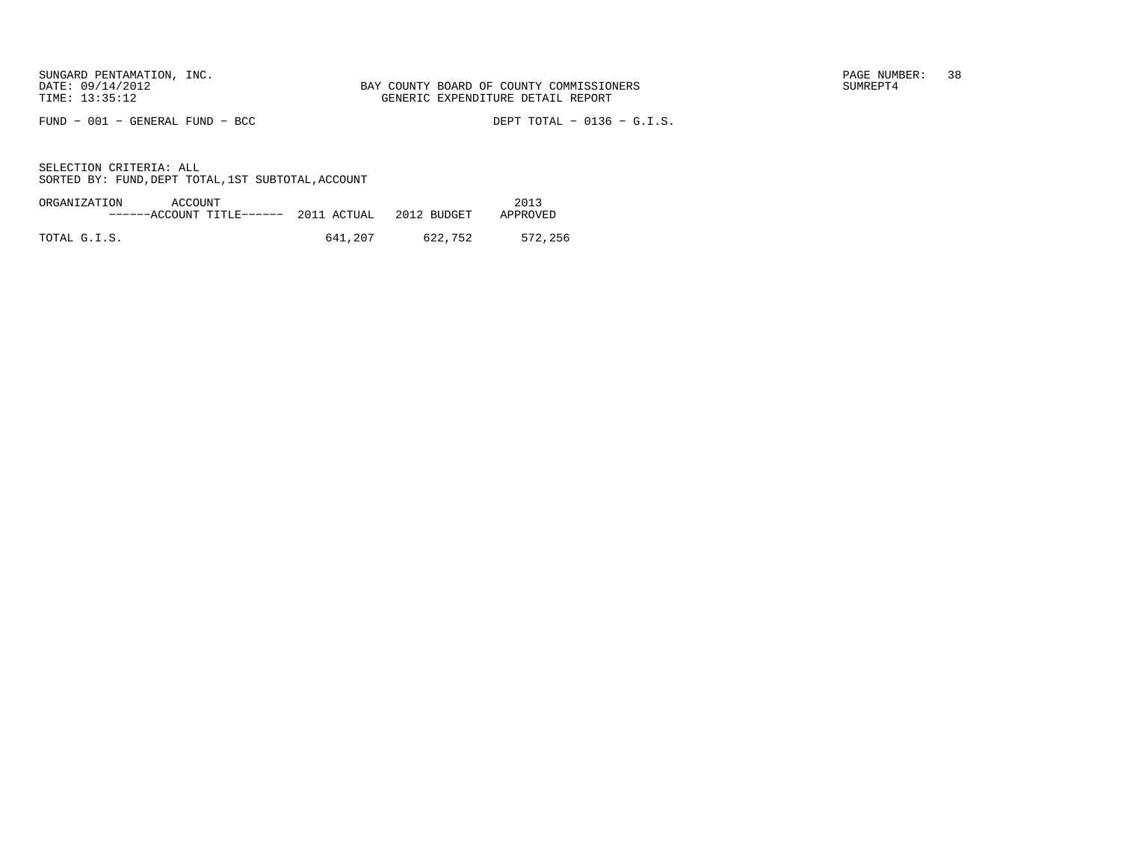FUND − 001 − GENERAL FUND − BCC DEPT TOTAL − 0136 − G.I.S.

| ORGANIZATION<br>ACCOUNT               |         |             | 2013     |
|---------------------------------------|---------|-------------|----------|
| ------ACCOUNT TITLE------ 2011 ACTUAL |         | 2012 BUDGET | APPROVED |
|                                       |         |             |          |
| TOTAL G.I.S.                          | 641,207 | 622,752     | 572,256  |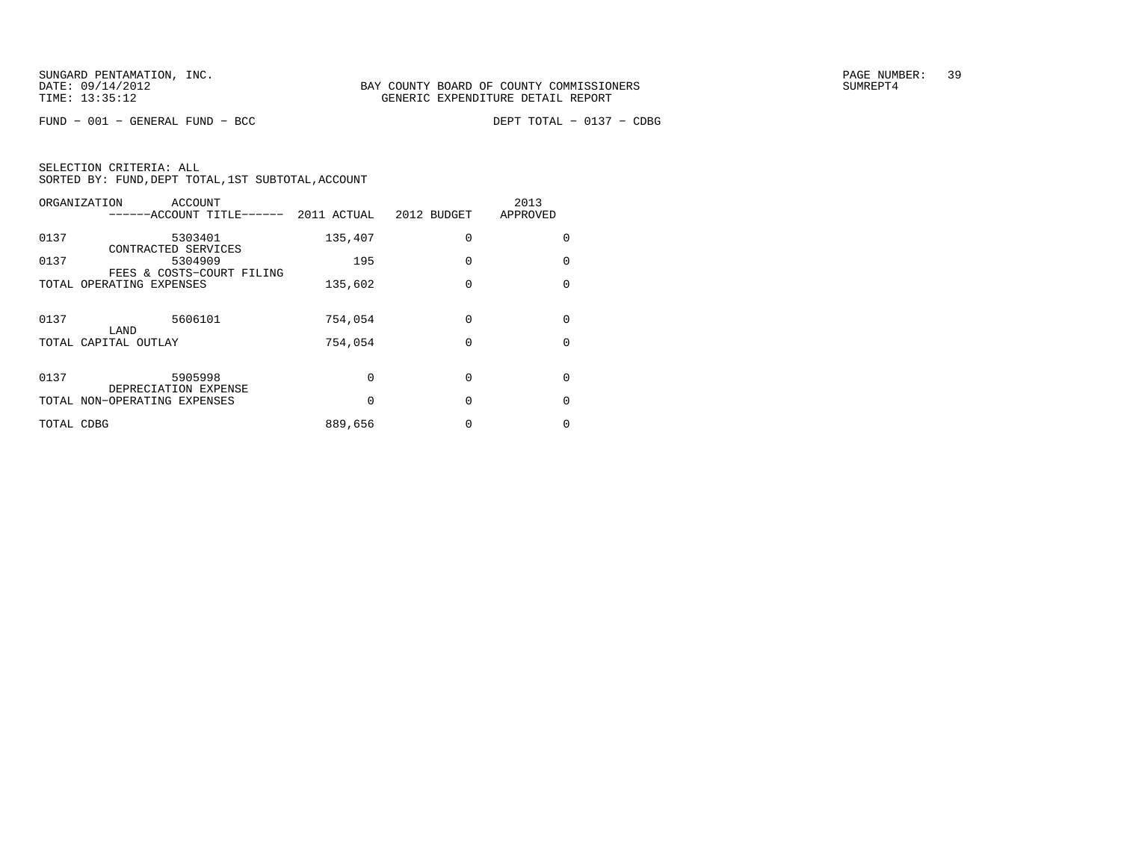$FUND - 001 - GENERAL FUND - BCC$ 

DEPT TOTAL - 0137 - CDBG

| ORGANIZATION<br>ACCOUNT<br>------ACCOUNT TITLE------                | 2011 ACTUAL | 2012 BUDGET | 2013<br>APPROVED |
|---------------------------------------------------------------------|-------------|-------------|------------------|
| 0137<br>5303401                                                     | 135,407     | $\Omega$    | 0                |
| CONTRACTED SERVICES<br>0137<br>5304909<br>FEES & COSTS-COURT FILING | 195         | $\Omega$    | 0                |
| TOTAL OPERATING EXPENSES                                            | 135,602     | $\Omega$    | $\Omega$         |
| 0137<br>5606101                                                     | 754,054     | $\Omega$    | 0                |
| LAND<br>TOTAL CAPITAL OUTLAY                                        | 754,054     | $\Omega$    | $\Omega$         |
| 0137<br>5905998<br>DEPRECIATION EXPENSE                             | $\Omega$    | $\Omega$    | 0                |
| TOTAL NON-OPERATING EXPENSES                                        | 0           | $\Omega$    | 0                |
| TOTAL CDBG                                                          | 889,656     | 0           | 0                |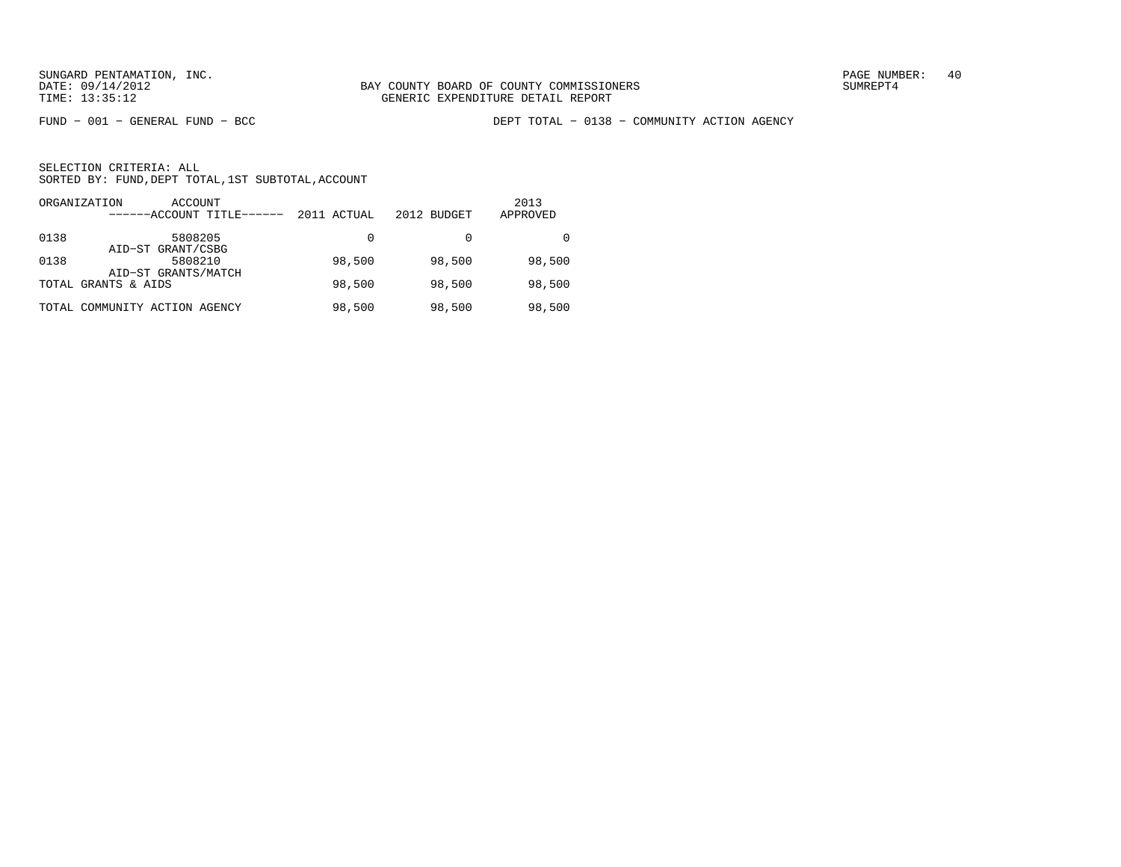FUND − 001 − GENERAL FUND − BCC DEPT TOTAL − 0138 − COMMUNITY ACTION AGENCY

|      | ORGANIZATION<br>ACCOUNT<br>------ACCOUNT TITLE------ | 2011 ACTUAL | 2012 BUDGET | 2013<br>APPROVED |
|------|------------------------------------------------------|-------------|-------------|------------------|
| 0138 | 5808205<br>AID-ST GRANT/CSBG                         | 0           |             |                  |
| 0138 | 5808210<br>AID-ST GRANTS/MATCH                       | 98,500      | 98,500      | 98,500           |
|      | TOTAL GRANTS & AIDS                                  | 98,500      | 98,500      | 98,500           |
|      | TOTAL COMMUNITY ACTION AGENCY                        | 98,500      | 98,500      | 98,500           |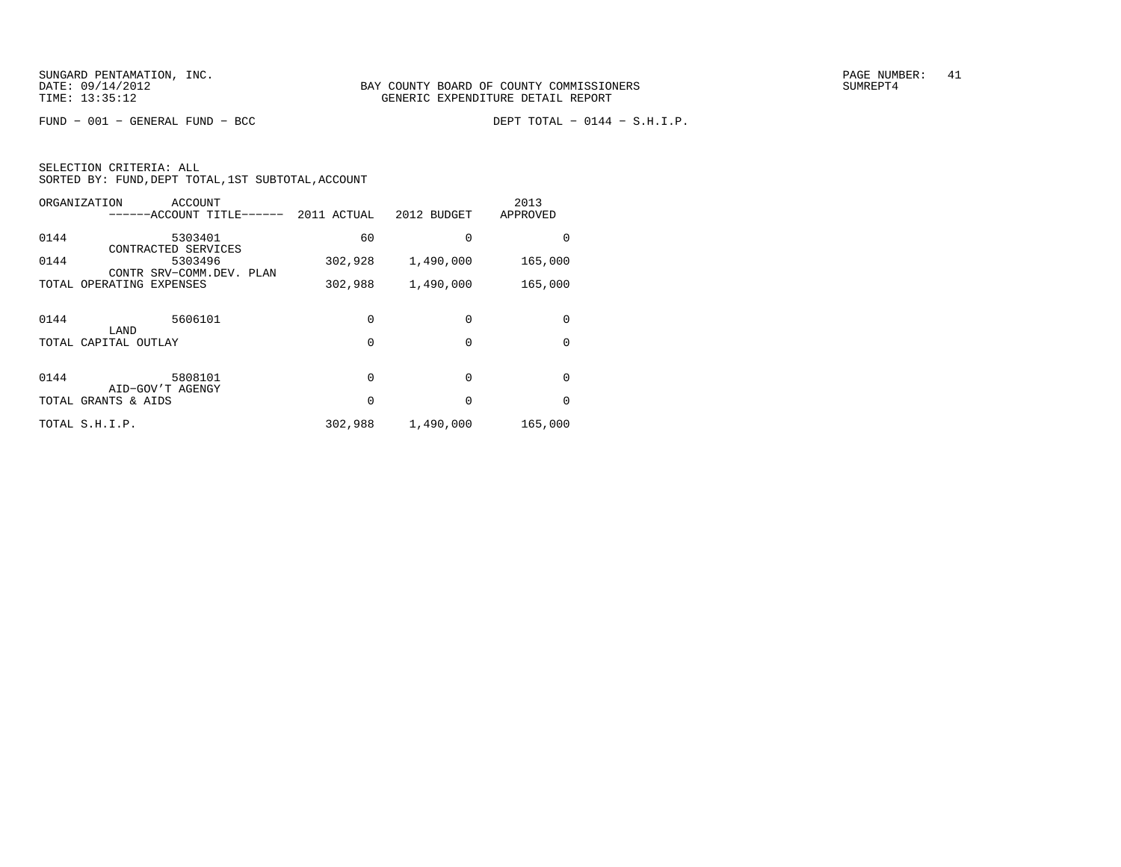$FUND - 001 - GENERAL FUND - BCC$ 

| SELECTION CRITERIA: ALL |  |  |                                                    |  |
|-------------------------|--|--|----------------------------------------------------|--|
|                         |  |  | SORTED BY: FUND, DEPT TOTAL, 1ST SUBTOTAL, ACCOUNT |  |

|      | ORGANIZATION<br>ACCOUNT<br>------ACCOUNT TITLE------ | 2011 ACTUAL | 2012 BUDGET | 2013<br>APPROVED |
|------|------------------------------------------------------|-------------|-------------|------------------|
| 0144 | 5303401<br>CONTRACTED SERVICES                       | 60          | $\Omega$    | O                |
| 0144 | 5303496<br>CONTR SRV-COMM.DEV. PLAN                  | 302,928     | 1,490,000   | 165,000          |
|      | TOTAL OPERATING EXPENSES                             | 302,988     | 1,490,000   | 165,000          |
| 0144 | 5606101                                              | 0           | $\Omega$    | 0                |
|      | LAND<br>TOTAL CAPITAL OUTLAY                         | 0           | $\Omega$    | $\Omega$         |
|      |                                                      |             |             |                  |
| 0144 | 5808101                                              | $\Omega$    | $\Omega$    | 0                |
|      | AID-GOV'T AGENGY<br>TOTAL GRANTS & AIDS              | 0           | $\Omega$    | 0                |
|      | TOTAL S.H.I.P.                                       | 302,988     | 1,490,000   | 165,000          |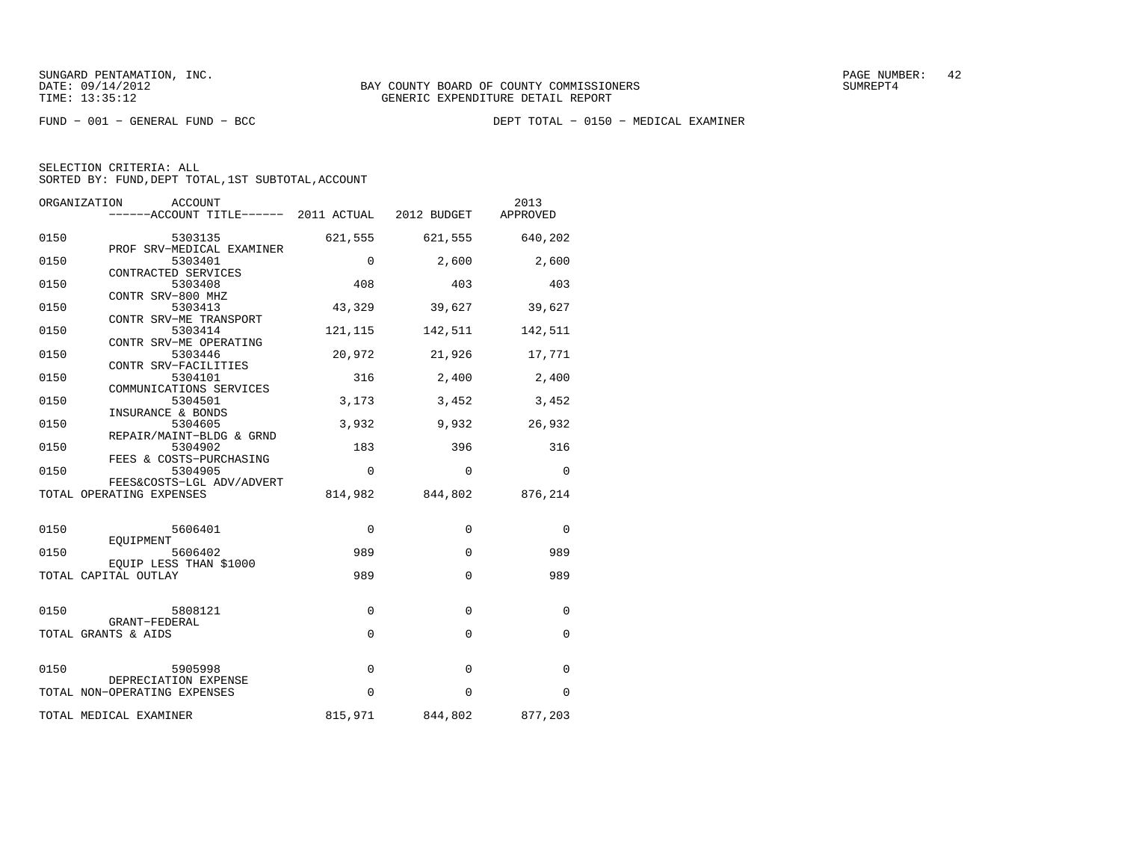FUND − 001 − GENERAL FUND − BCC DEPT TOTAL − 0150 − MEDICAL EXAMINER

| SELECTION CRITERIA: ALL                            |  |
|----------------------------------------------------|--|
| SORTED BY: FUND, DEPT TOTAL, 1ST SUBTOTAL, ACCOUNT |  |

|      | ORGANIZATION<br><b>ACCOUNT</b><br>------ACCOUNT TITLE------ 2011 ACTUAL 2012 BUDGET |             |                         | 2013<br>APPROVED |
|------|-------------------------------------------------------------------------------------|-------------|-------------------------|------------------|
| 0150 | 5303135<br>PROF SRV-MEDICAL EXAMINER                                                |             | 621,555 621,555 640,202 |                  |
| 0150 | 5303401<br>CONTRACTED SERVICES                                                      | $\Omega$    | 2,600                   | 2,600            |
| 0150 | 5303408<br>CONTR SRV-800 MHZ                                                        | 408         | 403                     | 403              |
| 0150 | 5303413<br>CONTR SRV-ME TRANSPORT                                                   | 43,329      | 39,627                  | 39,627           |
| 0150 | 5303414<br>CONTR SRV-ME OPERATING                                                   | 121, 115    |                         | 142,511 142,511  |
| 0150 | 5303446<br>CONTR SRV-FACILITIES                                                     | 20,972      | 21,926                  | 17,771           |
| 0150 | 5304101<br>COMMUNICATIONS SERVICES                                                  | 316         | 2,400                   | 2,400            |
| 0150 | 5304501<br>INSURANCE & BONDS                                                        | 3,173       | 3,452                   | 3,452            |
| 0150 | 5304605<br>REPAIR/MAINT-BLDG & GRND                                                 | 3,932       | 9,932                   | 26,932           |
| 0150 | 5304902<br>FEES & COSTS-PURCHASING                                                  | 183         | 396                     | 316              |
| 0150 | 5304905<br>FEES&COSTS-LGL ADV/ADVERT                                                | $\mathbf 0$ | $\Omega$                | $\Omega$         |
|      | TOTAL OPERATING EXPENSES                                                            |             | 814,982 844,802         | 876,214          |
| 0150 | 5606401<br>EOUIPMENT                                                                | $\Omega$    | $\Omega$                | 0                |
| 0150 | 5606402<br>EOUIP LESS THAN \$1000                                                   | 989         | $\Omega$                | 989              |
|      | TOTAL CAPITAL OUTLAY                                                                | 989         | $\Omega$                | 989              |
| 0150 | 5808121                                                                             | 0           | $\Omega$                | 0                |
|      | GRANT-FEDERAL<br>TOTAL GRANTS & AIDS                                                | $\mathbf 0$ | $\Omega$                | $\Omega$         |
| 0150 | 5905998                                                                             | 0           | 0                       | 0                |
|      | DEPRECIATION EXPENSE<br>TOTAL NON-OPERATING EXPENSES                                | $\Omega$    | $\Omega$                | 0                |
|      | TOTAL MEDICAL EXAMINER                                                              |             | 815,971 844,802 877,203 |                  |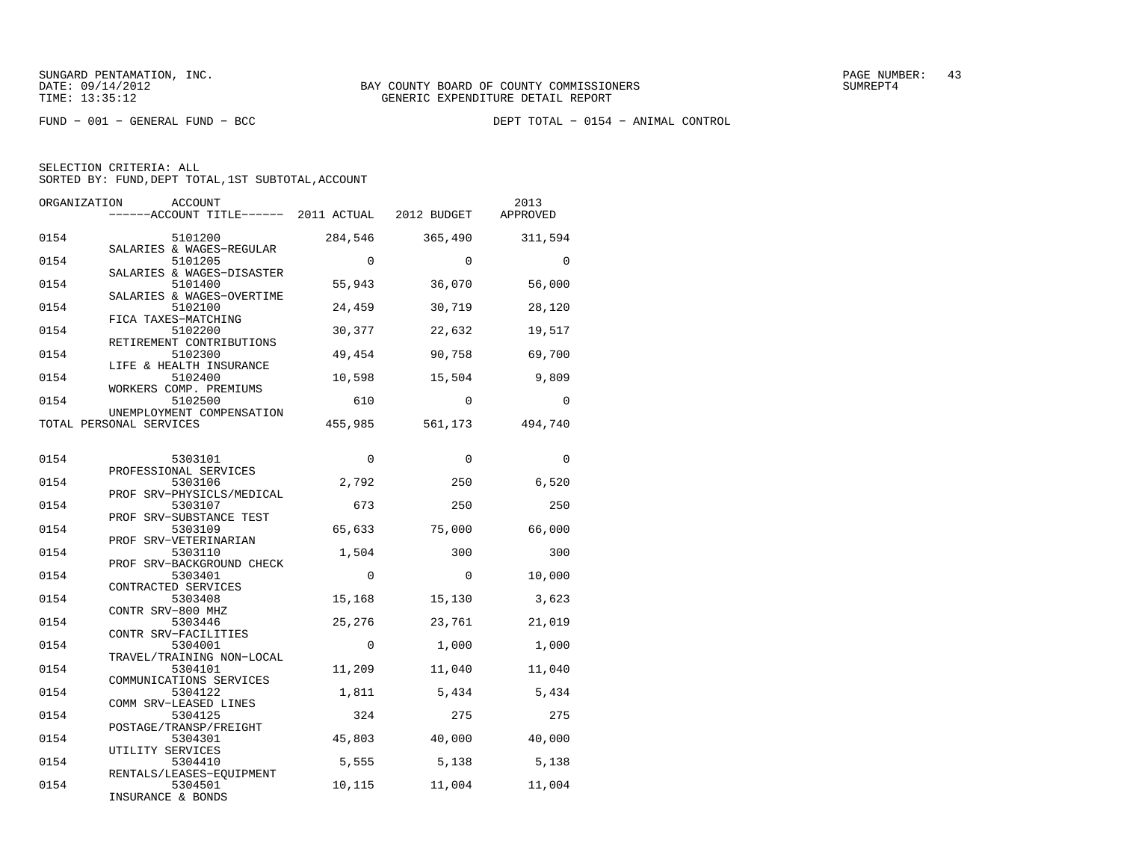FUND − 001 − GENERAL FUND − BCC DEPT TOTAL − 0154 − ANIMAL CONTROL

| ORGANIZATION<br><b>ACCOUNT</b><br>------ACCOUNT TITLE------ 2011 ACTUAL |                 | 2012 BUDGET     | 2013<br>APPROVED |
|-------------------------------------------------------------------------|-----------------|-----------------|------------------|
| 0154<br>5101200<br>SALARIES & WAGES-REGULAR                             | 284,546         | 365,490         | 311,594          |
| 0154<br>5101205<br>SALARIES & WAGES-DISASTER                            | $\Omega$        | $\Omega$        | $\Omega$         |
| 0154<br>5101400<br>SALARIES & WAGES-OVERTIME                            | 55,943          | 36,070          | 56,000           |
| 0154<br>5102100<br>FICA TAXES-MATCHING                                  | 24,459          | 30,719          | 28,120           |
| 0154<br>5102200<br>RETIREMENT CONTRIBUTIONS                             | 30,377          | 22,632          | 19,517           |
| 0154<br>5102300<br>LIFE & HEALTH INSURANCE                              | 49,454          | 90,758          | 69,700           |
| 0154<br>5102400<br>WORKERS COMP. PREMIUMS                               | 10,598          | 15,504          | 9,809            |
| 0154<br>5102500<br>UNEMPLOYMENT COMPENSATION                            | 610             | $\Omega$        | $\Omega$         |
| TOTAL PERSONAL SERVICES                                                 | 455,985         | 561,173         | 494,740          |
| 0154<br>5303101                                                         | 0               | $\mathbf 0$     | 0                |
| PROFESSIONAL SERVICES<br>0154<br>5303106                                | 2,792           | 250             | 6,520            |
| PROF SRV-PHYSICLS/MEDICAL<br>0154<br>5303107<br>PROF SRV-SUBSTANCE TEST | 673             | 250             | 250              |
| 0154<br>5303109<br>PROF SRV-VETERINARIAN                                | 65,633          | 75,000          | 66,000           |
| 0154<br>5303110<br>PROF SRV-BACKGROUND CHECK                            | 1,504           | 300             | 300              |
| 0154<br>5303401<br>CONTRACTED SERVICES                                  | 0               | 0               | 10,000           |
| 0154<br>5303408<br>CONTR SRV-800 MHZ                                    | 15,168          | 15,130          | 3,623            |
| 0154<br>5303446<br>CONTR SRV-FACILITIES                                 | 25,276          | 23,761          | 21,019           |
| 0154<br>5304001<br>TRAVEL/TRAINING NON-LOCAL                            | $\Omega$        | 1,000           | 1,000            |
| 0154<br>5304101<br>COMMUNICATIONS SERVICES                              | 11,209          | 11,040          | 11,040           |
| 0154<br>5304122<br>COMM SRV-LEASED LINES                                | 1,811           | 5,434           | 5,434            |
| 0154<br>5304125<br>POSTAGE/TRANSP/FREIGHT                               | 324             | 275             | 275              |
| 0154<br>5304301<br>UTILITY SERVICES<br>0154<br>5304410                  | 45,803<br>5,555 | 40,000<br>5,138 | 40,000<br>5,138  |
| RENTALS/LEASES-EQUIPMENT<br>0154<br>5304501                             | 10,115          | 11,004          | 11,004           |
| INSURANCE & RONDS                                                       |                 |                 |                  |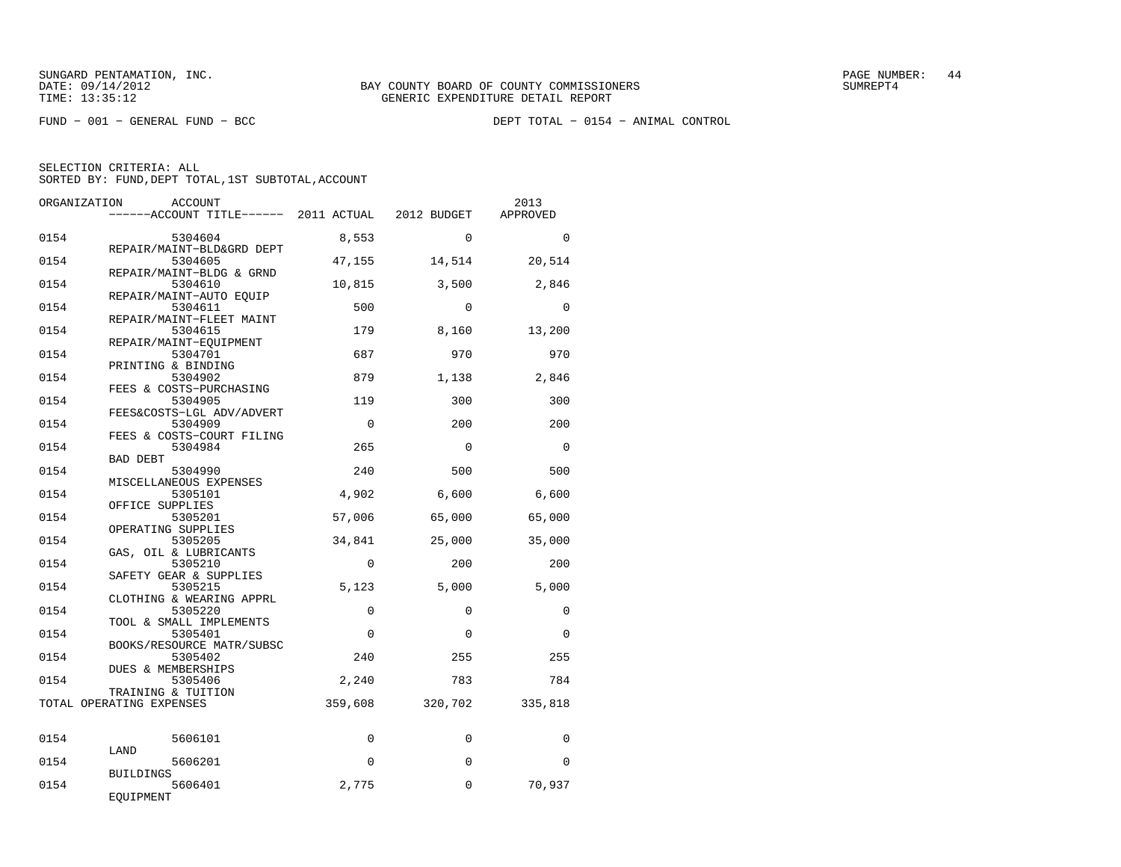FUND − 001 − GENERAL FUND − BCC DEPT TOTAL − 0154 − ANIMAL CONTROL

| ORGANIZATION | ACCOUNT<br>------ACCOUNT TITLE------ 2011 ACTUAL                 |                    | 2012 BUDGET   | 2013<br>APPROVED |
|--------------|------------------------------------------------------------------|--------------------|---------------|------------------|
| 0154         | 5304604                                                          | 8,553              | $\Omega$      | $\Omega$         |
| 0154         | REPAIR/MAINT-BLD&GRD DEPT<br>5304605<br>REPAIR/MAINT-BLDG & GRND | 47,155             | 14,514        | 20,514           |
| 0154         | 5304610<br>REPAIR/MAINT-AUTO EOUIP                               | 10,815             | 3,500         | 2,846            |
| 0154         | 5304611<br>REPAIR/MAINT-FLEET MAINT                              | 500                | $\Omega$      | $\Omega$         |
| 0154         | 5304615<br>REPAIR/MAINT-EQUIPMENT                                | 179                | 8,160         | 13,200           |
| 0154         | 5304701<br>PRINTING & BINDING                                    | 687                | 970           | 970              |
| 0154         | 5304902<br>FEES & COSTS-PURCHASING                               | 879                | 1,138         | 2,846            |
| 0154         | 5304905<br>FEES&COSTS-LGL ADV/ADVERT                             | 119                | 300           | 300              |
| 0154         | 5304909<br>FEES & COSTS-COURT FILING                             | $\Omega$           | 200           | 200              |
| 0154         | 5304984<br><b>BAD DEBT</b>                                       | 265                | $\Omega$      | $\Omega$         |
| 0154         | 5304990<br>MISCELLANEOUS EXPENSES                                | 240                | 500           | 500              |
| 0154         | 5305101<br>OFFICE SUPPLIES                                       | 4,902              | 6,600         | 6,600            |
| 0154<br>0154 | 5305201<br>OPERATING SUPPLIES<br>5305205                         | 57,006             | 65,000        | 65,000           |
| 0154         | GAS, OIL & LUBRICANTS<br>5305210                                 | 34,841<br>$\Omega$ | 25,000<br>200 | 35,000<br>200    |
| 0154         | SAFETY GEAR & SUPPLIES<br>5305215                                | 5,123              | 5,000         | 5.000            |
| 0154         | CLOTHING & WEARING APPRL<br>5305220                              | $\mathbf 0$        | $\Omega$      | $\Omega$         |
| 0154         | TOOL & SMALL IMPLEMENTS<br>5305401                               | $\Omega$           | $\Omega$      | $\Omega$         |
| 0154         | BOOKS/RESOURCE MATR/SUBSC<br>5305402                             | 240                | 255           | 255              |
| 0154         | DUES & MEMBERSHIPS<br>5305406                                    | 2,240              | 783           | 784              |
|              | TRAINING & TUITION<br>TOTAL OPERATING EXPENSES                   | 359,608            | 320,702       | 335,818          |
| 0154         | 5606101                                                          | $\Omega$           | $\Omega$      | $\Omega$         |
| 0154         | LAND<br>5606201                                                  | $\Omega$           | $\Omega$      | $\Omega$         |
| 0154         | <b>BUILDINGS</b><br>5606401                                      | 2,775              | 0             | 70,937           |
|              | EQUIPMENT                                                        |                    |               |                  |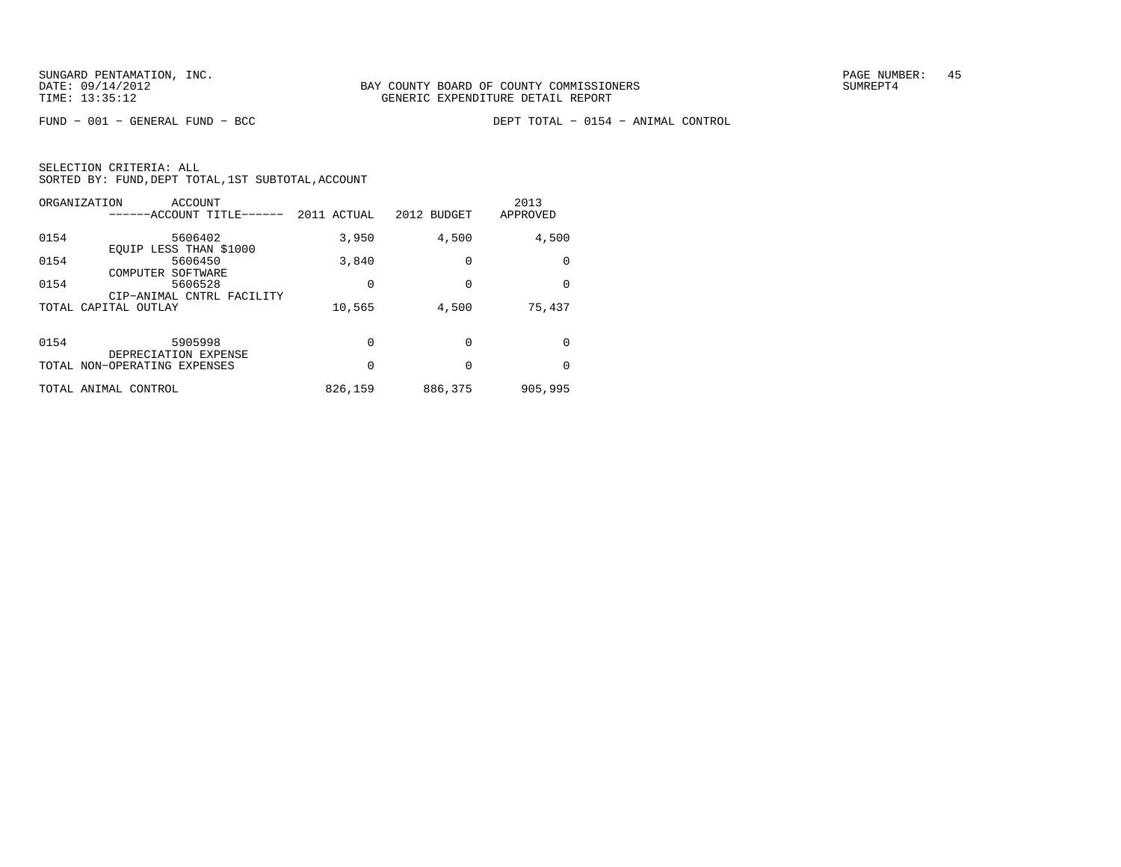FUND − 001 − GENERAL FUND − BCC DEPT TOTAL − 0154 − ANIMAL CONTROL

| SELECTION CRITERIA: ALL |                                                    |
|-------------------------|----------------------------------------------------|
|                         | SORTED BY: FUND, DEPT TOTAL, 1ST SUBTOTAL, ACCOUNT |

| ORGANIZATION<br>ACCOUNT<br>------ACCOUNT TITLE------ | 2011 ACTUAL | 2012 BUDGET | 2013<br>APPROVED |
|------------------------------------------------------|-------------|-------------|------------------|
| 0154<br>5606402<br>EOUIP LESS THAN \$1000            | 3,950       | 4,500       | 4,500            |
| 0154<br>5606450<br>COMPUTER<br>SOFTWARE              | 3,840       | 0           | 0                |
| 0154<br>5606528<br>CIP-ANIMAL CNTRL FACILITY         | 0           | 0           | 0                |
| TOTAL CAPITAL OUTLAY                                 | 10,565      | 4,500       | 75,437           |
| 0154<br>5905998                                      | 0           | 0           | 0                |
| DEPRECIATION EXPENSE<br>TOTAL NON-OPERATING EXPENSES | 0           | 0           | 0                |
| TOTAL ANIMAL CONTROL                                 | 826,159     | 886,375     | 905,995          |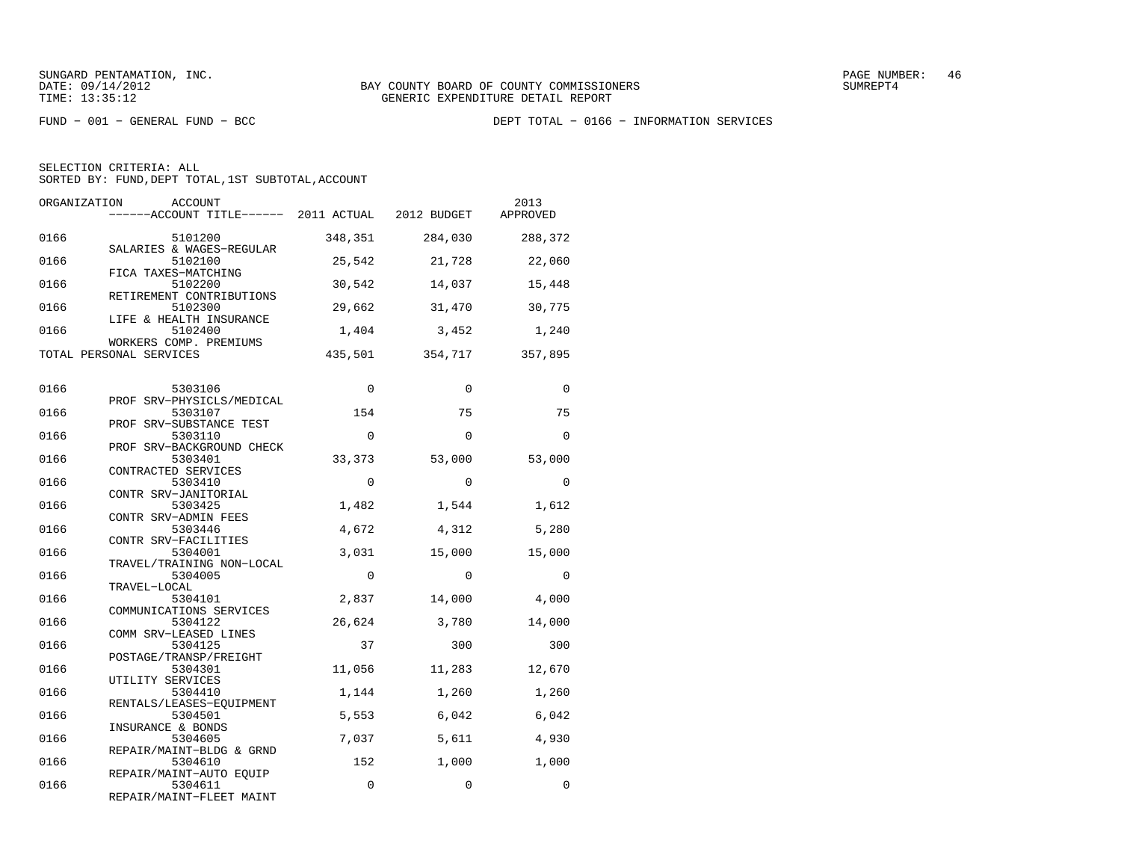SELECTION CRITERIA: ALL

SORTED BY: FUND, DEPT TOTAL, 1ST SUBTOTAL, ACCOUNT

| ORGANIZATION | ACCOUNT<br>------ACCOUNT TITLE------ 2011 ACTUAL 2012 BUDGET |              |                | 2013<br>APPROVED |
|--------------|--------------------------------------------------------------|--------------|----------------|------------------|
| 0166         | 5101200                                                      | 348,351      | 284,030        | 288,372          |
| 0166         | SALARIES & WAGES-REGULAR<br>5102100                          | 25,542       | 21,728         | 22,060           |
| 0166         | FICA TAXES-MATCHING<br>5102200<br>RETIREMENT CONTRIBUTIONS   | 30,542       | 14,037         | 15,448           |
| 0166         | 5102300<br>LIFE & HEALTH INSURANCE                           | 29,662       | 31,470         | 30,775           |
| 0166         | 5102400<br>WORKERS COMP. PREMIUMS                            | 1,404        | 3,452          | 1,240            |
|              | TOTAL PERSONAL SERVICES                                      | 435,501      | 354,717        | 357,895          |
| 0166         | 5303106                                                      | $\Omega$     | $\Omega$       | $\Omega$         |
| 0166         | PROF SRV-PHYSICLS/MEDICAL<br>5303107                         | 154          | 75             | 75               |
| 0166         | PROF SRV-SUBSTANCE TEST<br>5303110                           | $\Omega$     | $\Omega$       | $\Omega$         |
| 0166         | PROF SRV-BACKGROUND CHECK<br>5303401                         | 33,373       | 53,000         | 53,000           |
| 0166         | CONTRACTED SERVICES<br>5303410<br>CONTR SRV-JANITORIAL       | $\Omega$     | $\Omega$       | $\Omega$         |
| 0166         | 5303425<br>CONTR SRV-ADMIN FEES                              | 1,482        | 1,544          | 1,612            |
| 0166         | 5303446<br>CONTR SRV-FACILITIES                              | 4,672        | 4,312          | 5,280            |
| 0166         | 5304001<br>TRAVEL/TRAINING NON-LOCAL                         | 3,031        | 15,000         | 15,000           |
| 0166         | 5304005<br>TRAVEL-LOCAL                                      | 0            | $\Omega$       | $\Omega$         |
| 0166         | 5304101<br>COMMUNICATIONS SERVICES                           | 2,837        | 14,000         | 4,000            |
| 0166         | 5304122<br>COMM SRV-LEASED LINES                             | 26,624       | 3,780          | 14,000           |
| 0166         | 5304125<br>POSTAGE/TRANSP/FREIGHT                            | 37           | 300            | 300              |
| 0166         | 5304301<br>UTILITY SERVICES                                  | 11,056       | 11,283         | 12,670           |
| 0166         | 5304410<br>RENTALS/LEASES-EOUIPMENT                          | 1,144        | 1,260          | 1,260            |
| 0166         | 5304501<br>INSURANCE & BONDS                                 | 5,553        | 6,042          | 6,042            |
| 0166<br>0166 | 5304605<br>REPAIR/MAINT-BLDG & GRND<br>5304610               | 7,037<br>152 | 5,611<br>1,000 | 4,930<br>1,000   |
| 0166         | REPAIR/MAINT-AUTO EQUIP<br>5304611                           | $\mathbf 0$  | 0              | 0                |
|              | REPAIR/MAINT-FLEET MAINT                                     |              |                |                  |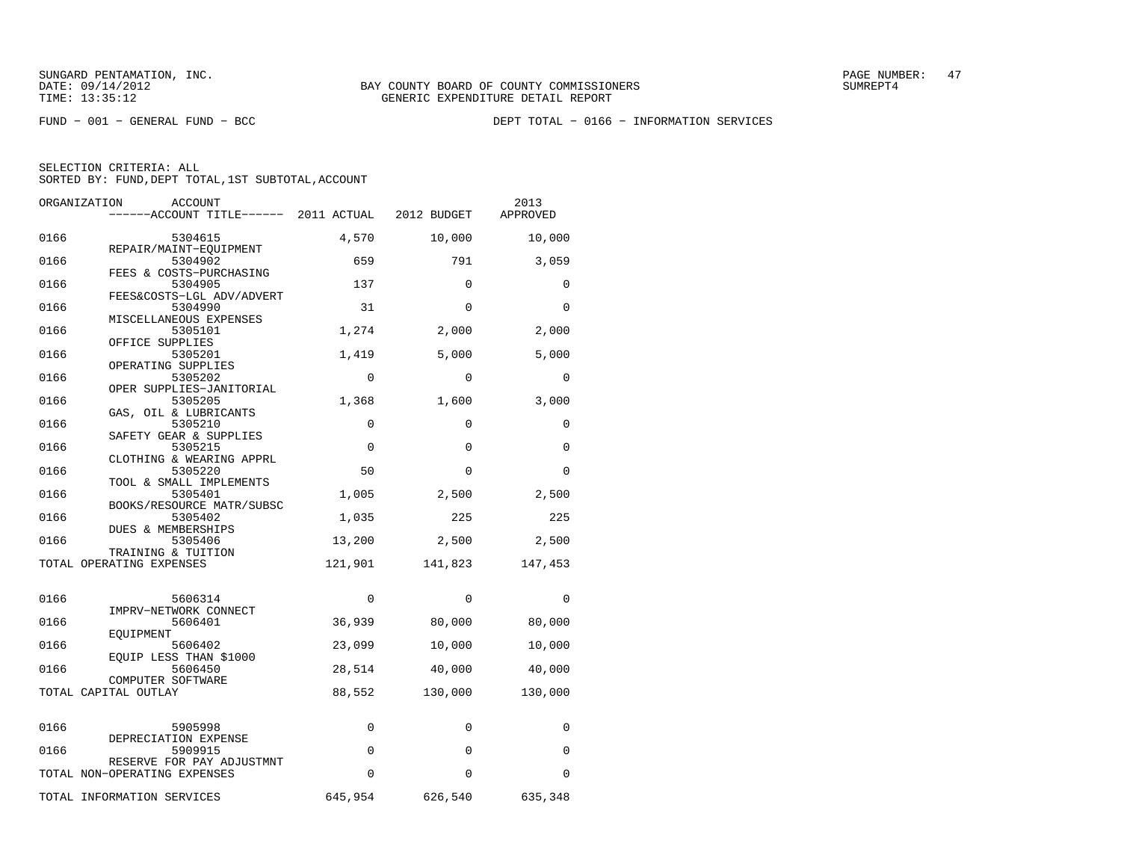FUND − 001 − GENERAL FUND − BCC DEPT TOTAL − 0166 − INFORMATION SERVICES

| ORGANIZATION         | ACCOUNT<br>-----ACCOUNT TITLE------ 2011 ACTUAL 2012 BUDGET |             |             | 2013<br>APPROVED |
|----------------------|-------------------------------------------------------------|-------------|-------------|------------------|
| 0166                 | 5304615                                                     | 4,570       | 10,000      | 10,000           |
| 0166                 | REPAIR/MAINT-EQUIPMENT<br>5304902                           | 659         | 791         | 3,059            |
| 0166                 | FEES & COSTS-PURCHASING<br>5304905                          | 137         | $\mathbf 0$ | $\mathbf 0$      |
| 0166                 | FEES&COSTS-LGL ADV/ADVERT<br>5304990                        | 31          | $\Omega$    | $\Omega$         |
| 0166                 | MISCELLANEOUS EXPENSES<br>5305101                           | 1,274       | 2,000       | 2,000            |
| 0166                 | OFFICE SUPPLIES<br>5305201                                  | 1,419       | 5,000       | 5,000            |
| 0166                 | OPERATING SUPPLIES<br>5305202                               | $\Omega$    | $\Omega$    | $\Omega$         |
| 0166                 | OPER SUPPLIES-JANITORIAL<br>5305205                         | 1,368       | 1,600       | 3,000            |
| 0166                 | GAS, OIL & LUBRICANTS<br>5305210                            | $\Omega$    | $\Omega$    | $\Omega$         |
| 0166                 | SAFETY GEAR & SUPPLIES<br>5305215                           | 0           | $\Omega$    | $\Omega$         |
| 0166                 | CLOTHING & WEARING APPRL<br>5305220                         | 50          | $\Omega$    | $\Omega$         |
| 0166                 | TOOL & SMALL IMPLEMENTS<br>5305401                          | 1,005       | 2,500       | 2,500            |
| 0166                 | BOOKS/RESOURCE MATR/SUBSC<br>5305402                        | 1,035       | 225         | 225              |
| 0166                 | DUES & MEMBERSHIPS<br>5305406                               | 13,200      | 2,500       | 2,500            |
|                      | TRAINING & TUITION<br>TOTAL OPERATING EXPENSES              | 121,901     | 141,823     | 147,453          |
|                      |                                                             |             |             |                  |
| 0166                 | 5606314<br>IMPRV-NETWORK CONNECT                            | $\mathbf 0$ | $\mathbf 0$ | 0                |
| 0166                 | 5606401<br>EOUIPMENT                                        | 36,939      | 80,000      | 80,000           |
| 0166                 | 5606402<br>EQUIP LESS THAN \$1000                           | 23,099      | 10,000      | 10,000           |
| 0166                 | 5606450<br>COMPUTER SOFTWARE                                | 28,514      | 40,000      | 40,000           |
| TOTAL CAPITAL OUTLAY |                                                             | 88,552      | 130,000     | 130,000          |
| 0166                 | 5905998                                                     | 0           | 0           | 0                |
| 0166                 | DEPRECIATION EXPENSE<br>5909915                             | 0           | $\Omega$    | 0                |
|                      | RESERVE FOR PAY ADJUSTMNT<br>TOTAL NON-OPERATING EXPENSES   | $\Omega$    | $\Omega$    | 0                |
|                      | TOTAL INFORMATION SERVICES                                  | 645,954     | 626,540     | 635,348          |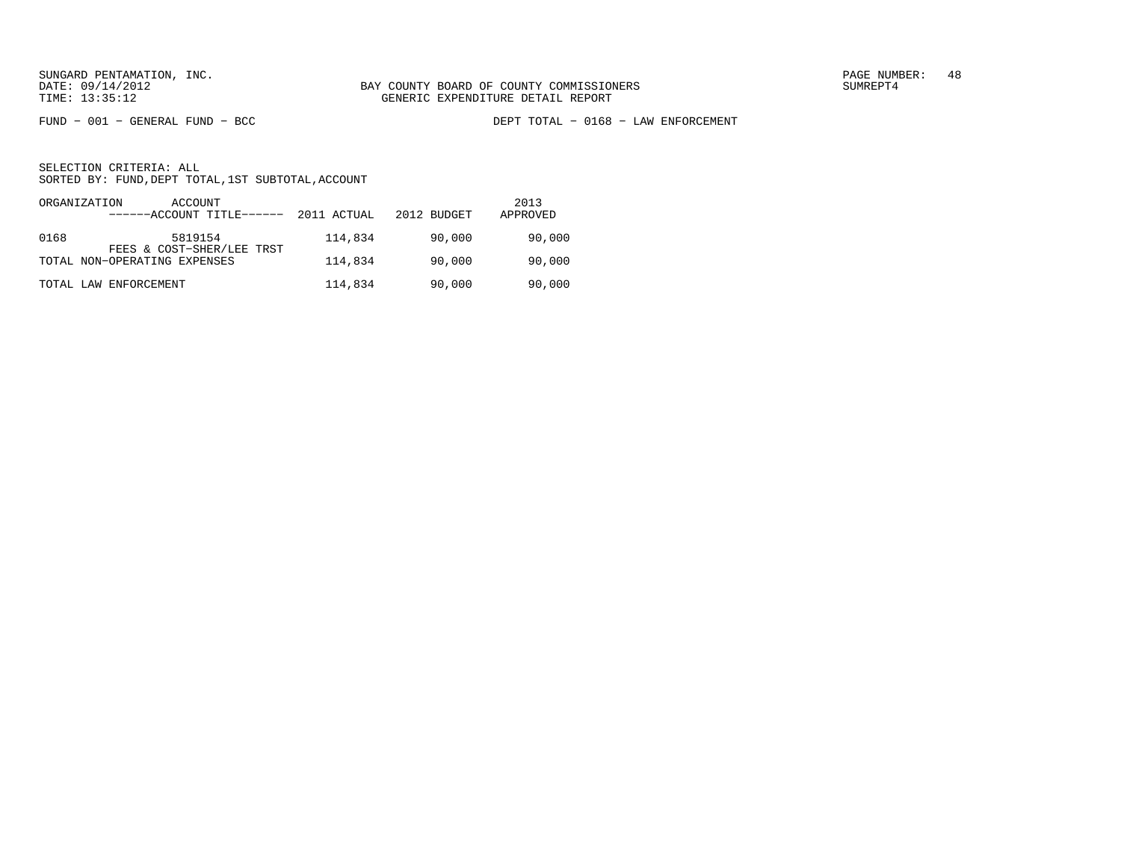FUND − 001 − GENERAL FUND − BCC DEPT TOTAL − 0168 − LAW ENFORCEMENT

| ORGANIZATION | ACCOUNT<br>------ACCOUNT TITLE------ | 2011 ACTUAL | 2012 BUDGET | 2013<br>APPROVED |
|--------------|--------------------------------------|-------------|-------------|------------------|
| 0168         | 5819154<br>FEES & COST-SHER/LEE TRST | 114,834     | 90,000      | 90,000           |
|              | TOTAL NON-OPERATING EXPENSES         | 114,834     | 90,000      | 90,000           |
|              | TOTAL LAW ENFORCEMENT                | 114,834     | 90,000      | 90,000           |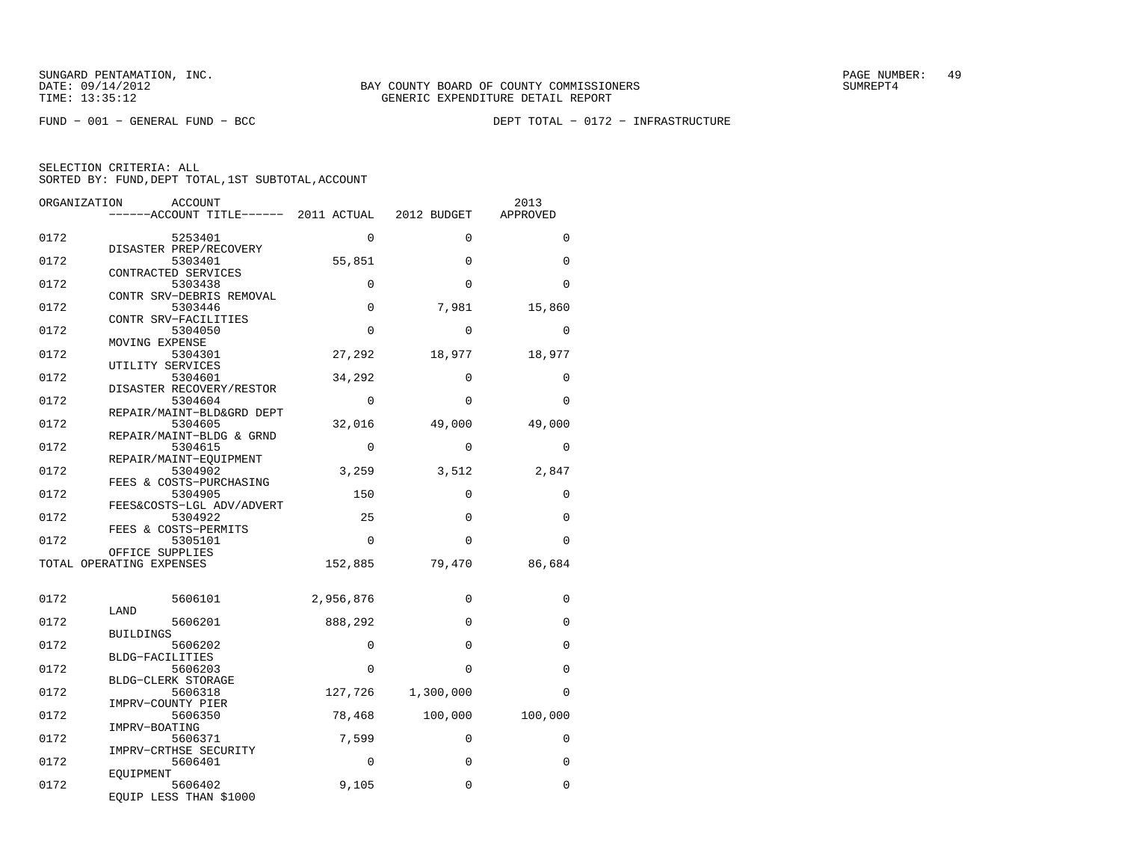FUND − 001 − GENERAL FUND − BCC DEPT TOTAL − 0172 − INFRASTRUCTURE

| ORGANIZATION | ACCOUNT                                           |             |             | 2013     |
|--------------|---------------------------------------------------|-------------|-------------|----------|
|              | ------ACCOUNT TITLE------ 2011 ACTUAL 2012 BUDGET |             |             | APPROVED |
| 0172         | 5253401                                           | $\Omega$    | $\Omega$    | $\Omega$ |
|              | DISASTER PREP/RECOVERY                            |             |             |          |
| 0172         | 5303401<br>CONTRACTED SERVICES                    | 55,851      | $\Omega$    | 0        |
| 0172         | 5303438                                           | 0           | $\Omega$    | 0        |
| 0172         | CONTR SRV-DEBRIS REMOVAL<br>5303446               | $\mathbf 0$ | 7,981       | 15,860   |
|              | CONTR SRV-FACILITIES                              |             |             |          |
| 0172         | 5304050                                           | 0           | $\Omega$    | 0        |
|              | MOVING EXPENSE                                    |             |             |          |
| 0172         | 5304301<br>UTILITY SERVICES                       | 27,292      | 18,977      | 18,977   |
| 0172         | 5304601                                           | 34,292      | $\Omega$    | 0        |
|              | DISASTER RECOVERY/RESTOR                          |             |             |          |
| 0172         | 5304604                                           | $\mathbf 0$ | $\Omega$    | $\Omega$ |
|              | REPAIR/MAINT-BLD&GRD DEPT                         |             |             |          |
| 0172         | 5304605                                           | 32,016      | 49,000      | 49,000   |
|              | REPAIR/MAINT-BLDG & GRND                          |             |             |          |
| 0172         | 5304615<br>REPAIR/MAINT-EOUIPMENT                 | $\Omega$    | $\Omega$    | $\Omega$ |
| 0172         | 5304902                                           | 3,259       | 3,512       | 2,847    |
|              | FEES & COSTS-PURCHASING                           |             |             |          |
| 0172         | 5304905                                           | 150         | $\Omega$    | $\Omega$ |
|              | FEES&COSTS-LGL ADV/ADVERT                         |             |             |          |
| 0172         | 5304922                                           | 25          | $\mathbf 0$ | 0        |
|              | FEES & COSTS-PERMITS                              |             |             |          |
| 0172         | 5305101<br>OFFICE SUPPLIES                        | $\Omega$    | $\Omega$    | $\Omega$ |
|              | TOTAL OPERATING EXPENSES                          | 152,885     | 79,470      | 86,684   |
|              |                                                   |             |             |          |
| 0172         | 5606101                                           | 2,956,876   | $\Omega$    | 0        |
|              | LAND                                              |             |             |          |
| 0172         | 5606201                                           | 888,292     | $\Omega$    | $\Omega$ |
|              | <b>BUILDINGS</b>                                  |             |             |          |
| 0172         | 5606202<br><b>BLDG-FACILITIES</b>                 | 0           | $\Omega$    | 0        |
| 0172         | 5606203                                           | $\Omega$    | $\Omega$    | 0        |
|              | BLDG-CLERK STORAGE                                |             |             |          |
| 0172         | 5606318                                           | 127,726     | 1,300,000   | 0        |
|              | IMPRV-COUNTY PIER                                 |             |             |          |
| 0172         | 5606350                                           | 78,468      | 100,000     | 100,000  |
| 0172         | IMPRV-BOATING<br>5606371                          | 7,599       | $\Omega$    | $\Omega$ |
|              | IMPRV-CRTHSE SECURITY                             |             |             |          |
| 0172         | 5606401                                           | $\Omega$    | $\Omega$    | 0        |
|              | EOUIPMENT                                         |             |             |          |
| 0172         | 5606402                                           | 9,105       | 0           | 0        |
|              | EQUIP LESS THAN \$1000                            |             |             |          |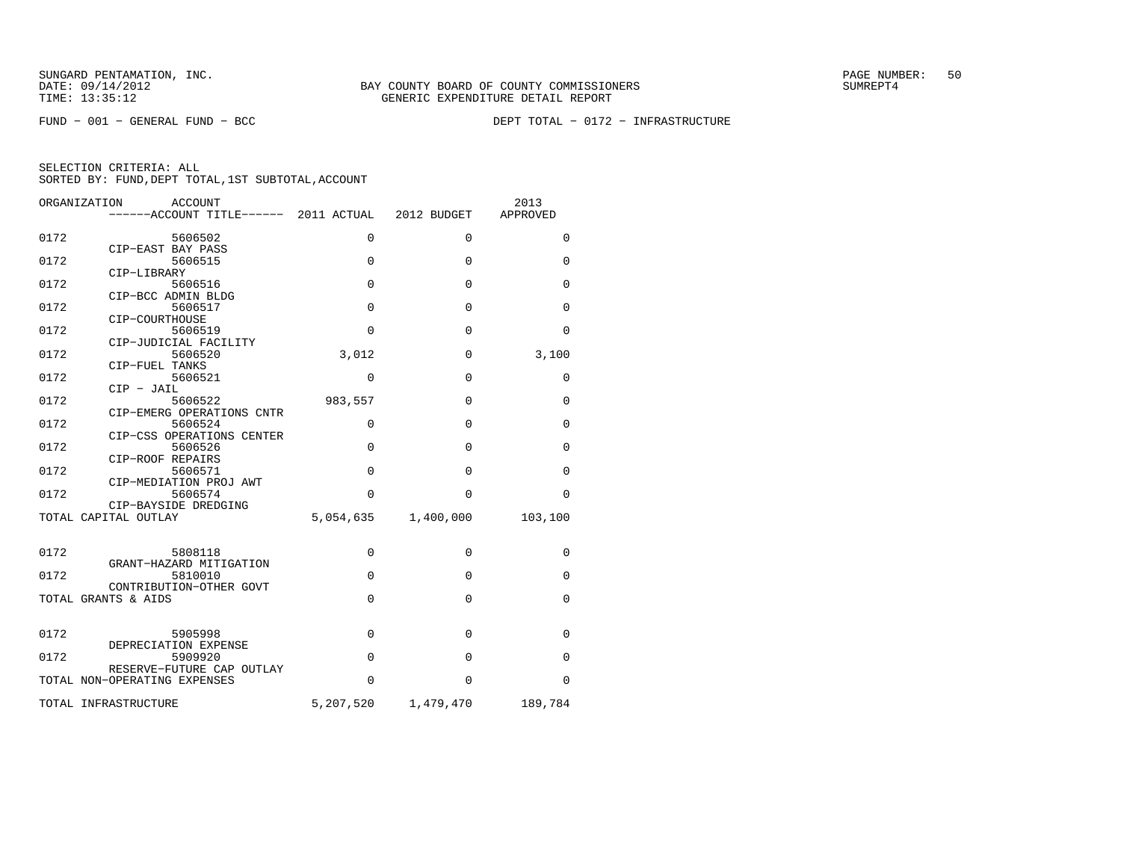FUND − 001 − GENERAL FUND − BCC DEPT TOTAL − 0172 − INFRASTRUCTURE

|             | 2012 BUDGET                                             | 2013<br>APPROVED         |
|-------------|---------------------------------------------------------|--------------------------|
| $\Omega$    | $\Omega$                                                | $\Omega$                 |
| $\mathbf 0$ | $\mathbf 0$                                             | 0                        |
| $\mathbf 0$ | $\Omega$                                                | $\Omega$                 |
| $\mathbf 0$ | $\mathbf 0$                                             | 0                        |
| 0           | $\Omega$                                                | $\Omega$                 |
| 3,012       | $\mathbf 0$                                             | 3,100                    |
| $\Omega$    | $\Omega$                                                | $\Omega$                 |
| 983,557     | $\mathbf 0$                                             | 0                        |
| $\mathbf 0$ | $\Omega$                                                | 0                        |
| $\mathbf 0$ | $\mathbf 0$                                             | $\Omega$                 |
| $\mathbf 0$ | $\Omega$                                                | 0                        |
| $\Omega$    | $\Omega$                                                | $\Omega$                 |
| 5,054,635   | 1,400,000                                               | 103,100                  |
|             |                                                         |                          |
|             |                                                         | 0                        |
| $\mathbf 0$ | $\Omega$                                                | $\Omega$                 |
| $\mathbf 0$ | $\Omega$                                                | $\Omega$                 |
| $\mathbf 0$ | $\mathbf 0$                                             | $\mathbf 0$              |
| 0           | $\Omega$                                                | $\Omega$                 |
| $\Omega$    | $\Omega$                                                | $\Omega$                 |
|             |                                                         | 189,784                  |
|             | ------ACCOUNT TITLE------ 2011 ACTUAL<br>0<br>5,207,520 | $\mathbf 0$<br>1,479,470 |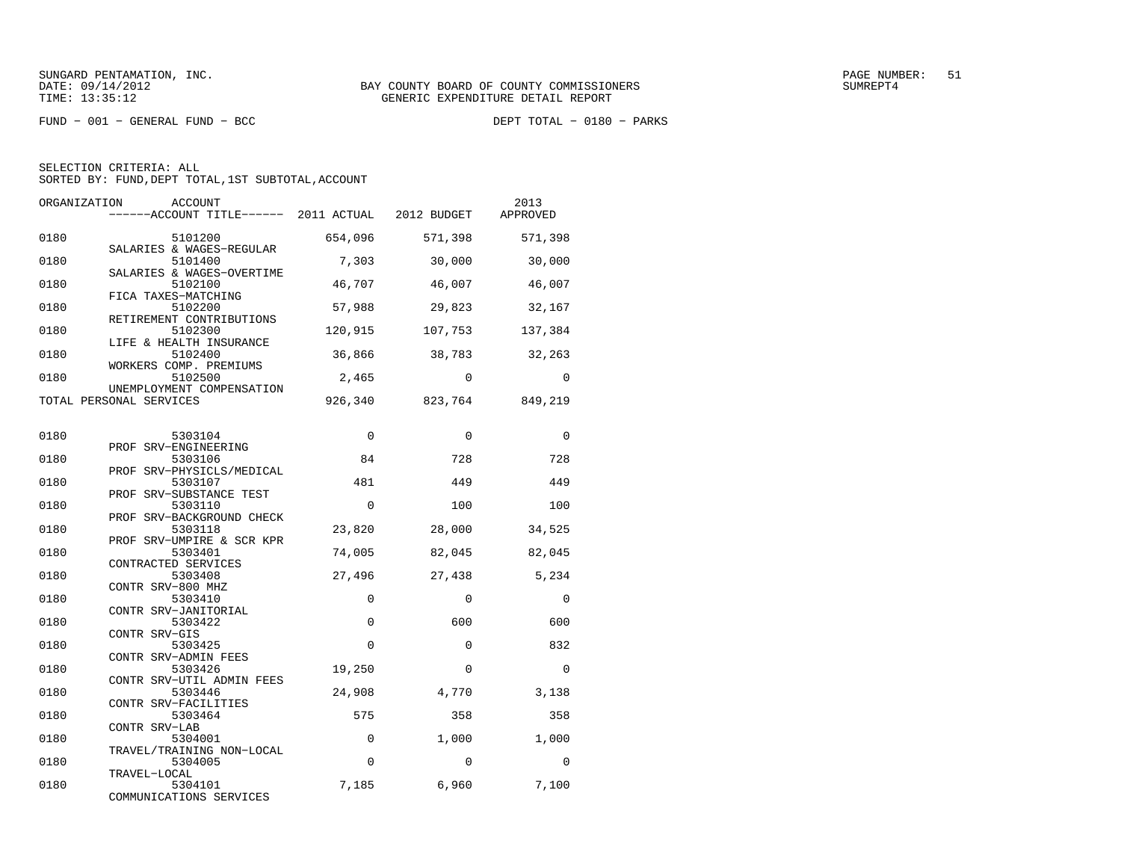$FUND - 001 - GENERAL FUND - BCC$ 

DEPT TOTAL - 0180 - PARKS

| ORGANIZATION | <b>ACCOUNT</b><br>------ACCOUNT TITLE------ 2011 ACTUAL           |             | 2012 BUDGET | 2013<br>APPROVED |
|--------------|-------------------------------------------------------------------|-------------|-------------|------------------|
| 0180         | 5101200<br>SALARIES & WAGES-REGULAR                               | 654,096     | 571,398     | 571,398          |
| 0180         | 5101400<br>SALARIES & WAGES-OVERTIME                              | 7,303       | 30,000      | 30,000           |
| 0180         | 5102100<br>FICA TAXES-MATCHING                                    | 46,707      | 46,007      | 46,007           |
| 0180         | 5102200<br>RETIREMENT CONTRIBUTIONS                               | 57,988      | 29,823      | 32,167           |
| 0180         | 5102300<br>LIFE & HEALTH INSURANCE                                | 120,915     | 107,753     | 137,384          |
| 0180         | 5102400<br>WORKERS COMP. PREMIUMS                                 | 36,866      | 38,783      | 32,263           |
| 0180         | 5102500<br>UNEMPLOYMENT COMPENSATION                              | 2,465       | $\Omega$    | $\Omega$         |
|              | TOTAL PERSONAL SERVICES                                           | 926,340     | 823,764     | 849,219          |
| 0180         | 5303104                                                           | $\mathbf 0$ | $\Omega$    | $\Omega$         |
| 0180         | PROF SRV-ENGINEERING<br>5303106                                   | 84          | 728         | 728              |
| 0180         | PROF SRV-PHYSICLS/MEDICAL<br>5303107                              | 481         | 449         | 449              |
| 0180         | PROF SRV-SUBSTANCE TEST<br>5303110                                | $\Omega$    | 100         | 100              |
| 0180         | PROF SRV-BACKGROUND CHECK<br>5303118<br>PROF SRV-UMPIRE & SCR KPR | 23,820      | 28,000      | 34,525           |
| 0180         | 5303401<br>CONTRACTED SERVICES                                    | 74,005      | 82,045      | 82,045           |
| 0180         | 5303408<br>CONTR SRV-800 MHZ                                      | 27,496      | 27,438      | 5,234            |
| 0180         | 5303410<br>CONTR SRV-JANITORIAL                                   | 0           | $\Omega$    | $\Omega$         |
| 0180         | 5303422<br>CONTR SRV-GIS                                          | 0           | 600         | 600              |
| 0180         | 5303425<br>CONTR SRV-ADMIN FEES                                   | 0           | $\Omega$    | 832              |
| 0180         | 5303426<br>CONTR SRV-UTIL ADMIN FEES                              | 19,250      | $\Omega$    | $\Omega$         |
| 0180         | 5303446<br>CONTR SRV-FACILITIES                                   | 24,908      | 4,770       | 3,138            |
| 0180         | 5303464<br>CONTR SRV-LAB                                          | 575         | 358         | 358              |
| 0180         | 5304001<br>TRAVEL/TRAINING NON-LOCAL                              | $\mathbf 0$ | 1,000       | 1,000            |
| 0180         | 5304005<br>TRAVEL-LOCAL                                           | $\mathbf 0$ | $\Omega$    | $\Omega$         |
| 0180         | 5304101<br>COMMUNICATIONS SERVICES                                | 7,185       | 6,960       | 7,100            |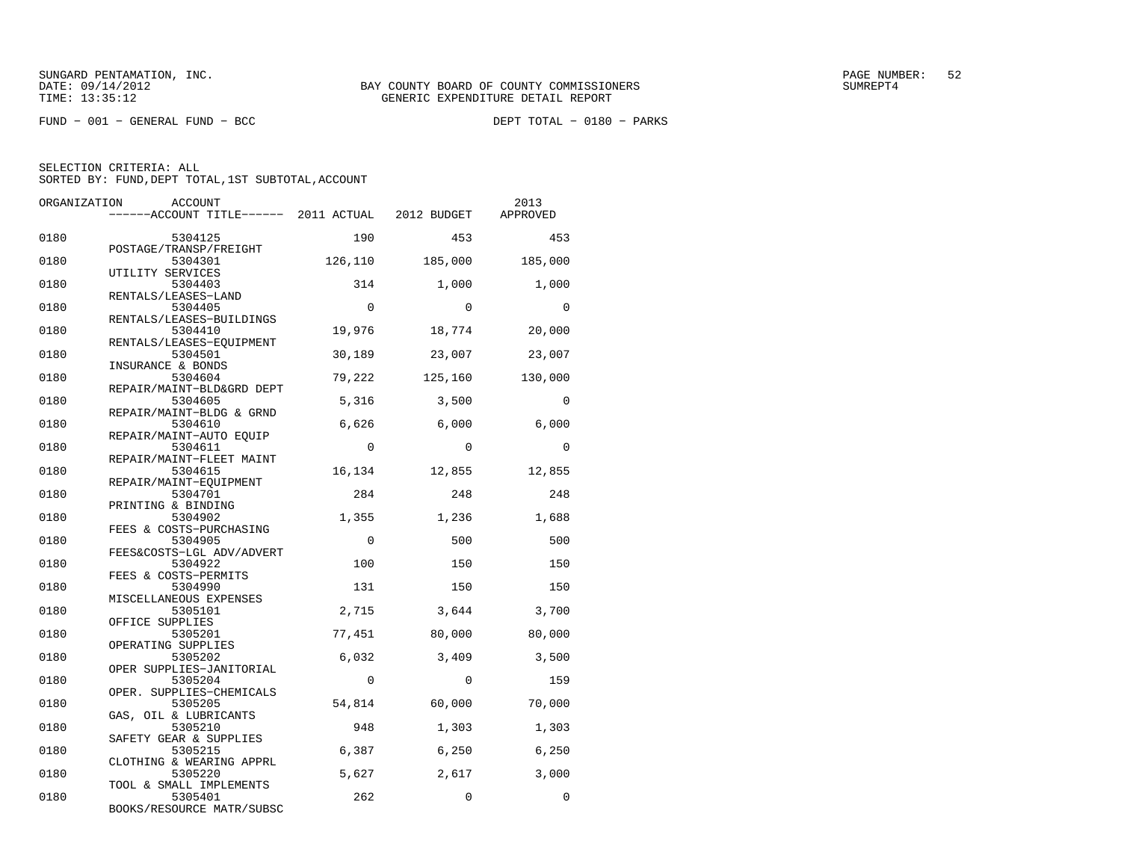$FUND - 001 - GENERAL FUND - BCC$ 

DEPT TOTAL - 0180 - PARKS

| ORGANIZATION | ACCOUNT                                           |             |             | 2013        |
|--------------|---------------------------------------------------|-------------|-------------|-------------|
|              | ------ACCOUNT TITLE------ 2011 ACTUAL 2012 BUDGET |             |             | APPROVED    |
| 0180         | 5304125                                           | 190         | 453         | 453         |
| 0180         | POSTAGE/TRANSP/FREIGHT<br>5304301                 | 126,110     | 185,000     | 185,000     |
| 0180         | UTILITY SERVICES<br>5304403                       | 314         | 1,000       | 1,000       |
| 0180         | RENTALS/LEASES-LAND<br>5304405                    | $\Omega$    | $\Omega$    | $\Omega$    |
| 0180         | RENTALS/LEASES-BUILDINGS<br>5304410               | 19,976      | 18,774      | 20,000      |
| 0180         | RENTALS/LEASES-EQUIPMENT<br>5304501               | 30,189      | 23,007      | 23,007      |
| 0180         | INSURANCE & BONDS<br>5304604                      | 79,222      | 125,160     | 130,000     |
| 0180         | REPAIR/MAINT-BLD&GRD DEPT<br>5304605              | 5,316       | 3,500       | $\mathbf 0$ |
| 0180         | REPAIR/MAINT-BLDG & GRND<br>5304610               | 6,626       | 6,000       | 6,000       |
| 0180         | REPAIR/MAINT-AUTO EQUIP<br>5304611                | $\Omega$    | $\Omega$    | $\Omega$    |
| 0180         | REPAIR/MAINT-FLEET MAINT<br>5304615               | 16,134      | 12,855      | 12,855      |
| 0180         | REPAIR/MAINT-EOUIPMENT<br>5304701                 | 284         | 248         | 248         |
| 0180         | PRINTING & BINDING<br>5304902                     | 1,355       | 1,236       | 1,688       |
| 0180         | FEES & COSTS-PURCHASING<br>5304905                | $\Omega$    | 500         | 500         |
| 0180         | FEES&COSTS-LGL ADV/ADVERT<br>5304922              | 100         | 150         | 150         |
| 0180         | FEES & COSTS-PERMITS<br>5304990                   | 131         | 150         | 150         |
| 0180         | MISCELLANEOUS EXPENSES<br>5305101                 | 2,715       | 3,644       | 3,700       |
| 0180         | OFFICE SUPPLIES<br>5305201                        | 77,451      | 80,000      | 80,000      |
| 0180         | OPERATING SUPPLIES<br>5305202                     | 6,032       | 3,409       | 3,500       |
| 0180         | OPER SUPPLIES-JANITORIAL<br>5305204               | $\mathbf 0$ | $\mathbf 0$ | 159         |
| 0180         | OPER. SUPPLIES-CHEMICALS<br>5305205               | 54,814      | 60,000      | 70,000      |
| 0180         | GAS, OIL & LUBRICANTS<br>5305210                  | 948         | 1,303       | 1,303       |
| 0180         | SAFETY GEAR & SUPPLIES<br>5305215                 | 6,387       | 6,250       | 6,250       |
| 0180         | CLOTHING & WEARING APPRL<br>5305220               | 5,627       | 2,617       | 3,000       |
| 0180         | TOOL & SMALL IMPLEMENTS<br>5305401                | 262         | $\Omega$    | $\Omega$    |
|              | BOOKS/RESOURCE MATR/SUBSC                         |             |             |             |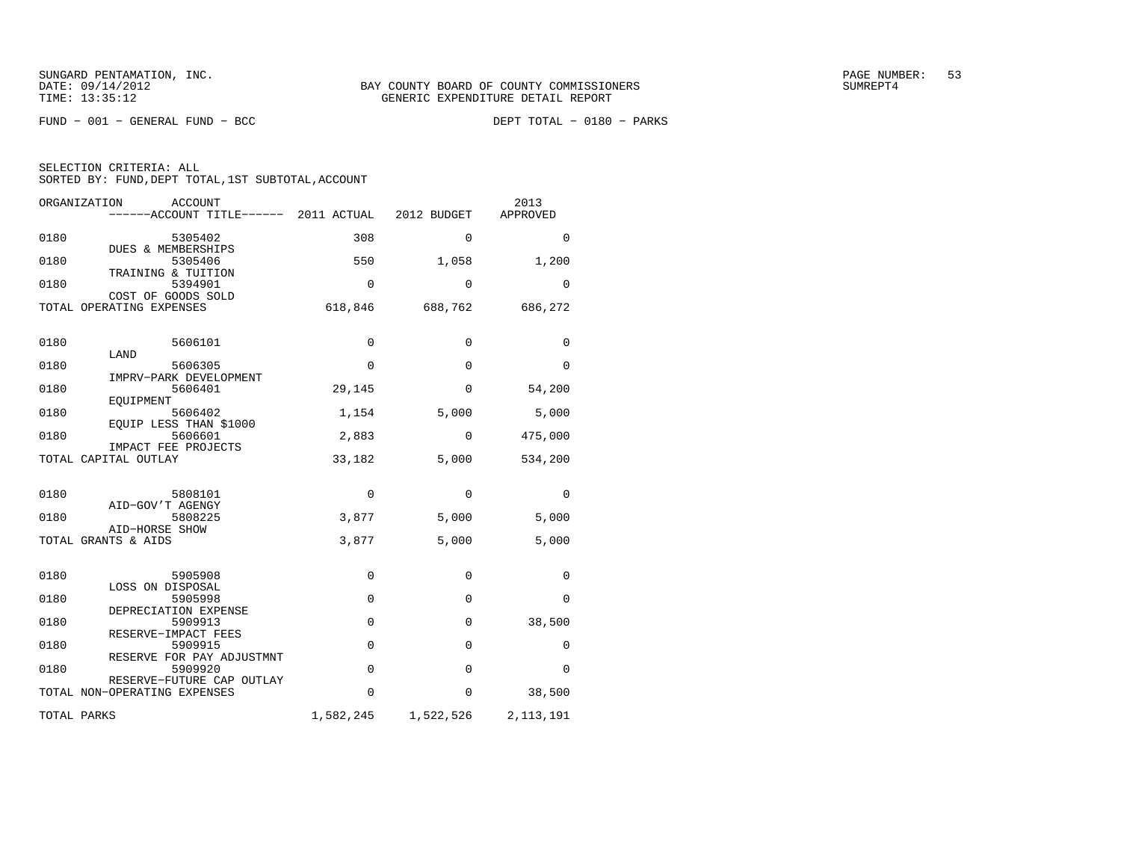$FUND - 001 - GENERAL FUND - BCC$ 

DEPT TOTAL - 0180 - PARKS

| ORGANIZATION<br>ACCOUNT<br>------ACCOUNT TITLE------ 2011 ACTUAL |             | 2012 BUDGET  | 2013<br>APPROVED |
|------------------------------------------------------------------|-------------|--------------|------------------|
| 0180<br>5305402                                                  | 308         | $\Omega$     | $\Omega$         |
| DUES & MEMBERSHIPS<br>0180<br>5305406                            | 550         | 1,058        | 1,200            |
| TRAINING & TUITION<br>0180<br>5394901                            | 0           | 0            | 0                |
| COST OF GOODS SOLD<br>TOTAL OPERATING EXPENSES                   | 618,846     | 688,762      | 686,272          |
| 0180<br>5606101<br>LAND                                          | $\mathbf 0$ | 0            | 0                |
| 0180<br>5606305<br>IMPRV-PARK DEVELOPMENT                        | $\mathbf 0$ | $\Omega$     | 0                |
| 0180<br>5606401                                                  | 29,145      | $\Omega$     | 54,200           |
| EOUIPMENT<br>0180<br>5606402                                     | 1,154       | 5,000        | 5,000            |
| EQUIP LESS THAN \$1000<br>0180<br>5606601                        | 2,883       | $\mathbf{0}$ | 475,000          |
| IMPACT FEE PROJECTS<br>TOTAL CAPITAL OUTLAY                      | 33,182      | 5,000        | 534,200          |
| 0180<br>5808101<br>AID-GOV'T AGENGY                              | 0           | $\Omega$     | $\Omega$         |
| 0180<br>5808225<br>AID-HORSE SHOW                                | 3,877       | 5,000        | 5,000            |
| TOTAL GRANTS & AIDS                                              | 3,877       | 5,000        | 5,000            |
| 0180<br>5905908                                                  | 0           | 0            | 0                |
| LOSS ON DISPOSAL<br>0180<br>5905998                              | $\mathbf 0$ | $\Omega$     | 0                |
| DEPRECIATION EXPENSE<br>0180<br>5909913                          | $\mathbf 0$ | 0            | 38,500           |
| RESERVE-IMPACT FEES<br>0180<br>5909915                           | $\mathbf 0$ | $\Omega$     | 0                |
| RESERVE FOR PAY ADJUSTMNT<br>0180<br>5909920                     | $\mathbf 0$ | $\Omega$     | $\Omega$         |
| RESERVE-FUTURE CAP OUTLAY<br>TOTAL NON-OPERATING EXPENSES        | 0           | $\mathbf{0}$ | 38,500           |
| TOTAL PARKS                                                      | 1,582,245   | 1,522,526    | 2, 113, 191      |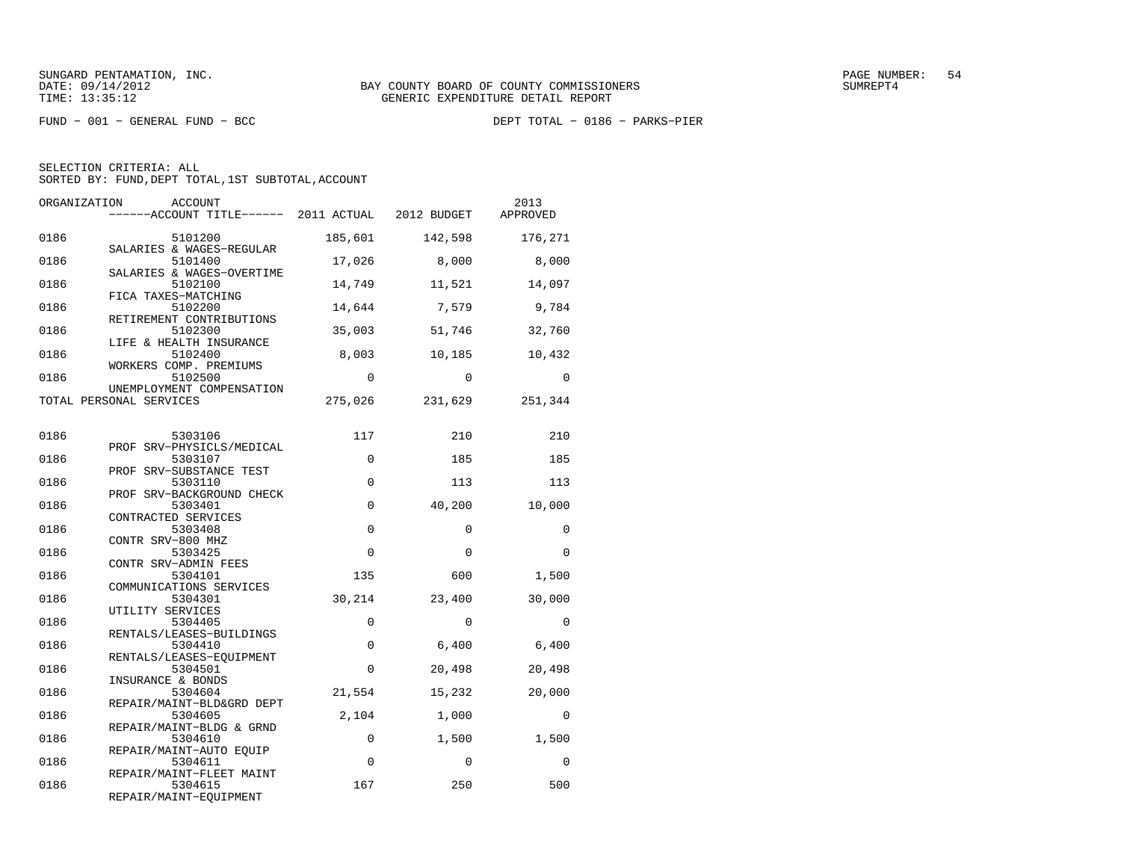FUND − 001 − GENERAL FUND − BCC DEPT TOTAL − 0186 − PARKS−PIER

SELECTION CRITERIA: ALL

SORTED BY: FUND, DEPT TOTAL, 1ST SUBTOTAL, ACCOUNT

| ORGANIZATION | ACCOUNT<br>------ACCOUNT TITLE------ 2011 ACTUAL 2012 BUDGET  |          |          | 2013<br>APPROVED |
|--------------|---------------------------------------------------------------|----------|----------|------------------|
| 0186         | 5101200                                                       | 185,601  | 142,598  | 176,271          |
| 0186         | SALARIES & WAGES-REGULAR<br>5101400                           | 17,026   | 8,000    | 8,000            |
| 0186         | SALARIES & WAGES-OVERTIME<br>5102100                          | 14,749   | 11,521   | 14,097           |
| 0186         | FICA TAXES-MATCHING<br>5102200                                | 14,644   | 7,579    | 9,784            |
| 0186         | RETIREMENT CONTRIBUTIONS<br>5102300                           | 35,003   | 51,746   | 32,760           |
| 0186         | LIFE & HEALTH INSURANCE<br>5102400                            | 8,003    | 10,185   | 10,432           |
| 0186         | WORKERS COMP. PREMIUMS<br>5102500                             | $\Omega$ | $\Omega$ | $\Omega$         |
|              | UNEMPLOYMENT COMPENSATION<br>TOTAL PERSONAL SERVICES          | 275,026  | 231,629  | 251,344          |
| 0186         | 5303106                                                       | 117      | 210      | 210              |
| 0186         | PROF SRV-PHYSICLS/MEDICAL<br>5303107                          | $\Omega$ | 185      | 185              |
| 0186         | PROF SRV-SUBSTANCE TEST<br>5303110                            | 0        | 113      | 113              |
| 0186         | PROF SRV-BACKGROUND CHECK<br>5303401                          | 0        | 40,200   | 10,000           |
| 0186         | CONTRACTED SERVICES<br>5303408                                | $\Omega$ | $\Omega$ | $\Omega$         |
| 0186         | CONTR SRV-800 MHZ<br>5303425                                  | 0        | $\Omega$ | $\Omega$         |
| 0186         | CONTR SRV-ADMIN FEES<br>5304101                               | 135      | 600      | 1,500            |
| 0186         | COMMUNICATIONS SERVICES<br>5304301                            | 30,214   | 23,400   | 30,000           |
| 0186         | UTILITY SERVICES<br>5304405                                   | 0        | $\Omega$ | $\mathbf 0$      |
| 0186         | RENTALS/LEASES-BUILDINGS<br>5304410                           | 0        | 6,400    | 6,400            |
| 0186         | RENTALS/LEASES-EOUIPMENT<br>5304501                           | $\Omega$ | 20,498   | 20,498           |
| 0186         | INSURANCE & BONDS<br>5304604                                  | 21,554   | 15,232   | 20,000           |
| 0186         | REPAIR/MAINT-BLD&GRD DEPT<br>5304605                          | 2,104    | 1,000    | $\Omega$         |
| 0186         | REPAIR/MAINT-BLDG & GRND<br>5304610                           | 0        | 1,500    | 1,500            |
| 0186         | REPAIR/MAINT-AUTO EOUIP<br>5304611                            | $\Omega$ | $\Omega$ | $\Omega$         |
| 0186         | REPAIR/MAINT-FLEET MAINT<br>5304615<br>REPAIR/MAINT-EQUIPMENT | 167      | 250      | 500              |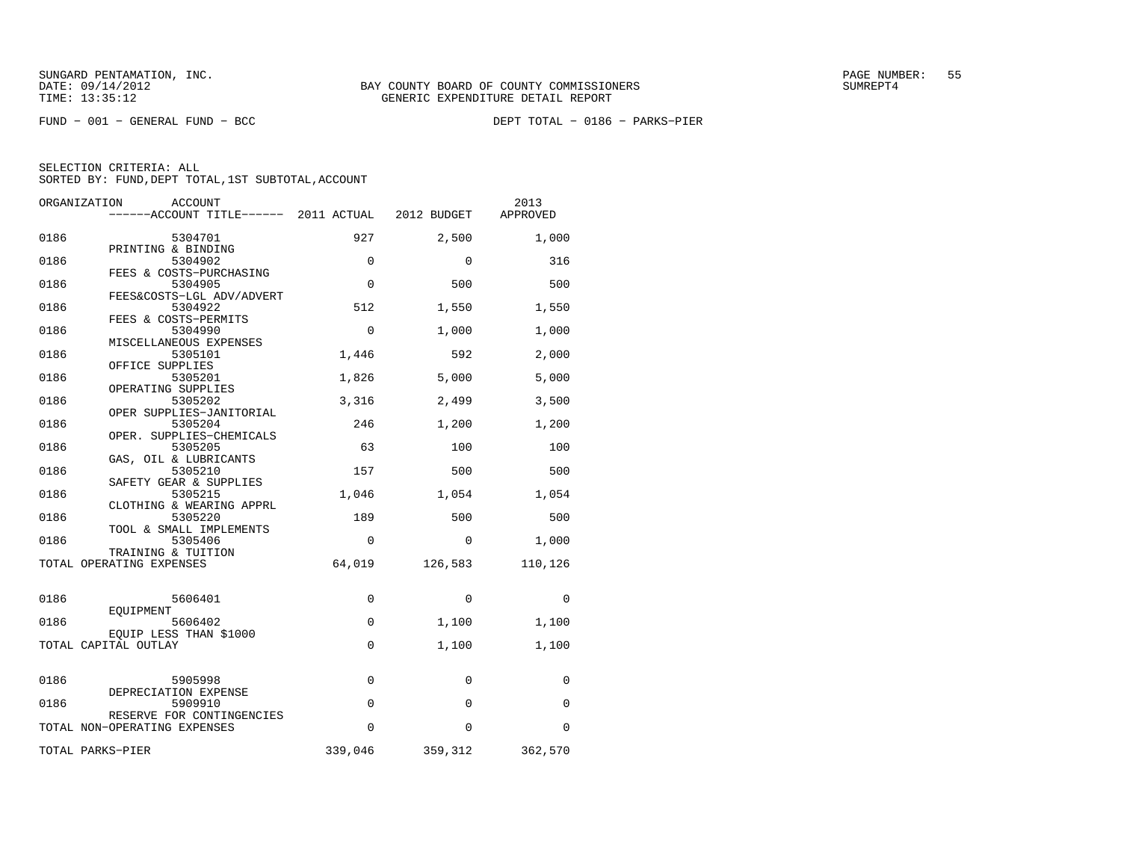FUND − 001 − GENERAL FUND − BCC DEPT TOTAL − 0186 − PARKS−PIER

| ORGANIZATION             | ACCOUNT<br>------ACCOUNT TITLE------ 2011 ACTUAL |             | 2012 BUDGET | 2013<br>APPROVED |
|--------------------------|--------------------------------------------------|-------------|-------------|------------------|
| 0186                     | 5304701                                          | 927         | 2,500       | 1,000            |
| 0186                     | PRINTING & BINDING<br>5304902                    | $\Omega$    | $\Omega$    | 316              |
| 0186                     | FEES & COSTS-PURCHASING<br>5304905               | $\Omega$    | 500         | 500              |
| 0186                     | FEES&COSTS-LGL ADV/ADVERT<br>5304922             | 512         | 1,550       | 1,550            |
| 0186                     | FEES & COSTS-PERMITS<br>5304990                  | $\mathbf 0$ | 1,000       | 1,000            |
| 0186                     | MISCELLANEOUS EXPENSES<br>5305101                | 1,446       | 592         | 2,000            |
| 0186                     | OFFICE SUPPLIES<br>5305201                       | 1,826       | 5,000       | 5,000            |
| 0186                     | OPERATING SUPPLIES<br>5305202                    | 3,316       | 2,499       | 3,500            |
| 0186                     | OPER SUPPLIES-JANITORIAL<br>5305204              | 246         | 1,200       | 1,200            |
| 0186                     | OPER. SUPPLIES-CHEMICALS<br>5305205              | 63          | 100         | 100              |
| 0186                     | GAS, OIL & LUBRICANTS<br>5305210                 | 157         | 500         | 500              |
| 0186                     | SAFETY GEAR & SUPPLIES                           |             | 1,054       |                  |
|                          | 5305215<br>CLOTHING & WEARING APPRL              | 1,046       |             | 1,054            |
| 0186                     | 5305220<br>TOOL & SMALL IMPLEMENTS               | 189         | 500         | 500              |
| 0186                     | 5305406<br>TRAINING & TUITION                    | $\mathbf 0$ | 0           | 1,000            |
| TOTAL OPERATING EXPENSES |                                                  | 64,019      | 126,583     | 110,126          |
| 0186                     | 5606401                                          | 0           | $\Omega$    | $\Omega$         |
| 0186                     | EOUIPMENT<br>5606402                             | 0           | 1,100       | 1,100            |
| TOTAL CAPITAL OUTLAY     | EQUIP LESS THAN \$1000                           | 0           | 1,100       | 1,100            |
|                          |                                                  |             |             |                  |
| 0186                     | 5905998<br>DEPRECIATION EXPENSE                  | 0           | $\Omega$    | $\Omega$         |
| 0186                     | 5909910<br>RESERVE FOR CONTINGENCIES             | $\mathbf 0$ | $\mathbf 0$ | $\Omega$         |
|                          | TOTAL NON-OPERATING EXPENSES                     | $\Omega$    | $\Omega$    | 0                |
| TOTAL PARKS-PIER         |                                                  | 339,046     | 359,312     | 362,570          |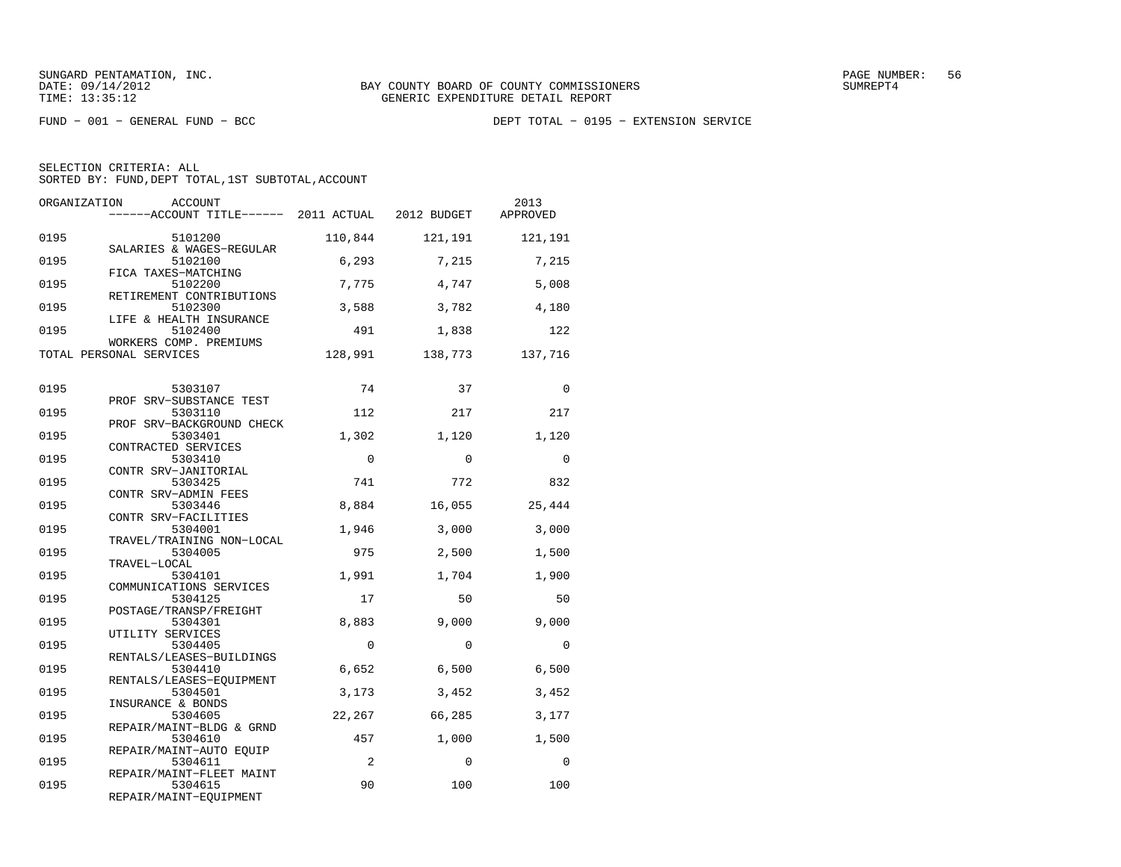| ORGANIZATION | <b>ACCOUNT</b><br>------ACCOUNT TITLE------ 2011 ACTUAL      |          | 2012 BUDGET | 2013<br>APPROVED |
|--------------|--------------------------------------------------------------|----------|-------------|------------------|
| 0195         | 5101200<br>SALARIES & WAGES-REGULAR                          | 110,844  | 121,191     | 121,191          |
| 0195         | 5102100<br>FICA TAXES-MATCHING                               | 6,293    | 7,215       | 7,215            |
| 0195         | 5102200<br>RETIREMENT CONTRIBUTIONS                          | 7,775    | 4,747       | 5,008            |
| 0195         | 5102300<br>LIFE & HEALTH INSURANCE                           | 3,588    | 3,782       | 4,180            |
| 0195         | 5102400<br>WORKERS COMP. PREMIUMS                            | 491      | 1,838       | 122              |
|              | TOTAL PERSONAL SERVICES                                      | 128,991  | 138,773     | 137,716          |
| 0195         | 5303107                                                      | 74       | 37          | $\Omega$         |
| 0195         | PROF SRV-SUBSTANCE TEST<br>5303110                           | 112      | 217         | 217              |
| 0195         | PROF SRV-BACKGROUND CHECK<br>5303401                         | 1,302    | 1,120       | 1,120            |
| 0195         | CONTRACTED SERVICES<br>5303410                               | $\Omega$ | $\Omega$    | $\Omega$         |
| 0195         | CONTR SRV-JANITORIAL<br>5303425                              | 741      | 772         | 832              |
| 0195         | CONTR SRV-ADMIN FEES<br>5303446                              | 8,884    | 16,055      | 25,444           |
| 0195         | CONTR SRV-FACILITIES<br>5304001<br>TRAVEL/TRAINING NON-LOCAL | 1,946    | 3,000       | 3,000            |
| 0195         | 5304005<br>TRAVEL-LOCAL                                      | 975      | 2,500       | 1,500            |
| 0195         | 5304101<br>COMMUNICATIONS SERVICES                           | 1,991    | 1,704       | 1,900            |
| 0195         | 5304125<br>POSTAGE/TRANSP/FREIGHT                            | 17       | 50          | 50               |
| 0195         | 5304301<br>UTILITY SERVICES                                  | 8,883    | 9,000       | 9,000            |
| 0195         | 5304405<br>RENTALS/LEASES-BUILDINGS                          | $\Omega$ | $\Omega$    | $\Omega$         |
| 0195         | 5304410<br>RENTALS/LEASES-EQUIPMENT                          | 6,652    | 6,500       | 6,500            |
| 0195         | 5304501<br>INSURANCE & BONDS                                 | 3,173    | 3,452       | 3,452            |
| 0195         | 5304605<br>REPAIR/MAINT-BLDG & GRND                          | 22,267   | 66,285      | 3,177            |
| 0195         | 5304610<br>REPAIR/MAINT-AUTO EOUIP                           | 457      | 1,000       | 1,500            |
| 0195         | 5304611<br>REPAIR/MAINT-FLEET MAINT                          | 2        | $\Omega$    | $\Omega$         |
| 0195         | 5304615<br>REPAIR/MAINT-EQUIPMENT                            | 90       | 100         | 100              |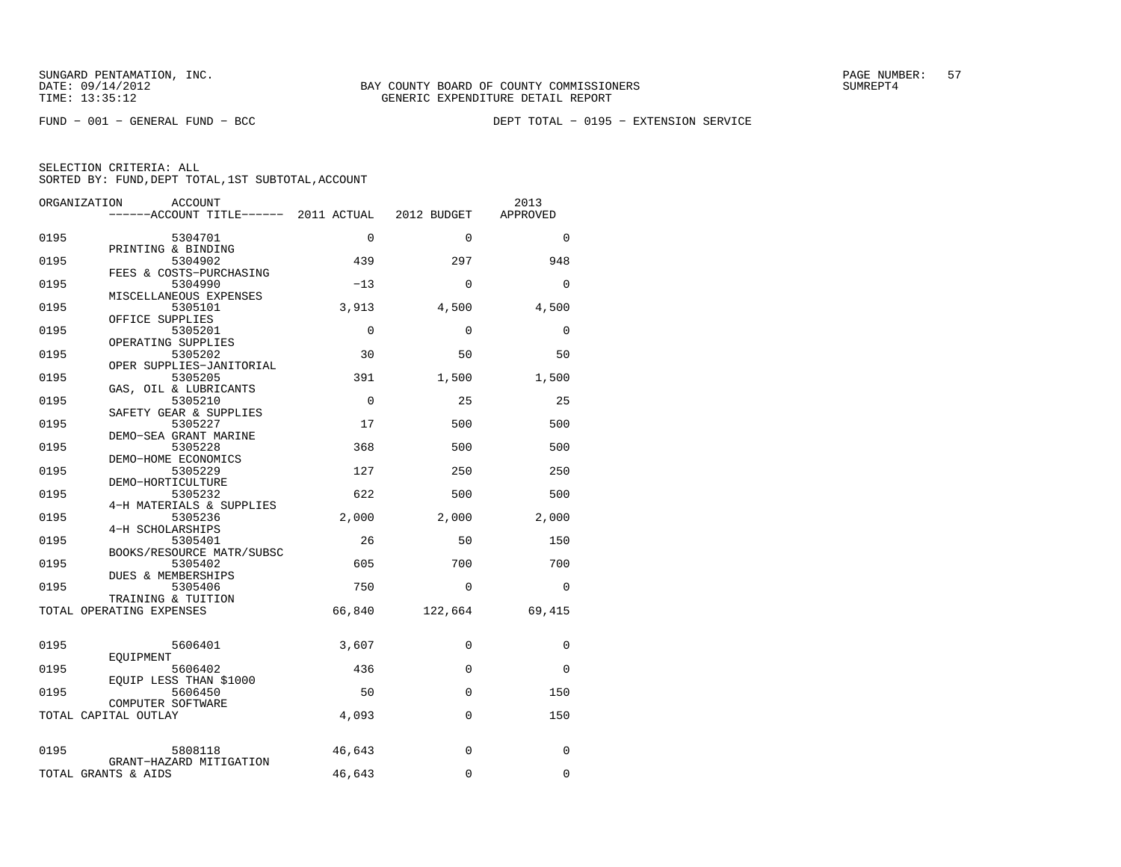FUND − 001 − GENERAL FUND − BCC DEPT TOTAL − 0195 − EXTENSION SERVICE

| ORGANIZATION                              | ACCOUNT<br>------ACCOUNT TITLE------ 2011 ACTUAL |             | 2012 BUDGET  | 2013<br>APPROVED |
|-------------------------------------------|--------------------------------------------------|-------------|--------------|------------------|
| 0195                                      | 5304701                                          | $\mathbf 0$ | $\Omega$     | $\Omega$         |
| PRINTING & BINDING<br>0195                | 5304902                                          | 439         | 297          | 948              |
| 0195                                      | FEES & COSTS-PURCHASING<br>5304990               | $-13$       | $\Omega$     | $\Omega$         |
| 0195<br>OFFICE SUPPLIES                   | MISCELLANEOUS EXPENSES<br>5305101                | 3,913       | 4,500        | 4,500            |
| 0195<br>OPERATING SUPPLIES                | 5305201                                          | $\mathbf 0$ | $\Omega$     | $\Omega$         |
| 0195                                      | 5305202<br>OPER SUPPLIES-JANITORIAL              | 30          | 50           | 50               |
| 0195                                      | 5305205<br>GAS, OIL & LUBRICANTS                 | 391         | 1,500        | 1,500            |
| 0195                                      | 5305210<br>SAFETY GEAR & SUPPLIES                | $\Omega$    | 25           | 25               |
| 0195                                      | 5305227<br>DEMO-SEA GRANT MARINE                 | 17          | 500          | 500              |
| 0195<br>DEMO-HOME ECONOMICS               | 5305228                                          | 368         | 500          | 500              |
| 0195<br>DEMO-HORTICULTURE                 | 5305229                                          | 127         | 250          | 250              |
| 0195                                      | 5305232<br>4-H MATERIALS & SUPPLIES              | 622         | 500          | 500              |
| 0195<br>4-H SCHOLARSHIPS                  | 5305236                                          | 2,000       | 2,000        | 2,000            |
| 0195                                      | 5305401<br>BOOKS/RESOURCE MATR/SUBSC             | 26          | 50           | 150              |
| 0195<br><b>DUES &amp; MEMBERSHIPS</b>     | 5305402                                          | 605         | 700          | 700              |
| 0195<br>TRAINING & TUITION                | 5305406                                          | 750         | $\Omega$     | $\Omega$         |
| TOTAL OPERATING EXPENSES                  |                                                  | 66,840      | 122,664      | 69,415           |
| 0195                                      | 5606401                                          | 3,607       | 0            | $\mathbf 0$      |
| EOUIPMENT<br>0195                         | 5606402                                          | 436         | $\mathbf{0}$ | $\Omega$         |
| 0195                                      | EQUIP LESS THAN \$1000<br>5606450                | 50          | $\mathbf{0}$ | 150              |
| COMPUTER SOFTWARE<br>TOTAL CAPITAL OUTLAY |                                                  | 4,093       | $\Omega$     | 150              |
| 0195                                      | 5808118                                          | 46,643      | $\Omega$     | 0                |
| TOTAL GRANTS & AIDS                       | GRANT-HAZARD MITIGATION                          | 46,643      | $\Omega$     | $\Omega$         |
|                                           |                                                  |             |              |                  |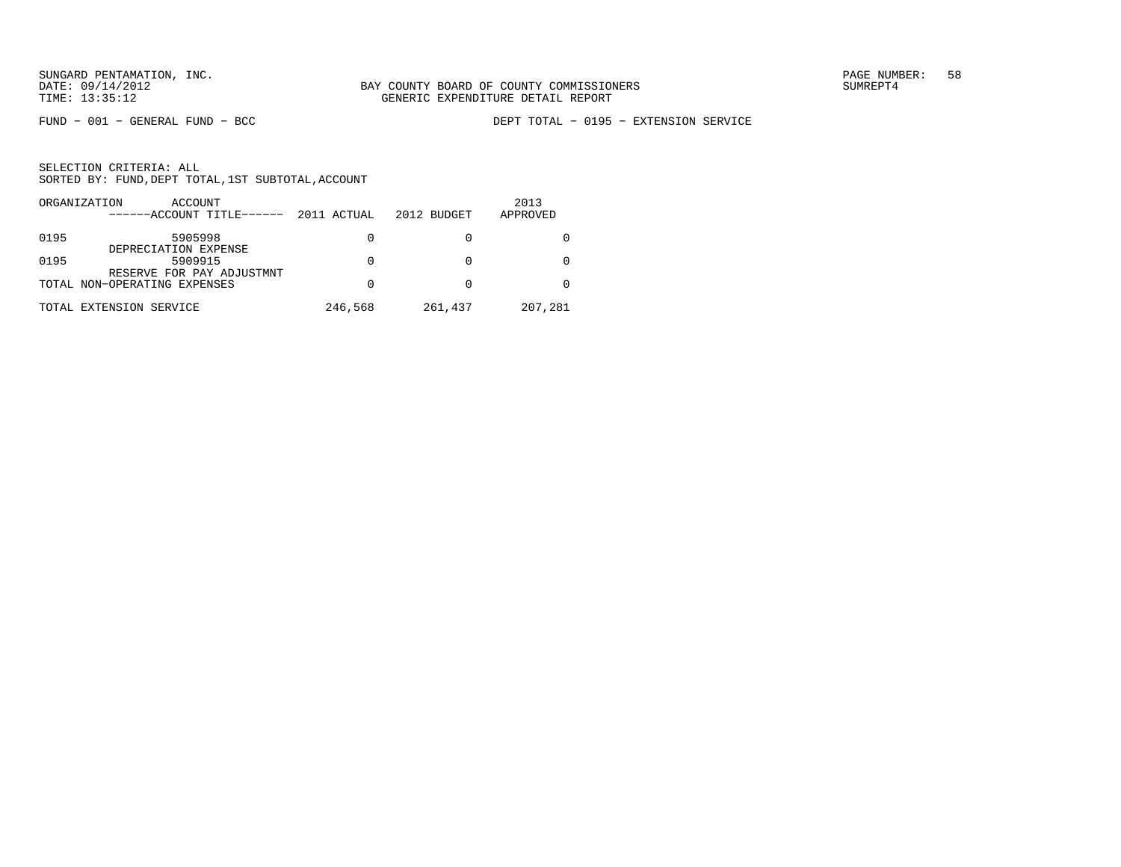FUND − 001 − GENERAL FUND − BCC DEPT TOTAL − 0195 − EXTENSION SERVICE

|      | ORGANIZATION<br>ACCOUNT<br>------ACCOUNT TITLE------ | 2011 ACTUAL | 2012 BUDGET | 2013<br>APPROVED |
|------|------------------------------------------------------|-------------|-------------|------------------|
| 0195 | 5905998<br>DEPRECIATION EXPENSE                      | 0           |             |                  |
| 0195 | 5909915<br>RESERVE FOR PAY ADJUSTMNT                 | 0           |             |                  |
|      | TOTAL NON-OPERATING EXPENSES                         | 0           |             |                  |
|      | TOTAL EXTENSION SERVICE                              | 246,568     | 261,437     | 207,281          |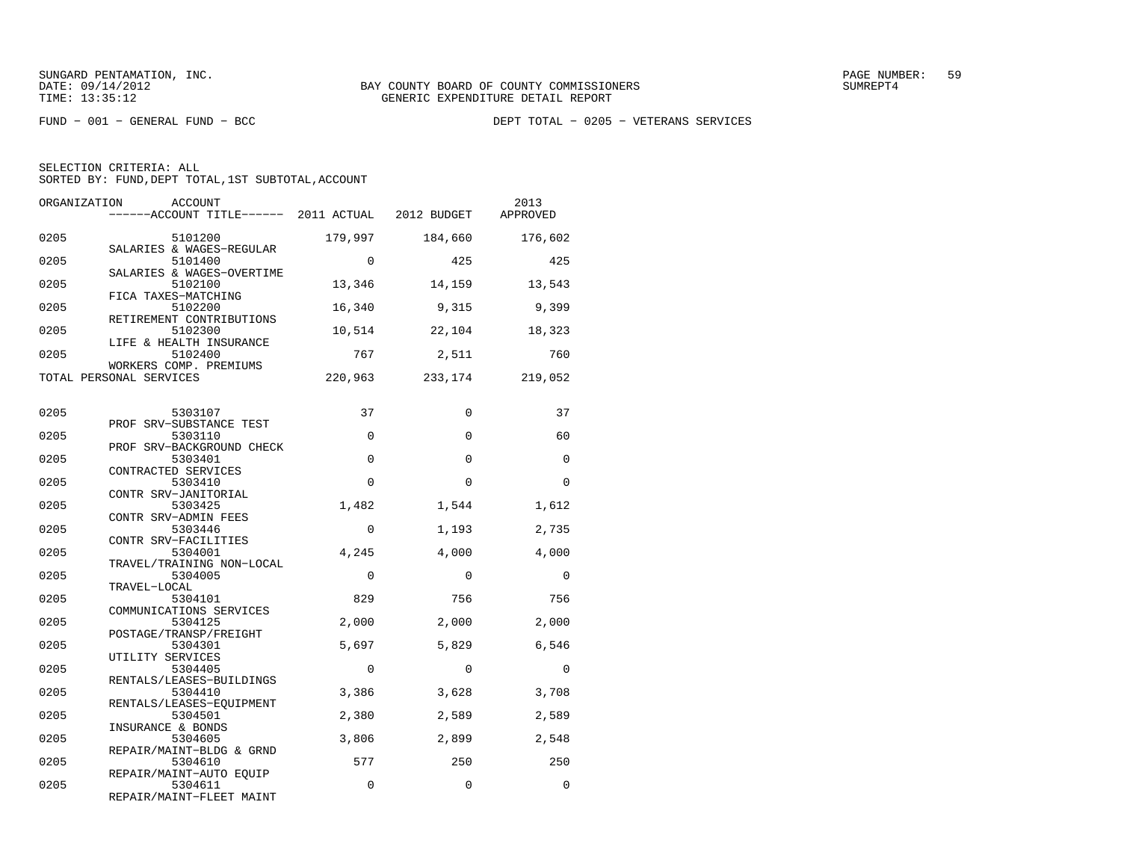FUND − 001 − GENERAL FUND − BCC DEPT TOTAL − 0205 − VETERANS SERVICES

| SELECTION CRITERIA: ALL |                                                    |
|-------------------------|----------------------------------------------------|
|                         | SORTED BY: FUND, DEPT TOTAL, 1ST SUBTOTAL, ACCOUNT |

| ORGANIZATION | ACCOUNT<br>------ACCOUNT TITLE------ 2011 ACTUAL 2012 BUDGET |             |             | 2013<br>APPROVED |
|--------------|--------------------------------------------------------------|-------------|-------------|------------------|
| 0205         | 5101200<br>SALARIES & WAGES-REGULAR                          | 179,997     | 184,660     | 176,602          |
| 0205         | 5101400                                                      | $\Omega$    | 425         | 425              |
| 0205         | SALARIES & WAGES-OVERTIME<br>5102100                         | 13,346      | 14,159      | 13,543           |
| 0205         | FICA TAXES-MATCHING<br>5102200<br>RETIREMENT CONTRIBUTIONS   | 16,340      | 9,315       | 9,399            |
| 0205         | 5102300<br>LIFE & HEALTH INSURANCE                           | 10,514      | 22,104      | 18,323           |
| 0205         | 5102400<br>WORKERS COMP. PREMIUMS                            | 767         | 2,511       | 760              |
|              | TOTAL PERSONAL SERVICES                                      | 220,963     | 233,174     | 219,052          |
| 0205         | 5303107                                                      | 37          | $\Omega$    | 37               |
| 0205         | PROF SRV-SUBSTANCE TEST<br>5303110                           | $\mathbf 0$ | $\mathbf 0$ | 60               |
| 0205         | PROF SRV-BACKGROUND CHECK<br>5303401                         | $\mathbf 0$ | 0           | $\mathbf 0$      |
| 0205         | CONTRACTED SERVICES<br>5303410                               | $\Omega$    | $\Omega$    | $\Omega$         |
| 0205         | CONTR SRV-JANITORIAL<br>5303425<br>CONTR SRV-ADMIN FEES      | 1,482       | 1,544       | 1,612            |
| 0205         | 5303446<br>CONTR SRV-FACILITIES                              | $\Omega$    | 1,193       | 2,735            |
| 0205         | 5304001<br>TRAVEL/TRAINING NON-LOCAL                         | 4,245       | 4,000       | 4,000            |
| 0205         | 5304005<br>TRAVEL-LOCAL                                      | $\mathbf 0$ | $\Omega$    | 0                |
| 0205         | 5304101<br>COMMUNICATIONS SERVICES                           | 829         | 756         | 756              |
| 0205         | 5304125<br>POSTAGE/TRANSP/FREIGHT                            | 2,000       | 2,000       | 2,000            |
| 0205         | 5304301<br>UTILITY SERVICES                                  | 5,697       | 5,829       | 6,546            |
| 0205         | 5304405<br>RENTALS/LEASES-BUILDINGS                          | $\mathbf 0$ | $\mathbf 0$ | $\mathbf 0$      |
| 0205         | 5304410<br>RENTALS/LEASES-EQUIPMENT                          | 3,386       | 3,628       | 3,708            |
| 0205         | 5304501<br>INSURANCE & BONDS                                 | 2,380       | 2,589       | 2,589            |
| 0205         | 5304605<br>REPAIR/MAINT-BLDG & GRND                          | 3,806       | 2,899       | 2,548            |
| 0205         | 5304610<br>REPAIR/MAINT-AUTO EQUIP                           | 577         | 250         | 250              |
| 0205         | 5304611<br>REPAIR/MAINT-FLEET MAINT                          | 0           | $\mathbf 0$ | $\mathbf 0$      |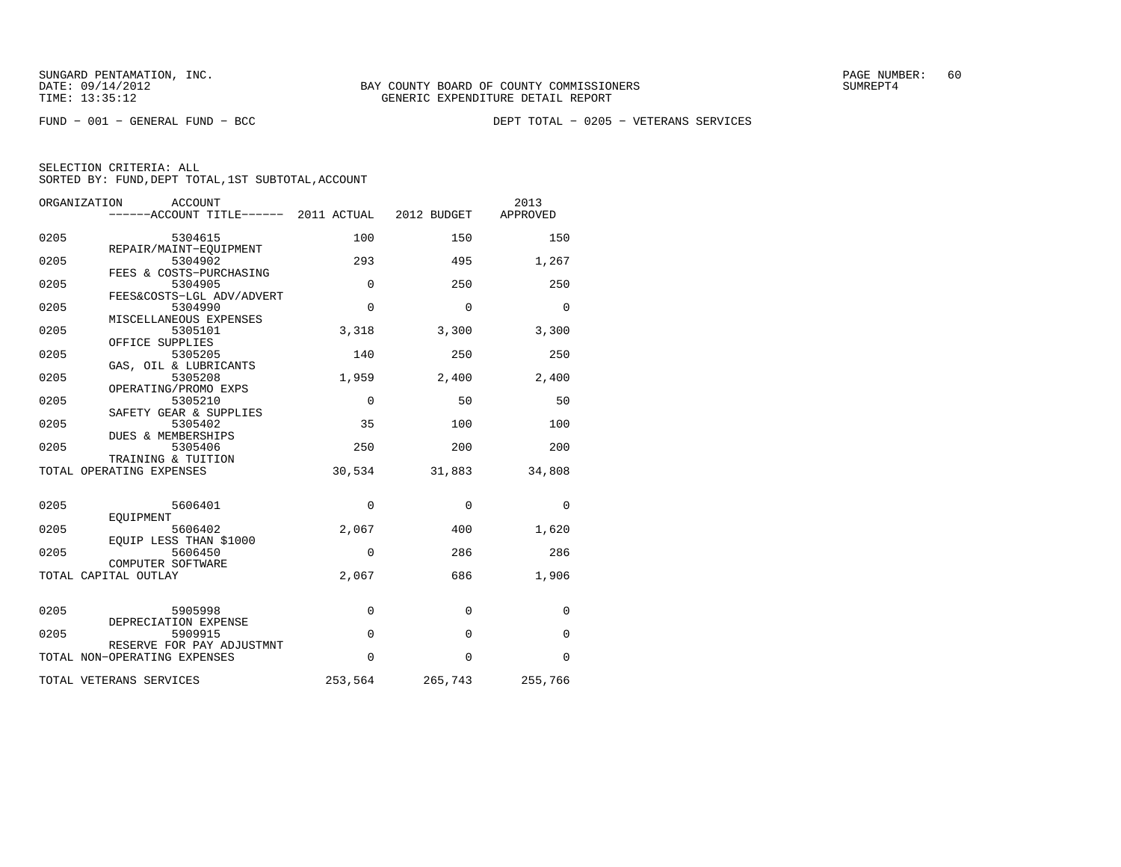FUND − 001 − GENERAL FUND − BCC DEPT TOTAL − 0205 − VETERANS SERVICES

| ORGANIZATION<br>ACCOUNT<br>------ACCOUNT TITLE------ 2011 ACTUAL |             | 2012 BUDGET  | 2013<br>APPROVED |
|------------------------------------------------------------------|-------------|--------------|------------------|
| 0205<br>5304615                                                  | 100         | 150          | 150              |
| REPAIR/MAINT-EOUIPMENT<br>0205<br>5304902                        | 293         | 495          | 1,267            |
| FEES & COSTS-PURCHASING<br>0205<br>5304905                       | 0           | 250          | 250              |
| FEES&COSTS-LGL ADV/ADVERT<br>0205<br>5304990                     | 0           | $\Omega$     | $\Omega$         |
| MISCELLANEOUS EXPENSES<br>0205<br>5305101                        | 3,318       | 3,300        | 3,300            |
| OFFICE SUPPLIES<br>0205<br>5305205                               | 140         | 250          | 250              |
| GAS, OIL & LUBRICANTS<br>0205<br>5305208                         | 1,959       | 2,400        | 2,400            |
| OPERATING/PROMO EXPS<br>0205<br>5305210                          | $\mathbf 0$ | 50           | 50               |
| SAFETY GEAR & SUPPLIES<br>0205<br>5305402                        | 35          | 100          | 100              |
| DUES & MEMBERSHIPS<br>0205<br>5305406                            | 250         | 200          | 200              |
| TRAINING & TUITION<br>TOTAL OPERATING EXPENSES                   | 30,534      | 31,883       | 34,808           |
|                                                                  |             |              |                  |
| 0205<br>5606401<br>EOUIPMENT                                     | $\mathbf 0$ | $\mathbf 0$  | $\Omega$         |
| 0205<br>5606402<br>EQUIP LESS THAN \$1000                        | 2,067       | 400          | 1,620            |
| 0205<br>5606450<br>COMPUTER SOFTWARE                             | 0           | 286          | 286              |
| TOTAL CAPITAL OUTLAY                                             | 2,067       | 686          | 1,906            |
| 0205<br>5905998                                                  | $\mathbf 0$ | $\mathbf{0}$ | $\mathbf 0$      |
| DEPRECIATION EXPENSE                                             |             |              |                  |
| 0205<br>5909915<br>RESERVE FOR PAY ADJUSTMNT                     | $\mathbf 0$ | $\Omega$     | $\Omega$         |
| TOTAL NON-OPERATING EXPENSES                                     | 0           | $\Omega$     | $\Omega$         |
| TOTAL VETERANS SERVICES                                          | 253,564     | 265,743      | 255,766          |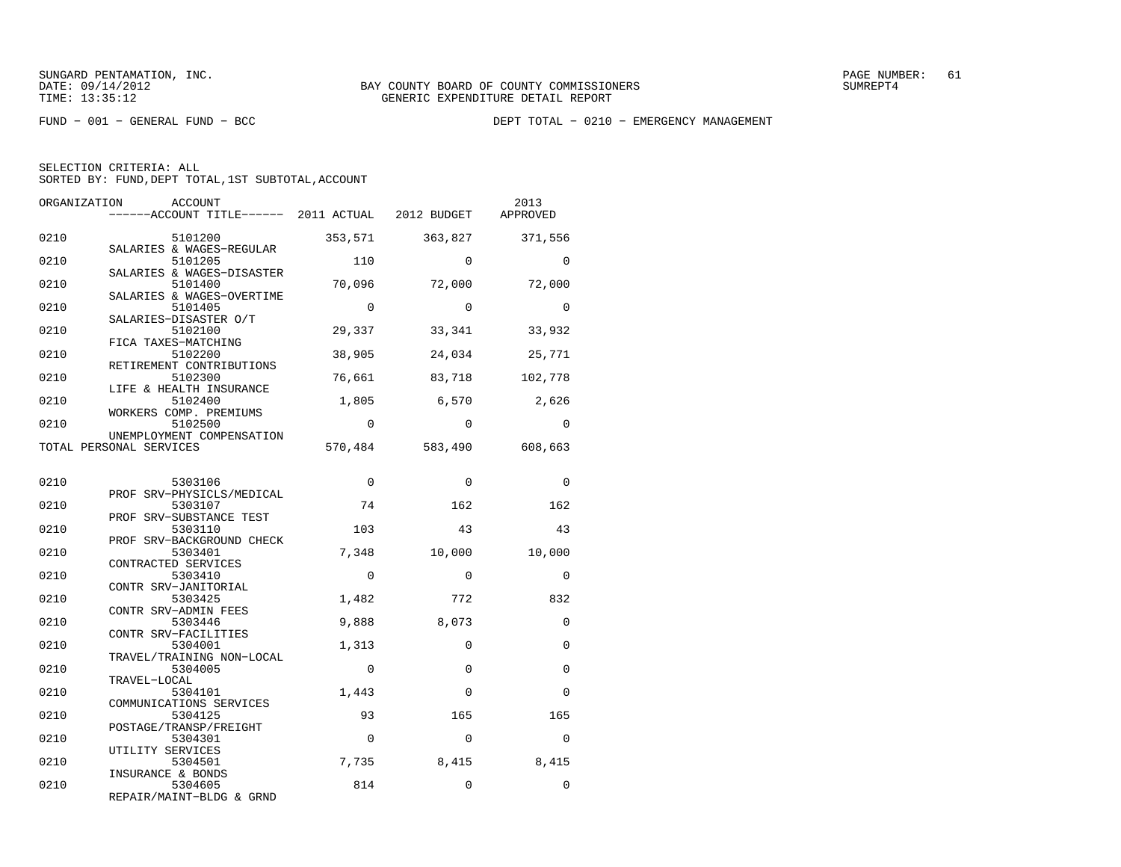FUND − 001 − GENERAL FUND − BCC DEPT TOTAL − 0210 − EMERGENCY MANAGEMENT

SELECTION CRITERIA: ALLSORTED BY: FUND, DEPT TOTAL, 1ST SUBTOTAL, ACCOUNT

| ORGANIZATION            | <b>ACCOUNT</b><br>------ACCOUNT TITLE------ 2011 ACTUAL 2012 BUDGET |             |                 | 2013<br>APPROVED |
|-------------------------|---------------------------------------------------------------------|-------------|-----------------|------------------|
| 0210                    | 5101200                                                             | 353,571     | 363,827         | 371,556          |
| 0210                    | SALARIES & WAGES-REGULAR<br>5101205                                 | 110         | $\Omega$        | $\Omega$         |
| 0210                    | SALARIES & WAGES-DISASTER<br>5101400                                | 70,096      | 72,000          | 72,000           |
| 0210                    | SALARIES & WAGES-OVERTIME<br>5101405<br>SALARIES-DISASTER O/T       | $\Omega$    | $\Omega$        | $\Omega$         |
| 0210                    | 5102100                                                             | 29,337      | 33,341          | 33,932           |
| 0210                    | FICA TAXES-MATCHING<br>5102200<br>RETIREMENT CONTRIBUTIONS          | 38,905      | 24,034          | 25,771           |
| 0210                    | 5102300<br>LIFE & HEALTH INSURANCE                                  | 76,661      | 83,718          | 102,778          |
| 0210                    | 5102400<br>WORKERS COMP. PREMIUMS                                   | 1,805       | 6,570           | 2,626            |
| 0210                    | 5102500<br>UNEMPLOYMENT COMPENSATION                                | $\Omega$    | $\Omega$        | $\Omega$         |
| TOTAL PERSONAL SERVICES |                                                                     |             | 570,484 583,490 | 608,663          |
| 0210                    | 5303106                                                             | $\mathbf 0$ | $\Omega$        | $\mathbf 0$      |
| 0210                    | PROF SRV-PHYSICLS/MEDICAL<br>5303107                                | 74          | 162             | 162              |
| 0210                    | PROF SRV-SUBSTANCE TEST<br>5303110                                  | 103         | 43              | 43               |
| 0210                    | PROF SRV-BACKGROUND CHECK<br>5303401                                | 7,348       | 10,000          | 10,000           |
| 0210                    | CONTRACTED SERVICES<br>5303410                                      | $\Omega$    | $\Omega$        | $\Omega$         |
| 0210                    | CONTR SRV-JANITORIAL<br>5303425<br>CONTR SRV-ADMIN FEES             | 1,482       | 772             | 832              |
| 0210                    | 5303446<br>CONTR SRV-FACILITIES                                     | 9,888       | 8,073           | $\Omega$         |
| 0210                    | 5304001<br>TRAVEL/TRAINING NON-LOCAL                                | 1,313       | $\mathbf 0$     | 0                |
| 0210                    | 5304005<br>TRAVEL-LOCAL                                             | $\mathbf 0$ | $\Omega$        | $\Omega$         |
| 0210                    | 5304101<br>COMMUNICATIONS SERVICES                                  | 1,443       | $\Omega$        | $\Omega$         |
| 0210                    | 5304125<br>POSTAGE/TRANSP/FREIGHT                                   | 93          | 165             | 165              |
| 0210                    | 5304301<br>UTILITY SERVICES                                         | $\mathbf 0$ | $\mathbf 0$     | 0                |
| 0210                    | 5304501<br>INSURANCE & BONDS                                        | 7,735       | 8,415           | 8,415            |
| 0210                    | 5304605<br>תזותים מתחים יחזות הוא מדגם                              | 814         | 0               | $\Omega$         |

REPAIR/MAINT−BLDG & GRND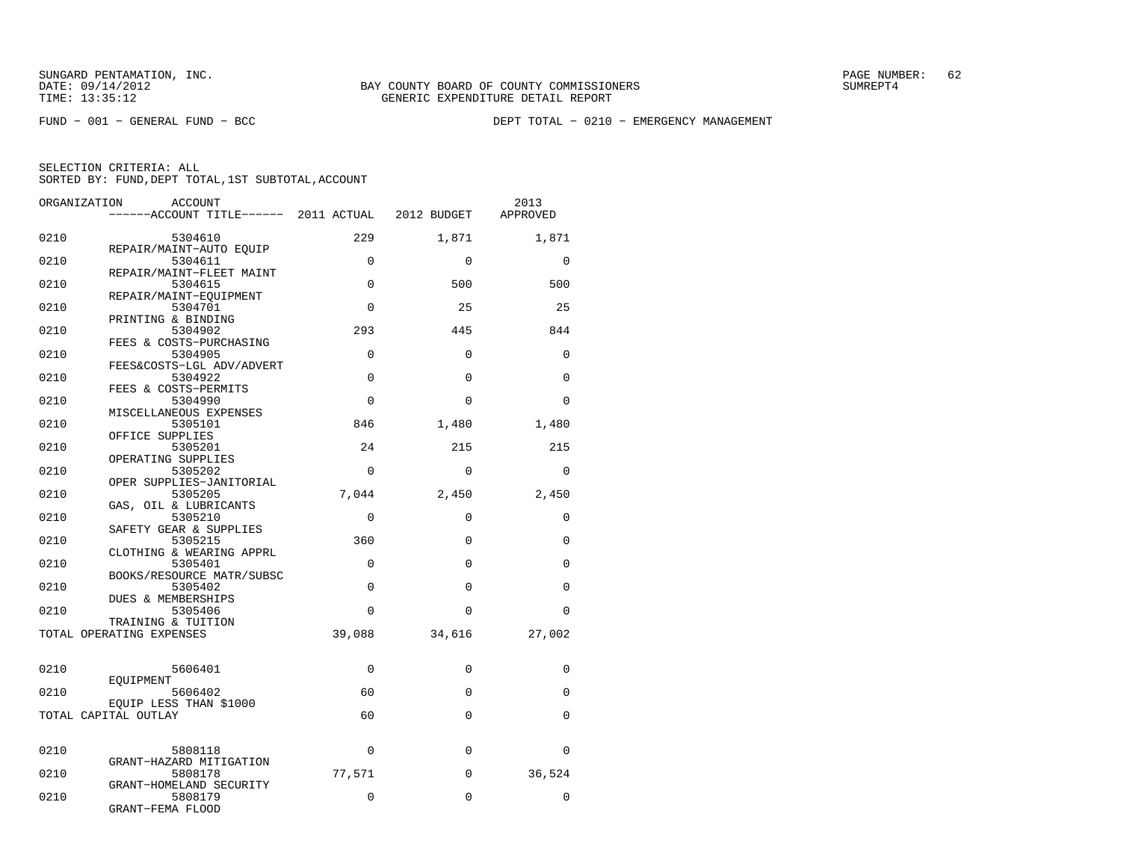FUND − 001 − GENERAL FUND − BCC DEPT TOTAL − 0210 − EMERGENCY MANAGEMENT

| ORGANIZATION | ACCOUNT                                        |             |             | 2013     |
|--------------|------------------------------------------------|-------------|-------------|----------|
|              |                                                |             |             | APPROVED |
| 0210         | 5304610                                        | 229         | 1,871       | 1,871    |
| 0210         | REPAIR/MAINT-AUTO EQUIP<br>5304611             | $\mathbf 0$ | $\Omega$    | $\Omega$ |
| 0210         | REPAIR/MAINT-FLEET MAINT<br>5304615            | $\Omega$    | 500         | 500      |
| 0210         | REPAIR/MAINT-EOUIPMENT<br>5304701              | $\Omega$    | 25          | 25       |
| 0210         | PRINTING & BINDING<br>5304902                  | 293         | 445         | 844      |
| 0210         | FEES & COSTS-PURCHASING<br>5304905             | $\Omega$    | $\Omega$    | $\Omega$ |
| 0210         | FEES&COSTS-LGL ADV/ADVERT<br>5304922           | $\mathbf 0$ | $\Omega$    | $\Omega$ |
| 0210         | FEES & COSTS-PERMITS                           | $\Omega$    | $\Omega$    | $\Omega$ |
|              | 5304990<br>MISCELLANEOUS EXPENSES              |             |             |          |
| 0210         | 5305101<br>OFFICE SUPPLIES                     | 846         | 1,480       | 1,480    |
| 0210         | 5305201<br>OPERATING SUPPLIES                  | 24          | 215         | 215      |
| 0210         | 5305202<br>OPER SUPPLIES-JANITORIAL            | $\Omega$    | $\Omega$    | $\Omega$ |
| 0210         | 5305205<br>GAS, OIL & LUBRICANTS               | 7,044       | 2,450       | 2,450    |
| 0210         | 5305210<br>SAFETY GEAR & SUPPLIES              | $\mathbf 0$ | $\Omega$    | $\Omega$ |
| 0210         | 5305215<br>CLOTHING & WEARING APPRL            | 360         | $\Omega$    | $\Omega$ |
| 0210         | 5305401                                        | $\mathbf 0$ | $\mathbf 0$ | $\Omega$ |
| 0210         | BOOKS/RESOURCE MATR/SUBSC<br>5305402           | $\Omega$    | $\Omega$    | $\Omega$ |
| 0210         | DUES & MEMBERSHIPS<br>5305406                  | $\Omega$    | $\Omega$    | $\Omega$ |
|              | TRAINING & TUITION<br>TOTAL OPERATING EXPENSES | 39,088      | 34,616      | 27,002   |
| 0210         | 5606401                                        | 0           | $\Omega$    | $\Omega$ |
| 0210         | EOUIPMENT<br>5606402                           | 60          | $\Omega$    | $\Omega$ |
|              | EQUIP LESS THAN \$1000<br>TOTAL CAPITAL OUTLAY | 60          | $\Omega$    | $\Omega$ |
| 0210         | 5808118                                        | $\mathbf 0$ | $\Omega$    | $\Omega$ |
| 0210         | GRANT-HAZARD MITIGATION<br>5808178             | 77,571      | 0           | 36,524   |
| 0210         | GRANT-HOMELAND SECURITY<br>5808179             | $\mathbf 0$ | $\Omega$    | $\Omega$ |
|              | GRANT-FEMA FLOOD                               |             |             |          |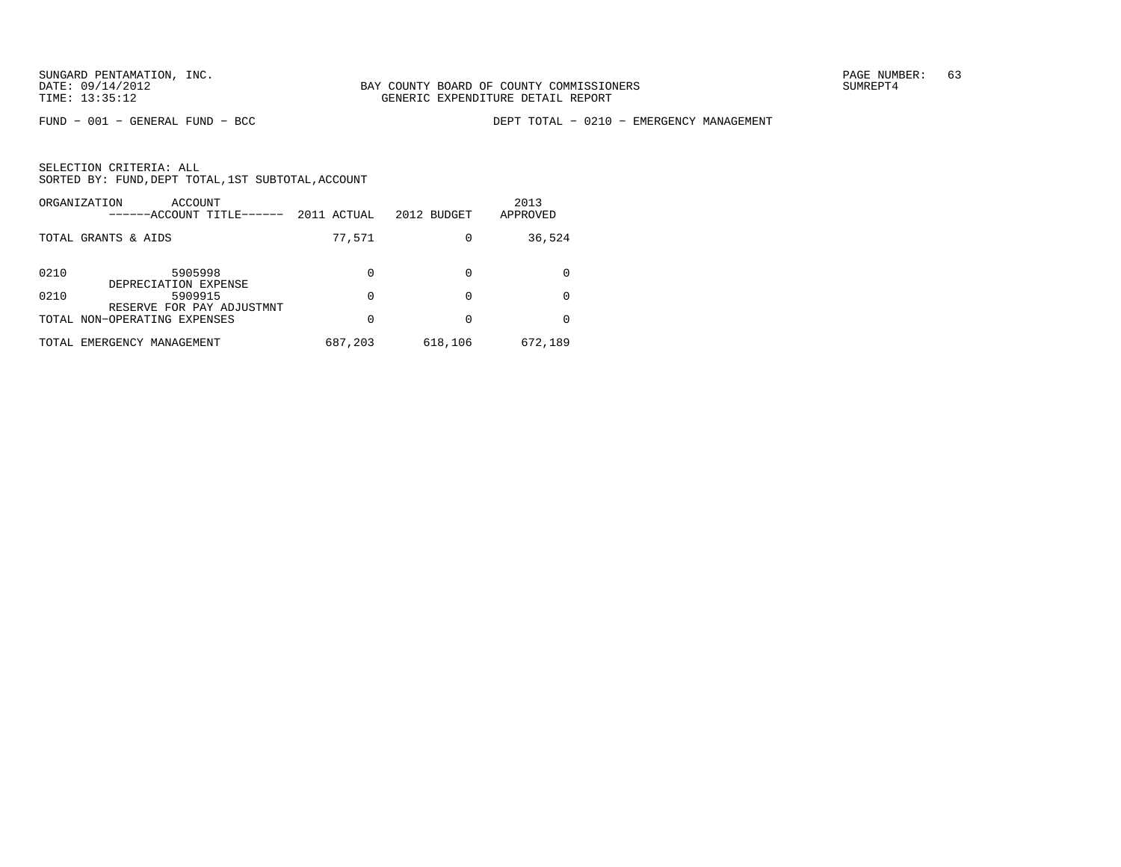FUND − 001 − GENERAL FUND − BCC DEPT TOTAL − 0210 − EMERGENCY MANAGEMENT

| ORGANIZATION<br>ACCOUNT<br>-----ACCOUNT TITLE------ | 2011 ACTUAL | 2012 BUDGET | 2013<br>APPROVED |
|-----------------------------------------------------|-------------|-------------|------------------|
| TOTAL GRANTS & AIDS                                 | 77,571      |             | 36,524           |
| 0210<br>5905998<br>DEPRECIATION EXPENSE             | $\Omega$    |             |                  |
| 0210<br>5909915<br>RESERVE FOR PAY ADJUSTMNT        | $\Omega$    | $\Omega$    |                  |
| TOTAL NON-OPERATING EXPENSES                        | 0           |             |                  |
| TOTAL EMERGENCY MANAGEMENT                          | 687,203     | 618,106     | 672,189          |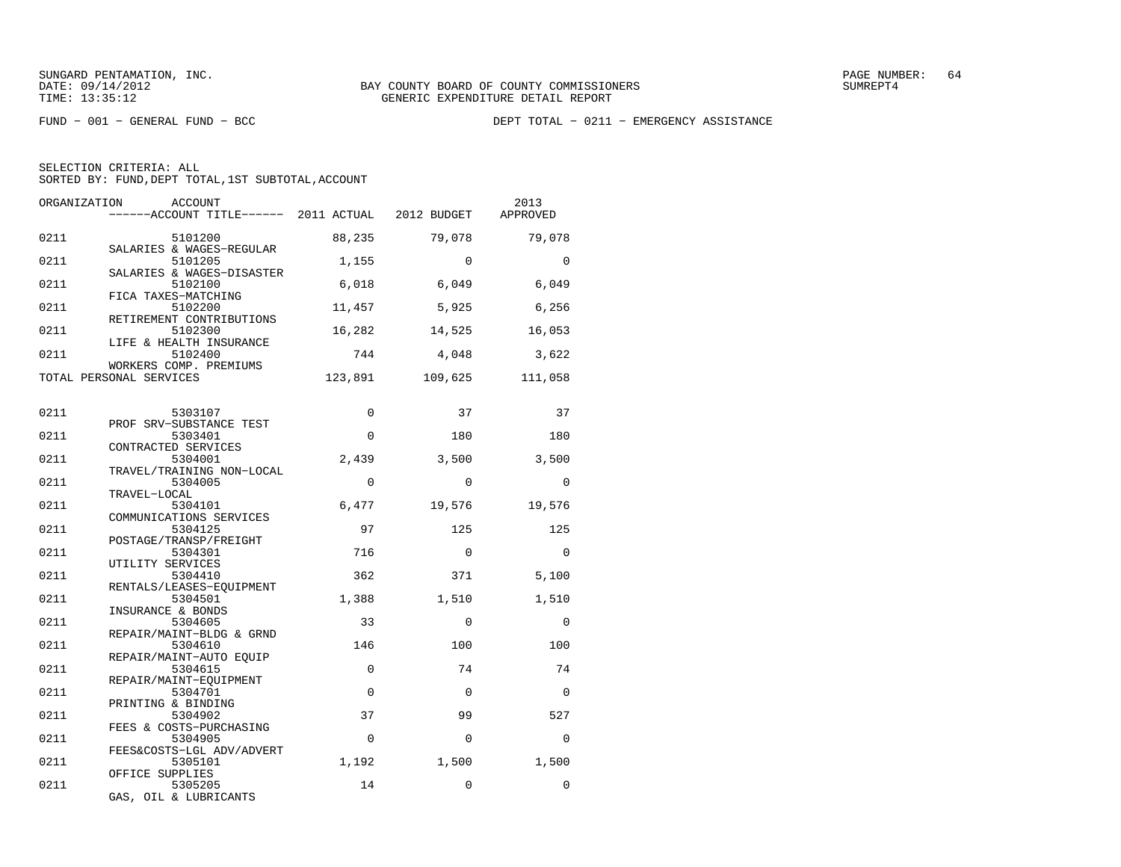FUND − 001 − GENERAL FUND − BCC DEPT TOTAL − 0211 − EMERGENCY ASSISTANCE

| ORGANIZATION | <b>ACCOUNT</b><br>$----ACCOUNT$ TITLE $--- 2011$ ACTUAL 2012 BUDGET |             |             | 2013<br>APPROVED |
|--------------|---------------------------------------------------------------------|-------------|-------------|------------------|
| 0211         | 5101200<br>SALARIES & WAGES-REGULAR                                 | 88,235      | 79,078      | 79,078           |
| 0211         | 5101205                                                             | 1,155       | $\Omega$    | $\Omega$         |
| 0211         | SALARIES & WAGES-DISASTER<br>5102100<br>FICA TAXES-MATCHING         | 6,018       | 6,049       | 6,049            |
| 0211         | 5102200<br>RETIREMENT CONTRIBUTIONS                                 | 11,457      | 5,925       | 6,256            |
| 0211         | 5102300<br>LIFE & HEALTH INSURANCE                                  | 16,282      | 14,525      | 16,053           |
| 0211         | 5102400<br>WORKERS COMP. PREMIUMS                                   | 744         | 4,048       | 3,622            |
|              | TOTAL PERSONAL SERVICES                                             | 123,891     | 109,625     | 111,058          |
| 0211         | 5303107                                                             | $\Omega$    | 37          | 37               |
| 0211         | PROF SRV-SUBSTANCE TEST<br>5303401                                  | $\Omega$    | 180         | 180              |
| 0211         | CONTRACTED SERVICES<br>5304001                                      | 2,439       | 3,500       | 3,500            |
| 0211         | TRAVEL/TRAINING NON-LOCAL<br>5304005                                | $\Omega$    | $\Omega$    | $\Omega$         |
| 0211         | TRAVEL-LOCAL<br>5304101                                             | 6,477       | 19,576      | 19,576           |
| 0211         | COMMUNICATIONS SERVICES<br>5304125                                  | 97          | 125         | 125              |
| 0211         | POSTAGE/TRANSP/FREIGHT<br>5304301                                   | 716         | $\Omega$    | $\Omega$         |
| 0211         | UTILITY SERVICES<br>5304410                                         | 362         | 371         | 5,100            |
| 0211         | RENTALS/LEASES-EOUIPMENT<br>5304501                                 | 1,388       | 1,510       | 1,510            |
| 0211         | INSURANCE & BONDS<br>5304605                                        | 33          | $\Omega$    | $\Omega$         |
| 0211         | REPAIR/MAINT-BLDG & GRND<br>5304610                                 | 146         | 100         | 100              |
| 0211         | REPAIR/MAINT-AUTO EOUIP<br>5304615                                  | $\mathbf 0$ | 74          | 74               |
| 0211         | REPAIR/MAINT-EOUIPMENT<br>5304701                                   | $\mathbf 0$ | $\Omega$    | $\Omega$         |
| 0211         | PRINTING & BINDING<br>5304902                                       | 37          | 99          | 527              |
| 0211         | FEES & COSTS-PURCHASING<br>5304905                                  | $\mathbf 0$ | $\Omega$    | $\Omega$         |
| 0211         | FEES&COSTS-LGL ADV/ADVERT<br>5305101                                | 1,192       | 1,500       | 1,500            |
| 0211         | OFFICE SUPPLIES<br>5305205<br>GAS, OIL & LUBRICANTS                 | 14          | $\mathbf 0$ | $\Omega$         |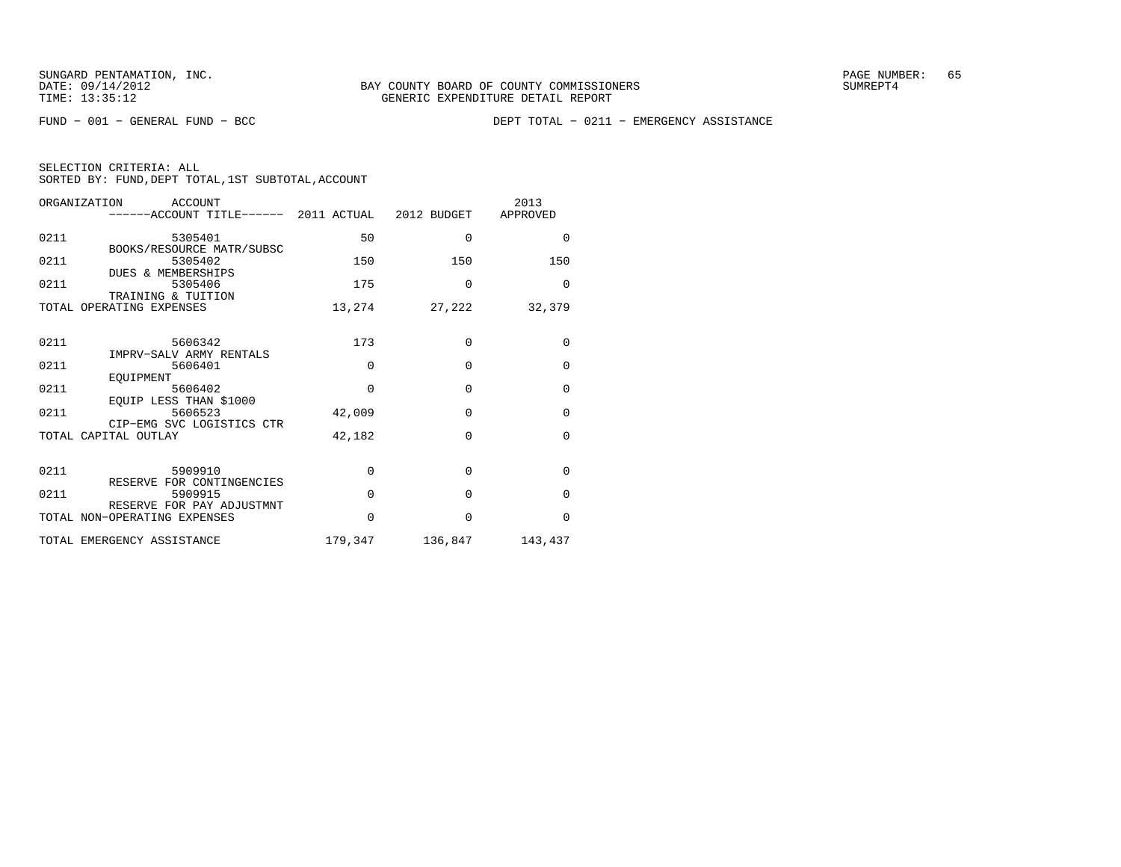FUND − 001 − GENERAL FUND − BCC DEPT TOTAL − 0211 − EMERGENCY ASSISTANCE

|  | SELECTION CRITERIA: ALL                            |  |  |
|--|----------------------------------------------------|--|--|
|  | SORTED BY: FUND, DEPT TOTAL, 1ST SUBTOTAL, ACCOUNT |  |  |

|      | ORGANIZATION<br>ACCOUNT<br>------ACCOUNT TITLE------ 2011 ACTUAL 2012 BUDGET APPROVED |          |                         | 2013         |
|------|---------------------------------------------------------------------------------------|----------|-------------------------|--------------|
| 0211 | 5305401                                                                               | 50       | $\Omega$                | $\Omega$     |
| 0211 | BOOKS/RESOURCE MATR/SUBSC<br>5305402<br><b>DUES &amp; MEMBERSHIPS</b>                 | 150      | 150                     | 150          |
| 0211 | 5305406<br>TRAINING & TUITION                                                         | 175      | $\Omega$                | $\Omega$     |
|      | TOTAL OPERATING EXPENSES                                                              | 13,274   | 27,222                  | 32,379       |
| 0211 | 5606342                                                                               | 173      | $\Omega$                | $\mathbf 0$  |
| 0211 | IMPRV-SALV ARMY RENTALS<br>5606401<br>EOUIPMENT                                       | $\Omega$ | $\Omega$                | $\mathbf{0}$ |
| 0211 | 5606402<br>EQUIP LESS THAN \$1000                                                     | $\Omega$ | $\Omega$                | $\mathbf{0}$ |
| 0211 | 5606523<br>CIP-EMG SVC LOGISTICS CTR                                                  | 42,009   | $\Omega$                | $\mathbf{0}$ |
|      | TOTAL CAPITAL OUTLAY                                                                  | 42,182   | $\Omega$                | $\Omega$     |
| 0211 | 5909910<br>RESERVE FOR CONTINGENCIES                                                  | $\Omega$ | $\Omega$                | $\Omega$     |
| 0211 | 5909915                                                                               | $\Omega$ | $\Omega$                | $\mathbf{0}$ |
|      | RESERVE FOR PAY ADJUSTMNT<br>TOTAL NON-OPERATING EXPENSES                             | $\Omega$ | $\Omega$                | $\Omega$     |
|      | TOTAL EMERGENCY ASSISTANCE                                                            |          | 179,347 136,847 143,437 |              |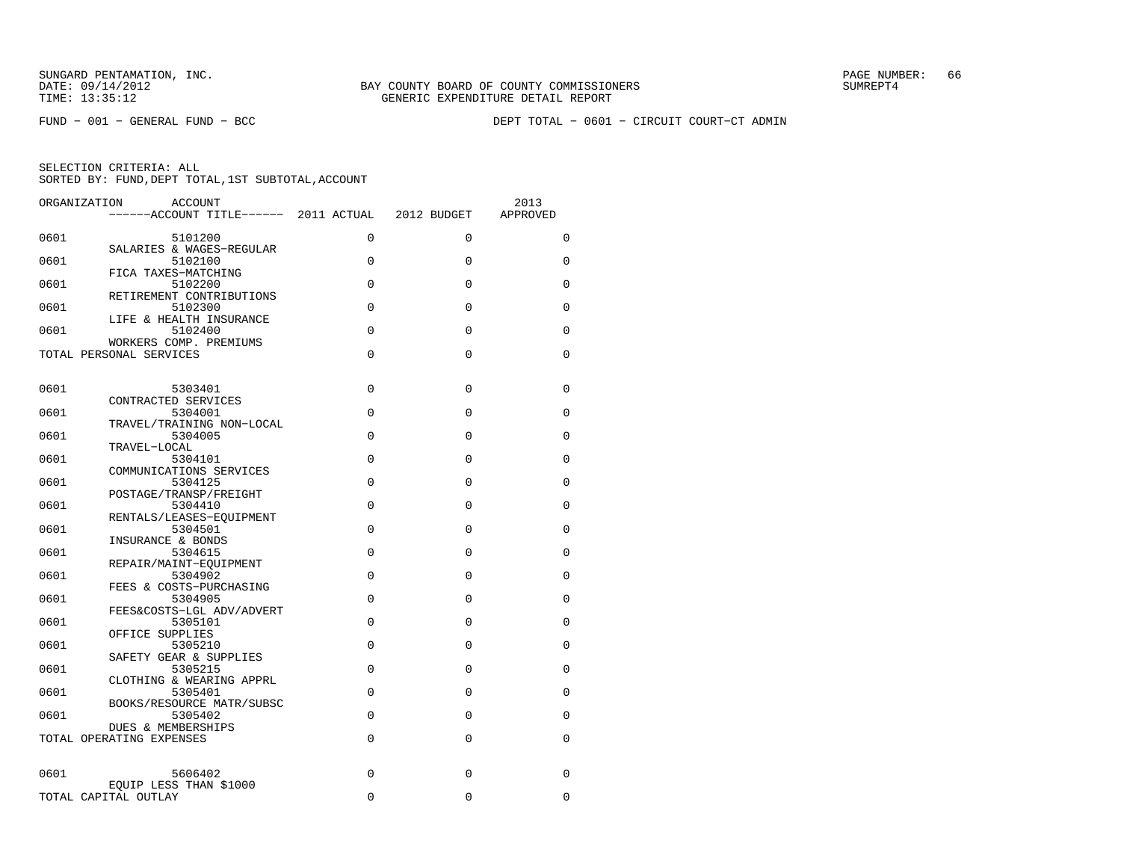FUND − 001 − GENERAL FUND − BCC DEPT TOTAL − 0601 − CIRCUIT COURT−CT ADMIN

| ORGANIZATION | <b>ACCOUNT</b><br>------ACCOUNT TITLE------ 2011 ACTUAL 2012 BUDGET |             |             | 2013<br>APPROVED |
|--------------|---------------------------------------------------------------------|-------------|-------------|------------------|
| 0601         | 5101200                                                             | 0           | $\Omega$    | $\Omega$         |
| 0601         | SALARIES & WAGES-REGULAR<br>5102100                                 | 0           | $\Omega$    | 0                |
| 0601         | FICA TAXES-MATCHING<br>5102200                                      | $\Omega$    | $\Omega$    | $\Omega$         |
| 0601         | RETIREMENT CONTRIBUTIONS<br>5102300                                 | 0           | $\Omega$    | 0                |
|              | LIFE & HEALTH INSURANCE                                             |             |             |                  |
| 0601         | 5102400<br>WORKERS COMP. PREMIUMS                                   | $\Omega$    | $\Omega$    | $\Omega$         |
|              | TOTAL PERSONAL SERVICES                                             | $\Omega$    | $\mathbf 0$ | $\Omega$         |
| 0601         | 5303401                                                             | $\Omega$    | $\Omega$    | $\Omega$         |
| 0601         | CONTRACTED SERVICES<br>5304001                                      | 0           | $\mathbf 0$ | 0                |
| 0601         | TRAVEL/TRAINING NON-LOCAL<br>5304005                                | $\Omega$    | $\Omega$    | $\Omega$         |
| 0601         | TRAVEL-LOCAL<br>5304101                                             | $\Omega$    | $\Omega$    | $\Omega$         |
|              | COMMUNICATIONS SERVICES                                             |             |             |                  |
| 0601         | 5304125<br>POSTAGE/TRANSP/FREIGHT                                   | 0           | $\Omega$    | 0                |
| 0601         | 5304410<br>RENTALS/LEASES-EQUIPMENT                                 | $\Omega$    | $\Omega$    | $\Omega$         |
| 0601         | 5304501<br>INSURANCE & BONDS                                        | 0           | $\Omega$    | 0                |
| 0601         | 5304615                                                             | $\Omega$    | $\Omega$    | $\Omega$         |
| 0601         | REPAIR/MAINT-EQUIPMENT<br>5304902                                   | 0           | 0           | 0                |
| 0601         | FEES & COSTS-PURCHASING<br>5304905                                  | $\Omega$    | $\Omega$    | $\Omega$         |
| 0601         | FEES&COSTS-LGL ADV/ADVERT<br>5305101                                | $\Omega$    | $\mathbf 0$ | 0                |
| 0601         | OFFICE SUPPLIES<br>5305210                                          | $\mathbf 0$ | $\Omega$    | 0                |
| 0601         | SAFETY GEAR & SUPPLIES<br>5305215                                   | $\Omega$    | $\Omega$    | $\Omega$         |
| 0601         | CLOTHING & WEARING APPRL<br>5305401                                 | 0           | $\mathbf 0$ | 0                |
|              | BOOKS/RESOURCE MATR/SUBSC                                           |             |             |                  |
| 0601         | 5305402<br><b>DUES &amp; MEMBERSHIPS</b>                            | $\Omega$    | $\Omega$    | $\Omega$         |
|              | TOTAL OPERATING EXPENSES                                            | 0           | $\mathbf 0$ | 0                |
| 0601         | 5606402                                                             | $\Omega$    | $\Omega$    | 0                |
|              | EOUIP LESS THAN \$1000<br>TOTAL CAPITAL OUTLAY                      | $\Omega$    | 0           | 0                |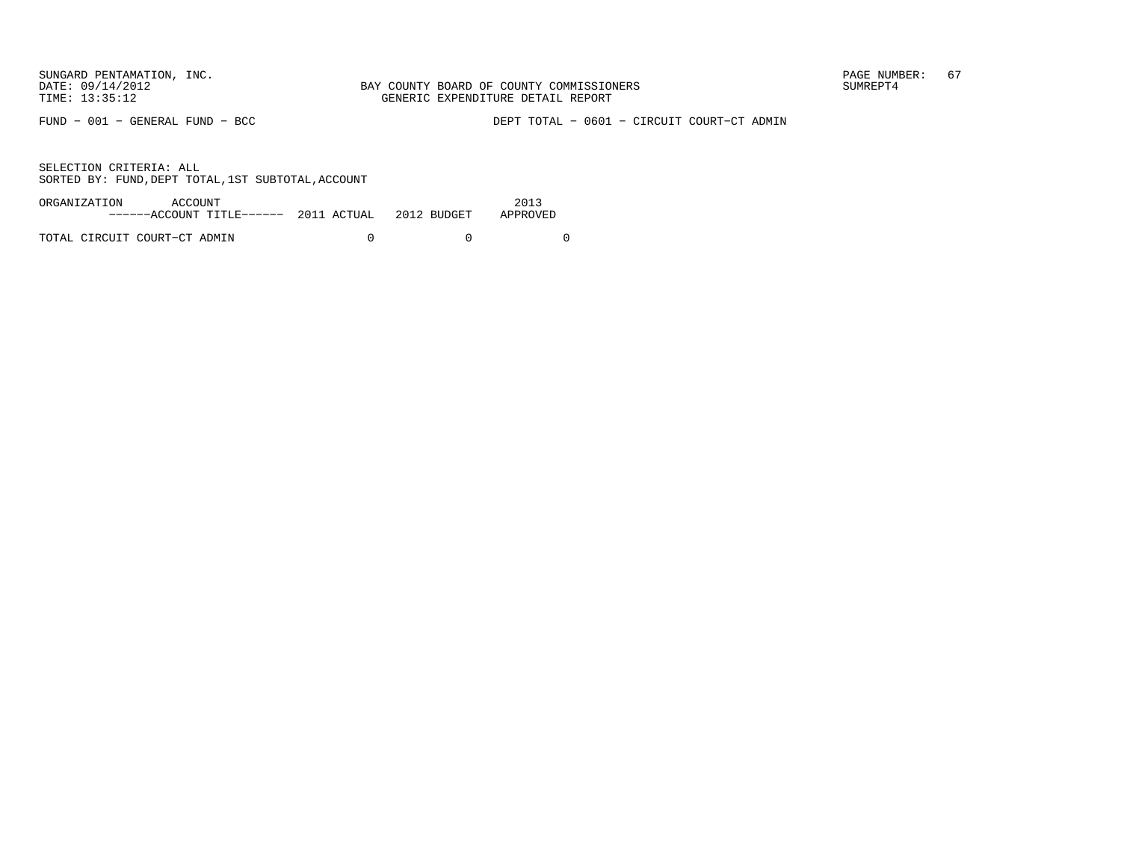FUND − 001 − GENERAL FUND − BCC DEPT TOTAL − 0601 − CIRCUIT COURT−CT ADMIN

| ORGANIZATION | ACCOUNT                                            |  | 2013     |
|--------------|----------------------------------------------------|--|----------|
|              | $----ACCOUNT$ TITLE $---2011$ ACTUAL $2012$ BUDGET |  | APPROVED |
|              |                                                    |  |          |
|              | TOTAL CIRCUIT COURT-CT ADMIN                       |  |          |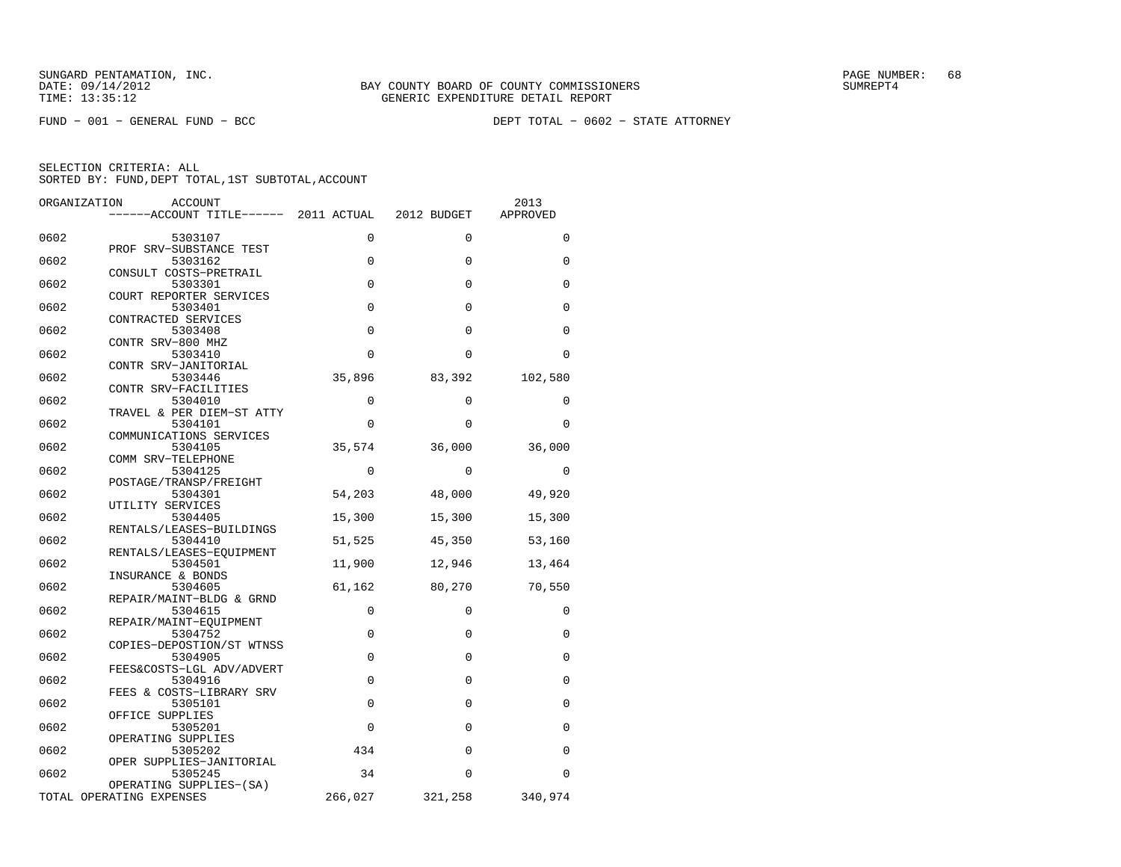| ORGANIZATION | <b>ACCOUNT</b>                                      |             |             | 2013        |
|--------------|-----------------------------------------------------|-------------|-------------|-------------|
|              | ------ACCOUNT TITLE------ 2011 ACTUAL               |             | 2012 BUDGET | APPROVED    |
| 0602         | 5303107                                             | 0           | $\Omega$    | $\Omega$    |
| 0602         | PROF SRV-SUBSTANCE TEST<br>5303162                  | $\mathbf 0$ | 0           | $\mathbf 0$ |
| 0602         | CONSULT COSTS-PRETRAIL<br>5303301                   | $\Omega$    | $\Omega$    | $\mathbf 0$ |
|              | COURT REPORTER SERVICES                             |             |             |             |
| 0602         | 5303401<br>CONTRACTED SERVICES                      | $\mathbf 0$ | 0           | 0           |
| 0602         | 5303408<br>CONTR SRV-800 MHZ                        | $\Omega$    | $\Omega$    | $\Omega$    |
| 0602         | 5303410<br>CONTR SRV-JANITORIAL                     | $\Omega$    | $\Omega$    | $\Omega$    |
| 0602         | 5303446                                             | 35,896      | 83,392      | 102,580     |
| 0602         | CONTR SRV-FACILITIES<br>5304010                     | 0           | $\Omega$    | 0           |
| 0602         | TRAVEL & PER DIEM-ST ATTY<br>5304101                | $\Omega$    | $\Omega$    | $\Omega$    |
| 0602         | COMMUNICATIONS SERVICES<br>5304105                  | 35,574      | 36,000      | 36,000      |
|              | COMM SRV-TELEPHONE                                  |             |             |             |
| 0602         | 5304125<br>POSTAGE/TRANSP/FREIGHT                   | 0           | 0           | 0           |
| 0602         | 5304301<br>UTILITY SERVICES                         | 54,203      | 48,000      | 49,920      |
| 0602         | 5304405<br>RENTALS/LEASES-BUILDINGS                 | 15,300      | 15,300      | 15,300      |
| 0602         | 5304410                                             | 51,525      | 45,350      | 53,160      |
| 0602         | RENTALS/LEASES-EQUIPMENT<br>5304501                 | 11,900      | 12,946      | 13,464      |
| 0602         | INSURANCE & BONDS<br>5304605                        | 61,162      | 80,270      | 70,550      |
| 0602         | REPAIR/MAINT-BLDG & GRND<br>5304615                 | $\mathbf 0$ | $\Omega$    | 0           |
| 0602         | REPAIR/MAINT-EOUIPMENT<br>5304752                   | $\mathbf 0$ | 0           | 0           |
|              | COPIES-DEPOSTION/ST WTNSS                           |             |             |             |
| 0602         | 5304905<br>FEES&COSTS-LGL ADV/ADVERT                | $\Omega$    | $\Omega$    | $\Omega$    |
| 0602         | 5304916<br>FEES & COSTS-LIBRARY SRV                 | $\mathbf 0$ | $\mathbf 0$ | 0           |
| 0602         | 5305101<br>OFFICE SUPPLIES                          | $\Omega$    | $\Omega$    | 0           |
| 0602         | 5305201                                             | $\mathbf 0$ | $\mathbf 0$ | 0           |
| 0602         | OPERATING SUPPLIES<br>5305202                       | 434         | $\mathbf 0$ | $\mathbf 0$ |
| 0602         | OPER SUPPLIES-JANITORIAL<br>5305245                 | 34          | $\Omega$    | $\Omega$    |
|              | OPERATING SUPPLIES-(SA)<br>TOTAL OPERATING EXPENSES | 266,027     | 321,258     | 340,974     |
|              |                                                     |             |             |             |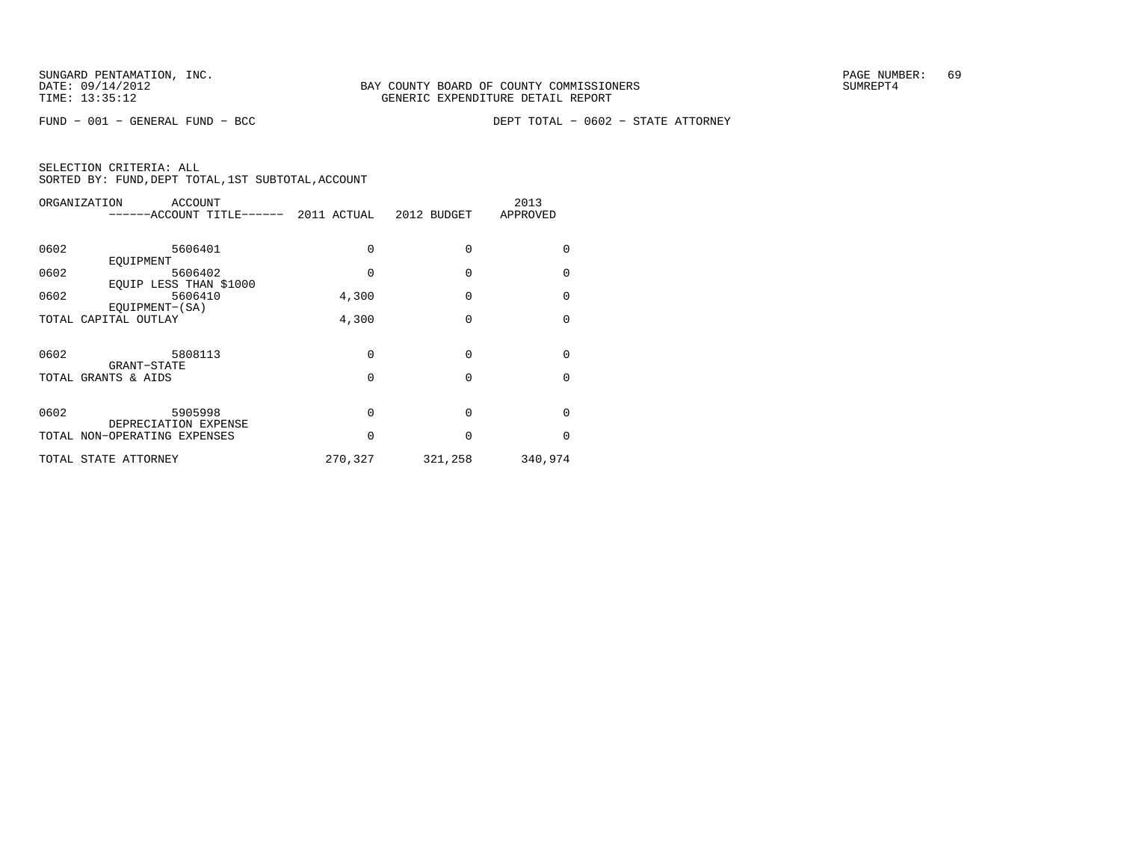| ORGANIZATION | <b>ACCOUNT</b><br>-----ACCOUNT TITLE------          | 2011 ACTUAL  | 2012 BUDGET | 2013<br>APPROVED |
|--------------|-----------------------------------------------------|--------------|-------------|------------------|
| 0602         | 5606401                                             | $\Omega$     | $\Omega$    | $\Omega$         |
| 0602         | EOUIPMENT<br>5606402                                | O            | $\Omega$    | $\Omega$         |
| 0602         | EQUIP LESS THAN \$1000<br>5606410<br>EOUIPMENT-(SA) | 4,300        | $\Omega$    | $\Omega$         |
|              | TOTAL CAPITAL OUTLAY                                | 4,300        | $\Omega$    | $\Omega$         |
| 0602         | 5808113                                             | $\Omega$     | $\Omega$    | $\Omega$         |
|              | GRANT-STATE<br>TOTAL GRANTS & AIDS                  | $\Omega$     | $\Omega$    | $\Omega$         |
| 0602         | 5905998<br>DEPRECIATION EXPENSE                     | $\Omega$     | $\Omega$    | $\Omega$         |
|              | TOTAL NON-OPERATING EXPENSES                        | <sup>0</sup> | $\Omega$    | $\Omega$         |
|              | TOTAL STATE ATTORNEY                                | 270,327      | 321,258     | 340,974          |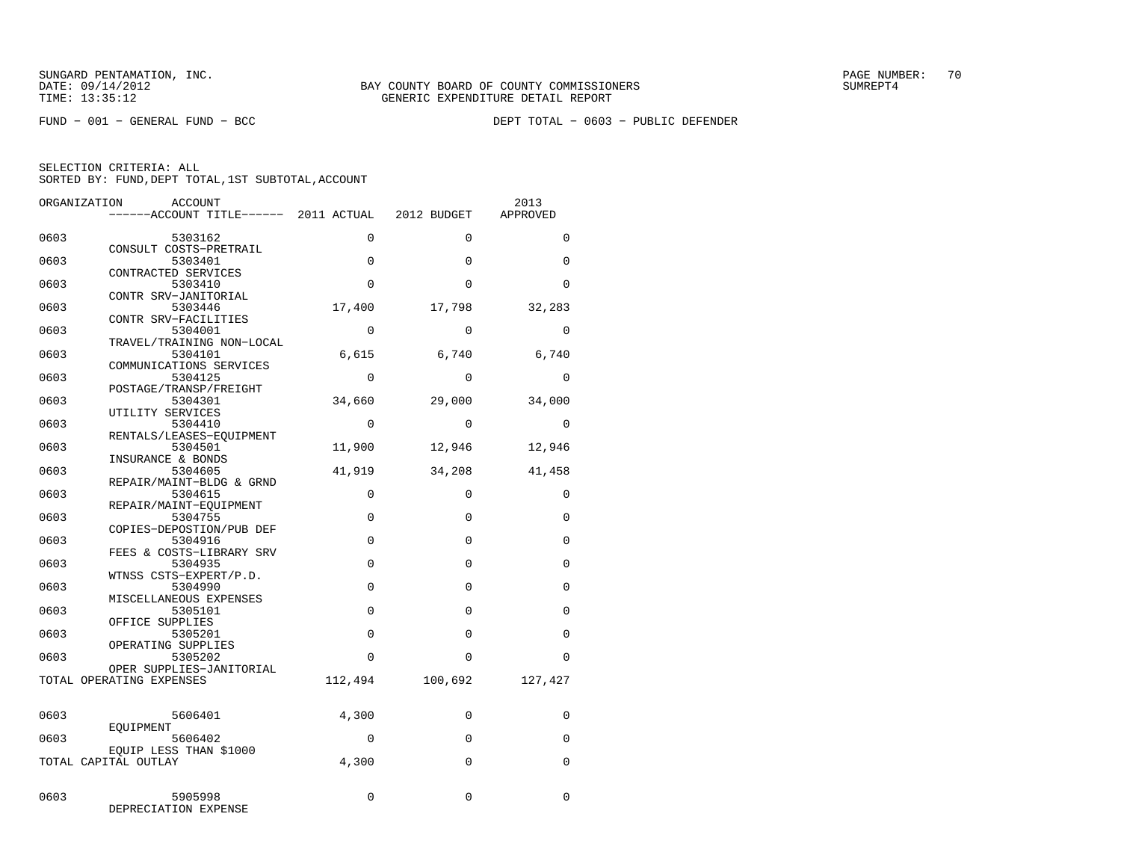FUND − 001 − GENERAL FUND − BCC DEPT TOTAL − 0603 − PUBLIC DEFENDER

| ORGANIZATION | ACCOUNT                              |          |              | 2013        |
|--------------|--------------------------------------|----------|--------------|-------------|
|              | -----ACCOUNT TITLE------ 2011 ACTUAL |          | 2012 BUDGET  | APPROVED    |
| 0603         | 5303162                              | $\Omega$ | $\Omega$     | $\Omega$    |
| 0603         | CONSULT COSTS-PRETRAIL<br>5303401    | 0        | $\Omega$     | $\Omega$    |
|              | CONTRACTED SERVICES                  |          |              |             |
| 0603         | 5303410<br>CONTR SRV-JANITORIAL      | $\Omega$ | $\Omega$     | $\Omega$    |
| 0603         | 5303446                              | 17,400   | 17,798       | 32,283      |
| 0603         | CONTR SRV-FACILITIES<br>5304001      | $\Omega$ | $\Omega$     | $\Omega$    |
| 0603         | TRAVEL/TRAINING NON-LOCAL<br>5304101 | 6,615    | 6,740        | 6,740       |
|              | COMMUNICATIONS SERVICES              |          |              |             |
| 0603         | 5304125<br>POSTAGE/TRANSP/FREIGHT    | $\Omega$ | $\Omega$     | $\Omega$    |
| 0603         | 5304301                              | 34,660   | 29,000       | 34,000      |
| 0603         | UTILITY SERVICES<br>5304410          | $\Omega$ | $\Omega$     | $\Omega$    |
|              | RENTALS/LEASES-EOUIPMENT             |          |              |             |
| 0603         | 5304501<br>INSURANCE & BONDS         | 11,900   | 12,946       | 12,946      |
| 0603         | 5304605<br>REPAIR/MAINT-BLDG & GRND  | 41,919   | 34,208       | 41,458      |
| 0603         | 5304615                              | 0        | $\Omega$     | $\mathbf 0$ |
| 0603         | REPAIR/MAINT-EQUIPMENT<br>5304755    | 0        | $\Omega$     | $\Omega$    |
| 0603         | COPIES-DEPOSTION/PUB DEF<br>5304916  | $\Omega$ | $\Omega$     | $\Omega$    |
|              | FEES & COSTS-LIBRARY SRV             |          |              |             |
| 0603         | 5304935<br>WTNSS CSTS-EXPERT/P.D.    | 0        | 0            | $\Omega$    |
| 0603         | 5304990<br>MISCELLANEOUS EXPENSES    | $\Omega$ | $\Omega$     | $\Omega$    |
| 0603         | 5305101                              | $\Omega$ | $\Omega$     | $\Omega$    |
| 0603         | OFFICE SUPPLIES<br>5305201           | 0        | $\Omega$     | $\Omega$    |
| 0603         | OPERATING SUPPLIES<br>5305202        | 0        | $\Omega$     | $\Omega$    |
|              | OPER SUPPLIES-JANITORIAL             |          |              |             |
|              | TOTAL OPERATING EXPENSES             | 112,494  | 100,692      | 127,427     |
| 0603         | 5606401                              | 4,300    | $\mathbf 0$  | $\Omega$    |
|              | EOUIPMENT                            | $\Omega$ | $\Omega$     | $\Omega$    |
| 0603         | 5606402<br>EOUIP LESS THAN \$1000    |          |              |             |
|              | TOTAL CAPITAL OUTLAY                 | 4,300    | $\mathbf{0}$ | $\Omega$    |
| 0603         | 5905998<br>DEPRECIATION EXPENSE      | $\Omega$ | $\Omega$     | $\Omega$    |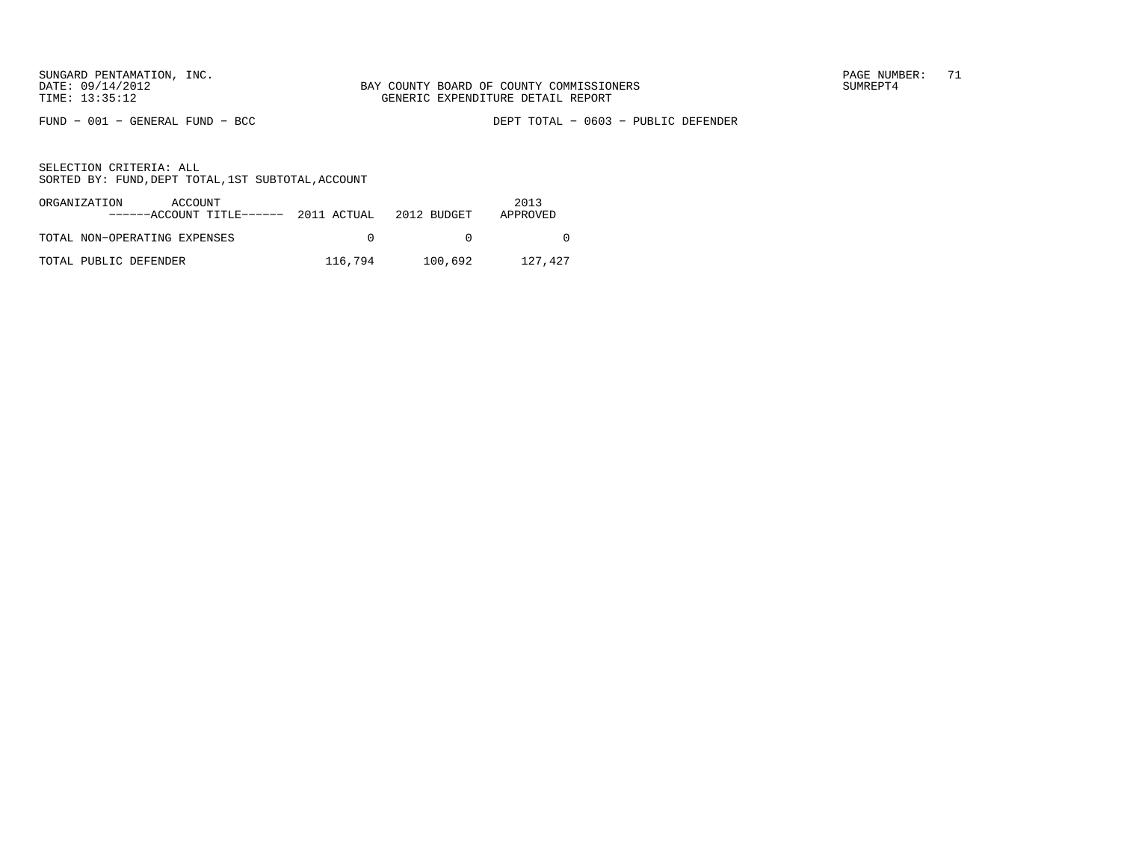FUND − 001 − GENERAL FUND − BCC DEPT TOTAL − 0603 − PUBLIC DEFENDER

| ORGANIZATION<br>ACCOUNT<br>$---ACCOINT TITLE---2011 ACTUAL 2012 BUDGET$ |         |         | 2013<br>APPROVED |
|-------------------------------------------------------------------------|---------|---------|------------------|
| TOTAL NON-OPERATING EXPENSES                                            | $\cap$  |         |                  |
| TOTAL PUBLIC DEFENDER                                                   | 116,794 | 100,692 | 127,427          |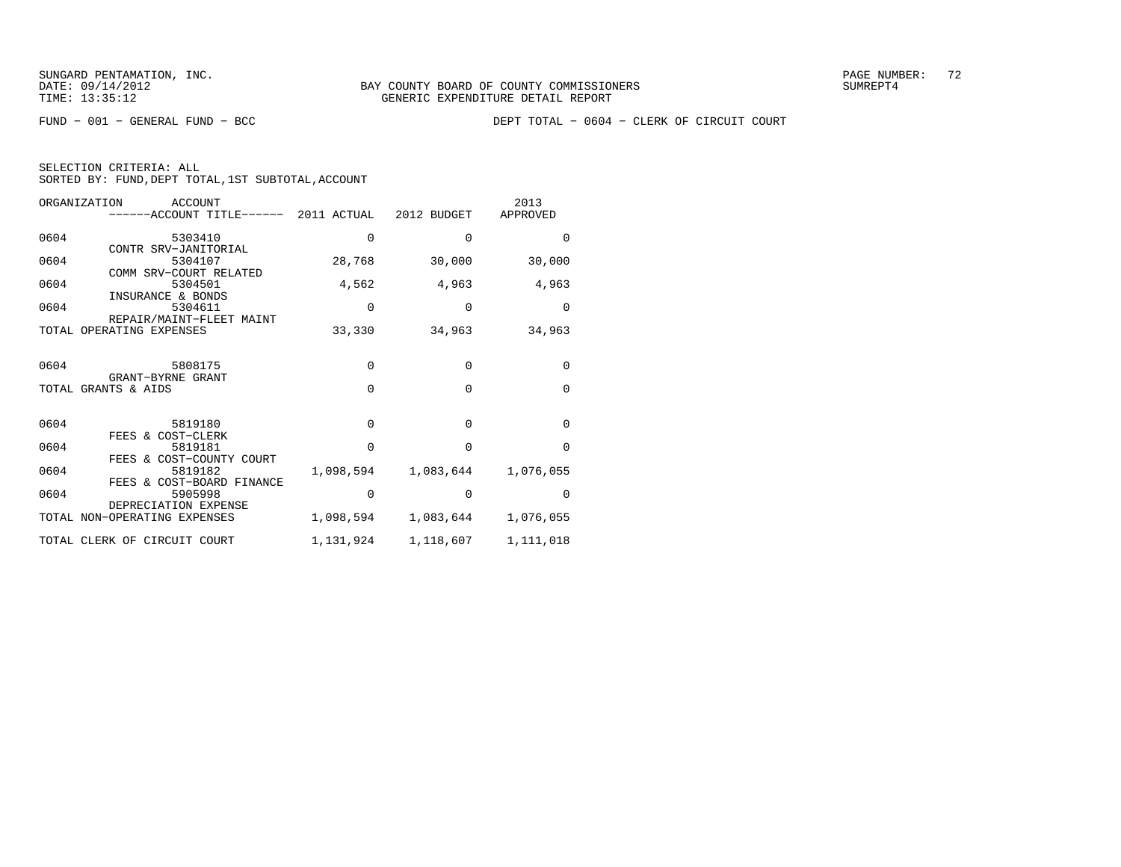| SELECTION CRITERIA: ALL |  |  |                                                    |  |
|-------------------------|--|--|----------------------------------------------------|--|
|                         |  |  | SORTED BY: FUND, DEPT TOTAL, 1ST SUBTOTAL, ACCOUNT |  |

| ORGANIZATION<br>ACCOUNT<br>------ACCOUNT TITLE------ 2011 ACTUAL 2012 BUDGET |           |             | 2013<br>APPROVED |
|------------------------------------------------------------------------------|-----------|-------------|------------------|
| 0604<br>5303410                                                              | $\Omega$  | $\Omega$    | $\Omega$         |
| CONTR SRV-JANITORIAL<br>5304107<br>0604<br>COMM SRV-COURT RELATED            | 28,768    | 30,000      | 30,000           |
| 0604<br>5304501<br>INSURANCE & BONDS                                         | 4,562     | 4,963       | 4,963            |
| 0604<br>5304611<br>REPAIR/MAINT-FLEET MAINT                                  | 0         | $\mathbf 0$ | $\Omega$         |
| TOTAL OPERATING EXPENSES                                                     | 33,330    | 34,963      | 34,963           |
| 0604<br>5808175<br>GRANT-BYRNE GRANT                                         | $\Omega$  | $\Omega$    | $\Omega$         |
| TOTAL GRANTS & AIDS                                                          | $\Omega$  | $\Omega$    | $\Omega$         |
| 0604<br>5819180<br>FEES & COST-CLERK                                         | $\Omega$  | $\Omega$    | $\Omega$         |
| 0604<br>5819181<br>FEES & COST-COUNTY COURT                                  | $\Omega$  | $\Omega$    | $\Omega$         |
| 0604<br>5819182<br>FEES & COST-BOARD FINANCE                                 | 1,098,594 | 1,083,644   | 1,076,055        |
| 0604<br>5905998<br>DEPRECIATION EXPENSE                                      | 0         | $\mathbf 0$ | $\Omega$         |
| TOTAL NON-OPERATING EXPENSES                                                 | 1,098,594 | 1,083,644   | 1,076,055        |
| TOTAL CLERK OF CIRCUIT COURT                                                 | 1,131,924 | 1,118,607   | 1,111,018        |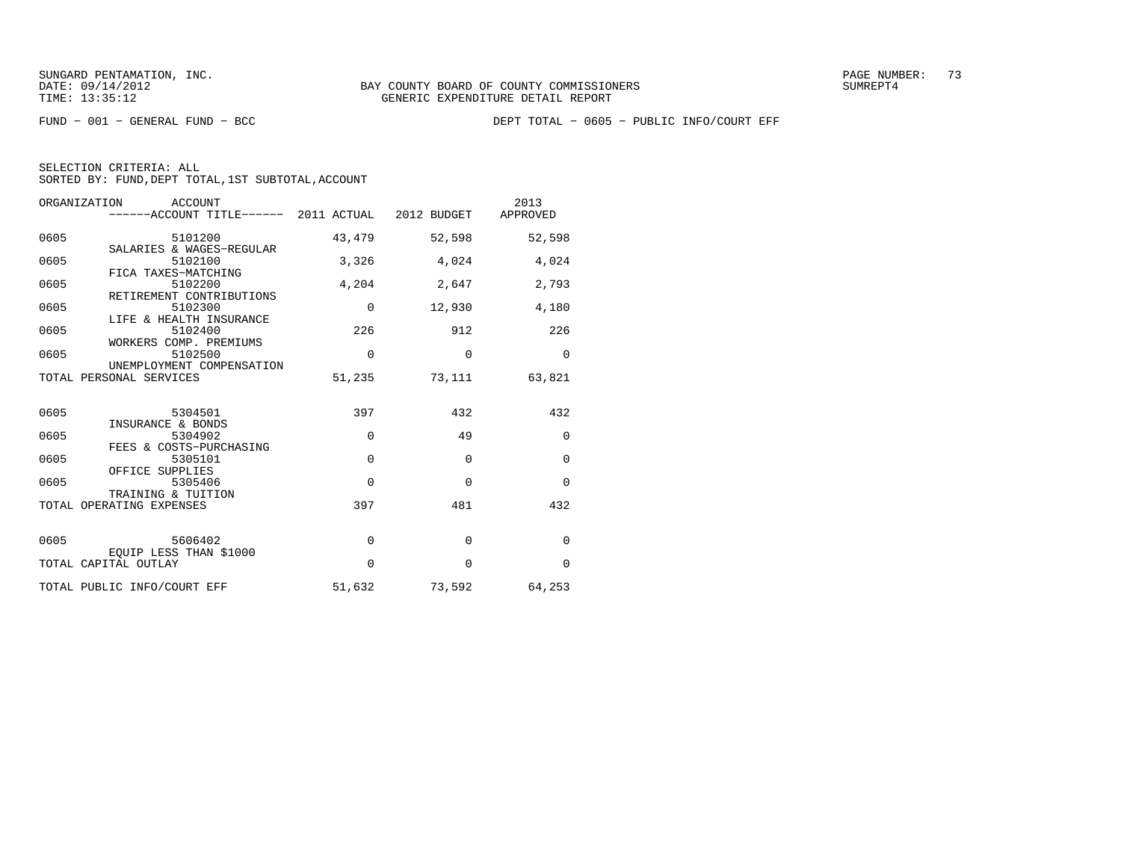| SELECTION CRITERIA: ALL |  |  |                                                    |  |
|-------------------------|--|--|----------------------------------------------------|--|
|                         |  |  | SORTED BY: FUND. DEPT TOTAL. 1ST SUBTOTAL. ACCOUNT |  |

| ORGANIZATION | ACCOUNT<br>------ACCOUNT TITLE------ 2011 ACTUAL 2012 BUDGET APPROVED |             |                      | 2013     |
|--------------|-----------------------------------------------------------------------|-------------|----------------------|----------|
| 0605         | 5101200<br>SALARIES & WAGES-REGULAR                                   | 43,479      | 52,598               | 52,598   |
| 0605         | 5102100                                                               | 3,326       | 4,024                | 4,024    |
| 0605         | FICA TAXES-MATCHING<br>5102200<br>RETIREMENT CONTRIBUTIONS            | 4,204       | 2,647                | 2,793    |
| 0605         | 5102300                                                               | $\mathbf 0$ | 12,930               | 4,180    |
| 0605         | LIFE & HEALTH INSURANCE<br>5102400                                    | 226         | 912                  | 226      |
| 0605         | WORKERS COMP. PREMIUMS<br>5102500<br>UNEMPLOYMENT COMPENSATION        | $\Omega$    | $\Omega$             | $\Omega$ |
|              | TOTAL PERSONAL SERVICES                                               | 51,235      | 73,111               | 63,821   |
| 0605         | 5304501                                                               | 397         | 432                  | 432      |
| 0605         | INSURANCE & BONDS<br>5304902                                          | $\Omega$    | 49                   | $\Omega$ |
| 0605         | FEES & COSTS-PURCHASING<br>5305101                                    | $\Omega$    | $\Omega$             | $\Omega$ |
| 0605         | OFFICE SUPPLIES<br>5305406                                            | $\Omega$    | $\Omega$             | $\Omega$ |
|              | TRAINING & TUITION<br>TOTAL OPERATING EXPENSES                        | 397         | 481                  | 432      |
| 0605         | 5606402<br>EOUIP LESS THAN \$1000                                     | 0           | $\mathbf 0$          | $\Omega$ |
|              | TOTAL CAPITAL OUTLAY                                                  | $\Omega$    | $\Omega$             | $\Omega$ |
|              | TOTAL PUBLIC INFO/COURT EFF                                           |             | 51,632 73,592 64,253 |          |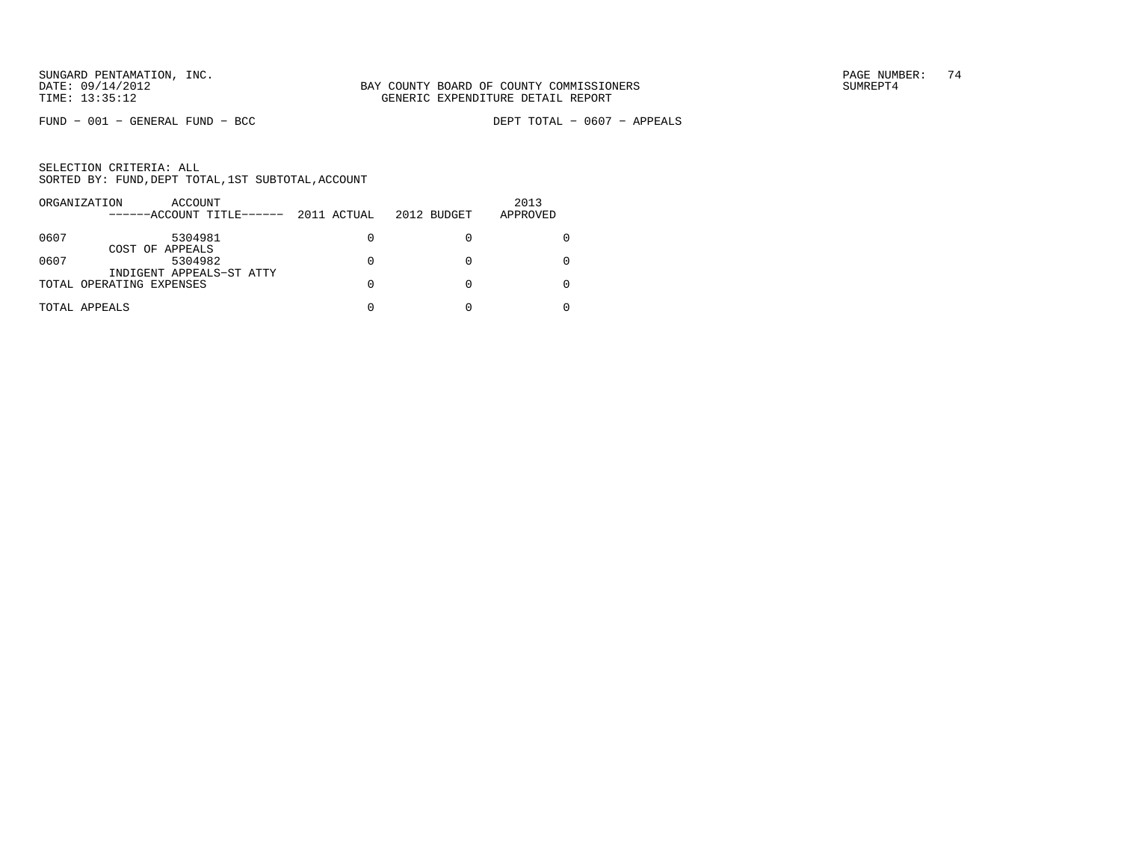$FUND - 001 - GENERAL FUND - BCC$ 

DEPT TOTAL - 0607 - APPEALS

|      | ORGANIZATION<br>ACCOUNT<br>------ACCOUNT TITLE------ | 2011 ACTUAL | 2012 BUDGET | 2013<br>APPROVED |
|------|------------------------------------------------------|-------------|-------------|------------------|
|      |                                                      |             |             |                  |
| 0607 | 5304981                                              | 0           |             |                  |
|      | COST OF APPEALS                                      |             |             |                  |
| 0607 | 5304982                                              |             |             |                  |
|      | INDIGENT APPEALS-ST ATTY                             |             |             |                  |
|      | TOTAL OPERATING EXPENSES                             | U           |             |                  |
|      | TOTAL APPEALS                                        |             |             |                  |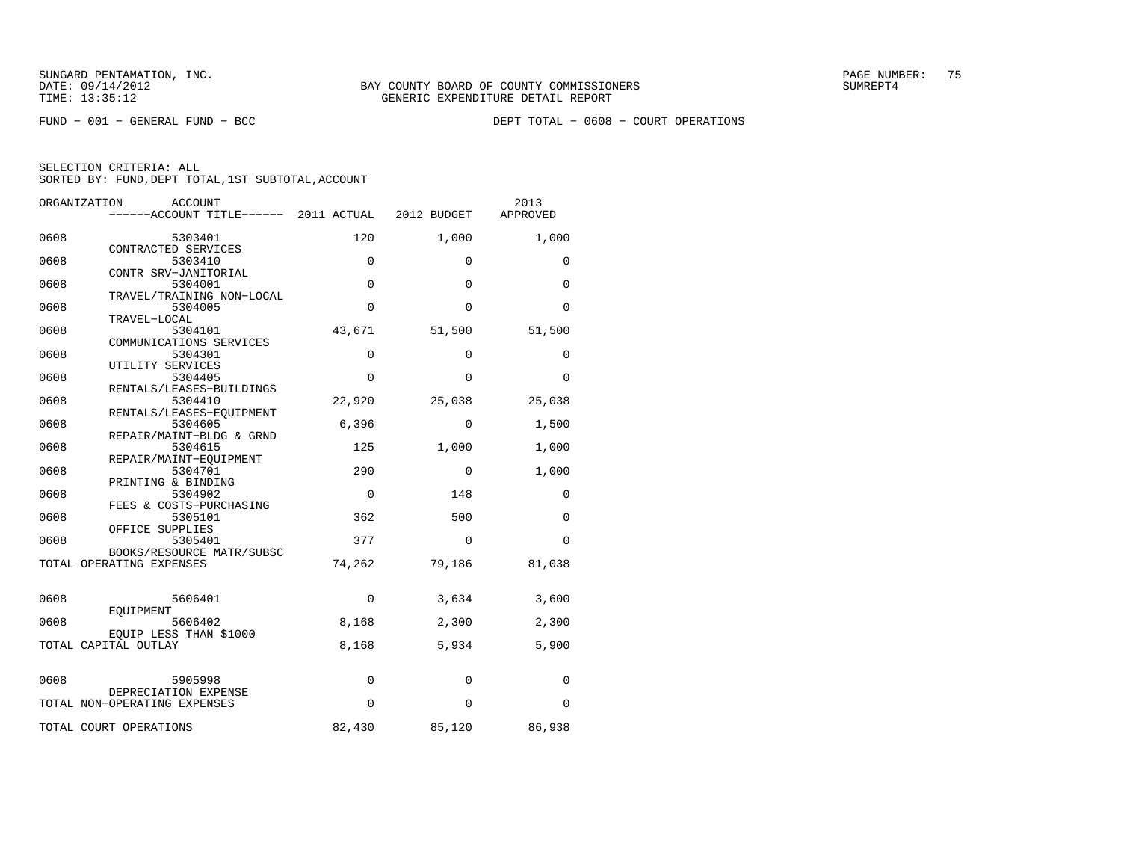FUND − 001 − GENERAL FUND − BCC DEPT TOTAL − 0608 − COURT OPERATIONS

|      | ORGANIZATION<br><b>ACCOUNT</b><br>------ACCOUNT TITLE------ | 2011 ACTUAL | 2012 BUDGET | 2013<br>APPROVED |
|------|-------------------------------------------------------------|-------------|-------------|------------------|
| 0608 | 5303401                                                     | 120         | 1,000       | 1,000            |
| 0608 | CONTRACTED SERVICES<br>5303410                              | 0           | 0           | 0                |
| 0608 | CONTR SRV-JANITORIAL<br>5304001                             | $\Omega$    | $\Omega$    | $\Omega$         |
| 0608 | TRAVEL/TRAINING NON-LOCAL<br>5304005                        | $\Omega$    | $\Omega$    | $\Omega$         |
| 0608 | TRAVEL-LOCAL<br>5304101                                     | 43,671      | 51,500      | 51,500           |
| 0608 | COMMUNICATIONS SERVICES<br>5304301                          | $\mathbf 0$ | $\Omega$    | 0                |
| 0608 | UTILITY SERVICES<br>5304405                                 | $\Omega$    | $\Omega$    | $\Omega$         |
| 0608 | RENTALS/LEASES-BUILDINGS<br>5304410                         | 22,920      | 25,038      | 25,038           |
|      | RENTALS/LEASES-EQUIPMENT                                    |             |             |                  |
| 0608 | 5304605<br>REPAIR/MAINT-BLDG & GRND                         | 6,396       | 0           | 1,500            |
| 0608 | 5304615<br>REPAIR/MAINT-EQUIPMENT                           | 125         | 1,000       | 1,000            |
| 0608 | 5304701<br>PRINTING & BINDING                               | 290         | 0           | 1,000            |
| 0608 | 5304902<br>FEES & COSTS-PURCHASING                          | $\mathbf 0$ | 148         | 0                |
| 0608 | 5305101<br>OFFICE SUPPLIES                                  | 362         | 500         | $\Omega$         |
| 0608 | 5305401<br>BOOKS/RESOURCE MATR/SUBSC                        | 377         | 0           | 0                |
|      | TOTAL OPERATING EXPENSES                                    | 74,262      | 79,186      | 81,038           |
| 0608 | 5606401                                                     | 0           | 3,634       | 3,600            |
| 0608 | EQUIPMENT<br>5606402                                        | 8,168       | 2,300       | 2,300            |
|      | EOUIP LESS THAN \$1000<br>TOTAL CAPITAL OUTLAY              | 8,168       | 5,934       | 5,900            |
|      |                                                             |             |             |                  |
| 0608 | 5905998                                                     | 0           | 0           | 0                |
|      | DEPRECIATION EXPENSE<br>TOTAL NON-OPERATING EXPENSES        | $\mathbf 0$ | $\Omega$    | 0                |
|      | TOTAL COURT OPERATIONS                                      | 82,430      | 85,120      | 86,938           |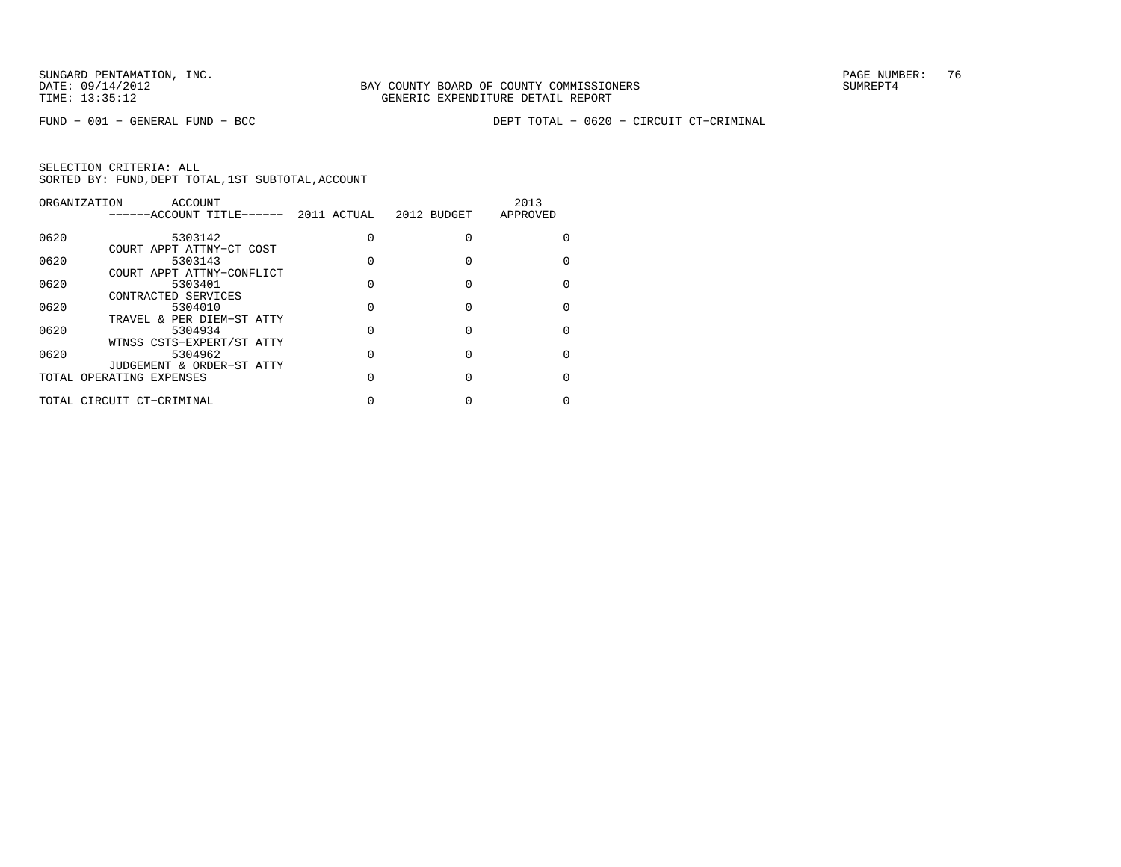FUND − 001 − GENERAL FUND − BCC DEPT TOTAL − 0620 − CIRCUIT CT−CRIMINAL

|      | ORGANIZATION<br>ACCOUNT   |             |             | 2013     |
|------|---------------------------|-------------|-------------|----------|
|      | ------ACCOUNT TITLE------ | 2011 ACTUAL | 2012 BUDGET | APPROVED |
| 0620 | 5303142                   |             | $\Omega$    |          |
|      | COURT APPT ATTNY-CT COST  |             |             |          |
| 0620 | 5303143                   |             | $\Omega$    |          |
|      | COURT APPT ATTNY-CONFLICT |             |             |          |
| 0620 | 5303401                   |             | $\Omega$    |          |
|      | CONTRACTED SERVICES       |             |             |          |
| 0620 | 5304010                   |             | $\Omega$    |          |
|      | TRAVEL & PER DIEM-ST ATTY |             |             |          |
| 0620 | 5304934                   |             |             |          |
|      | WTNSS CSTS-EXPERT/ST ATTY |             |             |          |
| 0620 | 5304962                   |             | $\Omega$    |          |
|      | JUDGEMENT & ORDER-ST ATTY |             |             |          |
|      | TOTAL OPERATING EXPENSES  |             |             |          |
|      | TOTAL CIRCUIT CT-CRIMINAL |             |             |          |
|      |                           |             |             |          |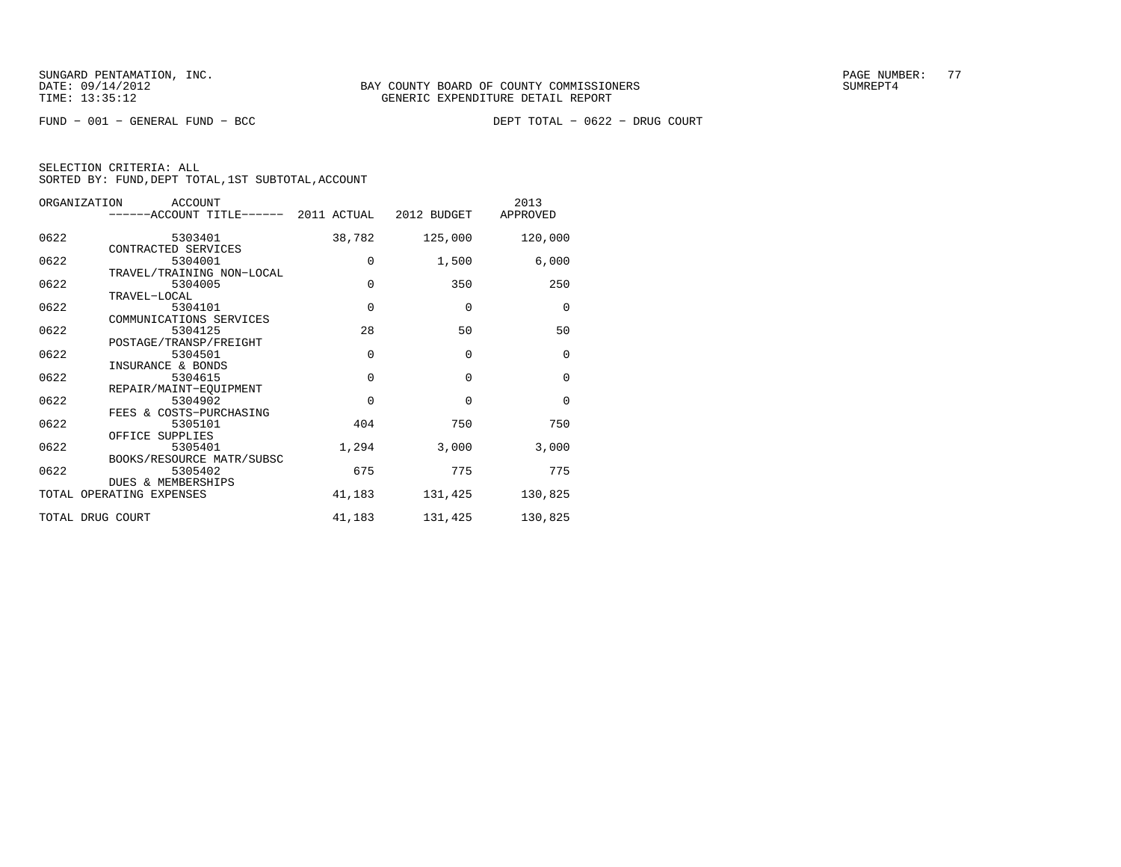$FUND - 001 - GENERAL FUND - BCC$ 

| SELECTION CRITERIA: ALL |  |                                                    |  |
|-------------------------|--|----------------------------------------------------|--|
|                         |  | SORTED BY: FUND. DEPT TOTAL. 1ST SUBTOTAL. ACCOUNT |  |

| ORGANIZATION | ACCOUNT<br>------ACCOUNT TITLE------ 2011 ACTUAL 2012 BUDGET |             |          | 2013<br>APPROVED |
|--------------|--------------------------------------------------------------|-------------|----------|------------------|
| 0622         | 5303401                                                      | 38,782      | 125,000  | 120,000          |
| 0622         | CONTRACTED SERVICES<br>5304001                               | $\mathbf 0$ | 1,500    | 6,000            |
|              | TRAVEL/TRAINING NON-LOCAL                                    |             |          |                  |
| 0622         | 5304005<br>TRAVEL-LOCAL                                      | $\mathbf 0$ | 350      | 250              |
| 0622         | 5304101                                                      | $\Omega$    | $\Omega$ | $\mathbf 0$      |
| 0622         | COMMUNICATIONS SERVICES<br>5304125                           | 28          | 50       | 50               |
| 0622         | POSTAGE/TRANSP/FREIGHT<br>5304501                            | $\mathbf 0$ | $\Omega$ | $\mathbf 0$      |
|              | INSURANCE & BONDS                                            |             |          |                  |
| 0622         | 5304615<br>REPAIR/MAINT-EOUIPMENT                            | $\Omega$    | $\Omega$ | $\mathbf 0$      |
| 0622         | 5304902<br>FEES & COSTS-PURCHASING                           | $\Omega$    | $\Omega$ | $\Omega$         |
| 0622         | 5305101                                                      | 404         | 750      | 750              |
| 0622         | OFFICE SUPPLIES<br>5305401                                   | 1,294       | 3,000    | 3,000            |
| 0622         | BOOKS/RESOURCE MATR/SUBSC<br>5305402                         | 675         | 775      | 775              |
|              | <b>DUES &amp; MEMBERSHIPS</b><br>TOTAL OPERATING EXPENSES    | 41,183      | 131,425  | 130,825          |
|              |                                                              |             |          |                  |
|              | TOTAL DRUG COURT                                             | 41,183      | 131,425  | 130,825          |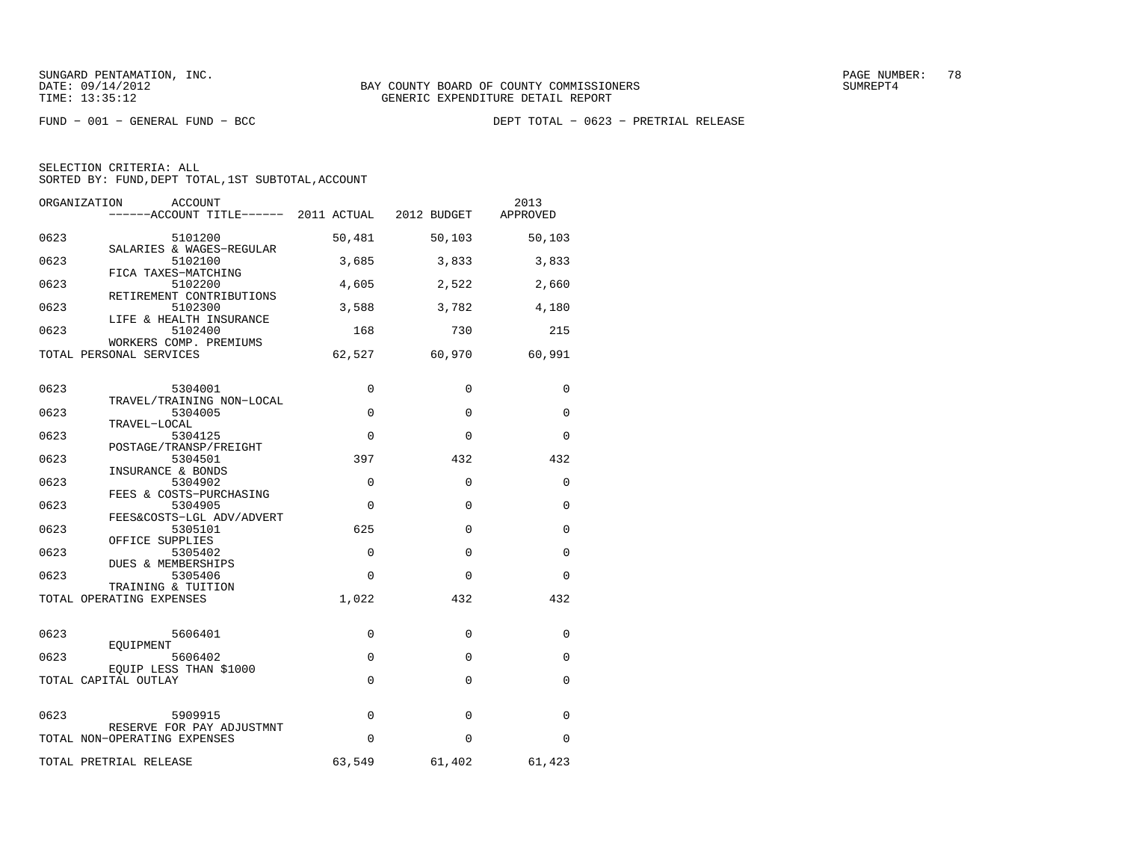| ORGANIZATION<br><b>ACCOUNT</b><br>------ACCOUNT TITLE------ 2011 ACTUAL |             | 2012 BUDGET | 2013<br>APPROVED |
|-------------------------------------------------------------------------|-------------|-------------|------------------|
| 0623<br>5101200                                                         | 50,481      | 50,103      | 50,103           |
| SALARIES & WAGES-REGULAR<br>0623<br>5102100                             | 3,685       | 3,833       | 3,833            |
| FICA TAXES-MATCHING<br>0623<br>5102200                                  | 4,605       | 2,522       | 2,660            |
| RETIREMENT CONTRIBUTIONS<br>0623<br>5102300                             | 3,588       | 3,782       | 4,180            |
| LIFE & HEALTH INSURANCE<br>0623<br>5102400                              | 168         | 730         | 215              |
| WORKERS COMP. PREMIUMS<br>TOTAL PERSONAL SERVICES                       | 62,527      | 60,970      | 60,991           |
| 0623<br>5304001                                                         | 0           | 0           | 0                |
| TRAVEL/TRAINING NON-LOCAL<br>0623<br>5304005                            | $\mathbf 0$ | $\mathbf 0$ | 0                |
| TRAVEL-LOCAL<br>0623<br>5304125                                         | $\Omega$    | $\Omega$    | $\Omega$         |
| POSTAGE/TRANSP/FREIGHT<br>0623<br>5304501                               | 397         | 432         | 432              |
| INSURANCE & BONDS<br>0623<br>5304902                                    | $\Omega$    | 0           | $\Omega$         |
| FEES & COSTS-PURCHASING<br>0623<br>5304905                              | $\Omega$    | $\Omega$    | $\Omega$         |
| FEES&COSTS-LGL ADV/ADVERT<br>0623<br>5305101                            | 625         | 0           | 0                |
| OFFICE SUPPLIES<br>0623<br>5305402<br><b>DUES &amp; MEMBERSHIPS</b>     | $\mathbf 0$ | 0           | 0                |
| 0623<br>5305406<br>TRAINING & TUITION                                   | $\Omega$    | $\Omega$    | $\Omega$         |
| TOTAL OPERATING EXPENSES                                                | 1,022       | 432         | 432              |
| 0623<br>5606401                                                         | 0           | 0           | 0                |
| EOUIPMENT<br>0623<br>5606402                                            | 0           | $\mathbf 0$ | $\Omega$         |
| EQUIP LESS THAN \$1000<br>TOTAL CAPITAL OUTLAY                          | $\Omega$    | $\Omega$    | 0                |
| 0623<br>5909915                                                         | $\Omega$    | $\Omega$    | 0                |
| RESERVE FOR PAY ADJUSTMNT<br>TOTAL NON-OPERATING EXPENSES               | $\Omega$    | $\Omega$    | 0                |
| TOTAL PRETRIAL RELEASE                                                  | 63,549      | 61,402      | 61,423           |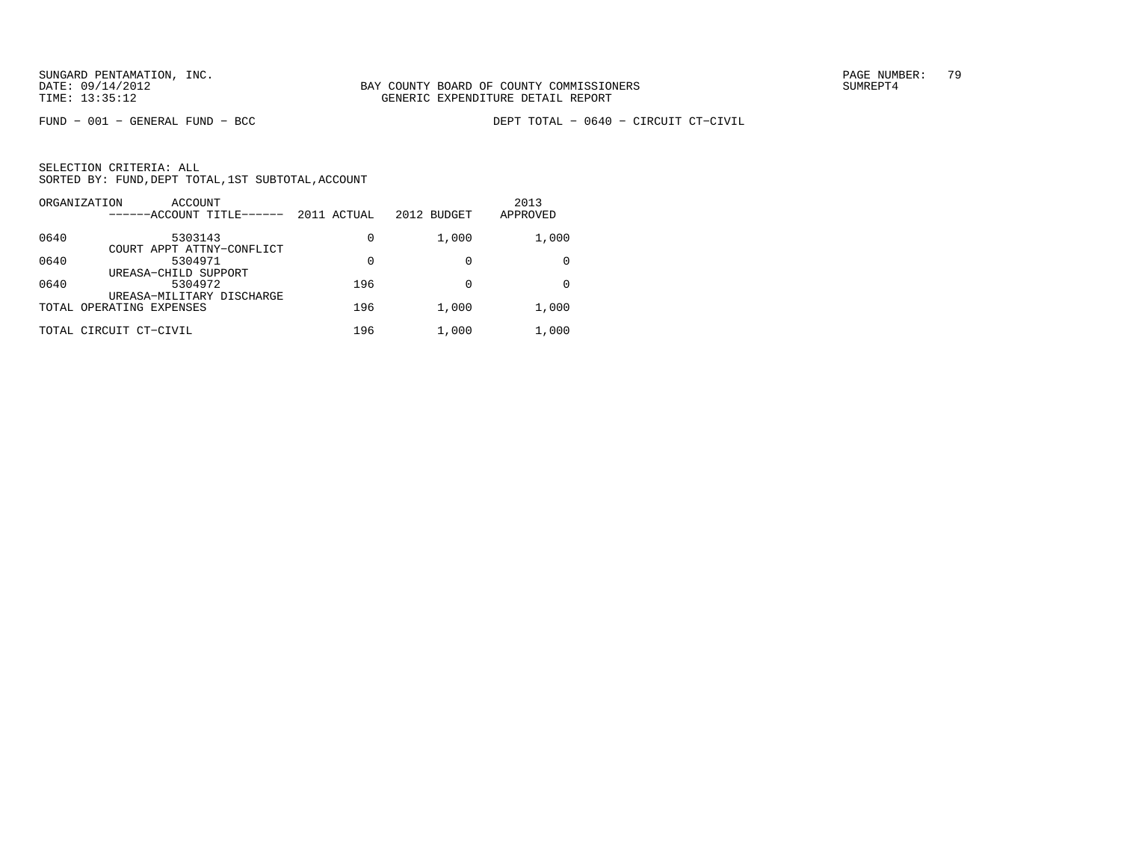FUND − 001 − GENERAL FUND − BCC DEPT TOTAL − 0640 − CIRCUIT CT−CIVIL

|      | ORGANIZATION<br>ACCOUNT<br>------ACCOUNT TITLE------ | 2011 ACTUAL | 2012 BUDGET | 2013<br>APPROVED |
|------|------------------------------------------------------|-------------|-------------|------------------|
| 0640 | 5303143<br>COURT APPT ATTNY-CONFLICT                 | 0           | 1,000       | 1,000            |
| 0640 | 5304971<br>UREASA-CHILD SUPPORT                      | 0           |             |                  |
| 0640 | 5304972<br>UREASA-MILITARY DISCHARGE                 | 196         |             | <sup>0</sup>     |
|      | TOTAL OPERATING EXPENSES                             | 196         | 1,000       | 1,000            |
|      | TOTAL CIRCUIT CT-CIVIL                               | 196         | 1,000       | 1,000            |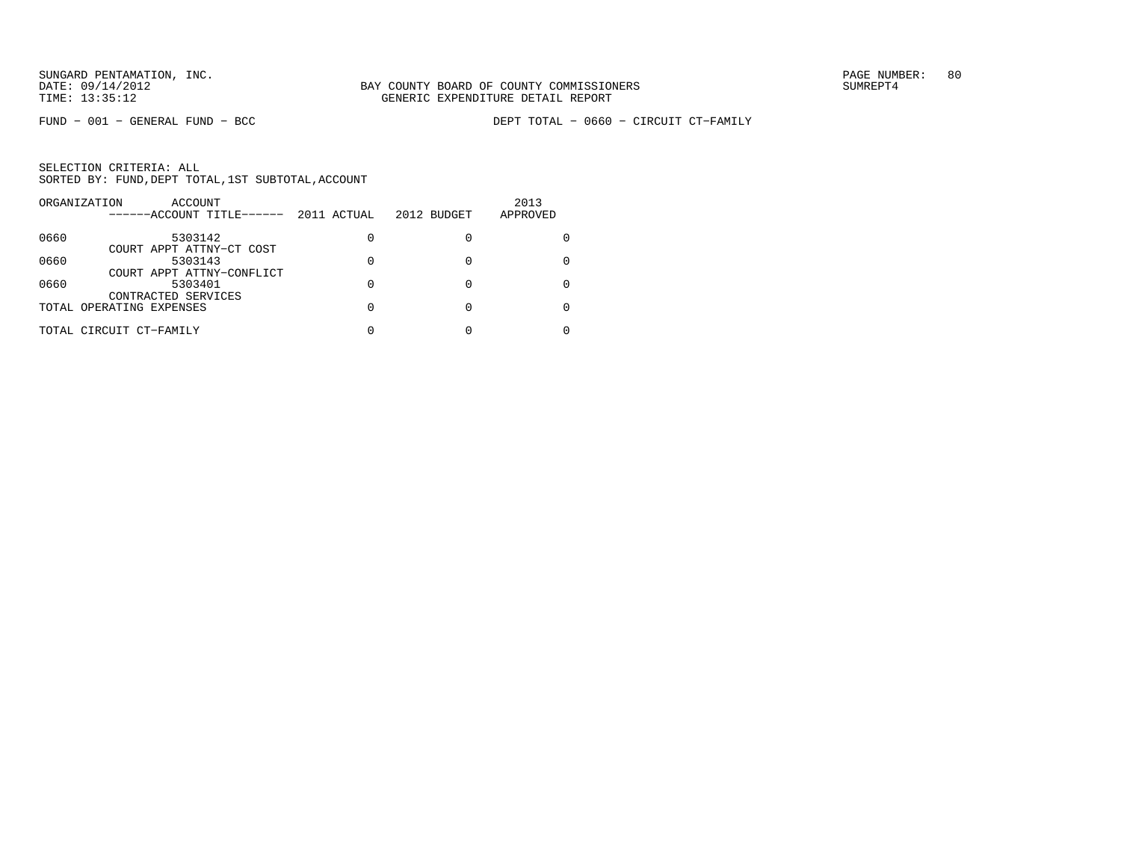|      | ORGANIZATION<br>ACCOUNT<br>------ACCOUNT TITLE------ | 2011 ACTUAL | 2012 BUDGET | 2013<br>APPROVED |
|------|------------------------------------------------------|-------------|-------------|------------------|
| 0660 | 5303142                                              | 0           |             |                  |
| 0660 | COURT APPT ATTNY-CT COST<br>5303143                  |             |             |                  |
|      | COURT APPT ATTNY-CONFLICT                            |             |             |                  |
| 0660 | 5303401<br>CONTRACTED SERVICES                       | 0           |             |                  |
|      | TOTAL OPERATING EXPENSES                             |             |             |                  |
|      | TOTAL CIRCUIT CT-FAMILY                              |             |             |                  |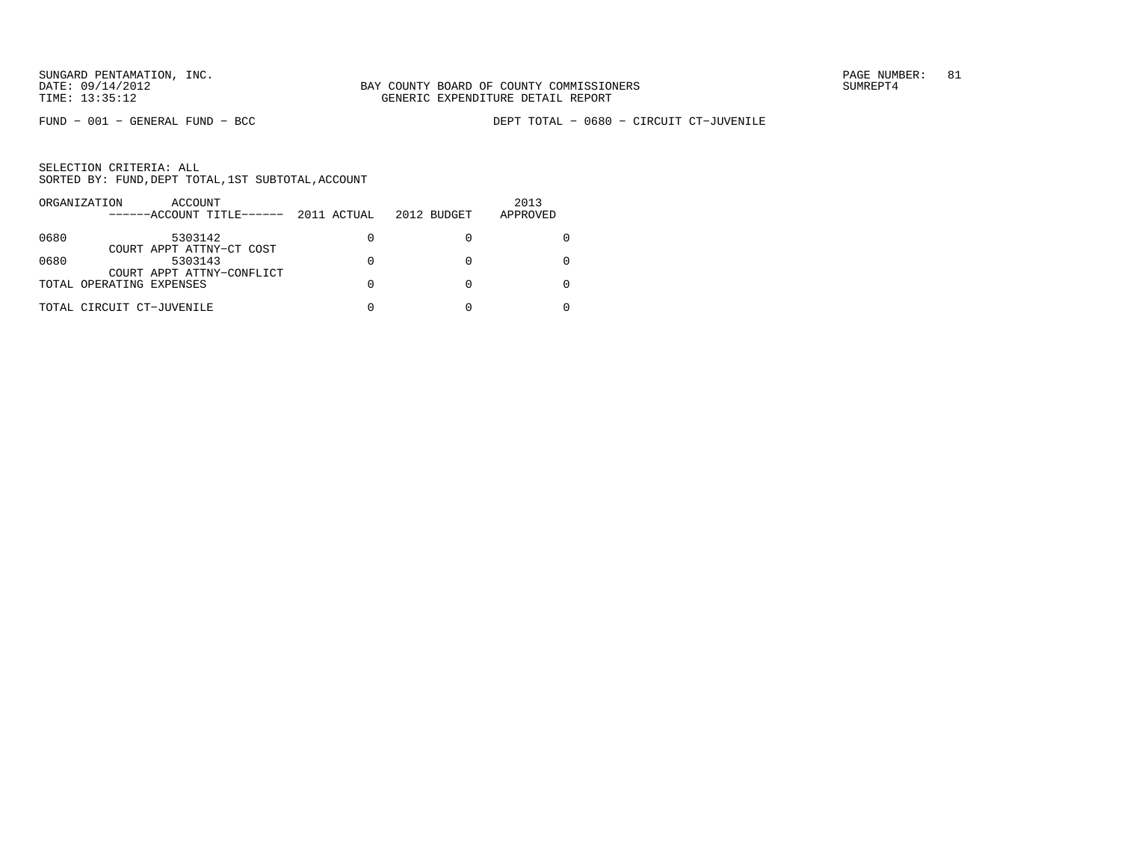FUND − 001 − GENERAL FUND − BCC DEPT TOTAL − 0680 − CIRCUIT CT−JUVENILE

|      | ORGANIZATION<br>ACCOUNT<br>------ACCOUNT TITLE------  | 2011 ACTUAL | 2012 BUDGET | 2013<br>APPROVED |
|------|-------------------------------------------------------|-------------|-------------|------------------|
| 0680 | 5303142                                               | 0           |             |                  |
| 0680 | COURT APPT ATTNY-CT COST<br>5303143                   | 0           |             |                  |
|      | COURT APPT ATTNY-CONFLICT<br>TOTAL OPERATING EXPENSES | O           |             |                  |
|      | TOTAL CIRCUIT CT-JUVENILE                             |             |             |                  |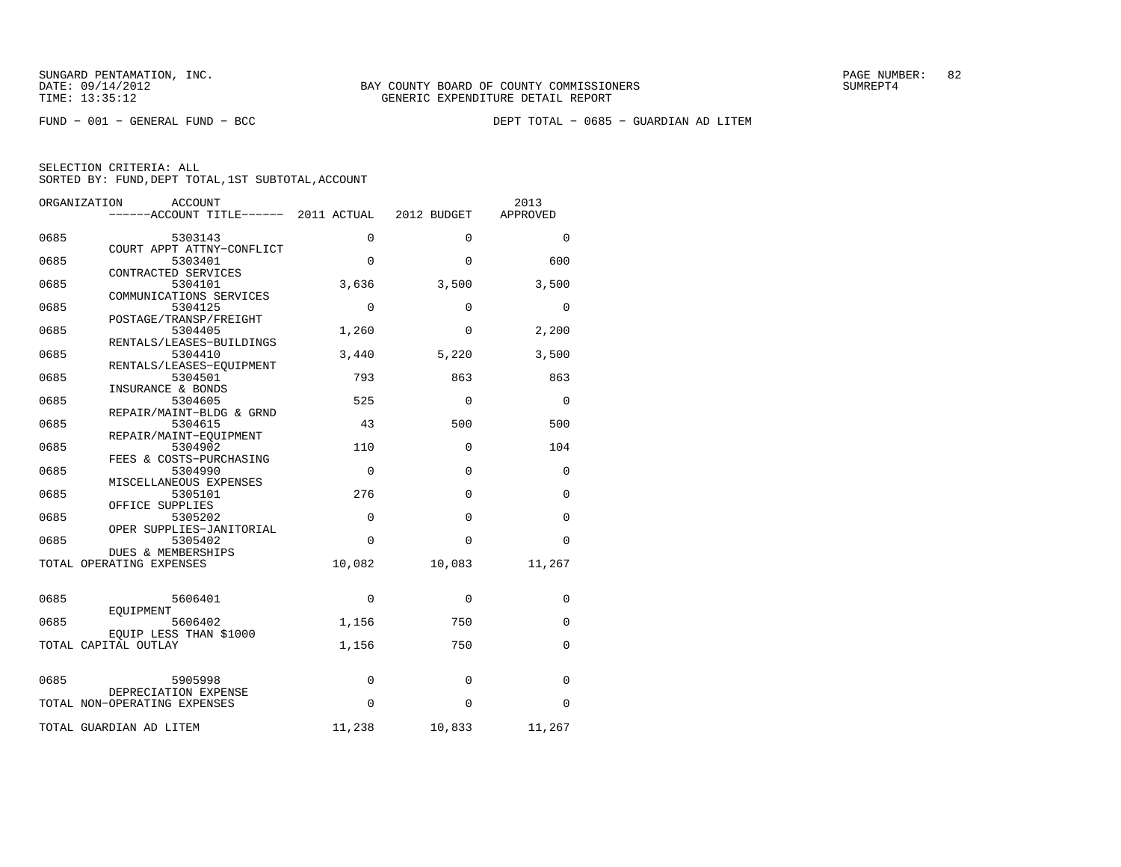FUND − 001 − GENERAL FUND − BCC DEPT TOTAL − 0685 − GUARDIAN AD LITEM

| ORGANIZATION | ACCOUNT<br>------ACCOUNT TITLE------ 2011 ACTUAL     |             | 2012 BUDGET | 2013<br>APPROVED |
|--------------|------------------------------------------------------|-------------|-------------|------------------|
| 0685         | 5303143                                              | 0           | $\Omega$    | 0                |
| 0685         | COURT APPT ATTNY-CONFLICT<br>5303401                 | $\Omega$    | 0           | 600              |
| 0685         | CONTRACTED SERVICES<br>5304101                       | 3,636       | 3,500       | 3,500            |
| 0685         | COMMUNICATIONS SERVICES<br>5304125                   | $\Omega$    | $\Omega$    | $\Omega$         |
| 0685         | POSTAGE/TRANSP/FREIGHT<br>5304405                    | 1,260       | 0           | 2,200            |
| 0685         | RENTALS/LEASES-BUILDINGS<br>5304410                  | 3,440       | 5,220       | 3,500            |
| 0685         | RENTALS/LEASES-EQUIPMENT<br>5304501                  | 793         | 863         | 863              |
| 0685         | INSURANCE & BONDS<br>5304605                         | 525         | $\Omega$    | 0                |
|              | REPAIR/MAINT-BLDG & GRND                             |             |             |                  |
| 0685         | 5304615<br>REPAIR/MAINT-EQUIPMENT                    | 43          | 500         | 500              |
| 0685         | 5304902<br>FEES & COSTS-PURCHASING                   | 110         | 0           | 104              |
| 0685         | 5304990<br>MISCELLANEOUS EXPENSES                    | $\mathbf 0$ | $\Omega$    | 0                |
| 0685         | 5305101<br>OFFICE SUPPLIES                           | 276         | $\Omega$    | 0                |
| 0685         | 5305202<br>OPER SUPPLIES-JANITORIAL                  | 0           | 0           | 0                |
| 0685         | 5305402<br>DUES & MEMBERSHIPS                        | $\Omega$    | 0           | 0                |
|              | TOTAL OPERATING EXPENSES                             | 10,082      | 10,083      | 11,267           |
| 0685         | 5606401                                              | 0           | 0           | 0                |
| 0685         | EQUIPMENT<br>5606402                                 | 1,156       | 750         | 0                |
|              | EOUIP LESS THAN \$1000<br>TOTAL CAPITAL OUTLAY       | 1,156       | 750         | 0                |
|              |                                                      |             |             |                  |
| 0685         | 5905998                                              | $\mathbf 0$ | 0           | 0                |
|              | DEPRECIATION EXPENSE<br>TOTAL NON-OPERATING EXPENSES | 0           | $\mathbf 0$ | 0                |
|              | TOTAL GUARDIAN AD LITEM                              | 11,238      | 10,833      | 11,267           |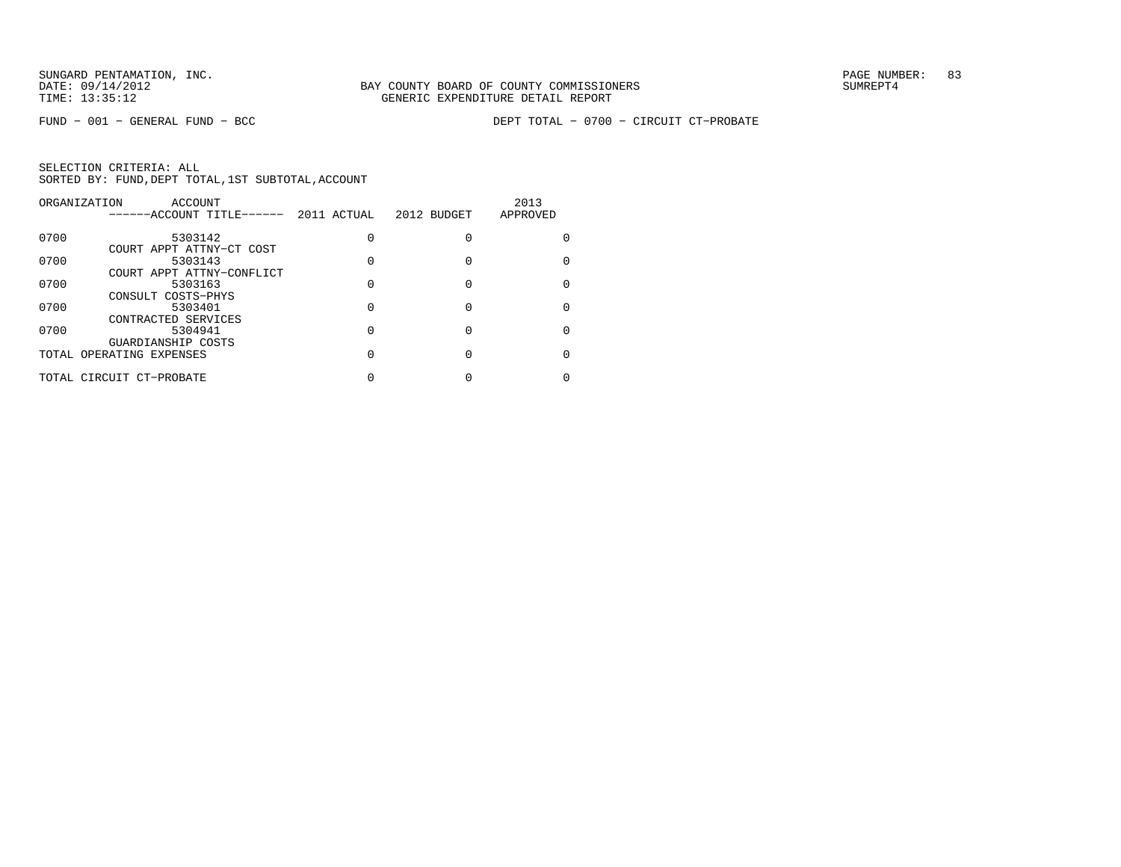|      | ORGANIZATION<br>ACCOUNT   |             |             | 2013     |
|------|---------------------------|-------------|-------------|----------|
|      | ------ACCOUNT TITLE------ | 2011 ACTUAL | 2012 BUDGET | APPROVED |
| 0700 | 5303142                   |             |             |          |
|      | COURT APPT ATTNY-CT COST  |             |             |          |
| 0700 | 5303143                   |             |             |          |
|      | COURT APPT ATTNY-CONFLICT |             |             |          |
| 0700 | 5303163                   |             |             |          |
|      | CONSULT COSTS-PHYS        |             |             |          |
| 0700 | 5303401                   |             |             |          |
|      | CONTRACTED SERVICES       |             |             |          |
| 0700 | 5304941                   |             |             |          |
|      | GUARDIANSHIP COSTS        |             |             |          |
|      | TOTAL OPERATING EXPENSES  |             |             |          |
|      | TOTAL CIRCUIT CT-PROBATE  |             |             |          |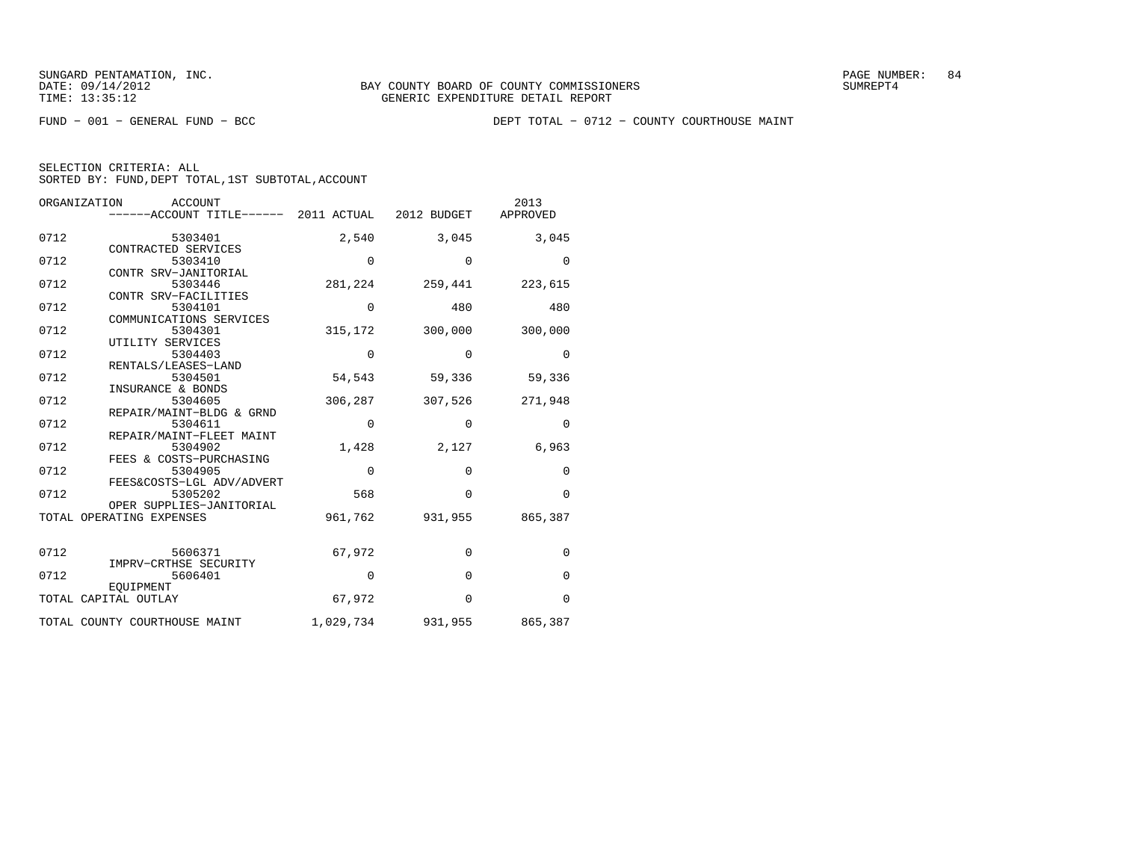FUND − 001 − GENERAL FUND − BCC DEPT TOTAL − 0712 − COUNTY COURTHOUSE MAINT

| ORGANIZATION<br><b>ACCOUNT</b> |                      |                                                 |             | 2013              |             |
|--------------------------------|----------------------|-------------------------------------------------|-------------|-------------------|-------------|
|                                |                      | $---ACCOUNT$ TITLE $---2011$ ACTUAL 2012 BUDGET |             |                   | APPROVED    |
|                                |                      |                                                 |             |                   |             |
| 0712                           |                      | 5303401                                         | 2,540       | 3,045             | 3,045       |
|                                |                      | CONTRACTED SERVICES                             |             |                   |             |
| 0712                           |                      | 5303410                                         | $\mathbf 0$ | $\mathbf 0$       | $\Omega$    |
| 0712                           |                      | CONTR SRV-JANITORIAL                            |             |                   |             |
|                                |                      | 5303446                                         |             | 281, 224 259, 441 | 223,615     |
| 0712                           |                      | CONTR SRV-FACILITIES<br>5304101                 | $\mathbf 0$ | 480               | 480         |
|                                |                      | COMMUNICATIONS SERVICES                         |             |                   |             |
| 0712                           |                      | 5304301                                         | 315,172     | 300,000           | 300,000     |
|                                |                      | UTILITY SERVICES                                |             |                   |             |
| 0712                           |                      | 5304403                                         | $\mathbf 0$ | $\Omega$          | $\Omega$    |
|                                |                      | RENTALS/LEASES-LAND                             |             |                   |             |
| 0712                           |                      | 5304501                                         | 54,543      | 59,336            | 59,336      |
|                                |                      | INSURANCE & BONDS                               |             |                   |             |
| 0712                           |                      | 5304605                                         | 306,287     | 307,526           | 271,948     |
|                                |                      | REPAIR/MAINT-BLDG & GRND                        |             |                   |             |
| 0712                           |                      | 5304611                                         | 0           | $\Omega$          | $\Omega$    |
|                                |                      | REPAIR/MAINT-FLEET MAINT                        |             |                   |             |
| 0712                           |                      | 5304902                                         | 1,428       | 2,127             | 6,963       |
|                                |                      | FEES & COSTS-PURCHASING                         |             |                   |             |
| 0712                           |                      | 5304905                                         | 0           | $\Omega$          | 0           |
|                                |                      | FEES&COSTS-LGL ADV/ADVERT                       |             |                   |             |
| 0712                           |                      | 5305202                                         | 568         | $\Omega$          | $\Omega$    |
|                                |                      | OPER SUPPLIES-JANITORIAL                        |             |                   |             |
|                                |                      | TOTAL OPERATING EXPENSES                        | 961,762     | 931,955           | 865,387     |
|                                |                      |                                                 |             |                   |             |
|                                |                      |                                                 |             |                   |             |
| 0712                           |                      | 5606371                                         | 67,972      | $\mathbf 0$       | $\mathbf 0$ |
|                                |                      | IMPRV-CRTHSE SECURITY                           |             |                   |             |
| 0712                           |                      | 5606401                                         | 0           | $\Omega$          | $\Omega$    |
|                                |                      | <b>EOUIPMENT</b>                                |             | $\Omega$          | $\Omega$    |
|                                | TOTAL CAPITAL OUTLAY |                                                 | 67,972      |                   |             |
|                                |                      | TOTAL COUNTY COURTHOUSE MAINT                   | 1,029,734   | 931,955           | 865,387     |
|                                |                      |                                                 |             |                   |             |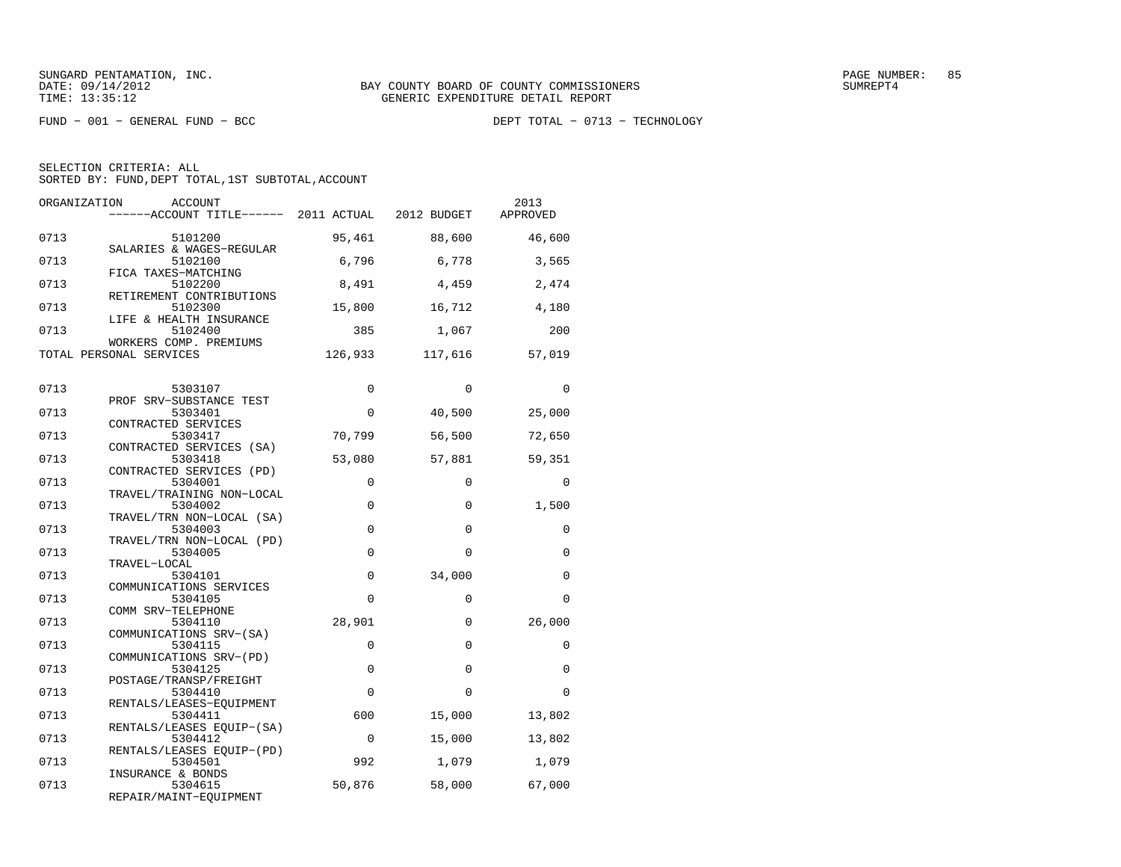FUND − 001 − GENERAL FUND − BCC DEPT TOTAL − 0713 − TECHNOLOGY

| ORGANIZATION | ACCOUNT<br>------ACCOUNT TITLE------ 2011 ACTUAL 2012 BUDGET      |             |             | 2013<br>APPROVED |
|--------------|-------------------------------------------------------------------|-------------|-------------|------------------|
| 0713         | 5101200                                                           | 95,461      | 88,600      | 46,600           |
| 0713         | SALARIES & WAGES-REGULAR<br>5102100                               | 6,796       | 6,778       | 3,565            |
| 0713         | FICA TAXES-MATCHING<br>5102200<br>RETIREMENT CONTRIBUTIONS        | 8,491       | 4,459       | 2,474            |
| 0713         | 5102300<br>LIFE & HEALTH INSURANCE                                | 15,800      | 16,712      | 4,180            |
| 0713         | 5102400<br>WORKERS COMP. PREMIUMS                                 | 385         | 1,067       | 200              |
|              | TOTAL PERSONAL SERVICES                                           | 126,933     | 117,616     | 57,019           |
| 0713         | 5303107                                                           | $\Omega$    | $\Omega$    | $\Omega$         |
| 0713         | PROF SRV-SUBSTANCE TEST<br>5303401                                | 0           | 40,500      | 25,000           |
| 0713         | CONTRACTED SERVICES<br>5303417                                    | 70,799      | 56,500      | 72,650           |
| 0713         | CONTRACTED SERVICES (SA)<br>5303418                               | 53,080      | 57,881      | 59,351           |
| 0713         | CONTRACTED SERVICES (PD)<br>5304001                               | $\mathbf 0$ | $\Omega$    | $\Omega$         |
| 0713         | TRAVEL/TRAINING NON-LOCAL<br>5304002                              | $\mathbf 0$ | $\Omega$    | 1,500            |
| 0713         | TRAVEL/TRN NON-LOCAL (SA)<br>5304003<br>TRAVEL/TRN NON-LOCAL (PD) | $\mathbf 0$ | $\Omega$    | 0                |
| 0713         | 5304005<br>TRAVEL-LOCAL                                           | $\mathbf 0$ | $\Omega$    | 0                |
| 0713         | 5304101<br>COMMUNICATIONS SERVICES                                | $\mathbf 0$ | 34,000      | $\Omega$         |
| 0713         | 5304105<br>COMM SRV-TELEPHONE                                     | $\Omega$    | $\Omega$    | $\Omega$         |
| 0713         | 5304110<br>COMMUNICATIONS SRV-(SA)                                | 28,901      | $\mathbf 0$ | 26,000           |
| 0713         | 5304115<br>COMMUNICATIONS SRV-(PD)                                | $\mathbf 0$ | $\mathbf 0$ | 0                |
| 0713         | 5304125<br>POSTAGE/TRANSP/FREIGHT                                 | $\mathbf 0$ | $\Omega$    | 0                |
| 0713         | 5304410<br>RENTALS/LEASES-EQUIPMENT                               | $\Omega$    | $\Omega$    | $\Omega$         |
| 0713         | 5304411<br>RENTALS/LEASES EOUIP-(SA)                              | 600         | 15,000      | 13,802           |
| 0713         | 5304412<br>RENTALS/LEASES EOUIP-(PD)                              | $\mathbf 0$ | 15,000      | 13,802           |
| 0713         | 5304501<br>INSURANCE & BONDS                                      | 992         | 1,079       | 1,079            |
| 0713         | 5304615<br>REPAIR/MAINT-EQUIPMENT                                 | 50,876      | 58,000      | 67,000           |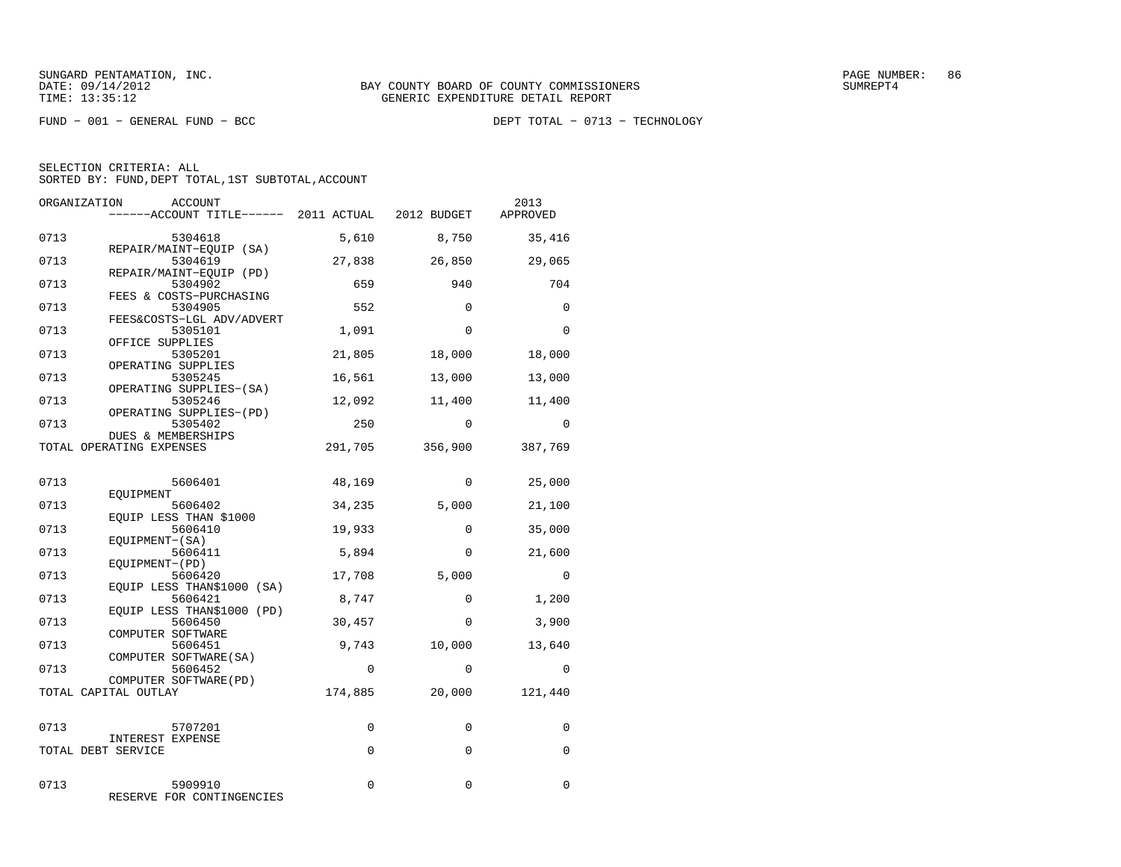FUND − 001 − GENERAL FUND − BCC DEPT TOTAL − 0713 − TECHNOLOGY

| ORGANIZATION | ACCOUNT<br>------ACCOUNT TITLE------ 2011 ACTUAL 2012 BUDGET    |          |             | 2013<br>APPROVED |
|--------------|-----------------------------------------------------------------|----------|-------------|------------------|
| 0713         | 5304618                                                         | 5,610    | 8,750       | 35,416           |
| 0713         | REPAIR/MAINT-EQUIP (SA)<br>5304619                              | 27,838   | 26,850      | 29,065           |
| 0713         | REPAIR/MAINT-EQUIP (PD)<br>5304902                              | 659      | 940         | 704              |
| 0713         | FEES & COSTS-PURCHASING<br>5304905<br>FEES&COSTS-LGL ADV/ADVERT | 552      | $\Omega$    | $\Omega$         |
| 0713         | 5305101<br>OFFICE SUPPLIES                                      | 1,091    | $\Omega$    | $\Omega$         |
| 0713         | 5305201<br>OPERATING SUPPLIES                                   | 21,805   | 18,000      | 18,000           |
| 0713         | 5305245<br>OPERATING SUPPLIES-(SA)                              | 16,561   | 13,000      | 13,000           |
| 0713         | 5305246<br>OPERATING SUPPLIES-(PD)                              | 12,092   | 11,400      | 11,400           |
| 0713         | 5305402<br>DUES & MEMBERSHIPS                                   | 250      | $\Omega$    | $\Omega$         |
|              | TOTAL OPERATING EXPENSES                                        | 291,705  | 356,900     | 387,769          |
| 0713         | 5606401                                                         | 48,169   | $\Omega$    | 25,000           |
| 0713         | EOUIPMENT<br>5606402<br>EOUIP LESS THAN \$1000                  | 34,235   | 5,000       | 21,100           |
| 0713         | 5606410<br>EQUIPMENT-(SA)                                       | 19,933   | $\Omega$    | 35,000           |
| 0713         | 5606411<br>EQUIPMENT-(PD)                                       | 5,894    | $\Omega$    | 21,600           |
| 0713         | 5606420<br>EQUIP LESS THAN\$1000 (SA)                           | 17,708   | 5,000       | $\Omega$         |
| 0713         | 5606421<br>EQUIP LESS THAN\$1000 (PD)                           | 8,747    | $\Omega$    | 1,200            |
| 0713         | 5606450<br>COMPUTER SOFTWARE                                    | 30,457   | $\mathbf 0$ | 3,900            |
| 0713         | 5606451<br>COMPUTER SOFTWARE (SA)                               | 9,743    | 10,000      | 13,640           |
| 0713         | 5606452<br>COMPUTER SOFTWARE (PD)                               | $\Omega$ | $\Omega$    | $\Omega$         |
|              | TOTAL CAPITAL OUTLAY                                            | 174,885  | 20,000      | 121,440          |
| 0713         | 5707201                                                         | 0        | 0           | 0                |
|              | INTEREST EXPENSE<br>TOTAL DEBT SERVICE                          | $\Omega$ | $\Omega$    | $\Omega$         |
| 0713         | 5909910<br>RESERVE FOR CONTINGENCIES                            | 0        | $\mathbf 0$ | 0                |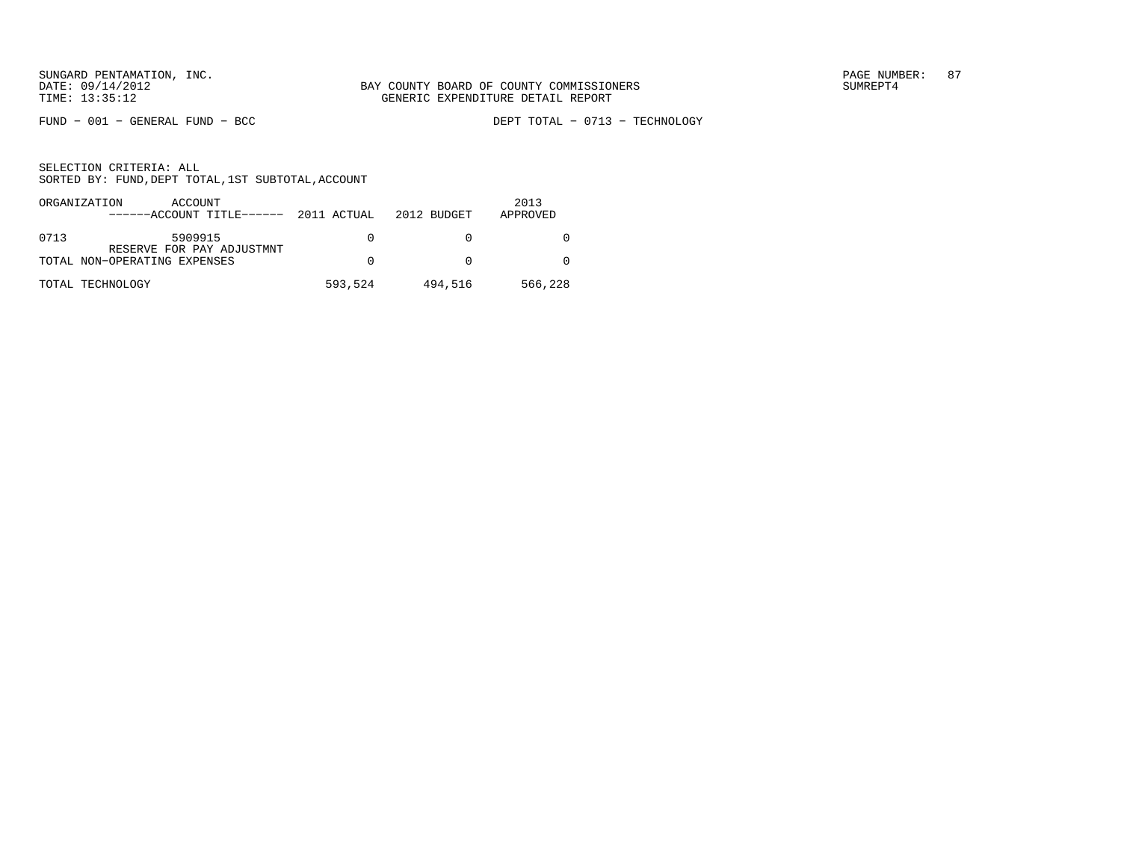FUND − 001 − GENERAL FUND − BCC DEPT TOTAL − 0713 − TECHNOLOGY

|      | ORGANIZATION<br>ACCOUNT<br>$----ACCOUNT$ TITLE $---2011$ ACTUAL 2012 BUDGET |          |         | 2013<br>APPROVED |
|------|-----------------------------------------------------------------------------|----------|---------|------------------|
| 0713 | 5909915<br>RESERVE FOR PAY ADJUSTMNT                                        | $\Omega$ |         |                  |
|      | TOTAL NON-OPERATING EXPENSES                                                | $\Omega$ |         |                  |
|      | TOTAL TECHNOLOGY                                                            | 593,524  | 494,516 | 566,228          |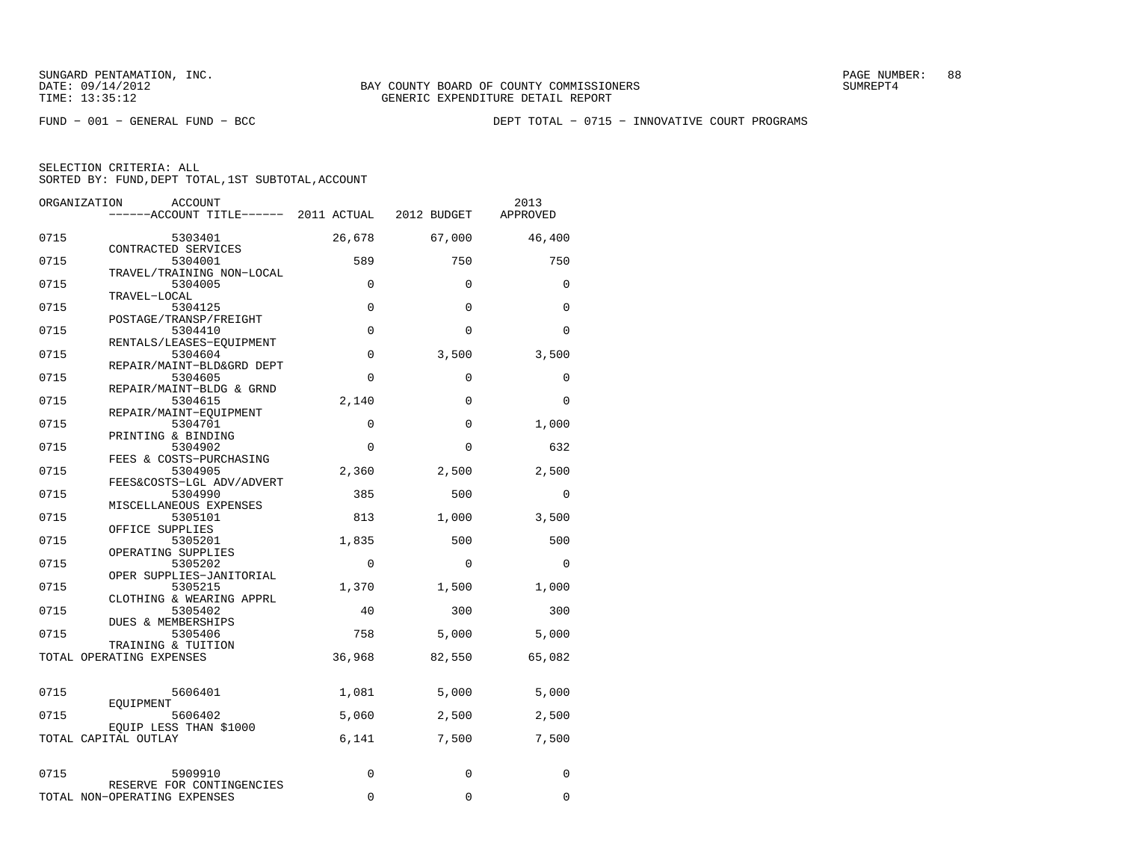FUND − 001 − GENERAL FUND − BCC DEPT TOTAL − 0715 − INNOVATIVE COURT PROGRAMS

| ORGANIZATION<br>ACCOUNT<br>------ACCOUNT TITLE------ 2011 ACTUAL 2012 BUDGET |                   |                   | 2013<br>APPROVED |
|------------------------------------------------------------------------------|-------------------|-------------------|------------------|
| 0715<br>5303401                                                              | 26,678            | 67,000            | 46,400           |
| CONTRACTED SERVICES<br>0715<br>5304001                                       | 589               | 750               | 750              |
| TRAVEL/TRAINING NON-LOCAL<br>0715<br>5304005<br>TRAVEL-LOCAL                 | $\Omega$          | $\Omega$          | $\Omega$         |
| 0715<br>5304125<br>POSTAGE/TRANSP/FREIGHT                                    | $\mathbf 0$       | $\mathbf 0$       | $\Omega$         |
| 0715<br>5304410<br>RENTALS/LEASES-EQUIPMENT                                  | $\mathbf 0$       | $\Omega$          | $\Omega$         |
| 0715<br>5304604<br>REPAIR/MAINT-BLD&GRD DEPT                                 | $\mathbf 0$       | 3,500             | 3,500            |
| 0715<br>5304605<br>REPAIR/MAINT-BLDG & GRND                                  | $\Omega$          | 0                 | $\Omega$         |
| 0715<br>5304615<br>REPAIR/MAINT-EOUIPMENT                                    | 2,140             | $\Omega$          | $\Omega$         |
| 0715<br>5304701<br>PRINTING & BINDING                                        | $\Omega$          | $\Omega$          | 1,000            |
| 0715<br>5304902<br>FEES & COSTS-PURCHASING<br>0715<br>5304905                | $\Omega$<br>2,360 | $\Omega$<br>2,500 | 632<br>2,500     |
| FEES&COSTS-LGL ADV/ADVERT<br>0715<br>5304990                                 | 385               | 500               | $\mathbf 0$      |
| MISCELLANEOUS EXPENSES<br>0715<br>5305101                                    | 813               | 1,000             | 3,500            |
| OFFICE SUPPLIES<br>0715<br>5305201                                           | 1,835             | 500               | 500              |
| OPERATING SUPPLIES<br>0715<br>5305202                                        | $\Omega$          | $\Omega$          | $\Omega$         |
| OPER SUPPLIES-JANITORIAL<br>0715<br>5305215                                  | 1,370             | 1,500             | 1,000            |
| CLOTHING & WEARING APPRL<br>0715<br>5305402<br>DUES & MEMBERSHIPS            | 40                | 300               | 300              |
| 0715<br>5305406<br>TRAINING & TUITION                                        | 758               | 5,000             | 5,000            |
| TOTAL OPERATING EXPENSES                                                     | 36,968            | 82,550            | 65,082           |
| 0715<br>5606401                                                              | 1,081             | 5,000             | 5,000            |
| EOUIPMENT<br>0715<br>5606402                                                 | 5,060             | 2,500             | 2,500            |
| EQUIP LESS THAN \$1000<br>TOTAL CAPITAL OUTLAY                               | 6,141             | 7,500             | 7,500            |
| 0715<br>5909910                                                              | $\Omega$          | $\mathbf 0$       | $\Omega$         |
| RESERVE FOR CONTINGENCIES<br>TOTAL NON-OPERATING EXPENSES                    | $\Omega$          | $\Omega$          | 0                |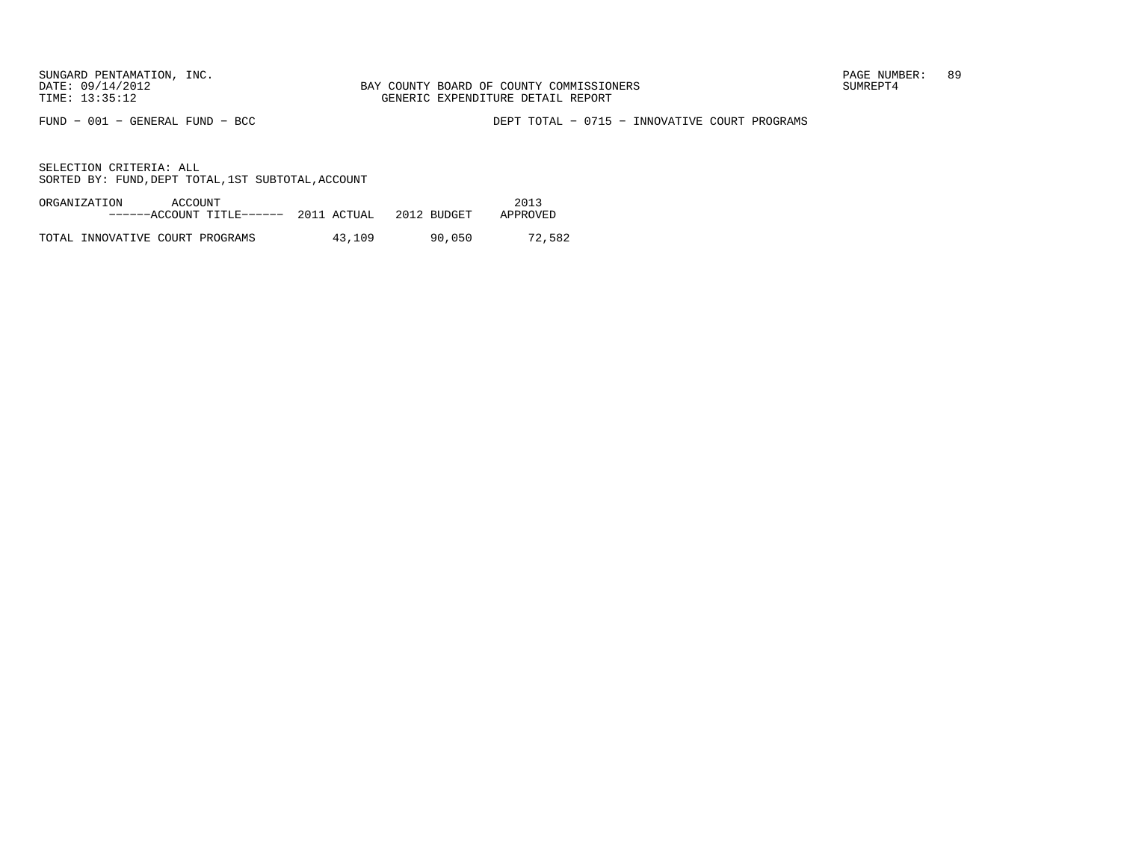FUND − 001 − GENERAL FUND − BCC DEPT TOTAL − 0715 − INNOVATIVE COURT PROGRAMS

| ORGANIZATION<br>ACCOUNT<br>------ACCOUNT TITLE------ 2011 ACTUAL |        | 2012 BUDGET | 2013<br>APPROVED |
|------------------------------------------------------------------|--------|-------------|------------------|
| TOTAL INNOVATIVE COURT PROGRAMS                                  | 43,109 | 90,050      | 72,582           |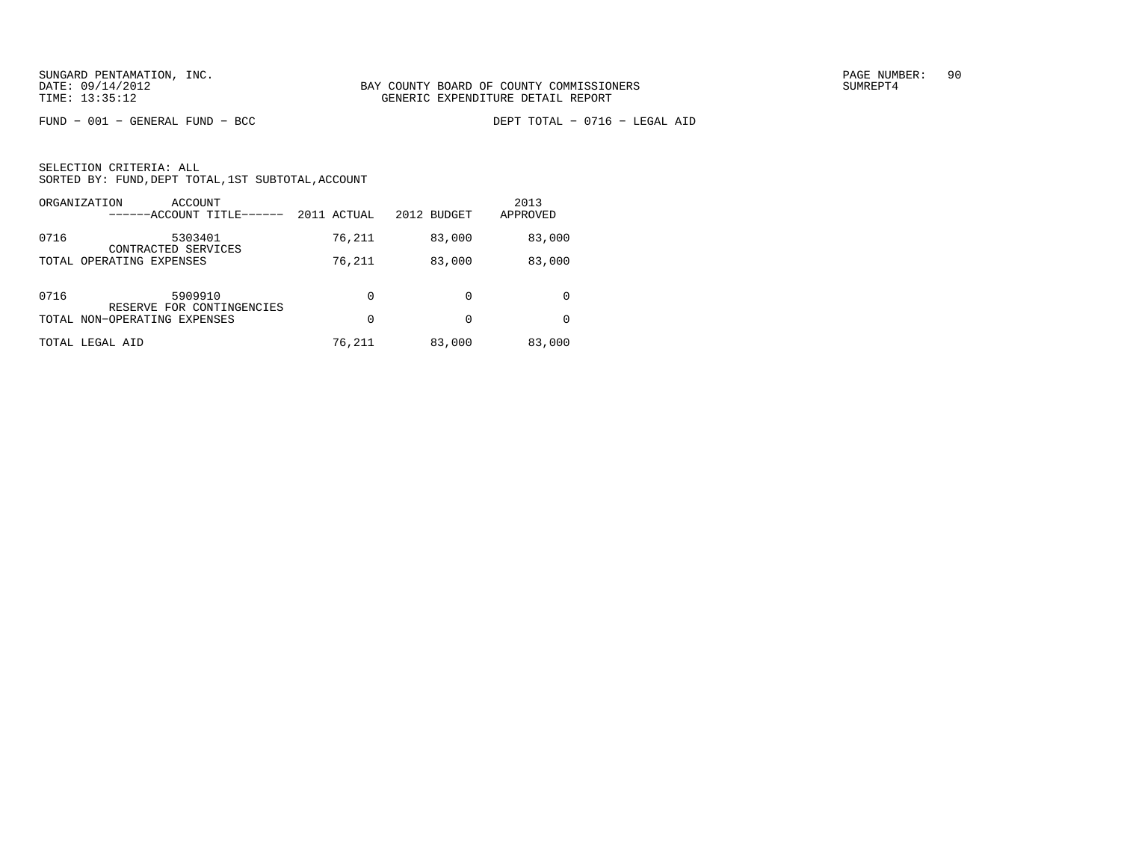FUND − 001 − GENERAL FUND − BCC DEPT TOTAL − 0716 − LEGAL AID

|      | ORGANIZATION<br>ACCOUNT<br>------ACCOUNT TITLE------ | 2011 ACTUAL | 2012 BUDGET | 2013<br>APPROVED |
|------|------------------------------------------------------|-------------|-------------|------------------|
| 0716 | 5303401<br>CONTRACTED SERVICES                       | 76,211      | 83,000      | 83,000           |
|      | TOTAL OPERATING EXPENSES                             | 76,211      | 83,000      | 83,000           |
| 0716 | 5909910<br>RESERVE FOR CONTINGENCIES                 | 0           | 0           | $\Omega$         |
|      | TOTAL NON-OPERATING EXPENSES                         | 0           | 0           | <sup>0</sup>     |
|      | TOTAL LEGAL AID                                      | 76,211      | 83,000      | 83,000           |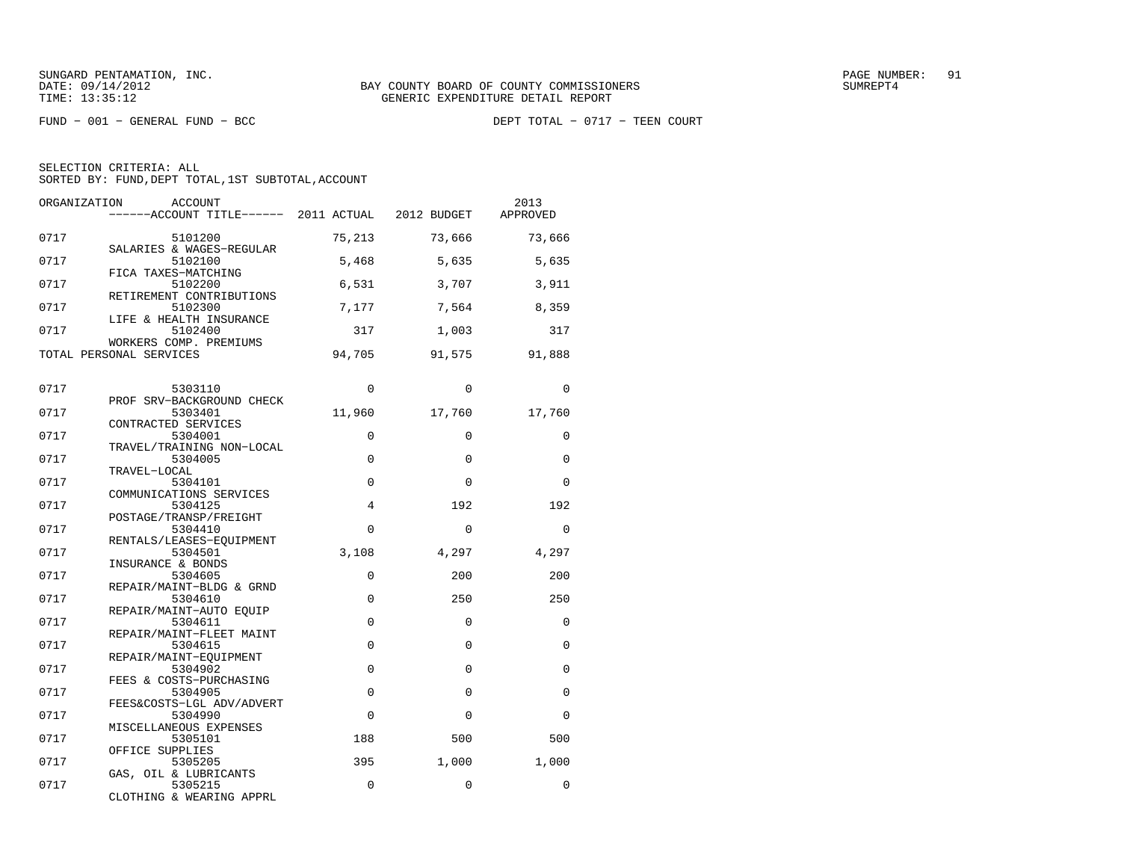FUND − 001 − GENERAL FUND − BCC DEPT TOTAL − 0717 − TEEN COURT

| ORGANIZATION | <b>ACCOUNT</b><br>------ACCOUNT TITLE------ 2011 ACTUAL 2012 BUDGET |                |             | 2013<br>APPROVED |
|--------------|---------------------------------------------------------------------|----------------|-------------|------------------|
| 0717         | 5101200<br>SALARIES & WAGES-REGULAR                                 | 75,213         | 73,666      | 73,666           |
| 0717         | 5102100<br>FICA TAXES-MATCHING                                      | 5,468          | 5,635       | 5,635            |
| 0717         | 5102200<br>RETIREMENT CONTRIBUTIONS                                 | 6,531          | 3,707       | 3,911            |
| 0717         | 5102300<br>LIFE & HEALTH INSURANCE                                  | 7,177          | 7,564       | 8,359            |
| 0717         | 5102400<br>WORKERS COMP. PREMIUMS                                   | 317            | 1,003       | 317              |
|              | TOTAL PERSONAL SERVICES                                             | 94,705         | 91,575      | 91,888           |
| 0717         | 5303110                                                             | $\Omega$       | $\Omega$    | $\Omega$         |
| 0717         | PROF SRV-BACKGROUND CHECK<br>5303401                                | 11,960         | 17,760      | 17,760           |
| 0717         | CONTRACTED SERVICES<br>5304001                                      | $\Omega$       | $\Omega$    | $\Omega$         |
| 0717         | TRAVEL/TRAINING NON-LOCAL<br>5304005                                | 0              | $\mathbf 0$ | $\Omega$         |
| 0717         | TRAVEL-LOCAL<br>5304101<br>COMMUNICATIONS SERVICES                  | $\Omega$       | $\Omega$    | $\Omega$         |
| 0717         | 5304125<br>POSTAGE/TRANSP/FREIGHT                                   | $\overline{4}$ | 192         | 192              |
| 0717         | 5304410<br>RENTALS/LEASES-EQUIPMENT                                 | $\Omega$       | $\Omega$    | $\Omega$         |
| 0717         | 5304501<br>INSURANCE & BONDS                                        | 3,108          | 4,297       | 4,297            |
| 0717         | 5304605<br>REPAIR/MAINT-BLDG & GRND                                 | $\Omega$       | 200         | 200              |
| 0717         | 5304610<br>REPAIR/MAINT-AUTO EOUIP                                  | $\mathbf 0$    | 250         | 250              |
| 0717         | 5304611<br>REPAIR/MAINT-FLEET MAINT                                 | $\Omega$       | $\Omega$    | $\Omega$         |
| 0717         | 5304615<br>REPAIR/MAINT-EQUIPMENT                                   | $\mathbf 0$    | $\Omega$    | 0                |
| 0717         | 5304902<br>FEES & COSTS-PURCHASING                                  | $\mathbf 0$    | $\Omega$    | $\Omega$         |
| 0717         | 5304905<br>FEES&COSTS-LGL ADV/ADVERT                                | 0              | $\Omega$    | 0                |
| 0717         | 5304990<br>MISCELLANEOUS EXPENSES                                   | $\Omega$       | $\Omega$    | $\Omega$         |
| 0717         | 5305101<br>OFFICE SUPPLIES                                          | 188            | 500         | 500              |
| 0717         | 5305205<br>GAS, OIL & LUBRICANTS                                    | 395            | 1,000       | 1,000            |
| 0717         | 5305215<br>CLOTHING & WEARING APPRL                                 | $\Omega$       | $\mathbf 0$ | 0                |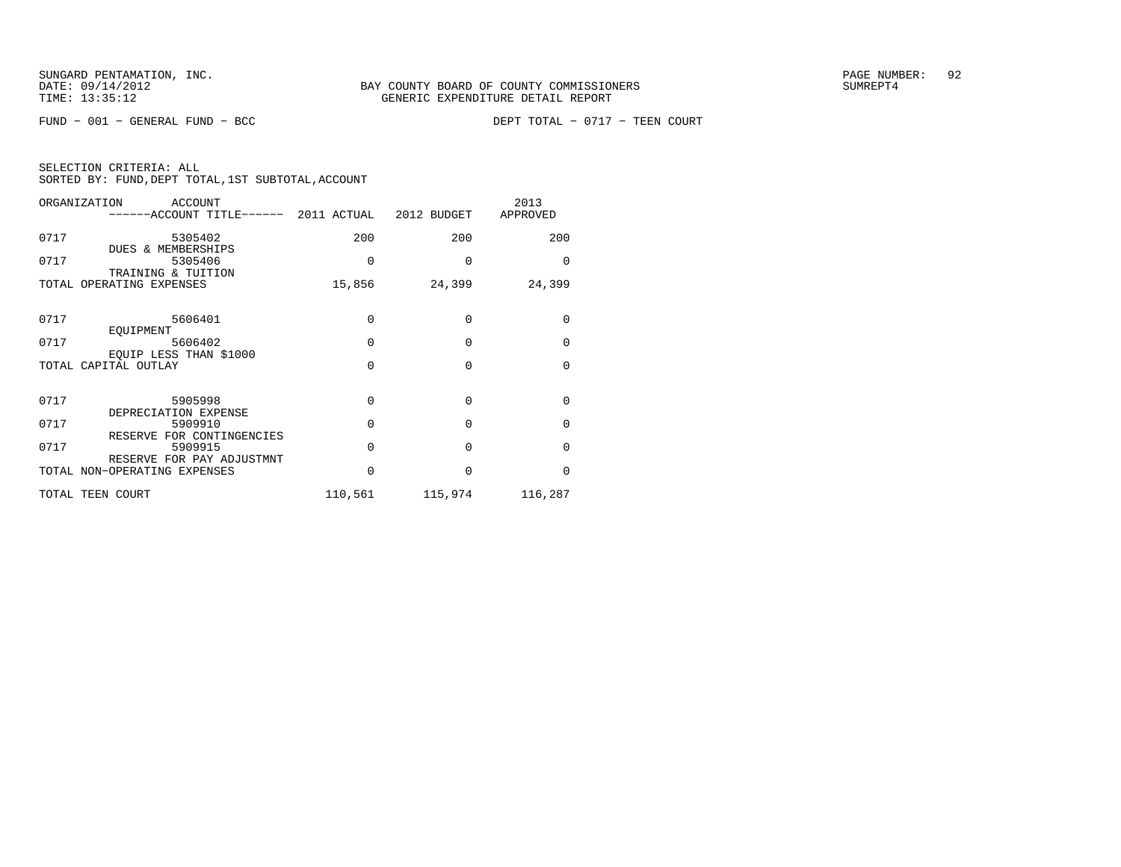FUND − 001 − GENERAL FUND − BCC DEPT TOTAL − 0717 − TEEN COURT

|  | SELECTION CRITERIA: ALL |                                                    |  |
|--|-------------------------|----------------------------------------------------|--|
|  |                         | SORTED BY: FUND, DEPT TOTAL, 1ST SUBTOTAL, ACCOUNT |  |

| ORGANIZATION<br>ACCOUNT                                   |          |                 | 2013<br>APPROVED |
|-----------------------------------------------------------|----------|-----------------|------------------|
| 0717<br>5305402<br><b>DUES &amp; MEMBERSHIPS</b>          | 200      | 200             | 200              |
| 0717<br>5305406<br>TRAINING & TUITION                     | $\Omega$ | $\Omega$        | $\Omega$         |
| TOTAL OPERATING EXPENSES                                  | 15,856   | 24,399          | 24,399           |
| 5606401<br>0717<br>EQUIPMENT                              | $\Omega$ | 0               | 0                |
| 0717<br>5606402                                           | $\Omega$ | $\Omega$        | $\mathbf{0}$     |
| EQUIP LESS THAN \$1000<br>TOTAL CAPITAL OUTLAY            | $\Omega$ | $\Omega$        | $\Omega$         |
| 0717<br>5905998<br>DEPRECIATION EXPENSE                   | $\Omega$ | $\Omega$        | $\Omega$         |
| 0717<br>5909910<br>RESERVE FOR CONTINGENCIES              | $\Omega$ | 0               | $\mathbf{0}$     |
| 0717<br>5909915                                           | $\Omega$ | $\Omega$        | $\Omega$         |
| RESERVE FOR PAY ADJUSTMNT<br>TOTAL NON-OPERATING EXPENSES | $\Omega$ | $\Omega$        | $\Omega$         |
| TOTAL TEEN COURT                                          |          | 110,561 115,974 | 116,287          |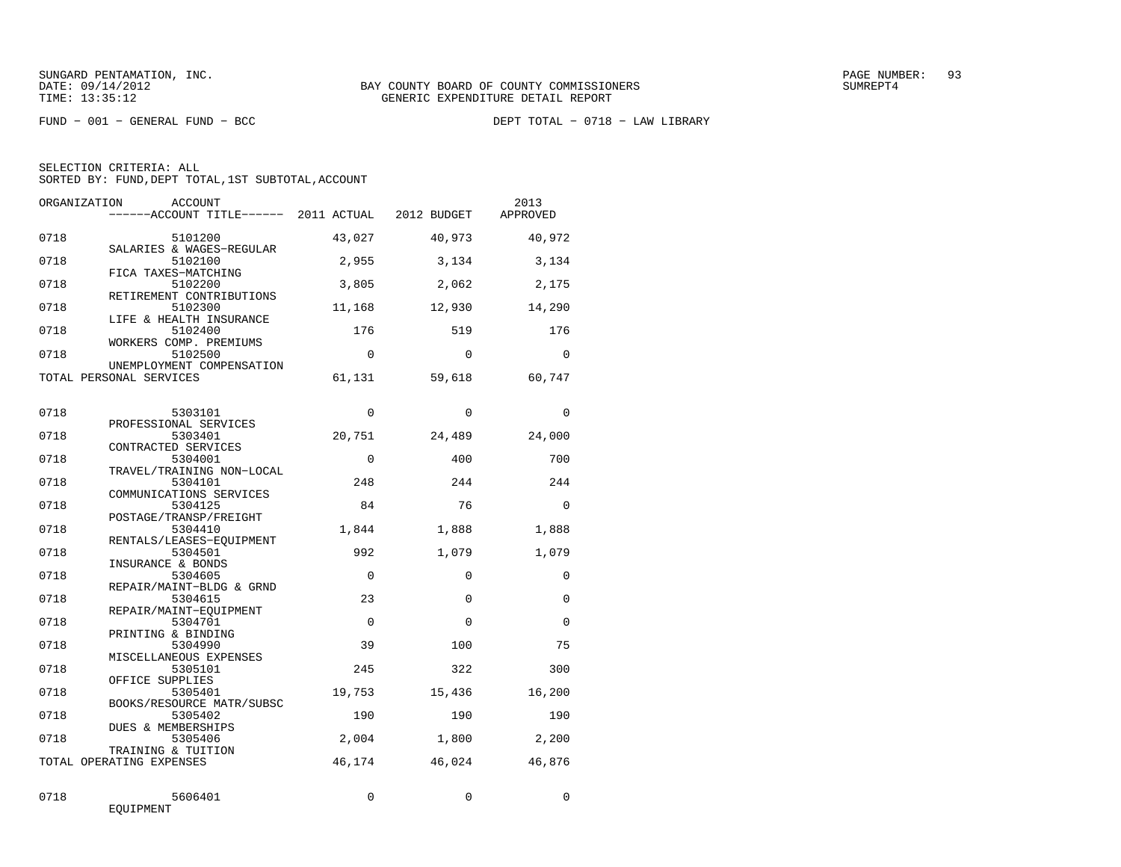| ORGANIZATION | ACCOUNT<br>------ACCOUNT TITLE------ 2011 ACTUAL 2012 BUDGET |                      |                         | 2013<br>APPROVED |
|--------------|--------------------------------------------------------------|----------------------|-------------------------|------------------|
| 0718         | 5101200<br>SALARIES & WAGES-REGULAR                          | 43,027               | 40,973                  | 40,972           |
| 0718         | 5102100<br>FICA TAXES-MATCHING                               | 2,955                | 3,134                   | 3,134            |
| 0718         | 5102200<br>RETIREMENT CONTRIBUTIONS                          | 3,805                | 2,062                   | 2,175            |
| 0718         | 5102300<br>LIFE & HEALTH INSURANCE                           | 11,168               | 12,930                  | 14,290           |
| 0718         | 5102400<br>WORKERS COMP. PREMIUMS                            | 176                  | 519                     | 176              |
| 0718         | 5102500<br>UNEMPLOYMENT COMPENSATION                         | $\Omega$             | $\Omega$                | $\Omega$         |
|              | TOTAL PERSONAL SERVICES                                      | 61,131               | 59,618                  | 60,747           |
| 0718         | 5303101<br>PROFESSIONAL SERVICES                             | $\Omega$             | $\mathbf 0$             | $\mathbf 0$      |
| 0718         | 5303401<br>CONTRACTED SERVICES                               | 20,751               | 24,489                  | 24,000           |
| 0718         | 5304001<br>TRAVEL/TRAINING NON-LOCAL                         | $\Omega$             | 400                     | 700              |
| 0718         | 5304101<br>COMMUNICATIONS SERVICES                           | 248                  | 244                     | 244              |
| 0718         | 5304125<br>POSTAGE/TRANSP/FREIGHT                            | 84                   | 76                      | $\Omega$         |
| 0718         | 5304410<br>RENTALS/LEASES-EOUIPMENT                          | 1,844                | 1,888                   | 1,888            |
| 0718         | 5304501<br>INSURANCE & BONDS                                 | 992                  | 1,079                   | 1,079            |
| 0718         | 5304605<br>REPAIR/MAINT-BLDG & GRND                          | $\Omega$             | $\Omega$                | $\Omega$         |
| 0718         | 5304615<br>REPAIR/MAINT-EOUIPMENT                            | 23<br>$\overline{0}$ | $\mathbf 0$<br>$\Omega$ | $\Omega$         |
| 0718<br>0718 | 5304701<br>PRINTING & BINDING<br>5304990                     | 39                   | 100                     | $\Omega$<br>75   |
| 0718         | MISCELLANEOUS EXPENSES<br>5305101                            | 245                  | 322                     | 300              |
| 0718         | OFFICE SUPPLIES<br>5305401                                   | 19,753               | 15,436                  | 16,200           |
| 0718         | BOOKS/RESOURCE MATR/SUBSC<br>5305402                         | 190                  | 190                     | 190              |
| 0718         | DUES & MEMBERSHIPS<br>5305406                                | 2,004                | 1,800                   | 2,200            |
|              | TRAINING & TUITION<br>TOTAL OPERATING EXPENSES               | 46,174               | 46,024                  | 46,876           |
| 0718         | 5606401<br>EQUIPMENT                                         | $\Omega$             | $\Omega$                | $\Omega$         |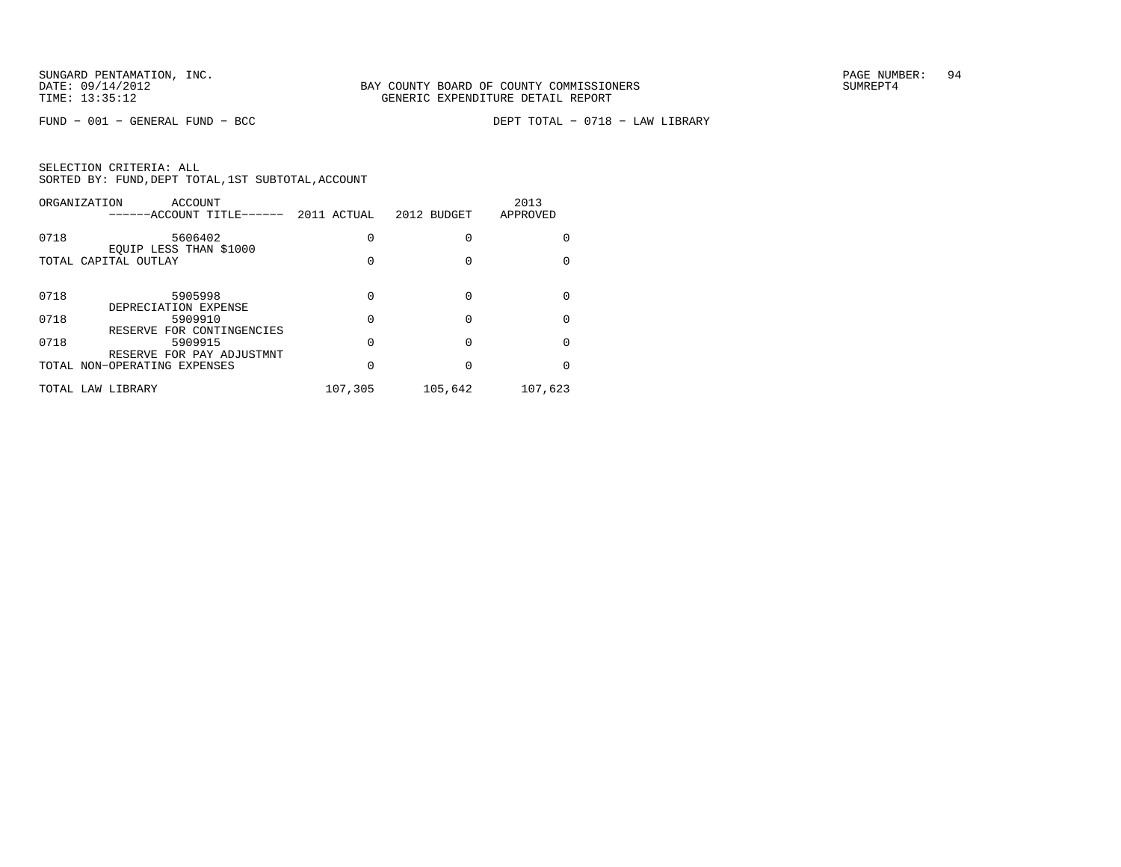FUND − 001 − GENERAL FUND − BCC DEPT TOTAL − 0718 − LAW LIBRARY

| ORGANIZATION         | ACCOUNT<br>-----ACCOUNT TITLE------                               | 2011 ACTUAL | 2012 BUDGET | 2013<br>APPROVED |
|----------------------|-------------------------------------------------------------------|-------------|-------------|------------------|
| 0718                 | 5606402<br>EQUIP LESS THAN \$1000                                 |             |             | <sup>0</sup>     |
| TOTAL CAPITAL OUTLAY |                                                                   |             |             |                  |
| 0718                 | 5905998<br>DEPRECIATION EXPENSE                                   | O           |             | $\Omega$         |
| 0718                 | 5909910                                                           |             |             | $\Omega$         |
| 0718                 | RESERVE FOR CONTINGENCIES<br>5909915<br>RESERVE FOR PAY ADJUSTMNT |             |             | $\Omega$         |
|                      | TOTAL NON-OPERATING EXPENSES                                      |             |             | <sup>0</sup>     |
|                      | TOTAL LAW LIBRARY                                                 | 107,305     | 105,642     | 107,623          |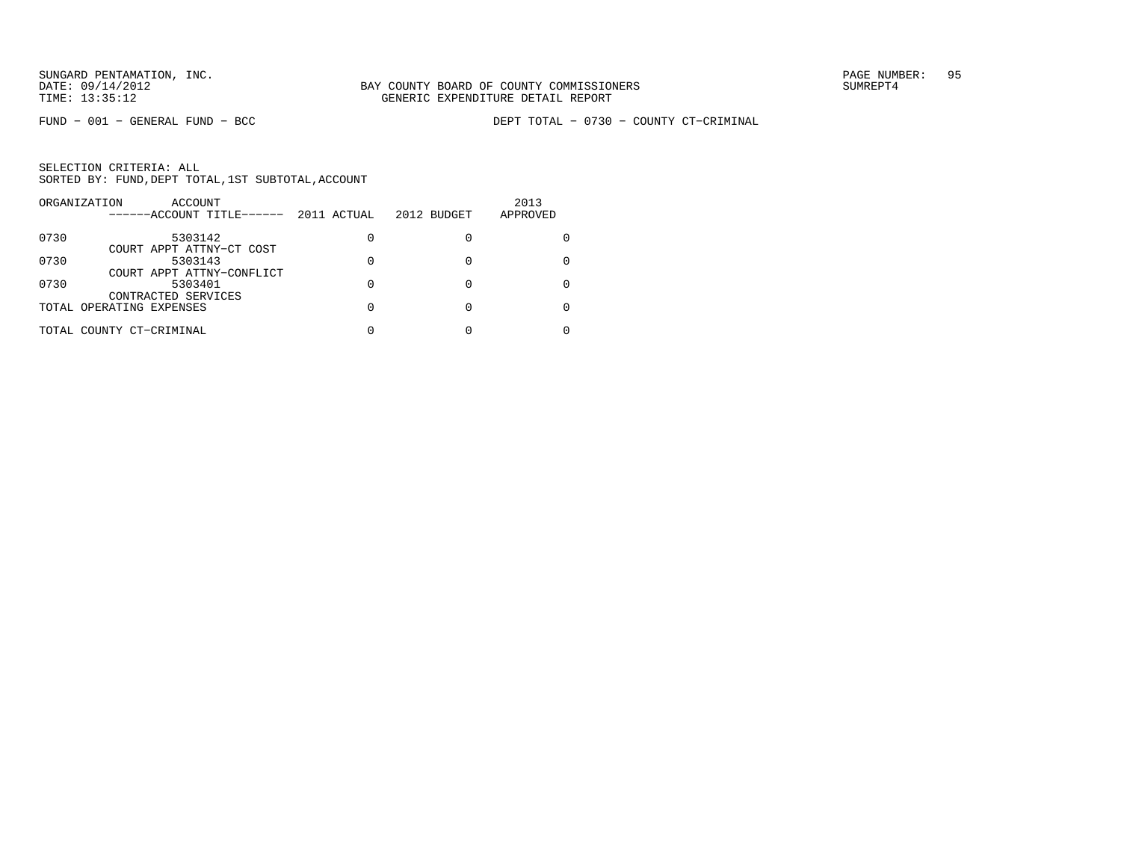|      | ORGANIZATION<br>ACCOUNT<br>------ACCOUNT TITLE------ | 2011 ACTUAL | 2012 BUDGET | 2013<br>APPROVED |
|------|------------------------------------------------------|-------------|-------------|------------------|
| 0730 | 5303142                                              | 0           |             |                  |
| 0730 | COURT APPT ATTNY-CT COST<br>5303143                  | 0           |             |                  |
| 0730 | COURT APPT ATTNY-CONFLICT<br>5303401                 | U           |             |                  |
|      | CONTRACTED SERVICES                                  |             |             |                  |
|      | TOTAL OPERATING EXPENSES                             | U           |             |                  |
|      | TOTAL COUNTY CT-CRIMINAL                             |             |             |                  |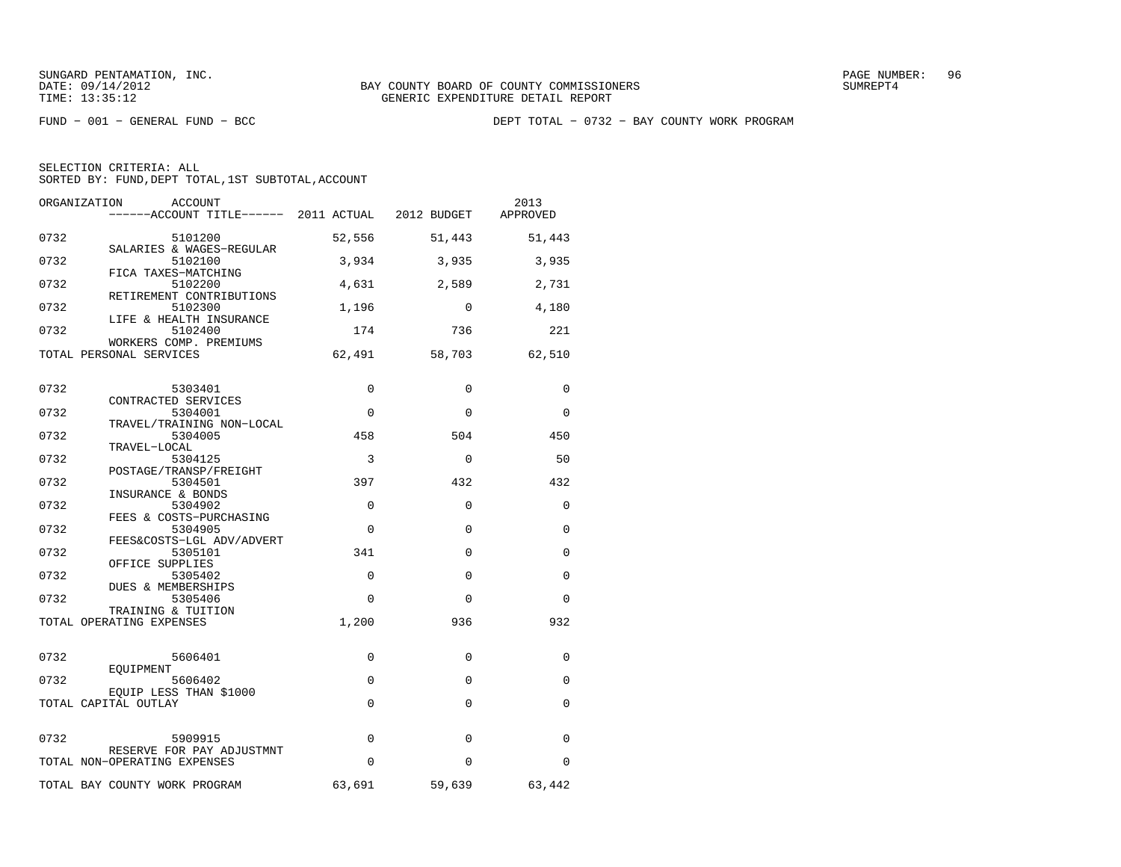FUND − 001 − GENERAL FUND − BCC DEPT TOTAL − 0732 − BAY COUNTY WORK PROGRAM

| ORGANIZATION<br><b>ACCOUNT</b><br>------ACCOUNT TITLE------ 2011 ACTUAL 2012 BUDGET |             |             | 2013<br>APPROVED |
|-------------------------------------------------------------------------------------|-------------|-------------|------------------|
| 0732<br>5101200                                                                     | 52,556      | 51,443      | 51,443           |
| SALARIES & WAGES-REGULAR<br>0732<br>5102100                                         | 3,934       | 3,935       | 3,935            |
| FICA TAXES-MATCHING<br>0732<br>5102200                                              | 4,631       | 2,589       | 2,731            |
| RETIREMENT CONTRIBUTIONS<br>0732<br>5102300                                         | 1,196       | $\Omega$    | 4,180            |
| LIFE & HEALTH INSURANCE<br>0732<br>5102400                                          | 174         | 736         | 221              |
| WORKERS COMP. PREMIUMS<br>TOTAL PERSONAL SERVICES                                   | 62,491      | 58,703      | 62,510           |
| 0732<br>5303401                                                                     | 0           | $\mathbf 0$ | 0                |
| CONTRACTED SERVICES<br>0732<br>5304001                                              | $\Omega$    | $\Omega$    | $\Omega$         |
| TRAVEL/TRAINING NON-LOCAL<br>0732<br>5304005                                        | 458         | 504         | 450              |
| TRAVEL-LOCAL<br>0732<br>5304125                                                     | 3           | $\Omega$    | 50               |
| POSTAGE/TRANSP/FREIGHT<br>0732<br>5304501                                           | 397         | 432         | 432              |
| INSURANCE & BONDS<br>0732<br>5304902                                                | $\Omega$    | $\Omega$    | $\Omega$         |
| FEES & COSTS-PURCHASING<br>0732<br>5304905                                          | $\Omega$    | $\Omega$    | $\Omega$         |
| FEES&COSTS-LGL ADV/ADVERT<br>0732<br>5305101                                        | 341         | $\Omega$    | $\Omega$         |
| OFFICE SUPPLIES<br>0732<br>5305402                                                  | $\Omega$    | $\Omega$    | $\Omega$         |
| DUES & MEMBERSHIPS<br>0732<br>5305406<br>TRAINING & TUITION                         | $\Omega$    | $\Omega$    | $\Omega$         |
| TOTAL OPERATING EXPENSES                                                            | 1,200       | 936         | 932              |
| 0732<br>5606401                                                                     | $\Omega$    | $\Omega$    | $\Omega$         |
| EQUIPMENT<br>0732<br>5606402                                                        | $\mathbf 0$ | $\Omega$    | $\Omega$         |
| EQUIP LESS THAN \$1000<br>TOTAL CAPITAL OUTLAY                                      | $\mathbf 0$ | $\Omega$    | $\Omega$         |
| 0732<br>5909915                                                                     | $\mathbf 0$ | $\Omega$    | $\Omega$         |
| RESERVE FOR PAY ADJUSTMNT<br>TOTAL NON-OPERATING EXPENSES                           | $\Omega$    | $\Omega$    | 0                |
| TOTAL BAY COUNTY WORK PROGRAM                                                       | 63,691      | 59,639      | 63,442           |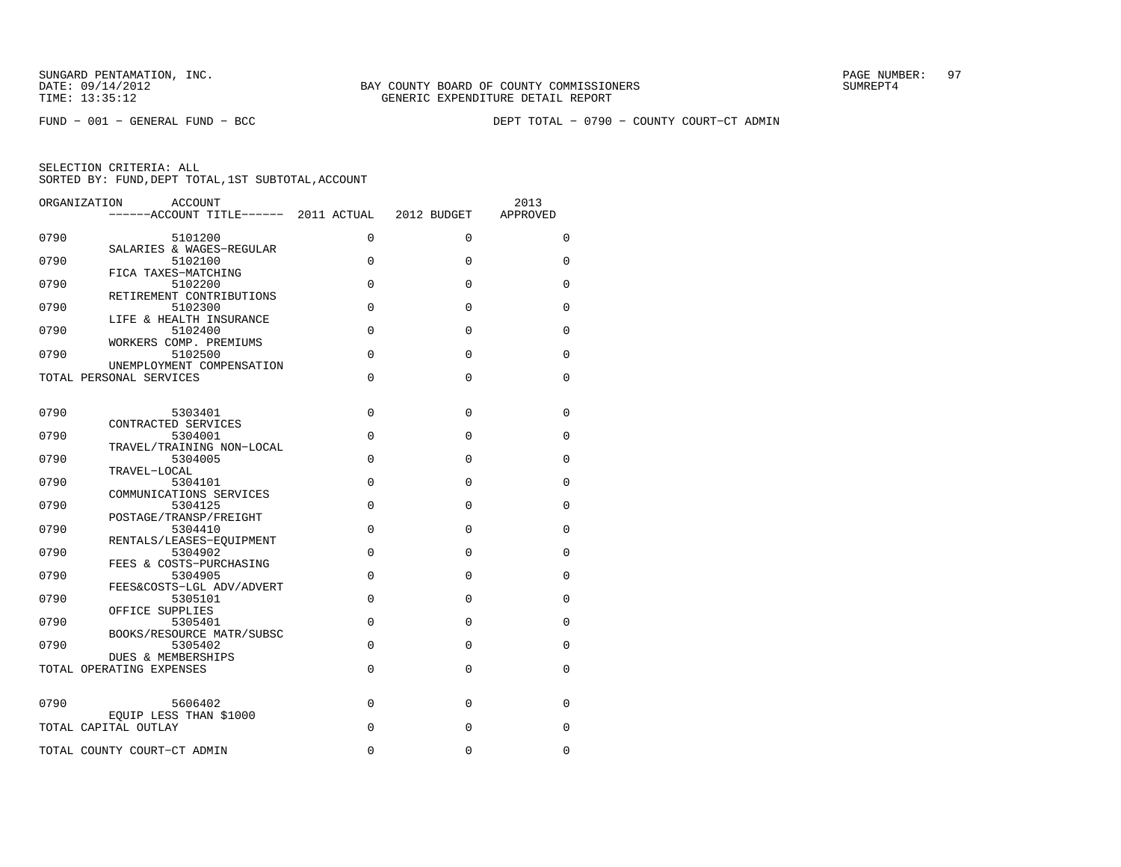FUND − 001 − GENERAL FUND − BCC DEPT TOTAL − 0790 − COUNTY COURT−CT ADMIN

| ORGANIZATION<br>ACCOUNT                      | ------ACCOUNT TITLE------ 2011 ACTUAL | 2012 BUDGET | 2013<br>APPROVED |
|----------------------------------------------|---------------------------------------|-------------|------------------|
| 0790<br>5101200                              | 0                                     | 0           | 0                |
| SALARIES & WAGES-REGULAR<br>0790<br>5102100  | 0                                     | 0           | 0                |
| FICA TAXES-MATCHING                          |                                       |             |                  |
| 0790<br>5102200<br>RETIREMENT CONTRIBUTIONS  | $\mathbf 0$                           | $\Omega$    | $\Omega$         |
| 0790<br>5102300                              | 0                                     | $\Omega$    | $\Omega$         |
| LIFE & HEALTH INSURANCE<br>0790<br>5102400   | $\mathbf 0$                           | $\Omega$    | 0                |
| WORKERS COMP. PREMIUMS<br>0790<br>5102500    | $\mathbf 0$                           | $\mathbf 0$ | 0                |
| UNEMPLOYMENT COMPENSATION                    |                                       |             |                  |
| TOTAL PERSONAL SERVICES                      | $\Omega$                              | $\Omega$    | $\Omega$         |
| 0790<br>5303401                              | 0                                     | $\Omega$    | 0                |
| CONTRACTED SERVICES                          |                                       |             |                  |
| 0790<br>5304001<br>TRAVEL/TRAINING NON-LOCAL | 0                                     | $\Omega$    | 0                |
| 0790<br>5304005<br>TRAVEL-LOCAL              | $\mathbf 0$                           | $\Omega$    | $\Omega$         |
| 0790<br>5304101                              | 0                                     | $\Omega$    | $\Omega$         |
| COMMUNICATIONS SERVICES<br>0790<br>5304125   | 0                                     | $\Omega$    | 0                |
| POSTAGE/TRANSP/FREIGHT<br>0790               | 0                                     | 0           |                  |
| 5304410<br>RENTALS/LEASES-EQUIPMENT          |                                       |             | 0                |
| 0790<br>5304902<br>FEES & COSTS-PURCHASING   | $\mathbf 0$                           | $\Omega$    | $\Omega$         |
| 0790<br>5304905                              | 0                                     | $\Omega$    | 0                |
| FEES&COSTS-LGL ADV/ADVERT<br>0790<br>5305101 | 0                                     | $\Omega$    | 0                |
| OFFICE SUPPLIES<br>0790<br>5305401           | $\mathbf 0$                           | $\Omega$    | $\Omega$         |
| BOOKS/RESOURCE MATR/SUBSC                    |                                       |             |                  |
| 0790<br>5305402<br>DUES & MEMBERSHIPS        | $\Omega$                              | $\Omega$    | $\Omega$         |
| TOTAL OPERATING EXPENSES                     | 0                                     | $\Omega$    | 0                |
|                                              |                                       |             |                  |
| 0790<br>5606402<br>EQUIP LESS THAN \$1000    | $\mathbf 0$                           | 0           | 0                |
| TOTAL CAPITAL OUTLAY                         | 0                                     | $\Omega$    | $\Omega$         |
| TOTAL COUNTY COURT-CT ADMIN                  | 0                                     | $\mathbf 0$ | $\Omega$         |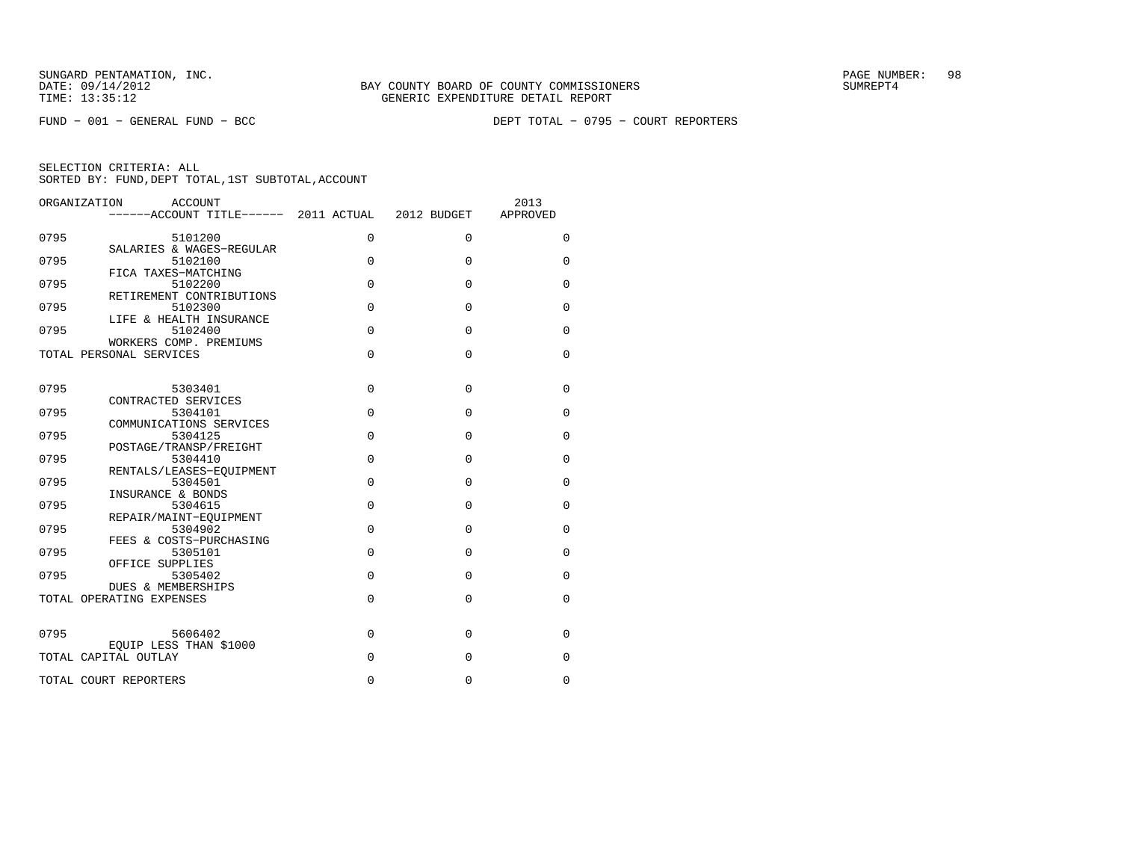FUND − 001 − GENERAL FUND − BCC DEPT TOTAL − 0795 − COURT REPORTERS

| ORGANIZATION | ACCOUNT<br>$----ACCOVINT TITLE--- 2011 ACTUAL 2012 BUDGET$ |             |             | 2013<br>APPROVED |
|--------------|------------------------------------------------------------|-------------|-------------|------------------|
| 0795         | 5101200                                                    | $\mathbf 0$ | $\Omega$    | 0                |
| 0795         | SALARIES & WAGES-REGULAR<br>5102100                        | $\Omega$    | $\Omega$    | $\mathbf 0$      |
| 0795         | FICA TAXES-MATCHING<br>5102200                             | $\Omega$    | 0           | $\mathbf 0$      |
| 0795         | RETIREMENT CONTRIBUTIONS<br>5102300                        | $\Omega$    | 0           | $\mathbf 0$      |
| 0795         | LIFE & HEALTH INSURANCE<br>5102400                         | $\Omega$    | 0           | 0                |
|              | WORKERS COMP. PREMIUMS<br>TOTAL PERSONAL SERVICES          | $\Omega$    | $\Omega$    | $\mathbf 0$      |
|              |                                                            |             |             |                  |
| 0795         | 5303401<br>CONTRACTED SERVICES                             | $\Omega$    | 0           | 0                |
| 0795         | 5304101<br>COMMUNICATIONS SERVICES                         | $\Omega$    | 0           | $\Omega$         |
| 0795         | 5304125                                                    | $\Omega$    | 0           | 0                |
| 0795         | POSTAGE/TRANSP/FREIGHT<br>5304410                          | $\mathbf 0$ | 0           | 0                |
|              | RENTALS/LEASES-EOUIPMENT                                   |             |             |                  |
| 0795         | 5304501<br>INSURANCE & BONDS                               | $\Omega$    | $\Omega$    | $\mathbf 0$      |
| 0795         | 5304615                                                    | $\Omega$    | 0           | $\mathbf 0$      |
| 0795         | REPAIR/MAINT-EOUIPMENT<br>5304902                          | $\Omega$    | 0           | 0                |
| 0795         | FEES & COSTS-PURCHASING<br>5305101                         | $\Omega$    | 0           | 0                |
|              | OFFICE SUPPLIES                                            |             |             |                  |
| 0795         | 5305402<br>DUES & MEMBERSHIPS                              | $\Omega$    | $\Omega$    | 0                |
|              | TOTAL OPERATING EXPENSES                                   | $\Omega$    | $\Omega$    | 0                |
| 0795         | 5606402                                                    | $\Omega$    | $\mathbf 0$ | 0                |
|              | EOUIP LESS THAN \$1000                                     |             |             |                  |
|              | TOTAL CAPITAL OUTLAY                                       | $\Omega$    | 0           | 0                |
|              | TOTAL COURT REPORTERS                                      | $\Omega$    | 0           | 0                |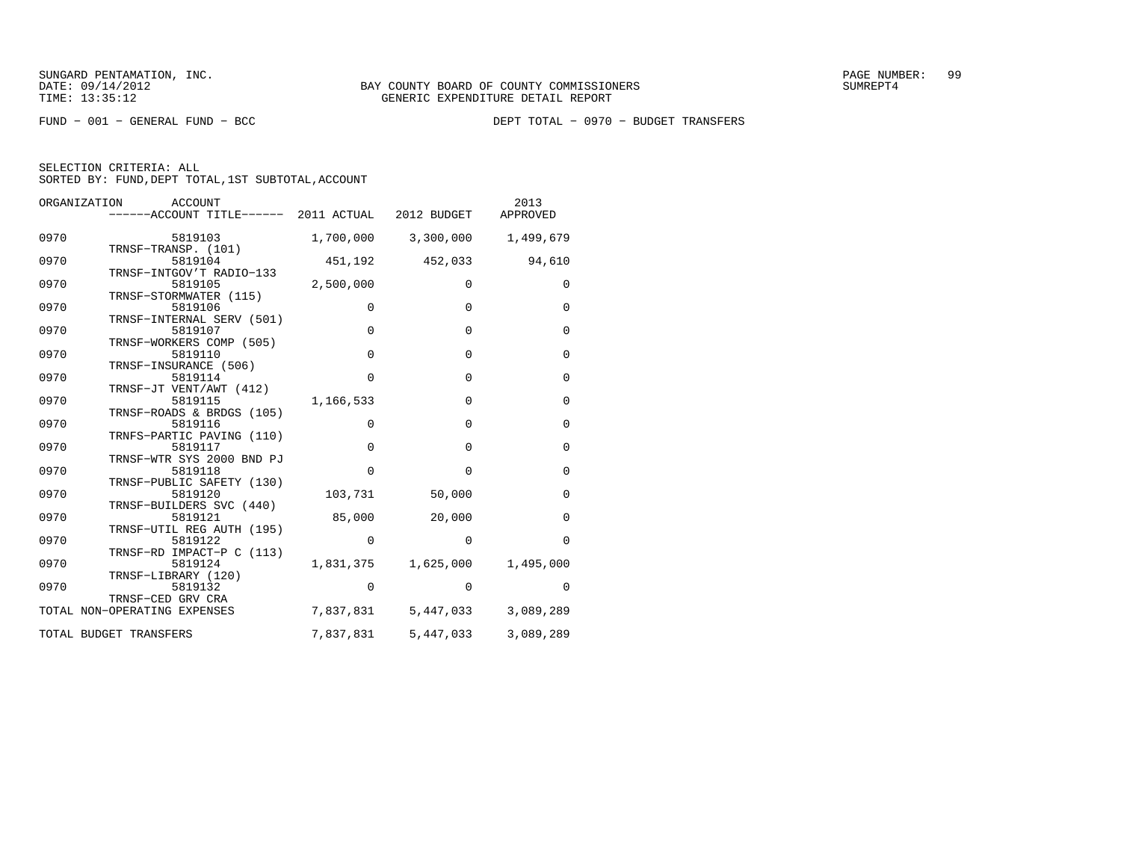SELECTION CRITERIA: ALL

SORTED BY: FUND, DEPT TOTAL, 1ST SUBTOTAL, ACCOUNT

| ORGANIZATION<br>ACCOUNT<br>------ACCOUNT TITLE------ 2011 ACTUAL 2012 BUDGET |             |                               | 2013<br>APPROVED |
|------------------------------------------------------------------------------|-------------|-------------------------------|------------------|
| 0970<br>5819103                                                              |             | 1,700,000 3,300,000 1,499,679 |                  |
| TRNSF-TRANSP. (101)<br>0970<br>5819104<br>TRNSF-INTGOV'T RADIO-133           |             | 451,192 452,033               | 94,610           |
| 0970<br>5819105<br>TRNSF-STORMWATER (115)                                    | 2,500,000   | $\mathbf 0$                   | 0                |
| 0970<br>5819106<br>TRNSF-INTERNAL SERV (501)                                 | $\Omega$    | $\Omega$                      | $\mathbf 0$      |
| 0970<br>5819107<br>TRNSF-WORKERS COMP (505)                                  | $\Omega$    | $\Omega$                      | $\Omega$         |
| 0970<br>5819110<br>TRNSF-INSURANCE (506)                                     | $\mathbf 0$ | $\mathbf 0$                   | $\mathbf 0$      |
| 0970<br>5819114<br>TRNSF-JT VENT/AWT (412)                                   | $\Omega$    | $\mathbf 0$                   | $\mathbf 0$      |
| 0970<br>5819115<br>TRNSF-ROADS & BRDGS (105)                                 | 1,166,533   | $\mathbf 0$                   | $\mathbf 0$      |
| 0970<br>5819116<br>TRNFS-PARTIC PAVING (110)                                 | $\Omega$    | $\Omega$                      | $\mathbf 0$      |
| 0970<br>5819117<br>TRNSF-WTR SYS 2000 BND PJ                                 | $\Omega$    | $\mathbf 0$                   | $\mathbf 0$      |
| 0970<br>5819118<br>TRNSF-PUBLIC SAFETY (130)                                 | $\Omega$    | $\Omega$                      | $\mathbf 0$      |
| 0970<br>5819120<br>TRNSF-BUILDERS SVC (440)                                  | 103,731     | 50,000                        | $\mathbf 0$      |
| 0970<br>5819121<br>TRNSF-UTIL REG AUTH (195)                                 | 85,000      | 20,000                        | $\mathbf 0$      |
| 0970<br>5819122<br>TRNSF-RD IMPACT-P C (113)                                 | $\Omega$    | $\Omega$                      | $\Omega$         |
| 0970<br>5819124<br>TRNSF-LIBRARY (120)                                       | 1,831,375   | 1,625,000                     | 1,495,000        |
| 0970<br>5819132<br>TRNSF-CED GRV CRA                                         | $\mathbf 0$ | $\mathbf 0$                   | $\Omega$         |
| TOTAL NON-OPERATING EXPENSES                                                 |             | 7,837,831 5,447,033           | 3,089,289        |
| TOTAL BUDGET TRANSFERS                                                       | 7,837,831   | 5,447,033                     | 3,089,289        |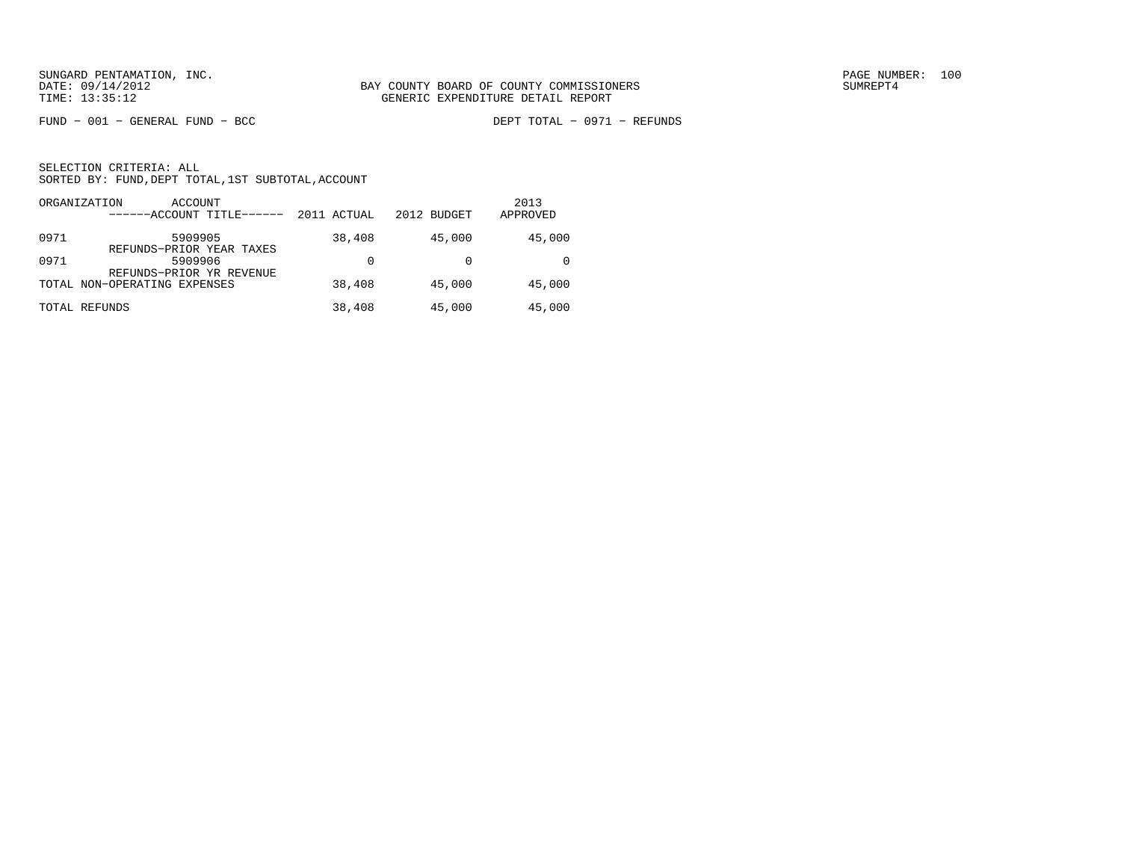$FUND - 001 - GENERAL FUND - BCC$ 

DEPT TOTAL - 0971 - REFUNDS

|      | ORGANIZATION<br>ACCOUNT<br>------ACCOUNT TITLE------ | 2011 ACTUAL | 2012 BUDGET | 2013<br>APPROVED |
|------|------------------------------------------------------|-------------|-------------|------------------|
| 0971 | 5909905<br>REFUNDS-PRIOR YEAR TAXES                  | 38,408      | 45,000      | 45,000           |
| 0971 | 5909906<br>REFUNDS-PRIOR YR REVENUE                  | 0           |             |                  |
|      | TOTAL NON-OPERATING EXPENSES                         | 38,408      | 45,000      | 45,000           |
|      | TOTAL REFUNDS                                        | 38,408      | 45,000      | 45,000           |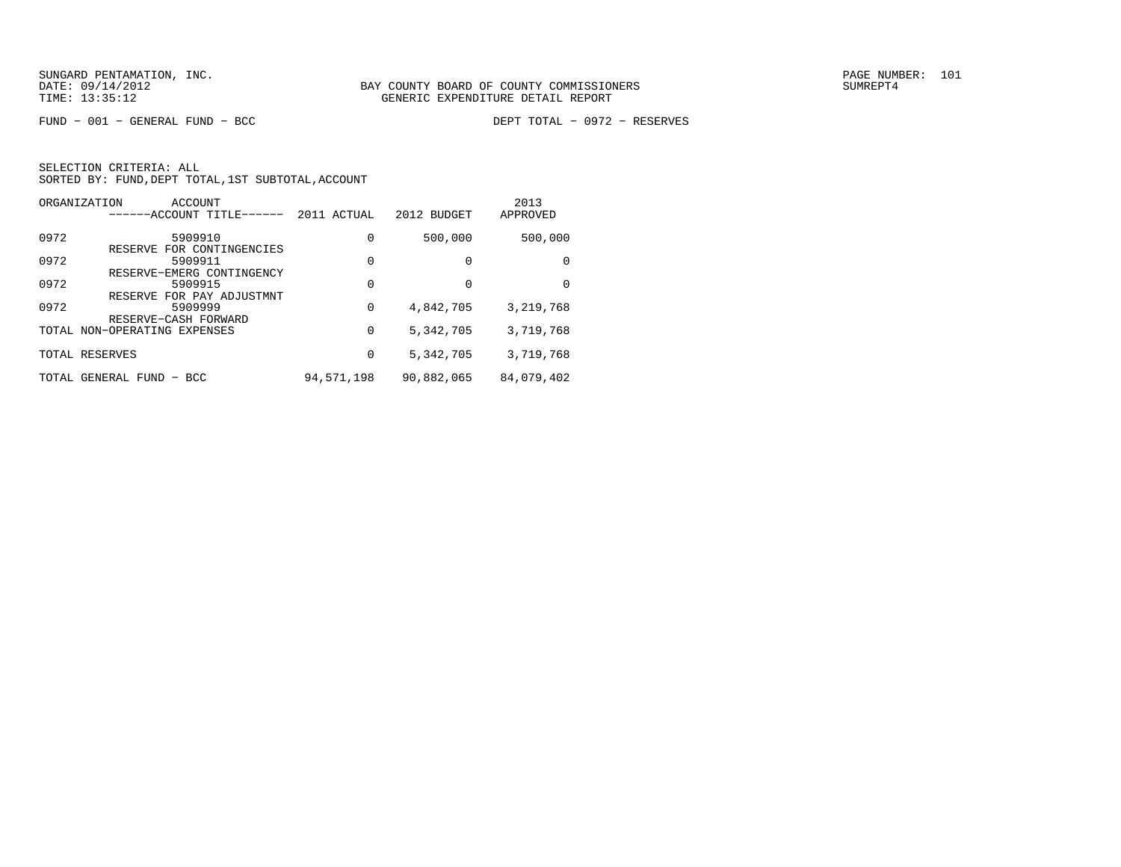$FUND - 001 - GENERAL FUND - BCC$ 

DEPT TOTAL - 0972 - RESERVES

|       | ORGANIZATION<br>ACCOUNT<br>------ACCOUNT TITLE------ | 2011 ACTUAL | 2012 BUDGET | 2013<br>APPROVED |
|-------|------------------------------------------------------|-------------|-------------|------------------|
| 0972  | 5909910                                              | 0           | 500,000     | 500,000          |
| 0972  | FOR CONTINGENCIES<br>RESERVE<br>5909911              | 0           | $\Omega$    | $\Omega$         |
| 0972  | RESERVE-EMERG CONTINGENCY<br>5909915                 | 0           | $\Omega$    | $\Omega$         |
| 0972  | RESERVE FOR PAY ADJUSTMNT<br>5909999                 | 0           | 4,842,705   | 3,219,768        |
|       | RESERVE-CASH FORWARD<br>TOTAL NON-OPERATING EXPENSES | 0           | 5,342,705   | 3,719,768        |
|       | TOTAL RESERVES                                       | 0           | 5,342,705   | 3,719,768        |
| TOTAL | GENERAL FUND - BCC                                   | 94,571,198  | 90,882,065  | 84,079,402       |
|       |                                                      |             |             |                  |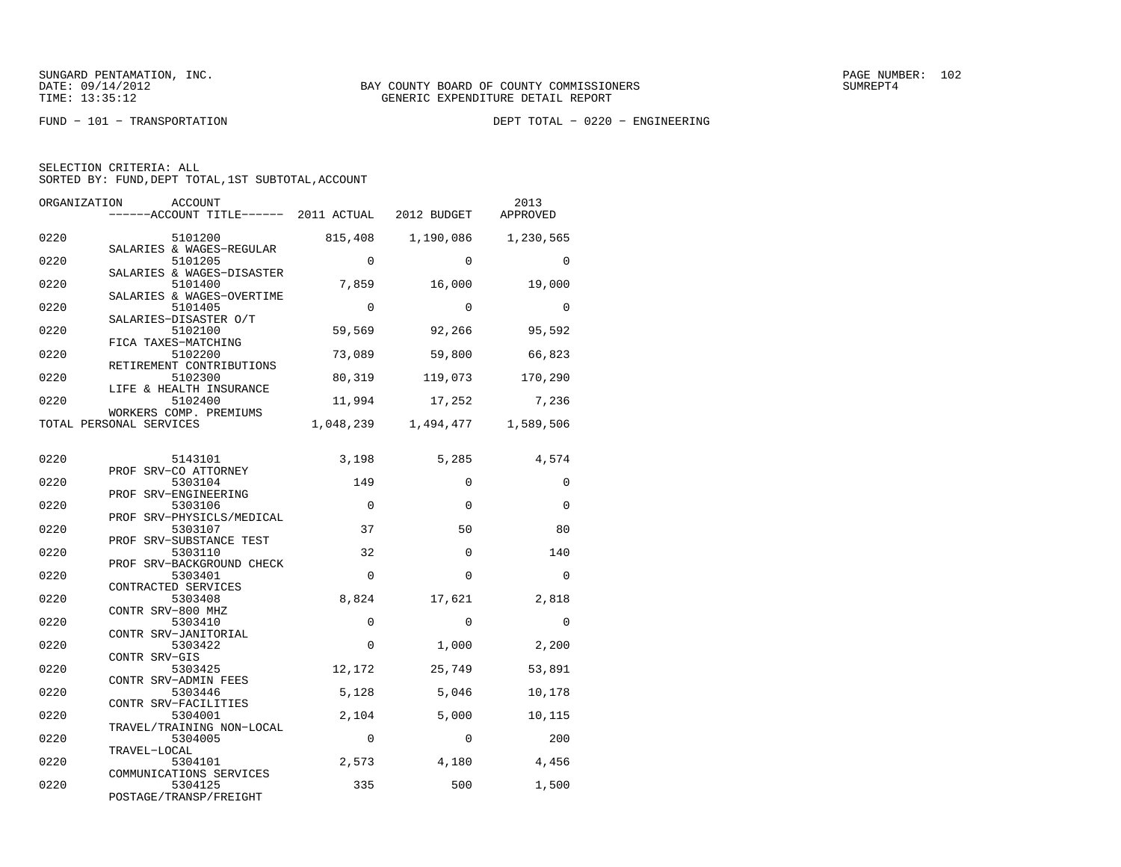FUND − 101 − TRANSPORTATION DEPT TOTAL − 0220 − ENGINEERING

| SELECTION CRITERIA: ALL |  |  |                                                    |  |
|-------------------------|--|--|----------------------------------------------------|--|
|                         |  |  | SORTED BY: FUND, DEPT TOTAL, 1ST SUBTOTAL, ACCOUNT |  |

| ORGANIZATION | <b>ACCOUNT</b><br>------ACCOUNT TITLE------ 2011 ACTUAL 2012 BUDGET |                |                   | 2013<br>APPROVED |
|--------------|---------------------------------------------------------------------|----------------|-------------------|------------------|
| 0220         | 5101200<br>SALARIES & WAGES-REGULAR                                 | 815,408        | 1,190,086         | 1,230,565        |
| 0220         | 5101205<br>SALARIES & WAGES-DISASTER                                | $\Omega$       | $\Omega$          | $\Omega$         |
| 0220         | 5101400<br>SALARIES & WAGES-OVERTIME                                | 7,859          | 16,000            | 19,000           |
| 0220         | 5101405<br>SALARIES-DISASTER O/T                                    | $\Omega$       | $\Omega$          | $\Omega$         |
| 0220         | 5102100<br>FICA TAXES-MATCHING                                      | 59,569         | 92,266            | 95,592           |
| 0220         | 5102200<br>RETIREMENT CONTRIBUTIONS                                 | 73,089         | 59,800            | 66,823           |
| 0220         | 5102300<br>LIFE & HEALTH INSURANCE                                  | 80,319         | 119,073           | 170,290          |
| 0220         | 5102400<br>WORKERS COMP. PREMIUMS                                   | 11,994         | 17,252            | 7,236            |
|              | TOTAL PERSONAL SERVICES                                             | 1,048,239      | 1,494,477         | 1,589,506        |
| 0220         | 5143101<br>PROF SRV-CO ATTORNEY                                     | 3,198          | 5,285             | 4,574            |
| 0220         | 5303104<br>PROF SRV-ENGINEERING                                     | 149            | $\Omega$          | 0                |
| 0220         | 5303106<br>PROF SRV-PHYSICLS/MEDICAL                                | $\Omega$       | $\Omega$          | 0                |
| 0220         | 5303107<br>PROF SRV-SUBSTANCE TEST                                  | 37             | 50                | 80               |
| 0220         | 5303110<br>PROF SRV-BACKGROUND CHECK                                | 32             | $\Omega$          | 140              |
| 0220         | 5303401<br>CONTRACTED SERVICES                                      | $\Omega$       | $\Omega$          | $\Omega$         |
| 0220         | 5303408<br>CONTR SRV-800 MHZ                                        | 8,824          | 17,621            | 2,818            |
| 0220         | 5303410<br>CONTR SRV-JANITORIAL                                     | $\Omega$       | $\Omega$          | 0                |
| 0220         | 5303422<br>CONTR SRV-GIS                                            | $\Omega$       | 1,000             | 2,200            |
| 0220         | 5303425<br>CONTR SRV-ADMIN FEES                                     | 12,172         | 25,749            | 53,891           |
| 0220<br>0220 | 5303446<br>CONTR SRV-FACILITIES                                     | 5,128<br>2,104 | 5,046             | 10,178           |
| 0220         | 5304001<br>TRAVEL/TRAINING NON-LOCAL<br>5304005                     | $\mathbf 0$    | 5,000<br>$\Omega$ | 10,115<br>200    |
| 0220         | TRAVEL-LOCAL                                                        |                |                   |                  |
| 0220         | 5304101<br>COMMUNICATIONS SERVICES                                  | 2,573          | 4,180             | 4,456            |
|              | 5304125<br>POSTAGE/TRANSP/FREIGHT                                   | 335            | 500               | 1,500            |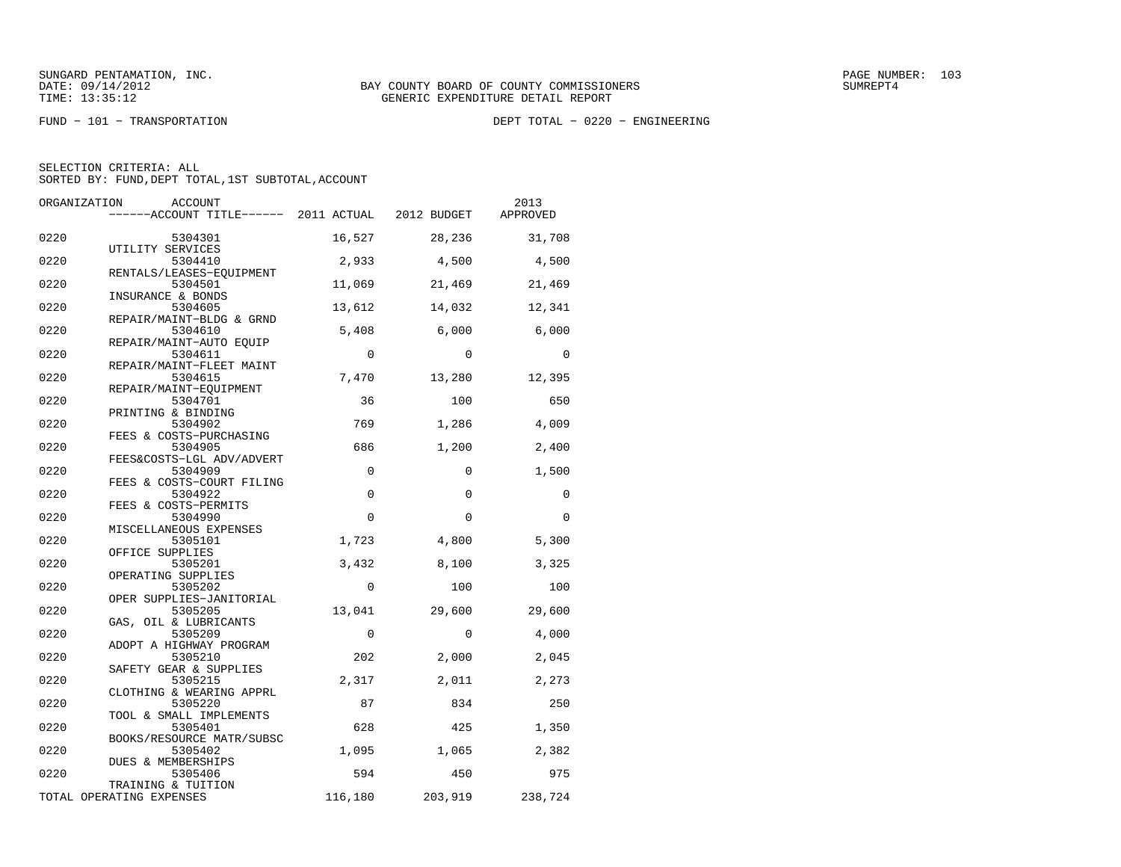FUND − 101 − TRANSPORTATION DEPT TOTAL − 0220 − ENGINEERING

| ORGANIZATION | ACCOUNT                                                  |                    |              | 2013         |
|--------------|----------------------------------------------------------|--------------------|--------------|--------------|
|              | ------ACCOUNT TITLE------ 2011 ACTUAL 2012 BUDGET        |                    |              | APPROVED     |
| 0220         | 5304301                                                  | 16,527             | 28,236       | 31,708       |
| 0220         | UTILITY SERVICES<br>5304410                              | 2,933              | 4,500        | 4,500        |
| 0220         | RENTALS/LEASES-EQUIPMENT<br>5304501<br>INSURANCE & BONDS | 11,069             | 21,469       | 21,469       |
| 0220         | 5304605<br>REPAIR/MAINT-BLDG & GRND                      | 13,612             | 14,032       | 12,341       |
| 0220         | 5304610<br>REPAIR/MAINT-AUTO EQUIP                       | 5,408              | 6,000        | 6,000        |
| 0220         | 5304611<br>REPAIR/MAINT-FLEET MAINT                      | $\mathbf 0$        | $\Omega$     | 0            |
| 0220         | 5304615<br>REPAIR/MAINT-EOUIPMENT                        | 7,470              | 13,280       | 12,395       |
| 0220         | 5304701<br>PRINTING & BINDING                            | 36                 | 100          | 650          |
| 0220         | 5304902<br>FEES & COSTS-PURCHASING                       | 769                | 1,286        | 4,009        |
| 0220         | 5304905<br>FEES&COSTS-LGL ADV/ADVERT                     | 686                | 1,200        | 2,400        |
| 0220         | 5304909<br>FEES & COSTS-COURT FILING                     | $\mathbf 0$        | $\mathbf 0$  | 1,500        |
| 0220         | 5304922<br>FEES & COSTS-PERMITS                          | $\mathbf 0$        | $\Omega$     | $\Omega$     |
| 0220         | 5304990<br>MISCELLANEOUS EXPENSES                        | $\mathbf 0$        | $\mathbf 0$  | 0            |
| 0220         | 5305101<br>OFFICE SUPPLIES                               | 1,723              | 4,800        | 5,300        |
| 0220         | 5305201<br>OPERATING SUPPLIES                            | 3,432              | 8,100        | 3,325        |
| 0220         | 5305202<br>OPER SUPPLIES-JANITORIAL                      | $\Omega$           | 100          | 100          |
| 0220         | 5305205<br>GAS, OIL & LUBRICANTS                         | 13,041             | 29,600       | 29,600       |
| 0220<br>0220 | 5305209<br>ADOPT A HIGHWAY PROGRAM                       | $\mathbf 0$<br>202 | $\mathbf 0$  | 4,000        |
| 0220         | 5305210<br>SAFETY GEAR & SUPPLIES<br>5305215             | 2,317              | 2,000        | 2,045        |
| 0220         | CLOTHING & WEARING APPRL<br>5305220                      | 87                 | 2,011<br>834 | 2,273<br>250 |
| 0220         | TOOL & SMALL IMPLEMENTS<br>5305401                       | 628                | 425          | 1,350        |
| 0220         | BOOKS/RESOURCE MATR/SUBSC<br>5305402                     | 1,095              | 1,065        | 2,382        |
| 0220         | DUES & MEMBERSHIPS<br>5305406                            | 594                | 450          | 975          |
|              | TRAINING & TUITION<br>TOTAL OPERATING EXPENSES           | 116,180            | 203,919      | 238,724      |
|              |                                                          |                    |              |              |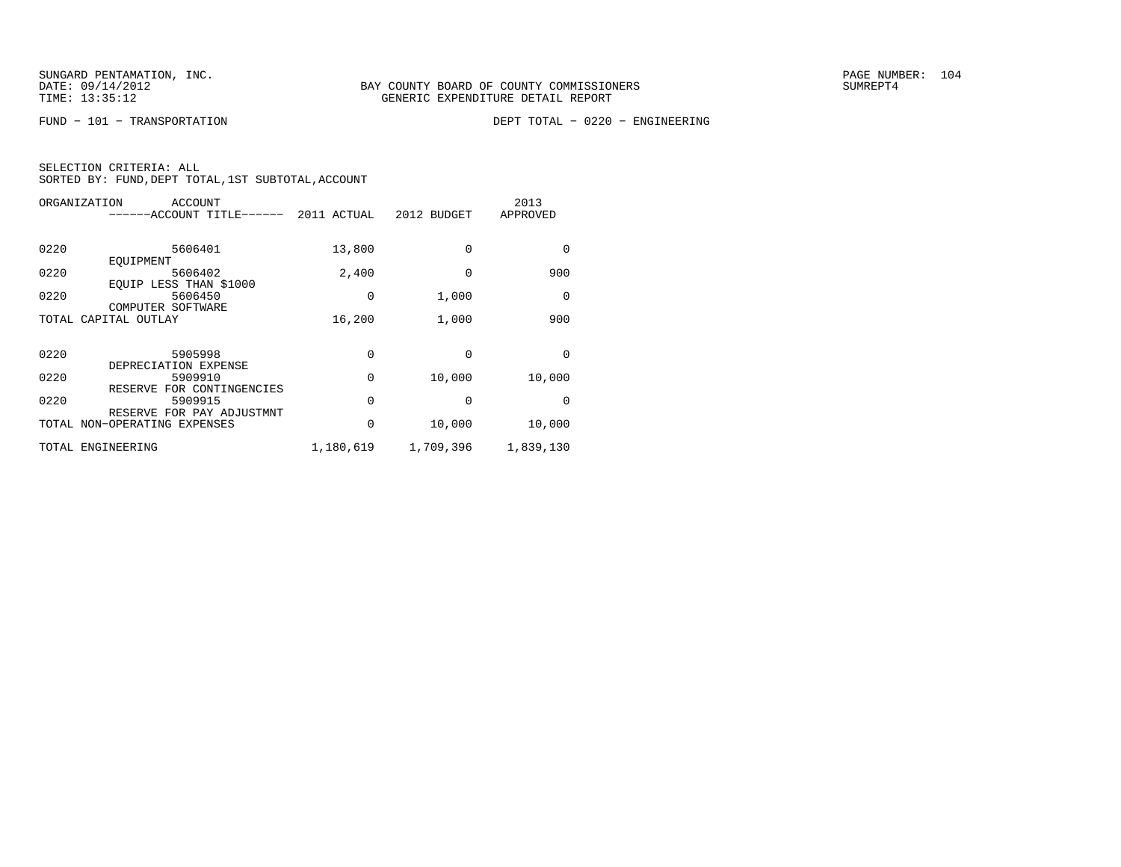FUND − 101 − TRANSPORTATION DEPT TOTAL − 0220 − ENGINEERING

| ORGANIZATION | <b>ACCOUNT</b><br>-----ACCOUNT TITLE- | 2011 ACTUAL | 2012 BUDGET | 2013<br>APPROVED |
|--------------|---------------------------------------|-------------|-------------|------------------|
| 0220         | 5606401<br>EOUIPMENT                  | 13,800      | 0           | 0                |
| 0220         | 5606402<br>EQUIP LESS THAN \$1000     | 2,400       | 0           | 900              |
| 0220         | 5606450<br>COMPUTER SOFTWARE          | 0           | 1,000       | 0                |
|              | TOTAL CAPITAL OUTLAY                  | 16,200      | 1,000       | 900              |
| 0220         | 5905998<br>DEPRECIATION EXPENSE       | 0           | 0           | $\Omega$         |
| 0220         | 5909910<br>RESERVE FOR CONTINGENCIES  | 0           | 10,000      | 10,000           |
| 0220         | 5909915<br>RESERVE FOR PAY ADJUSTMNT  | 0           | 0           | 0                |
|              | TOTAL NON-OPERATING EXPENSES          | 0           | 10,000      | 10,000           |
|              | TOTAL ENGINEERING                     | 1,180,619   | 1,709,396   | 1,839,130        |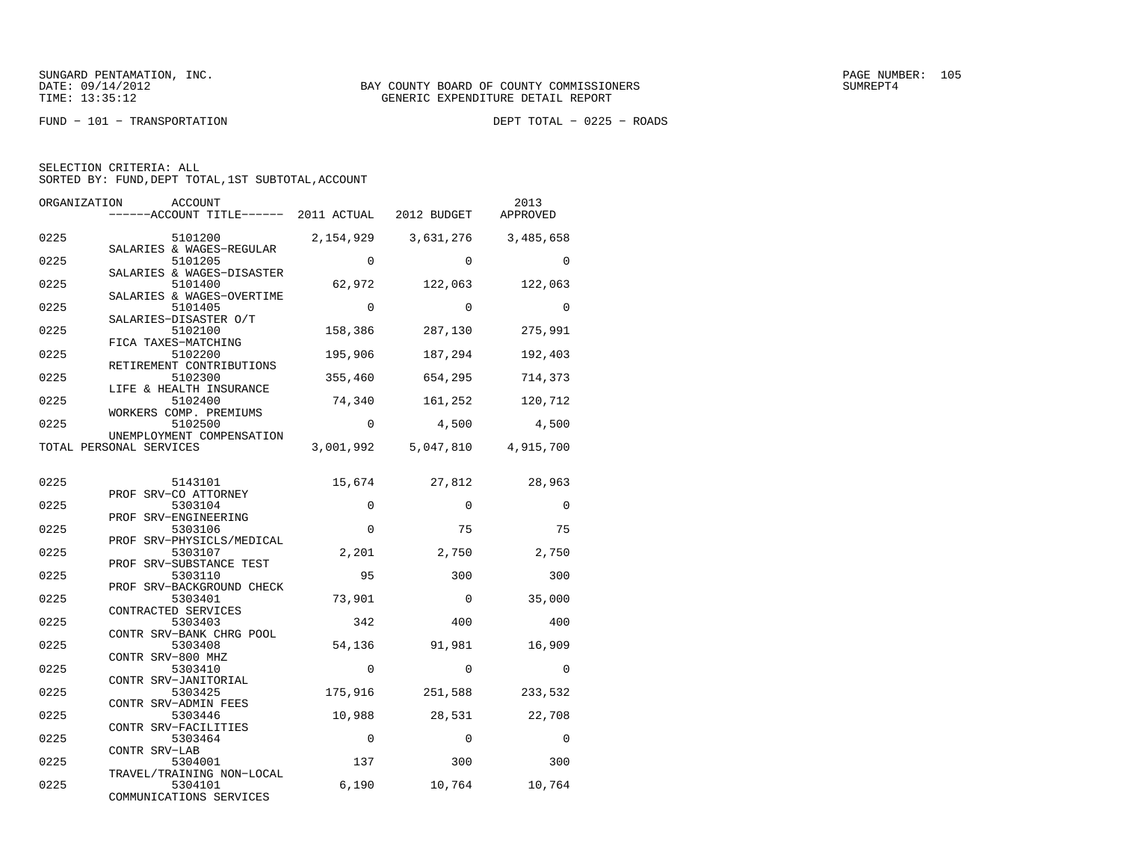$FUND - 101 - TRANSPORTATION$ 

DEPT TOTAL - 0225 - ROADS

| ORGANIZATION | ACCOUNT<br>------ACCOUNT TITLE------ 2011 ACTUAL                 |             | 2012 BUDGET | 2013<br>APPROVED |
|--------------|------------------------------------------------------------------|-------------|-------------|------------------|
| 0225         | 5101200                                                          | 2,154,929   | 3,631,276   | 3,485,658        |
| 0225         | SALARIES & WAGES-REGULAR<br>5101205<br>SALARIES & WAGES-DISASTER | $\Omega$    | $\Omega$    | $\Omega$         |
| 0225         | 5101400                                                          | 62,972      | 122,063     | 122,063          |
| 0225         | SALARIES & WAGES-OVERTIME<br>5101405                             | $\Omega$    | $\Omega$    | $\Omega$         |
| 0225         | SALARIES-DISASTER O/T<br>5102100<br>FICA TAXES-MATCHING          | 158,386     | 287,130     | 275,991          |
| 0225         | 5102200<br>RETIREMENT CONTRIBUTIONS                              | 195,906     | 187,294     | 192,403          |
| 0225         | 5102300<br>LIFE & HEALTH INSURANCE                               | 355,460     | 654,295     | 714,373          |
| 0225         | 5102400<br>WORKERS COMP. PREMIUMS                                | 74,340      | 161,252     | 120,712          |
| 0225         | 5102500<br>UNEMPLOYMENT COMPENSATION                             | $\mathbf 0$ | 4,500       | 4,500            |
|              | TOTAL PERSONAL SERVICES                                          | 3,001,992   | 5,047,810   | 4,915,700        |
| 0225         | 5143101                                                          | 15,674      | 27,812      | 28,963           |
| 0225         | PROF SRV-CO ATTORNEY<br>5303104                                  | $\Omega$    | $\Omega$    | $\Omega$         |
|              | PROF SRV-ENGINEERING                                             |             |             |                  |
| 0225         | 5303106                                                          | $\Omega$    | 75          | 75               |
| 0225         | PROF SRV-PHYSICLS/MEDICAL<br>5303107                             | 2,201       | 2,750       | 2,750            |
| 0225         | PROF SRV-SUBSTANCE TEST<br>5303110                               | 95          | 300         | 300              |
| 0225         | PROF SRV-BACKGROUND CHECK<br>5303401                             | 73,901      | $\Omega$    | 35,000           |
| 0225         | CONTRACTED SERVICES<br>5303403                                   | 342         | 400         | 400              |
| 0225         | CONTR SRV-BANK CHRG POOL<br>5303408                              | 54,136      | 91,981      | 16,909           |
| 0225         | CONTR SRV-800 MHZ<br>5303410                                     | $\Omega$    | $\Omega$    | $\Omega$         |
| 0225         | CONTR SRV-JANITORIAL<br>5303425                                  | 175,916     | 251,588     | 233,532          |
| 0225         | CONTR SRV-ADMIN FEES<br>5303446                                  | 10,988      | 28,531      | 22,708           |
| 0225         | CONTR SRV-FACILITIES<br>5303464                                  | $\Omega$    | $\Omega$    | $\Omega$         |
| 0225         | CONTR SRV-LAB<br>5304001                                         | 137         | 300         | 300              |
| 0225         | TRAVEL/TRAINING NON-LOCAL<br>5304101                             | 6,190       | 10,764      | 10,764           |
|              | COMMUNICATIONS SERVICES                                          |             |             |                  |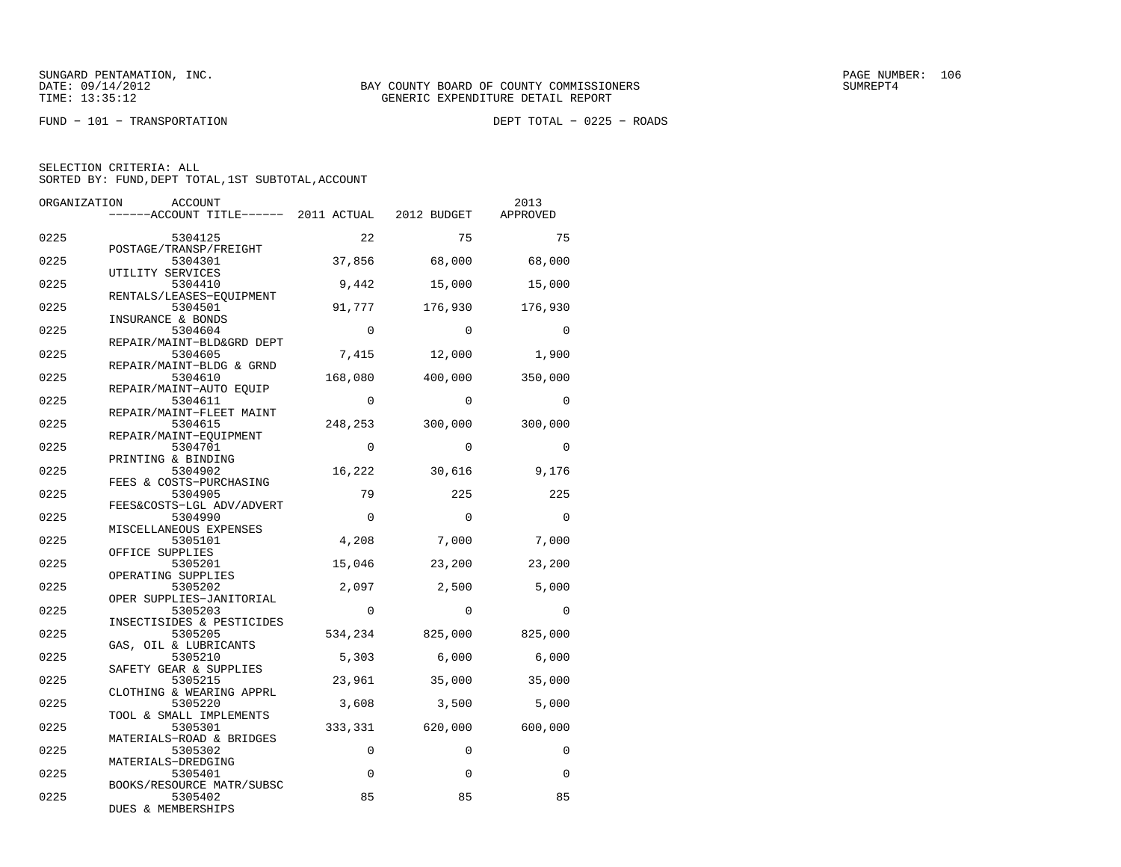$FUND - 101 - TRANSPORTATION$ 

DEPT TOTAL - 0225 - ROADS

| ORGANIZATION | ACCOUNT                                                  |             |             | 2013        |
|--------------|----------------------------------------------------------|-------------|-------------|-------------|
|              | -----ACCOUNT TITLE------ 2011 ACTUAL 2012 BUDGET         |             |             | APPROVED    |
| 0225         | 5304125                                                  | 22          | 75          | 75          |
| 0225         | POSTAGE/TRANSP/FREIGHT<br>5304301                        | 37,856      | 68,000      | 68,000      |
| 0225         | UTILITY SERVICES<br>5304410                              | 9,442       | 15,000      | 15,000      |
| 0225         | RENTALS/LEASES-EOUIPMENT<br>5304501<br>INSURANCE & BONDS | 91,777      | 176,930     | 176,930     |
| 0225         | 5304604<br>REPAIR/MAINT-BLD&GRD DEPT                     | $\Omega$    | $\Omega$    | $\Omega$    |
| 0225         | 5304605<br>REPAIR/MAINT-BLDG & GRND                      | 7,415       | 12,000      | 1,900       |
| 0225         | 5304610<br>REPAIR/MAINT-AUTO EQUIP                       | 168,080     | 400,000     | 350,000     |
| 0225         | 5304611<br>REPAIR/MAINT-FLEET MAINT                      | $\Omega$    | $\Omega$    | $\Omega$    |
| 0225         | 5304615<br>REPAIR/MAINT-EQUIPMENT                        | 248,253     | 300,000     | 300,000     |
| 0225         | 5304701<br>PRINTING & BINDING                            | $\Omega$    | $\Omega$    | $\Omega$    |
| 0225         | 5304902<br>FEES & COSTS-PURCHASING                       | 16,222      | 30,616      | 9,176       |
| 0225         | 5304905<br>FEES&COSTS-LGL ADV/ADVERT                     | 79          | 225         | 225         |
| 0225         | 5304990<br>MISCELLANEOUS EXPENSES                        | $\mathbf 0$ | $\mathbf 0$ | $\mathbf 0$ |
| 0225         | 5305101<br>OFFICE SUPPLIES                               | 4,208       | 7,000       | 7,000       |
| 0225         | 5305201<br>OPERATING SUPPLIES                            | 15,046      | 23,200      | 23,200      |
| 0225         | 5305202<br>OPER SUPPLIES-JANITORIAL                      | 2,097       | 2,500       | 5,000       |
| 0225         | 5305203<br>INSECTISIDES & PESTICIDES                     | $\Omega$    | $\Omega$    | $\Omega$    |
| 0225         | 5305205<br>GAS, OIL & LUBRICANTS                         | 534,234     | 825,000     | 825,000     |
| 0225         | 5305210<br>SAFETY GEAR & SUPPLIES                        | 5,303       | 6,000       | 6,000       |
| 0225         | 5305215<br>CLOTHING & WEARING APPRL                      | 23,961      | 35,000      | 35,000      |
| 0225         | 5305220<br>TOOL & SMALL IMPLEMENTS                       | 3,608       | 3,500       | 5,000       |
| 0225         | 5305301<br>MATERIALS-ROAD & BRIDGES                      | 333,331     | 620,000     | 600,000     |
| 0225         | 5305302<br>MATERIALS-DREDGING                            | $\Omega$    | $\Omega$    | $\Omega$    |
| 0225         | 5305401<br>BOOKS/RESOURCE MATR/SUBSC                     | $\mathbf 0$ | $\mathbf 0$ | 0           |
| 0225         | 5305402<br>DUES & MEMBERSHIPS                            | 85          | 85          | 85          |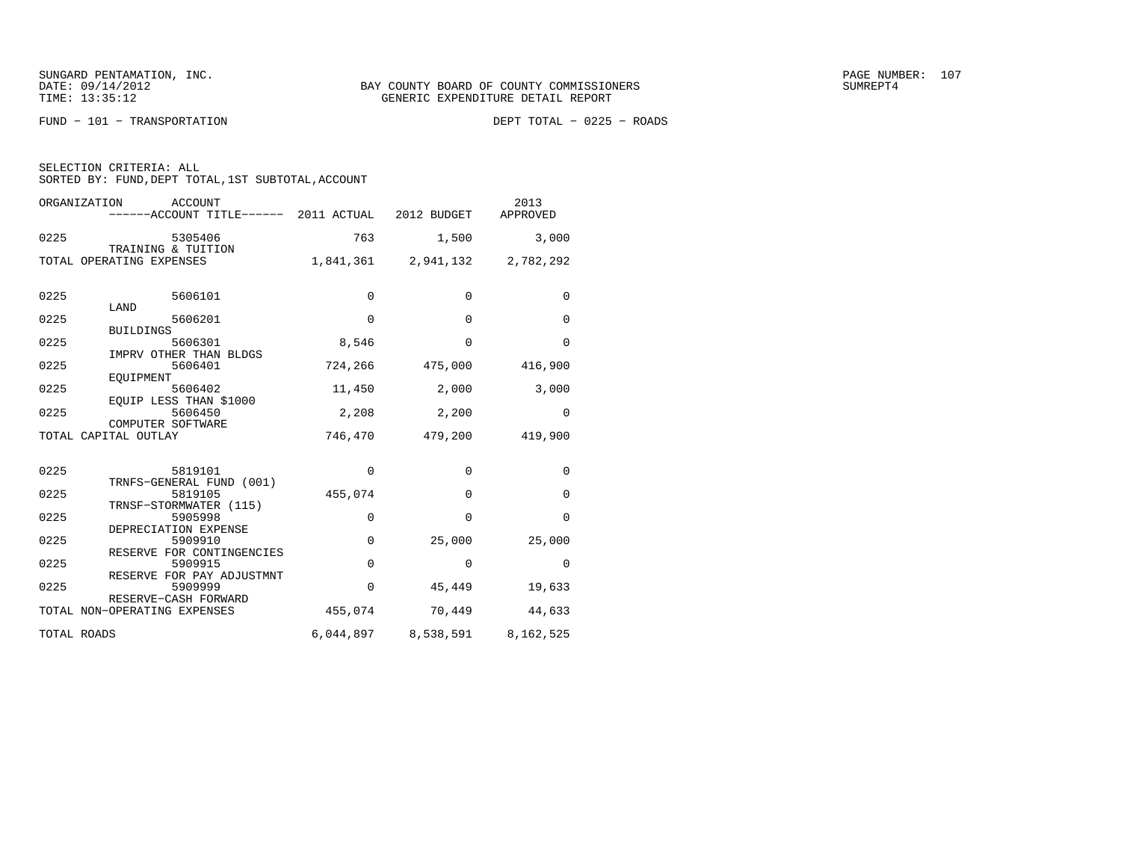FUND − 101 − TRANSPORTATION DEPT TOTAL − 0225 − ROADS

| ORGANIZATION<br><b>ACCOUNT</b><br>------ACCOUNT TITLE------ 2011 ACTUAL |             | 2012 BUDGET                   | 2013<br>APPROVED |
|-------------------------------------------------------------------------|-------------|-------------------------------|------------------|
| 0225<br>5305406<br>TRAINING & TUITION                                   | 763         | 1,500                         | 3,000            |
| TOTAL OPERATING EXPENSES                                                |             | 1,841,361 2,941,132 2,782,292 |                  |
| 0225<br>5606101<br>LAND                                                 | $\Omega$    | $\Omega$                      | $\Omega$         |
| 0225<br>5606201<br><b>BUILDINGS</b>                                     | 0           | $\mathbf 0$                   | $\mathbf 0$      |
| 0225<br>5606301<br>IMPRV OTHER THAN BLDGS                               | 8,546       | $\Omega$                      | $\Omega$         |
| 0225<br>5606401<br>EOUIPMENT                                            | 724,266     | 475,000                       | 416,900          |
| 0225<br>5606402<br>EQUIP LESS THAN \$1000                               | 11,450      | 2,000                         | 3,000            |
| 0225<br>5606450<br>COMPUTER SOFTWARE                                    | 2,208       | 2,200                         | $\mathbf 0$      |
| TOTAL CAPITAL OUTLAY                                                    | 746,470     | 479,200                       | 419,900          |
| 0225<br>5819101<br>TRNFS-GENERAL FUND (001)                             | $\mathbf 0$ | $\mathbf 0$                   | $\mathbf 0$      |
| 0225<br>5819105<br>TRNSF-STORMWATER (115)                               | 455,074     | $\Omega$                      | $\mathbf 0$      |
| 0225<br>5905998<br>DEPRECIATION EXPENSE                                 | 0           | $\Omega$                      | 0                |
| 0225<br>5909910<br>RESERVE FOR CONTINGENCIES                            | $\mathbf 0$ | 25,000                        | 25,000           |
| 0225<br>5909915<br>RESERVE FOR PAY ADJUSTMNT                            | $\mathbf 0$ | $\Omega$                      | $\Omega$         |
| 0225<br>5909999<br>RESERVE-CASH FORWARD                                 | $\mathbf 0$ | 45,449                        | 19,633           |
| TOTAL NON-OPERATING EXPENSES                                            | 455,074     | 70,449                        | 44,633           |
| TOTAL ROADS                                                             |             | 6,044,897 8,538,591 8,162,525 |                  |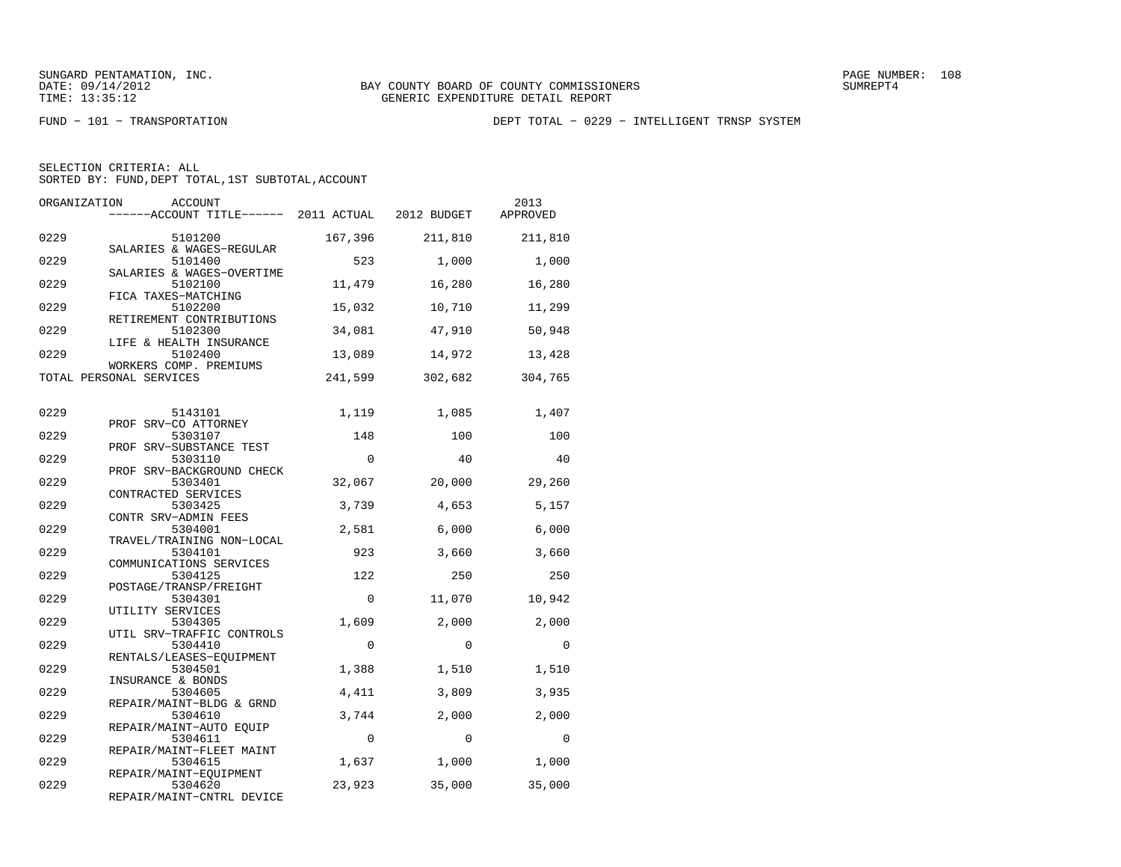FUND − 101 − TRANSPORTATION DEPT TOTAL − 0229 − INTELLIGENT TRNSP SYSTEM

SELECTION CRITERIA: ALLSORTED BY: FUND, DEPT TOTAL, 1ST SUBTOTAL, ACCOUNT

| ORGANIZATION | <b>ACCOUNT</b><br>------ACCOUNT TITLE------ 2011 ACTUAL      |             | 2012 BUDGET | 2013<br>APPROVED |
|--------------|--------------------------------------------------------------|-------------|-------------|------------------|
| 0229         | 5101200                                                      | 167,396     | 211,810     | 211,810          |
| 0229         | SALARIES & WAGES-REGULAR<br>5101400                          | 523         | 1,000       | 1,000            |
| 0229         | SALARIES & WAGES-OVERTIME<br>5102100                         | 11,479      | 16,280      | 16,280           |
| 0229         | FICA TAXES-MATCHING<br>5102200                               | 15,032      | 10,710      | 11,299           |
| 0229         | RETIREMENT CONTRIBUTIONS<br>5102300                          | 34,081      | 47,910      | 50,948           |
| 0229         | LIFE & HEALTH INSURANCE<br>5102400                           | 13,089      | 14,972      | 13,428           |
|              | WORKERS COMP. PREMIUMS<br>TOTAL PERSONAL SERVICES            | 241,599     | 302,682     | 304,765          |
| 0229         | 5143101                                                      | 1,119       | 1,085       | 1,407            |
| 0229         | PROF SRV-CO ATTORNEY<br>5303107                              | 148         | 100         | 100              |
| 0229         | PROF SRV-SUBSTANCE TEST<br>5303110                           | $\mathbf 0$ | 40          | 40               |
| 0229         | PROF SRV-BACKGROUND CHECK<br>5303401                         | 32,067      | 20,000      | 29,260           |
| 0229         | CONTRACTED SERVICES<br>5303425                               | 3,739       | 4,653       | 5,157            |
| 0229         | CONTR SRV-ADMIN FEES<br>5304001                              | 2,581       | 6,000       | 6,000            |
| 0229         | TRAVEL/TRAINING NON-LOCAL<br>5304101                         | 923         | 3,660       | 3,660            |
| 0229         | COMMUNICATIONS SERVICES<br>5304125<br>POSTAGE/TRANSP/FREIGHT | 122         | 250         | 250              |
| 0229         | 5304301<br>UTILITY SERVICES                                  | $\Omega$    | 11,070      | 10,942           |
| 0229         | 5304305<br>UTIL SRV-TRAFFIC CONTROLS                         | 1,609       | 2,000       | 2,000            |
| 0229         | 5304410<br>RENTALS/LEASES-EQUIPMENT                          | $\Omega$    | $\Omega$    | $\Omega$         |
| 0229         | 5304501<br>INSURANCE & BONDS                                 | 1,388       | 1,510       | 1,510            |
| 0229         | 5304605<br>REPAIR/MAINT-BLDG & GRND                          | 4,411       | 3,809       | 3,935            |
| 0229         | 5304610<br>REPAIR/MAINT-AUTO EQUIP                           | 3,744       | 2,000       | 2,000            |
| 0229         | 5304611<br>REPAIR/MAINT-FLEET MAINT                          | $\mathbf 0$ | $\mathbf 0$ | 0                |
| 0229         | 5304615<br>REPAIR/MAINT-EQUIPMENT                            | 1,637       | 1,000       | 1,000            |
| 0229         | 5304620<br>DEDITE (MITHE GUERE<br>$n$ m $n$ $n$ $n$ m        | 23,923      | 35,000      | 35,000           |

REPAIR/MAINT−CNTRL DEVICE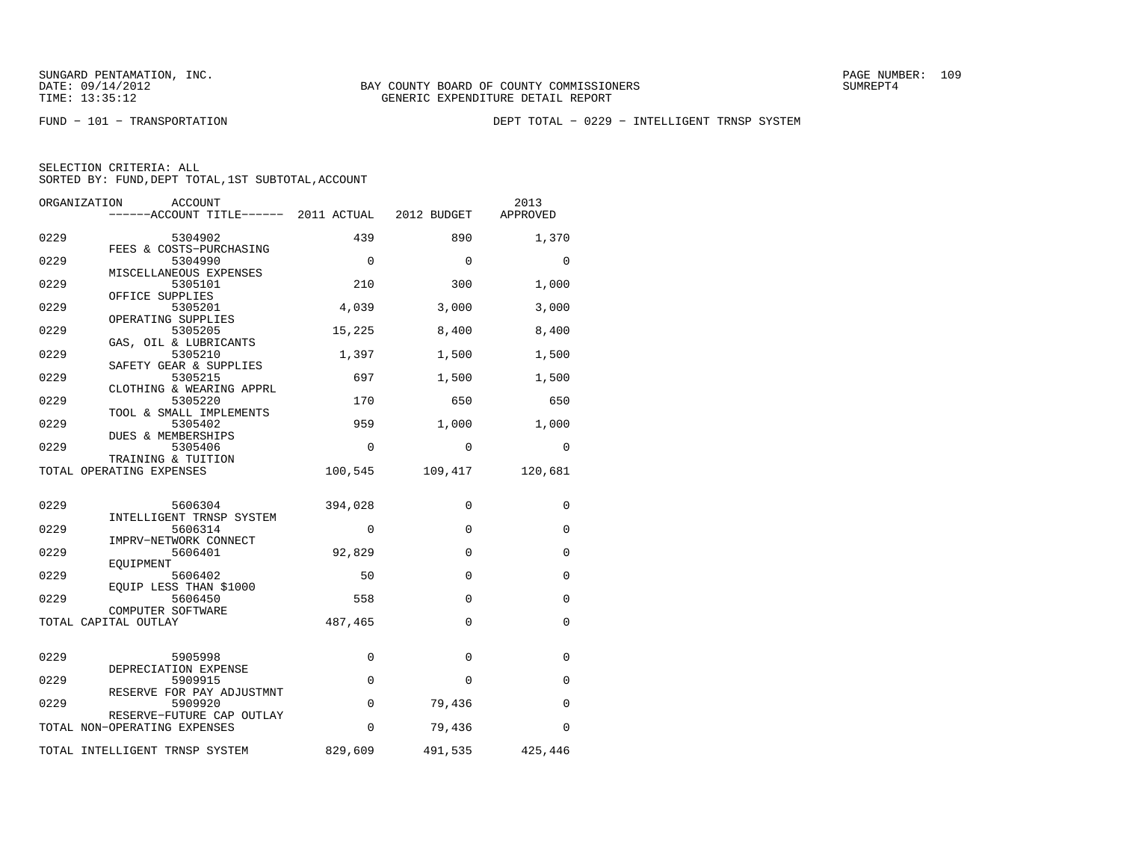FUND − 101 − TRANSPORTATION DEPT TOTAL − 0229 − INTELLIGENT TRNSP SYSTEM

| ORGANIZATION | ACCOUNT<br>------ACCOUNT TITLE------ 2011 ACTUAL          |             | 2012 BUDGET | 2013<br>APPROVED |
|--------------|-----------------------------------------------------------|-------------|-------------|------------------|
| 0229         | 5304902                                                   | 439         | 890         | 1,370            |
| 0229         | FEES & COSTS-PURCHASING<br>5304990                        | $\Omega$    | $\Omega$    | $\Omega$         |
| 0229         | MISCELLANEOUS EXPENSES<br>5305101                         | 210         | 300         | 1,000            |
| 0229         | OFFICE SUPPLIES<br>5305201                                | 4,039       | 3,000       | 3,000            |
| 0229         | OPERATING SUPPLIES<br>5305205                             | 15,225      | 8,400       | 8,400            |
| 0229         | GAS, OIL & LUBRICANTS<br>5305210                          | 1,397       | 1,500       | 1,500            |
| 0229         | SAFETY GEAR & SUPPLIES<br>5305215                         | 697         | 1,500       | 1,500            |
| 0229         | CLOTHING & WEARING APPRL<br>5305220                       | 170         | 650         | 650              |
| 0229         | TOOL & SMALL IMPLEMENTS<br>5305402                        | 959         | 1,000       | 1,000            |
| 0229         | DUES & MEMBERSHIPS<br>5305406                             | 0           | 0           | $\Omega$         |
|              | TRAINING & TUITION<br>TOTAL OPERATING EXPENSES            | 100,545     | 109,417     | 120,681          |
|              |                                                           |             |             |                  |
| 0229         | 5606304<br>INTELLIGENT TRNSP SYSTEM                       | 394,028     | $\Omega$    | $\Omega$         |
| 0229         | 5606314<br>IMPRV-NETWORK CONNECT                          | $\Omega$    | $\Omega$    | 0                |
| 0229         | 5606401<br>EOUIPMENT                                      | 92,829      | $\mathbf 0$ | 0                |
| 0229         | 5606402<br>EQUIP LESS THAN \$1000                         | 50          | $\Omega$    | $\Omega$         |
| 0229         | 5606450<br>COMPUTER SOFTWARE                              | 558         | $\Omega$    | $\mathbf 0$      |
|              | TOTAL CAPITAL OUTLAY                                      | 487,465     | $\Omega$    | $\mathbf 0$      |
| 0229         | 5905998                                                   | 0           | $\Omega$    | 0                |
| 0229         | DEPRECIATION EXPENSE<br>5909915                           | $\Omega$    | $\Omega$    | $\mathbf 0$      |
| 0229         | RESERVE FOR PAY ADJUSTMNT<br>5909920                      | $\mathbf 0$ | 79,436      | $\Omega$         |
|              | RESERVE-FUTURE CAP OUTLAY<br>TOTAL NON-OPERATING EXPENSES | $\Omega$    | 79,436      | $\Omega$         |
|              | TOTAL INTELLIGENT TRNSP SYSTEM                            | 829,609     | 491,535     | 425,446          |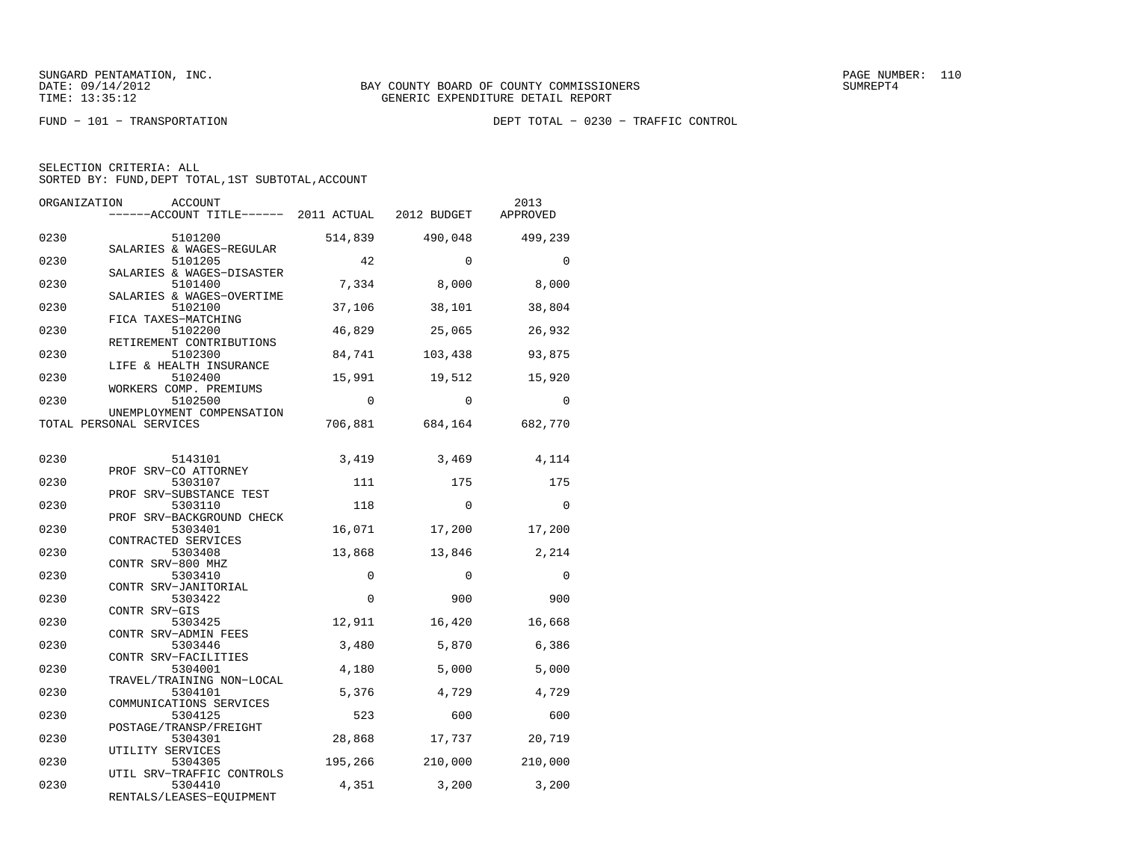FUND − 101 − TRANSPORTATION DEPT TOTAL − 0230 − TRAFFIC CONTROL

| SELECTION CRITERIA: ALL |  |                                                    |  |
|-------------------------|--|----------------------------------------------------|--|
|                         |  | SORTED BY: FUND, DEPT TOTAL, 1ST SUBTOTAL, ACCOUNT |  |

| ORGANIZATION | ACCOUNT                                           |          |          | 2013     |
|--------------|---------------------------------------------------|----------|----------|----------|
|              | ------ACCOUNT TITLE------ 2011 ACTUAL 2012 BUDGET |          |          | APPROVED |
| 0230         | 5101200                                           | 514,839  | 490,048  | 499,239  |
|              | SALARIES & WAGES-REGULAR                          |          |          |          |
| 0230         | 5101205<br>SALARIES & WAGES-DISASTER              | 42       | $\Omega$ | $\Omega$ |
| 0230         | 5101400                                           | 7,334    | 8,000    | 8,000    |
| 0230         | SALARIES & WAGES-OVERTIME<br>5102100              | 37,106   | 38,101   | 38,804   |
| 0230         | FICA TAXES-MATCHING<br>5102200                    | 46,829   | 25,065   | 26,932   |
| 0230         | RETIREMENT CONTRIBUTIONS<br>5102300               | 84,741   | 103,438  | 93,875   |
| 0230         | LIFE & HEALTH INSURANCE<br>5102400                | 15,991   | 19,512   | 15,920   |
| 0230         | WORKERS COMP. PREMIUMS<br>5102500                 | $\Omega$ | $\Omega$ | $\Omega$ |
|              | UNEMPLOYMENT COMPENSATION                         |          |          |          |
|              | TOTAL PERSONAL SERVICES                           | 706,881  | 684,164  | 682,770  |
| 0230         | 5143101                                           | 3,419    | 3,469    | 4,114    |
|              | PROF SRV-CO ATTORNEY                              |          |          |          |
| 0230         | 5303107<br>PROF SRV-SUBSTANCE TEST                | 111      | 175      | 175      |
| 0230         | 5303110                                           | 118      | $\Omega$ | $\Omega$ |
| 0230         | PROF SRV-BACKGROUND CHECK<br>5303401              | 16,071   | 17,200   | 17,200   |
| 0230         | CONTRACTED SERVICES<br>5303408                    | 13,868   | 13,846   | 2,214    |
| 0230         | CONTR SRV-800 MHZ<br>5303410                      | $\Omega$ | $\Omega$ | $\Omega$ |
| 0230         | CONTR SRV-JANITORIAL<br>5303422                   | $\Omega$ | 900      | 900      |
| 0230         | CONTR SRV-GIS<br>5303425                          | 12,911   |          |          |
|              | CONTR SRV-ADMIN FEES                              |          | 16,420   | 16,668   |
| 0230         | 5303446<br>CONTR SRV-FACILITIES                   | 3,480    | 5,870    | 6,386    |
| 0230         | 5304001<br>TRAVEL/TRAINING NON-LOCAL              | 4,180    | 5,000    | 5,000    |
| 0230         | 5304101                                           | 5,376    | 4,729    | 4,729    |
| 0230         | COMMUNICATIONS SERVICES<br>5304125                | 523      | 600      | 600      |
| 0230         | POSTAGE/TRANSP/FREIGHT<br>5304301                 | 28,868   | 17,737   | 20,719   |
| 0230         | UTILITY SERVICES                                  |          |          |          |
|              | 5304305<br>UTIL SRV-TRAFFIC CONTROLS              | 195,266  | 210,000  | 210,000  |
| 0230         | 5304410<br>RENTALS/LEASES-EOUIPMENT               | 4,351    | 3,200    | 3,200    |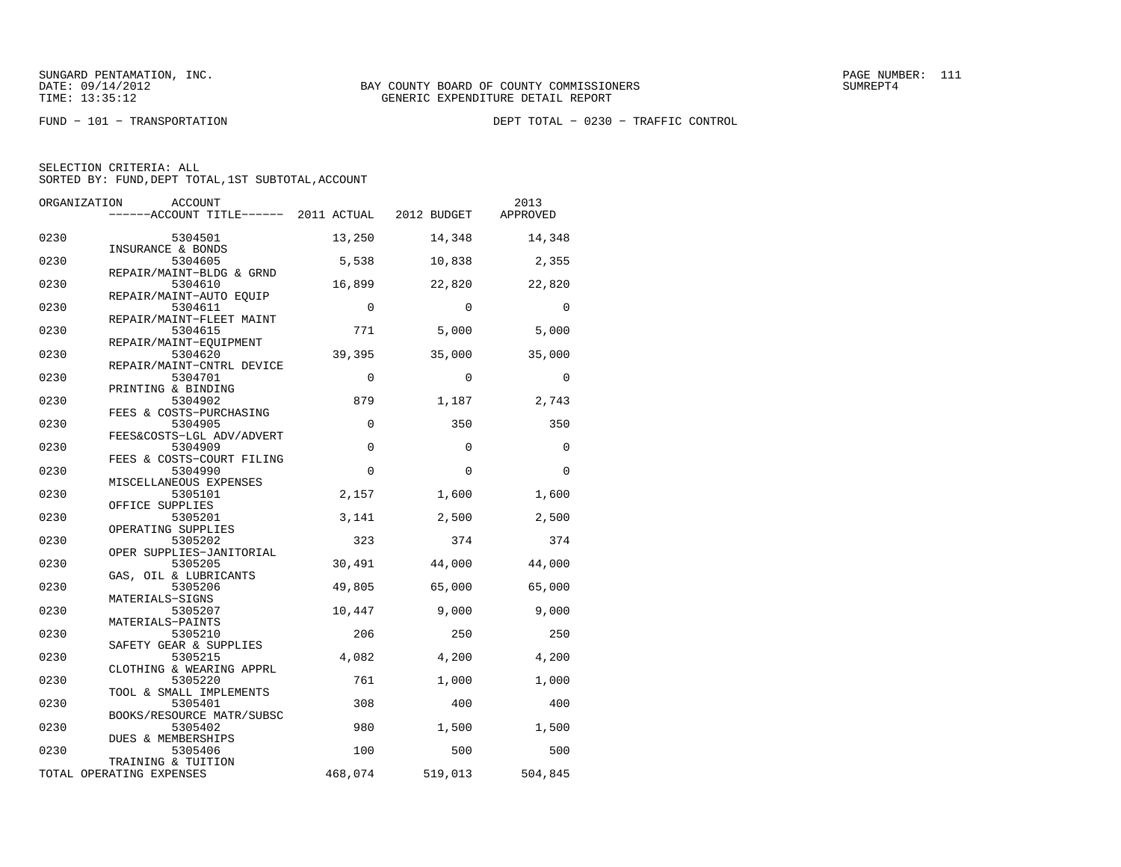FUND − 101 − TRANSPORTATION DEPT TOTAL − 0230 − TRAFFIC CONTROL

| ORGANIZATION<br><b>ACCOUNT</b><br>------ACCOUNT TITLE------ 2011 ACTUAL<br>2012 BUDGET | 2013<br>APPROVED |
|----------------------------------------------------------------------------------------|------------------|
|                                                                                        |                  |
| 0230<br>5304501<br>13,250<br>14,348<br>INSURANCE & BONDS                               | 14,348           |
| 0230<br>5304605<br>5,538<br>10,838                                                     | 2,355            |
| REPAIR/MAINT-BLDG & GRND                                                               |                  |
| 0230<br>16,899<br>22,820<br>5304610                                                    | 22,820           |
| REPAIR/MAINT-AUTO EQUIP                                                                |                  |
| 0230<br>$\Omega$<br>$\Omega$<br>5304611<br>REPAIR/MAINT-FLEET MAINT                    | $\Omega$         |
| 771<br>0230<br>5304615<br>5,000                                                        | 5,000            |
| REPAIR/MAINT-EQUIPMENT                                                                 |                  |
| 0230<br>39,395<br>35,000<br>5304620                                                    | 35,000           |
| REPAIR/MAINT-CNTRL DEVICE                                                              |                  |
| 0230<br>$\mathbf 0$<br>5304701<br>$\Omega$<br>PRINTING & BINDING                       | $\Omega$         |
| 879<br>0230<br>5304902<br>1,187                                                        | 2,743            |
| FEES & COSTS-PURCHASING                                                                |                  |
| $\mathbf 0$<br>0230<br>350<br>5304905                                                  | 350              |
| FEES&COSTS-LGL ADV/ADVERT                                                              |                  |
| 0230<br>$\Omega$<br>$\Omega$<br>5304909<br>FEES & COSTS-COURT FILING                   | $\Omega$         |
| 0230<br>$\Omega$<br>5304990<br>$\Omega$                                                | $\Omega$         |
| MISCELLANEOUS EXPENSES                                                                 |                  |
| 0230<br>5305101<br>2,157<br>1,600                                                      | 1,600            |
| OFFICE SUPPLIES                                                                        |                  |
| 0230<br>3,141<br>2,500<br>5305201                                                      | 2,500            |
| OPERATING SUPPLIES<br>0230<br>323<br>374<br>5305202                                    | 374              |
| OPER SUPPLIES-JANITORIAL                                                               |                  |
| 0230<br>5305205<br>30,491<br>44,000                                                    | 44,000           |
| GAS, OIL & LUBRICANTS                                                                  |                  |
| 0230<br>49,805<br>65,000<br>5305206                                                    | 65,000           |
| MATERIALS-SIGNS<br>0230<br>5305207<br>10,447<br>9,000                                  | 9,000            |
| MATERIALS-PAINTS                                                                       |                  |
| 0230<br>206<br>250<br>5305210                                                          | 250              |
| SAFETY GEAR & SUPPLIES                                                                 |                  |
| 4,082<br>0230<br>5305215<br>4,200                                                      | 4,200            |
| CLOTHING & WEARING APPRL<br>0230                                                       |                  |
| 5305220<br>761<br>1,000<br>TOOL & SMALL IMPLEMENTS                                     | 1,000            |
| 308<br>0230<br>5305401<br>400                                                          | 400              |
| BOOKS/RESOURCE MATR/SUBSC                                                              |                  |
| 0230<br>980<br>5305402<br>1,500                                                        | 1,500            |
| DUES & MEMBERSHIPS                                                                     |                  |
| 0230<br>100<br>5305406<br>500<br>TRAINING & TUITION                                    | 500              |
| 468,074<br>519,013<br>TOTAL OPERATING EXPENSES                                         | 504,845          |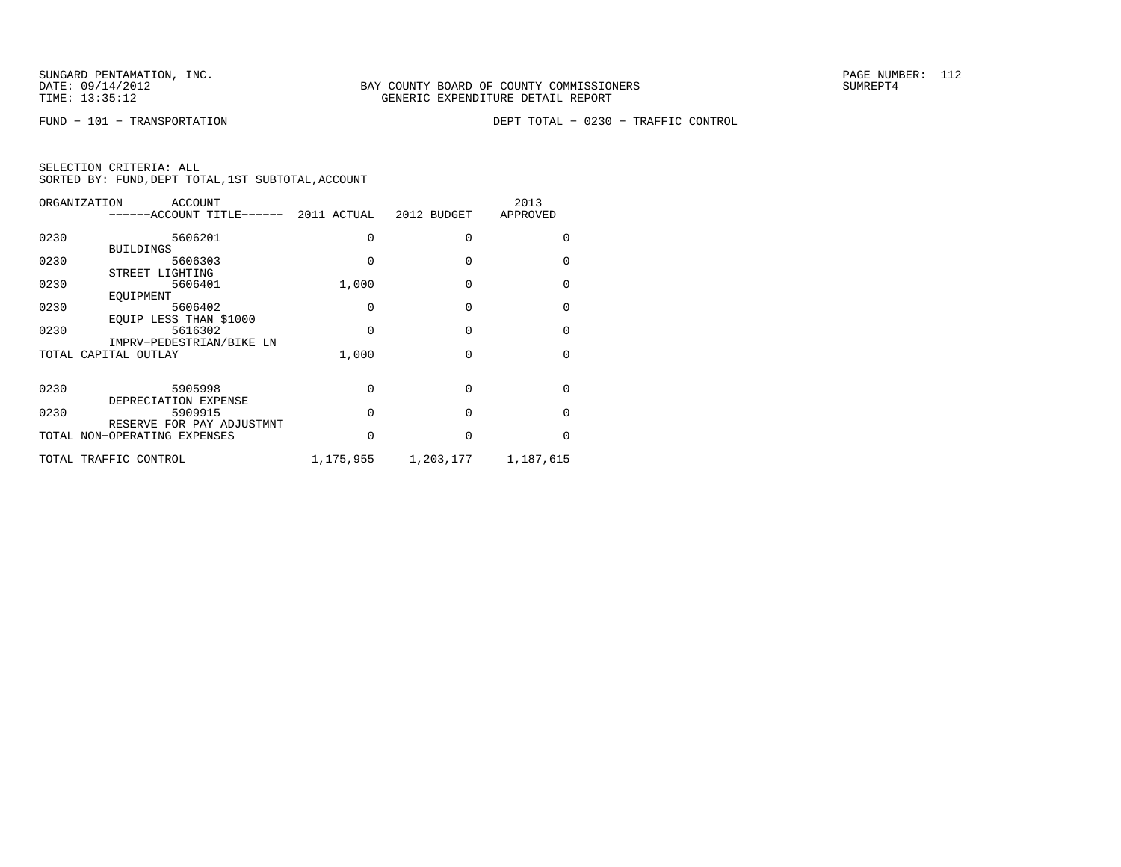FUND − 101 − TRANSPORTATION DEPT TOTAL − 0230 − TRAFFIC CONTROL

| ORGANIZATION          | ACCOUNT<br>------ACCOUNT TITLE------ 2011 ACTUAL |           | 2012 BUDGET | 2013<br>APPROVED |
|-----------------------|--------------------------------------------------|-----------|-------------|------------------|
| 0230                  | 5606201                                          |           | U           |                  |
|                       | <b>BUILDINGS</b>                                 |           |             |                  |
| 0230                  | 5606303                                          |           | O           | U                |
|                       | STREET LIGHTING                                  |           |             |                  |
| 0230                  | 5606401                                          | 1,000     | $\Omega$    | <sup>0</sup>     |
|                       | EOUIPMENT                                        |           |             |                  |
| 0230                  | 5606402                                          | O         | O           | U                |
|                       | EOUIP LESS THAN \$1000                           |           |             |                  |
| 0230                  | 5616302                                          | 0         | $\Omega$    | <sup>0</sup>     |
|                       | IMPRV-PEDESTRIAN/BIKE LN                         |           |             |                  |
| TOTAL CAPITAL OUTLAY  |                                                  | 1,000     | O           | <sup>0</sup>     |
|                       |                                                  |           |             |                  |
| 0230                  | 5905998                                          | 0         | O           | <sup>0</sup>     |
|                       | DEPRECIATION EXPENSE                             |           |             |                  |
| 0230                  | 5909915                                          | O         | $\Omega$    | <sup>0</sup>     |
|                       | RESERVE FOR PAY ADJUSTMNT                        |           |             |                  |
|                       | TOTAL NON-OPERATING EXPENSES                     | O         | $\Omega$    | U                |
|                       |                                                  |           |             |                  |
| TOTAL TRAFFIC CONTROL |                                                  | 1,175,955 | 1,203,177   | 1,187,615        |
|                       |                                                  |           |             |                  |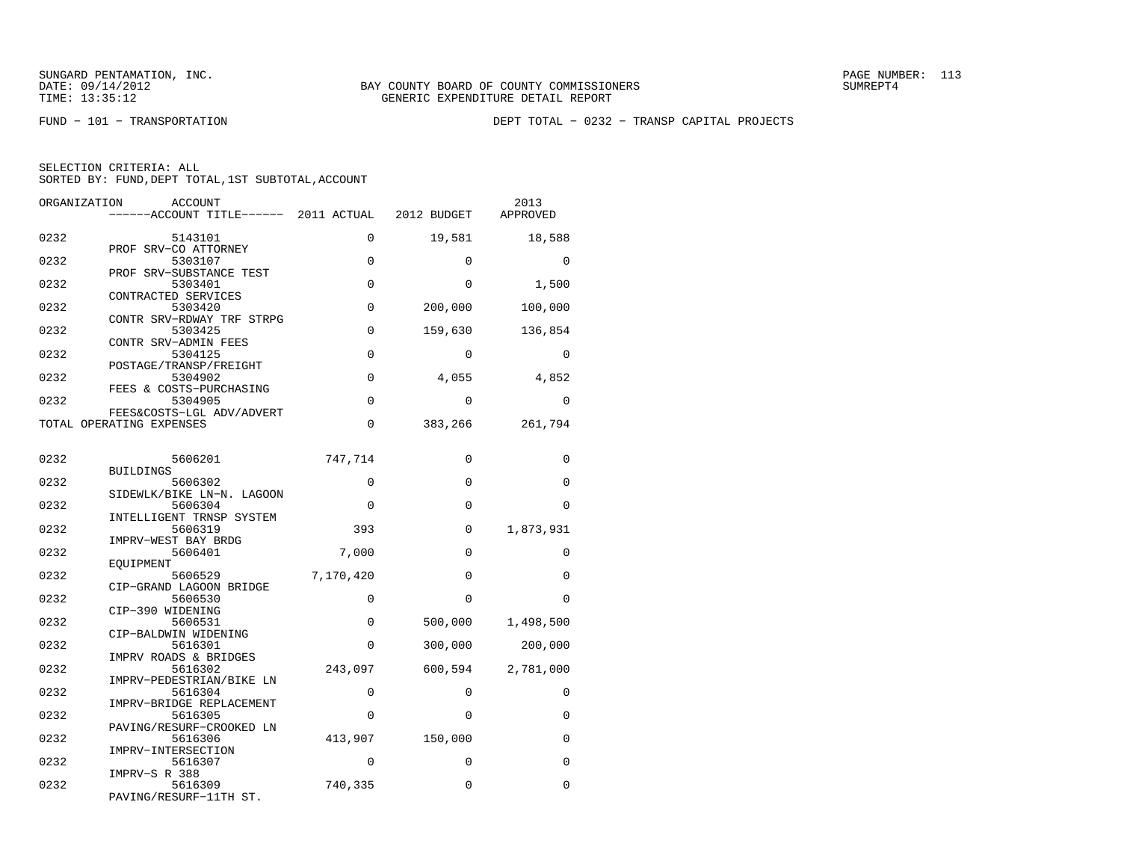FUND − 101 − TRANSPORTATION DEPT TOTAL − 0232 − TRANSP CAPITAL PROJECTS

|  | SELECTION CRITERIA: ALL                            |  |  |
|--|----------------------------------------------------|--|--|
|  | SORTED BY: FUND, DEPT TOTAL, 1ST SUBTOTAL, ACCOUNT |  |  |

| ORGANIZATION | <b>ACCOUNT</b><br>------ACCOUNT TITLE------ 2011 ACTUAL |             | 2012 BUDGET | 2013<br>APPROVED |
|--------------|---------------------------------------------------------|-------------|-------------|------------------|
| 0232         | 5143101                                                 | $\Omega$    | 19,581      | 18,588           |
| 0232         | PROF SRV-CO ATTORNEY<br>5303107                         | 0           | 0           | $\Omega$         |
|              | PROF SRV-SUBSTANCE TEST                                 |             |             |                  |
| 0232         | 5303401<br>CONTRACTED SERVICES                          | $\Omega$    | $\Omega$    | 1,500            |
| 0232         | 5303420<br>CONTR SRV-RDWAY TRF STRPG                    | 0           | 200,000     | 100,000          |
| 0232         | 5303425<br>CONTR SRV-ADMIN FEES                         | $\Omega$    | 159,630     | 136,854          |
| 0232         | 5304125                                                 | $\Omega$    | $\Omega$    | $\Omega$         |
| 0232         | POSTAGE/TRANSP/FREIGHT<br>5304902                       | $\mathbf 0$ | 4,055       | 4,852            |
| 0232         | FEES & COSTS-PURCHASING<br>5304905                      | $\Omega$    | $\Omega$    | $\Omega$         |
|              | FEES&COSTS-LGL ADV/ADVERT<br>TOTAL OPERATING EXPENSES   | 0           | 383,266     | 261,794          |
| 0232         | 5606201<br><b>BUILDINGS</b>                             | 747,714     | $\Omega$    | $\Omega$         |
| 0232         | 5606302                                                 | 0           | $\Omega$    | $\Omega$         |
| 0232         | SIDEWLK/BIKE LN-N. LAGOON<br>5606304                    | 0           | $\Omega$    | $\Omega$         |
| 0232         | INTELLIGENT TRNSP SYSTEM<br>5606319                     | 393         | $\Omega$    | 1,873,931        |
| 0232         | IMPRV-WEST BAY BRDG<br>5606401                          | 7,000       | $\Omega$    | $\Omega$         |
| 0232         | EOUIPMENT<br>5606529                                    | 7,170,420   | $\Omega$    | $\Omega$         |
|              | CIP-GRAND LAGOON BRIDGE                                 |             | $\Omega$    |                  |
| 0232         | 5606530<br>CIP-390 WIDENING                             | $\Omega$    |             | $\Omega$         |
| 0232         | 5606531<br>CIP-BALDWIN WIDENING                         | $\mathbf 0$ | 500,000     | 1,498,500        |
| 0232         | 5616301<br>IMPRV ROADS & BRIDGES                        | $\Omega$    | 300,000     | 200,000          |
| 0232         | 5616302<br>IMPRV-PEDESTRIAN/BIKE LN                     | 243,097     | 600,594     | 2,781,000        |
| 0232         | 5616304<br>IMPRV-BRIDGE REPLACEMENT                     | $\Omega$    | $\Omega$    | $\Omega$         |
| 0232         | 5616305                                                 | $\Omega$    | $\Omega$    | $\Omega$         |
| 0232         | PAVING/RESURF-CROOKED LN<br>5616306                     | 413,907     | 150,000     | 0                |
| 0232         | IMPRV-INTERSECTION<br>5616307                           | $\Omega$    | $\Omega$    | $\Omega$         |
| 0232         | IMPRV-S R 388<br>5616309<br>PAVING/RESURF-11TH ST.      | 740,335     | 0           | $\Omega$         |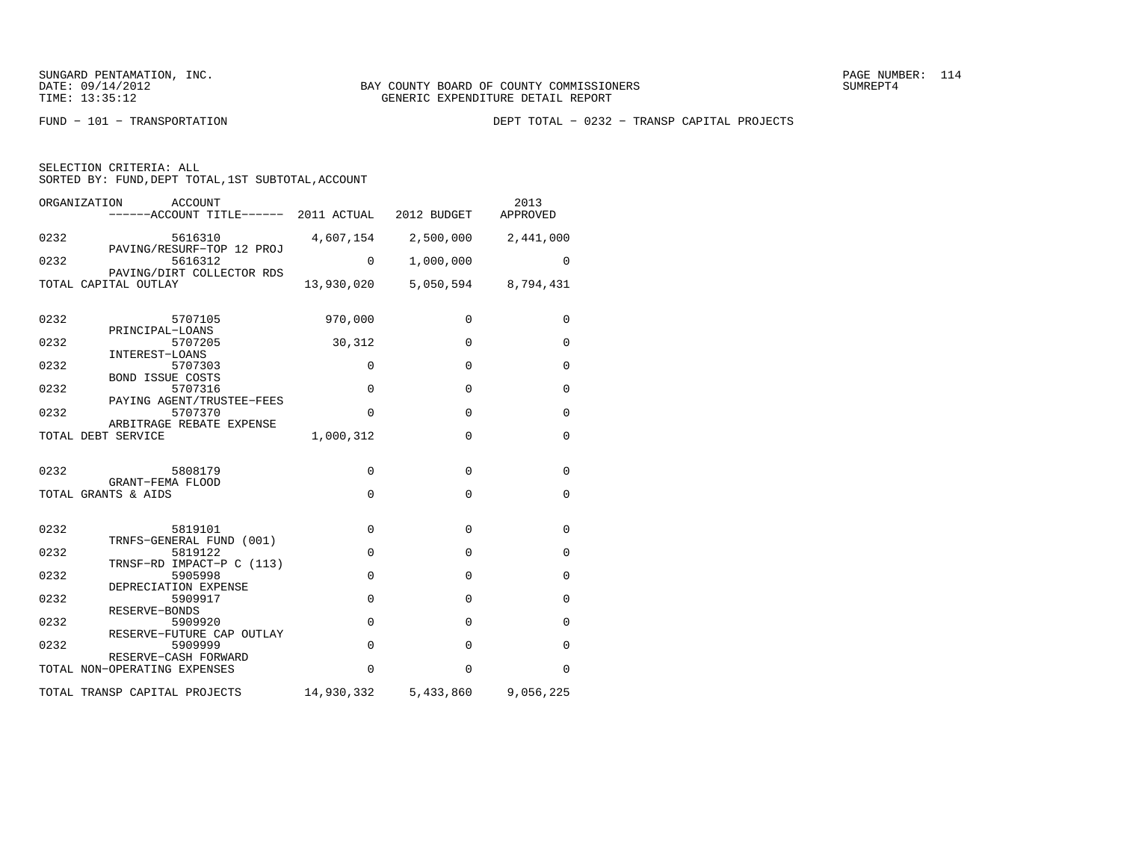FUND − 101 − TRANSPORTATION DEPT TOTAL − 0232 − TRANSP CAPITAL PROJECTS

| SELECTION CRITERIA: ALL |  |                                                    |  |
|-------------------------|--|----------------------------------------------------|--|
|                         |  | SORTED BY: FUND, DEPT TOTAL, 1ST SUBTOTAL, ACCOUNT |  |

| ORGANIZATION<br>ACCOUNT<br>------ACCOUNT TITLE------ 2011 ACTUAL 2012 BUDGET |            |                                | 2013<br>APPROVED    |
|------------------------------------------------------------------------------|------------|--------------------------------|---------------------|
| 0232<br>5616310<br>PAVING/RESURF-TOP 12 PROJ                                 | 4,607,154  |                                | 2,500,000 2,441,000 |
| 0232<br>5616312<br>PAVING/DIRT COLLECTOR RDS                                 | $\Omega$   | 1,000,000                      | $\Omega$            |
| TOTAL CAPITAL OUTLAY                                                         |            | 13,930,020 5,050,594 8,794,431 |                     |
| 0232<br>5707105                                                              | 970,000    | $\mathbf 0$                    | 0                   |
| PRINCIPAL-LOANS<br>0232<br>5707205<br>INTEREST-LOANS                         | 30,312     | $\mathbf 0$                    | 0                   |
| 0232<br>5707303<br><b>BOND ISSUE COSTS</b>                                   | $\Omega$   | $\mathbf 0$                    | $\mathbf 0$         |
| 0232<br>5707316<br>PAYING AGENT/TRUSTEE-FEES                                 | $\Omega$   | $\Omega$                       | $\mathbf 0$         |
| 0232<br>5707370<br>ARBITRAGE REBATE EXPENSE                                  | $\Omega$   | $\mathbf{0}$                   | $\mathbf 0$         |
| TOTAL DEBT SERVICE                                                           | 1,000,312  | $\Omega$                       | 0                   |
| 0232<br>5808179                                                              | $\Omega$   | $\mathbf{0}$                   | 0                   |
| GRANT-FEMA FLOOD<br>TOTAL GRANTS & AIDS                                      | $\Omega$   | $\Omega$                       | $\mathbf 0$         |
| 0232<br>5819101                                                              | $\Omega$   | $\mathbf{0}$                   | $\mathbf 0$         |
| TRNFS-GENERAL FUND (001)<br>0232<br>5819122                                  | $\Omega$   | $\Omega$                       | $\Omega$            |
| TRNSF-RD IMPACT-P C (113)<br>0232<br>5905998                                 | $\Omega$   | $\Omega$                       | $\Omega$            |
| DEPRECIATION EXPENSE<br>0232<br>5909917                                      | $\Omega$   | $\Omega$                       | $\Omega$            |
| RESERVE-BONDS<br>0232<br>5909920<br>RESERVE-FUTURE CAP OUTLAY                | $\Omega$   | $\Omega$                       | $\Omega$            |
| 0232<br>5909999<br>RESERVE-CASH FORWARD                                      | $\Omega$   | $\Omega$                       | $\mathbf 0$         |
| TOTAL NON-OPERATING EXPENSES                                                 | $\Omega$   | $\Omega$                       | 0                   |
| TOTAL TRANSP CAPITAL PROJECTS                                                | 14,930,332 | 5,433,860                      | 9,056,225           |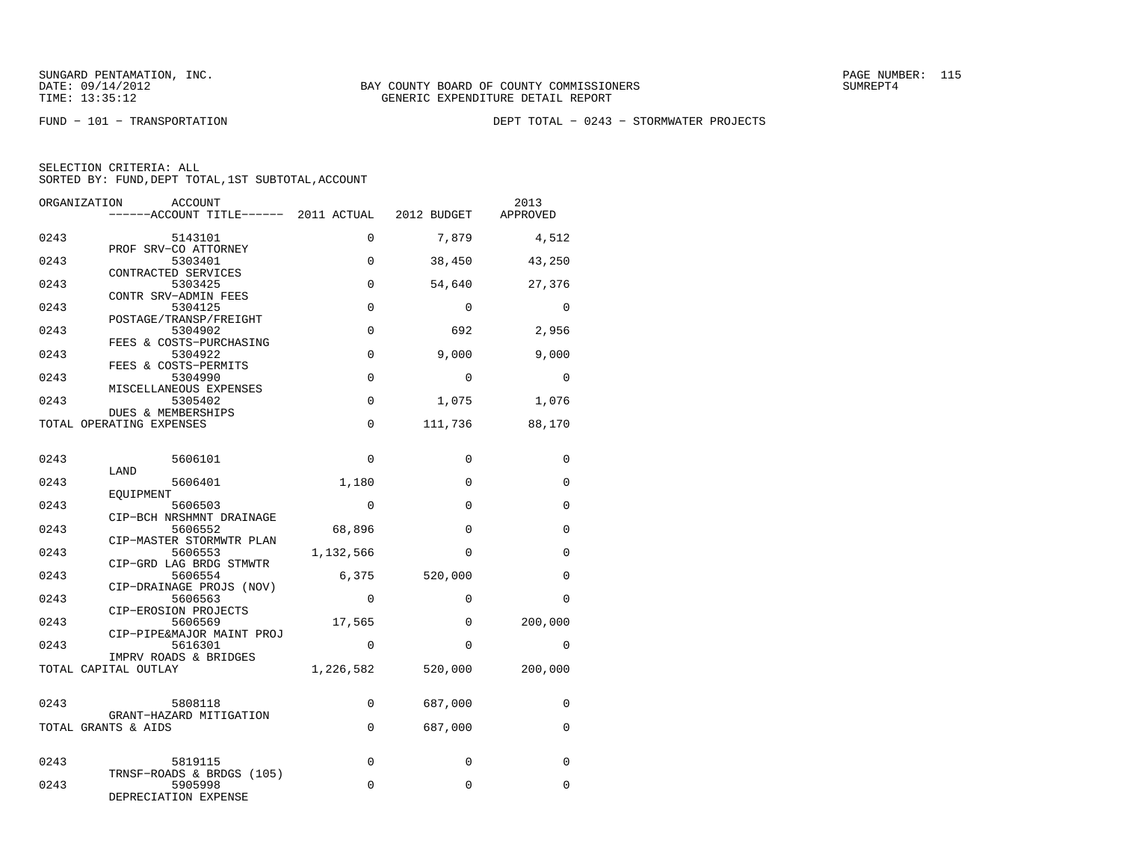FUND − 101 − TRANSPORTATION DEPT TOTAL − 0243 − STORMWATER PROJECTS

|  | SELECTION CRITERIA: ALL                            |  |  |
|--|----------------------------------------------------|--|--|
|  | SORTED BY: FUND, DEPT TOTAL, 1ST SUBTOTAL, ACCOUNT |  |  |

| ORGANIZATION | ACCOUNT<br>------ACCOUNT TITLE------ 2011 ACTUAL            |             | 2012 BUDGET  | 2013<br>APPROVED |
|--------------|-------------------------------------------------------------|-------------|--------------|------------------|
| 0243         | 5143101                                                     | 0           | 7,879        | 4,512            |
| 0243         | PROF SRV-CO ATTORNEY<br>5303401                             | 0           | 38,450       | 43,250           |
| 0243         | CONTRACTED SERVICES<br>5303425                              | $\mathbf 0$ | 54,640       | 27,376           |
| 0243         | CONTR SRV-ADMIN FEES<br>5304125                             | 0           | $\mathbf 0$  | 0                |
| 0243         | POSTAGE/TRANSP/FREIGHT<br>5304902                           | $\Omega$    | 692          | 2,956            |
| 0243         | FEES & COSTS-PURCHASING<br>5304922<br>FEES & COSTS-PERMITS  | 0           | 9,000        | 9,000            |
| 0243         | 5304990<br>MISCELLANEOUS EXPENSES                           | $\Omega$    | $\Omega$     | $\Omega$         |
| 0243         | 5305402<br><b>DUES &amp; MEMBERSHIPS</b>                    | 0           | 1,075        | 1,076            |
|              | TOTAL OPERATING EXPENSES                                    | $\Omega$    | 111,736      | 88,170           |
| 0243         | 5606101                                                     | 0           | 0            | 0                |
| 0243         | LAND<br>5606401                                             | 1,180       | $\Omega$     | 0                |
| 0243         | EQUIPMENT<br>5606503                                        | $\mathbf 0$ | $\mathbf{0}$ | 0                |
| 0243         | CIP-BCH NRSHMNT DRAINAGE<br>5606552                         | 68,896      | $\Omega$     | 0                |
| 0243         | CIP-MASTER STORMWTR PLAN<br>5606553                         | 1,132,566   | $\Omega$     | 0                |
| 0243         | CIP-GRD LAG BRDG STMWTR<br>5606554                          | 6,375       | 520,000      | $\Omega$         |
| 0243         | CIP-DRAINAGE PROJS (NOV)<br>5606563<br>CIP-EROSION PROJECTS | $\mathbf 0$ | $\mathbf 0$  | $\Omega$         |
| 0243         | 5606569<br>CIP-PIPE&MAJOR MAINT PROJ                        | 17,565      | $\Omega$     | 200,000          |
| 0243         | 5616301<br>IMPRV ROADS & BRIDGES                            | $\Omega$    | 0            | $\Omega$         |
|              | TOTAL CAPITAL OUTLAY                                        | 1,226,582   | 520,000      | 200,000          |
| 0243         | 5808118                                                     | 0           | 687,000      | 0                |
|              | GRANT-HAZARD MITIGATION<br>TOTAL GRANTS & AIDS              | $\mathbf 0$ | 687,000      | 0                |
| 0243         |                                                             | 0           | $\mathbf 0$  | $\Omega$         |
|              | 5819115<br>TRNSF-ROADS & BRDGS (105)                        |             |              |                  |
| 0243         | 5905998<br>DEPRECIATION EXPENSE                             | $\Omega$    | $\mathbf 0$  | 0                |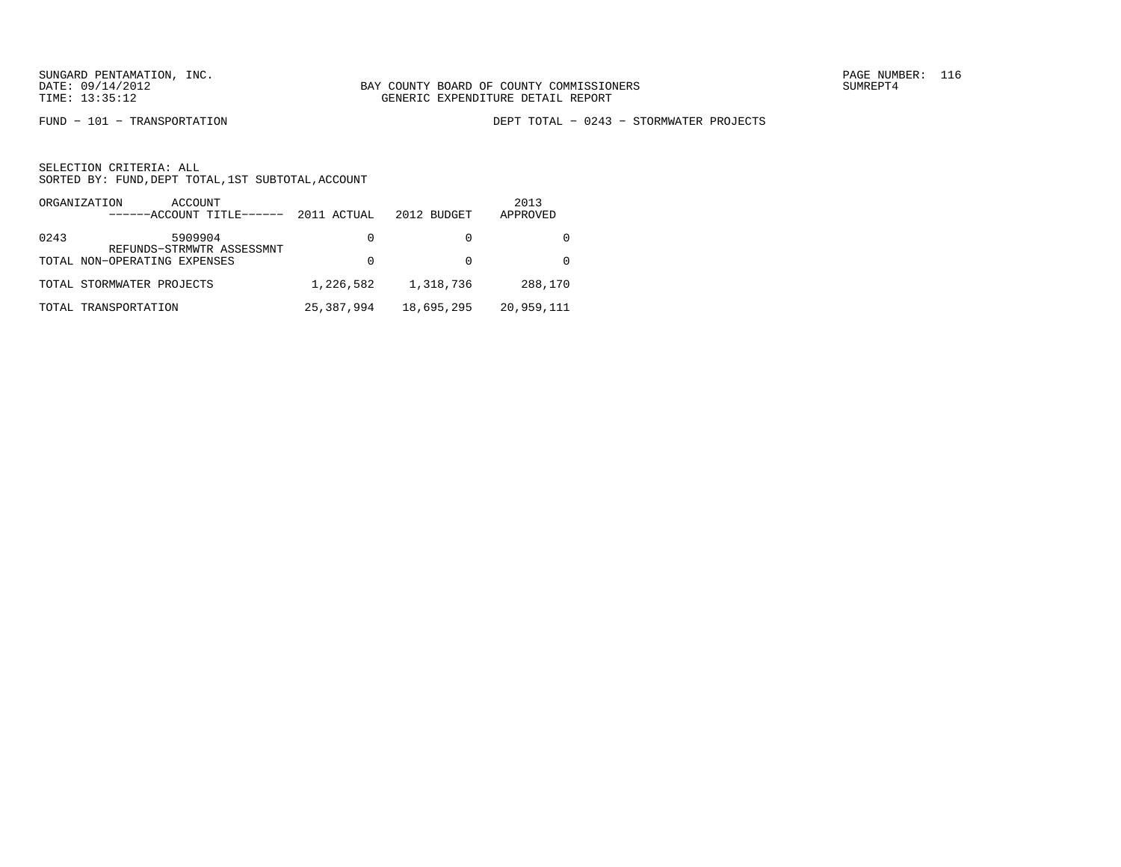FUND − 101 − TRANSPORTATION DEPT TOTAL − 0243 − STORMWATER PROJECTS

|      | ORGANIZATION<br>ACCOUNT<br>------ACCOUNT TITLE------ | 2011 ACTUAL | 2012 BUDGET | 2013<br>APPROVED |
|------|------------------------------------------------------|-------------|-------------|------------------|
| 0243 | 5909904<br>REFUNDS-STRMWTR ASSESSMNT                 | $\Omega$    |             |                  |
|      | TOTAL NON-OPERATING EXPENSES                         | 0           |             |                  |
|      | TOTAL STORMWATER PROJECTS                            | 1,226,582   | 1,318,736   | 288,170          |
|      | TOTAL TRANSPORTATION                                 | 25,387,994  | 18,695,295  | 20,959,111       |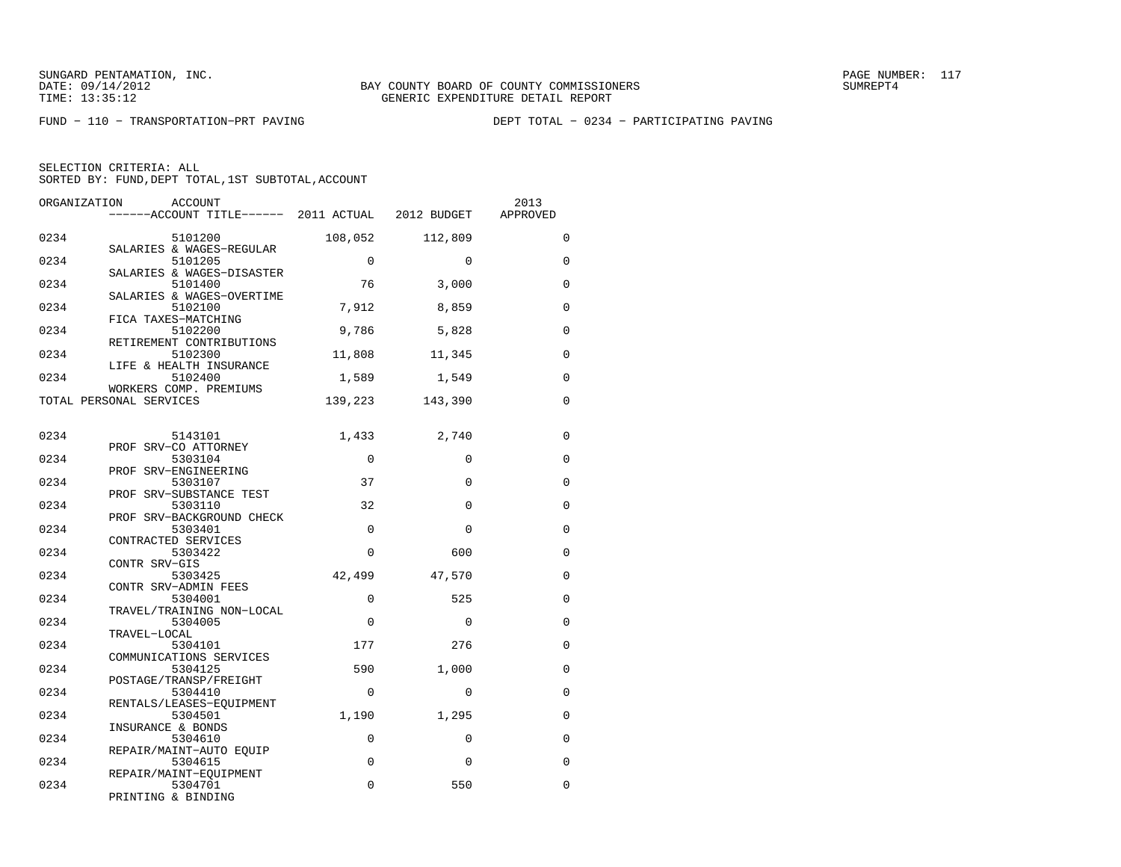FUND − 110 − TRANSPORTATION−PRT PAVING DEPT TOTAL − 0234 − PARTICIPATING PAVING

| ORGANIZATION | ACCOUNT<br>------ACCOUNT TITLE------ 2011 ACTUAL 2012 BUDGET |             |          | 2013<br>APPROVED |
|--------------|--------------------------------------------------------------|-------------|----------|------------------|
| 0234         | 5101200                                                      | 108,052     | 112,809  | $\Omega$         |
| 0234         | SALARIES & WAGES-REGULAR<br>5101205                          | $\Omega$    | $\Omega$ | $\mathbf 0$      |
| 0234         | SALARIES & WAGES-DISASTER<br>5101400                         | 76          | 3,000    | $\mathbf 0$      |
| 0234         | SALARIES & WAGES-OVERTIME<br>5102100                         | 7,912       | 8,859    | $\Omega$         |
| 0234         | FICA TAXES-MATCHING<br>5102200                               | 9,786       | 5,828    | 0                |
| 0234         | RETIREMENT CONTRIBUTIONS<br>5102300                          | 11,808      | 11,345   | $\mathbf 0$      |
| 0234         | LIFE & HEALTH INSURANCE<br>5102400                           | 1,589       | 1,549    | $\Omega$         |
|              | WORKERS COMP. PREMIUMS<br>TOTAL PERSONAL SERVICES            | 139,223     | 143,390  | $\Omega$         |
| 0234         | 5143101                                                      | 1,433       | 2,740    | $\mathbf 0$      |
|              | PROF SRV-CO ATTORNEY                                         |             |          |                  |
| 0234         | 5303104<br>PROF SRV-ENGINEERING                              | $\Omega$    | $\Omega$ | $\Omega$         |
| 0234         | 5303107<br>PROF SRV-SUBSTANCE TEST                           | 37          | $\Omega$ | 0                |
| 0234         | 5303110<br>PROF SRV-BACKGROUND CHECK                         | 32          | $\Omega$ | $\mathbf 0$      |
| 0234         | 5303401<br>CONTRACTED SERVICES                               | $\Omega$    | $\Omega$ | $\mathbf 0$      |
| 0234         | 5303422<br>CONTR SRV-GIS                                     | $\Omega$    | 600      | 0                |
| 0234         | 5303425<br>CONTR SRV-ADMIN FEES                              | 42,499      | 47,570   | $\mathbf 0$      |
| 0234         | 5304001                                                      | $\Omega$    | 525      | $\Omega$         |
| 0234         | TRAVEL/TRAINING NON-LOCAL<br>5304005                         | $\Omega$    | $\Omega$ | $\Omega$         |
| 0234         | TRAVEL-LOCAL<br>5304101                                      | 177         | 276      | $\mathbf 0$      |
| 0234         | COMMUNICATIONS SERVICES<br>5304125                           | 590         | 1,000    | $\Omega$         |
| 0234         | POSTAGE/TRANSP/FREIGHT<br>5304410                            | $\Omega$    | $\Omega$ | $\Omega$         |
| 0234         | RENTALS/LEASES-EQUIPMENT<br>5304501                          | 1,190       | 1,295    | $\Omega$         |
| 0234         | INSURANCE & BONDS<br>5304610                                 | $\mathbf 0$ | $\Omega$ | $\Omega$         |
| 0234         | REPAIR/MAINT-AUTO EOUIP<br>5304615                           | 0           | $\Omega$ | $\Omega$         |
| 0234         | REPAIR/MAINT-EQUIPMENT<br>5304701                            | 0           | 550      | $\Omega$         |
|              | PRINTING & BINDING                                           |             |          |                  |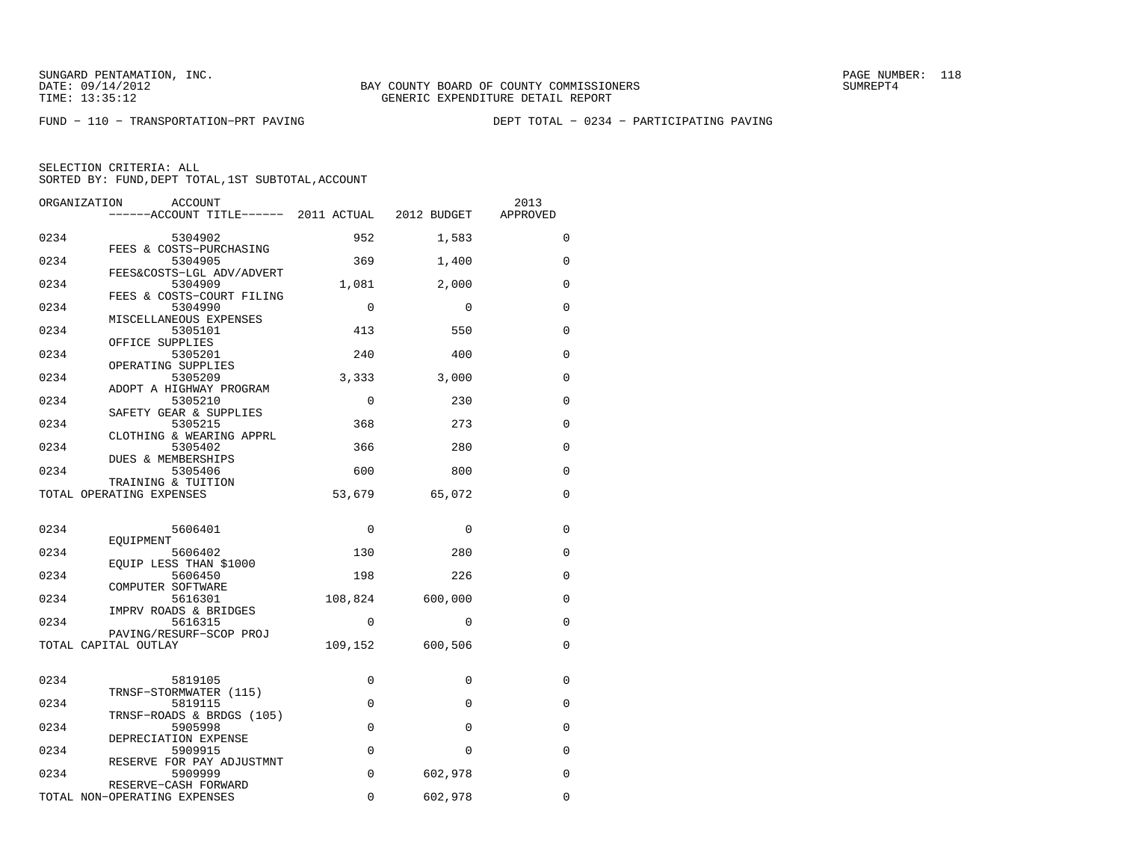FUND − 110 − TRANSPORTATION−PRT PAVING DEPT TOTAL − 0234 − PARTICIPATING PAVING

| ORGANIZATION | ACCOUNT<br>------ACCOUNT TITLE------ 2011 ACTUAL 2012 BUDGET |             |             | 2013<br>APPROVED |
|--------------|--------------------------------------------------------------|-------------|-------------|------------------|
| 0234         | 5304902                                                      | 952         | 1,583       | $\Omega$         |
|              | FEES & COSTS-PURCHASING                                      |             |             |                  |
| 0234         | 5304905                                                      | 369         | 1,400       | 0                |
| 0234         | FEES&COSTS-LGL ADV/ADVERT<br>5304909                         | 1,081       | 2,000       | $\Omega$         |
| 0234         | FEES & COSTS-COURT FILING<br>5304990                         | $\mathbf 0$ | $\Omega$    | $\mathbf 0$      |
|              | MISCELLANEOUS EXPENSES                                       |             |             |                  |
| 0234         | 5305101<br>OFFICE SUPPLIES                                   | 413         | 550         | 0                |
| 0234         | 5305201                                                      | 240         | 400         | $\Omega$         |
| 0234         | OPERATING SUPPLIES<br>5305209                                | 3,333       | 3,000       | 0                |
|              | ADOPT A HIGHWAY PROGRAM                                      |             |             |                  |
| 0234         | 5305210                                                      | $\mathbf 0$ | 230         | $\mathbf 0$      |
| 0234         | SAFETY GEAR & SUPPLIES<br>5305215                            | 368         | 273         | $\Omega$         |
| 0234         | CLOTHING & WEARING APPRL<br>5305402                          | 366         | 280         | $\Omega$         |
|              | DUES & MEMBERSHIPS                                           |             |             |                  |
| 0234         | 5305406<br>TRAINING & TUITION                                | 600         | 800         | 0                |
|              | TOTAL OPERATING EXPENSES                                     | 53,679      | 65,072      | $\Omega$         |
|              |                                                              |             |             |                  |
| 0234         | 5606401                                                      | $\mathbf 0$ | $\mathbf 0$ | $\mathbf 0$      |
| 0234         | EOUIPMENT<br>5606402                                         | 130         | 280         | $\Omega$         |
|              | EQUIP LESS THAN \$1000                                       |             |             |                  |
| 0234         | 5606450<br>COMPUTER SOFTWARE                                 | 198         | 226         | 0                |
| 0234         | 5616301                                                      | 108,824     | 600,000     | 0                |
| 0234         | IMPRV ROADS & BRIDGES<br>5616315                             | $\Omega$    | $\Omega$    | $\Omega$         |
|              | PAVING/RESURF-SCOP PROJ<br>TOTAL CAPITAL OUTLAY              | 109,152     | 600,506     | 0                |
|              |                                                              |             |             |                  |
| 0234         | 5819105                                                      | $\mathbf 0$ | $\Omega$    | 0                |
|              | TRNSF-STORMWATER (115)                                       |             |             |                  |
| 0234         | 5819115<br>TRNSF-ROADS & BRDGS (105)                         | $\mathbf 0$ | $\Omega$    | 0                |
| 0234         | 5905998                                                      | $\mathbf 0$ | $\Omega$    | $\mathbf 0$      |
| 0234         | DEPRECIATION EXPENSE<br>5909915                              | $\mathbf 0$ | $\Omega$    | $\Omega$         |
|              | RESERVE FOR PAY ADJUSTMNT                                    |             |             | $\Omega$         |
| 0234         | 5909999<br>RESERVE-CASH FORWARD                              | $\mathbf 0$ | 602,978     |                  |
|              | TOTAL NON-OPERATING EXPENSES                                 | 0           | 602,978     | 0                |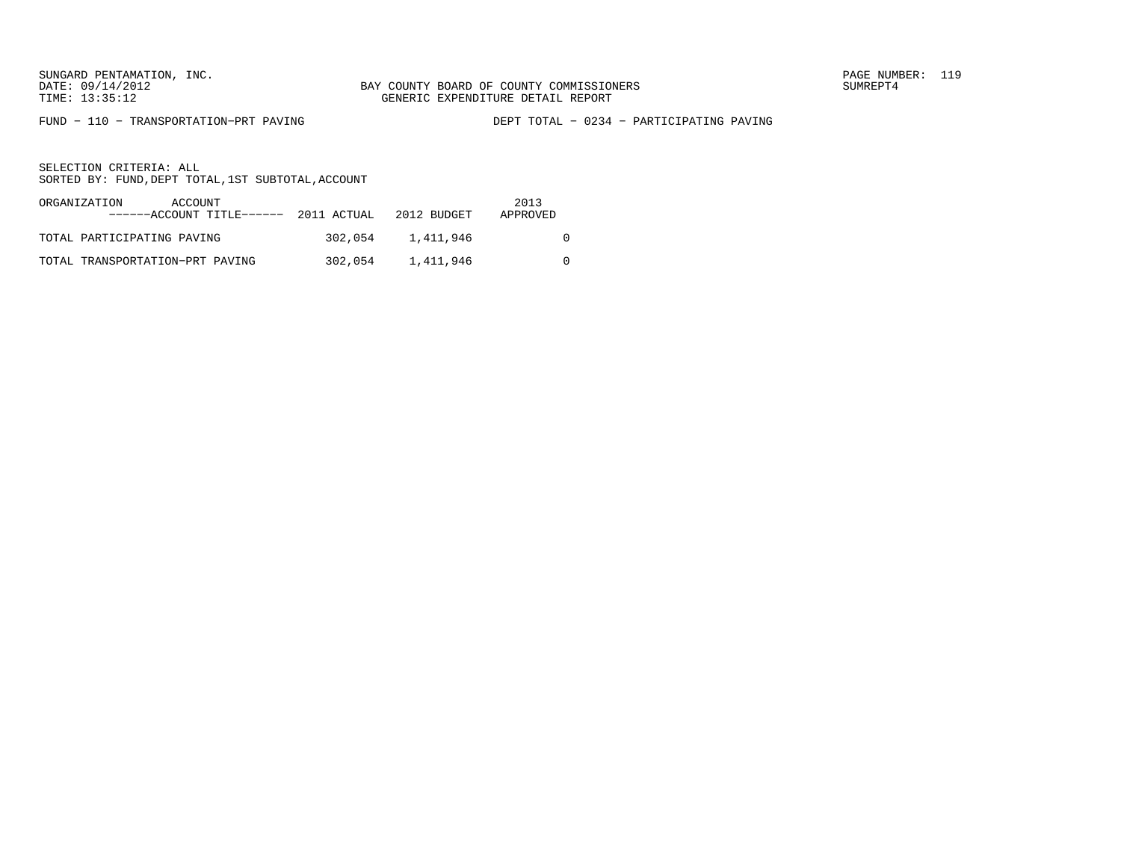FUND − 110 − TRANSPORTATION−PRT PAVING DEPT TOTAL − 0234 − PARTICIPATING PAVING

| ORGANIZATION<br>ACCOUNT<br>$---ACCOINT TITLE---2011 ACTUAL 2012 BUDGET$ |         |           | 2013<br>APPROVED |
|-------------------------------------------------------------------------|---------|-----------|------------------|
| TOTAL PARTICIPATING PAVING                                              | 302,054 | 1,411,946 |                  |
| TOTAL TRANSPORTATION-PRT PAVING                                         | 302,054 | 1,411,946 |                  |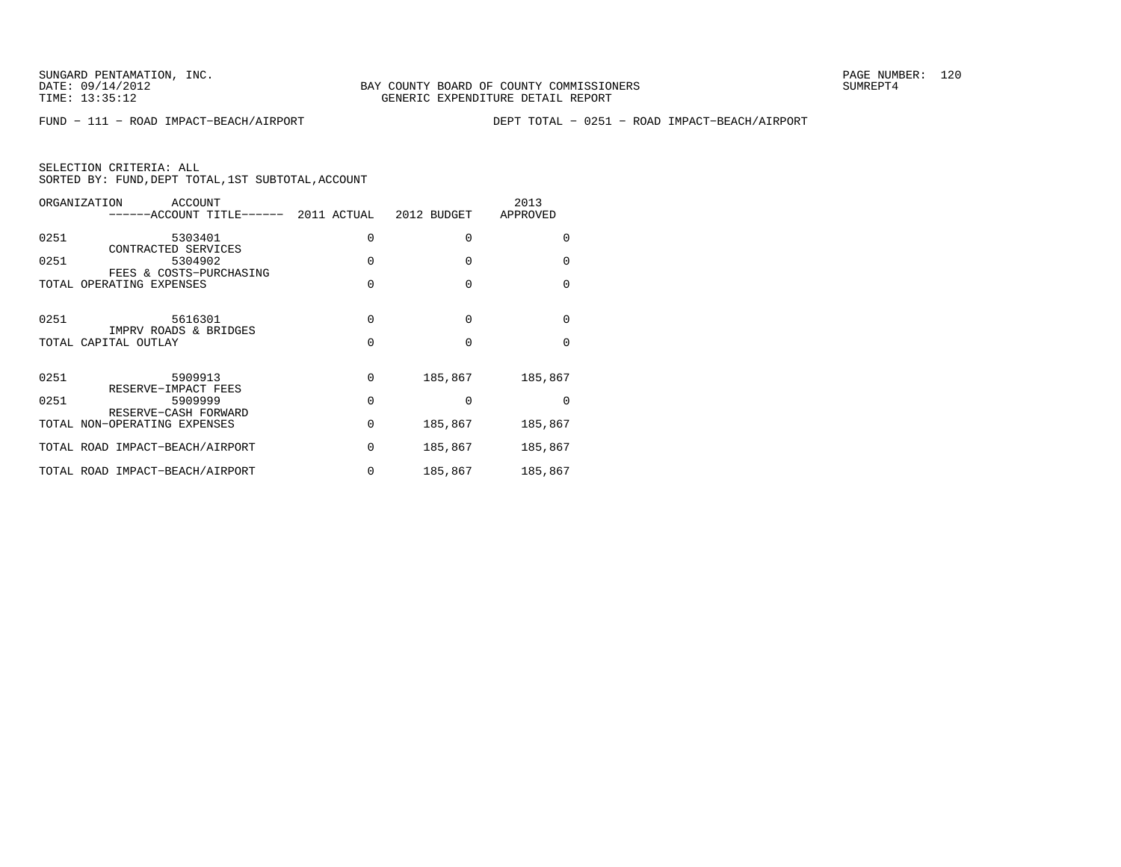FUND − 111 − ROAD IMPACT−BEACH/AIRPORT DEPT TOTAL − 0251 − ROAD IMPACT−BEACH/AIRPORT

| ORGANIZATION<br>ACCOUNT<br>-----ACCOUNT TITLE------ 2011 ACTUAL |          | 2012 BUDGET | 2013<br>APPROVED |
|-----------------------------------------------------------------|----------|-------------|------------------|
| 0251<br>5303401                                                 | 0        | $\Omega$    | O                |
| CONTRACTED SERVICES<br>0251<br>5304902                          | $\Omega$ | $\Omega$    | 0                |
| FEES & COSTS-PURCHASING<br>TOTAL OPERATING EXPENSES             | 0        | $\Omega$    | 0                |
| 0251<br>5616301                                                 | $\Omega$ | $\Omega$    | 0                |
| IMPRV ROADS & BRIDGES<br>TOTAL CAPITAL OUTLAY                   | 0        | $\Omega$    | $\Omega$         |
| 0251<br>5909913                                                 | $\Omega$ | 185,867     | 185,867          |
| RESERVE-IMPACT FEES<br>0251<br>5909999                          | $\Omega$ | $\Omega$    | O                |
| RESERVE-CASH FORWARD<br>TOTAL NON-OPERATING EXPENSES            | 0        | 185,867     | 185,867          |
| TOTAL ROAD IMPACT-BEACH/AIRPORT                                 | $\Omega$ | 185,867     | 185,867          |
| TOTAL ROAD IMPACT-BEACH/AIRPORT                                 | 0        | 185,867     | 185,867          |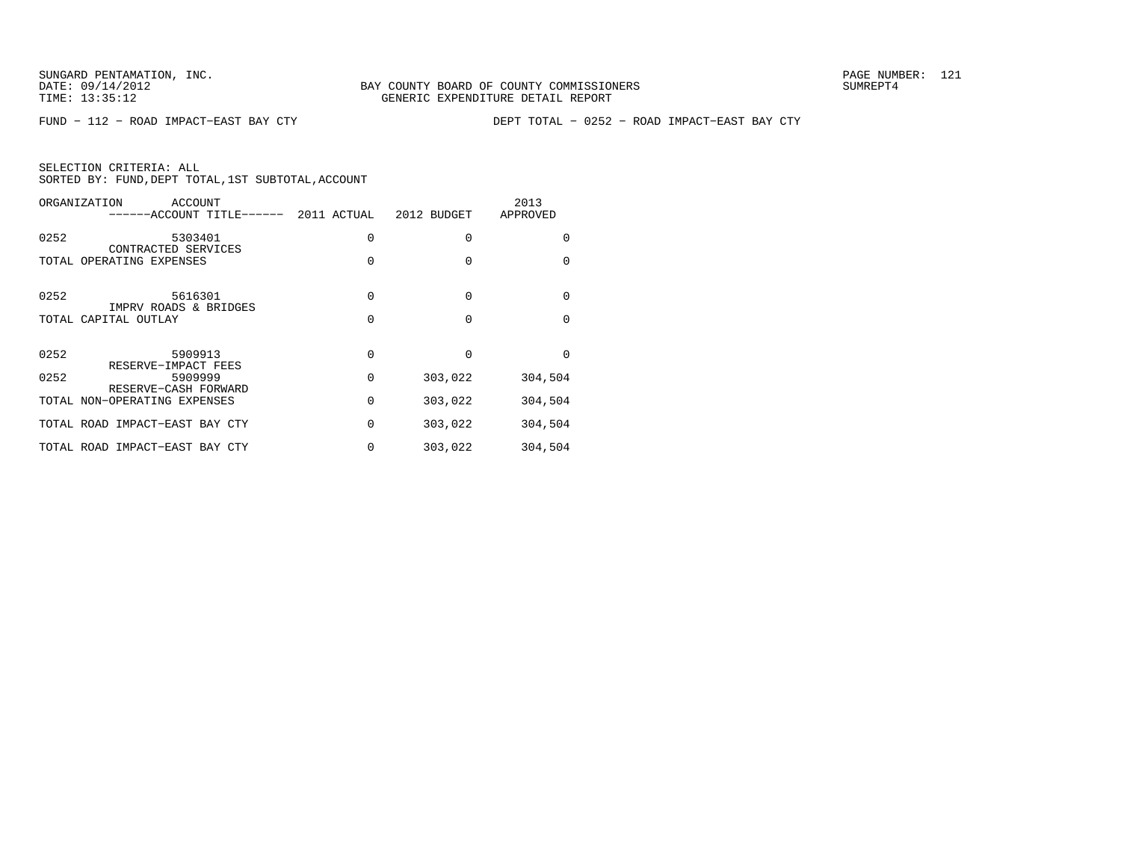FUND − 112 − ROAD IMPACT−EAST BAY CTY DEPT TOTAL − 0252 − ROAD IMPACT−EAST BAY CTY

| ORGANIZATION<br>ACCOUNT<br>-----ACCOUNT TITLE------  | 2011 ACTUAL | 2012 BUDGET | 2013<br>APPROVED |
|------------------------------------------------------|-------------|-------------|------------------|
| 0252<br>5303401<br>CONTRACTED SERVICES               | 0           | 0           | 0                |
| TOTAL OPERATING EXPENSES                             | $\Omega$    | $\Omega$    | $\Omega$         |
| 0252<br>5616301                                      | 0           | $\Omega$    | 0                |
| IMPRV ROADS & BRIDGES<br>TOTAL CAPITAL OUTLAY        | $\Omega$    | $\Omega$    | $\Omega$         |
| 0252<br>5909913<br>RESERVE-IMPACT FEES               | $\Omega$    | $\Omega$    | $\Omega$         |
| 0252<br>5909999                                      | 0           | 303,022     | 304,504          |
| RESERVE-CASH FORWARD<br>TOTAL NON-OPERATING EXPENSES | 0           | 303,022     | 304,504          |
| TOTAL ROAD IMPACT-EAST BAY CTY                       | 0           | 303,022     | 304,504          |
| TOTAL ROAD IMPACT-EAST BAY CTY                       | 0           | 303,022     | 304,504          |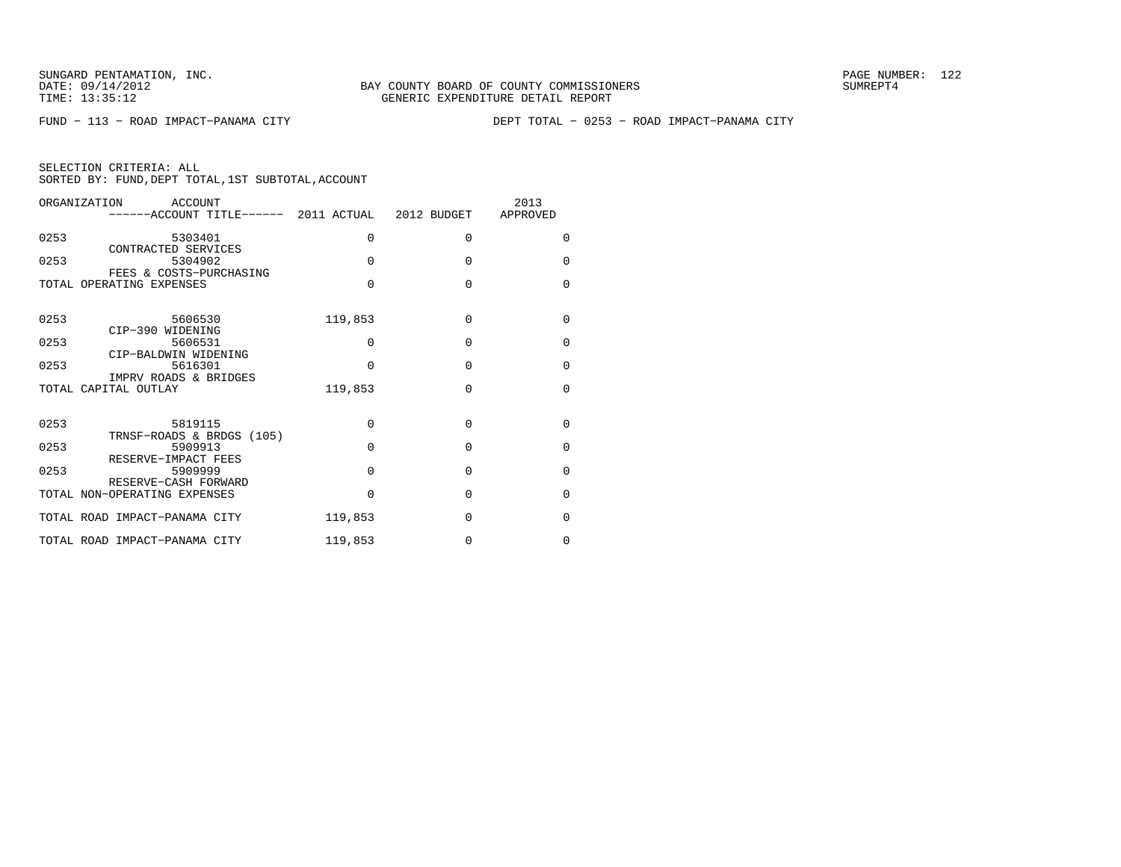FUND − 113 − ROAD IMPACT−PANAMA CITY DEPT TOTAL − 0253 − ROAD IMPACT−PANAMA CITY

| ORGANIZATION<br>ACCOUNT<br>------ACCOUNT TITLE------ 2011 ACTUAL 2012 BUDGET |          |          | 2013<br>APPROVED |
|------------------------------------------------------------------------------|----------|----------|------------------|
| 0253<br>5303401                                                              | $\Omega$ | $\Omega$ | $\Omega$         |
| CONTRACTED SERVICES<br>0253<br>5304902                                       | $\Omega$ | $\Omega$ | $\Omega$         |
| FEES & COSTS-PURCHASING<br>TOTAL OPERATING EXPENSES                          | $\Omega$ | $\Omega$ | $\Omega$         |
| 0253<br>5606530                                                              | 119,853  | $\Omega$ | $\Omega$         |
| CIP-390 WIDENING<br>0253<br>5606531                                          | 0        | $\Omega$ | $\Omega$         |
| CIP-BALDWIN WIDENING<br>0253<br>5616301<br>IMPRV ROADS & BRIDGES             | $\Omega$ | $\Omega$ | $\Omega$         |
| TOTAL CAPITAL OUTLAY                                                         | 119,853  | $\Omega$ | $\Omega$         |
| 0253<br>5819115<br>TRNSF-ROADS & BRDGS (105)                                 | $\Omega$ | $\Omega$ | $\Omega$         |
| 0253<br>5909913<br>RESERVE-IMPACT FEES                                       | $\Omega$ | $\Omega$ | $\Omega$         |
| 0253<br>5909999<br>RESERVE-CASH FORWARD                                      | $\Omega$ | $\Omega$ | $\Omega$         |
| TOTAL NON-OPERATING EXPENSES                                                 | 0        | $\Omega$ | $\Omega$         |
| TOTAL ROAD IMPACT-PANAMA CITY                                                | 119,853  | $\Omega$ | $\Omega$         |
| TOTAL ROAD IMPACT-PANAMA CITY                                                | 119,853  | 0        | $\Omega$         |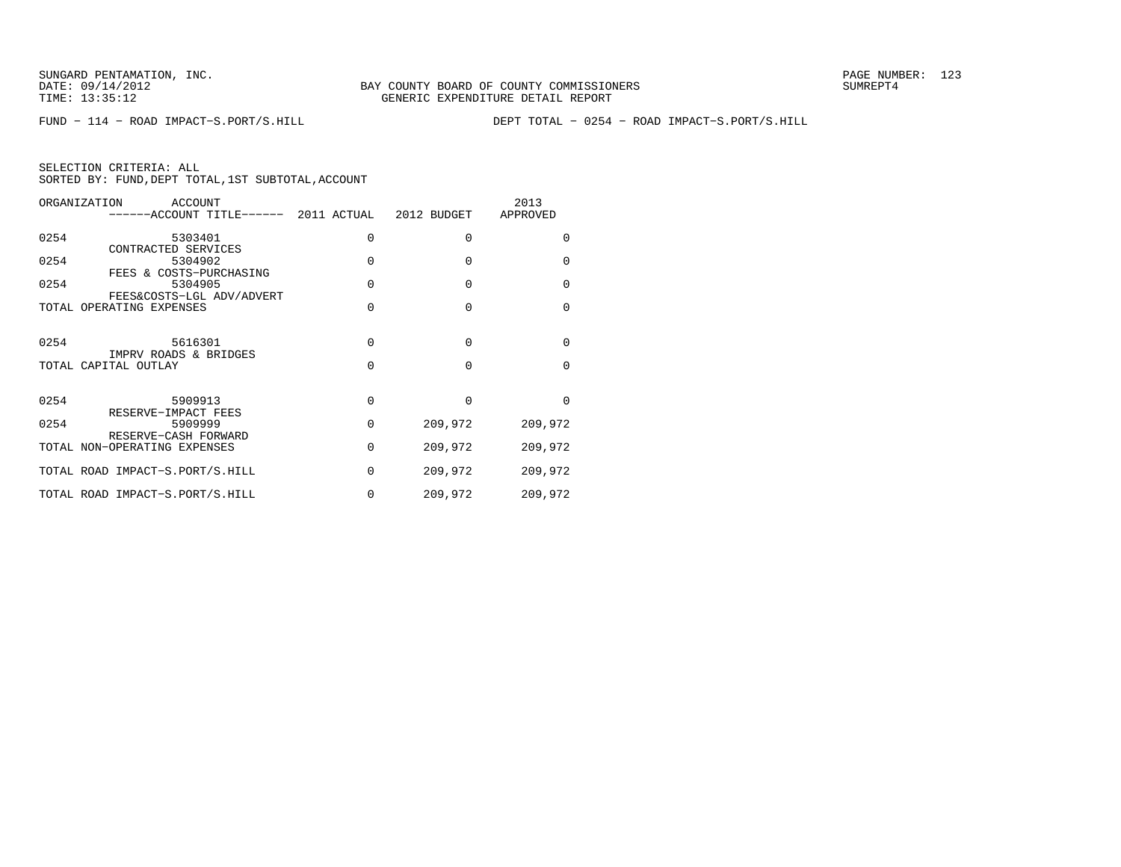FUND − 114 − ROAD IMPACT−S.PORT/S.HILL DEPT TOTAL − 0254 − ROAD IMPACT−S.PORT/S.HILL

| ORGANIZATION                    | ACCOUNT<br>------ACCOUNT TITLE------ 2011 ACTUAL 2012 BUDGET |          |          | 2013<br>APPROVED |
|---------------------------------|--------------------------------------------------------------|----------|----------|------------------|
| 0254<br>CONTRACTED SERVICES     | 5303401                                                      | 0        | $\Omega$ | $\Omega$         |
| 0254<br>FEES & COSTS-PURCHASING | 5304902                                                      | $\Omega$ | $\Omega$ | $\Omega$         |
| 0254                            | 5304905<br>FEES&COSTS-LGL ADV/ADVERT                         | $\Omega$ | $\Omega$ | $\Omega$         |
| TOTAL OPERATING EXPENSES        |                                                              | $\Omega$ | $\Omega$ | $\Omega$         |
| 0254<br>IMPRV ROADS & BRIDGES   | 5616301                                                      | $\Omega$ | $\Omega$ | $\Omega$         |
| TOTAL CAPITAL OUTLAY            |                                                              | $\Omega$ | $\Omega$ | $\Omega$         |
| 0254<br>RESERVE-IMPACT FEES     | 5909913                                                      | 0        | $\Omega$ | $\Omega$         |
| 0254<br>RESERVE-CASH FORWARD    | 5909999                                                      | $\Omega$ | 209,972  | 209,972          |
| TOTAL NON-OPERATING EXPENSES    |                                                              | 0        | 209,972  | 209,972          |
| TOTAL ROAD IMPACT-S.PORT/S.HILL |                                                              | 0        | 209,972  | 209,972          |
| TOTAL ROAD IMPACT-S.PORT/S.HILL |                                                              | 0        | 209,972  | 209,972          |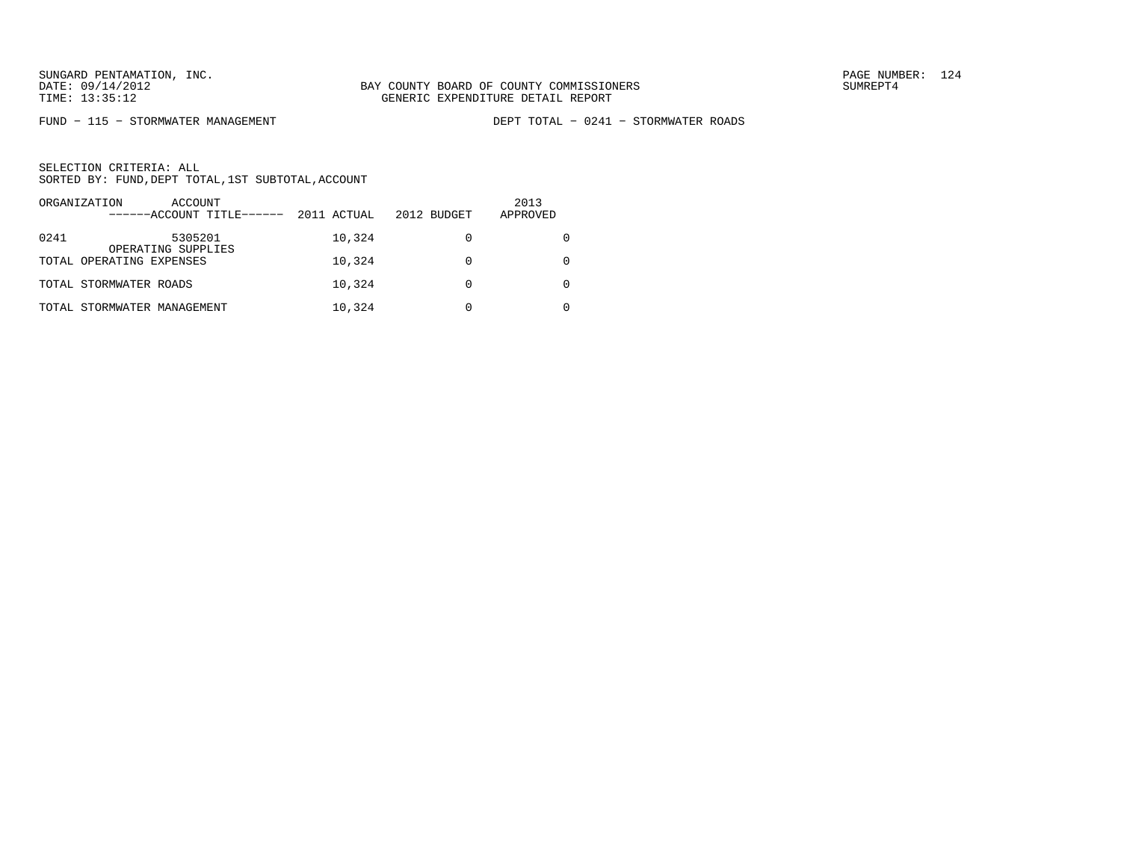FUND − 115 − STORMWATER MANAGEMENT DEPT TOTAL − 0241 − STORMWATER ROADS

|      | ORGANIZATION<br>ACCOUNT<br>------ACCOUNT TITLE------ | 2011 ACTUAL | 2012 BUDGET | 2013<br>APPROVED |
|------|------------------------------------------------------|-------------|-------------|------------------|
| 0241 | 5305201<br>OPERATING SUPPLIES                        | 10,324      |             |                  |
|      | TOTAL OPERATING EXPENSES                             | 10,324      |             |                  |
|      | TOTAL STORMWATER ROADS                               | 10,324      |             |                  |
|      | TOTAL STORMWATER MANAGEMENT                          | 10,324      |             |                  |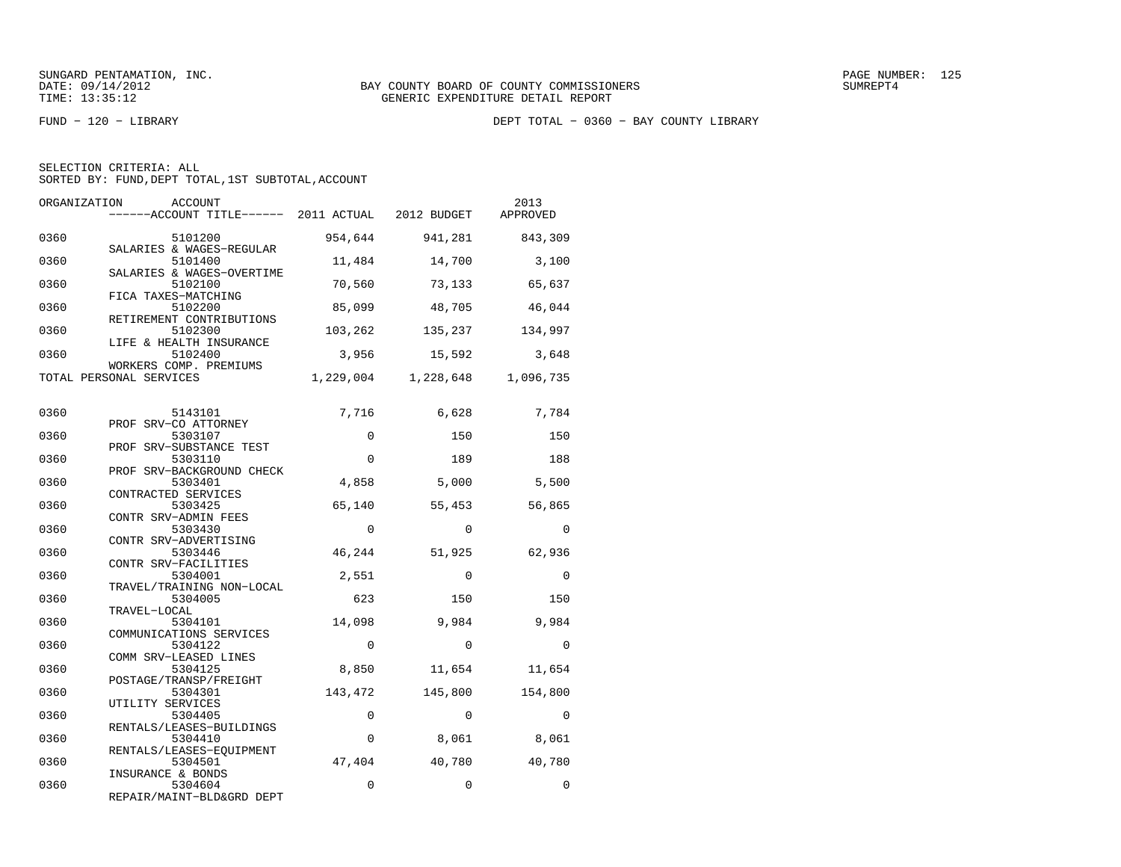FUND − 120 − LIBRARY DEPT TOTAL − 0360 − BAY COUNTY LIBRARY

| SELECTION CRITERIA: ALL |                                                    |  |
|-------------------------|----------------------------------------------------|--|
|                         | SORTED BY: FUND, DEPT TOTAL, 1ST SUBTOTAL, ACCOUNT |  |

| ORGANIZATION | ACCOUNT<br>------ACCOUNT TITLE------ 2011 ACTUAL 2012 BUDGET |                        |                     | 2013<br>APPROVED    |
|--------------|--------------------------------------------------------------|------------------------|---------------------|---------------------|
| 0360         | 5101200<br>SALARIES & WAGES-REGULAR                          | 954,644                | 941,281             | 843,309             |
| 0360         | 5101400<br>SALARIES & WAGES-OVERTIME                         | 11,484                 | 14,700              | 3,100               |
| 0360         | 5102100<br>FICA TAXES-MATCHING                               | 70,560                 | 73,133              | 65,637              |
| 0360         | 5102200<br>RETIREMENT CONTRIBUTIONS                          | 85,099                 | 48,705              | 46,044              |
| 0360         | 5102300<br>LIFE & HEALTH INSURANCE                           | 103,262                | 135,237             | 134,997             |
| 0360         | 5102400<br>WORKERS COMP. PREMIUMS                            | 3,956                  | 15,592              | 3,648               |
|              | TOTAL PERSONAL SERVICES                                      | 1,229,004              | 1,228,648           | 1,096,735           |
| 0360         | 5143101                                                      | 7,716                  | 6,628               | 7,784               |
| 0360         | PROF SRV-CO ATTORNEY<br>5303107<br>PROF SRV-SUBSTANCE TEST   | $\mathbf 0$            | 150                 | 150                 |
| 0360         | 5303110<br>PROF SRV-BACKGROUND CHECK                         | $\Omega$               | 189                 | 188                 |
| 0360         | 5303401<br>CONTRACTED SERVICES                               | 4,858                  | 5,000               | 5,500               |
| 0360         | 5303425<br>CONTR SRV-ADMIN FEES                              | 65,140                 | 55,453              | 56,865              |
| 0360         | 5303430<br>CONTR SRV-ADVERTISING                             | $\mathbf 0$            | $\Omega$            | $\mathbf 0$         |
| 0360         | 5303446<br>CONTR SRV-FACILITIES                              | 46,244                 | 51,925              | 62,936              |
| 0360         | 5304001<br>TRAVEL/TRAINING NON-LOCAL                         | 2,551                  | $\mathbf 0$         | $\mathbf 0$         |
| 0360         | 5304005<br>TRAVEL-LOCAL                                      | 623                    | 150                 | 150                 |
| 0360         | 5304101<br>COMMUNICATIONS SERVICES                           | 14,098                 | 9,984               | 9,984               |
| 0360         | 5304122<br>COMM SRV-LEASED LINES                             | $\Omega$               | $\Omega$            | $\Omega$            |
| 0360         | 5304125<br>POSTAGE/TRANSP/FREIGHT                            | 8,850                  | 11,654              | 11,654              |
| 0360<br>0360 | 5304301<br>UTILITY SERVICES                                  | 143,472<br>$\mathbf 0$ | 145,800<br>$\Omega$ | 154,800<br>$\Omega$ |
| 0360         | 5304405<br>RENTALS/LEASES-BUILDINGS<br>5304410               | 0                      |                     | 8,061               |
| 0360         | RENTALS/LEASES-EQUIPMENT<br>5304501                          | 47,404                 | 8,061<br>40,780     | 40,780              |
| 0360         | INSURANCE & BONDS<br>5304604                                 | 0                      | $\Omega$            | $\Omega$            |
|              | REPAIR/MAINT-BLD&GRD DEPT                                    |                        |                     |                     |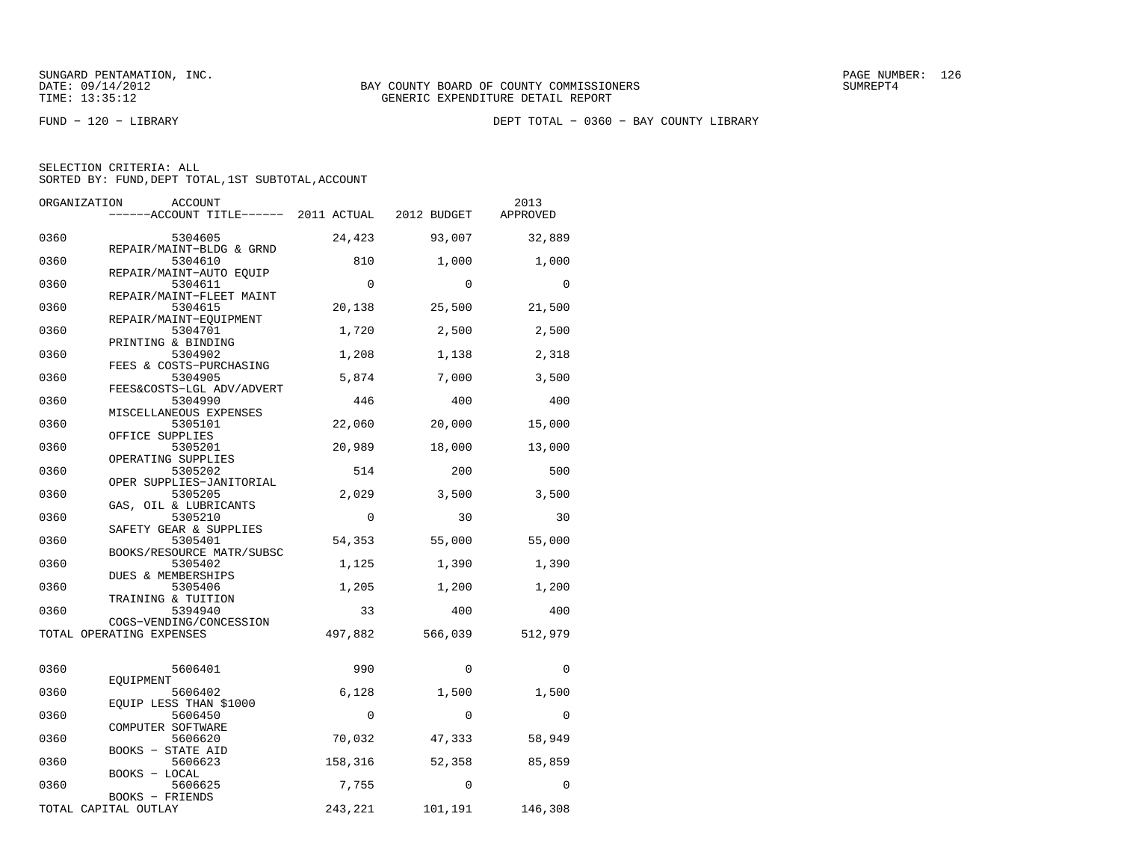FUND − 120 − LIBRARY DEPT TOTAL − 0360 − BAY COUNTY LIBRARY

| SELECTION CRITERIA: ALL |                                                    |
|-------------------------|----------------------------------------------------|
|                         | SORTED BY: FUND, DEPT TOTAL, 1ST SUBTOTAL, ACCOUNT |

| ORGANIZATION | ACCOUNT                                                 |          |              | 2013     |
|--------------|---------------------------------------------------------|----------|--------------|----------|
|              |                                                         |          |              | APPROVED |
| 0360         | 5304605                                                 | 24,423   | 93,007       | 32,889   |
| 0360         | REPAIR/MAINT-BLDG & GRND<br>5304610                     | 810      | 1,000        | 1,000    |
| 0360         | REPAIR/MAINT-AUTO EQUIP<br>5304611                      | $\Omega$ | $\mathbf{0}$ | $\Omega$ |
| 0360         | REPAIR/MAINT-FLEET MAINT<br>5304615                     | 20,138   | 25,500       | 21,500   |
| 0360         | REPAIR/MAINT-EQUIPMENT<br>5304701<br>PRINTING & BINDING | 1,720    | 2,500        | 2,500    |
| 0360         | 5304902<br>FEES & COSTS-PURCHASING                      | 1,208    | 1,138        | 2,318    |
| 0360         | 5304905<br>FEES&COSTS-LGL ADV/ADVERT                    | 5,874    | 7,000        | 3,500    |
| 0360         | 5304990<br>MISCELLANEOUS EXPENSES                       | 446      | 400          | 400      |
| 0360         | 5305101<br>OFFICE SUPPLIES                              | 22,060   | 20,000       | 15,000   |
| 0360         | 5305201<br>OPERATING SUPPLIES                           | 20,989   | 18,000       | 13,000   |
| 0360         | 5305202<br>OPER SUPPLIES-JANITORIAL                     | 514      | 200          | 500      |
| 0360         | 5305205<br>GAS, OIL & LUBRICANTS                        | 2,029    | 3,500        | 3,500    |
| 0360         | 5305210<br>SAFETY GEAR & SUPPLIES                       | 0        | 30           | 30       |
| 0360         | 5305401<br>BOOKS/RESOURCE MATR/SUBSC                    | 54,353   | 55,000       | 55,000   |
| 0360         | 5305402<br>DUES & MEMBERSHIPS                           | 1,125    | 1,390        | 1,390    |
| 0360         | 5305406<br>TRAINING & TUITION                           | 1,205    | 1,200        | 1,200    |
| 0360         | 5394940<br>COGS-VENDING/CONCESSION                      | 33       | 400          | 400      |
|              | TOTAL OPERATING EXPENSES                                | 497,882  | 566,039      | 512,979  |
| 0360         | 5606401<br>EOUIPMENT                                    | 990      | 0            | 0        |
| 0360         | 5606402<br>EQUIP LESS THAN \$1000                       | 6,128    | 1,500        | 1,500    |
| 0360         | 5606450<br>COMPUTER SOFTWARE                            | 0        | $\mathbf 0$  | 0        |
| 0360         | 5606620<br>BOOKS - STATE AID                            | 70,032   | 47,333       | 58,949   |
| 0360         | 5606623<br>BOOKS - LOCAL                                | 158,316  | 52,358       | 85,859   |
| 0360         | 5606625<br>BOOKS - FRIENDS                              | 7,755    | $\Omega$     | $\Omega$ |
|              | TOTAL CAPITAL OUTLAY                                    | 243,221  | 101,191      | 146,308  |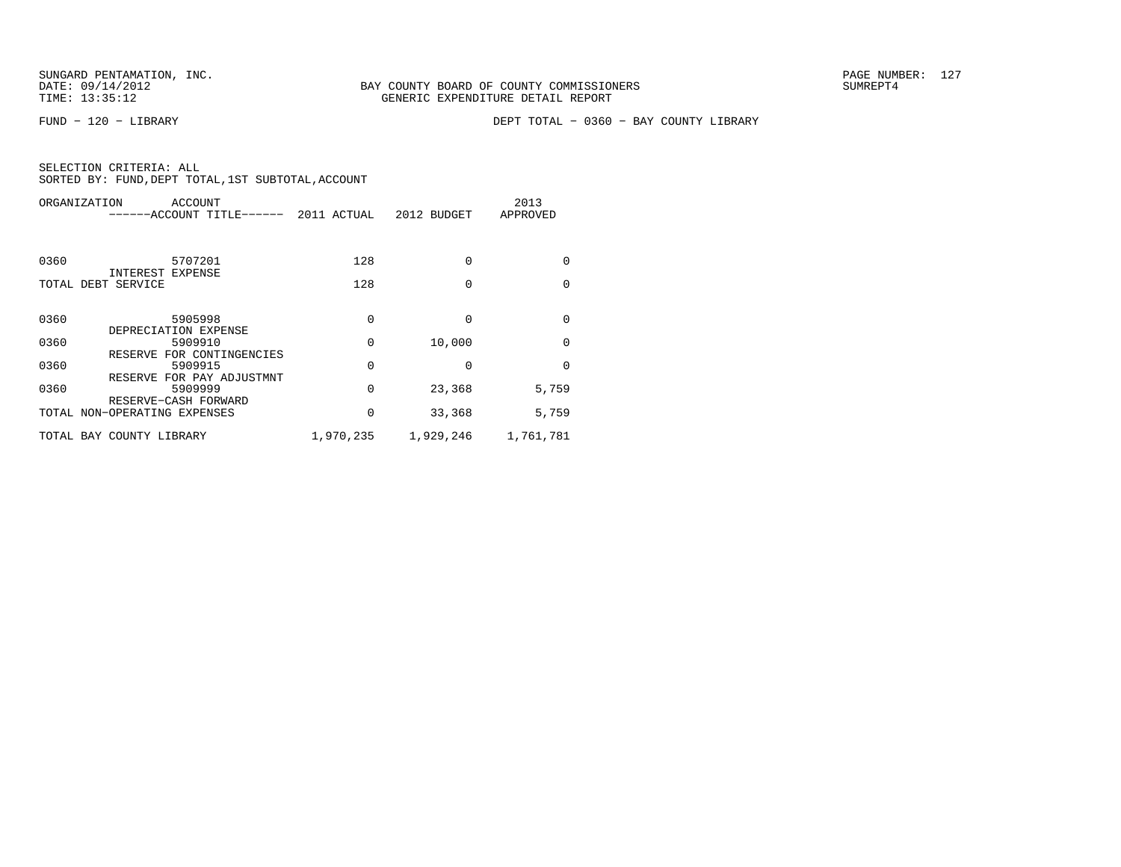FUND − 120 − LIBRARY DEPT TOTAL − 0360 − BAY COUNTY LIBRARY

| ORGANIZATION<br>ACCOUNT<br>-----ACCOUNT TITLE------  | 2011 ACTUAL | 2012 BUDGET | 2013<br>APPROVED |
|------------------------------------------------------|-------------|-------------|------------------|
| 0360<br>5707201                                      | 128         | $\Omega$    | $\Omega$         |
| INTEREST EXPENSE<br>TOTAL DEBT SERVICE               | 128         | $\Omega$    | $\Omega$         |
| 0360<br>5905998<br>DEPRECIATION EXPENSE              | 0           | O           | $\Omega$         |
| 0360<br>5909910                                      | 0           | 10,000      | $\Omega$         |
| RESERVE FOR CONTINGENCIES<br>0360<br>5909915         | 0           | 0           | $\Omega$         |
| RESERVE FOR PAY ADJUSTMNT<br>0360<br>5909999         | 0           | 23,368      | 5,759            |
| RESERVE-CASH FORWARD<br>TOTAL NON-OPERATING EXPENSES | 0           | 33,368      | 5,759            |
| TOTAL BAY COUNTY LIBRARY                             | 1,970,235   | 1,929,246   | 1,761,781        |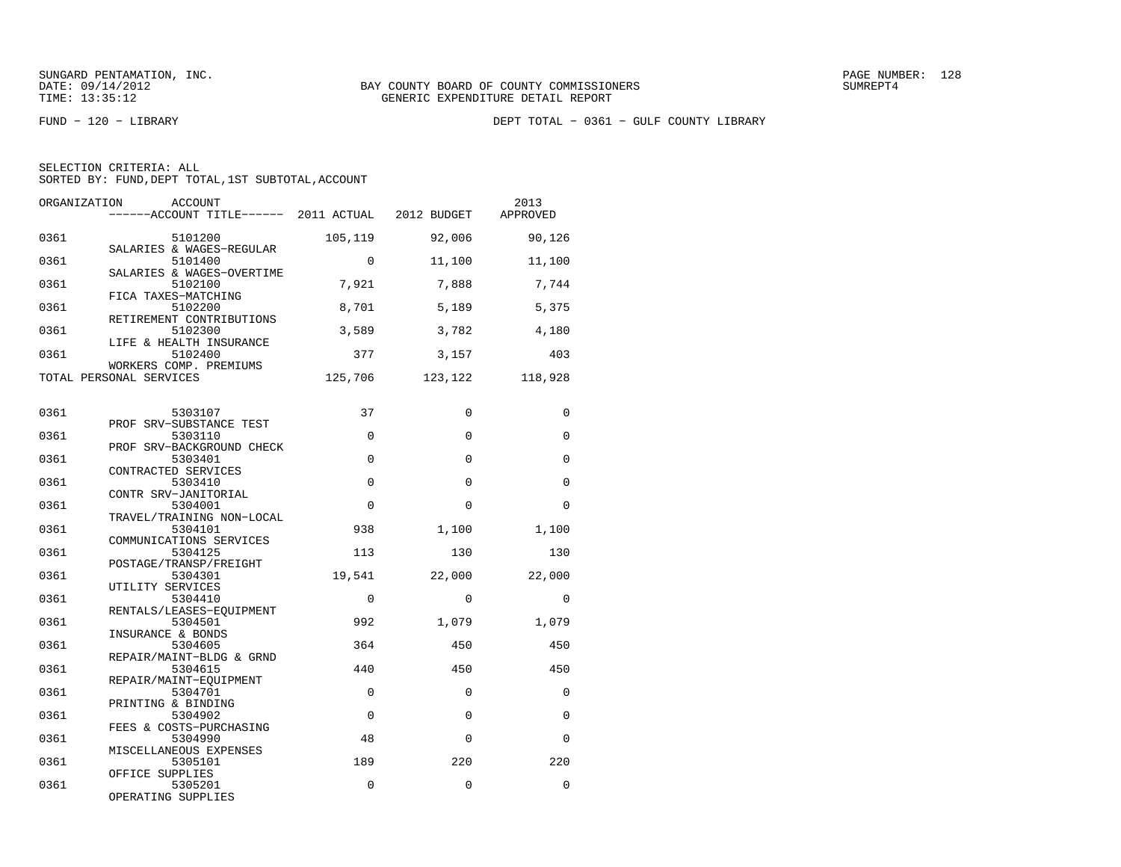|  | SELECTION CRITERIA: ALL |                                                    |
|--|-------------------------|----------------------------------------------------|
|  |                         | SORTED BY: FUND, DEPT TOTAL, 1ST SUBTOTAL, ACCOUNT |

| ORGANIZATION | <b>ACCOUNT</b><br>------ACCOUNT TITLE------ 2011 ACTUAL 2012 BUDGET |             |             | 2013<br>APPROVED |
|--------------|---------------------------------------------------------------------|-------------|-------------|------------------|
| 0361         | 5101200                                                             | 105,119     | 92,006      | 90,126           |
| 0361         | SALARIES & WAGES-REGULAR<br>5101400                                 | $\Omega$    | 11,100      | 11,100           |
| 0361         | SALARIES & WAGES-OVERTIME<br>5102100<br>FICA TAXES-MATCHING         | 7,921       | 7,888       | 7,744            |
| 0361         | 5102200<br>RETIREMENT CONTRIBUTIONS                                 | 8,701       | 5,189       | 5,375            |
| 0361         | 5102300<br>LIFE & HEALTH INSURANCE                                  | 3,589       | 3,782       | 4,180            |
| 0361         | 5102400<br>WORKERS COMP. PREMIUMS                                   | 377         | 3,157       | 403              |
|              | TOTAL PERSONAL SERVICES                                             | 125,706     | 123,122     | 118,928          |
| 0361         | 5303107                                                             | 37          | $\Omega$    | $\Omega$         |
| 0361         | PROF SRV-SUBSTANCE TEST<br>5303110                                  | $\mathbf 0$ | 0           | 0                |
| 0361         | PROF SRV-BACKGROUND CHECK<br>5303401<br>CONTRACTED SERVICES         | $\Omega$    | $\Omega$    | $\Omega$         |
| 0361         | 5303410<br>CONTR SRV-JANITORIAL                                     | $\mathbf 0$ | $\mathbf 0$ | 0                |
| 0361         | 5304001<br>TRAVEL/TRAINING NON-LOCAL                                | $\Omega$    | $\Omega$    | $\Omega$         |
| 0361         | 5304101<br>COMMUNICATIONS SERVICES                                  | 938         | 1,100       | 1,100            |
| 0361         | 5304125<br>POSTAGE/TRANSP/FREIGHT                                   | 113         | 130         | 130              |
| 0361         | 5304301<br>UTILITY SERVICES                                         | 19,541      | 22,000      | 22,000           |
| 0361         | 5304410<br>RENTALS/LEASES-EOUIPMENT                                 | $\Omega$    | 0           | 0                |
| 0361         | 5304501<br>INSURANCE & BONDS                                        | 992         | 1,079       | 1,079            |
| 0361<br>0361 | 5304605<br>REPAIR/MAINT-BLDG & GRND<br>5304615                      | 364<br>440  | 450<br>450  | 450<br>450       |
| 0361         | REPAIR/MAINT-EQUIPMENT<br>5304701                                   | $\mathbf 0$ | 0           | 0                |
| 0361         | PRINTING & BINDING<br>5304902                                       | $\Omega$    | $\Omega$    | 0                |
| 0361         | FEES & COSTS-PURCHASING<br>5304990                                  | 48          | $\mathbf 0$ | 0                |
| 0361         | MISCELLANEOUS EXPENSES<br>5305101                                   | 189         | 220         | 220              |
| 0361         | OFFICE SUPPLIES<br>5305201                                          | 0           | $\mathbf 0$ | 0                |
|              | OPERATING SUPPLIES                                                  |             |             |                  |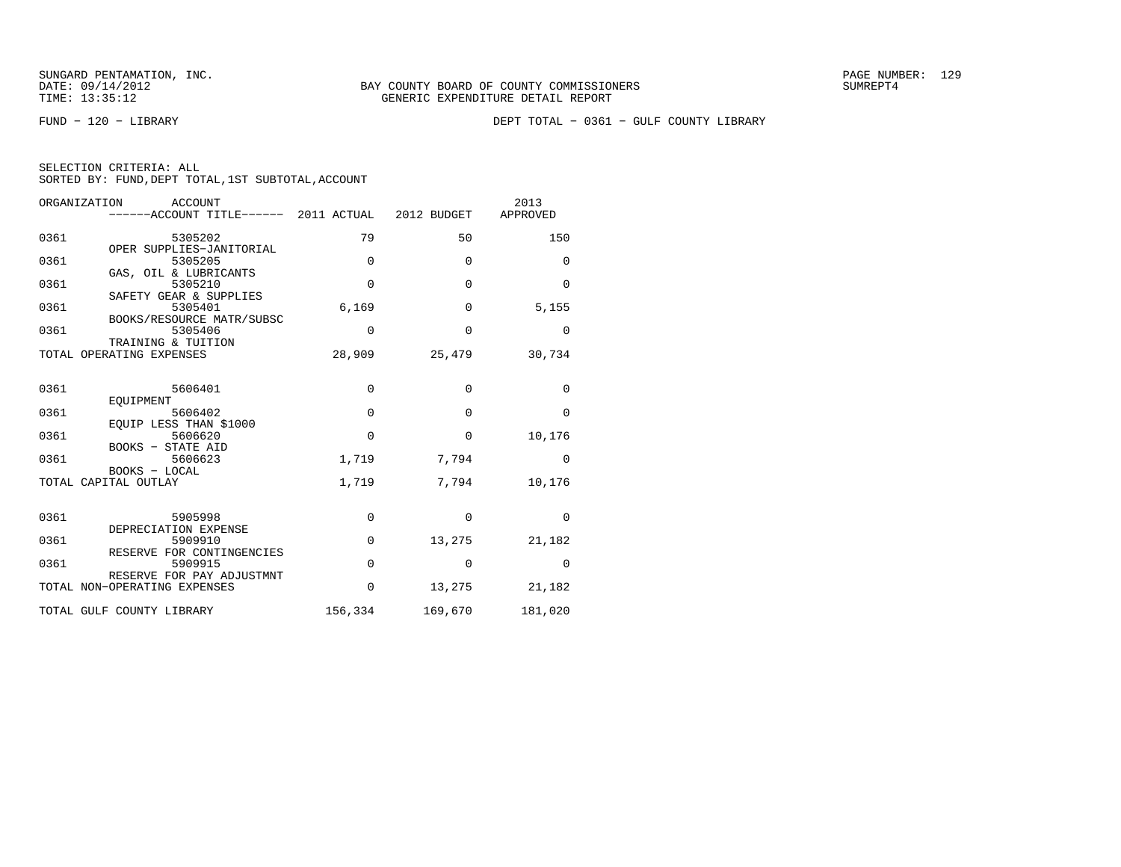| SELECTION CRITERIA: ALL |  |  |                                                    |  |
|-------------------------|--|--|----------------------------------------------------|--|
|                         |  |  | SORTED BY: FUND, DEPT TOTAL, 1ST SUBTOTAL, ACCOUNT |  |

|      | ORGANIZATION<br><b>ACCOUNT</b><br>------ACCOUNT TITLE------ 2011 ACTUAL |             | 2012 BUDGET | 2013<br>APPROVED |
|------|-------------------------------------------------------------------------|-------------|-------------|------------------|
| 0361 | 5305202<br>OPER SUPPLIES-JANITORIAL                                     | 79          | 50          | 150              |
| 0361 | 5305205                                                                 | $\mathbf 0$ | $\mathbf 0$ | 0                |
| 0361 | GAS, OIL & LUBRICANTS<br>5305210                                        | $\Omega$    | $\Omega$    | $\Omega$         |
| 0361 | SAFETY GEAR & SUPPLIES<br>5305401                                       | 6,169       | $\mathbf 0$ | 5,155            |
| 0361 | BOOKS/RESOURCE MATR/SUBSC<br>5305406<br>TRAINING & TUITION              | 0           | $\Omega$    | 0                |
|      | TOTAL OPERATING EXPENSES                                                | 28,909      | 25,479      | 30,734           |
| 0361 | 5606401                                                                 | $\mathbf 0$ | 0           | $\mathbf 0$      |
| 0361 | EOUIPMENT<br>5606402                                                    | $\mathbf 0$ | 0           | $\mathbf 0$      |
| 0361 | EQUIP LESS THAN \$1000<br>5606620                                       | $\mathbf 0$ | 0           | 10,176           |
| 0361 | BOOKS - STATE AID<br>5606623                                            | 1,719       | 7,794       | $\Omega$         |
|      | BOOKS - LOCAL<br>TOTAL CAPITAL OUTLAY                                   | 1,719       | 7,794       | 10,176           |
| 0361 | 5905998                                                                 | 0           | $\Omega$    | $\Omega$         |
|      | DEPRECIATION EXPENSE                                                    |             |             |                  |
| 0361 | 5909910<br>RESERVE FOR CONTINGENCIES                                    | $\mathbf 0$ | 13,275      | 21,182           |
| 0361 | 5909915                                                                 | $\mathbf 0$ | $\mathbf 0$ | $\Omega$         |
|      | RESERVE FOR PAY ADJUSTMNT<br>TOTAL NON-OPERATING EXPENSES               | $\Omega$    | 13,275      | 21,182           |
|      | TOTAL GULF COUNTY LIBRARY                                               | 156,334     | 169,670     | 181,020          |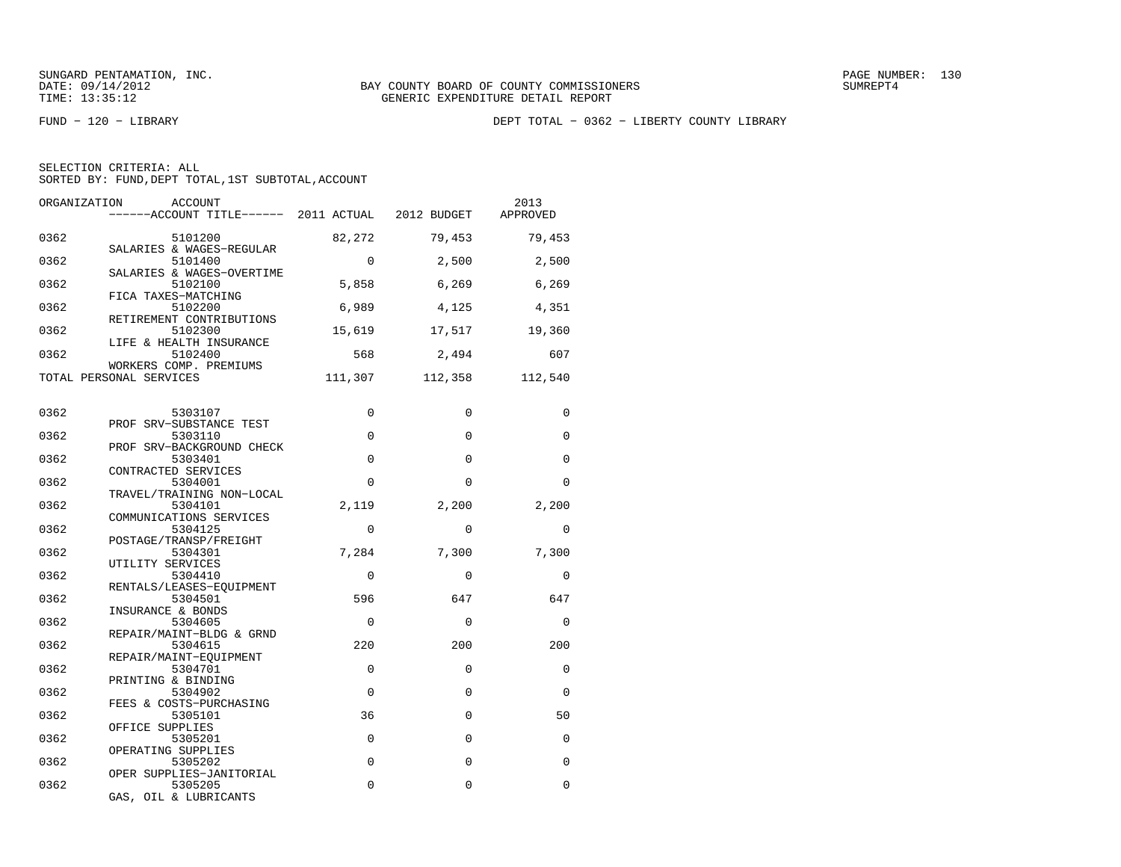FUND − 120 − LIBRARY DEPT TOTAL − 0362 − LIBERTY COUNTY LIBRARY

| SELECTION CRITERIA: ALL |                                                    |
|-------------------------|----------------------------------------------------|
|                         | SORTED BY: FUND, DEPT TOTAL, 1ST SUBTOTAL, ACCOUNT |

| ORGANIZATION | ACCOUNT<br>------ACCOUNT TITLE------ 2011 ACTUAL 2012 BUDGET |             |             | 2013<br>APPROVED |
|--------------|--------------------------------------------------------------|-------------|-------------|------------------|
| 0362         | 5101200                                                      | 82,272      | 79,453      | 79,453           |
| 0362         | SALARIES & WAGES-REGULAR<br>5101400                          | $\Omega$    | 2,500       | 2,500            |
| 0362         | SALARIES & WAGES-OVERTIME<br>5102100<br>FICA TAXES-MATCHING  | 5,858       | 6,269       | 6,269            |
| 0362         | 5102200<br>RETIREMENT CONTRIBUTIONS                          | 6,989       | 4,125       | 4,351            |
| 0362         | 5102300<br>LIFE & HEALTH INSURANCE                           | 15,619      | 17,517      | 19,360           |
| 0362         | 5102400<br>WORKERS COMP. PREMIUMS                            | 568         | 2,494       | 607              |
|              | TOTAL PERSONAL SERVICES                                      | 111,307     | 112,358     | 112,540          |
| 0362         | 5303107                                                      | 0           | 0           | 0                |
| 0362         | PROF SRV-SUBSTANCE TEST<br>5303110                           | $\mathbf 0$ | 0           | $\mathbf 0$      |
| 0362         | PROF SRV-BACKGROUND CHECK<br>5303401                         | $\Omega$    | $\Omega$    | $\Omega$         |
| 0362         | CONTRACTED SERVICES<br>5304001                               | $\Omega$    | $\Omega$    | $\Omega$         |
| 0362         | TRAVEL/TRAINING NON-LOCAL<br>5304101                         | 2,119       | 2,200       | 2,200            |
| 0362         | COMMUNICATIONS SERVICES<br>5304125                           | $\Omega$    | $\Omega$    | $\Omega$         |
| 0362         | POSTAGE/TRANSP/FREIGHT<br>5304301                            | 7,284       | 7,300       | 7,300            |
| 0362         | UTILITY SERVICES<br>5304410                                  | $\Omega$    | $\Omega$    | $\Omega$         |
| 0362         | RENTALS/LEASES-EQUIPMENT<br>5304501<br>INSURANCE & BONDS     | 596         | 647         | 647              |
| 0362         | 5304605<br>REPAIR/MAINT-BLDG & GRND                          | $\Omega$    | $\mathbf 0$ | 0                |
| 0362         | 5304615<br>REPAIR/MAINT-EQUIPMENT                            | 220         | 200         | 200              |
| 0362         | 5304701<br>PRINTING & BINDING                                | $\Omega$    | $\Omega$    | 0                |
| 0362         | 5304902<br>FEES & COSTS-PURCHASING                           | $\Omega$    | $\Omega$    | 0                |
| 0362         | 5305101<br>OFFICE SUPPLIES                                   | 36          | $\Omega$    | 50               |
| 0362         | 5305201<br>OPERATING SUPPLIES                                | $\mathbf 0$ | 0           | 0                |
| 0362         | 5305202<br>OPER SUPPLIES-JANITORIAL                          | $\mathbf 0$ | 0           | $\Omega$         |
| 0362         | 5305205<br>GAS, OIL & LUBRICANTS                             | $\Omega$    | 0           | 0                |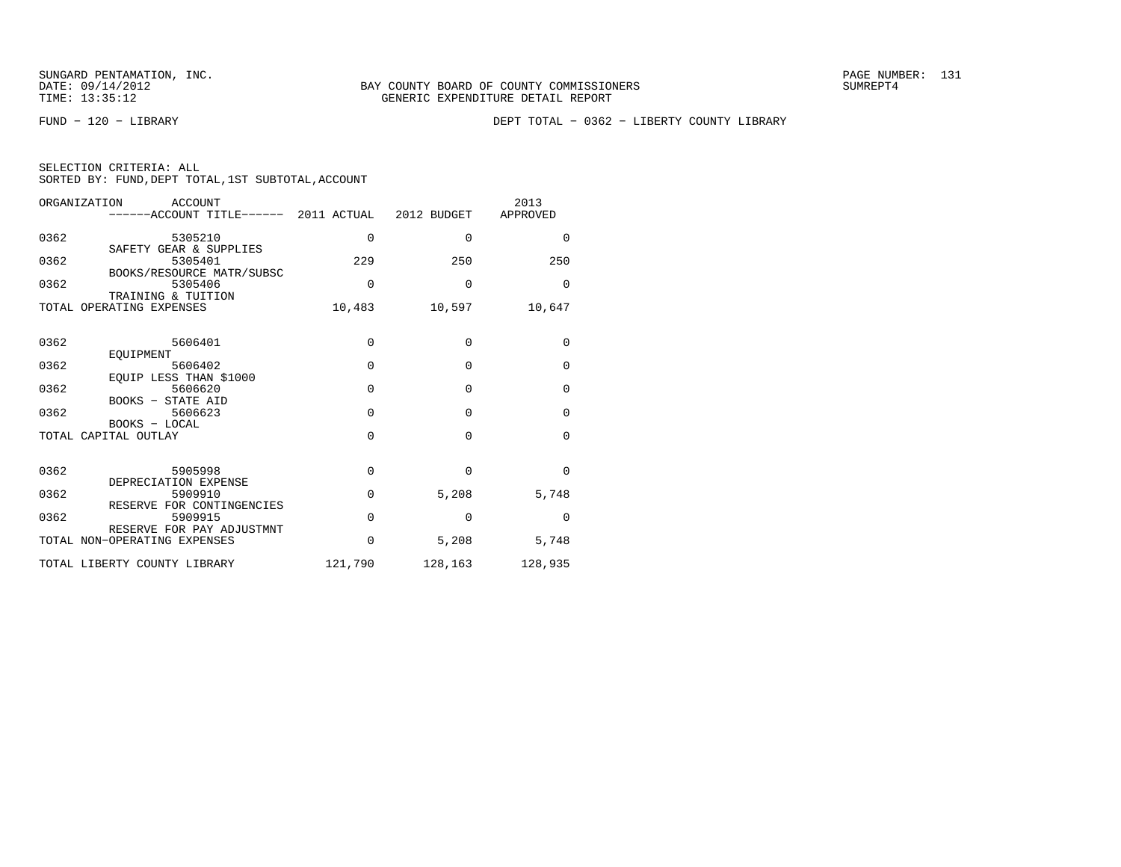FUND − 120 − LIBRARY DEPT TOTAL − 0362 − LIBERTY COUNTY LIBRARY

| SELECTION CRITERIA: ALL |  |  |                                                    |  |
|-------------------------|--|--|----------------------------------------------------|--|
|                         |  |  | SORTED BY: FUND, DEPT TOTAL, 1ST SUBTOTAL, ACCOUNT |  |

| ORGANIZATION         | <b>ACCOUNT</b><br>-----ACCOUNT TITLE------ 2011 ACTUAL 2012 BUDGET |          |             | 2013<br>APPROVED |
|----------------------|--------------------------------------------------------------------|----------|-------------|------------------|
| 0362                 | 5305210<br>SAFETY GEAR & SUPPLIES                                  | 0        | $\mathbf 0$ | $\mathbf 0$      |
| 0362                 | 5305401<br>BOOKS/RESOURCE MATR/SUBSC                               | 229      | 250         | 250              |
| 0362                 | 5305406<br>TRAINING & TUITION                                      | $\Omega$ | $\Omega$    | $\Omega$         |
|                      | TOTAL OPERATING EXPENSES                                           | 10,483   | 10,597      | 10,647           |
| 0362                 | 5606401                                                            | $\Omega$ | $\mathbf 0$ | $\mathbf 0$      |
| 0362                 | EOUIPMENT<br>5606402                                               | $\Omega$ | $\Omega$    | $\mathbf 0$      |
| 0362                 | EQUIP LESS THAN \$1000<br>5606620<br>BOOKS - STATE AID             | $\Omega$ | $\Omega$    | $\mathbf 0$      |
| 0362                 | 5606623<br>BOOKS - LOCAL                                           | $\Omega$ | $\Omega$    | $\mathbf{0}$     |
| TOTAL CAPITAL OUTLAY |                                                                    | $\Omega$ | $\Omega$    | $\Omega$         |
| 0362                 | 5905998<br>DEPRECIATION EXPENSE                                    | 0        | $\Omega$    | $\Omega$         |
| 0362                 | 5909910<br>RESERVE FOR CONTINGENCIES                               | $\Omega$ | 5,208       | 5,748            |
| 0362                 | 5909915                                                            | $\Omega$ | $\Omega$    | $\Omega$         |
|                      | RESERVE FOR PAY ADJUSTMNT<br>TOTAL NON-OPERATING EXPENSES          | $\Omega$ | 5,208       | 5,748            |
|                      | TOTAL LIBERTY COUNTY LIBRARY                                       | 121,790  | 128,163     | 128,935          |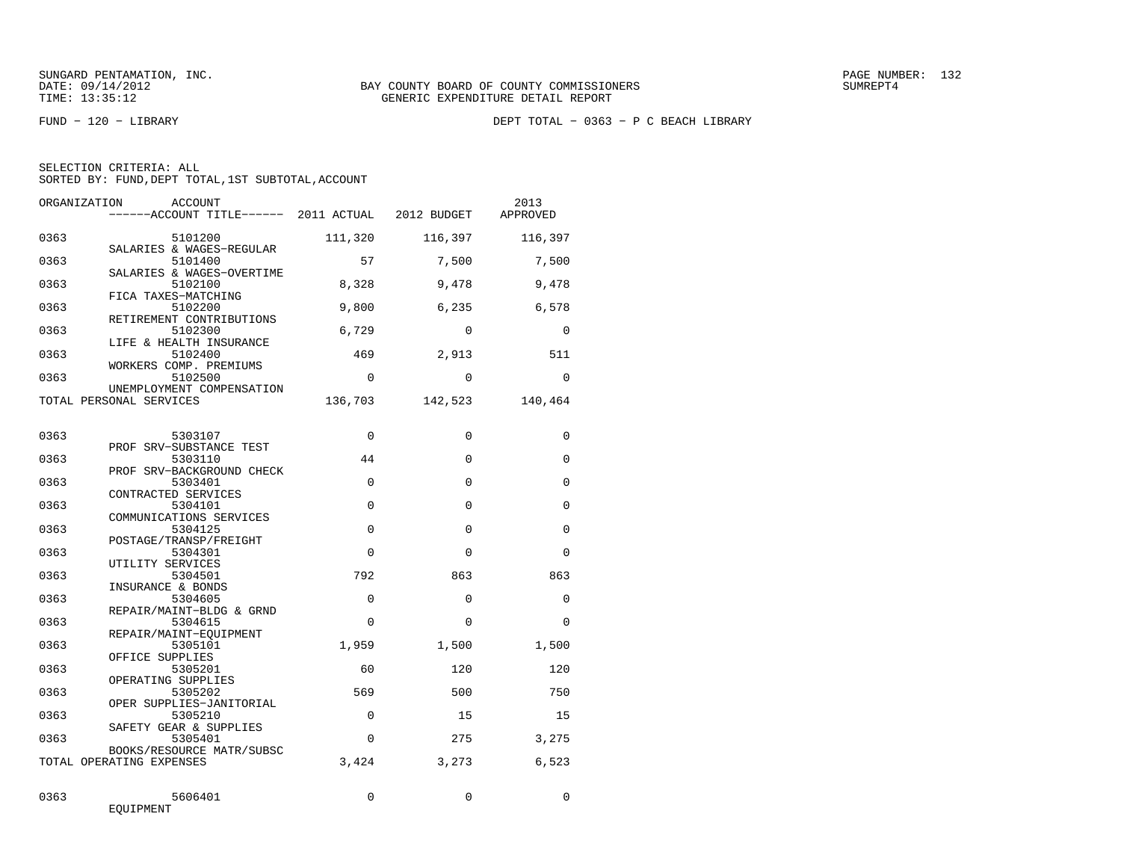| SELECTION CRITERIA: ALL |  |  |                                                    |  |
|-------------------------|--|--|----------------------------------------------------|--|
|                         |  |  | SORTED BY: FUND, DEPT TOTAL, 1ST SUBTOTAL, ACCOUNT |  |

| ORGANIZATION | ACCOUNT                                                      |             |             | 2013<br>APPROVED |
|--------------|--------------------------------------------------------------|-------------|-------------|------------------|
| 0363         | 5101200                                                      | 111,320     | 116,397     | 116,397          |
| 0363         | SALARIES & WAGES-REGULAR<br>5101400                          | 57          | 7,500       | 7,500            |
| 0363         | SALARIES & WAGES-OVERTIME<br>5102100<br>FICA TAXES-MATCHING  | 8,328       | 9,478       | 9,478            |
| 0363         | 5102200<br>RETIREMENT CONTRIBUTIONS                          | 9,800       | 6,235       | 6,578            |
| 0363         | 5102300<br>LIFE & HEALTH INSURANCE                           | 6,729       | $\Omega$    | $\Omega$         |
| 0363         | 5102400<br>WORKERS COMP. PREMIUMS                            | 469         | 2,913       | 511              |
| 0363         | 5102500<br>UNEMPLOYMENT COMPENSATION                         | $\Omega$    | $\Omega$    | $\Omega$         |
|              | TOTAL PERSONAL SERVICES                                      | 136,703     | 142,523     | 140,464          |
| 0363         | 5303107                                                      | 0           | $\mathbf 0$ | $\mathbf 0$      |
| 0363         | PROF SRV-SUBSTANCE TEST<br>5303110                           | 44          | 0           | 0                |
| 0363         | PROF SRV-BACKGROUND CHECK<br>5303401                         | $\Omega$    | $\Omega$    | $\Omega$         |
| 0363         | CONTRACTED SERVICES<br>5304101                               | $\mathbf 0$ | $\mathbf 0$ | 0                |
| 0363         | COMMUNICATIONS SERVICES<br>5304125<br>POSTAGE/TRANSP/FREIGHT | $\Omega$    | $\Omega$    | $\Omega$         |
| 0363         | 5304301<br>UTILITY SERVICES                                  | $\Omega$    | $\Omega$    | $\Omega$         |
| 0363         | 5304501<br>INSURANCE & BONDS                                 | 792         | 863         | 863              |
| 0363         | 5304605<br>REPAIR/MAINT-BLDG & GRND                          | $\Omega$    | $\Omega$    | $\Omega$         |
| 0363         | 5304615<br>REPAIR/MAINT-EOUIPMENT                            | $\Omega$    | $\Omega$    | $\Omega$         |
| 0363         | 5305101<br>OFFICE SUPPLIES                                   | 1,959       | 1,500       | 1,500            |
| 0363         | 5305201<br>OPERATING SUPPLIES                                | 60          | 120         | 120              |
| 0363         | 5305202<br>OPER SUPPLIES-JANITORIAL                          | 569         | 500         | 750              |
| 0363         | 5305210<br>SAFETY GEAR & SUPPLIES                            | $\Omega$    | 15          | 15               |
| 0363         | 5305401<br>BOOKS/RESOURCE MATR/SUBSC                         | $\Omega$    | 275         | 3,275            |
|              | TOTAL OPERATING EXPENSES                                     | 3,424       | 3,273       | 6.523            |
| 0363         | 5606401<br>EQUIPMENT                                         | $\Omega$    | $\Omega$    | $\Omega$         |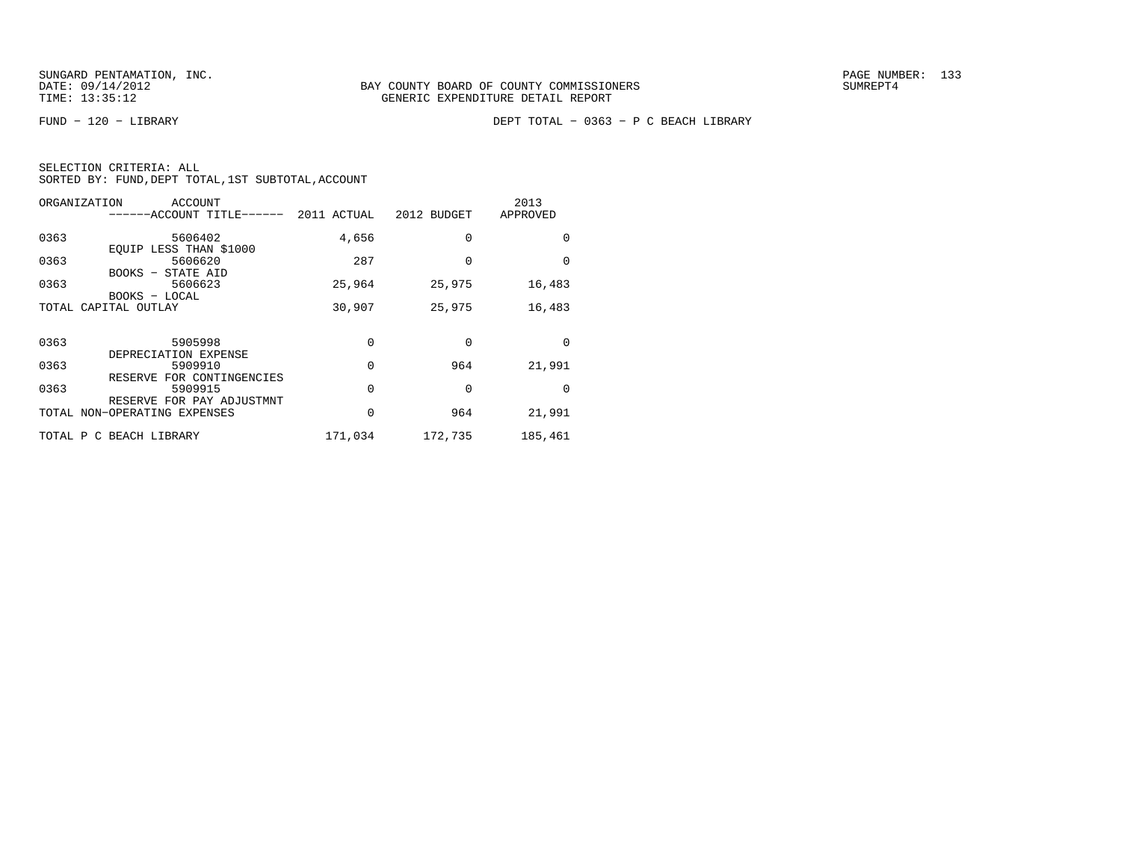|  | SELECTION CRITERIA: ALL |                                                    |  |
|--|-------------------------|----------------------------------------------------|--|
|  |                         | SORTED BY: FUND, DEPT TOTAL, 1ST SUBTOTAL, ACCOUNT |  |

| ORGANIZATION | ACCOUNT<br>-----ACCOUNT TITLE------                          | 2011 ACTUAL | 2012 BUDGET | 2013<br>APPROVED |
|--------------|--------------------------------------------------------------|-------------|-------------|------------------|
| 0363         | 5606402<br>EOUIP LESS THAN \$1000                            | 4,656       | $\Omega$    | $\Omega$         |
| 0363         | 5606620<br>BOOKS - STATE AID                                 | 287         | $\Omega$    | $\Omega$         |
| 0363         | 5606623<br>BOOKS - LOCAL                                     | 25,964      | 25,975      | 16,483           |
|              | TOTAL CAPITAL OUTLAY                                         | 30,907      | 25,975      | 16,483           |
| 0363         | 5905998                                                      | 0           | $\Omega$    | $\Omega$         |
| 0363         | DEPRECIATION EXPENSE<br>5909910<br>RESERVE FOR CONTINGENCIES | 0           | 964         | 21,991           |
| 0363         | 5909915<br>RESERVE FOR PAY ADJUSTMNT                         | $\Omega$    | $\Omega$    | $\Omega$         |
|              | TOTAL NON-OPERATING EXPENSES                                 | 0           | 964         | 21,991           |
|              | TOTAL P C BEACH LIBRARY                                      | 171,034     | 172,735     | 185,461          |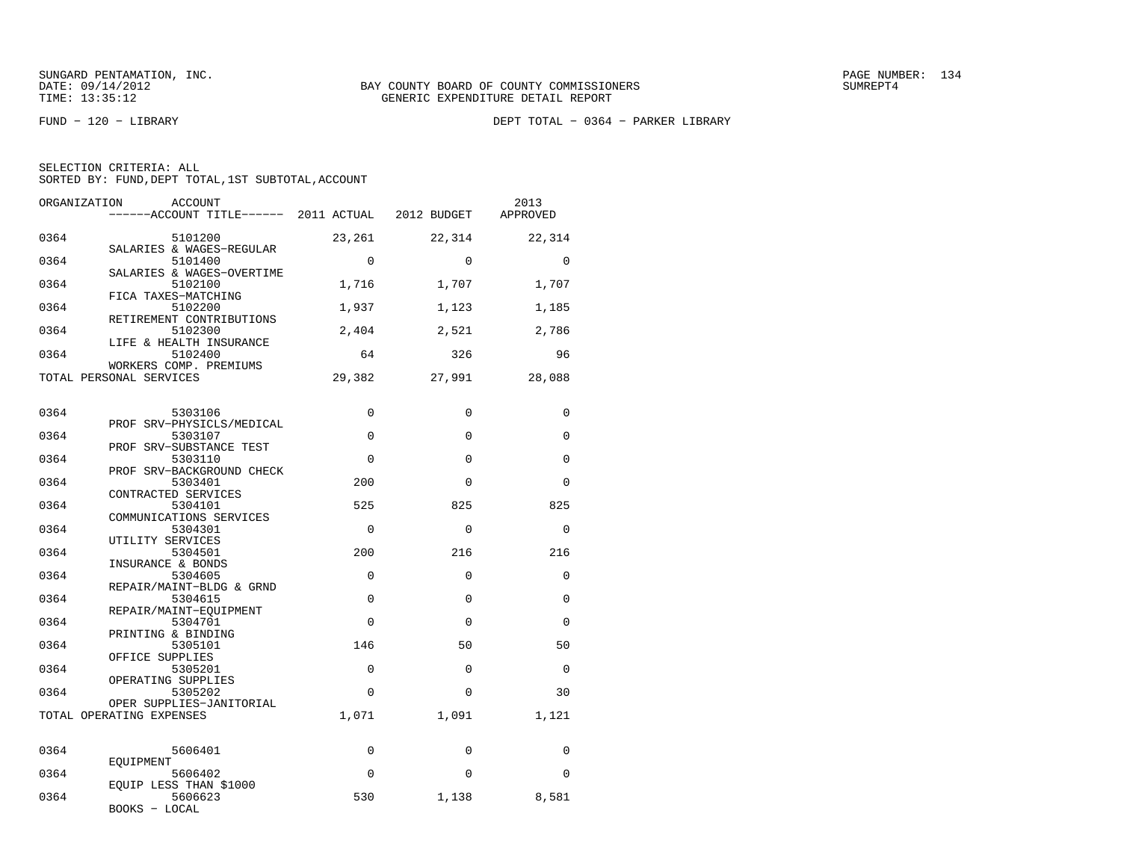FUND − 120 − LIBRARY DEPT TOTAL − 0364 − PARKER LIBRARY

|  | SELECTION CRITERIA: ALL |  |                                                    |  |
|--|-------------------------|--|----------------------------------------------------|--|
|  |                         |  | SORTED BY: FUND, DEPT TOTAL, 1ST SUBTOTAL, ACCOUNT |  |

| ORGANIZATION | <b>ACCOUNT</b>                                                   |             |             | 2013        |
|--------------|------------------------------------------------------------------|-------------|-------------|-------------|
|              |                                                                  |             |             | APPROVED    |
| 0364         | 5101200                                                          | 23,261      | 22,314      | 22,314      |
| 0364         | SALARIES & WAGES-REGULAR<br>5101400<br>SALARIES & WAGES-OVERTIME | $\Omega$    | $\Omega$    | $\Omega$    |
| 0364         | 5102100<br>FICA TAXES-MATCHING                                   | 1,716       | 1,707       | 1,707       |
| 0364         | 5102200<br>RETIREMENT CONTRIBUTIONS                              | 1,937       | 1,123       | 1,185       |
| 0364         | 5102300<br>LIFE & HEALTH INSURANCE                               | 2,404       | 2,521       | 2,786       |
| 0364         | 5102400<br>WORKERS COMP. PREMIUMS                                | 64          | 326         | 96          |
|              | TOTAL PERSONAL SERVICES                                          | 29,382      | 27,991      | 28,088      |
| 0364         | 5303106<br>PROF SRV-PHYSICLS/MEDICAL                             | $\Omega$    | $\mathbf 0$ | 0           |
| 0364         | 5303107<br>PROF SRV-SUBSTANCE TEST                               | $\Omega$    | $\Omega$    | $\Omega$    |
| 0364         | 5303110<br>PROF SRV-BACKGROUND CHECK                             | $\Omega$    | $\mathbf 0$ | $\mathbf 0$ |
| 0364         | 5303401<br>CONTRACTED SERVICES                                   | 200         | $\Omega$    | $\Omega$    |
| 0364         | 5304101<br>COMMUNICATIONS SERVICES                               | 525         | 825         | 825         |
| 0364         | 5304301<br>UTILITY SERVICES                                      | $\Omega$    | $\Omega$    | $\Omega$    |
| 0364         | 5304501<br>INSURANCE & BONDS                                     | 200         | 216         | 216         |
| 0364         | 5304605<br>REPAIR/MAINT-BLDG & GRND                              | $\Omega$    | $\Omega$    | $\Omega$    |
| 0364         | 5304615<br>REPAIR/MAINT-EOUIPMENT                                | $\Omega$    | $\Omega$    | $\Omega$    |
| 0364         | 5304701<br>PRINTING & BINDING                                    | $\Omega$    | $\Omega$    | $\Omega$    |
| 0364         | 5305101<br>OFFICE SUPPLIES                                       | 146         | 50          | 50          |
| 0364         | 5305201<br>OPERATING SUPPLIES                                    | $\mathbf 0$ | $\mathbf 0$ | $\mathbf 0$ |
| 0364         | 5305202<br>OPER SUPPLIES-JANITORIAL                              | $\Omega$    | $\Omega$    | 30          |
|              | TOTAL OPERATING EXPENSES                                         | 1,071       | 1,091       | 1,121       |
| 0364         | 5606401                                                          | $\Omega$    | $\Omega$    | $\Omega$    |
| 0364         | EOUIPMENT<br>5606402<br>EQUIP LESS THAN \$1000                   | $\Omega$    | $\Omega$    | $\Omega$    |
| 0364         | 5606623<br>BOOKS - LOCAL                                         | 530         | 1,138       | 8,581       |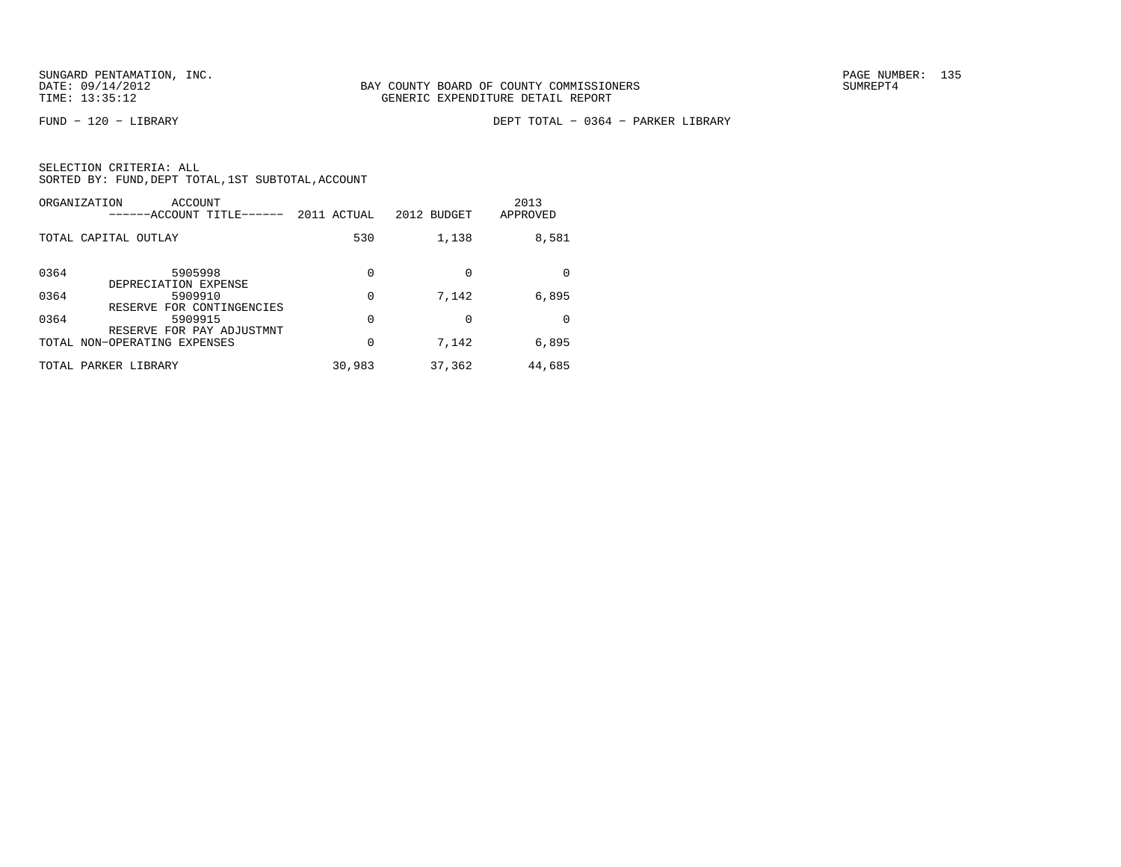FUND − 120 − LIBRARY DEPT TOTAL − 0364 − PARKER LIBRARY

| ORGANIZATION<br>ACCOUNT<br>------ACCOUNT TITLE------ | 2011 ACTUAL | 2012 BUDGET | 2013<br>APPROVED |
|------------------------------------------------------|-------------|-------------|------------------|
| TOTAL CAPITAL OUTLAY                                 | 530         | 1,138       | 8,581            |
| 0364<br>5905998<br>DEPRECIATION EXPENSE              | 0           |             | <sup>0</sup>     |
| 0364<br>5909910<br>RESERVE FOR CONTINGENCIES         | 0           | 7,142       | 6,895            |
| 0364<br>5909915<br>RESERVE FOR PAY ADJUSTMNT         | $\Omega$    |             | <sup>0</sup>     |
| TOTAL NON-OPERATING EXPENSES                         | 0           | 7,142       | 6,895            |
| TOTAL PARKER LIBRARY                                 | 30,983      | 37,362      | 44,685           |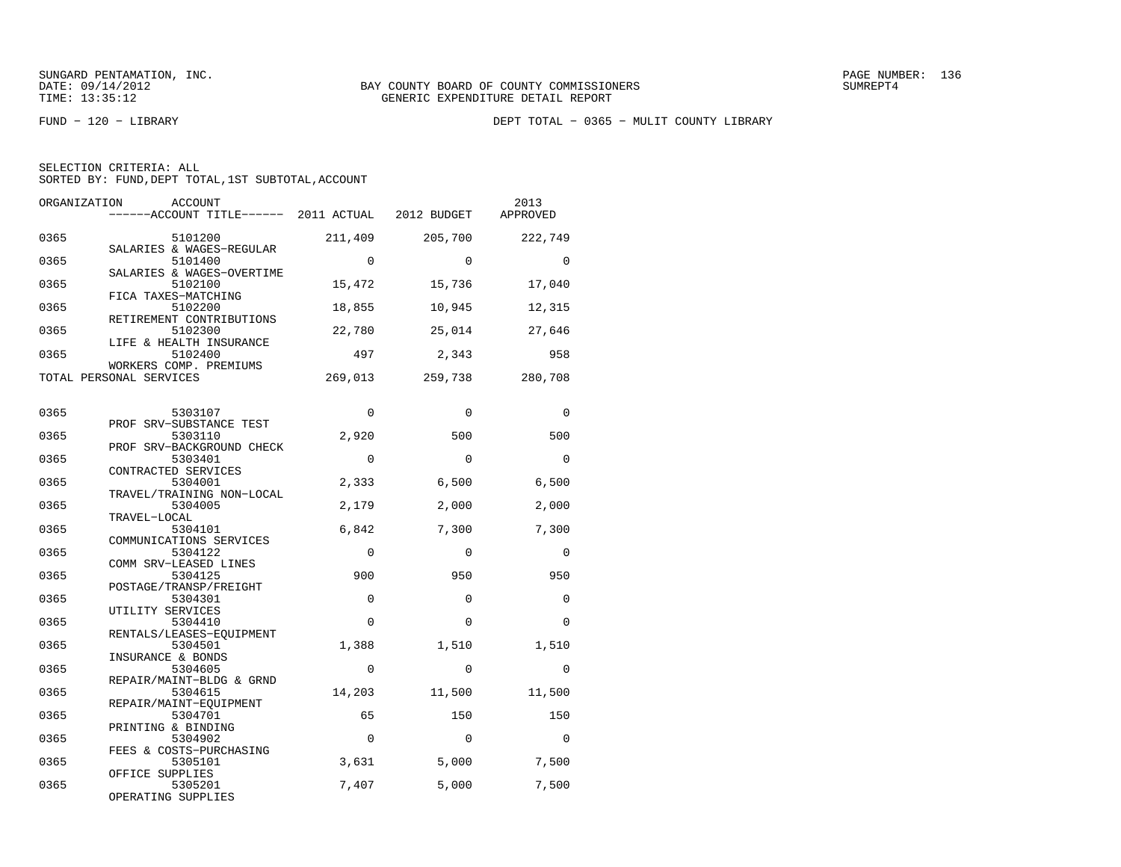FUND − 120 − LIBRARY DEPT TOTAL − 0365 − MULIT COUNTY LIBRARY

| SELECTION CRITERIA: ALL |                                                    |  |
|-------------------------|----------------------------------------------------|--|
|                         | SORTED BY: FUND, DEPT TOTAL, 1ST SUBTOTAL, ACCOUNT |  |

| ORGANIZATION | ACCOUNT<br>------ACCOUNT TITLE------ 2011 ACTUAL 2012 BUDGET |             |          | 2013<br>APPROVED |
|--------------|--------------------------------------------------------------|-------------|----------|------------------|
| 0365         | 5101200                                                      | 211,409     | 205,700  | 222,749          |
| 0365         | SALARIES & WAGES-REGULAR<br>5101400                          | $\Omega$    | $\Omega$ | $\Omega$         |
| 0365         | SALARIES & WAGES-OVERTIME<br>5102100                         | 15,472      | 15,736   | 17,040           |
| 0365         | FICA TAXES-MATCHING<br>5102200                               | 18,855      | 10,945   | 12,315           |
| 0365         | RETIREMENT CONTRIBUTIONS<br>5102300                          | 22,780      | 25,014   | 27,646           |
| 0365         | LIFE & HEALTH INSURANCE<br>5102400<br>WORKERS COMP. PREMIUMS | 497         | 2,343    | 958              |
|              | TOTAL PERSONAL SERVICES                                      | 269,013     | 259,738  | 280,708          |
| 0365         | 5303107                                                      | $\Omega$    | $\Omega$ | $\Omega$         |
| 0365         | PROF SRV-SUBSTANCE TEST<br>5303110                           | 2,920       | 500      | 500              |
| 0365         | PROF SRV-BACKGROUND CHECK<br>5303401                         | $\Omega$    | $\Omega$ | $\Omega$         |
| 0365         | CONTRACTED SERVICES<br>5304001                               | 2,333       | 6,500    | 6,500            |
| 0365         | TRAVEL/TRAINING NON-LOCAL<br>5304005                         | 2,179       | 2,000    | 2,000            |
| 0365         | TRAVEL-LOCAL<br>5304101                                      | 6,842       | 7,300    | 7,300            |
| 0365         | COMMUNICATIONS SERVICES<br>5304122                           | $\Omega$    | $\Omega$ | $\Omega$         |
| 0365         | COMM SRV-LEASED LINES<br>5304125                             | 900         | 950      | 950              |
| 0365         | POSTAGE/TRANSP/FREIGHT<br>5304301<br>UTILITY SERVICES        | $\mathbf 0$ | $\Omega$ | $\Omega$         |
| 0365         | 5304410<br>RENTALS/LEASES-EOUIPMENT                          | $\Omega$    | $\Omega$ | $\Omega$         |
| 0365         | 5304501<br>INSURANCE & BONDS                                 | 1,388       | 1,510    | 1,510            |
| 0365         | 5304605<br>REPAIR/MAINT-BLDG & GRND                          | $\Omega$    | $\Omega$ | $\Omega$         |
| 0365         | 5304615<br>REPAIR/MAINT-EQUIPMENT                            | 14,203      | 11,500   | 11,500           |
| 0365         | 5304701<br>PRINTING & BINDING                                | 65          | 150      | 150              |
| 0365         | 5304902<br>FEES & COSTS-PURCHASING                           | $\Omega$    | $\Omega$ | $\Omega$         |
| 0365         | 5305101<br>OFFICE SUPPLIES                                   | 3,631       | 5,000    | 7,500            |
| 0365         | 5305201<br>OPERATING SUPPLIES                                | 7,407       | 5,000    | 7,500            |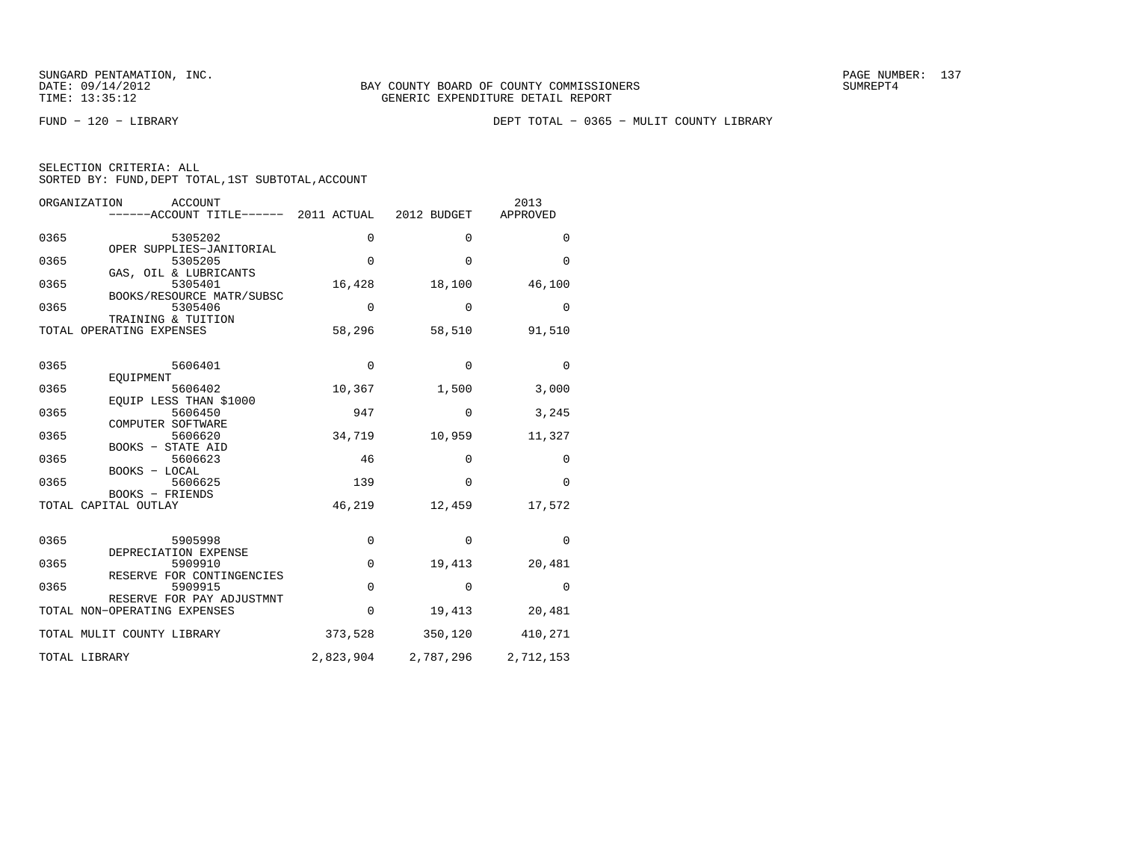|  | SELECTION CRITERIA: ALL |                                                    |  |
|--|-------------------------|----------------------------------------------------|--|
|  |                         | SORTED BY: FUND, DEPT TOTAL, 1ST SUBTOTAL, ACCOUNT |  |

| ORGANIZATION                                   | <b>ACCOUNT</b><br>------ACCOUNT TITLE------ 2011 ACTUAL 2012 BUDGET |             |              | 2013<br>APPROVED |
|------------------------------------------------|---------------------------------------------------------------------|-------------|--------------|------------------|
| 0365                                           | 5305202                                                             | 0           | $\mathbf{0}$ | 0                |
| 0365                                           | OPER SUPPLIES-JANITORIAL<br>5305205                                 | $\mathbf 0$ | $\mathbf 0$  | 0                |
| 0365                                           | GAS, OIL & LUBRICANTS<br>5305401                                    | 16,428      | 18,100       | 46,100           |
| 0365                                           | BOOKS/RESOURCE MATR/SUBSC<br>5305406                                | 0           | $\Omega$     | 0                |
| TRAINING & TUITION<br>TOTAL OPERATING EXPENSES |                                                                     | 58,296      | 58,510       | 91,510           |
| 0365<br>EOUIPMENT                              | 5606401                                                             | $\mathbf 0$ | $\mathbf 0$  | $\overline{0}$   |
| 0365                                           | 5606402<br>EOUIP LESS THAN \$1000                                   | 10,367      | 1,500        | 3,000            |
| 0365                                           | 5606450                                                             | 947         | $\Omega$     | 3,245            |
| COMPUTER SOFTWARE<br>0365                      | 5606620                                                             | 34,719      | 10,959       | 11,327           |
| BOOKS - STATE AID<br>0365                      | 5606623                                                             | 46          | $\mathbf 0$  | $\mathbf 0$      |
| BOOKS - LOCAL<br>0365                          | 5606625                                                             | 139         | $\Omega$     | $\Omega$         |
| BOOKS - FRIENDS<br>TOTAL CAPITAL OUTLAY        |                                                                     | 46,219      | 12,459       | 17,572           |
| 0365                                           | 5905998                                                             | $\mathbf 0$ | $\Omega$     | $\Omega$         |
| 0365                                           | DEPRECIATION EXPENSE<br>5909910                                     | $\mathbf 0$ | 19,413       | 20,481           |
| 0365                                           | RESERVE FOR CONTINGENCIES<br>5909915                                | $\mathbf 0$ | $\Omega$     | $\Omega$         |
| TOTAL NON-OPERATING EXPENSES                   | RESERVE FOR PAY ADJUSTMNT                                           | 0           | 19,413       | 20,481           |
| TOTAL MULIT COUNTY LIBRARY                     |                                                                     | 373,528     | 350,120      | 410,271          |
| TOTAL LIBRARY                                  |                                                                     | 2,823,904   | 2,787,296    | 2,712,153        |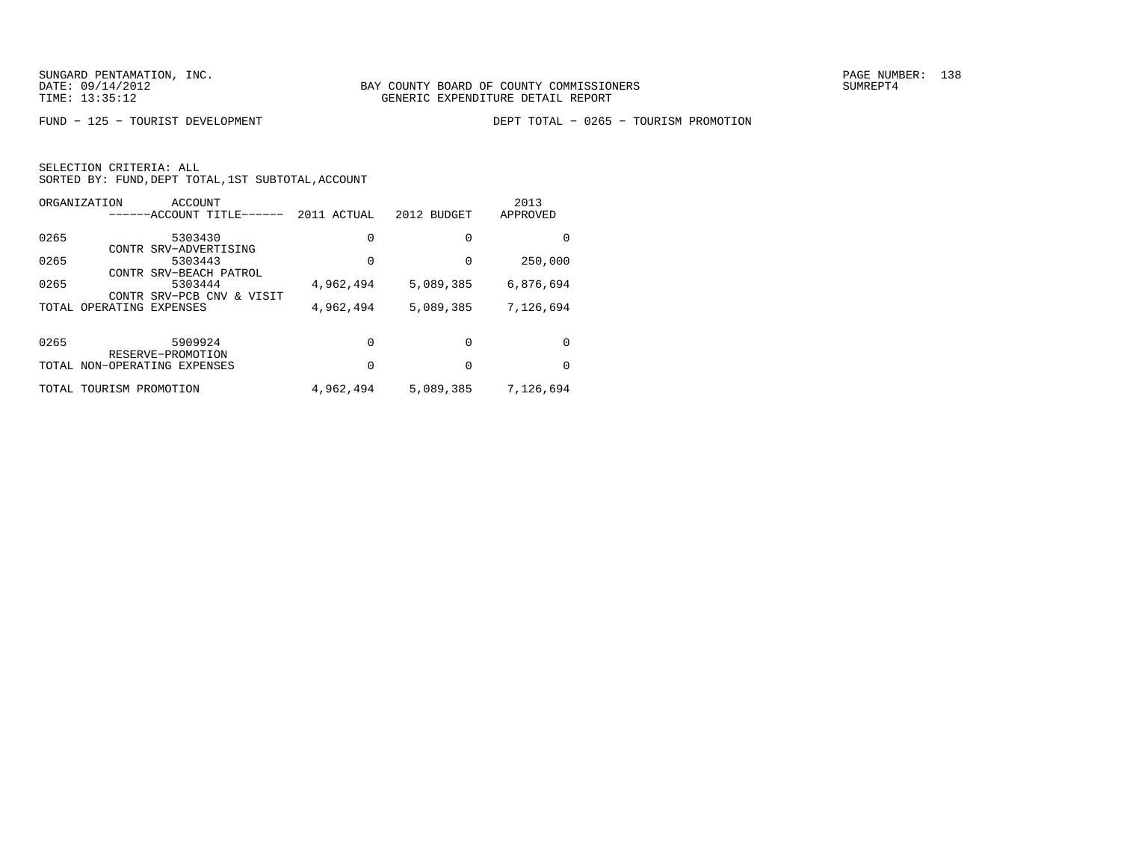FUND − 125 − TOURIST DEVELOPMENT DEPT TOTAL − 0265 − TOURISM PROMOTION

|      | ORGANIZATION             | ACCOUNT<br>-----ACCOUNT TITLE- | 2011 ACTUAL | 2012 BUDGET | 2013<br>APPROVED |
|------|--------------------------|--------------------------------|-------------|-------------|------------------|
|      |                          |                                |             |             |                  |
| 0265 |                          | 5303430                        | $\Omega$    | 0           | $\Omega$         |
|      |                          | CONTR SRV-ADVERTISING          |             |             |                  |
| 0265 |                          | 5303443                        | 0           | 0           | 250,000          |
|      |                          | CONTR SRV-BEACH PATROL         |             |             |                  |
| 0265 |                          | 5303444                        | 4,962,494   | 5,089,385   | 6,876,694        |
|      | CONTR                    | SRV-PCB CNV & VISIT            |             |             |                  |
|      | TOTAL OPERATING EXPENSES |                                | 4,962,494   | 5,089,385   | 7,126,694        |
|      |                          |                                |             |             |                  |
| 0265 |                          | 5909924                        | $\Omega$    | 0           | <sup>0</sup>     |
|      |                          | RESERVE-PROMOTION              |             |             |                  |
|      |                          | TOTAL NON-OPERATING EXPENSES   | 0           | 0           | $\Omega$         |
|      |                          |                                |             |             |                  |
|      | TOTAL TOURISM PROMOTION  |                                | 4,962,494   | 5,089,385   | 7,126,694        |
|      |                          |                                |             |             |                  |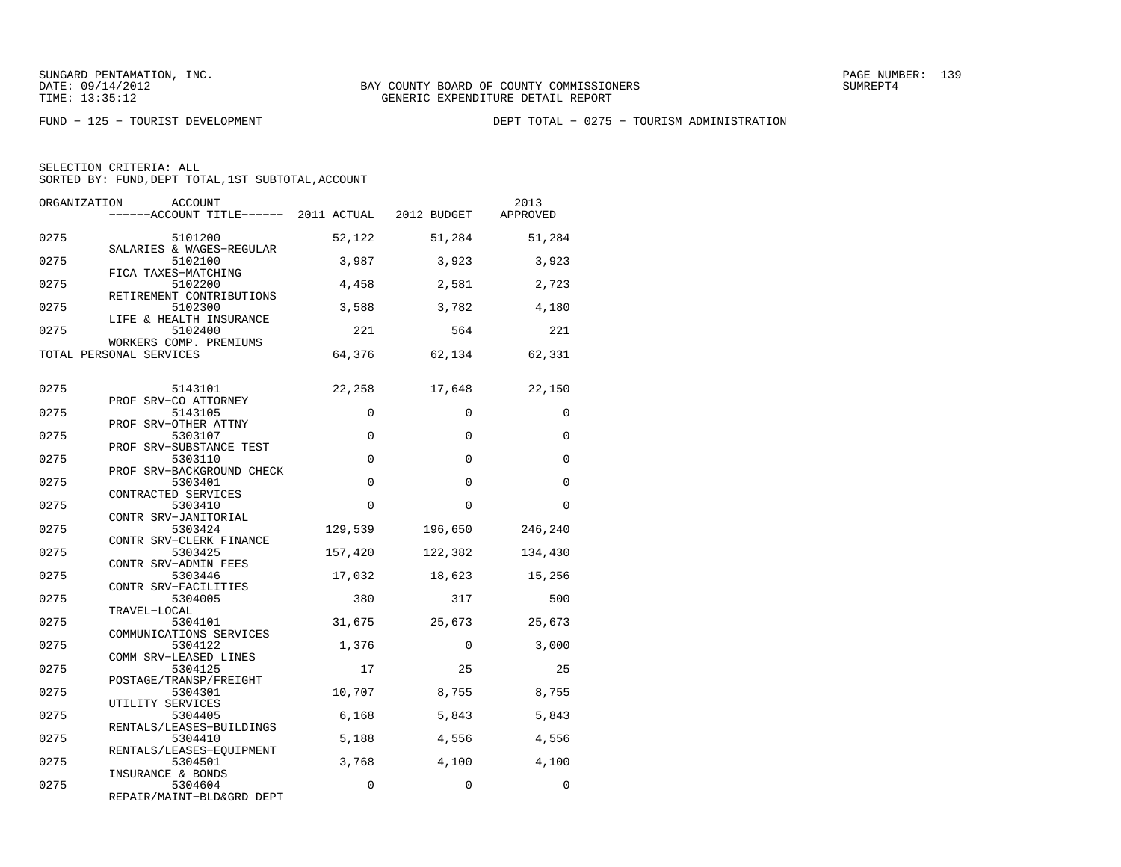FUND − 125 − TOURIST DEVELOPMENT DEPT TOTAL − 0275 − TOURISM ADMINISTRATION

| ORGANIZATION | <b>ACCOUNT</b><br>------ACCOUNT TITLE------ 2011 ACTUAL 2012 BUDGET |             |             | 2013<br>APPROVED |
|--------------|---------------------------------------------------------------------|-------------|-------------|------------------|
| 0275         | 5101200                                                             | 52,122      | 51,284      | 51,284           |
| 0275         | SALARIES & WAGES-REGULAR<br>5102100                                 | 3,987       | 3,923       | 3,923            |
| 0275         | FICA TAXES-MATCHING<br>5102200                                      | 4,458       | 2,581       | 2,723            |
| 0275         | RETIREMENT CONTRIBUTIONS<br>5102300                                 | 3,588       | 3,782       | 4,180            |
| 0275         | LIFE & HEALTH INSURANCE<br>5102400                                  | 221         | 564         | 221              |
|              | WORKERS COMP. PREMIUMS<br>TOTAL PERSONAL SERVICES                   | 64,376      | 62,134      | 62,331           |
| 0275         | 5143101                                                             | 22,258      | 17,648      | 22,150           |
| 0275         | PROF SRV-CO ATTORNEY<br>5143105                                     | $\Omega$    | $\Omega$    | $\Omega$         |
| 0275         | PROF SRV-OTHER ATTNY<br>5303107                                     | $\mathbf 0$ | $\Omega$    | $\Omega$         |
| 0275         | PROF SRV-SUBSTANCE TEST<br>5303110                                  | $\Omega$    | $\Omega$    | $\Omega$         |
| 0275         | PROF SRV-BACKGROUND CHECK<br>5303401                                | $\mathbf 0$ | $\mathbf 0$ | $\Omega$         |
| 0275         | CONTRACTED SERVICES<br>5303410                                      | $\Omega$    | $\Omega$    | $\Omega$         |
|              | CONTR SRV-JANITORIAL                                                |             |             |                  |
| 0275         | 5303424<br>CONTR SRV-CLERK FINANCE                                  | 129,539     | 196,650     | 246,240          |
| 0275         | 5303425<br>CONTR SRV-ADMIN FEES                                     | 157,420     | 122,382     | 134,430          |
| 0275         | 5303446<br>CONTR SRV-FACILITIES                                     | 17,032      | 18,623      | 15,256           |
| 0275         | 5304005<br>TRAVEL-LOCAL                                             | 380         | 317         | 500              |
| 0275         | 5304101<br>COMMUNICATIONS SERVICES                                  | 31,675      | 25,673      | 25,673           |
| 0275         | 5304122<br>COMM SRV-LEASED LINES                                    | 1,376       | $\mathbf 0$ | 3,000            |
| 0275         | 5304125<br>POSTAGE/TRANSP/FREIGHT                                   | 17          | 25          | 25               |
| 0275         | 5304301<br>UTILITY SERVICES                                         | 10,707      | 8,755       | 8,755            |
| 0275         | 5304405<br>RENTALS/LEASES-BUILDINGS                                 | 6,168       | 5,843       | 5,843            |
| 0275         | 5304410<br>RENTALS/LEASES-EOUIPMENT                                 | 5,188       | 4,556       | 4,556            |
| 0275         | 5304501<br>INSURANCE & BONDS                                        | 3,768       | 4,100       | 4,100            |
| 0275         | 5304604<br>REPAIR/MAINT-BLD&GRD DEPT                                | $\mathbf 0$ | $\mathbf 0$ | $\Omega$         |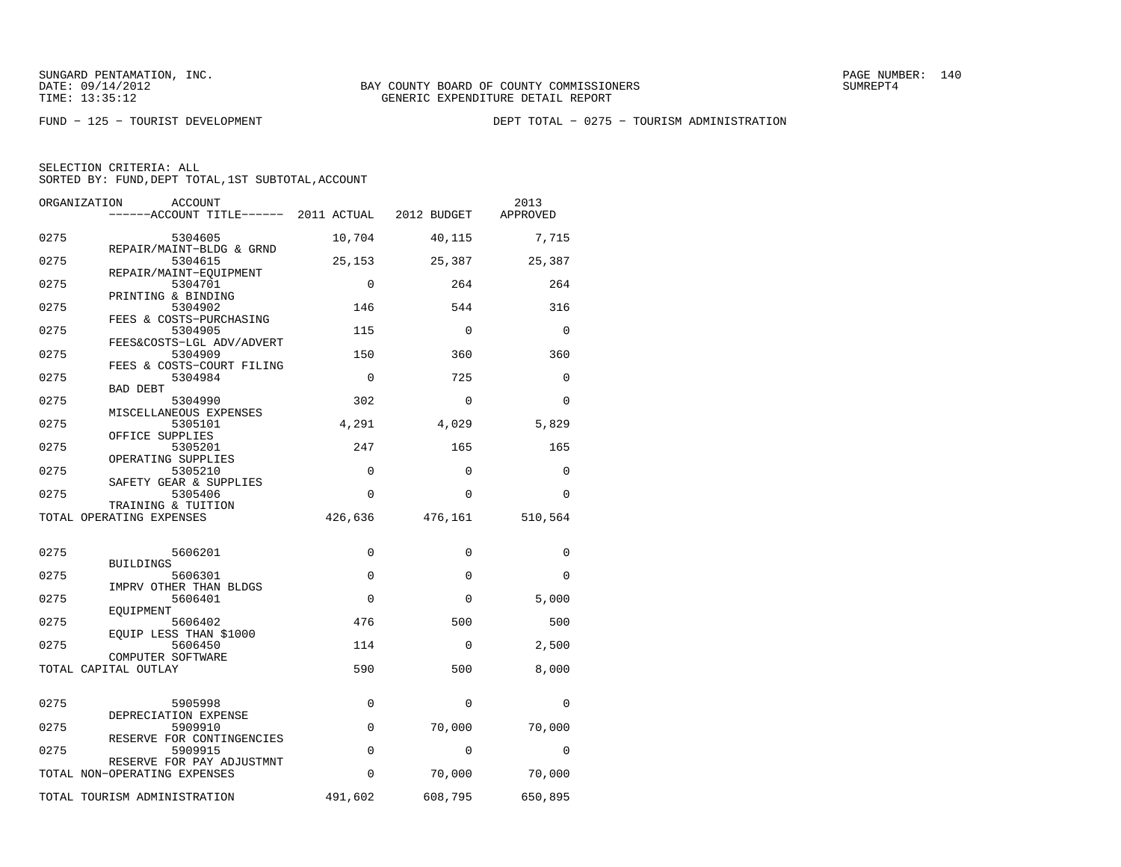FUND − 125 − TOURIST DEVELOPMENT DEPT TOTAL − 0275 − TOURISM ADMINISTRATION

| ORGANIZATION<br><b>ACCOUNT</b><br>------ACCOUNT TITLE------ 2011 ACTUAL |             | 2012 BUDGET | 2013<br>APPROVED |
|-------------------------------------------------------------------------|-------------|-------------|------------------|
| 0275<br>5304605                                                         | 10,704      | 40,115      | 7,715            |
| REPAIR/MAINT-BLDG & GRND<br>0275<br>5304615                             | 25,153      | 25,387      | 25,387           |
| REPAIR/MAINT-EQUIPMENT<br>0275<br>5304701                               | $\mathbf 0$ | 264         | 264              |
| PRINTING & BINDING<br>0275<br>5304902                                   | 146         | 544         | 316              |
| FEES & COSTS-PURCHASING<br>0275<br>5304905                              | 115         | $\Omega$    | $\Omega$         |
| FEES&COSTS-LGL ADV/ADVERT<br>0275<br>5304909                            | 150         | 360         | 360              |
| FEES & COSTS-COURT FILING                                               |             |             |                  |
| 0275<br>5304984<br><b>BAD DEBT</b>                                      | $\Omega$    | 725         | $\Omega$         |
| 0275<br>5304990<br>MISCELLANEOUS EXPENSES                               | 302         | $\Omega$    | $\Omega$         |
| 0275<br>5305101<br>OFFICE SUPPLIES                                      | 4,291       | 4,029       | 5,829            |
| 0275<br>5305201                                                         | 247         | 165         | 165              |
| OPERATING SUPPLIES<br>0275<br>5305210                                   | $\Omega$    | $\Omega$    | $\Omega$         |
| SAFETY GEAR & SUPPLIES<br>0275<br>5305406                               | 0           | $\Omega$    | $\Omega$         |
| TRAINING & TUITION<br>TOTAL OPERATING EXPENSES                          | 426,636     | 476,161     | 510,564          |
|                                                                         |             |             |                  |
| 0275<br>5606201<br><b>BUILDINGS</b>                                     | 0           | $\mathbf 0$ | $\mathbf 0$      |
| 0275<br>5606301                                                         | $\Omega$    | $\Omega$    | $\Omega$         |
| IMPRV OTHER THAN BLDGS<br>0275<br>5606401                               | $\Omega$    | $\Omega$    | 5,000            |
| EOUIPMENT<br>0275<br>5606402                                            | 476         | 500         | 500              |
| EQUIP LESS THAN \$1000<br>0275<br>5606450                               | 114         | 0           | 2,500            |
| COMPUTER SOFTWARE<br>TOTAL CAPITAL OUTLAY                               | 590         | 500         | 8,000            |
|                                                                         |             |             |                  |
| 0275<br>5905998<br>DEPRECIATION EXPENSE                                 | 0           | $\Omega$    | $\Omega$         |
| 0275<br>5909910                                                         | 0           | 70,000      | 70,000           |
| RESERVE FOR CONTINGENCIES<br>0275<br>5909915                            | 0           | $\Omega$    | 0                |
| RESERVE FOR PAY ADJUSTMNT<br>TOTAL NON-OPERATING EXPENSES               | 0           | 70,000      | 70,000           |
| TOTAL TOURISM ADMINISTRATION                                            | 491,602     | 608,795     | 650,895          |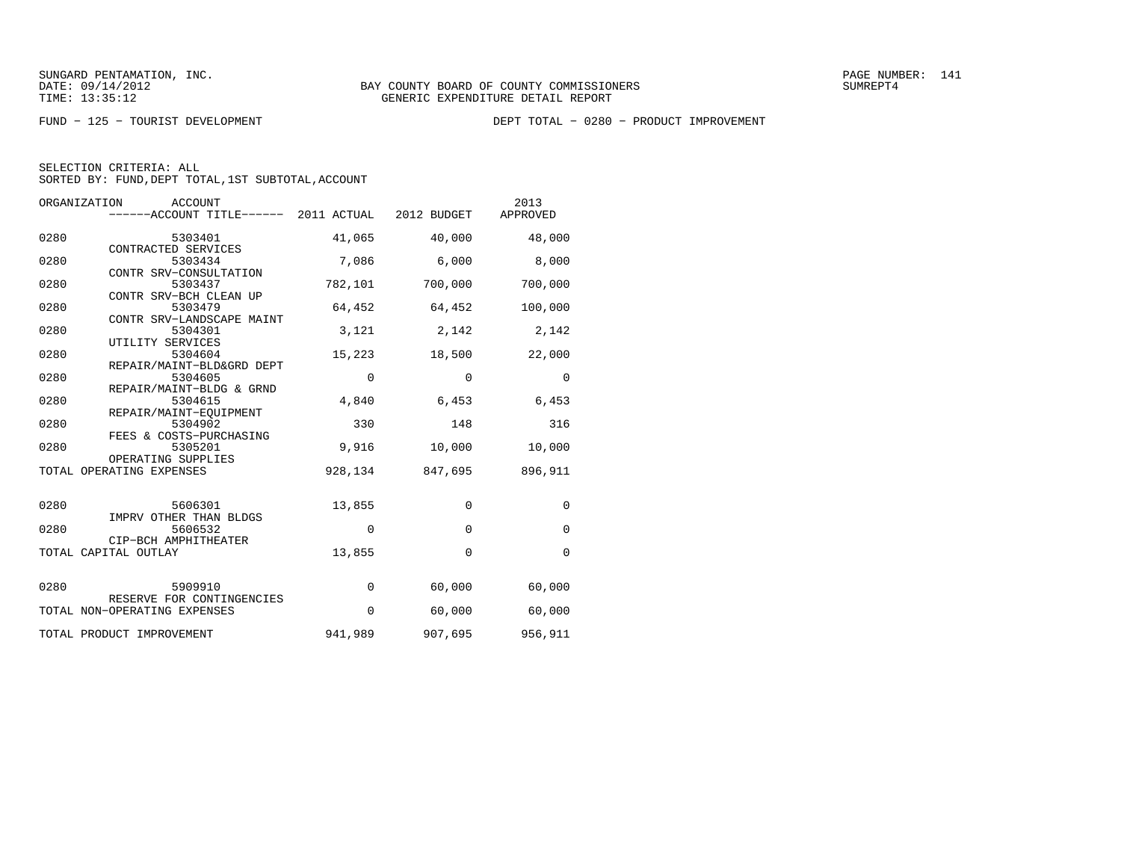FUND − 125 − TOURIST DEVELOPMENT DEPT TOTAL − 0280 − PRODUCT IMPROVEMENT

| SELECTION CRITERIA: ALL |                                                 |  |
|-------------------------|-------------------------------------------------|--|
|                         | SORTED BY: FUND.DEPT TOTAL.1ST SUBTOTAL.ACCOUNT |  |

|      | ORGANIZATION<br><b>ACCOUNT</b><br>------ACCOUNT TITLE------ 2011 ACTUAL 2012 BUDGET |             |              | 2013<br>APPROVED |
|------|-------------------------------------------------------------------------------------|-------------|--------------|------------------|
| 0280 | 5303401                                                                             | 41,065      | 40,000       | 48,000           |
| 0280 | CONTRACTED SERVICES<br>5303434                                                      | 7,086       | 6,000        | 8,000            |
| 0280 | CONTR SRV-CONSULTATION<br>5303437                                                   | 782,101     | 700,000      | 700,000          |
| 0280 | CONTR SRV-BCH CLEAN UP<br>5303479                                                   | 64,452      | 64,452       | 100,000          |
| 0280 | CONTR SRV-LANDSCAPE MAINT<br>5304301<br>UTILITY SERVICES                            | 3,121       | 2,142        | 2,142            |
| 0280 | 5304604<br>REPAIR/MAINT-BLD&GRD DEPT                                                | 15,223      | 18,500       | 22,000           |
| 0280 | 5304605<br>REPAIR/MAINT-BLDG & GRND                                                 | $\mathbf 0$ | $\mathbf 0$  | $\mathbf 0$      |
| 0280 | 5304615<br>REPAIR/MAINT-EOUIPMENT                                                   | 4,840       | 6,453        | 6,453            |
| 0280 | 5304902<br>FEES & COSTS-PURCHASING                                                  | 330         | 148          | 316              |
| 0280 | 5305201<br>OPERATING SUPPLIES                                                       | 9,916       | 10,000       | 10,000           |
|      | TOTAL OPERATING EXPENSES                                                            | 928,134     | 847,695      | 896,911          |
| 0280 | 5606301                                                                             | 13,855      | $\mathbf 0$  | $\mathbf 0$      |
| 0280 | IMPRV OTHER THAN BLDGS<br>5606532                                                   | 0           | $\mathbf{0}$ | $\mathbf 0$      |
|      | CIP-BCH AMPHITHEATER<br>TOTAL CAPITAL OUTLAY                                        | 13,855      | $\Omega$     | $\mathbf 0$      |
| 0280 | 5909910                                                                             | $\mathbf 0$ | 60,000       | 60,000           |
|      | RESERVE FOR CONTINGENCIES<br>TOTAL NON-OPERATING EXPENSES                           | $\mathbf 0$ | 60,000       | 60,000           |
|      | TOTAL PRODUCT IMPROVEMENT                                                           | 941,989     | 907,695      | 956,911          |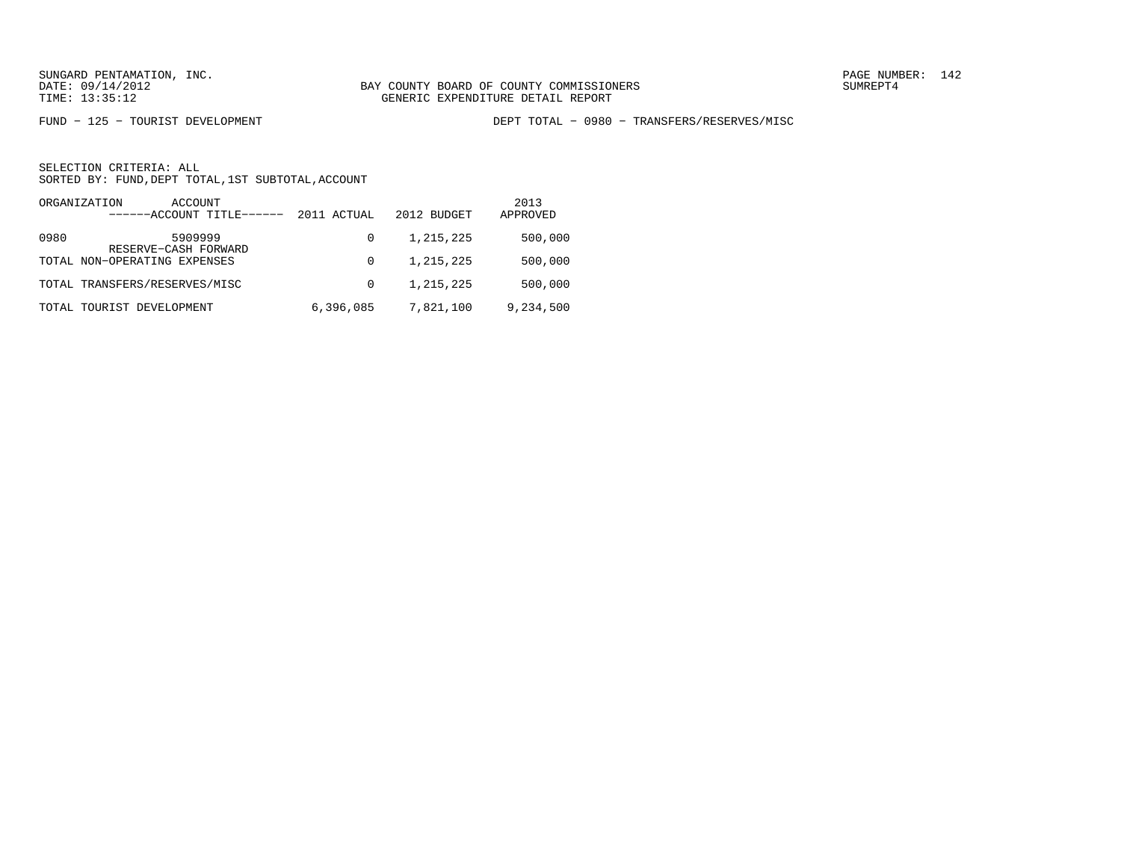FUND − 125 − TOURIST DEVELOPMENT DEPT TOTAL − 0980 − TRANSFERS/RESERVES/MISC

|      | ORGANIZATION<br>ACCOUNT<br>------ACCOUNT TITLE------ | 2011 ACTUAL | 2012 BUDGET | 2013<br>APPROVED |
|------|------------------------------------------------------|-------------|-------------|------------------|
| 0980 | 5909999<br>RESERVE-CASH FORWARD                      | 0           | 1,215,225   | 500,000          |
|      | TOTAL NON-OPERATING EXPENSES                         | 0           | 1,215,225   | 500,000          |
|      | TOTAL TRANSFERS/RESERVES/MISC                        | $\Omega$    | 1,215,225   | 500,000          |
|      | TOTAL TOURIST DEVELOPMENT                            | 6,396,085   | 7,821,100   | 9,234,500        |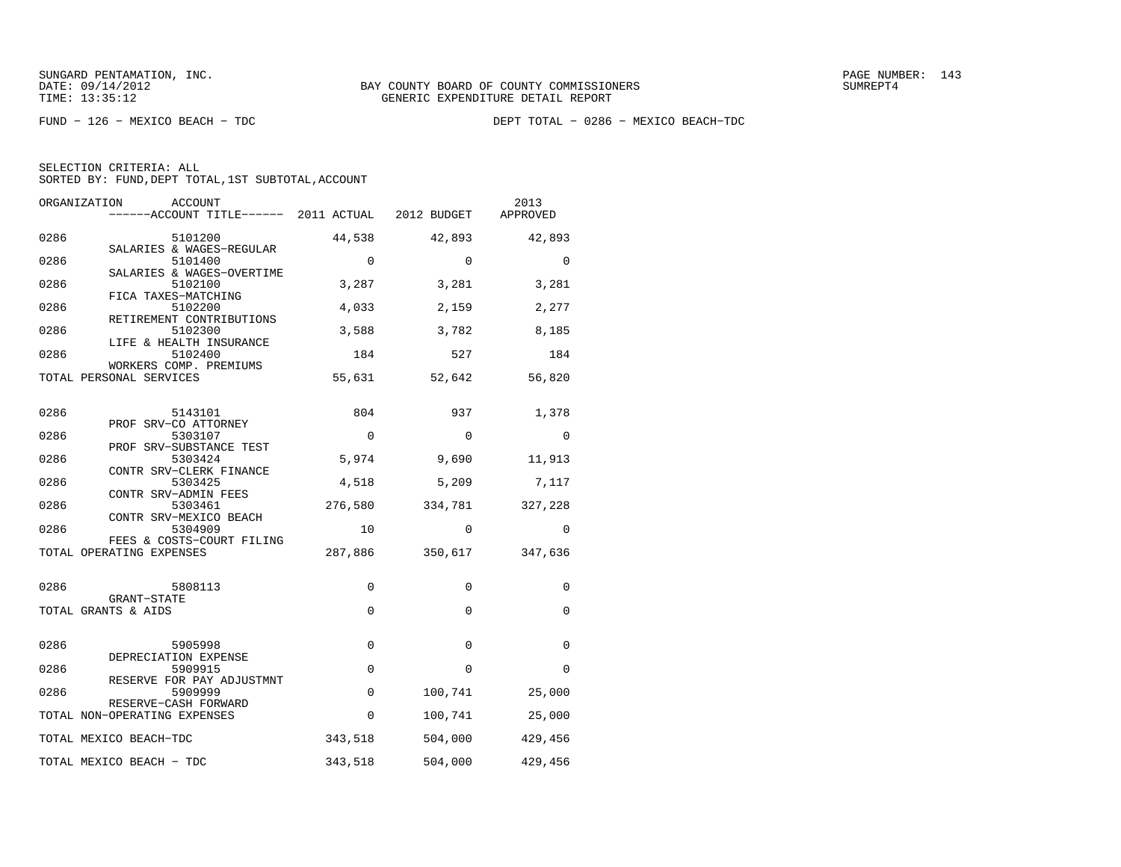FUND − 126 − MEXICO BEACH − TDC DEPT TOTAL − 0286 − MEXICO BEACH−TDC

| SELECTION CRITERIA: ALL                            |  |
|----------------------------------------------------|--|
| SORTED BY: FUND, DEPT TOTAL, 1ST SUBTOTAL, ACCOUNT |  |

|      | ORGANIZATION<br>ACCOUNT                               |             |             | 2013<br>APPROVED |
|------|-------------------------------------------------------|-------------|-------------|------------------|
| 0286 | 5101200                                               | 44,538      | 42,893      | 42,893           |
| 0286 | SALARIES & WAGES-REGULAR<br>5101400                   | $\Omega$    | $\Omega$    | $\Omega$         |
| 0286 | SALARIES & WAGES-OVERTIME<br>5102100                  | 3,287       | 3,281       | 3,281            |
| 0286 | FICA TAXES-MATCHING<br>5102200                        | 4,033       | 2,159       | 2,277            |
| 0286 | RETIREMENT CONTRIBUTIONS<br>5102300                   | 3,588       | 3,782       | 8,185            |
| 0286 | LIFE & HEALTH INSURANCE<br>5102400                    | 184         | 527         | 184              |
|      | WORKERS COMP. PREMIUMS<br>TOTAL PERSONAL SERVICES     | 55,631      | 52,642      | 56,820           |
| 0286 | 5143101                                               | 804         | 937         | 1,378            |
| 0286 | PROF SRV-CO ATTORNEY<br>5303107                       | 0           | 0           | $\mathbf 0$      |
| 0286 | PROF SRV-SUBSTANCE TEST<br>5303424                    | 5,974       | 9,690       | 11,913           |
| 0286 | CONTR SRV-CLERK FINANCE<br>5303425                    | 4,518       | 5,209       | 7,117            |
| 0286 | CONTR SRV-ADMIN FEES<br>5303461                       | 276,580     | 334,781     | 327,228          |
| 0286 | CONTR SRV-MEXICO BEACH<br>5304909                     | 10          | $\Omega$    | $\Omega$         |
|      | FEES & COSTS-COURT FILING<br>TOTAL OPERATING EXPENSES | 287,886     | 350,617     | 347,636          |
| 0286 | 5808113                                               | 0           | $\mathbf 0$ | 0                |
|      | GRANT-STATE<br>TOTAL GRANTS & AIDS                    | $\mathbf 0$ | $\mathbf 0$ | 0                |
| 0286 | 5905998                                               | $\Omega$    | 0           | $\Omega$         |
| 0286 | DEPRECIATION EXPENSE<br>5909915                       | $\Omega$    | $\Omega$    | $\Omega$         |
| 0286 | RESERVE FOR PAY ADJUSTMNT<br>5909999                  | $\Omega$    | 100,741     | 25,000           |
|      | RESERVE-CASH FORWARD<br>TOTAL NON-OPERATING EXPENSES  | $\Omega$    | 100,741     | 25,000           |
|      | TOTAL MEXICO BEACH-TDC                                | 343,518     | 504,000     | 429,456          |
|      | TOTAL MEXICO BEACH - TDC                              | 343,518     | 504,000     | 429,456          |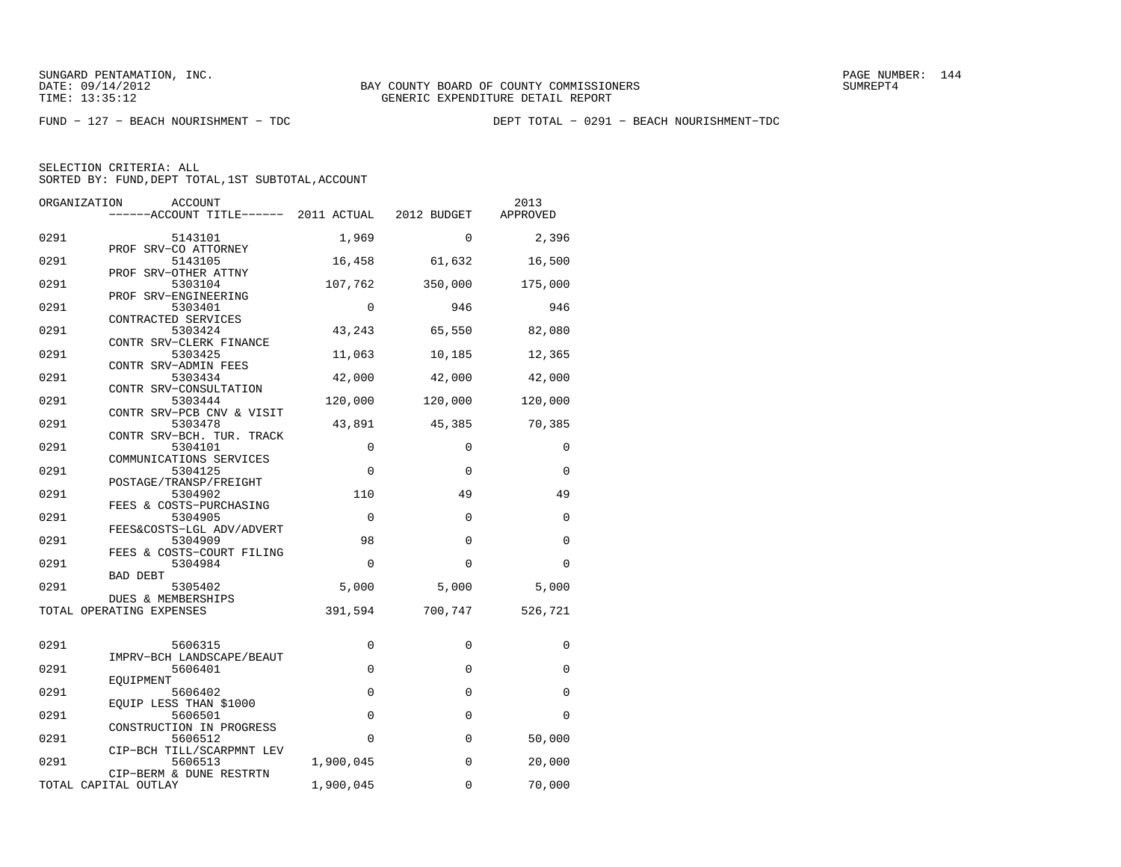FUND − 127 − BEACH NOURISHMENT − TDC DEPT TOTAL − 0291 − BEACH NOURISHMENT−TDC

| ORGANIZATION<br><b>ACCOUNT</b><br>------ACCOUNT TITLE------ 2011 ACTUAL |             | 2012 BUDGET | 2013<br>APPROVED |
|-------------------------------------------------------------------------|-------------|-------------|------------------|
| 0291<br>5143101                                                         | 1,969       | $\Omega$    | 2,396            |
| PROF SRV-CO ATTORNEY<br>0291<br>5143105                                 | 16,458      | 61,632      | 16,500           |
| PROF SRV-OTHER ATTNY<br>0291<br>5303104                                 | 107,762     | 350,000     | 175,000          |
| PROF SRV-ENGINEERING<br>0291<br>5303401<br>CONTRACTED SERVICES          | 0           | 946         | 946              |
| 0291<br>5303424<br>CONTR SRV-CLERK FINANCE                              | 43,243      | 65,550      | 82,080           |
| 0291<br>5303425<br>CONTR SRV-ADMIN FEES                                 | 11,063      | 10,185      | 12,365           |
| 0291<br>5303434<br>CONTR SRV-CONSULTATION                               | 42,000      | 42,000      | 42,000           |
| 0291<br>5303444<br>CONTR SRV-PCB CNV & VISIT                            | 120,000     | 120,000     | 120,000          |
| 0291<br>5303478<br>CONTR SRV-BCH. TUR. TRACK                            | 43,891      | 45,385      | 70,385           |
| 0291<br>5304101<br>COMMUNICATIONS SERVICES                              | 0           | $\Omega$    | 0                |
| 0291<br>5304125<br>POSTAGE/TRANSP/FREIGHT                               | $\mathbf 0$ | $\Omega$    | $\mathbf 0$      |
| 0291<br>5304902<br>FEES & COSTS-PURCHASING                              | 110         | 49          | 49               |
| 0291<br>5304905<br>FEES&COSTS-LGL ADV/ADVERT                            | $\mathbf 0$ | 0           | 0                |
| 0291<br>5304909<br>FEES & COSTS-COURT FILING                            | 98          | 0           | 0                |
| 0291<br>5304984<br>BAD DEBT                                             | $\Omega$    | $\Omega$    | $\Omega$         |
| 0291<br>5305402<br>DUES & MEMBERSHIPS                                   | 5,000       | 5,000       | 5,000            |
| TOTAL OPERATING EXPENSES                                                | 391,594     | 700,747     | 526,721          |
| 0291<br>5606315                                                         | 0           | 0           | 0                |
| IMPRV-BCH LANDSCAPE/BEAUT<br>0291<br>5606401                            | $\mathbf 0$ | $\mathbf 0$ | 0                |
| EOUIPMENT<br>0291<br>5606402                                            | $\mathbf 0$ | $\mathbf 0$ | 0                |
| EQUIP LESS THAN \$1000<br>0291<br>5606501                               | $\mathbf 0$ | $\mathbf 0$ | $\Omega$         |
| CONSTRUCTION IN PROGRESS<br>0291<br>5606512                             | $\Omega$    | 0           | 50,000           |
| CIP-BCH TILL/SCARPMNT LEV<br>0291<br>5606513<br>CIP-BERM & DUNE RESTRTN | 1,900,045   | 0           | 20,000           |
| TOTAL CAPITAL OUTLAY                                                    | 1,900,045   | 0           | 70,000           |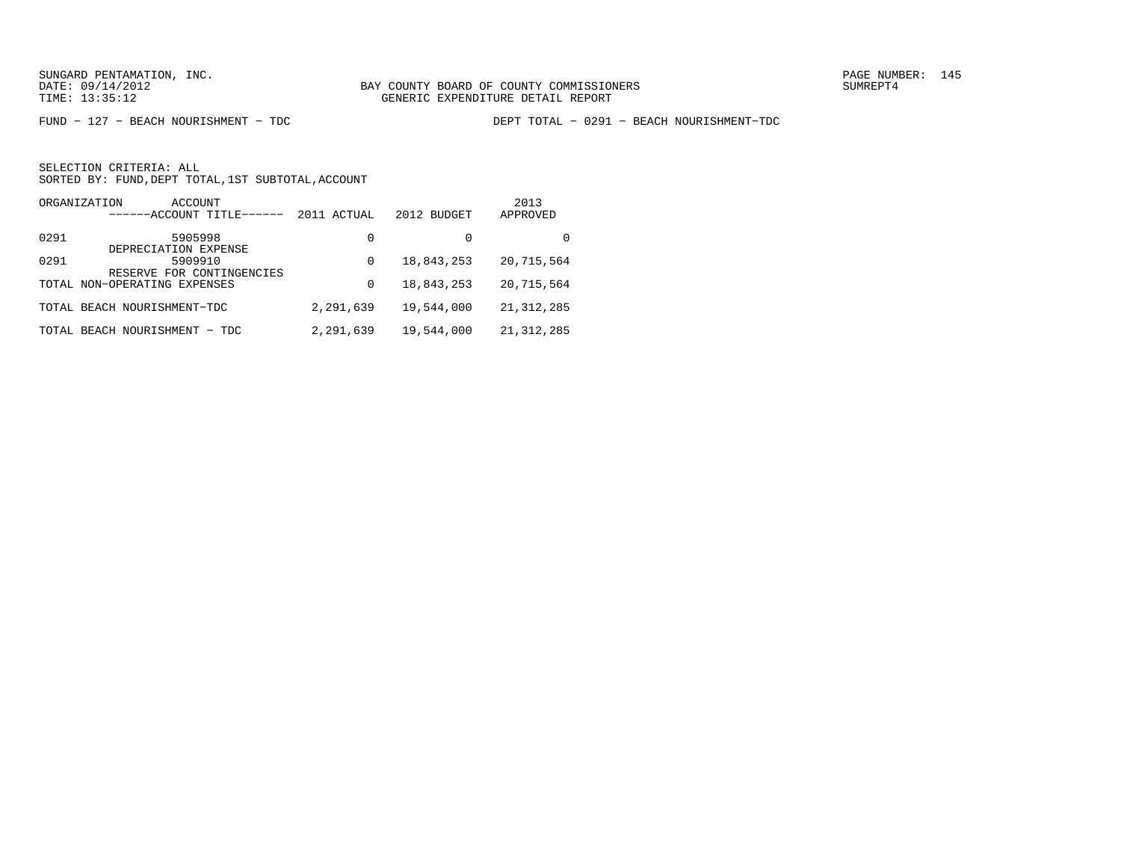FUND − 127 − BEACH NOURISHMENT − TDC DEPT TOTAL − 0291 − BEACH NOURISHMENT−TDC

|      | ORGANIZATION<br>ACCOUNT<br>------ACCOUNT TITLE- | 2011 ACTUAL | 2012 BUDGET | 2013<br>APPROVED |
|------|-------------------------------------------------|-------------|-------------|------------------|
| 0291 | 5905998<br>DEPRECIATION EXPENSE                 | 0           |             | <sup>0</sup>     |
| 0291 | 5909910<br>RESERVE FOR CONTINGENCIES            | 0           | 18,843,253  | 20,715,564       |
|      | TOTAL NON-OPERATING EXPENSES                    | 0           | 18,843,253  | 20,715,564       |
|      | TOTAL BEACH NOURISHMENT-TDC                     | 2,291,639   | 19,544,000  | 21, 312, 285     |
|      | TOTAL BEACH NOURISHMENT - TDC                   | 2,291,639   | 19,544,000  | 21, 312, 285     |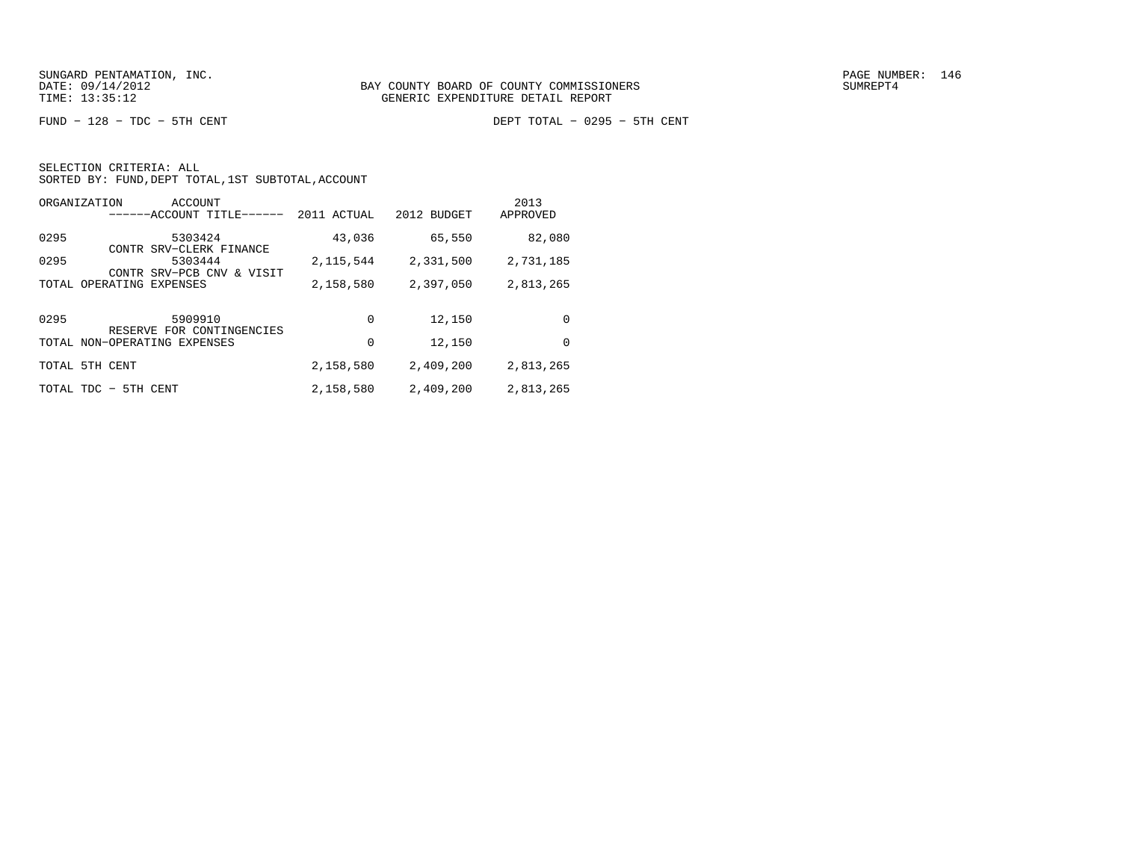FUND − 128 − TDC − 5TH CENT DEPT TOTAL − 0295 − 5TH CENT

| SELECTION CRITERIA: ALL                            |  |
|----------------------------------------------------|--|
| SORTED BY: FUND, DEPT TOTAL, 1ST SUBTOTAL, ACCOUNT |  |

| ORGANIZATION<br>ACCOUNT<br>------ACCOUNT TITLE-   | 2011 ACTUAL | 2012 BUDGET | 2013<br>APPROVED |
|---------------------------------------------------|-------------|-------------|------------------|
| 0295<br>5303424<br>CONTR SRV-CLERK FINANCE        | 43,036      | 65,550      | 82,080           |
| 0295<br>5303444<br>CONTR SRV-PCB CNV & VISIT      | 2, 115, 544 | 2,331,500   | 2,731,185        |
| OPERATING<br>EXPENSES<br>TOTAL                    | 2,158,580   | 2,397,050   | 2,813,265        |
| 0295<br>5909910<br>RESERVE FOR CONTINGENCIES      | 0           | 12,150      | 0                |
| TOTAL NON-OPERATING EXPENSES                      | 0           | 12,150      | 0                |
| TOTAL 5TH CENT                                    | 2,158,580   | 2,409,200   | 2,813,265        |
| 5TH CENT<br>TOTAL TDC<br>$\overline{\phantom{m}}$ | 2,158,580   | 2,409,200   | 2,813,265        |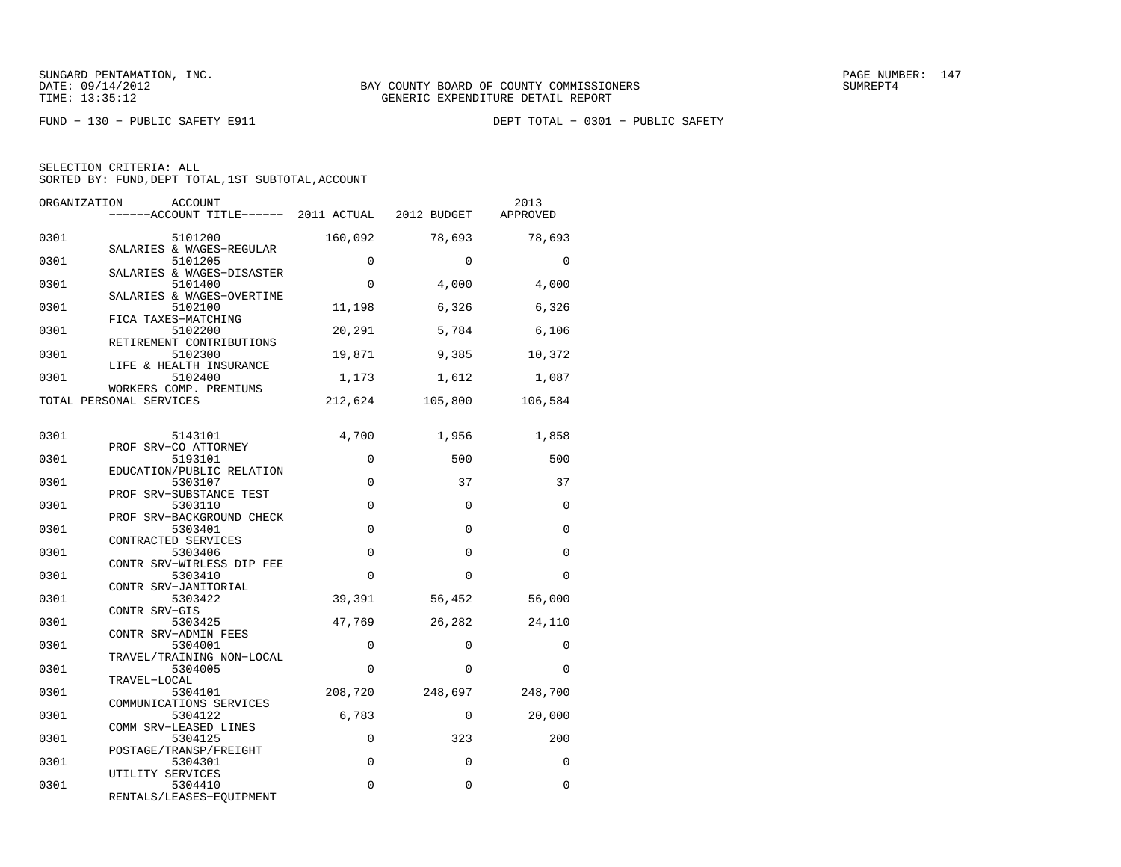| ORGANIZATION | ACCOUNT<br>------ACCOUNT TITLE------ 2011 ACTUAL                |             | 2012 BUDGET | 2013<br>APPROVED |
|--------------|-----------------------------------------------------------------|-------------|-------------|------------------|
| 0301         | 5101200<br>SALARIES & WAGES-REGULAR                             | 160,092     | 78,693      | 78,693           |
| 0301         | 5101205<br>SALARIES & WAGES-DISASTER                            | $\Omega$    | $\Omega$    | $\Omega$         |
| 0301         | 5101400<br>SALARIES & WAGES-OVERTIME                            | 0           | 4,000       | 4,000            |
| 0301         | 5102100<br>FICA TAXES-MATCHING                                  | 11,198      | 6,326       | 6,326            |
| 0301         | 5102200<br>RETIREMENT CONTRIBUTIONS                             | 20,291      | 5,784       | 6,106            |
| 0301         | 5102300<br>LIFE & HEALTH INSURANCE                              | 19,871      | 9,385       | 10,372           |
| 0301         | 5102400<br>WORKERS COMP. PREMIUMS                               | 1,173       | 1,612       | 1,087            |
|              | TOTAL PERSONAL SERVICES                                         | 212,624     | 105,800     | 106,584          |
| 0301         | 5143101                                                         | 4,700       | 1,956       | 1,858            |
| 0301         | PROF SRV-CO ATTORNEY<br>5193101                                 | $\mathbf 0$ | 500         | 500              |
| 0301         | EDUCATION/PUBLIC RELATION<br>5303107                            | $\mathbf 0$ | 37          | 37               |
| 0301         | PROF SRV-SUBSTANCE TEST<br>5303110<br>PROF SRV-BACKGROUND CHECK | $\Omega$    | $\Omega$    | $\Omega$         |
| 0301         | 5303401<br>CONTRACTED SERVICES                                  | 0           | $\Omega$    | $\Omega$         |
| 0301         | 5303406<br>CONTR SRV-WIRLESS DIP FEE                            | $\mathbf 0$ | $\Omega$    | $\Omega$         |
| 0301         | 5303410<br>CONTR SRV-JANITORIAL                                 | $\mathbf 0$ | $\mathbf 0$ | 0                |
| 0301         | 5303422<br>CONTR SRV-GIS                                        | 39,391      | 56,452      | 56,000           |
| 0301         | 5303425<br>CONTR SRV-ADMIN FEES                                 | 47,769      | 26,282      | 24,110           |
| 0301         | 5304001<br>TRAVEL/TRAINING NON-LOCAL                            | 0           | $\Omega$    | 0                |
| 0301         | 5304005<br>TRAVEL-LOCAL                                         | $\Omega$    | $\Omega$    | $\Omega$         |
| 0301         | 5304101<br>COMMUNICATIONS SERVICES                              | 208,720     | 248,697     | 248,700          |
| 0301         | 5304122<br>COMM SRV-LEASED LINES                                | 6,783       | $\Omega$    | 20,000           |
| 0301         | 5304125<br>POSTAGE/TRANSP/FREIGHT                               | $\mathbf 0$ | 323         | 200              |
| 0301         | 5304301<br>UTILITY SERVICES                                     | $\mathbf 0$ | $\Omega$    | $\Omega$         |
| 0301         | 5304410<br>RENTALS/LEASES-EQUIPMENT                             | 0           | 0           | $\Omega$         |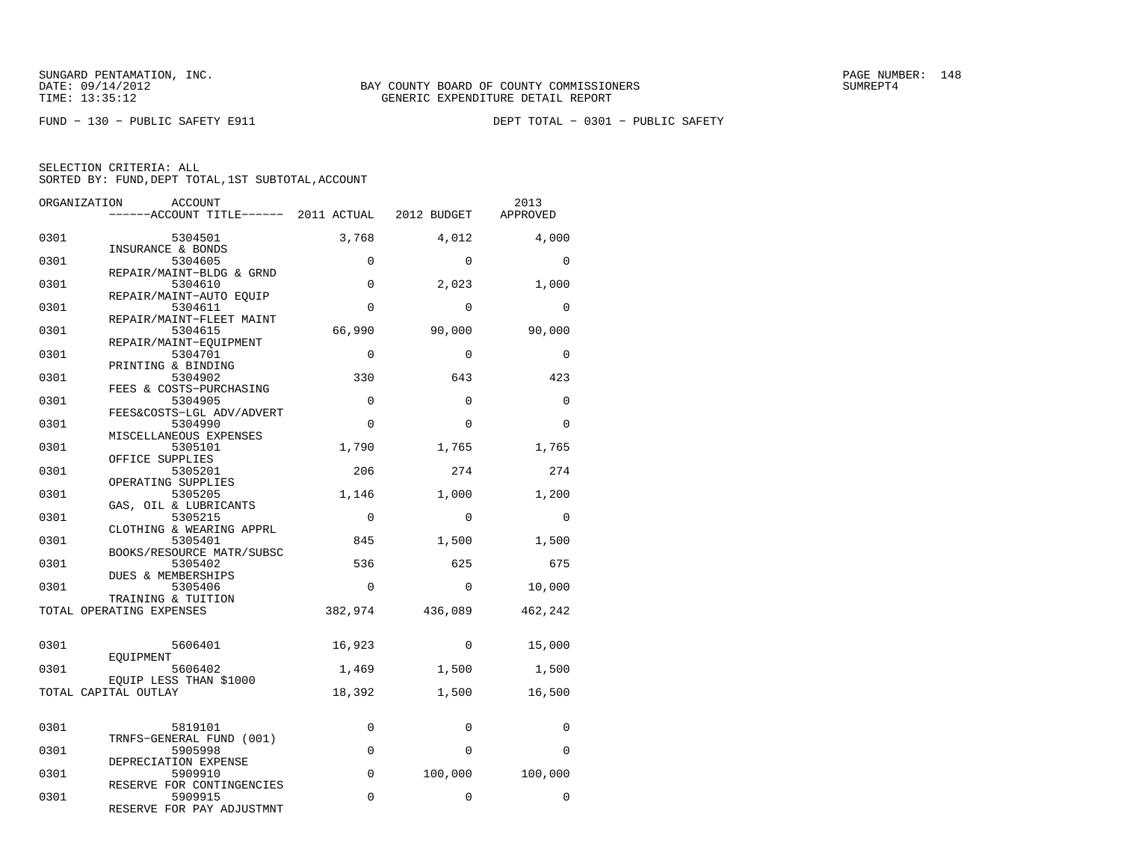FUND − 130 − PUBLIC SAFETY E911 DEPT TOTAL − 0301 − PUBLIC SAFETY

| ORGANIZATION | ACCOUNT                                                    |             |          | 2013<br>APPROVED |
|--------------|------------------------------------------------------------|-------------|----------|------------------|
| 0301         | 5304501                                                    | 3,768       | 4,012    | 4,000            |
| 0301         | INSURANCE & BONDS<br>5304605                               | $\Omega$    | $\Omega$ | $\Omega$         |
| 0301         | REPAIR/MAINT-BLDG & GRND<br>5304610                        | $\mathbf 0$ | 2,023    | 1,000            |
| 0301         | REPAIR/MAINT-AUTO EOUIP<br>5304611                         | $\Omega$    | $\Omega$ | $\Omega$         |
| 0301         | REPAIR/MAINT-FLEET MAINT<br>5304615                        | 66,990      | 90,000   | 90,000           |
| 0301         | REPAIR/MAINT-EOUIPMENT<br>5304701                          | $\Omega$    | $\Omega$ | $\mathbf 0$      |
| 0301         | PRINTING & BINDING<br>5304902                              | 330         | 643      | 423              |
| 0301         | FEES & COSTS-PURCHASING<br>5304905                         | $\Omega$    | $\Omega$ | $\Omega$         |
| 0301         | FEES&COSTS-LGL ADV/ADVERT<br>5304990                       | $\mathbf 0$ | $\Omega$ | $\mathbf 0$      |
| 0301         | MISCELLANEOUS EXPENSES<br>5305101                          | 1,790       | 1,765    | 1,765            |
| 0301         | OFFICE SUPPLIES<br>5305201                                 | 206         | 274      | 274              |
| 0301         | OPERATING SUPPLIES<br>5305205                              | 1,146       | 1,000    | 1,200            |
| 0301         | GAS, OIL & LUBRICANTS<br>5305215                           | $\Omega$    | $\Omega$ | $\overline{0}$   |
| 0301         | CLOTHING & WEARING APPRL<br>5305401                        | 845         | 1,500    | 1,500            |
| 0301         | BOOKS/RESOURCE MATR/SUBSC<br>5305402<br>DUES & MEMBERSHIPS | 536         | 625      | 675              |
| 0301         | 5305406<br>TRAINING & TUITION                              | $\Omega$    | $\Omega$ | 10,000           |
|              | TOTAL OPERATING EXPENSES                                   | 382,974     | 436,089  | 462,242          |
| 0301         | 5606401                                                    | 16,923      | $\Omega$ | 15,000           |
| 0301         | EOUIPMENT<br>5606402                                       | 1,469       | 1,500    | 1,500            |
|              | EOUIP LESS THAN \$1000<br>TOTAL CAPITAL OUTLAY             | 18,392      | 1,500    | 16,500           |
|              |                                                            |             |          |                  |
| 0301         | 5819101<br>TRNFS-GENERAL FUND (001)                        | $\Omega$    | $\Omega$ | $\Omega$         |
| 0301         | 5905998<br>DEPRECIATION EXPENSE                            | 0           | $\Omega$ | $\Omega$         |
| 0301         | 5909910<br>RESERVE FOR CONTINGENCIES                       | $\mathbf 0$ | 100,000  | 100,000          |
| 0301         | 5909915<br>RESERVE FOR PAY ADJUSTMNT                       | $\Omega$    | $\Omega$ | $\Omega$         |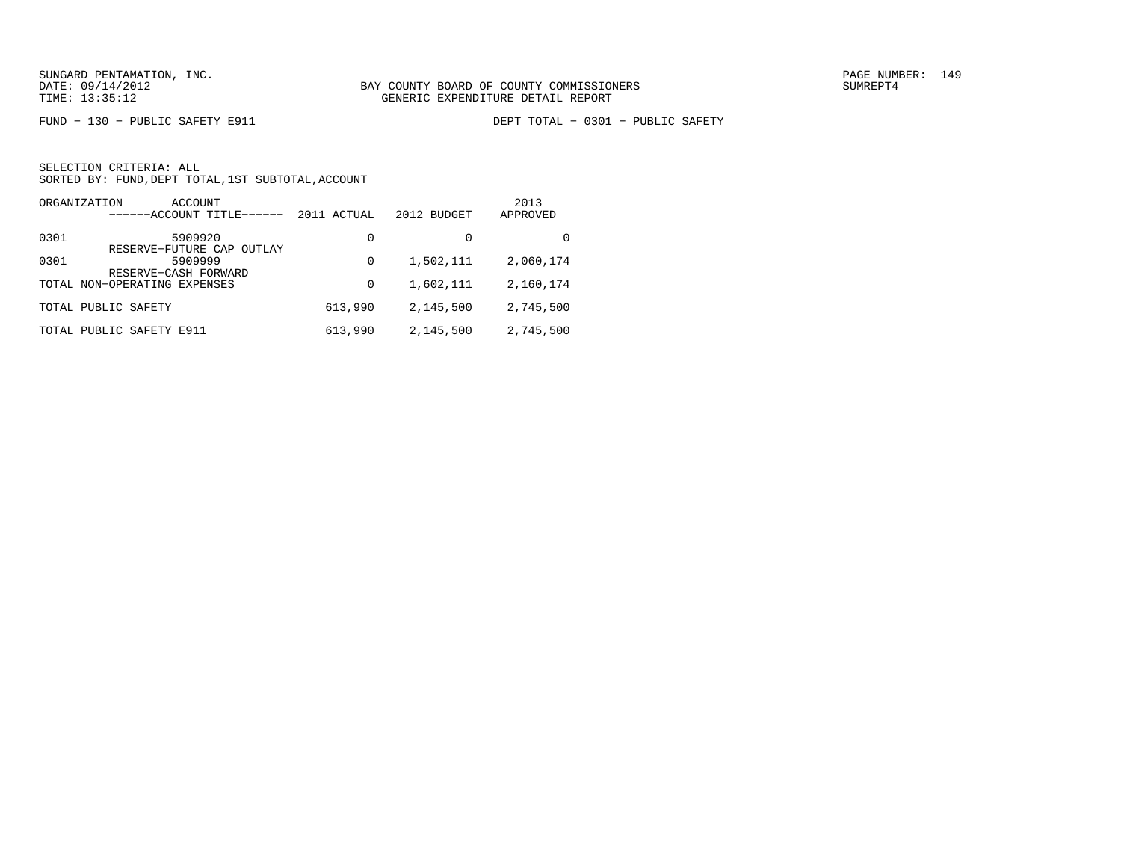FUND − 130 − PUBLIC SAFETY E911 DEPT TOTAL − 0301 − PUBLIC SAFETY

|      | ORGANIZATION<br>ACCOUNT<br>------ACCOUNT TITLE- | 2011 ACTUAL | 2012 BUDGET | 2013<br>APPROVED |
|------|-------------------------------------------------|-------------|-------------|------------------|
| 0301 | 5909920<br>RESERVE-FUTURE CAP OUTLAY            | 0           |             | 0                |
| 0301 | 5909999<br>RESERVE-CASH FORWARD                 | 0           | 1,502,111   | 2,060,174        |
|      | TOTAL NON-OPERATING EXPENSES                    | 0           | 1,602,111   | 2,160,174        |
|      | TOTAL PUBLIC SAFETY                             | 613,990     | 2,145,500   | 2,745,500        |
|      | TOTAL PUBLIC SAFETY E911                        | 613,990     | 2,145,500   | 2,745,500        |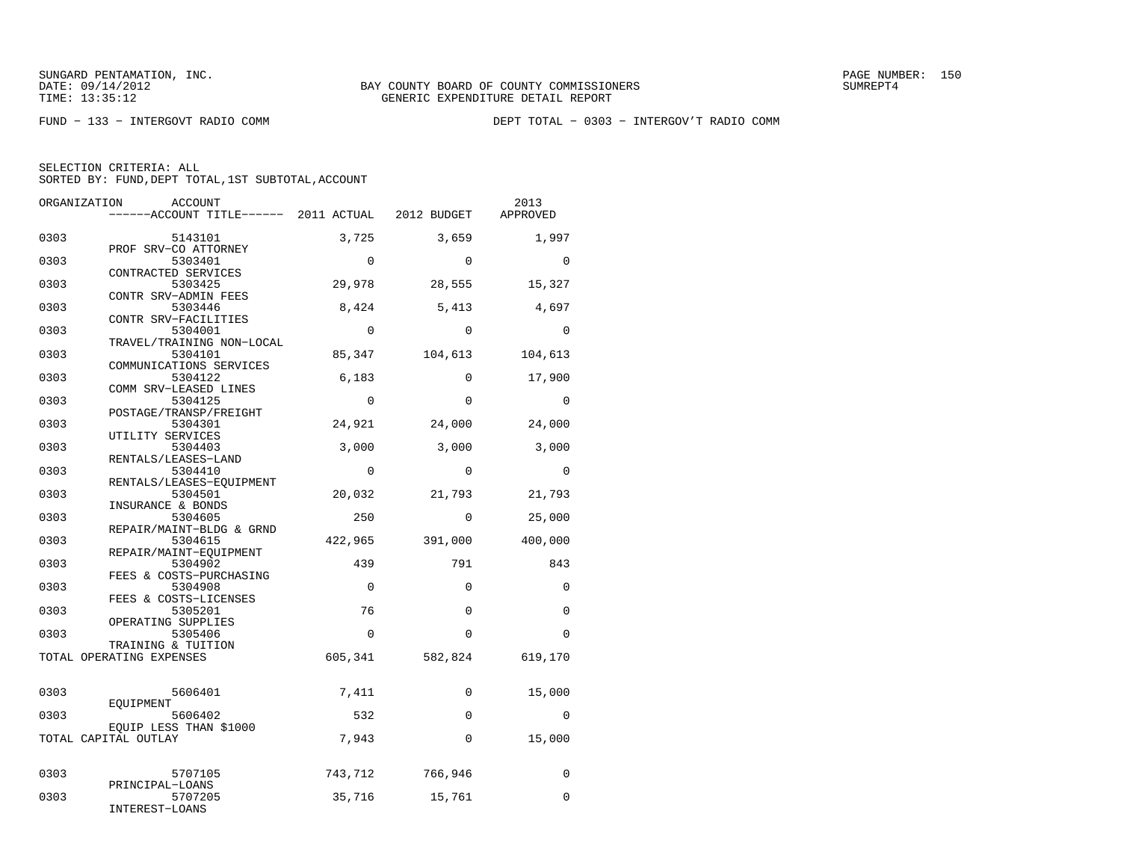FUND − 133 − INTERGOVT RADIO COMM DEPT TOTAL − 0303 − INTERGOV'T RADIO COMM

| 0303<br>5143101<br>3,725<br>3,659<br>PROF SRV-CO ATTORNEY                         | 1,997          |
|-----------------------------------------------------------------------------------|----------------|
|                                                                                   |                |
| 0303<br>$\Omega$<br>$\Omega$<br>5303401                                           | $\Omega$       |
| CONTRACTED SERVICES<br>29,978<br>0303<br>5303425<br>28,555                        | 15,327         |
| CONTR SRV-ADMIN FEES<br>0303<br>8,424<br>5,413<br>5303446<br>CONTR SRV-FACILITIES | 4,697          |
| $\Omega$<br>0303<br>5304001<br>$\Omega$<br>TRAVEL/TRAINING NON-LOCAL              | $\Omega$       |
| 0303<br>5304101<br>85,347<br>104,613<br>COMMUNICATIONS SERVICES                   | 104,613        |
| 0303<br>6,183<br>$\Omega$<br>5304122<br>COMM SRV-LEASED LINES                     | 17,900         |
| 0303<br>5304125<br>$\mathbf 0$<br>$\Omega$<br>POSTAGE/TRANSP/FREIGHT              | $\overline{0}$ |
| 0303<br>5304301<br>24,921<br>24,000<br>UTILITY SERVICES                           | 24,000         |
| 0303<br>3,000<br>3,000<br>5304403<br>RENTALS/LEASES-LAND                          | 3,000          |
| 0303<br>5304410<br>$\Omega$<br>$\Omega$<br>RENTALS/LEASES-EQUIPMENT               | $\Omega$       |
| 0303<br>5304501<br>20,032<br>21,793<br>INSURANCE & BONDS                          | 21,793         |
| 0303<br>$\Omega$<br>5304605<br>250<br>REPAIR/MAINT-BLDG & GRND                    | 25,000         |
| 0303<br>422,965<br>391,000<br>5304615<br>REPAIR/MAINT-EQUIPMENT                   | 400,000        |
| 0303<br>5304902<br>439<br>791<br>FEES & COSTS-PURCHASING                          | 843            |
| 0303<br>$\Omega$<br>$\Omega$<br>5304908<br>FEES & COSTS-LICENSES                  | $\Omega$       |
| 76<br>0303<br>$\Omega$<br>5305201<br>OPERATING SUPPLIES                           | $\Omega$       |
| $\Omega$<br>0303<br>5305406<br>$\Omega$<br>TRAINING & TUITION                     | $\Omega$       |
| TOTAL OPERATING EXPENSES<br>605,341<br>582,824                                    | 619,170        |
| 0303<br>5606401<br>7,411<br>0<br>EOUIPMENT                                        | 15,000         |
| 532<br>0303<br>5606402<br>$\Omega$<br>EOUIP LESS THAN \$1000                      | $\Omega$       |
| 7,943<br>TOTAL CAPITAL OUTLAY<br>$\mathbf 0$                                      | 15,000         |
| 0303<br>743,712<br>766,946<br>5707105                                             | $\mathbf 0$    |
| PRINCIPAL-LOANS<br>0303<br>5707205<br>35,716<br>15,761<br>INTEREST-LOANS          | $\Omega$       |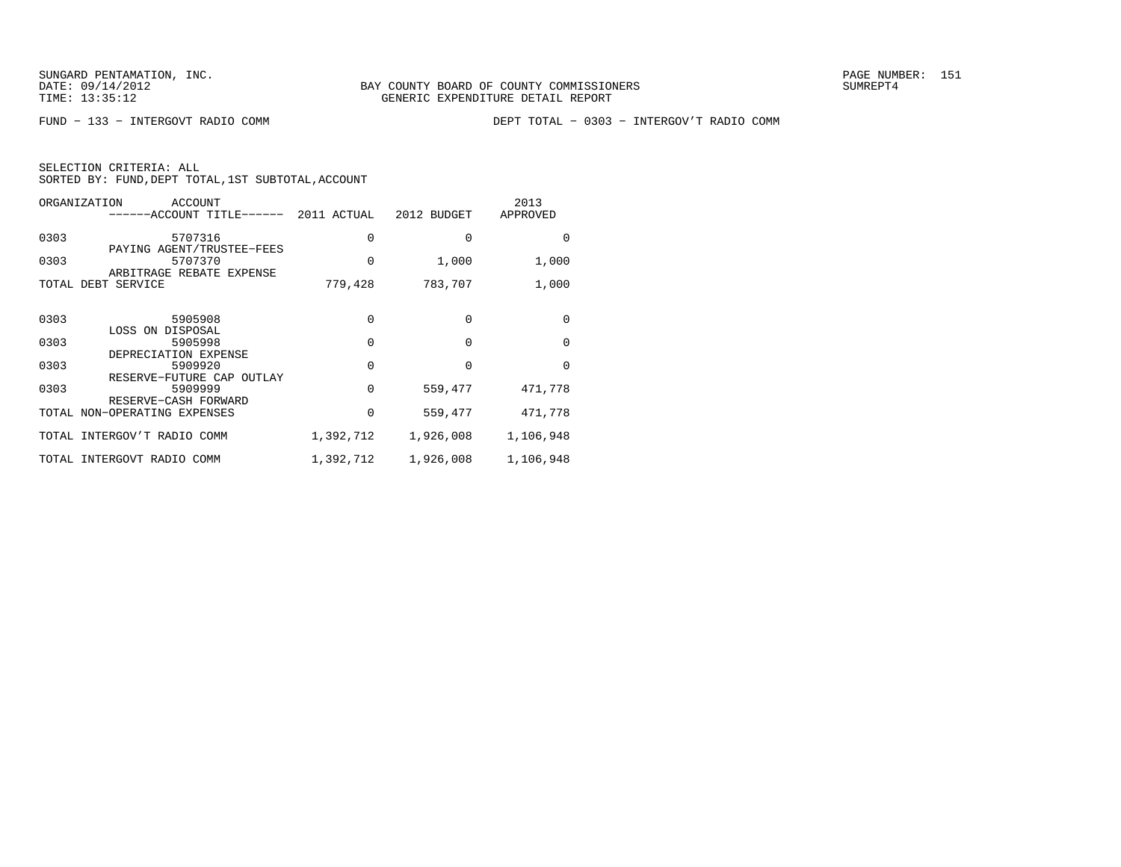FUND − 133 − INTERGOVT RADIO COMM DEPT TOTAL − 0303 − INTERGOV'T RADIO COMM

| ORGANIZATION | ACCOUNT<br>-----ACCOUNT TITLE------                              | 2011 ACTUAL | 2012 BUDGET | 2013<br>APPROVED |
|--------------|------------------------------------------------------------------|-------------|-------------|------------------|
| 0303         | 5707316                                                          | 0           | O           | $\Omega$         |
| 0303         | PAYING AGENT/TRUSTEE-FEES<br>5707370<br>ARBITRAGE REBATE EXPENSE | 0           | 1,000       | 1,000            |
|              | TOTAL DEBT SERVICE                                               | 779,428     | 783,707     | 1,000            |
| 0303         | 5905908                                                          | 0           | $\Omega$    | $\Omega$         |
|              | LOSS ON DISPOSAL                                                 |             |             |                  |
| 0303         | 5905998<br>DEPRECIATION EXPENSE                                  | $\Omega$    | U           | $\Omega$         |
| 0303         | 5909920<br>RESERVE-FUTURE CAP OUTLAY                             | 0           |             | $\Omega$         |
| 0303         | 5909999<br>RESERVE-CASH FORWARD                                  | $\Omega$    | 559,477     | 471,778          |
|              | TOTAL NON-OPERATING EXPENSES                                     | 0           | 559,477     | 471,778          |
|              | TOTAL INTERGOV'T RADIO COMM                                      | 1,392,712   | 1,926,008   | 1,106,948        |
|              | TOTAL INTERGOVT RADIO COMM                                       | 1,392,712   | 1,926,008   | 1,106,948        |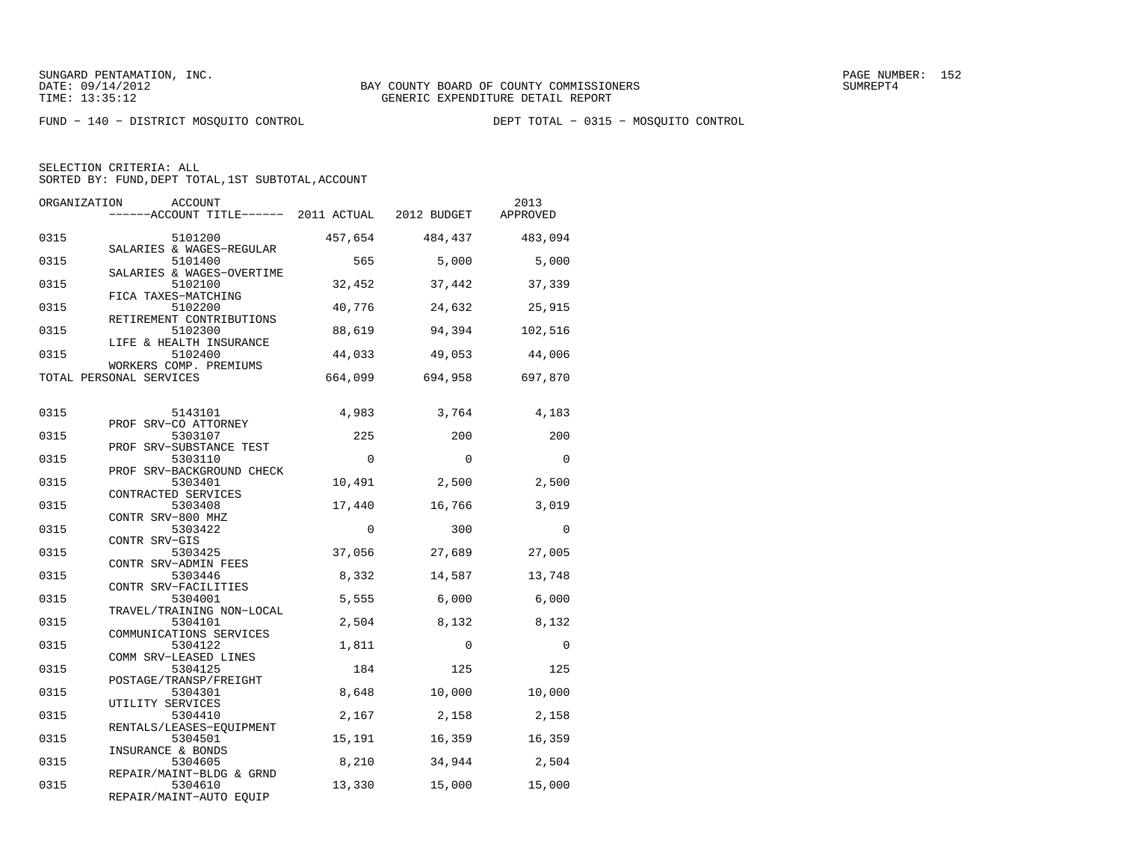FUND − 140 − DISTRICT MOSQUITO CONTROL DEPT TOTAL − 0315 − MOSQUITO CONTROL

| ORGANIZATION | <b>ACCOUNT</b><br>------ACCOUNT TITLE------ 2011 ACTUAL      |          | 2012 BUDGET | 2013<br>APPROVED |
|--------------|--------------------------------------------------------------|----------|-------------|------------------|
| 0315         | 5101200<br>SALARIES & WAGES-REGULAR                          | 457,654  | 484,437     | 483,094          |
| 0315         | 5101400<br>SALARIES & WAGES-OVERTIME                         | 565      | 5,000       | 5,000            |
| 0315         | 5102100                                                      | 32,452   | 37,442      | 37,339           |
| 0315         | FICA TAXES-MATCHING<br>5102200                               | 40,776   | 24,632      | 25,915           |
| 0315         | RETIREMENT CONTRIBUTIONS<br>5102300                          | 88,619   | 94,394      | 102,516          |
| 0315         | LIFE & HEALTH INSURANCE<br>5102400<br>WORKERS COMP. PREMIUMS | 44,033   | 49,053      | 44,006           |
|              | TOTAL PERSONAL SERVICES                                      | 664,099  | 694,958     | 697,870          |
| 0315         | 5143101                                                      | 4,983    | 3,764       | 4,183            |
| 0315         | PROF SRV-CO ATTORNEY<br>5303107                              | 225      | 200         | 200              |
| 0315         | PROF SRV-SUBSTANCE TEST<br>5303110                           | $\Omega$ | $\Omega$    | $\Omega$         |
| 0315         | PROF SRV-BACKGROUND CHECK<br>5303401                         | 10,491   | 2,500       | 2,500            |
| 0315         | CONTRACTED SERVICES<br>5303408<br>CONTR SRV-800 MHZ          | 17,440   | 16,766      | 3,019            |
| 0315         | 5303422<br>CONTR SRV-GIS                                     | $\Omega$ | 300         | $\Omega$         |
| 0315         | 5303425<br>CONTR SRV-ADMIN FEES                              | 37,056   | 27,689      | 27,005           |
| 0315         | 5303446<br>CONTR SRV-FACILITIES                              | 8,332    | 14,587      | 13,748           |
| 0315         | 5304001<br>TRAVEL/TRAINING NON-LOCAL                         | 5,555    | 6,000       | 6,000            |
| 0315         | 5304101<br>COMMUNICATIONS SERVICES                           | 2,504    | 8,132       | 8,132            |
| 0315         | 5304122<br>COMM SRV-LEASED LINES                             | 1,811    | $\Omega$    | $\Omega$         |
| 0315         | 5304125<br>POSTAGE/TRANSP/FREIGHT                            | 184      | 125         | 125              |
| 0315         | 5304301<br>UTILITY SERVICES                                  | 8,648    | 10,000      | 10,000           |
| 0315         | 5304410<br>RENTALS/LEASES-EQUIPMENT                          | 2,167    | 2,158       | 2,158            |
| 0315         | 5304501<br>INSURANCE & BONDS                                 | 15,191   | 16,359      | 16,359           |
| 0315         | 5304605<br>REPAIR/MAINT-BLDG & GRND                          | 8,210    | 34,944      | 2,504            |
| 0315         | 5304610<br>REPAIR/MAINT-AUTO EQUIP                           | 13,330   | 15,000      | 15,000           |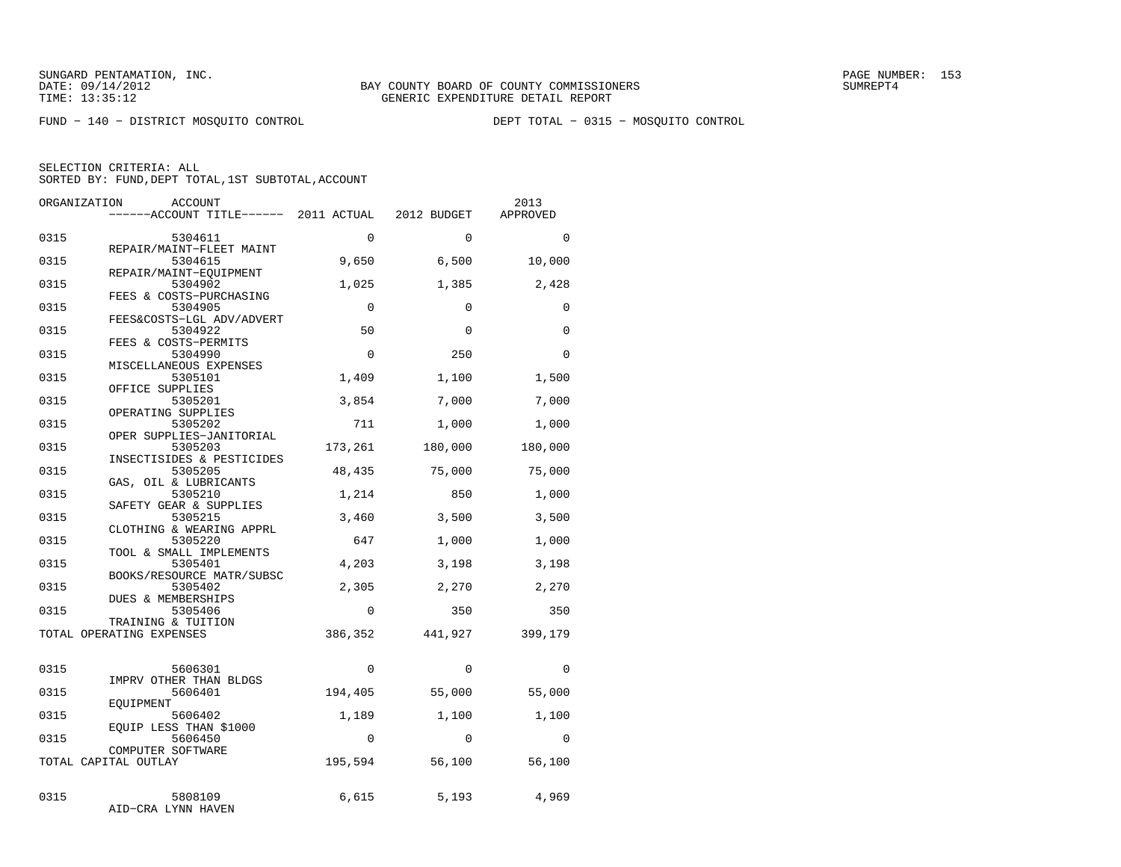FUND − 140 − DISTRICT MOSQUITO CONTROL DEPT TOTAL − 0315 − MOSQUITO CONTROL

| ORGANIZATION | <b>ACCOUNT</b><br>------ACCOUNT TITLE------ 2011 ACTUAL 2012 BUDGET |          |          | 2013<br>APPROVED |
|--------------|---------------------------------------------------------------------|----------|----------|------------------|
| 0315         | 5304611                                                             | $\Omega$ | $\Omega$ | $\Omega$         |
| 0315         | REPAIR/MAINT-FLEET MAINT<br>5304615                                 | 9,650    | 6,500    | 10,000           |
| 0315         | REPAIR/MAINT-EOUIPMENT<br>5304902                                   | 1,025    | 1,385    | 2,428            |
| 0315         | FEES & COSTS-PURCHASING<br>5304905<br>FEES&COSTS-LGL ADV/ADVERT     | $\Omega$ | $\Omega$ | $\Omega$         |
| 0315         | 5304922<br>FEES & COSTS-PERMITS                                     | 50       | $\Omega$ | $\Omega$         |
| 0315         | 5304990<br>MISCELLANEOUS EXPENSES                                   | $\Omega$ | 250      | $\Omega$         |
| 0315         | 5305101<br>OFFICE SUPPLIES                                          | 1,409    | 1,100    | 1,500            |
| 0315         | 5305201<br>OPERATING SUPPLIES                                       | 3,854    | 7,000    | 7,000            |
| 0315         | 5305202<br>OPER SUPPLIES-JANITORIAL                                 | 711      | 1,000    | 1,000            |
| 0315         | 5305203<br>INSECTISIDES & PESTICIDES                                | 173,261  | 180,000  | 180,000          |
| 0315         | 5305205<br>GAS, OIL & LUBRICANTS                                    | 48,435   | 75,000   | 75,000           |
| 0315         | 5305210<br>SAFETY GEAR & SUPPLIES                                   | 1,214    | 850      | 1,000            |
| 0315         | 5305215<br>CLOTHING & WEARING APPRL                                 | 3,460    | 3,500    | 3,500            |
| 0315         | 5305220<br>TOOL & SMALL IMPLEMENTS                                  | 647      | 1,000    | 1,000            |
| 0315         | 5305401<br>BOOKS/RESOURCE MATR/SUBSC                                | 4,203    | 3,198    | 3,198            |
| 0315         | 5305402<br>DUES & MEMBERSHIPS                                       | 2,305    | 2,270    | 2,270            |
| 0315         | 5305406<br>TRAINING & TUITION                                       | $\Omega$ | 350      | 350              |
|              | TOTAL OPERATING EXPENSES                                            | 386,352  | 441,927  | 399,179          |
| 0315         | 5606301                                                             | $\Omega$ | $\Omega$ | $\Omega$         |
| 0315         | IMPRV OTHER THAN BLDGS<br>5606401<br>EOUIPMENT                      | 194,405  | 55,000   | 55,000           |
| 0315         | 5606402<br>EOUIP LESS THAN \$1000                                   | 1,189    | 1,100    | 1,100            |
| 0315         | 5606450<br>COMPUTER SOFTWARE                                        | $\Omega$ | $\Omega$ | $\Omega$         |
|              | TOTAL CAPITAL OUTLAY                                                | 195,594  | 56,100   | 56,100           |
| 0315         | 5808109<br>AID-CRA LYNN HAVEN                                       | 6,615    | 5,193    | 4,969            |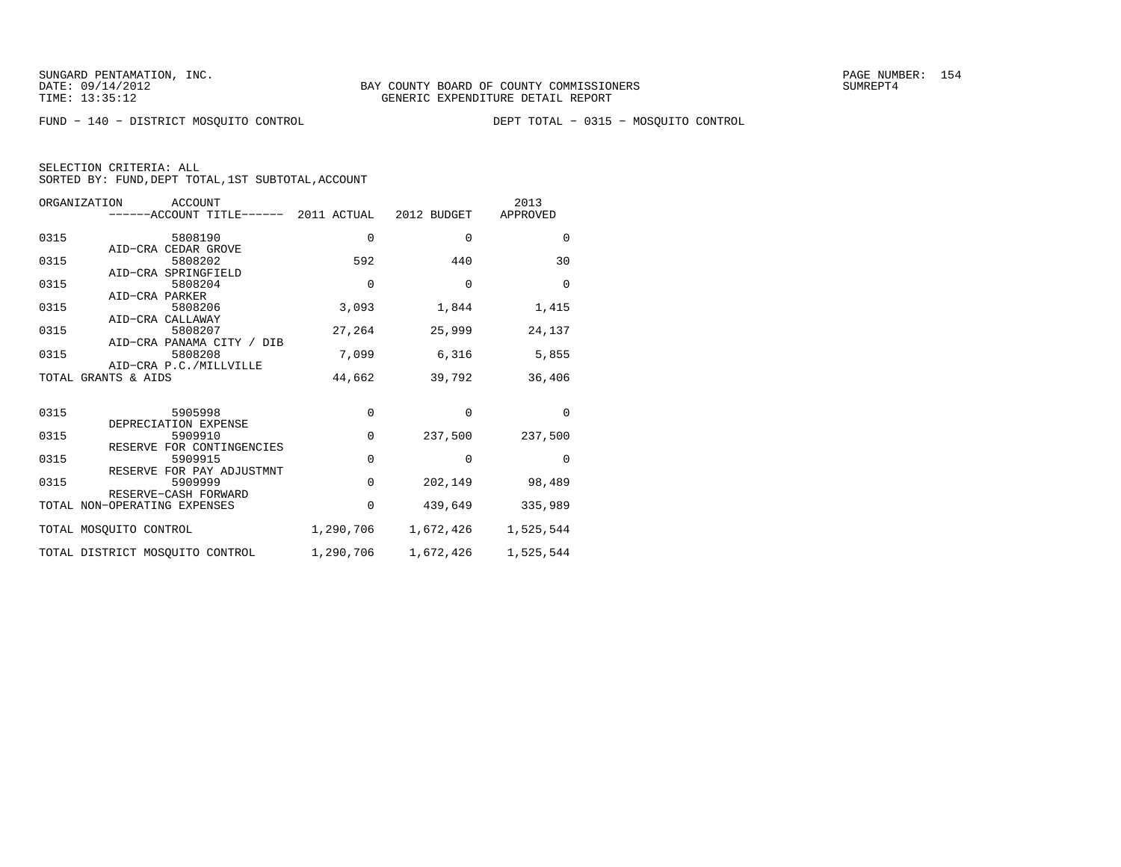FUND − 140 − DISTRICT MOSQUITO CONTROL DEPT TOTAL − 0315 − MOSQUITO CONTROL

|  | SELECTION CRITERIA: ALL                            |  |  |
|--|----------------------------------------------------|--|--|
|  | SORTED BY: FUND, DEPT TOTAL, 1ST SUBTOTAL, ACCOUNT |  |  |

| ORGANIZATION | ACCOUNT<br>------ACCOUNT TITLE------ 2011 ACTUAL 2012 BUDGET |             |           | 2013<br>APPROVED    |
|--------------|--------------------------------------------------------------|-------------|-----------|---------------------|
| 0315         | 5808190                                                      | $\mathbf 0$ | $\Omega$  | $\Omega$            |
|              | AID-CRA CEDAR GROVE                                          |             |           |                     |
| 0315         | 5808202                                                      | 592         | 440       | 30                  |
|              | AID-CRA SPRINGFIELD                                          |             |           |                     |
| 0315         | 5808204                                                      | $\mathbf 0$ | $\Omega$  | $\Omega$            |
| 0315         | AID-CRA PARKER<br>5808206                                    |             |           |                     |
|              | AID-CRA CALLAWAY                                             | 3,093       | 1,844     | 1,415               |
| 0315         | 5808207                                                      | 27,264      | 25,999    | 24,137              |
|              | AID-CRA PANAMA CITY / DIB                                    |             |           |                     |
| 0315         | 5808208                                                      | 7,099       | 6,316     | 5,855               |
|              | AID-CRA P.C./MILLVILLE                                       |             |           |                     |
|              | TOTAL GRANTS & AIDS                                          | 44,662      | 39,792    | 36,406              |
|              |                                                              |             |           |                     |
| 0315         | 5905998                                                      | 0           | $\Omega$  | $\Omega$            |
|              | DEPRECIATION EXPENSE                                         |             |           |                     |
| 0315         | 5909910                                                      | $\mathbf 0$ | 237,500   | 237,500             |
|              | RESERVE FOR CONTINGENCIES                                    |             |           |                     |
| 0315         | 5909915                                                      | $\mathbf 0$ | $\Omega$  | $\Omega$            |
|              | RESERVE FOR PAY ADJUSTMNT                                    |             |           |                     |
| 0315         | 5909999                                                      | $\mathbf 0$ | 202,149   | 98,489              |
|              | RESERVE-CASH FORWARD                                         | $\Omega$    |           |                     |
|              | TOTAL NON-OPERATING EXPENSES                                 |             | 439,649   | 335,989             |
|              | TOTAL MOSOUITO CONTROL                                       | 1,290,706   |           | 1,672,426 1,525,544 |
|              | TOTAL DISTRICT MOSQUITO CONTROL                              | 1,290,706   | 1,672,426 | 1,525,544           |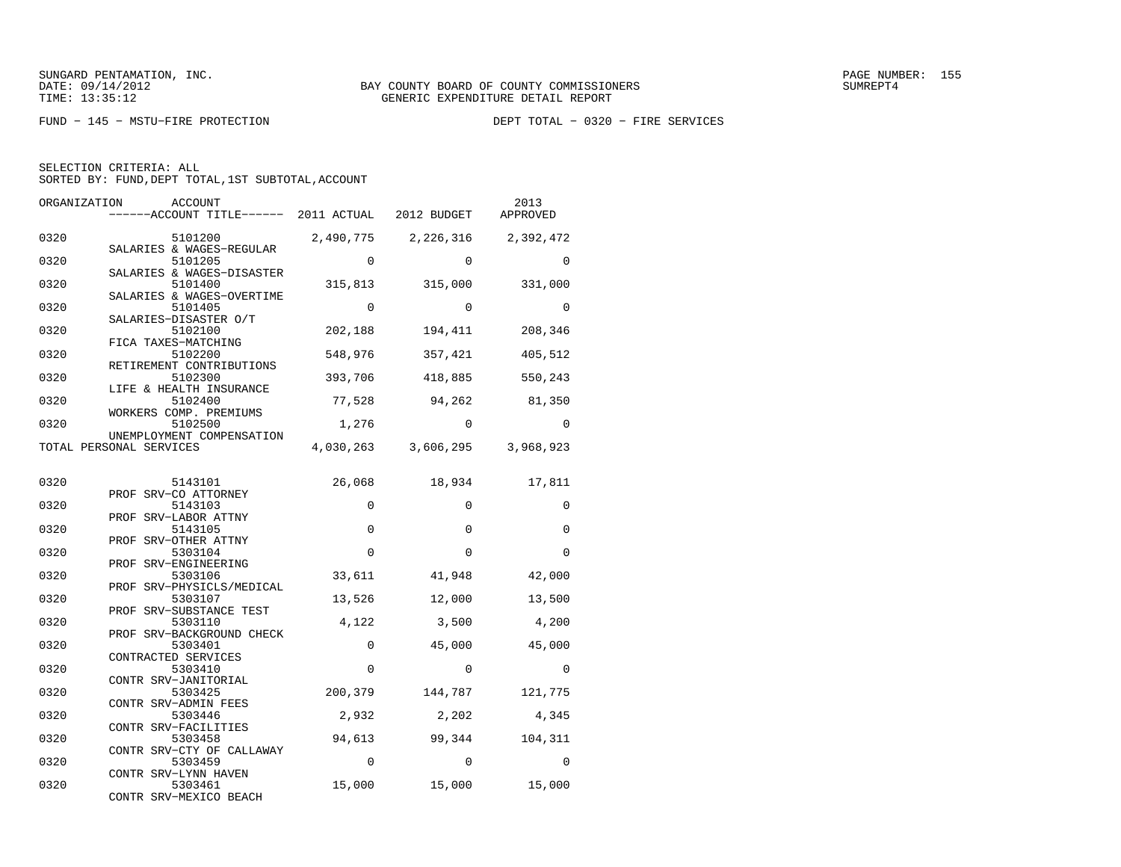FUND − 145 − MSTU−FIRE PROTECTION DEPT TOTAL − 0320 − FIRE SERVICES

SELECTION CRITERIA: ALL

SORTED BY: FUND, DEPT TOTAL, 1ST SUBTOTAL, ACCOUNT

| ORGANIZATION | ACCOUNT                                                    |             |                               | 2013<br>APPROVED |
|--------------|------------------------------------------------------------|-------------|-------------------------------|------------------|
| 0320         | 5101200                                                    | 2,490,775   | 2,226,316                     | 2,392,472        |
| 0320         | SALARIES & WAGES-REGULAR<br>5101205                        | $\Omega$    | $\Omega$                      | $\Omega$         |
| 0320         | SALARIES & WAGES-DISASTER<br>5101400                       | 315,813     | 315,000                       | 331,000          |
| 0320         | SALARIES & WAGES-OVERTIME<br>5101405                       | $\Omega$    | $\Omega$                      | $\Omega$         |
| 0320         | SALARIES-DISASTER O/T<br>5102100                           | 202,188     | 194,411                       | 208,346          |
| 0320         | FICA TAXES-MATCHING<br>5102200<br>RETIREMENT CONTRIBUTIONS | 548,976     | 357,421                       | 405,512          |
| 0320         | 5102300<br>LIFE & HEALTH INSURANCE                         | 393,706     | 418,885                       | 550,243          |
| 0320         | 5102400<br>WORKERS COMP. PREMIUMS                          | 77,528      | 94,262                        | 81,350           |
| 0320         | 5102500<br>UNEMPLOYMENT COMPENSATION                       | 1,276       | 0                             | 0                |
|              | TOTAL PERSONAL SERVICES                                    |             | 4,030,263 3,606,295 3,968,923 |                  |
| 0320         | 5143101                                                    | 26,068      | 18,934                        | 17,811           |
| 0320         | PROF SRV-CO ATTORNEY<br>5143103                            | $\Omega$    | $\Omega$                      | 0                |
| 0320         | PROF SRV-LABOR ATTNY<br>5143105                            | 0           | $\mathbf 0$                   | 0                |
| 0320         | PROF SRV-OTHER ATTNY<br>5303104<br>PROF SRV-ENGINEERING    | $\Omega$    | $\Omega$                      | 0                |
| 0320         | 5303106<br>PROF SRV-PHYSICLS/MEDICAL                       | 33,611      | 41,948                        | 42,000           |
| 0320         | 5303107<br>PROF SRV-SUBSTANCE TEST                         | 13,526      | 12,000                        | 13,500           |
| 0320         | 5303110<br>PROF SRV-BACKGROUND CHECK                       | 4,122       | 3,500                         | 4,200            |
| 0320         | 5303401<br>CONTRACTED SERVICES                             | $\mathbf 0$ | 45,000                        | 45,000           |
| 0320         | 5303410<br>CONTR SRV-JANITORIAL                            | 0           | 0                             | 0                |
| 0320         | 5303425<br>CONTR SRV-ADMIN FEES                            | 200,379     | 144,787                       | 121,775          |
| 0320         | 5303446<br>CONTR SRV-FACILITIES                            | 2,932       | 2,202                         | 4,345            |
| 0320         | 5303458<br>CONTR SRV-CTY OF CALLAWAY                       | 94,613      | 99,344                        | 104,311          |
| 0320         | 5303459<br>CONTR SRV-LYNN HAVEN                            | $\Omega$    | $\Omega$                      | $\Omega$         |
| 0320         | 5303461                                                    | 15,000      | 15,000                        | 15,000           |

CONTR SRV−MEXICO BEACH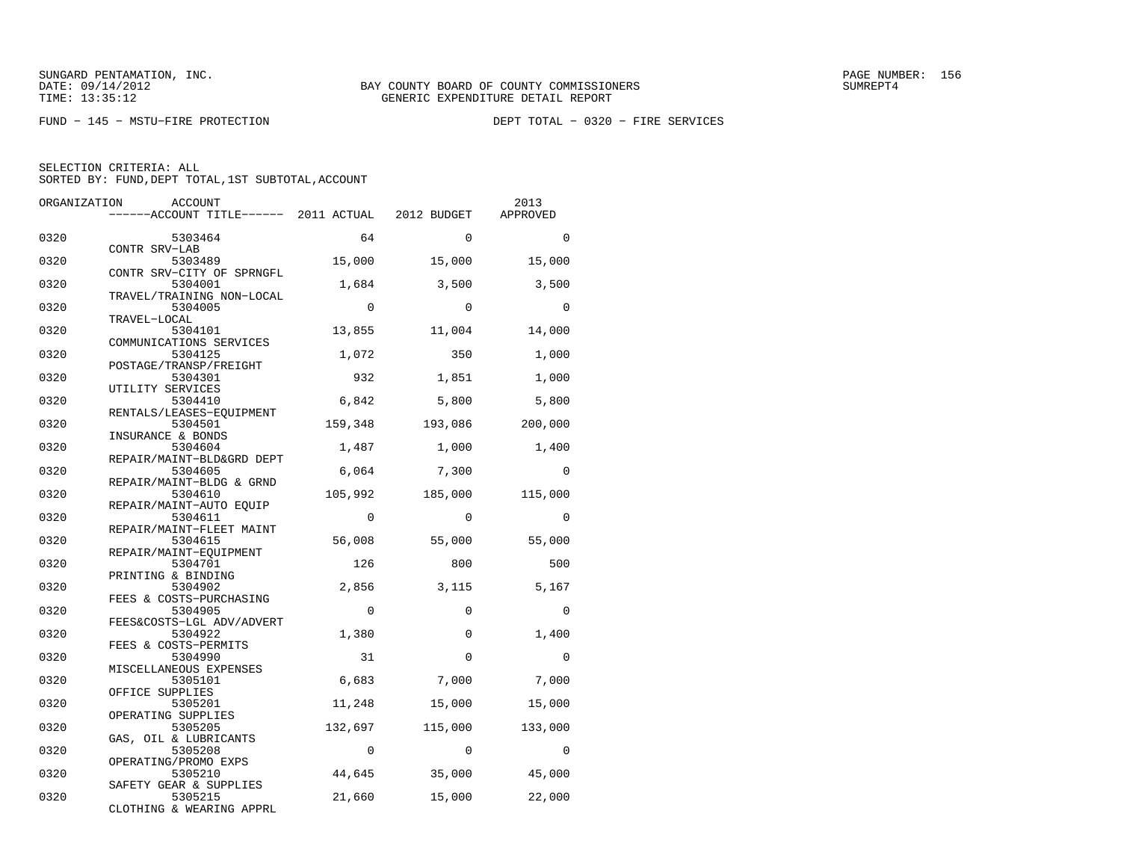FUND − 145 − MSTU−FIRE PROTECTION DEPT TOTAL − 0320 − FIRE SERVICES

| ORGANIZATION | <b>ACCOUNT</b><br>------ACCOUNT TITLE------ 2011 ACTUAL 2012 BUDGET |                   |                   | 2013<br>APPROVED  |
|--------------|---------------------------------------------------------------------|-------------------|-------------------|-------------------|
| 0320         | 5303464<br>CONTR SRV-LAB                                            | 64                | $\Omega$          | $\Omega$          |
| 0320         | 5303489<br>CONTR SRV-CITY OF SPRNGFL                                | 15,000            | 15,000            | 15,000            |
| 0320         | 5304001<br>TRAVEL/TRAINING NON-LOCAL                                | 1,684             | 3,500             | 3,500             |
| 0320         | 5304005<br>TRAVEL-LOCAL                                             | $\Omega$          | $\Omega$          | $\Omega$          |
| 0320         | 5304101<br>COMMUNICATIONS SERVICES                                  | 13,855            | 11,004            | 14,000            |
| 0320         | 5304125<br>POSTAGE/TRANSP/FREIGHT                                   | 1,072             | 350               | 1,000             |
| 0320         | 5304301<br>UTILITY SERVICES                                         | 932               | 1,851             | 1,000             |
| 0320         | 5304410<br>RENTALS/LEASES-EQUIPMENT                                 | 6,842             | 5,800             | 5,800             |
| 0320         | 5304501<br>INSURANCE & BONDS                                        | 159,348           | 193,086           | 200,000           |
| 0320         | 5304604<br>REPAIR/MAINT-BLD&GRD DEPT                                | 1,487             | 1,000             | 1,400             |
| 0320         | 5304605<br>REPAIR/MAINT-BLDG & GRND                                 | 6,064             | 7,300             | $\Omega$          |
| 0320         | 5304610<br>REPAIR/MAINT-AUTO EOUIP                                  | 105,992           | 185,000           | 115,000           |
| 0320         | 5304611<br>REPAIR/MAINT-FLEET MAINT                                 | $\Omega$          | $\Omega$          | $\Omega$          |
| 0320         | 5304615<br>REPAIR/MAINT-EOUIPMENT                                   | 56,008            | 55,000            | 55,000            |
| 0320         | 5304701<br>PRINTING & BINDING                                       | 126               | 800               | 500               |
| 0320<br>0320 | 5304902<br>FEES & COSTS-PURCHASING                                  | 2,856<br>$\Omega$ | 3,115<br>$\Omega$ | 5,167<br>$\Omega$ |
| 0320         | 5304905<br>FEES&COSTS-LGL ADV/ADVERT<br>5304922                     | 1,380             | $\Omega$          | 1,400             |
| 0320         | FEES & COSTS-PERMITS<br>5304990                                     | 31                | $\Omega$          | $\mathbf 0$       |
| 0320         | MISCELLANEOUS EXPENSES<br>5305101                                   | 6,683             | 7,000             | 7,000             |
| 0320         | OFFICE SUPPLIES<br>5305201                                          | 11,248            | 15,000            | 15,000            |
| 0320         | OPERATING SUPPLIES<br>5305205                                       | 132,697           | 115,000           | 133,000           |
| 0320         | GAS, OIL & LUBRICANTS<br>5305208                                    | $\mathbf 0$       | $\mathbf 0$       | $\Omega$          |
| 0320         | OPERATING/PROMO EXPS<br>5305210                                     | 44,645            | 35,000            | 45,000            |
| 0320         | SAFETY GEAR & SUPPLIES<br>5305215<br>CLOTHING & WEARING APPRL       | 21,660            | 15,000            | 22,000            |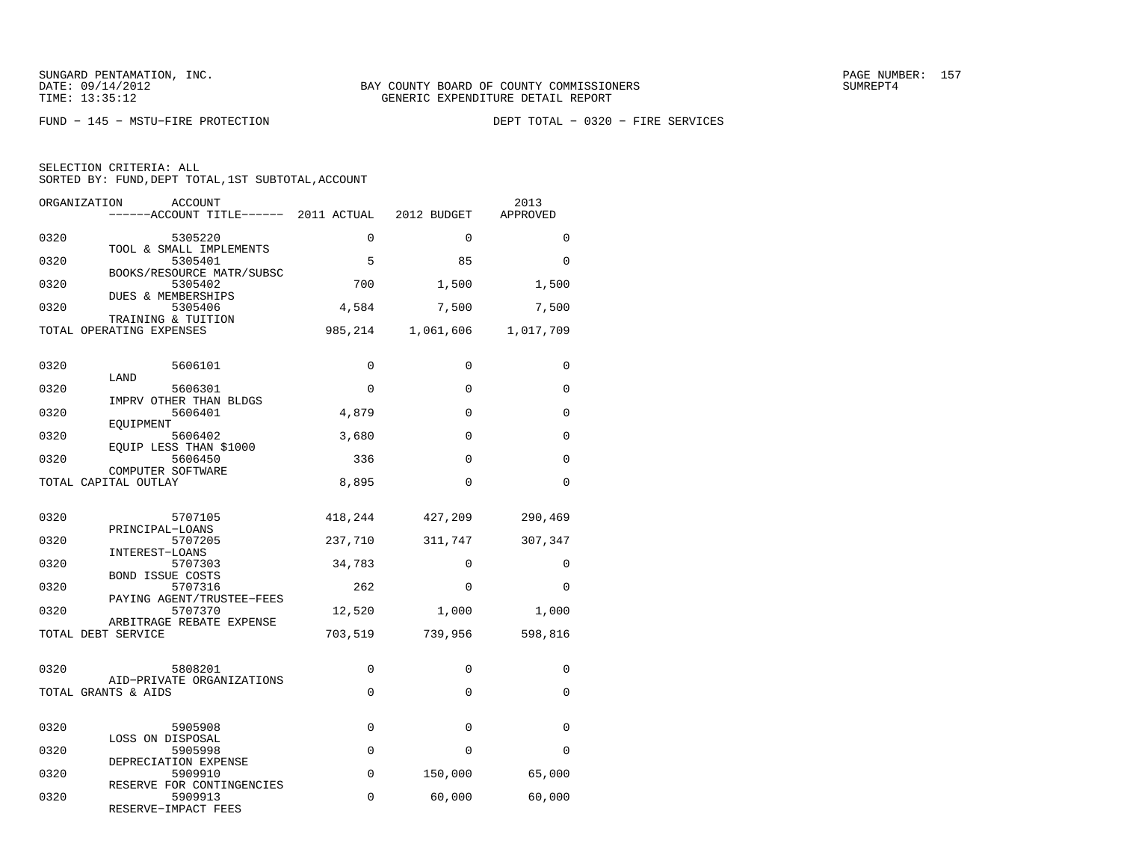FUND − 145 − MSTU−FIRE PROTECTION DEPT TOTAL − 0320 − FIRE SERVICES

| ORGANIZATION<br><b>ACCOUNT</b><br>------ACCOUNT TITLE------ 2011 ACTUAL |             | 2012 BUDGET | 2013<br>APPROVED |
|-------------------------------------------------------------------------|-------------|-------------|------------------|
| 0320<br>5305220                                                         | 0           | $\Omega$    | 0                |
| TOOL & SMALL IMPLEMENTS<br>0320<br>5305401                              | 5           | 85          | 0                |
| BOOKS/RESOURCE MATR/SUBSC<br>0320<br>5305402                            | 700         | 1,500       | 1,500            |
| DUES & MEMBERSHIPS<br>0320<br>5305406                                   | 4,584       | 7,500       | 7,500            |
| TRAINING & TUITION<br>TOTAL OPERATING EXPENSES                          | 985,214     | 1,061,606   | 1,017,709        |
|                                                                         |             |             |                  |
| 0320<br>5606101<br>LAND                                                 | $\mathbf 0$ | $\mathbf 0$ | 0                |
| 0320<br>5606301<br>IMPRV OTHER THAN BLDGS                               | $\Omega$    | $\Omega$    | $\Omega$         |
| 0320<br>5606401<br>EOUIPMENT                                            | 4,879       | 0           | $\Omega$         |
| 0320<br>5606402                                                         | 3,680       | 0           | 0                |
| EQUIP LESS THAN \$1000<br>0320<br>5606450                               | 336         | $\Omega$    | $\Omega$         |
| COMPUTER SOFTWARE<br>TOTAL CAPITAL OUTLAY                               | 8,895       | $\Omega$    | $\Omega$         |
|                                                                         |             |             |                  |
| 0320<br>5707105<br>PRINCIPAL-LOANS                                      | 418,244     | 427,209     | 290,469          |
| 0320<br>5707205<br>INTEREST-LOANS                                       | 237,710     | 311,747     | 307,347          |
| 0320<br>5707303<br><b>BOND ISSUE COSTS</b>                              | 34,783      | $\Omega$    | $\Omega$         |
| 0320<br>5707316<br>PAYING AGENT/TRUSTEE-FEES                            | 262         | $\Omega$    | $\Omega$         |
| 0320<br>5707370<br>ARBITRAGE REBATE EXPENSE                             | 12,520      | 1,000       | 1,000            |
| TOTAL DEBT SERVICE                                                      | 703,519     | 739,956     | 598,816          |
| 0320<br>5808201                                                         | 0           | 0           | 0                |
| AID-PRIVATE ORGANIZATIONS<br>TOTAL GRANTS & AIDS                        | $\Omega$    | $\Omega$    | $\Omega$         |
|                                                                         |             |             |                  |
| 0320<br>5905908<br>LOSS ON DISPOSAL                                     | $\Omega$    | $\Omega$    | 0                |
| 0320<br>5905998                                                         | 0           | $\Omega$    | 0                |
| DEPRECIATION EXPENSE<br>0320<br>5909910                                 | $\mathbf 0$ | 150,000     | 65,000           |
| RESERVE FOR CONTINGENCIES<br>0320<br>5909913<br>RESERVE-IMPACT FEES     | $\Omega$    | 60,000      | 60,000           |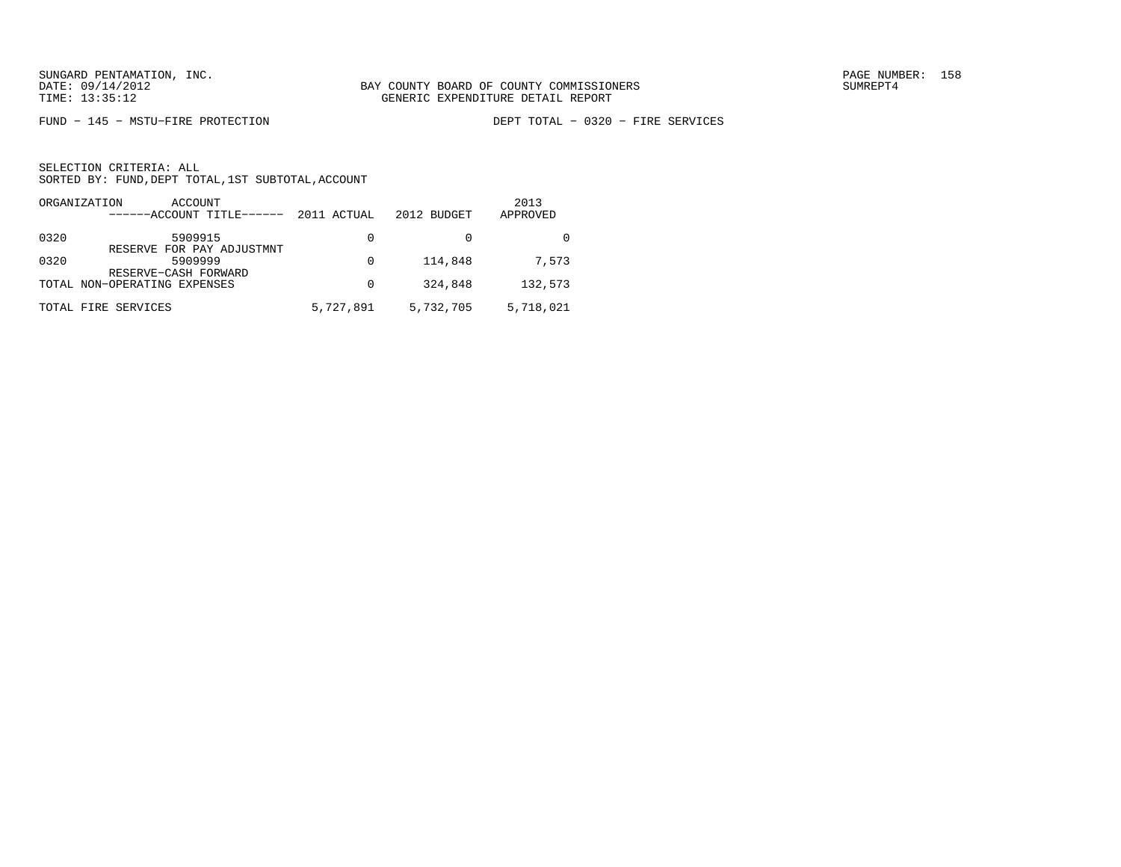FUND − 145 − MSTU−FIRE PROTECTION DEPT TOTAL − 0320 − FIRE SERVICES

| ORGANIZATION<br>ACCOUNT<br>------ACCOUNT TITLE------                 | 2011 ACTUAL | 2012 BUDGET | 2013<br>APPROVED |
|----------------------------------------------------------------------|-------------|-------------|------------------|
| 0320<br>5909915                                                      | 0           |             |                  |
| RESERVE FOR PAY ADJUSTMNT<br>0320<br>5909999<br>RESERVE-CASH FORWARD | 0           | 114,848     | 7,573            |
| TOTAL NON-OPERATING EXPENSES                                         | 0           | 324,848     | 132,573          |
| TOTAL FIRE SERVICES                                                  | 5,727,891   | 5,732,705   | 5,718,021        |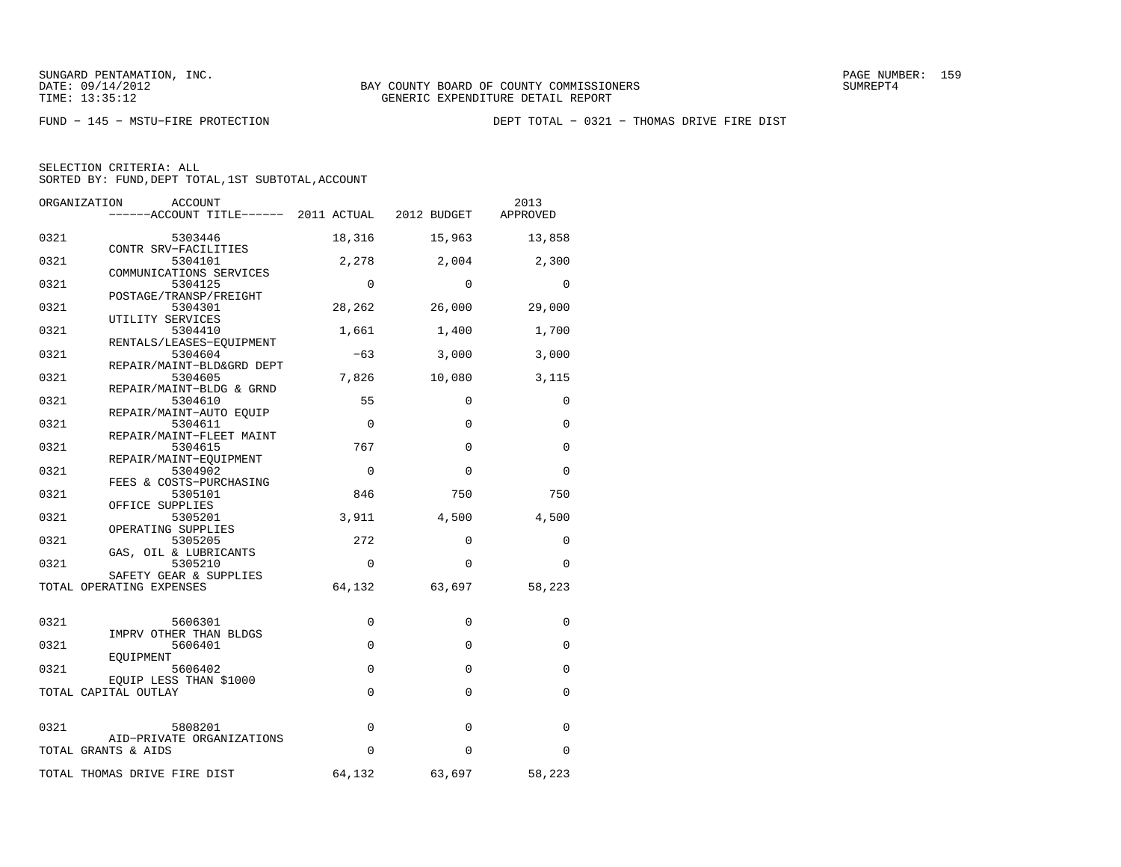FUND − 145 − MSTU−FIRE PROTECTION DEPT TOTAL − 0321 − THOMAS DRIVE FIRE DIST

|  | SELECTION CRITERIA: ALL |                                                    |
|--|-------------------------|----------------------------------------------------|
|  |                         | SORTED BY: FUND, DEPT TOTAL, 1ST SUBTOTAL, ACCOUNT |

|      | ORGANIZATION<br>ACCOUNT<br>------ACCOUNT TITLE------ 2011 ACTUAL 2012 BUDGET |             |             | 2013<br>APPROVED |
|------|------------------------------------------------------------------------------|-------------|-------------|------------------|
| 0321 | 5303446                                                                      | 18,316      | 15,963      | 13,858           |
| 0321 | CONTR SRV-FACILITIES<br>5304101                                              | 2,278       | 2,004       | 2,300            |
| 0321 | COMMUNICATIONS SERVICES<br>5304125                                           | $\Omega$    | $\Omega$    | $\Omega$         |
| 0321 | POSTAGE/TRANSP/FREIGHT<br>5304301                                            | 28,262      | 26,000      | 29,000           |
| 0321 | UTILITY SERVICES<br>5304410                                                  | 1,661       | 1,400       | 1,700            |
| 0321 | RENTALS/LEASES-EOUIPMENT<br>5304604<br>REPAIR/MAINT-BLD&GRD DEPT             | $-63$       | 3,000       | 3,000            |
| 0321 | 5304605<br>REPAIR/MAINT-BLDG & GRND                                          | 7,826       | 10,080      | 3,115            |
| 0321 | 5304610<br>REPAIR/MAINT-AUTO EQUIP                                           | 55          | $\mathbf 0$ | $\mathbf 0$      |
| 0321 | 5304611<br>REPAIR/MAINT-FLEET MAINT                                          | $\mathbf 0$ | $\Omega$    | $\mathbf 0$      |
| 0321 | 5304615<br>REPAIR/MAINT-EOUIPMENT                                            | 767         | $\mathbf 0$ | $\Omega$         |
| 0321 | 5304902<br>FEES & COSTS-PURCHASING                                           | $\Omega$    | $\Omega$    | $\Omega$         |
| 0321 | 5305101<br>OFFICE SUPPLIES                                                   | 846         | 750         | 750              |
| 0321 | 5305201<br>OPERATING SUPPLIES                                                | 3,911       | 4,500       | 4,500            |
| 0321 | 5305205<br>GAS, OIL & LUBRICANTS                                             | 272         | $\mathbf 0$ | 0                |
| 0321 | 5305210<br>SAFETY GEAR & SUPPLIES                                            | $\mathbf 0$ | $\mathbf 0$ | 0                |
|      | TOTAL OPERATING EXPENSES                                                     | 64,132      | 63,697      | 58,223           |
| 0321 | 5606301                                                                      | 0           | $\mathbf 0$ | 0                |
| 0321 | IMPRV OTHER THAN BLDGS<br>5606401                                            | $\mathbf 0$ | $\mathbf 0$ | $\mathbf 0$      |
| 0321 | EQUIPMENT<br>5606402                                                         | 0           | $\mathbf 0$ | 0                |
|      | EOUIP LESS THAN \$1000<br>TOTAL CAPITAL OUTLAY                               | $\Omega$    | $\Omega$    | $\Omega$         |
| 0321 | 5808201                                                                      | $\mathbf 0$ | $\mathbf 0$ | $\mathbf 0$      |
|      | AID-PRIVATE ORGANIZATIONS<br>TOTAL GRANTS & AIDS                             | 0           | $\mathbf 0$ | 0                |
|      | TOTAL THOMAS DRIVE FIRE DIST                                                 | 64,132      | 63,697      | 58,223           |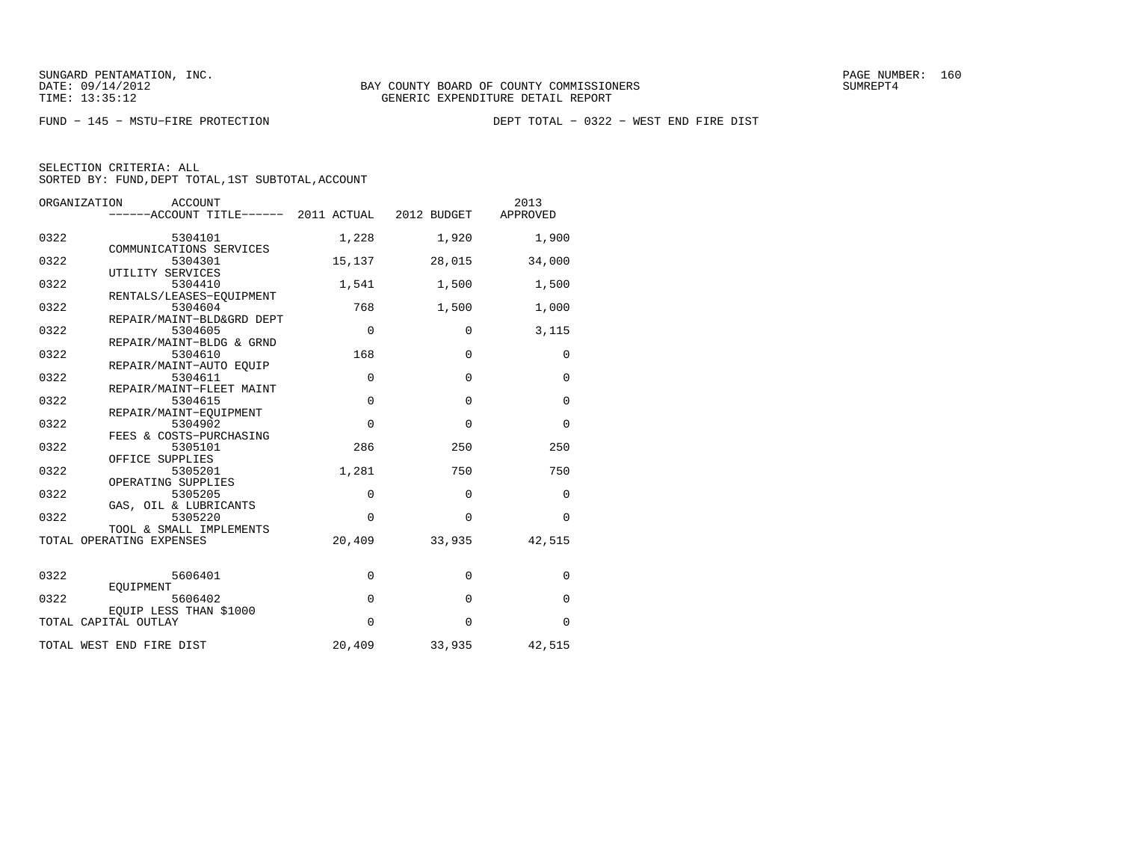| ORGANIZATION<br><b>ACCOUNT</b>                         | ------ACCOUNT TITLE------ 2011 ACTUAL 2012 BUDGET |              | 2013<br>APPROVED |
|--------------------------------------------------------|---------------------------------------------------|--------------|------------------|
| 0322<br>5304101<br>COMMUNICATIONS SERVICES             | 1,228                                             | 1,920        | 1,900            |
| 0322<br>5304301<br>UTILITY SERVICES                    | 15,137                                            | 28,015       | 34,000           |
| 0322<br>5304410<br>RENTALS/LEASES-EOUIPMENT            | 1,541                                             | 1,500        | 1,500            |
| 0322<br>5304604<br>REPAIR/MAINT-BLD&GRD DEPT           | 768                                               | 1,500        | 1,000            |
| 0322<br>5304605<br>REPAIR/MAINT-BLDG & GRND            | $\mathbf 0$                                       | $\mathbf 0$  | 3,115            |
| 0322<br>5304610<br>REPAIR/MAINT-AUTO EOUIP             | 168                                               | $\mathbf{0}$ | $\mathbf 0$      |
| 0322<br>5304611<br>REPAIR/MAINT-FLEET MAINT            | $\mathbf 0$                                       | $\Omega$     | $\mathbf 0$      |
| 0322<br>5304615<br>REPAIR/MAINT-EQUIPMENT              | $\Omega$                                          | $\Omega$     | $\Omega$         |
| 0322<br>5304902<br>FEES & COSTS-PURCHASING             | $\Omega$                                          | $\Omega$     | $\Omega$         |
| 0322<br>5305101<br>OFFICE SUPPLIES                     | 286                                               | 250          | 250              |
| 0322<br>5305201<br>OPERATING SUPPLIES                  | 1,281                                             | 750          | 750              |
| 0322<br>5305205<br>GAS, OIL & LUBRICANTS               | $\mathbf 0$                                       | $\mathbf{0}$ | $\Omega$         |
| 0322<br>5305220<br>TOOL & SMALL IMPLEMENTS             | $\Omega$                                          | $\Omega$     | $\Omega$         |
| TOTAL OPERATING EXPENSES                               | 20,409                                            | 33,935       | 42,515           |
| 0322<br>5606401                                        | $\mathbf 0$                                       | $\mathbf{0}$ | $\mathbf 0$      |
| EOUIPMENT<br>0322<br>5606402<br>EOUIP LESS THAN \$1000 | $\mathbf 0$                                       | $\mathbf 0$  | $\Omega$         |
| TOTAL CAPITAL OUTLAY                                   | $\Omega$                                          | $\Omega$     | $\Omega$         |
| TOTAL WEST END FIRE DIST                               | 20,409                                            | 33,935       | 42,515           |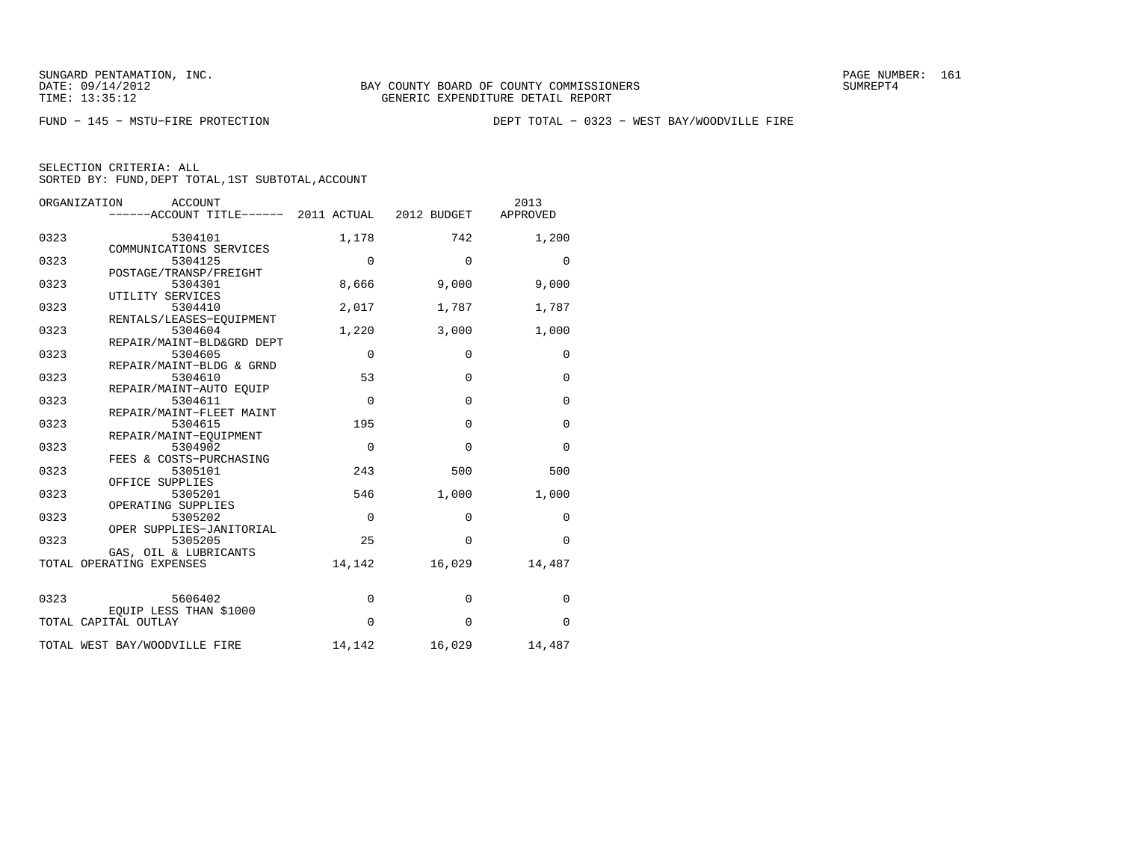FUND − 145 − MSTU−FIRE PROTECTION DEPT TOTAL − 0323 − WEST BAY/WOODVILLE FIRE

|      | ORGANIZATION<br>ACCOUNT<br>------ACCOUNT TITLE------ 2011 ACTUAL 2012 BUDGET |             |                | 2013<br>APPROVED |
|------|------------------------------------------------------------------------------|-------------|----------------|------------------|
| 0323 | 5304101<br>COMMUNICATIONS SERVICES                                           | 1,178       | 742            | 1,200            |
| 0323 | 5304125<br>POSTAGE/TRANSP/FREIGHT                                            | $\mathbf 0$ | $\Omega$       | $\Omega$         |
| 0323 | 5304301                                                                      | 8,666       | 9,000          | 9,000            |
| 0323 | UTILITY SERVICES<br>5304410                                                  | 2,017       | 1,787          | 1,787            |
| 0323 | RENTALS/LEASES-EQUIPMENT<br>5304604                                          | 1,220       | 3,000          | 1,000            |
| 0323 | REPAIR/MAINT-BLD&GRD DEPT<br>5304605                                         | $\mathbf 0$ | $\mathbf 0$    | 0                |
| 0323 | REPAIR/MAINT-BLDG & GRND<br>5304610                                          | 53          | $\Omega$       | $\Omega$         |
| 0323 | REPAIR/MAINT-AUTO EOUIP<br>5304611                                           | $\Omega$    | $\Omega$       | $\Omega$         |
| 0323 | REPAIR/MAINT-FLEET MAINT<br>5304615                                          | 195         | $\mathbf 0$    | $\Omega$         |
| 0323 | REPAIR/MAINT-EOUIPMENT<br>5304902                                            | $\mathbf 0$ | $\overline{0}$ | $\mathbf 0$      |
| 0323 | FEES & COSTS-PURCHASING<br>5305101                                           | 243         | 500            | 500              |
| 0323 | OFFICE SUPPLIES<br>5305201                                                   | 546         | 1,000          | 1,000            |
| 0323 | OPERATING SUPPLIES<br>5305202                                                | $\Omega$    | $\Omega$       | $\Omega$         |
| 0323 | OPER SUPPLIES-JANITORIAL<br>5305205                                          | 25          | $\Omega$       | $\Omega$         |
|      | GAS, OIL & LUBRICANTS<br>TOTAL OPERATING EXPENSES                            | 14,142      | 16,029         | 14,487           |
|      |                                                                              |             |                |                  |
| 0323 | 5606402<br>EOUIP LESS THAN \$1000                                            | $\mathbf 0$ | $\mathbf{0}$   | $\Omega$         |
|      | TOTAL CAPITAL OUTLAY                                                         | $\Omega$    | $\Omega$       | $\mathbf 0$      |
|      | TOTAL WEST BAY/WOODVILLE FIRE                                                | 14,142      | 16,029         | 14,487           |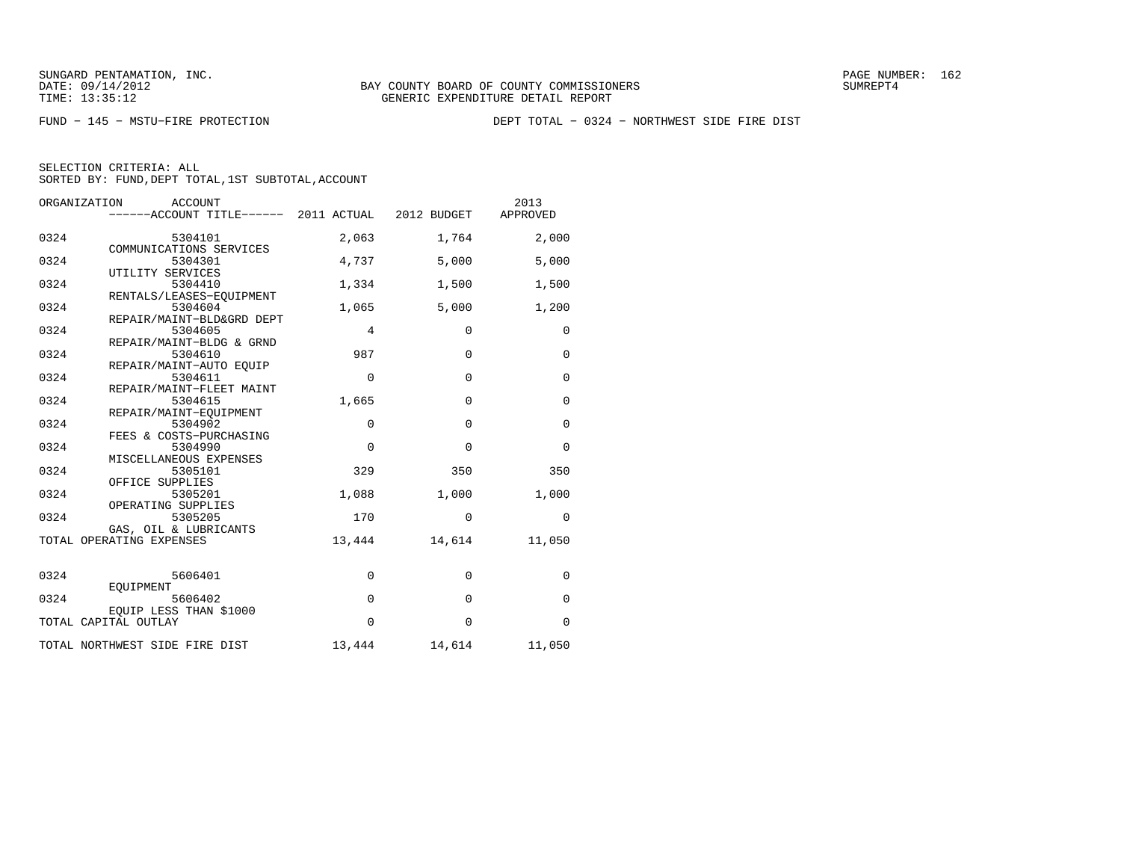FUND − 145 − MSTU−FIRE PROTECTION DEPT TOTAL − 0324 − NORTHWEST SIDE FIRE DIST

|      | ORGANIZATION<br><b>ACCOUNT</b><br>------ACCOUNT TITLE------ 2011 ACTUAL 2012 BUDGET |             |               | 2013<br>APPROVED |
|------|-------------------------------------------------------------------------------------|-------------|---------------|------------------|
| 0324 | 5304101<br>COMMUNICATIONS SERVICES                                                  | 2,063       | 1,764         | 2,000            |
| 0324 | 5304301                                                                             | 4,737       | 5,000         | 5,000            |
| 0324 | UTILITY SERVICES<br>5304410                                                         | 1,334       | 1,500         | 1,500            |
| 0324 | RENTALS/LEASES-EQUIPMENT<br>5304604                                                 | 1,065       | 5,000         | 1,200            |
| 0324 | REPAIR/MAINT-BLD&GRD DEPT<br>5304605                                                | 4           | $\mathbf 0$   | 0                |
| 0324 | REPAIR/MAINT-BLDG & GRND<br>5304610                                                 | 987         | $\mathbf{0}$  | $\mathbf 0$      |
| 0324 | REPAIR/MAINT-AUTO EOUIP<br>5304611                                                  | $\mathbf 0$ | $\Omega$      | $\mathbf 0$      |
| 0324 | REPAIR/MAINT-FLEET MAINT<br>5304615                                                 | 1,665       | $\mathbf 0$   | $\mathbf 0$      |
| 0324 | REPAIR/MAINT-EQUIPMENT<br>5304902                                                   | $\mathbf 0$ | $\Omega$      | $\mathbf 0$      |
| 0324 | FEES & COSTS-PURCHASING<br>5304990                                                  | $\mathbf 0$ | $\mathbf 0$   | $\mathbf 0$      |
| 0324 | MISCELLANEOUS EXPENSES<br>5305101                                                   | 329         | 350           | 350              |
| 0324 | OFFICE SUPPLIES<br>5305201                                                          | 1,088       | 1,000         | 1,000            |
| 0324 | OPERATING SUPPLIES<br>5305205                                                       | 170         | $\Omega$      | $\Omega$         |
|      | GAS, OIL & LUBRICANTS<br>TOTAL OPERATING EXPENSES                                   | 13,444      | 14,614        | 11,050           |
| 0324 | 5606401                                                                             | 0           | $\mathbf{0}$  | 0                |
| 0324 | EOUIPMENT<br>5606402                                                                | $\mathbf 0$ | $\mathbf 0$   | $\mathbf 0$      |
|      | EOUIP LESS THAN \$1000<br>TOTAL CAPITAL OUTLAY                                      | 0           | $\Omega$      | 0                |
|      | TOTAL NORTHWEST SIDE FIRE DIST                                                      |             | 13,444 14,614 | 11,050           |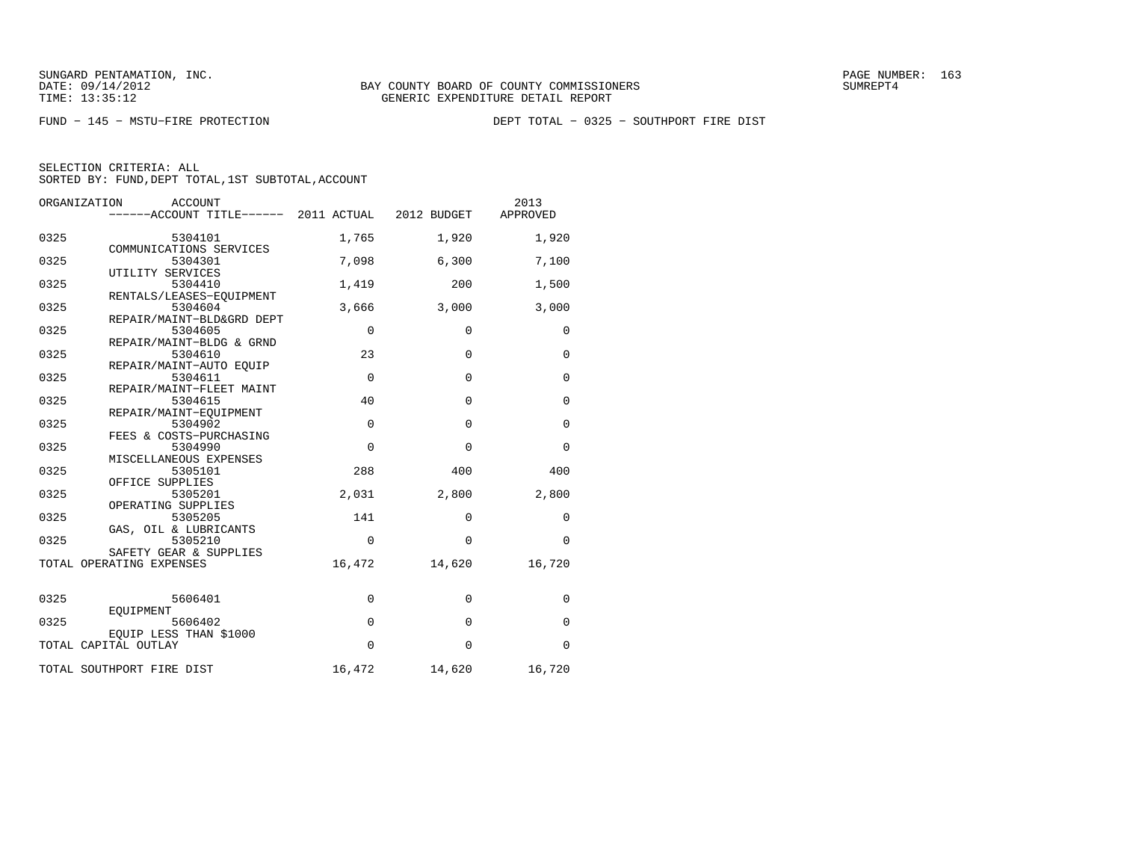FUND − 145 − MSTU−FIRE PROTECTION DEPT TOTAL − 0325 − SOUTHPORT FIRE DIST

| SELECTION CRITERIA: ALL                            |  |  |
|----------------------------------------------------|--|--|
| SORTED BY: FUND, DEPT TOTAL, 1ST SUBTOTAL, ACCOUNT |  |  |

| ORGANIZATION | <b>ACCOUNT</b><br>------ACCOUNT TITLE------ 2011 ACTUAL 2012 BUDGET |             |              | 2013<br>APPROVED |
|--------------|---------------------------------------------------------------------|-------------|--------------|------------------|
| 0325         | 5304101<br>COMMUNICATIONS SERVICES                                  | 1,765       | 1,920        | 1,920            |
| 0325         | 5304301                                                             | 7,098       | 6,300        | 7,100            |
| 0325         | UTILITY SERVICES<br>5304410                                         | 1,419       | 200          | 1,500            |
| 0325         | RENTALS/LEASES-EQUIPMENT<br>5304604                                 | 3,666       | 3,000        | 3,000            |
| 0325         | REPAIR/MAINT-BLD&GRD DEPT<br>5304605                                | $\mathbf 0$ | $\mathbf{0}$ | $\mathbf 0$      |
| 0325         | REPAIR/MAINT-BLDG & GRND<br>5304610                                 | 23          | $\Omega$     | $\mathbf 0$      |
| 0325         | REPAIR/MAINT-AUTO EOUIP<br>5304611                                  | $\mathbf 0$ | 0            | $\mathbf 0$      |
| 0325         | REPAIR/MAINT-FLEET MAINT<br>5304615                                 | 40          | 0            | $\mathbf 0$      |
| 0325         | REPAIR/MAINT-EOUIPMENT<br>5304902                                   | $\mathbf 0$ | $\mathbf 0$  | $\mathbf 0$      |
| 0325         | FEES & COSTS-PURCHASING<br>5304990                                  | $\mathbf 0$ | $\mathbf 0$  | $\Omega$         |
| 0325         | MISCELLANEOUS EXPENSES<br>5305101                                   | 288         | 400          | 400              |
| 0325         | OFFICE SUPPLIES<br>5305201                                          | 2,031       | 2,800        | 2,800            |
| 0325         | OPERATING SUPPLIES<br>5305205                                       | 141         | $\mathbf 0$  | $\mathbf 0$      |
| 0325         | GAS, OIL & LUBRICANTS<br>5305210                                    | $\mathbf 0$ | $\mathbf 0$  | $\mathbf 0$      |
|              | SAFETY GEAR & SUPPLIES<br>TOTAL OPERATING EXPENSES                  | 16,472      | 14,620       | 16,720           |
| 0325         | 5606401                                                             | $\mathbf 0$ | $\mathbf 0$  | 0                |
| 0325         | EOUIPMENT<br>5606402                                                | $\mathbf 0$ | $\mathbf 0$  | $\mathbf 0$      |
|              | EQUIP LESS THAN \$1000<br>TOTAL CAPITAL OUTLAY                      | $\Omega$    | $\Omega$     | $\Omega$         |
|              | TOTAL SOUTHPORT FIRE DIST                                           | 16,472      | 14,620       | 16,720           |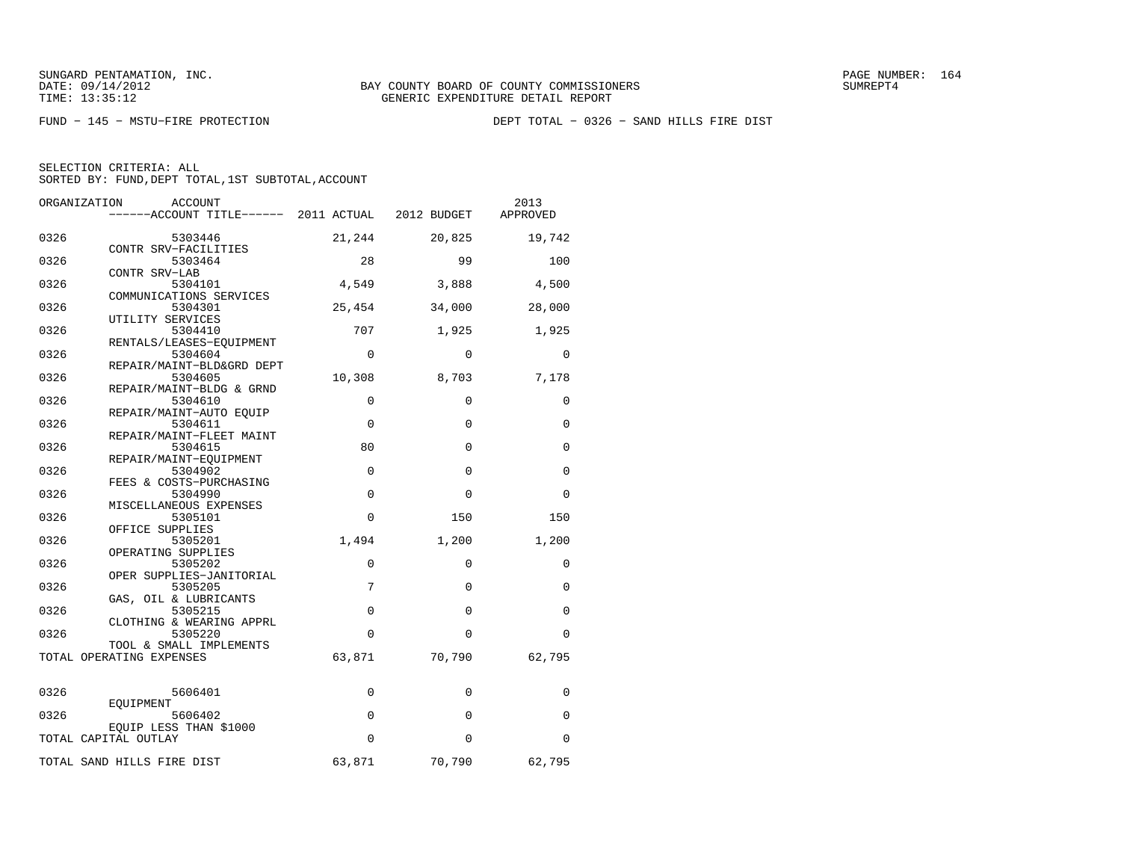FUND − 145 − MSTU−FIRE PROTECTION DEPT TOTAL − 0326 − SAND HILLS FIRE DIST

| SELECTION CRITERIA: ALL                            |
|----------------------------------------------------|
| SORTED BY: FUND, DEPT TOTAL, 1ST SUBTOTAL, ACCOUNT |

|      | ORGANIZATION<br>ACCOUNT                             |             |             | 2013        |
|------|-----------------------------------------------------|-------------|-------------|-------------|
|      | ------ACCOUNT TITLE------ 2011 ACTUAL 2012 BUDGET   |             |             | APPROVED    |
| 0326 | 5303446<br>CONTR SRV-FACILITIES                     | 21,244      | 20,825      | 19,742      |
| 0326 | 5303464                                             | 28          | 99          | 100         |
| 0326 | CONTR SRV-LAB<br>5304101                            | 4,549       | 3,888       | 4,500       |
| 0326 | COMMUNICATIONS SERVICES<br>5304301                  | 25,454      | 34,000      | 28,000      |
| 0326 | UTILITY SERVICES<br>5304410                         | 707         | 1,925       | 1,925       |
| 0326 | RENTALS/LEASES-EQUIPMENT<br>5304604                 | 0           | 0           | 0           |
| 0326 | REPAIR/MAINT-BLD&GRD DEPT<br>5304605                | 10,308      | 8,703       | 7,178       |
| 0326 | REPAIR/MAINT-BLDG & GRND<br>5304610                 | $\Omega$    | 0           | $\Omega$    |
| 0326 | REPAIR/MAINT-AUTO EOUIP<br>5304611                  | $\mathbf 0$ | 0           | 0           |
| 0326 | REPAIR/MAINT-FLEET MAINT<br>5304615                 | 80          | $\mathbf 0$ | 0           |
| 0326 | REPAIR/MAINT-EOUIPMENT<br>5304902                   | $\mathbf 0$ | $\mathbf 0$ | 0           |
| 0326 | FEES & COSTS-PURCHASING<br>5304990                  | $\mathbf 0$ | $\mathbf 0$ | $\mathbf 0$ |
| 0326 | MISCELLANEOUS EXPENSES<br>5305101                   | $\mathbf 0$ | 150         | 150         |
| 0326 | OFFICE SUPPLIES<br>5305201                          | 1,494       | 1,200       | 1,200       |
| 0326 | OPERATING SUPPLIES<br>5305202                       | $\Omega$    | $\Omega$    | $\Omega$    |
| 0326 | OPER SUPPLIES-JANITORIAL<br>5305205                 | 7           | $\Omega$    | $\Omega$    |
| 0326 | GAS, OIL & LUBRICANTS<br>5305215                    | $\Omega$    | $\Omega$    | $\Omega$    |
| 0326 | CLOTHING & WEARING APPRL<br>5305220                 | $\Omega$    | $\Omega$    | $\Omega$    |
|      | TOOL & SMALL IMPLEMENTS<br>TOTAL OPERATING EXPENSES | 63,871      | 70,790      | 62,795      |
|      |                                                     |             |             |             |
| 0326 | 5606401                                             | 0           | 0           | 0           |
| 0326 | EOUIPMENT<br>5606402                                | $\mathbf 0$ | 0           | 0           |
|      | EQUIP LESS THAN \$1000<br>TOTAL CAPITAL OUTLAY      | $\Omega$    | $\Omega$    | 0           |
|      | TOTAL SAND HILLS FIRE DIST                          | 63,871      | 70,790      | 62,795      |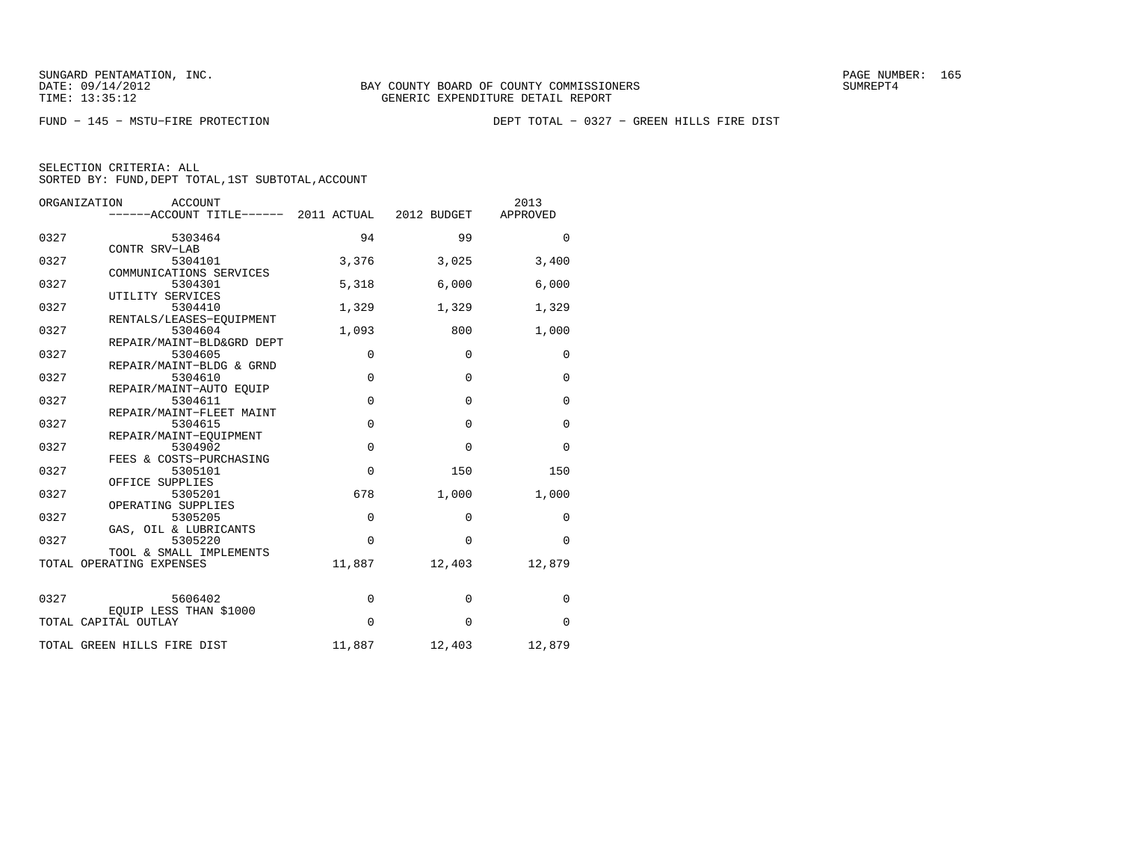FUND − 145 − MSTU−FIRE PROTECTION DEPT TOTAL − 0327 − GREEN HILLS FIRE DIST

| APPROVED<br>$\Omega$<br>3,400<br>6,000<br>1,329<br>1,000<br>$\mathbf 0$<br>$\mathbf 0$ |
|----------------------------------------------------------------------------------------|
|                                                                                        |
|                                                                                        |
|                                                                                        |
|                                                                                        |
|                                                                                        |
|                                                                                        |
|                                                                                        |
|                                                                                        |
|                                                                                        |
| $\Omega$                                                                               |
| $\Omega$                                                                               |
|                                                                                        |
| $\mathbf 0$                                                                            |
| 150                                                                                    |
| 1,000                                                                                  |
| $\Omega$                                                                               |
| $\Omega$                                                                               |
| 12,879                                                                                 |
|                                                                                        |
| $\Omega$                                                                               |
| $\mathbf 0$                                                                            |
| 12,879                                                                                 |
|                                                                                        |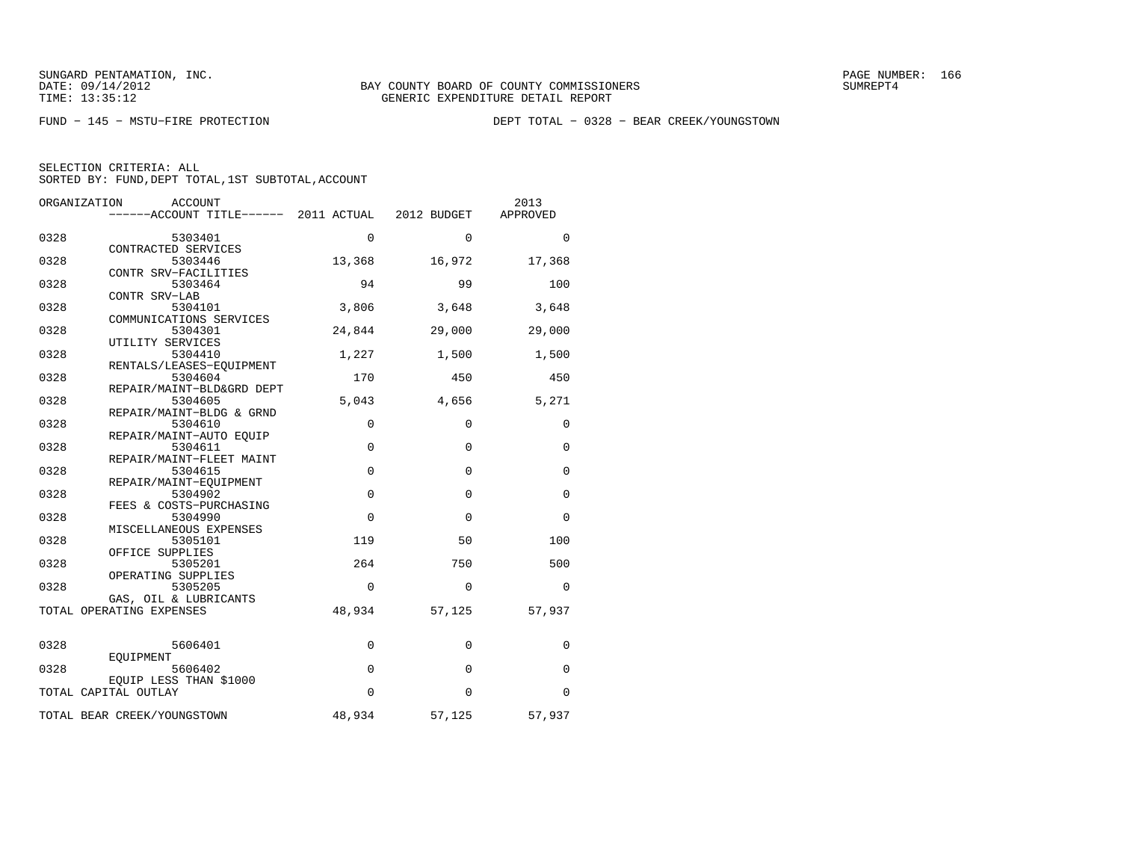FUND − 145 − MSTU−FIRE PROTECTION DEPT TOTAL − 0328 − BEAR CREEK/YOUNGSTOWN

|  | SELECTION CRITERIA: ALL                            |  |  |
|--|----------------------------------------------------|--|--|
|  | SORTED BY: FUND, DEPT TOTAL, 1ST SUBTOTAL, ACCOUNT |  |  |

|      | ORGANIZATION<br><b>ACCOUNT</b>                         |             |              | 2013        |
|------|--------------------------------------------------------|-------------|--------------|-------------|
|      | ------ACCOUNT TITLE------ 2011 ACTUAL                  |             | 2012 BUDGET  | APPROVED    |
| 0328 | 5303401                                                | $\Omega$    | $\Omega$     | $\Omega$    |
| 0328 | CONTRACTED SERVICES<br>5303446<br>CONTR SRV-FACILITIES | 13,368      | 16,972       | 17,368      |
| 0328 | 5303464<br>CONTR SRV-LAB                               | 94          | 99           | 100         |
| 0328 | 5304101<br>COMMUNICATIONS SERVICES                     | 3,806       | 3,648        | 3,648       |
| 0328 | 5304301<br>UTILITY SERVICES                            | 24,844      | 29,000       | 29,000      |
| 0328 | 5304410<br>RENTALS/LEASES-EQUIPMENT                    | 1,227       | 1,500        | 1,500       |
| 0328 | 5304604<br>REPAIR/MAINT-BLD&GRD DEPT                   | 170         | 450          | 450         |
| 0328 | 5304605<br>REPAIR/MAINT-BLDG & GRND                    | 5,043       | 4,656        | 5,271       |
| 0328 | 5304610<br>REPAIR/MAINT-AUTO EOUIP                     | 0           | 0            | 0           |
| 0328 | 5304611<br>REPAIR/MAINT-FLEET MAINT                    | $\mathbf 0$ | $\mathbf 0$  | 0           |
| 0328 | 5304615<br>REPAIR/MAINT-EQUIPMENT                      | $\mathbf 0$ | $\mathbf{0}$ | 0           |
| 0328 | 5304902<br>FEES & COSTS-PURCHASING                     | $\mathbf 0$ | $\mathbf 0$  | 0           |
| 0328 | 5304990<br>MISCELLANEOUS EXPENSES                      | $\mathbf 0$ | $\mathbf 0$  | 0           |
| 0328 | 5305101<br>OFFICE SUPPLIES                             | 119         | 50           | 100         |
| 0328 | 5305201<br>OPERATING SUPPLIES                          | 264         | 750          | 500         |
| 0328 | 5305205<br>GAS, OIL & LUBRICANTS                       | $\Omega$    | $\Omega$     | $\Omega$    |
|      | TOTAL OPERATING EXPENSES                               | 48,934      | 57,125       | 57,937      |
| 0328 | 5606401<br>EOUIPMENT                                   | 0           | 0            | 0           |
| 0328 | 5606402<br>EQUIP LESS THAN \$1000                      | $\mathbf 0$ | $\mathbf 0$  | $\mathbf 0$ |
|      | TOTAL CAPITAL OUTLAY                                   | $\Omega$    | $\mathbf 0$  | $\Omega$    |
|      | TOTAL BEAR CREEK/YOUNGSTOWN                            | 48,934      | 57,125       | 57,937      |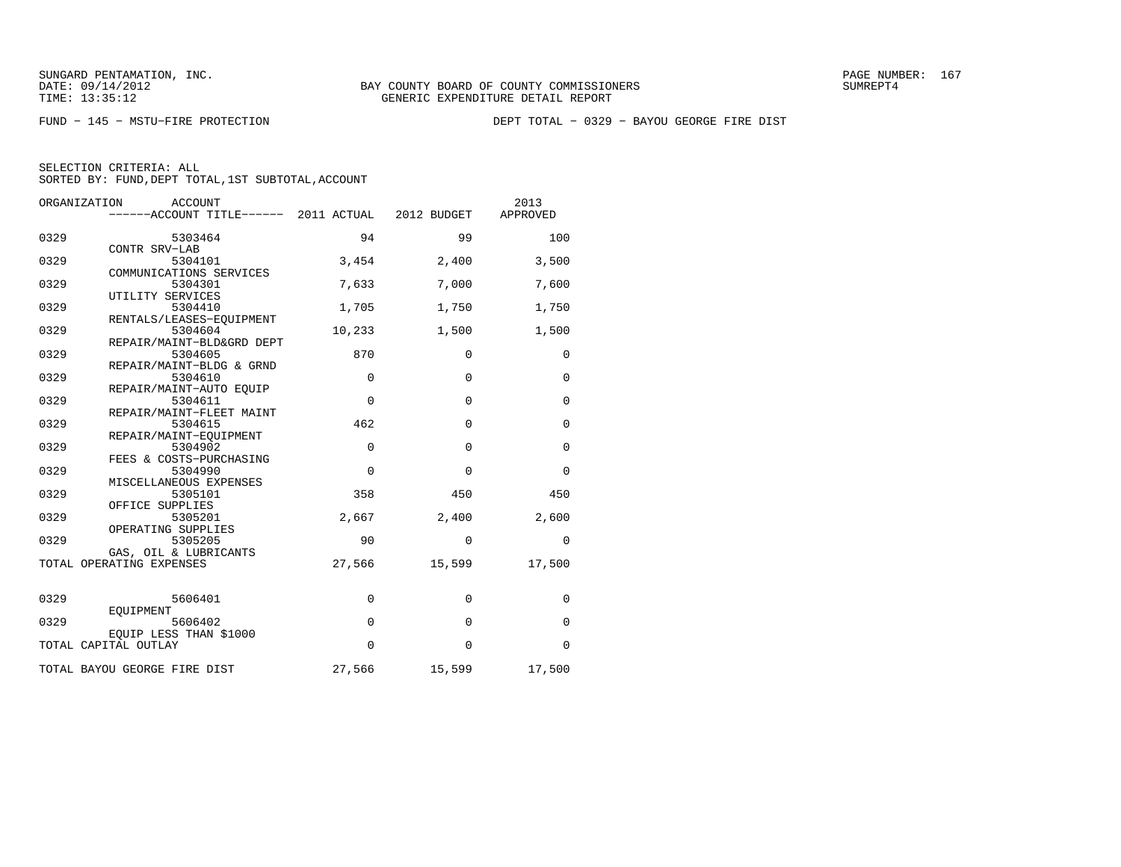FUND − 145 − MSTU−FIRE PROTECTION DEPT TOTAL − 0329 − BAYOU GEORGE FIRE DIST

| ORGANIZATION | <b>ACCOUNT</b><br>------ACCOUNT TITLE------ 2011 ACTUAL 2012 BUDGET |             |              | 2013<br>APPROVED |
|--------------|---------------------------------------------------------------------|-------------|--------------|------------------|
| 0329         | 5303464                                                             | 94          | 99           | 100              |
|              | CONTR SRV-LAB                                                       |             |              |                  |
| 0329         | 5304101<br>COMMUNICATIONS SERVICES                                  | 3,454       | 2,400        | 3,500            |
| 0329         | 5304301                                                             | 7,633       | 7,000        | 7,600            |
|              | UTILITY SERVICES                                                    |             |              |                  |
| 0329         | 5304410<br>RENTALS/LEASES-EQUIPMENT                                 | 1,705       | 1,750        | 1,750            |
| 0329         | 5304604                                                             | 10,233      | 1,500        | 1,500            |
|              | REPAIR/MAINT-BLD&GRD DEPT                                           |             |              |                  |
| 0329         | 5304605<br>REPAIR/MAINT-BLDG & GRND                                 | 870         | $\Omega$     | $\Omega$         |
| 0329         | 5304610                                                             | $\mathbf 0$ | $\Omega$     | $\mathbf 0$      |
|              | REPAIR/MAINT-AUTO EQUIP                                             |             |              |                  |
| 0329         | 5304611                                                             | $\mathbf 0$ | $\Omega$     | $\mathbf 0$      |
| 0329         | REPAIR/MAINT-FLEET MAINT<br>5304615                                 | 462         | $\Omega$     | $\mathbf 0$      |
|              | REPAIR/MAINT-EOUIPMENT                                              |             |              |                  |
| 0329         | 5304902                                                             | $\Omega$    | $\Omega$     | $\Omega$         |
| 0329         | FEES & COSTS-PURCHASING<br>5304990                                  | 0           | $\mathbf 0$  | $\mathbf 0$      |
|              | MISCELLANEOUS EXPENSES                                              |             |              |                  |
| 0329         | 5305101                                                             | 358         | 450          | 450              |
| 0329         | OFFICE SUPPLIES<br>5305201                                          | 2,667       | 2,400        | 2,600            |
|              | OPERATING SUPPLIES                                                  |             |              |                  |
| 0329         | 5305205                                                             | 90          | $\Omega$     | $\mathbf 0$      |
|              | GAS, OIL & LUBRICANTS<br>TOTAL OPERATING EXPENSES                   | 27,566      | 15,599       | 17,500           |
|              |                                                                     |             |              |                  |
|              |                                                                     |             |              |                  |
| 0329         | 5606401<br>EOUIPMENT                                                | $\mathbf 0$ | $\mathbf 0$  | $\mathbf 0$      |
| 0329         | 5606402                                                             | $\mathsf 0$ | $\mathbf{0}$ | $\mathbf 0$      |
|              | EOUIP LESS THAN \$1000                                              |             |              |                  |
|              | TOTAL CAPITAL OUTLAY                                                | $\Omega$    | $\Omega$     | $\Omega$         |
|              | TOTAL BAYOU GEORGE FIRE DIST                                        | 27,566      | 15,599       | 17,500           |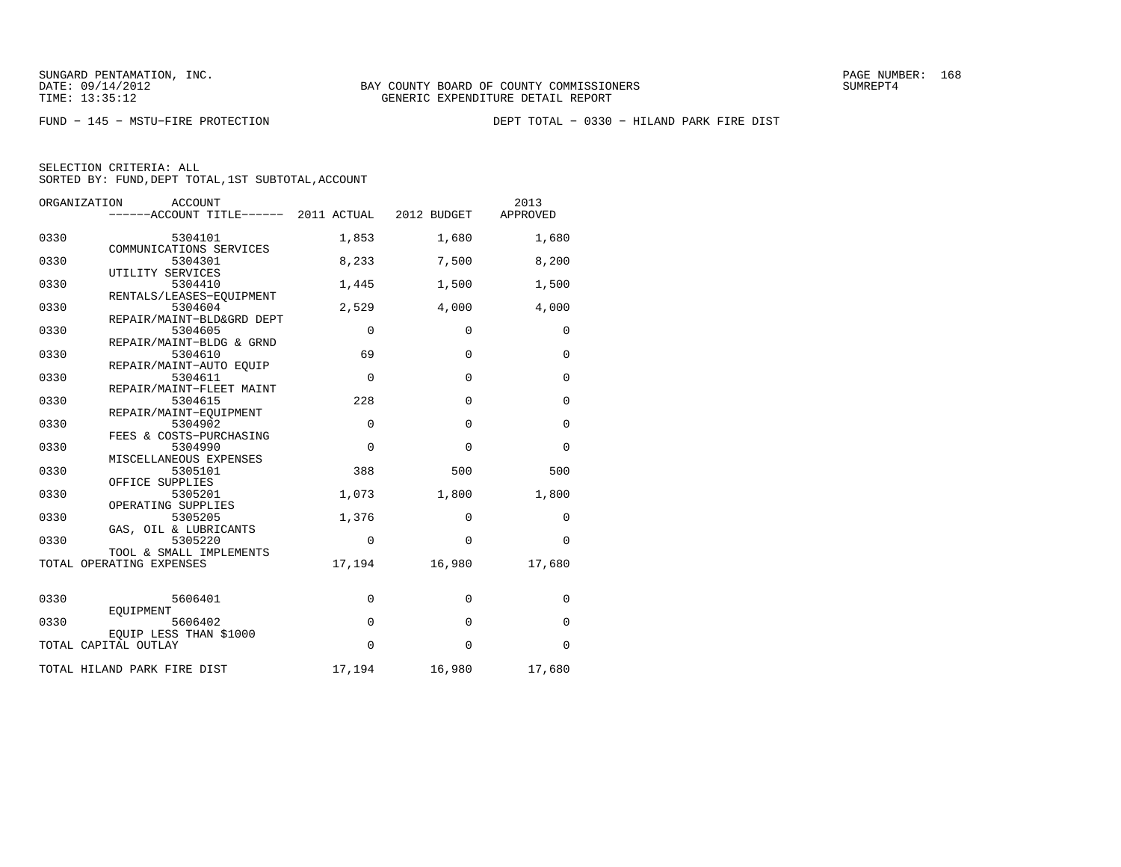FUND − 145 − MSTU−FIRE PROTECTION DEPT TOTAL − 0330 − HILAND PARK FIRE DIST

| ORGANIZATION         | <b>ACCOUNT</b><br>------ACCOUNT TITLE------ 2011 ACTUAL 2012 BUDGET |             |             | 2013<br>APPROVED |
|----------------------|---------------------------------------------------------------------|-------------|-------------|------------------|
| 0330                 | 5304101<br>COMMUNICATIONS SERVICES                                  | 1,853       | 1,680       | 1,680            |
| 0330                 | 5304301                                                             | 8,233       | 7,500       | 8,200            |
| 0330                 | UTILITY SERVICES<br>5304410                                         | 1,445       | 1,500       | 1,500            |
| 0330                 | RENTALS/LEASES-EOUIPMENT<br>5304604                                 | 2,529       | 4,000       | 4,000            |
| 0330                 | REPAIR/MAINT-BLD&GRD DEPT<br>5304605                                | $\mathbf 0$ | $\mathbf 0$ | $\mathbf 0$      |
| 0330                 | REPAIR/MAINT-BLDG & GRND<br>5304610                                 | 69          | $\Omega$    | $\Omega$         |
| 0330                 | REPAIR/MAINT-AUTO EOUIP<br>5304611                                  | $\mathbf 0$ | $\mathbf 0$ | $\mathbf 0$      |
| 0330                 | REPAIR/MAINT-FLEET MAINT<br>5304615                                 | 228         | $\mathbf 0$ | $\mathbf 0$      |
| 0330                 | REPAIR/MAINT-EQUIPMENT<br>5304902                                   | $\mathbf 0$ | $\Omega$    | $\mathbf 0$      |
| 0330                 | FEES & COSTS-PURCHASING<br>5304990                                  | $\Omega$    | $\Omega$    | $\Omega$         |
| 0330                 | MISCELLANEOUS EXPENSES<br>5305101                                   | 388         | 500         | 500              |
| 0330                 | OFFICE SUPPLIES<br>5305201                                          | 1,073       | 1,800       | 1,800            |
|                      | OPERATING SUPPLIES                                                  |             |             |                  |
| 0330                 | 5305205<br>GAS, OIL & LUBRICANTS                                    | 1,376       | 0           | 0                |
| 0330                 | 5305220<br>TOOL & SMALL IMPLEMENTS                                  | $\mathbf 0$ | $\mathbf 0$ | $\Omega$         |
|                      | TOTAL OPERATING EXPENSES                                            | 17,194      | 16,980      | 17,680           |
| 0330                 | 5606401                                                             | $\mathbf 0$ | $\mathbf 0$ | $\mathbf 0$      |
| 0330                 | EOUIPMENT<br>5606402                                                | $\mathsf 0$ | $\mathbf 0$ | $\mathbf 0$      |
| TOTAL CAPITAL OUTLAY | EOUIP LESS THAN \$1000                                              | $\Omega$    | $\Omega$    | $\Omega$         |
|                      | TOTAL HILAND PARK FIRE DIST                                         | 17,194      | 16,980      | 17,680           |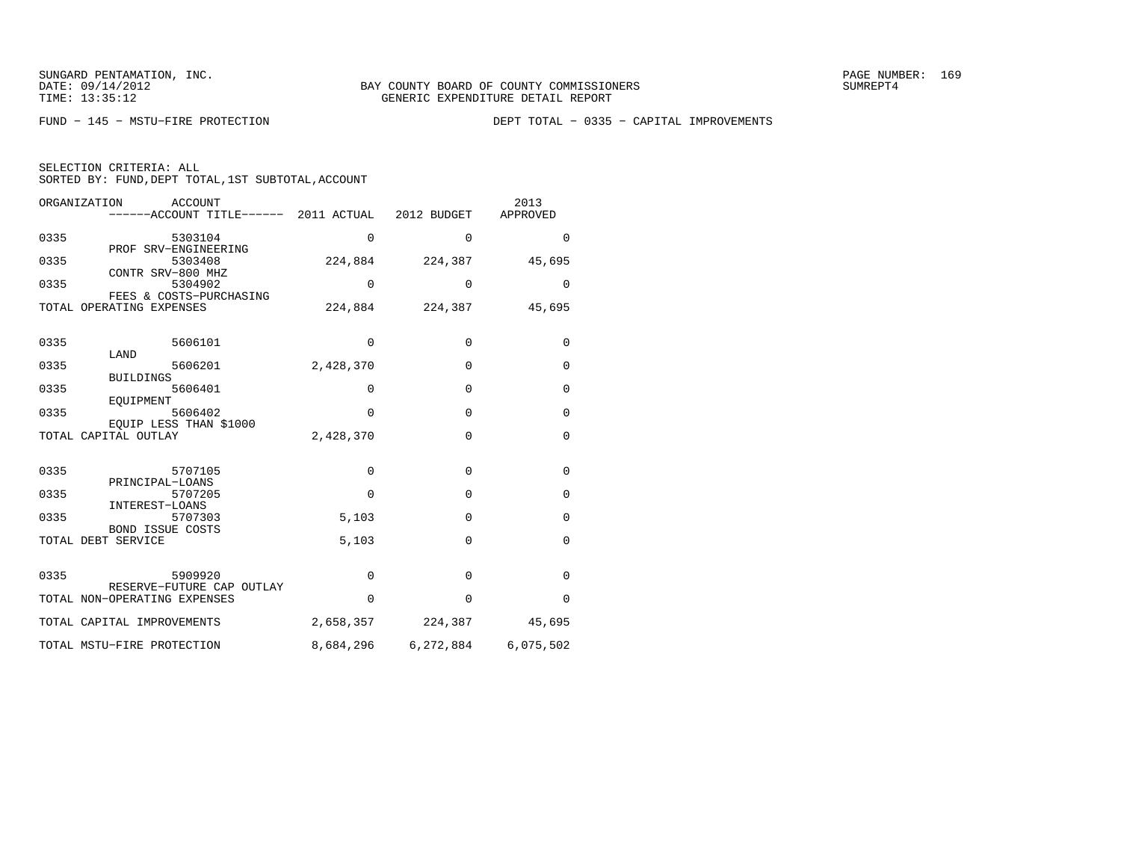| SELECTION CRITERIA: ALL |  |  |                                                    |  |
|-------------------------|--|--|----------------------------------------------------|--|
|                         |  |  | SORTED BY: FUND, DEPT TOTAL, 1ST SUBTOTAL, ACCOUNT |  |

|      | ORGANIZATION<br><b>ACCOUNT</b><br>------ACCOUNT TITLE------ 2011 ACTUAL 2012 BUDGET |             |             | 2013<br>APPROVED |
|------|-------------------------------------------------------------------------------------|-------------|-------------|------------------|
| 0335 | 5303104<br>PROF SRV-ENGINEERING                                                     | $\Omega$    | $\Omega$    | $\Omega$         |
| 0335 | 5303408<br>CONTR SRV-800 MHZ                                                        | 224,884     | 224,387     | 45,695           |
| 0335 | 5304902<br>FEES & COSTS-PURCHASING                                                  | $\Omega$    | $\mathbf 0$ | 0                |
|      | TOTAL OPERATING EXPENSES                                                            | 224,884     | 224,387     | 45,695           |
| 0335 | 5606101<br>LAND                                                                     | $\mathbf 0$ | $\mathbf 0$ | $\mathbf 0$      |
| 0335 | 5606201<br><b>BUILDINGS</b>                                                         | 2,428,370   | $\mathbf 0$ | $\mathbf 0$      |
| 0335 | 5606401<br>EOUIPMENT                                                                | 0           | $\Omega$    | $\mathbf 0$      |
| 0335 | 5606402<br>EOUIP LESS THAN \$1000                                                   | $\Omega$    | $\mathbf 0$ | $\mathbf 0$      |
|      | TOTAL CAPITAL OUTLAY                                                                | 2,428,370   | $\Omega$    | $\mathbf 0$      |
| 0335 | 5707105                                                                             | $\mathbf 0$ | $\mathbf 0$ | $\mathbf 0$      |
| 0335 | PRINCIPAL-LOANS<br>5707205                                                          | $\mathbf 0$ | $\mathbf 0$ | $\mathbf 0$      |
| 0335 | INTEREST-LOANS<br>5707303                                                           | 5,103       | $\mathbf 0$ | $\mathbf 0$      |
|      | <b>BOND ISSUE COSTS</b><br>TOTAL DEBT SERVICE                                       | 5,103       | $\Omega$    | $\Omega$         |
| 0335 | 5909920                                                                             | $\Omega$    | $\Omega$    | $\Omega$         |
|      | RESERVE-FUTURE CAP OUTLAY<br>TOTAL NON-OPERATING EXPENSES                           | $\Omega$    | $\Omega$    | $\Omega$         |
|      | TOTAL CAPITAL IMPROVEMENTS                                                          | 2,658,357   | 224,387     | 45,695           |
|      | TOTAL MSTU-FIRE PROTECTION                                                          | 8,684,296   | 6,272,884   | 6,075,502        |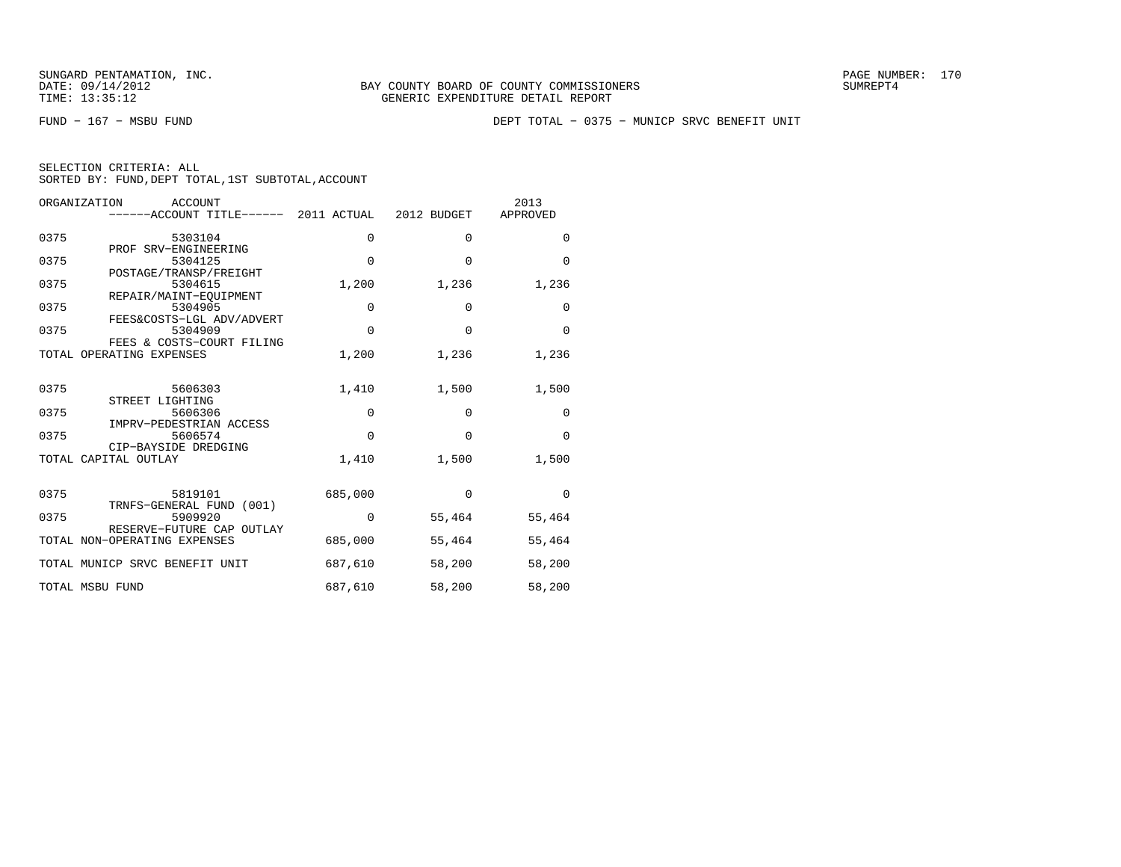FUND − 167 − MSBU FUND DEPT TOTAL − 0375 − MUNICP SRVC BENEFIT UNIT

| SELECTION CRITERIA: ALL |  |  |                                                    |  |
|-------------------------|--|--|----------------------------------------------------|--|
|                         |  |  | SORTED BY: FUND, DEPT TOTAL, 1ST SUBTOTAL, ACCOUNT |  |

|      | ORGANIZATION<br>ACCOUNT                                   |             |             | 2013     |
|------|-----------------------------------------------------------|-------------|-------------|----------|
|      | ------ACCOUNT TITLE------ 2011 ACTUAL 2012 BUDGET         |             |             | APPROVED |
| 0375 | 5303104<br>PROF SRV-ENGINEERING                           | $\mathbf 0$ | $\Omega$    | $\Omega$ |
| 0375 | 5304125                                                   | $\mathbf 0$ | $\Omega$    | $\Omega$ |
| 0375 | POSTAGE/TRANSP/FREIGHT<br>5304615                         | 1,200       | 1,236       | 1,236    |
| 0375 | REPAIR/MAINT-EOUIPMENT<br>5304905                         | 0           | $\mathbf 0$ | 0        |
| 0375 | FEES&COSTS-LGL ADV/ADVERT<br>5304909                      | $\Omega$    | $\Omega$    | $\Omega$ |
|      | FEES & COSTS-COURT FILING<br>TOTAL OPERATING EXPENSES     | 1,200       | 1,236       | 1,236    |
|      |                                                           |             |             |          |
| 0375 | 5606303<br>STREET LIGHTING                                | 1,410       | 1,500       | 1,500    |
| 0375 | 5606306<br>IMPRV-PEDESTRIAN ACCESS                        | $\mathbf 0$ | $\mathbf 0$ | $\Omega$ |
| 0375 | 5606574                                                   | $\Omega$    | $\Omega$    | $\Omega$ |
|      | CIP-BAYSIDE DREDGING<br>TOTAL CAPITAL OUTLAY              | 1,410       | 1,500       | 1,500    |
|      |                                                           |             |             |          |
| 0375 | 5819101<br>TRNFS-GENERAL FUND (001)                       | 685,000     | $\mathbf 0$ | $\Omega$ |
| 0375 | 5909920                                                   | $\Omega$    | 55,464      | 55,464   |
|      | RESERVE-FUTURE CAP OUTLAY<br>TOTAL NON-OPERATING EXPENSES | 685,000     | 55,464      | 55,464   |
|      | TOTAL MUNICP SRVC BENEFIT UNIT                            | 687,610     | 58,200      | 58,200   |
|      | TOTAL MSBU FUND                                           | 687,610     | 58,200      | 58,200   |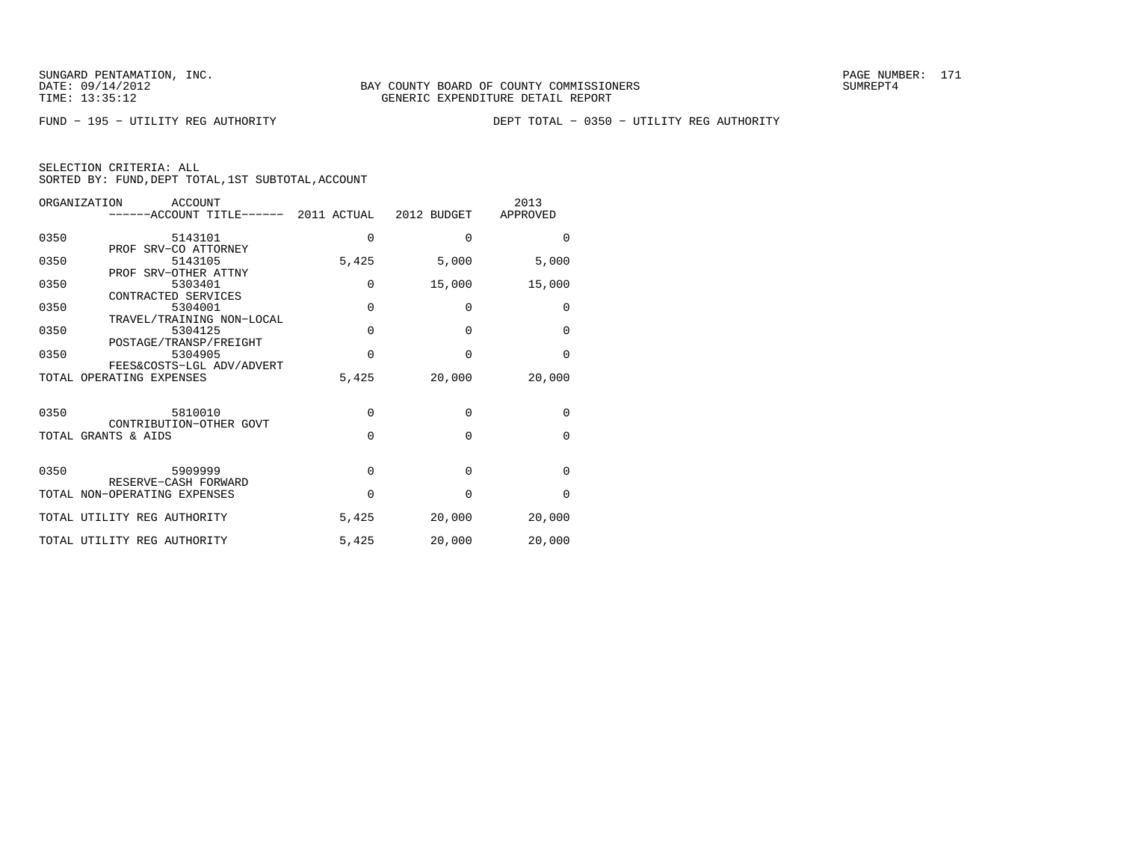FUND − 195 − UTILITY REG AUTHORITY DEPT TOTAL − 0350 − UTILITY REG AUTHORITY

|  | SELECTION CRITERIA: ALL                            |  |  |
|--|----------------------------------------------------|--|--|
|  | SORTED BY: FUND, DEPT TOTAL, 1ST SUBTOTAL, ACCOUNT |  |  |

|      | ORGANIZATION<br>ACCOUNT<br>------ACCOUNT TITLE------ 2011 ACTUAL 2012 BUDGET |             |             | 2013<br>APPROVED |
|------|------------------------------------------------------------------------------|-------------|-------------|------------------|
| 0350 | 5143101                                                                      | $\mathbf 0$ | $\mathbf 0$ | $\Omega$         |
| 0350 | PROF SRV-CO ATTORNEY<br>5143105                                              | 5,425       | 5,000       | 5,000            |
| 0350 | PROF SRV-OTHER ATTNY<br>5303401                                              | 0           | 15,000      | 15,000           |
| 0350 | CONTRACTED SERVICES<br>5304001                                               | $\mathbf 0$ | 0           | 0                |
| 0350 | TRAVEL/TRAINING NON-LOCAL<br>5304125                                         | $\Omega$    | $\Omega$    | $\mathbf 0$      |
| 0350 | POSTAGE/TRANSP/FREIGHT<br>5304905                                            | $\Omega$    | $\Omega$    | $\Omega$         |
|      | FEES&COSTS-LGL ADV/ADVERT<br>TOTAL OPERATING EXPENSES                        | 5,425       | 20,000      | 20,000           |
| 0350 | 5810010                                                                      | $\Omega$    | 0           | $\mathbf 0$      |
|      | CONTRIBUTION-OTHER GOVT<br>TOTAL GRANTS & AIDS                               | $\Omega$    | $\Omega$    | $\Omega$         |
|      |                                                                              |             |             |                  |
| 0350 | 5909999<br>RESERVE-CASH FORWARD                                              | 0           | $\Omega$    | $\Omega$         |
|      | TOTAL NON-OPERATING EXPENSES                                                 | 0           | 0           | $\mathbf 0$      |
|      | TOTAL UTILITY REG AUTHORITY                                                  | 5,425       | 20,000      | 20,000           |
|      | TOTAL UTILITY REG AUTHORITY                                                  | 5,425       | 20,000      | 20,000           |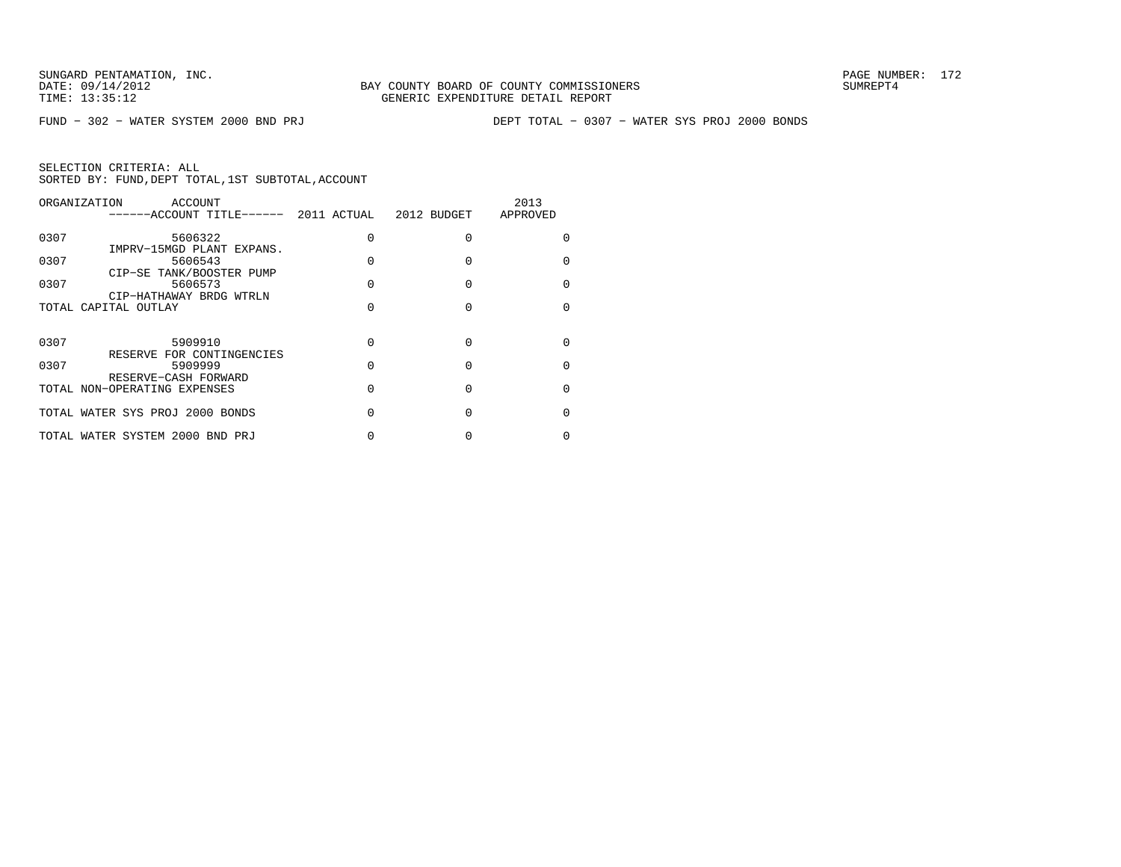FUND − 302 − WATER SYSTEM 2000 BND PRJ DEPT TOTAL − 0307 − WATER SYS PROJ 2000 BONDS

|      | ORGANIZATION<br>ACCOUNT<br>-----ACCOUNT TITLE------ 2011 ACTUAL 2012 BUDGET |   |   | 2013<br>APPROVED |
|------|-----------------------------------------------------------------------------|---|---|------------------|
| 0307 | 5606322<br>IMPRV-15MGD PLANT EXPANS.                                        | U | U | O                |
| 0307 | 5606543<br>CIP-SE TANK/BOOSTER PUMP                                         | U |   | U                |
| 0307 | 5606573<br>CIP-HATHAWAY BRDG WTRLN                                          | U | U | U                |
|      | TOTAL CAPITAL OUTLAY                                                        | U |   | U                |
| 0307 | 5909910                                                                     | U | U | U                |
| 0307 | RESERVE FOR CONTINGENCIES<br>5909999                                        | U |   | U                |
|      | RESERVE-CASH FORWARD<br>TOTAL NON-OPERATING EXPENSES                        | U | U | O                |
|      | TOTAL WATER SYS PROJ 2000 BONDS                                             | U |   | U                |
|      | TOTAL WATER SYSTEM 2000 BND PRJ                                             |   |   |                  |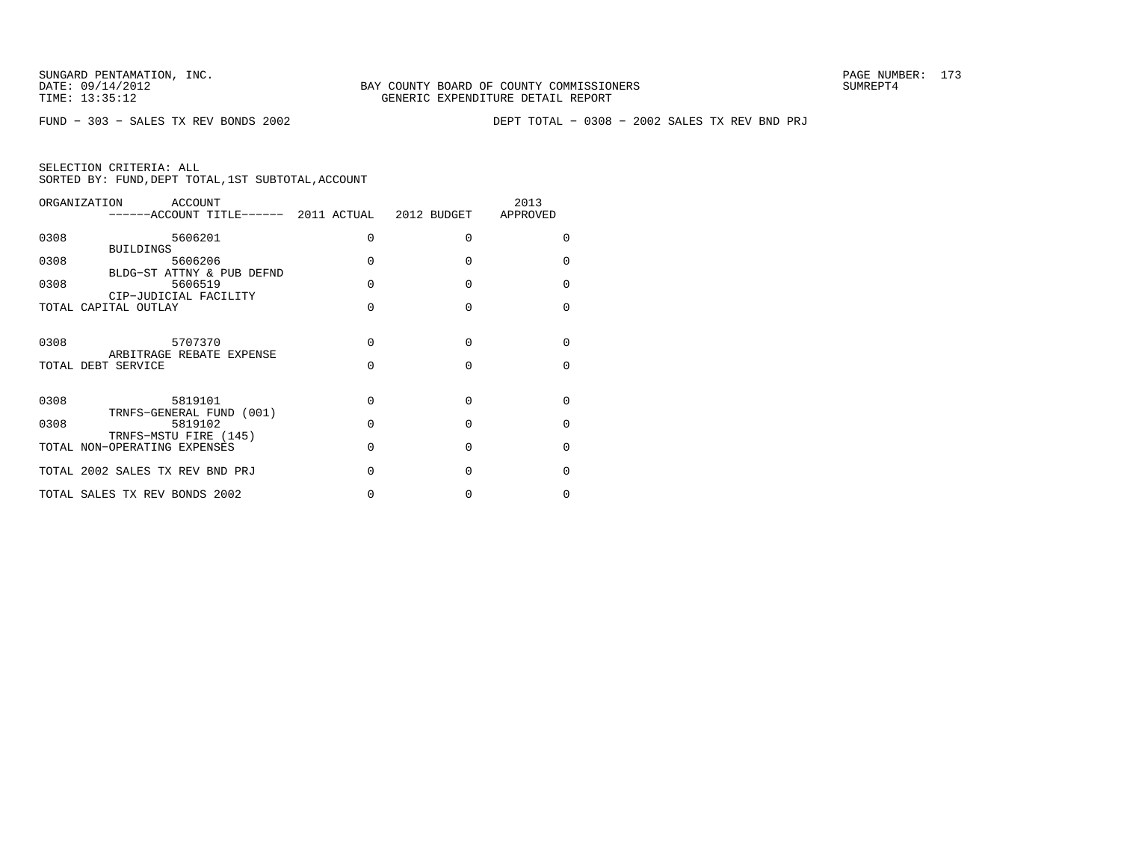FUND − 303 − SALES TX REV BONDS 2002 DEPT TOTAL − 0308 − 2002 SALES TX REV BND PRJ

| ORGANIZATION<br>ACCOUNT                      |   |          | 2013         |
|----------------------------------------------|---|----------|--------------|
| 0308<br>5606201<br><b>BUILDINGS</b>          | 0 | $\Omega$ | <sup>0</sup> |
| 0308<br>5606206<br>BLDG-ST ATTNY & PUB DEFND | O | U        | U            |
| 0308<br>5606519<br>CIP-JUDICIAL FACILITY     | 0 | $\Omega$ | $\Omega$     |
| TOTAL CAPITAL OUTLAY                         | U | $\Omega$ | <sup>n</sup> |
| 0308<br>5707370<br>ARBITRAGE REBATE EXPENSE  | O | U        | U            |
| TOTAL DEBT SERVICE                           | O | $\Omega$ | $\Omega$     |
| 0308<br>5819101<br>TRNFS-GENERAL FUND (001)  | O | $\Omega$ | U            |
| 0308<br>5819102<br>TRNFS-MSTU FIRE (145)     | O | $\Omega$ | <sup>0</sup> |
| TOTAL NON-OPERATING EXPENSES                 | O | $\Omega$ | <sup>0</sup> |
| TOTAL 2002 SALES TX REV BND PRJ              | O | U        | U            |
| TOTAL SALES TX REV BONDS 2002                |   | 0        | $\Omega$     |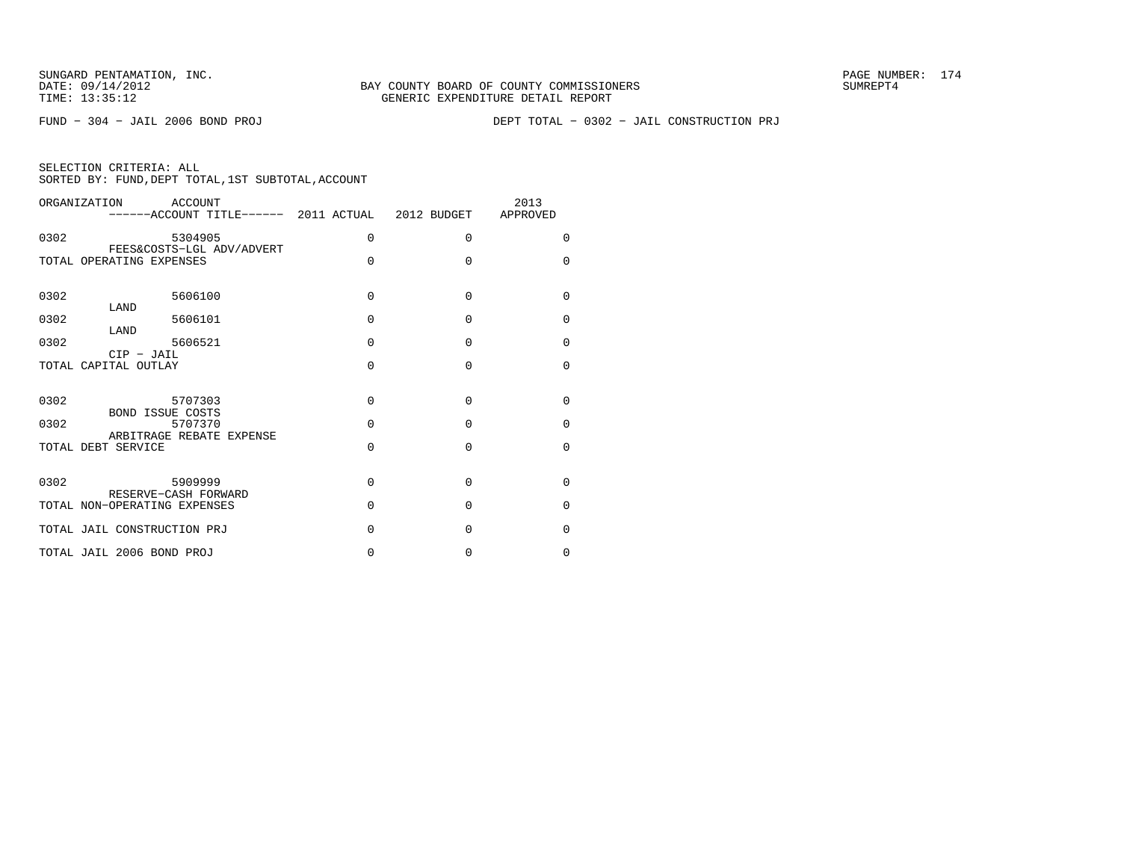FUND − 304 − JAIL 2006 BOND PROJ DEPT TOTAL − 0302 − JAIL CONSTRUCTION PRJ

| SELECTION CRITERIA: ALL |  |  |                                                    |  |
|-------------------------|--|--|----------------------------------------------------|--|
|                         |  |  | SORTED BY: FUND, DEPT TOTAL, 1ST SUBTOTAL, ACCOUNT |  |

| ORGANIZATION |                             | ACCOUNT<br>------ACCOUNT TITLE------ 2011 ACTUAL 2012 BUDGET APPROVED |          |          | 2013        |
|--------------|-----------------------------|-----------------------------------------------------------------------|----------|----------|-------------|
| 0302         |                             | 5304905<br>FEES&COSTS-LGL ADV/ADVERT                                  | $\Omega$ | $\Omega$ | $\Omega$    |
|              | TOTAL OPERATING EXPENSES    |                                                                       | $\Omega$ | $\Omega$ | $\Omega$    |
| 0302         | LAND                        | 5606100                                                               | $\Omega$ | $\Omega$ | $\mathbf 0$ |
| 0302         | LAND                        | 5606101                                                               | $\Omega$ | $\Omega$ | 0           |
| 0302         | 5606521<br>$CIP$ - JAIL     |                                                                       | $\Omega$ | $\Omega$ | $\Omega$    |
|              | TOTAL CAPITAL OUTLAY        |                                                                       | O        | O        | $\Omega$    |
| 0302         | BOND ISSUE COSTS            | 5707303                                                               | $\Omega$ | $\Omega$ | $\Omega$    |
| 0302         |                             | 5707370<br>ARBITRAGE REBATE EXPENSE                                   | $\Omega$ | $\Omega$ | $\mathbf 0$ |
|              | TOTAL DEBT SERVICE          |                                                                       | $\Omega$ | 0        | $\Omega$    |
| 0302         | 5909999                     | RESERVE-CASH FORWARD                                                  | $\Omega$ | $\Omega$ | $\mathbf 0$ |
|              |                             | TOTAL NON-OPERATING EXPENSES                                          | $\Omega$ | $\Omega$ | 0           |
|              | TOTAL JAIL CONSTRUCTION PRJ |                                                                       | $\Omega$ | O        | $\Omega$    |
|              | TOTAL JAIL 2006 BOND PROJ   |                                                                       | 0        | 0        | 0           |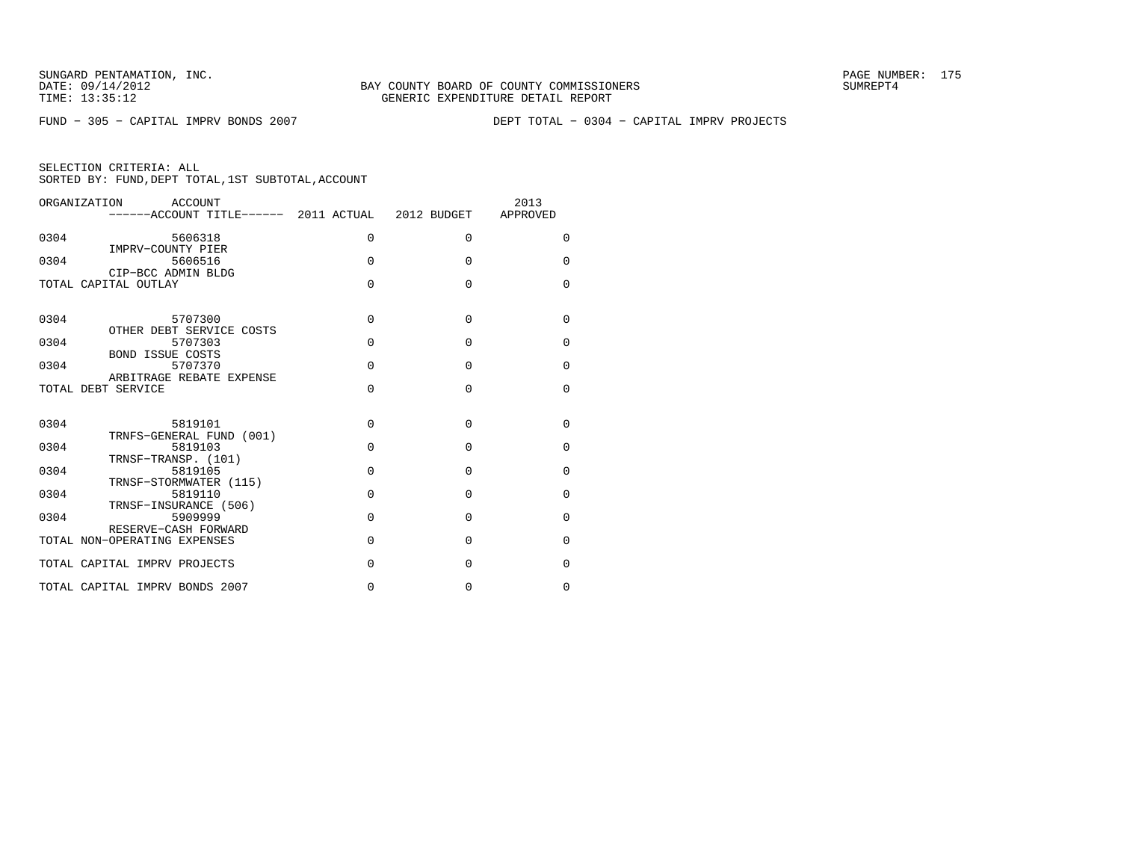FUND − 305 − CAPITAL IMPRV BONDS 2007 DEPT TOTAL − 0304 − CAPITAL IMPRV PROJECTS

| ORGANIZATION<br>ACCOUNT<br>------ACCOUNT TITLE------ 2011 ACTUAL 2012 BUDGET |          |          | 2013<br>APPROVED |
|------------------------------------------------------------------------------|----------|----------|------------------|
| 0304<br>5606318<br>IMPRV-COUNTY PIER                                         | 0        | $\Omega$ | $\Omega$         |
| 0304<br>5606516                                                              | $\Omega$ | $\Omega$ | $\Omega$         |
| CIP-BCC ADMIN BLDG<br>TOTAL CAPITAL OUTLAY                                   | $\Omega$ | $\Omega$ | $\Omega$         |
|                                                                              |          |          |                  |
| 0304<br>5707300<br>OTHER DEBT SERVICE COSTS                                  | $\Omega$ | $\Omega$ | $\Omega$         |
| 5707303<br>0304<br><b>BOND ISSUE COSTS</b>                                   | $\Omega$ | $\Omega$ | $\Omega$         |
| 0304<br>5707370                                                              | $\Omega$ | $\Omega$ | $\Omega$         |
| ARBITRAGE REBATE EXPENSE<br>TOTAL DEBT SERVICE                               | $\Omega$ | $\Omega$ | $\Omega$         |
|                                                                              |          |          |                  |
| 0304<br>5819101<br>TRNFS-GENERAL FUND (001)                                  | $\Omega$ | $\Omega$ | $\Omega$         |
| 5819103<br>0304                                                              | $\Omega$ | $\Omega$ | $\Omega$         |
| TRNSF-TRANSP. (101)<br>0304<br>5819105                                       | $\Omega$ | $\Omega$ | $\Omega$         |
| TRNSF-STORMWATER (115)<br>0304<br>5819110                                    | $\Omega$ | $\Omega$ | $\mathbf 0$      |
| TRNSF-INSURANCE (506)<br>0304<br>5909999                                     | $\Omega$ | $\Omega$ | $\Omega$         |
| RESERVE-CASH FORWARD<br>TOTAL NON-OPERATING EXPENSES                         | $\Omega$ | $\Omega$ | $\Omega$         |
|                                                                              |          |          |                  |
| TOTAL CAPITAL IMPRV PROJECTS                                                 | $\Omega$ | $\Omega$ | $\Omega$         |
| TOTAL CAPITAL IMPRV BONDS 2007                                               | $\Omega$ | $\Omega$ | $\Omega$         |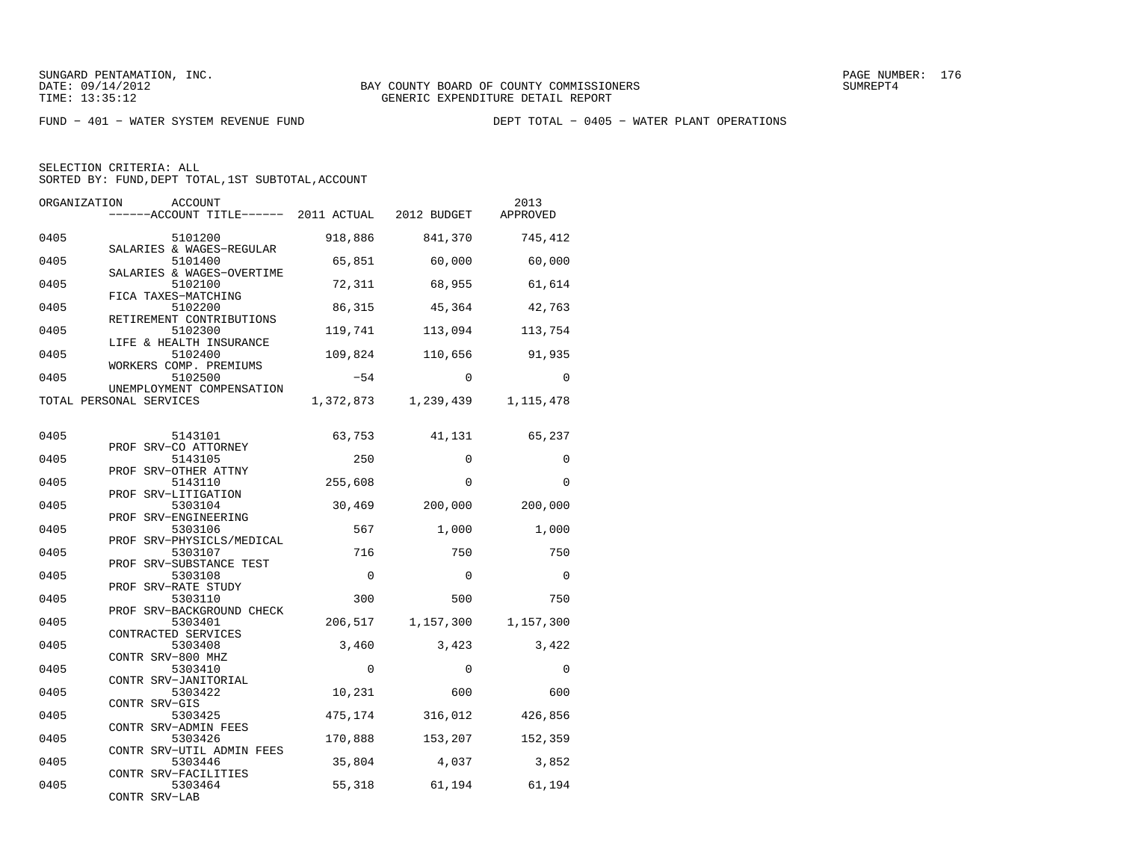FUND − 401 − WATER SYSTEM REVENUE FUND DEPT TOTAL − 0405 − WATER PLANT OPERATIONS

SELECTION CRITERIA: ALL

SORTED BY: FUND, DEPT TOTAL, 1ST SUBTOTAL, ACCOUNT

| ORGANIZATION | ACCOUNT<br>------ACCOUNT TITLE------                            | 2011 ACTUAL | 2012 BUDGET     | 2013<br>APPROVED |
|--------------|-----------------------------------------------------------------|-------------|-----------------|------------------|
| 0405         | 5101200                                                         | 918,886     | 841,370         | 745,412          |
| 0405         | SALARIES & WAGES-REGULAR<br>5101400                             | 65,851      | 60,000          | 60,000           |
| 0405         | SALARIES & WAGES-OVERTIME<br>5102100                            | 72,311      | 68,955          | 61,614           |
| 0405         | FICA TAXES-MATCHING<br>5102200                                  | 86,315      | 45,364          | 42,763           |
| 0405         | RETIREMENT CONTRIBUTIONS<br>5102300<br>LIFE & HEALTH INSURANCE  | 119,741     | 113,094         | 113,754          |
| 0405         | 5102400<br>WORKERS COMP. PREMIUMS                               | 109,824     | 110,656         | 91,935           |
| 0405         | 5102500<br>UNEMPLOYMENT COMPENSATION                            | $-54$       | $\Omega$        | $\Omega$         |
|              | TOTAL PERSONAL SERVICES                                         | 1,372,873   | 1,239,439       | 1,115,478        |
| 0405         | 5143101                                                         | 63,753      | 41,131          | 65,237           |
| 0405         | PROF SRV-CO ATTORNEY<br>5143105                                 | 250         | $\mathbf 0$     | $\Omega$         |
| 0405         | PROF SRV-OTHER ATTNY<br>5143110                                 | 255,608     | $\Omega$        | $\Omega$         |
| 0405         | PROF SRV-LITIGATION<br>5303104                                  | 30,469      | 200,000         | 200,000          |
| 0405         | PROF SRV-ENGINEERING<br>5303106                                 | 567         | 1,000           | 1,000            |
| 0405         | PROF SRV-PHYSICLS/MEDICAL<br>5303107<br>PROF SRV-SUBSTANCE TEST | 716         | 750             | 750              |
| 0405         | 5303108<br>PROF SRV-RATE STUDY                                  | 0           | $\Omega$        | 0                |
| 0405         | 5303110<br>PROF SRV-BACKGROUND CHECK                            | 300         | 500             | 750              |
| 0405         | 5303401<br>CONTRACTED SERVICES                                  | 206,517     | 1,157,300       | 1,157,300        |
| 0405         | 5303408<br>CONTR SRV-800 MHZ                                    | 3,460       | 3,423           | 3,422            |
| 0405         | 5303410<br>CONTR SRV-JANITORIAL                                 | $\Omega$    | $\mathbf 0$     | $\Omega$         |
| 0405         | 5303422<br>CONTR SRV-GIS                                        | 10,231      | 600             | 600              |
| 0405         | 5303425<br>CONTR SRV-ADMIN FEES                                 | 475,174     | 316,012         | 426,856          |
| 0405         | 5303426<br>CONTR SRV-UTIL ADMIN FEES                            | 170,888     | 153,207         | 152,359          |
| 0405<br>0405 | 5303446<br>CONTR SRV-FACILITIES<br>5303464                      | 35,804      | 4,037<br>61,194 | 3,852            |
|              | CONTR SRV-LAB                                                   | 55,318      |                 | 61,194           |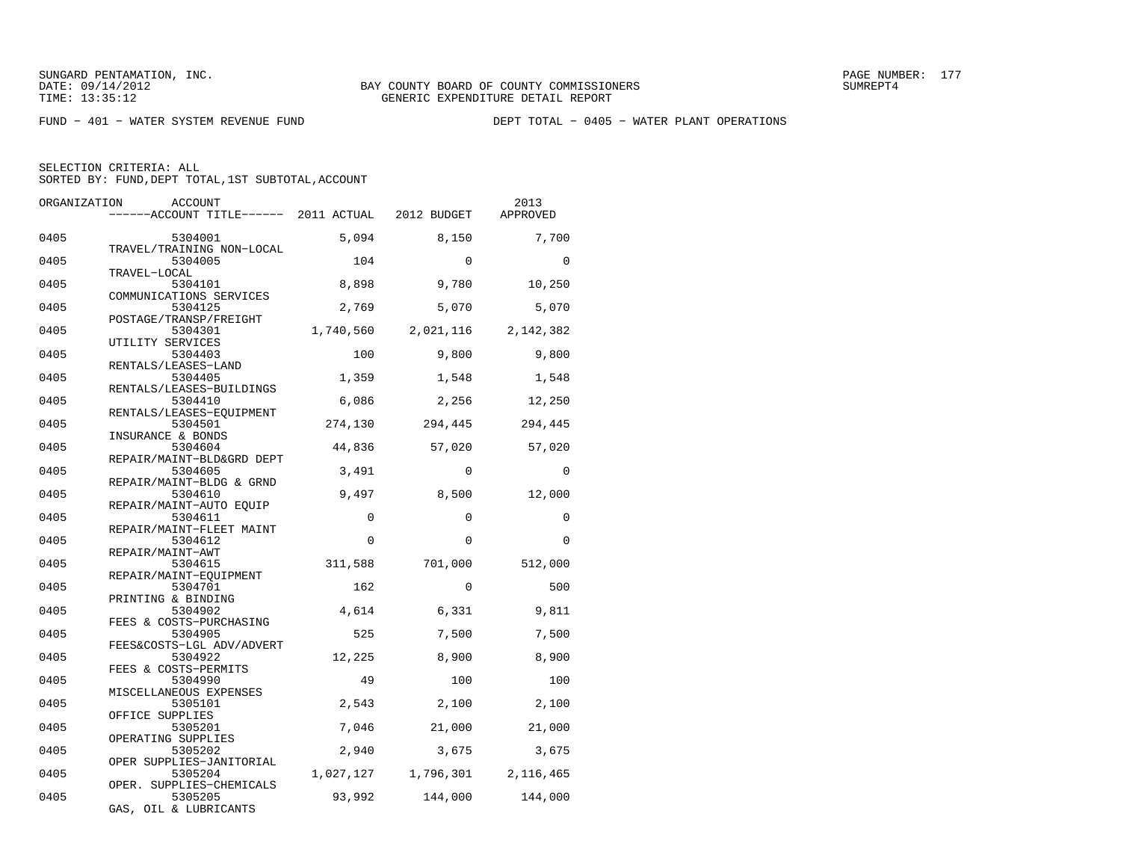FUND − 401 − WATER SYSTEM REVENUE FUND DEPT TOTAL − 0405 − WATER PLANT OPERATIONS

SELECTION CRITERIA: ALL

SORTED BY: FUND, DEPT TOTAL, 1ST SUBTOTAL, ACCOUNT

| ORGANIZATION | ACCOUNT                                              |             |             | 2013        |
|--------------|------------------------------------------------------|-------------|-------------|-------------|
|              | -----ACCOUNT TITLE------ 2011 ACTUAL                 |             | 2012 BUDGET | APPROVED    |
| 0405         | 5304001                                              | 5,094       | 8,150       | 7,700       |
| 0405         | TRAVEL/TRAINING NON-LOCAL<br>5304005<br>TRAVEL-LOCAL | 104         | $\Omega$    | $\Omega$    |
| 0405         | 5304101<br>COMMUNICATIONS SERVICES                   | 8,898       | 9,780       | 10,250      |
| 0405         | 5304125<br>POSTAGE/TRANSP/FREIGHT                    | 2,769       | 5,070       | 5,070       |
| 0405         | 5304301<br>UTILITY SERVICES                          | 1,740,560   | 2,021,116   | 2,142,382   |
| 0405         | 5304403<br>RENTALS/LEASES-LAND                       | 100         | 9,800       | 9,800       |
| 0405         | 5304405<br>RENTALS/LEASES-BUILDINGS                  | 1,359       | 1,548       | 1,548       |
| 0405         | 5304410<br>RENTALS/LEASES-EQUIPMENT                  | 6,086       | 2,256       | 12,250      |
| 0405         | 5304501<br>INSURANCE & BONDS                         | 274,130     | 294,445     | 294,445     |
| 0405         | 5304604<br>REPAIR/MAINT-BLD&GRD DEPT                 | 44,836      | 57,020      | 57,020      |
| 0405         | 5304605<br>REPAIR/MAINT-BLDG & GRND                  | 3,491       | $\Omega$    | $\mathbf 0$ |
| 0405         | 5304610<br>REPAIR/MAINT-AUTO EOUIP                   | 9,497       | 8,500       | 12,000      |
| 0405         | 5304611<br>REPAIR/MAINT-FLEET MAINT                  | $\mathbf 0$ | $\Omega$    | 0           |
| 0405         | 5304612<br>REPAIR/MAINT-AWT                          | $\Omega$    | $\Omega$    | $\Omega$    |
| 0405         | 5304615<br>REPAIR/MAINT-EOUIPMENT                    | 311,588     | 701,000     | 512,000     |
| 0405         | 5304701<br>PRINTING & BINDING                        | 162         | $\Omega$    | 500         |
| 0405         | 5304902<br>FEES & COSTS-PURCHASING                   | 4,614       | 6,331       | 9,811       |
| 0405         | 5304905<br>FEES&COSTS-LGL ADV/ADVERT                 | 525         | 7,500       | 7,500       |
| 0405         | 5304922<br>FEES & COSTS-PERMITS                      | 12,225      | 8,900       | 8,900       |
| 0405         | 5304990<br>MISCELLANEOUS EXPENSES                    | 49          | 100         | 100         |
| 0405         | 5305101<br>OFFICE SUPPLIES                           | 2,543       | 2,100       | 2,100       |
| 0405         | 5305201<br>OPERATING SUPPLIES                        | 7,046       | 21,000      | 21,000      |
| 0405         | 5305202<br>OPER SUPPLIES-JANITORIAL                  | 2,940       | 3,675       | 3,675       |
| 0405         | 5305204<br>OPER. SUPPLIES-CHEMICALS                  | 1,027,127   | 1,796,301   | 2,116,465   |
| 0405         | 5305205<br>GAS, OIL & LUBRICANTS                     | 93,992      | 144,000     | 144,000     |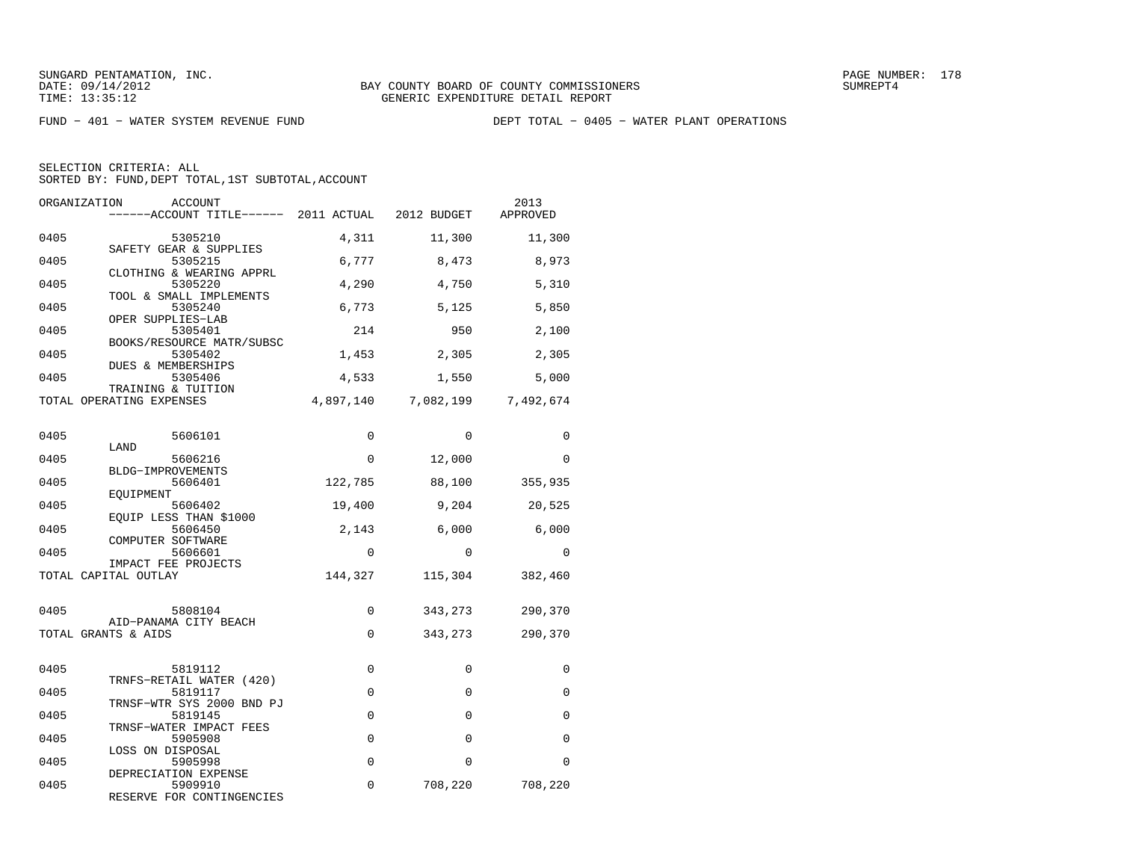FUND − 401 − WATER SYSTEM REVENUE FUND DEPT TOTAL − 0405 − WATER PLANT OPERATIONS

| ORGANIZATION<br>ACCOUNT<br>------ACCOUNT TITLE------ 2011 ACTUAL 2012 BUDGET |           |                     | 2013<br>APPROVED |
|------------------------------------------------------------------------------|-----------|---------------------|------------------|
| 0405<br>5305210                                                              | 4,311     | 11,300              | 11,300           |
| SAFETY GEAR & SUPPLIES<br>0405<br>5305215                                    | 6,777     | 8,473               | 8,973            |
| CLOTHING & WEARING APPRL<br>0405<br>5305220                                  | 4,290     | 4,750               | 5,310            |
| TOOL & SMALL IMPLEMENTS<br>0405<br>5305240                                   | 6,773     | 5,125               | 5,850            |
| OPER SUPPLIES-LAB<br>0405<br>5305401                                         | 214       | 950                 | 2,100            |
| BOOKS/RESOURCE MATR/SUBSC<br>0405<br>5305402                                 | 1,453     | 2,305               | 2,305            |
| DUES & MEMBERSHIPS<br>0405<br>5305406                                        | 4,533     | 1,550               | 5,000            |
| TRAINING & TUITION<br>TOTAL OPERATING EXPENSES                               | 4,897,140 | 7,082,199 7,492,674 |                  |
|                                                                              |           |                     |                  |
| 0405<br>5606101<br>LAND                                                      | 0         | $\mathbf 0$         | 0                |
| 0405<br>5606216<br>BLDG-IMPROVEMENTS                                         | $\Omega$  | 12,000              | $\Omega$         |
| 0405<br>5606401                                                              | 122,785   | 88,100              | 355,935          |
| EOUIPMENT<br>0405<br>5606402                                                 | 19,400    | 9,204               | 20,525           |
| EQUIP LESS THAN \$1000<br>0405<br>5606450                                    | 2,143     | 6,000               | 6,000            |
| COMPUTER SOFTWARE<br>0405<br>5606601                                         | $\Omega$  | $\Omega$            | 0                |
| IMPACT FEE PROJECTS<br>TOTAL CAPITAL OUTLAY                                  | 144,327   | 115,304             | 382,460          |
| 0405<br>5808104                                                              | $\Omega$  | 343,273             | 290,370          |
| AID-PANAMA CITY BEACH                                                        | 0         |                     |                  |
| TOTAL GRANTS & AIDS                                                          |           | 343,273             | 290,370          |
| 0405<br>5819112                                                              | $\Omega$  | $\Omega$            | $\Omega$         |
| TRNFS-RETAIL WATER (420)<br>0405<br>5819117                                  | 0         | $\Omega$            | $\Omega$         |
| TRNSF-WTR SYS 2000 BND PJ<br>0405<br>5819145                                 | $\Omega$  | $\Omega$            | $\Omega$         |
| TRNSF-WATER IMPACT FEES<br>0405<br>5905908                                   | $\Omega$  | $\Omega$            | $\Omega$         |
| LOSS ON DISPOSAL<br>0405<br>5905998                                          | 0         | $\Omega$            | $\Omega$         |
| DEPRECIATION EXPENSE<br>0405<br>5909910                                      | 0         | 708,220             | 708,220          |
| RESERVE FOR CONTINGENCIES                                                    |           |                     |                  |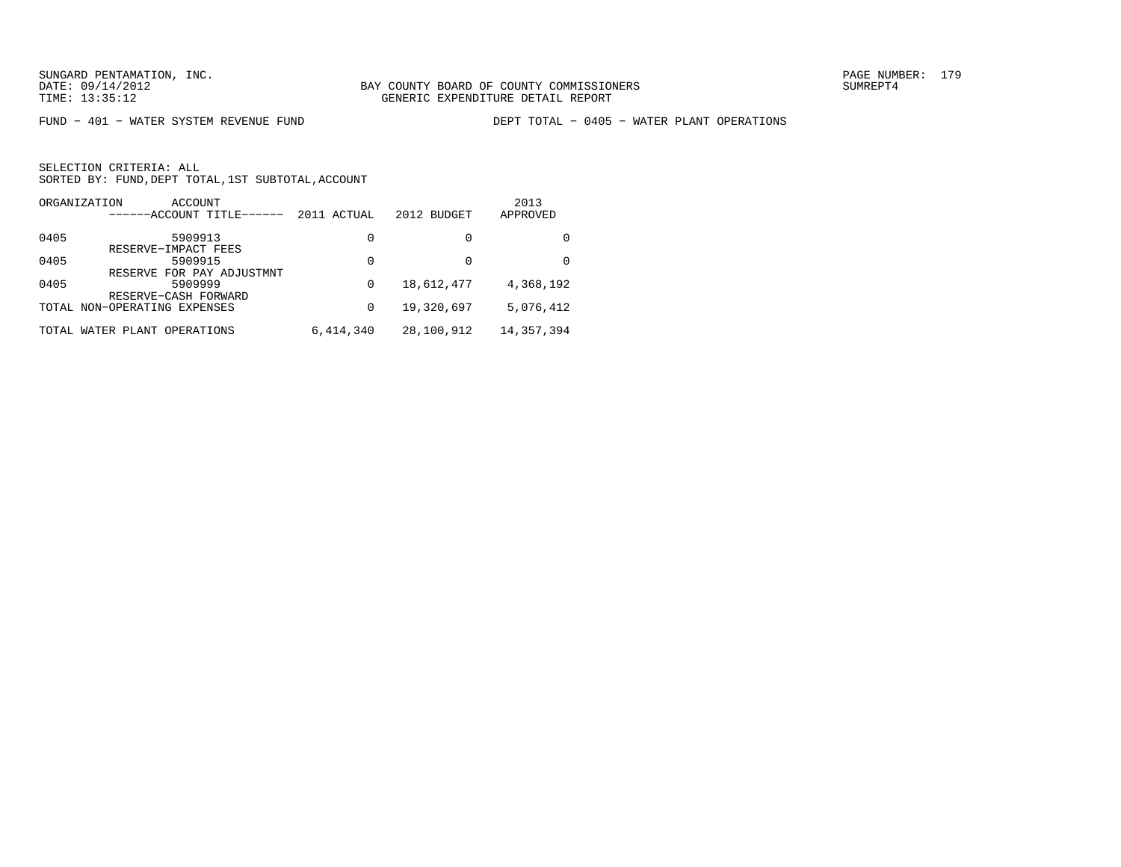FUND − 401 − WATER SYSTEM REVENUE FUND DEPT TOTAL − 0405 − WATER PLANT OPERATIONS

| ORGANIZATION | ACCOUNT<br>------ACCOUNT TITLE------                 | 2011 ACTUAL | 2012 BUDGET | 2013<br>APPROVED |
|--------------|------------------------------------------------------|-------------|-------------|------------------|
| 0405         | 5909913                                              | 0           | 0           |                  |
| 0405         | RESERVE-IMPACT FEES<br>5909915                       | 0           | $\Omega$    | <sup>0</sup>     |
| 0405         | RESERVE FOR PAY ADJUSTMNT<br>5909999                 | $\Omega$    | 18,612,477  | 4,368,192        |
|              | RESERVE-CASH FORWARD<br>TOTAL NON-OPERATING EXPENSES | 0           | 19,320,697  | 5,076,412        |
| TOTAL        | WATER PLANT OPERATIONS                               | 6,414,340   | 28,100,912  | 14,357,394       |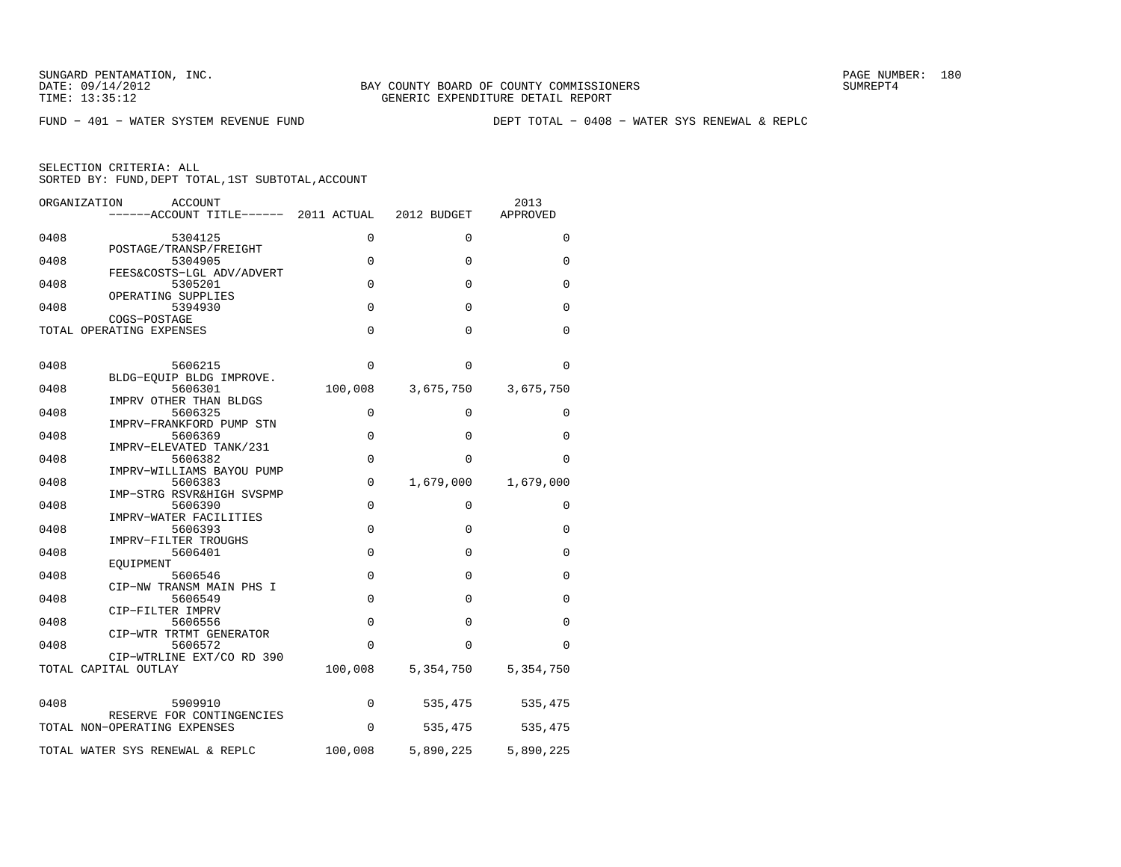FUND − 401 − WATER SYSTEM REVENUE FUND DEPT TOTAL − 0408 − WATER SYS RENEWAL & REPLC

| ORGANIZATION<br><b>ACCOUNT</b><br>------ACCOUNT TITLE------ 2011 ACTUAL |                     | 2012 BUDGET           | 2013<br>APPROVED      |
|-------------------------------------------------------------------------|---------------------|-----------------------|-----------------------|
| 0408<br>5304125                                                         | 0                   | 0                     | 0                     |
| POSTAGE/TRANSP/FREIGHT<br>0408<br>5304905                               | 0                   | 0                     | 0                     |
| FEES&COSTS-LGL ADV/ADVERT<br>0408<br>5305201<br>OPERATING SUPPLIES      | $\mathbf 0$         | $\mathbf 0$           | 0                     |
| 0408<br>5394930<br>COGS-POSTAGE                                         | $\Omega$            | $\Omega$              | 0                     |
| TOTAL OPERATING EXPENSES                                                | $\Omega$            | $\Omega$              | 0                     |
| 0408<br>5606215                                                         | $\Omega$            | $\Omega$              | $\Omega$              |
| BLDG-EOUIP BLDG IMPROVE.<br>5606301<br>0408                             | 100,008             | 3,675,750             | 3,675,750             |
| IMPRV OTHER THAN BLDGS<br>0408<br>5606325<br>IMPRV-FRANKFORD PUMP STN   | 0                   | 0                     | 0                     |
| 0408<br>5606369<br>IMPRV-ELEVATED TANK/231                              | $\mathbf 0$         | $\Omega$              | 0                     |
| 0408<br>5606382<br>IMPRV-WILLIAMS BAYOU PUMP                            | $\mathbf 0$         | $\Omega$              | $\Omega$              |
| 0408<br>5606383<br>IMP-STRG RSVR&HIGH SVSPMP                            | $\mathbf 0$         | 1,679,000             | 1,679,000             |
| 5606390<br>0408<br>IMPRV-WATER FACILITIES                               | $\mathbf 0$         | $\Omega$              | 0                     |
| 0408<br>5606393<br>IMPRV-FILTER TROUGHS                                 | $\Omega$            | $\Omega$              | $\Omega$              |
| 0408<br>5606401<br>EOUIPMENT                                            | $\mathbf 0$         | 0                     | 0                     |
| 0408<br>5606546<br>CIP-NW TRANSM MAIN PHS I                             | 0                   | $\Omega$              | 0                     |
| 5606549<br>0408<br>CIP-FILTER IMPRV                                     | $\mathbf 0$         | 0                     | 0                     |
| 0408<br>5606556<br>CIP-WTR TRTMT GENERATOR                              | $\Omega$            | $\Omega$              | $\Omega$              |
| 5606572<br>0408<br>CIP-WTRLINE EXT/CO RD 390<br>TOTAL CAPITAL OUTLAY    | $\Omega$<br>100,008 | $\Omega$<br>5,354,750 | $\Omega$<br>5,354,750 |
|                                                                         |                     |                       |                       |
| 5909910<br>0408<br>RESERVE FOR CONTINGENCIES                            | 0                   | 535,475               | 535,475               |
| TOTAL NON-OPERATING EXPENSES                                            | 0                   | 535,475               | 535,475               |
| TOTAL WATER SYS RENEWAL & REPLC                                         | 100,008             | 5,890,225             | 5,890,225             |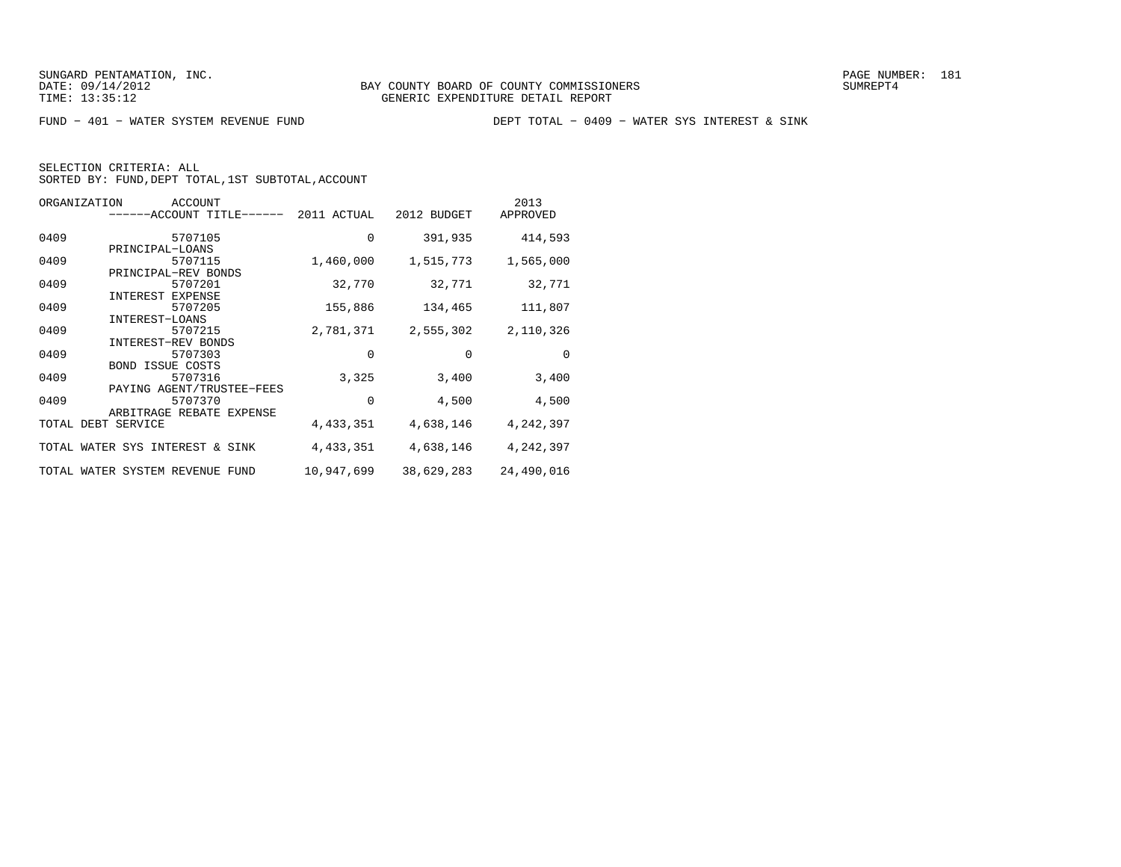FUND − 401 − WATER SYSTEM REVENUE FUND DEPT TOTAL − 0409 − WATER SYS INTEREST & SINK

| ORGANIZATION<br>ACCOUNT<br>-ACCOUNT TITLE-     | 2011 ACTUAL | 2012 BUDGET | 2013<br>APPROVED |
|------------------------------------------------|-------------|-------------|------------------|
| 0409<br>5707105                                | $\mathbf 0$ | 391,935     | 414,593          |
| PRINCIPAL-LOANS<br>0409<br>5707115             | 1,460,000   | 1,515,773   | 1,565,000        |
| PRINCIPAL-REV BONDS<br>0409<br>5707201         | 32,770      | 32,771      | 32,771           |
| INTEREST EXPENSE<br>0409<br>5707205            | 155,886     | 134,465     | 111,807          |
| INTEREST-LOANS<br>0409<br>5707215              | 2,781,371   | 2,555,302   | 2,110,326        |
| <b>INTEREST-REV BONDS</b><br>0409<br>5707303   | 0           | $\Omega$    | $\Omega$         |
| <b>BOND ISSUE COSTS</b><br>0409<br>5707316     | 3,325       | 3,400       | 3,400            |
| PAYING AGENT/TRUSTEE-FEES<br>0409<br>5707370   | 0           | 4,500       | 4,500            |
| ARBITRAGE REBATE EXPENSE<br>TOTAL DEBT SERVICE | 4,433,351   | 4,638,146   | 4,242,397        |
|                                                |             |             |                  |
| TOTAL WATER SYS INTEREST & SINK                | 4,433,351   | 4,638,146   | 4,242,397        |
| TOTAL WATER SYSTEM REVENUE FUND                | 10,947,699  | 38,629,283  | 24,490,016       |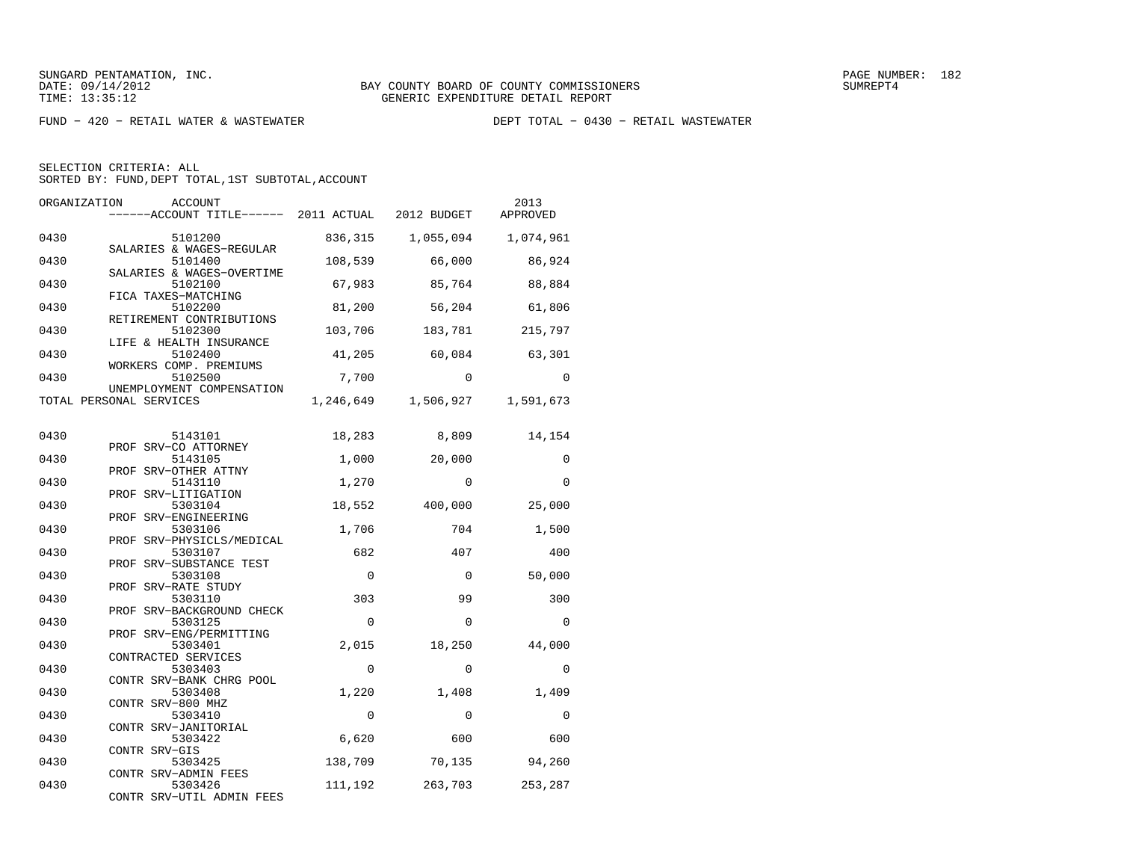$FUND - 420 - RETAIL WATER & WASTEWATER$ 

SELECTION CRITERIA: ALL

SORTED BY: FUND, DEPT TOTAL, 1ST SUBTOTAL, ACCOUNT

| ORGANIZATION | ACCOUNT<br>------ACCOUNT TITLE------ 2011 ACTUAL 2012 BUDGET    |           |             | 2013<br>APPROVED |
|--------------|-----------------------------------------------------------------|-----------|-------------|------------------|
| 0430         | 5101200                                                         | 836,315   | 1,055,094   | 1,074,961        |
| 0430         | SALARIES & WAGES-REGULAR<br>5101400                             | 108,539   | 66,000      | 86,924           |
| 0430         | SALARIES & WAGES-OVERTIME<br>5102100                            | 67,983    | 85,764      | 88,884           |
| 0430         | FICA TAXES-MATCHING<br>5102200<br>RETIREMENT CONTRIBUTIONS      | 81,200    | 56,204      | 61,806           |
| 0430         | 5102300<br>LIFE & HEALTH INSURANCE                              | 103,706   | 183,781     | 215,797          |
| 0430         | 5102400<br>WORKERS COMP. PREMIUMS                               | 41,205    | 60,084      | 63,301           |
| 0430         | 5102500<br>UNEMPLOYMENT COMPENSATION                            | 7,700     | $\Omega$    | $\Omega$         |
|              | TOTAL PERSONAL SERVICES                                         | 1,246,649 | 1,506,927   | 1,591,673        |
| 0430         | 5143101                                                         | 18,283    | 8,809       | 14,154           |
| 0430         | PROF SRV-CO ATTORNEY<br>5143105                                 | 1,000     | 20,000      | 0                |
| 0430         | PROF SRV-OTHER ATTNY<br>5143110                                 | 1,270     | $\Omega$    | $\Omega$         |
| 0430         | PROF SRV-LITIGATION<br>5303104                                  | 18,552    | 400,000     | 25,000           |
| 0430         | PROF SRV-ENGINEERING<br>5303106                                 | 1,706     | 704         | 1,500            |
| 0430         | PROF SRV-PHYSICLS/MEDICAL<br>5303107<br>PROF SRV-SUBSTANCE TEST | 682       | 407         | 400              |
| 0430         | 5303108<br>PROF SRV-RATE STUDY                                  | $\Omega$  | $\mathbf 0$ | 50,000           |
| 0430         | 5303110<br>PROF SRV-BACKGROUND CHECK                            | 303       | 99          | 300              |
| 0430         | 5303125<br>PROF SRV-ENG/PERMITTING                              | $\Omega$  | $\mathbf 0$ | $\Omega$         |
| 0430         | 5303401<br>CONTRACTED SERVICES                                  | 2,015     | 18,250      | 44,000           |
| 0430         | 5303403<br>CONTR SRV-BANK CHRG POOL                             | $\Omega$  | $\Omega$    | $\Omega$         |
| 0430         | 5303408<br>CONTR SRV-800 MHZ                                    | 1,220     | 1,408       | 1,409            |
| 0430         | 5303410<br>CONTR SRV-JANITORIAL                                 | $\Omega$  | $\Omega$    | $\Omega$         |
| 0430         | 5303422<br>CONTR SRV-GIS                                        | 6,620     | 600         | 600              |
| 0430         | 5303425<br>CONTR SRV-ADMIN FEES                                 | 138,709   | 70,135      | 94,260           |
| 0430         | 5303426<br>CONTR SRV-UTIL ADMIN FEES                            | 111,192   | 263,703     | 253,287          |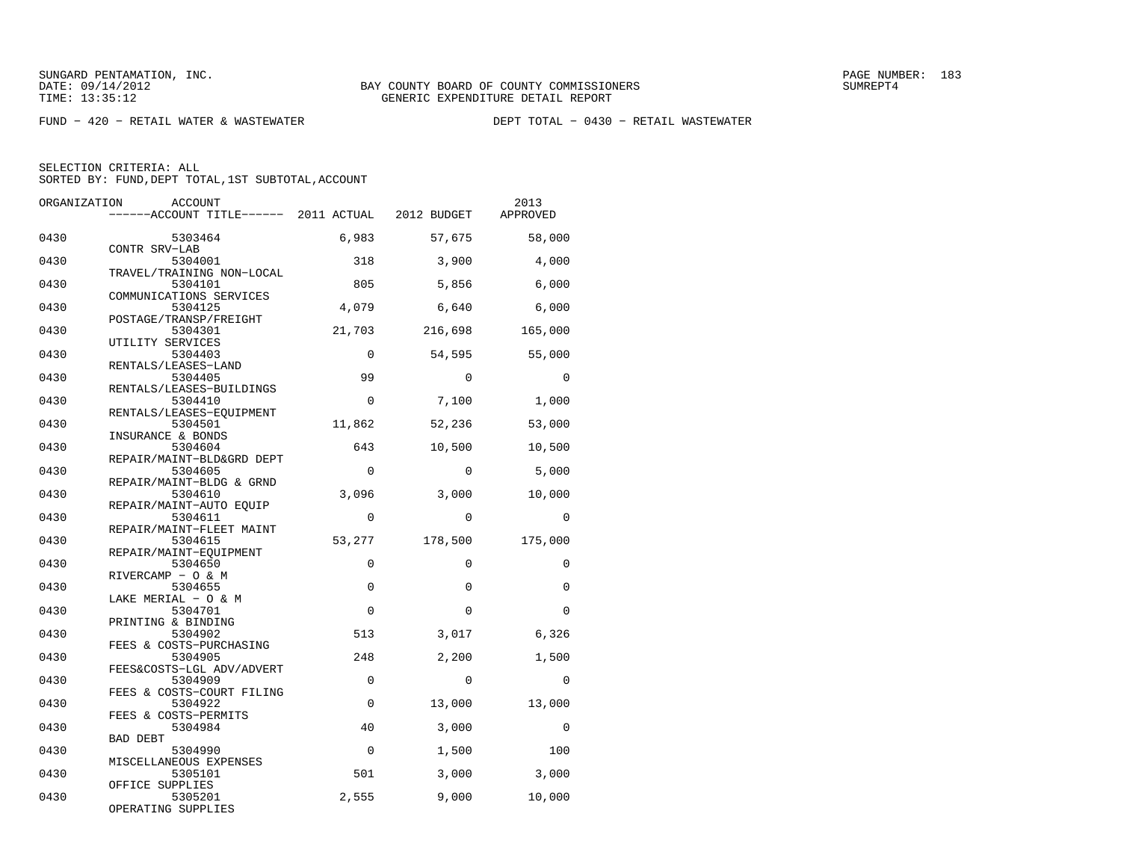$FUND - 420 - RETAIL WATER & WASTEWATER$ 

SELECTION CRITERIA: ALL

SORTED BY: FUND, DEPT TOTAL, 1ST SUBTOTAL, ACCOUNT

| ORGANIZATION | ACCOUNT                                                  |             |             | 2013     |
|--------------|----------------------------------------------------------|-------------|-------------|----------|
|              | -----ACCOUNT TITLE------ 2011 ACTUAL                     |             | 2012 BUDGET | APPROVED |
| 0430         | 5303464                                                  | 6,983       | 57,675      | 58,000   |
| 0430         | CONTR SRV-LAB<br>5304001                                 | 318         | 3,900       | 4,000    |
| 0430         | TRAVEL/TRAINING NON-LOCAL<br>5304101                     | 805         | 5,856       | 6,000    |
| 0430         | COMMUNICATIONS SERVICES<br>5304125                       | 4,079       | 6,640       | 6,000    |
| 0430         | POSTAGE/TRANSP/FREIGHT<br>5304301                        | 21,703      | 216,698     | 165,000  |
| 0430         | UTILITY SERVICES<br>5304403                              | $\mathbf 0$ | 54,595      | 55,000   |
| 0430         | RENTALS/LEASES-LAND<br>5304405                           | 99          | $\Omega$    | $\Omega$ |
| 0430         | RENTALS/LEASES-BUILDINGS<br>5304410                      | $\mathbf 0$ | 7,100       | 1,000    |
| 0430         | RENTALS/LEASES-EQUIPMENT<br>5304501                      | 11,862      | 52,236      | 53,000   |
| 0430         | INSURANCE & BONDS<br>5304604                             | 643         | 10,500      | 10,500   |
| 0430         | REPAIR/MAINT-BLD&GRD DEPT<br>5304605                     | 0           | $\mathbf 0$ | 5,000    |
| 0430         | REPAIR/MAINT-BLDG & GRND<br>5304610                      | 3,096       | 3,000       | 10,000   |
| 0430         | REPAIR/MAINT-AUTO EOUIP<br>5304611                       | $\mathbf 0$ | 0           | 0        |
| 0430         | REPAIR/MAINT-FLEET MAINT<br>5304615                      | 53,277      | 178,500     | 175,000  |
| 0430         | REPAIR/MAINT-EOUIPMENT<br>5304650                        | $\Omega$    | $\Omega$    | $\Omega$ |
| 0430         | RIVERCAMP - O & M<br>5304655                             | $\mathbf 0$ | $\mathbf 0$ | 0        |
| 0430         | LAKE MERIAL - O & M<br>5304701                           | $\Omega$    | $\Omega$    | $\Omega$ |
| 0430         | PRINTING & BINDING<br>5304902<br>FEES & COSTS-PURCHASING | 513         | 3,017       | 6,326    |
| 0430         | 5304905<br>FEES&COSTS-LGL ADV/ADVERT                     | 248         | 2,200       | 1,500    |
| 0430         | 5304909<br>FEES & COSTS-COURT FILING                     | $\Omega$    | $\Omega$    | $\Omega$ |
| 0430         | 5304922<br>FEES & COSTS-PERMITS                          | $\mathbf 0$ | 13,000      | 13,000   |
| 0430         | 5304984<br><b>BAD DEBT</b>                               | 40          | 3,000       | $\Omega$ |
| 0430         | 5304990<br>MISCELLANEOUS EXPENSES                        | $\mathbf 0$ | 1,500       | 100      |
| 0430         | 5305101<br>OFFICE SUPPLIES                               | 501         | 3,000       | 3,000    |
| 0430         | 5305201<br>OPERATING SUPPLIES                            | 2,555       | 9,000       | 10,000   |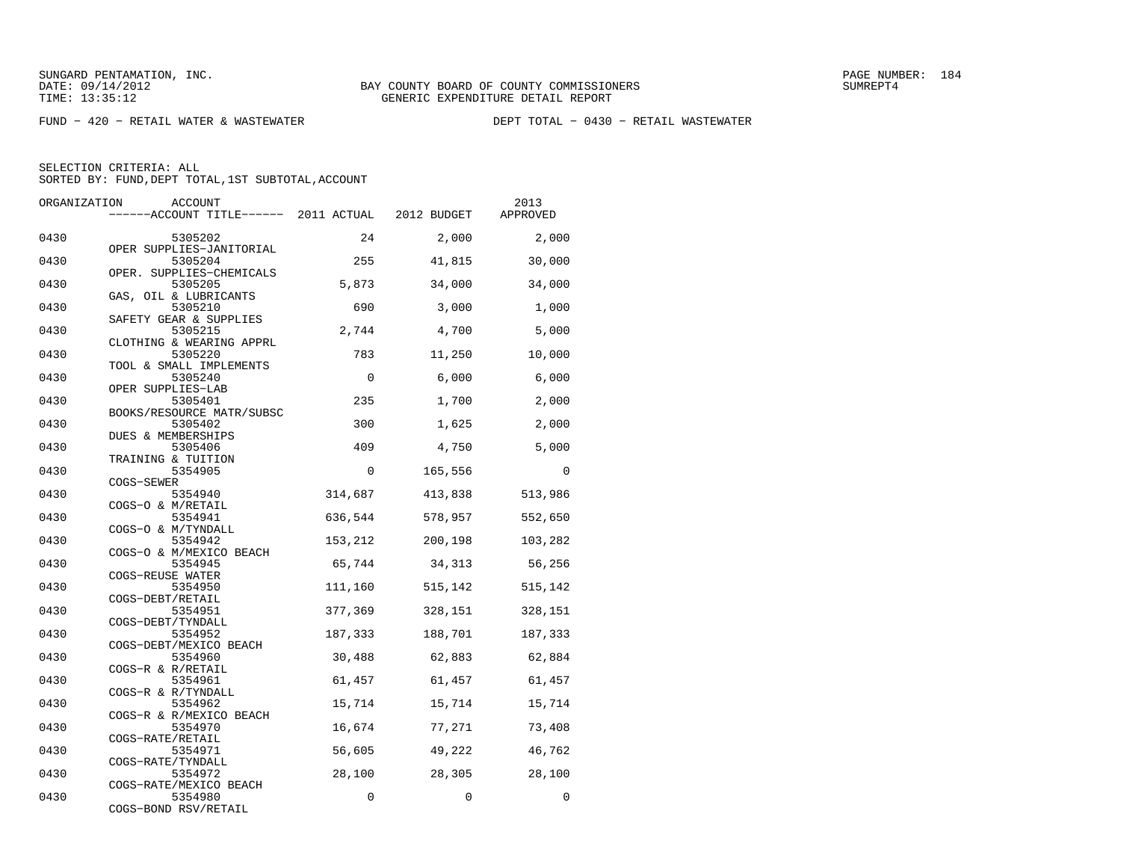FUND − 420 − RETAIL WATER & WASTEWATER DEPT TOTAL − 0430 − RETAIL WASTEWATER

| ORGANIZATION | <b>ACCOUNT</b>                        |          |             | 2013     |
|--------------|---------------------------------------|----------|-------------|----------|
|              | ------ACCOUNT TITLE------ 2011 ACTUAL |          | 2012 BUDGET | APPROVED |
| 0430         | 5305202                               | 24       | 2,000       | 2,000    |
| 0430         | OPER SUPPLIES-JANITORIAL<br>5305204   | 255      | 41,815      | 30,000   |
| 0430         | OPER. SUPPLIES-CHEMICALS<br>5305205   | 5,873    | 34,000      | 34,000   |
| 0430         | GAS, OIL & LUBRICANTS<br>5305210      | 690      | 3,000       | 1,000    |
| 0430         | SAFETY GEAR & SUPPLIES<br>5305215     | 2,744    | 4,700       | 5,000    |
| 0430         | CLOTHING & WEARING APPRL<br>5305220   | 783      | 11,250      | 10,000   |
| 0430         | TOOL & SMALL IMPLEMENTS<br>5305240    | $\Omega$ | 6,000       | 6,000    |
| 0430         | OPER SUPPLIES-LAB<br>5305401          | 235      | 1,700       | 2,000    |
| 0430         | BOOKS/RESOURCE MATR/SUBSC<br>5305402  | 300      | 1,625       | 2,000    |
| 0430         | DUES & MEMBERSHIPS<br>5305406         | 409      | 4,750       | 5,000    |
| 0430         | TRAINING & TUITION<br>5354905         | $\Omega$ | 165,556     | $\Omega$ |
| 0430         | COGS-SEWER<br>5354940                 | 314,687  | 413,838     | 513,986  |
| 0430         | COGS-O & M/RETAIL<br>5354941          | 636,544  | 578,957     | 552,650  |
| 0430         | COGS-O & M/TYNDALL<br>5354942         | 153,212  | 200,198     | 103,282  |
| 0430         | COGS-O & M/MEXICO BEACH<br>5354945    | 65,744   | 34,313      | 56,256   |
| 0430         | COGS-REUSE WATER<br>5354950           | 111,160  | 515,142     | 515,142  |
| 0430         | COGS-DEBT/RETAIL                      |          |             |          |
|              | 5354951<br>COGS-DEBT/TYNDALL          | 377,369  | 328,151     | 328,151  |
| 0430         | 5354952<br>COGS-DEBT/MEXICO BEACH     | 187,333  | 188,701     | 187,333  |
| 0430         | 5354960<br>COGS-R & R/RETAIL          | 30,488   | 62,883      | 62,884   |
| 0430         | 5354961<br>COGS-R & R/TYNDALL         | 61,457   | 61,457      | 61,457   |
| 0430         | 5354962<br>COGS-R & R/MEXICO BEACH    | 15,714   | 15,714      | 15,714   |
| 0430         | 5354970<br>COGS-RATE/RETAIL           | 16,674   | 77,271      | 73,408   |
| 0430         | 5354971<br>COGS-RATE/TYNDALL          | 56,605   | 49,222      | 46,762   |
| 0430         | 5354972<br>COGS-RATE/MEXICO BEACH     | 28,100   | 28,305      | 28,100   |
| 0430         | 5354980<br>COGS-BOND RSV/RETAIL       | $\Omega$ | $\Omega$    | 0        |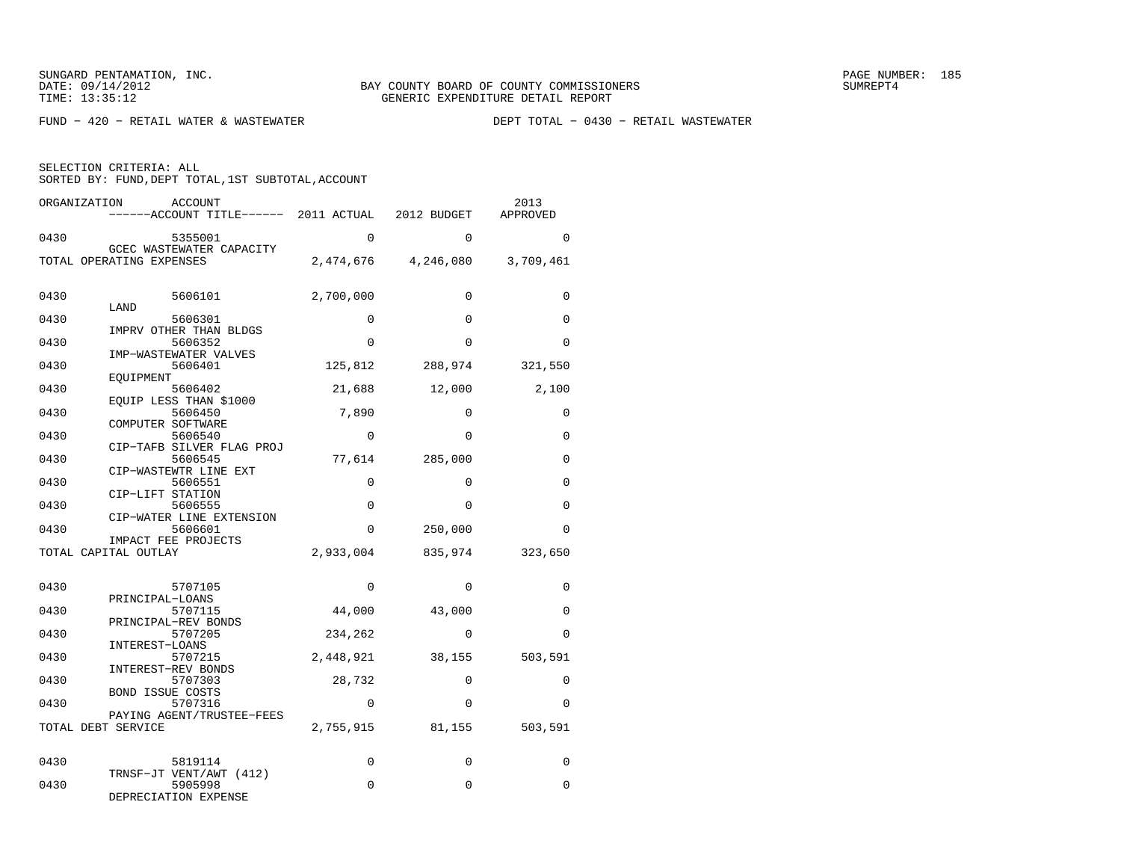$FUND - 420 - RETAIL WATER & WASTEWATER$ 

| ORGANIZATION<br><b>ACCOUNT</b><br>------ACCOUNT TITLE------ 2011 ACTUAL |             | 2012 BUDGET | 2013<br>APPROVED |
|-------------------------------------------------------------------------|-------------|-------------|------------------|
| 0430<br>5355001                                                         | $\Omega$    | $\Omega$    | $\Omega$         |
| GCEC WASTEWATER CAPACITY<br>TOTAL OPERATING EXPENSES                    | 2,474,676   | 4,246,080   | 3,709,461        |
| 0430<br>5606101<br>LAND                                                 | 2,700,000   | $\mathbf 0$ | 0                |
| 0430<br>5606301                                                         | $\Omega$    | $\Omega$    | $\Omega$         |
| IMPRV OTHER THAN BLDGS<br>0430<br>5606352                               | $\Omega$    | $\Omega$    | $\Omega$         |
| IMP-WASTEWATER VALVES<br>0430<br>5606401<br>EOUIPMENT                   | 125,812     | 288,974     | 321,550          |
| 0430<br>5606402<br>EOUIP LESS THAN \$1000                               | 21,688      | 12,000      | 2,100            |
| 0430<br>5606450                                                         | 7,890       | $\Omega$    | $\Omega$         |
| COMPUTER SOFTWARE<br>0430<br>5606540                                    | $\Omega$    | $\Omega$    | $\Omega$         |
| CIP-TAFB SILVER FLAG PROJ<br>0430<br>5606545                            | 77,614      | 285,000     | 0                |
| CIP-WASTEWTR LINE EXT<br>0430<br>5606551                                | $\mathbf 0$ | $\mathbf 0$ | $\Omega$         |
| CIP-LIFT STATION<br>0430<br>5606555                                     | $\mathbf 0$ | 0           | $\Omega$         |
| CIP-WATER LINE EXTENSION<br>0430<br>5606601                             | $\Omega$    | 250,000     | $\Omega$         |
| IMPACT FEE PROJECTS<br>TOTAL CAPITAL OUTLAY                             | 2,933,004   | 835,974     | 323,650          |
|                                                                         |             |             |                  |
| 0430<br>5707105<br>PRINCIPAL-LOANS                                      | $\Omega$    | $\mathbf 0$ | $\mathbf 0$      |
| 5707115<br>0430<br>PRINCIPAL-REV BONDS                                  | 44,000      | 43,000      | $\Omega$         |
| 0430<br>5707205<br>INTEREST-LOANS                                       | 234,262     | $\Omega$    | $\Omega$         |
| 0430<br>5707215                                                         | 2,448,921   | 38,155      | 503,591          |
| INTEREST-REV BONDS<br>0430<br>5707303                                   | 28,732      | 0           | 0                |
| <b>BOND ISSUE COSTS</b><br>0430<br>5707316                              | $\mathbf 0$ | $\mathbf 0$ | $\Omega$         |
| PAYING AGENT/TRUSTEE-FEES<br>TOTAL DEBT SERVICE                         | 2,755,915   | 81,155      | 503,591          |
| 0430<br>5819114                                                         | 0           | $\mathbf 0$ | 0                |
| TRNSF-JT VENT/AWT (412)<br>0430<br>5905998                              | 0           | 0           | $\Omega$         |
| DEPRECIATION EXPENSE                                                    |             |             |                  |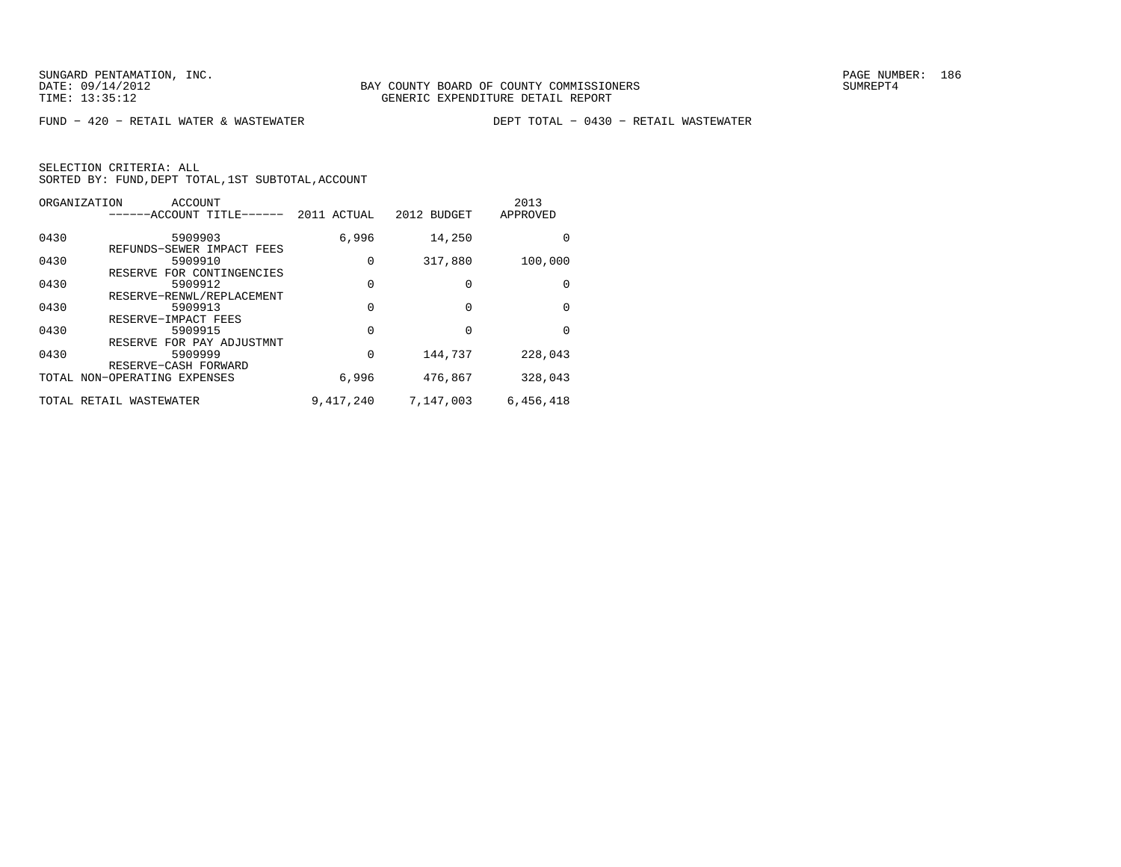FUND − 420 − RETAIL WATER & WASTEWATER DEPT TOTAL − 0430 − RETAIL WASTEWATER

|      | ORGANIZATION<br>ACCOUNT<br>------ACCOUNT TITLE------ | 2011 ACTUAL | 2012 BUDGET | 2013<br>APPROVED |
|------|------------------------------------------------------|-------------|-------------|------------------|
| 0430 | 5909903                                              | 6,996       | 14,250      | U                |
| 0430 | REFUNDS-SEWER IMPACT FEES<br>5909910                 | 0           | 317,880     | 100,000          |
| 0430 | FOR CONTINGENCIES<br>RESERVE<br>5909912              | $\Omega$    | 0           | 0                |
| 0430 | RESERVE-RENWL/REPLACEMENT<br>5909913                 | $\Omega$    | 0           | 0                |
| 0430 | RESERVE-IMPACT FEES<br>5909915                       | $\Omega$    | U           | U                |
| 0430 | RESERVE FOR PAY ADJUSTMNT<br>5909999                 | $\Omega$    | 144,737     | 228,043          |
|      | RESERVE-CASH FORWARD<br>TOTAL NON-OPERATING EXPENSES | 6,996       | 476,867     | 328,043          |
|      | TOTAL RETAIL WASTEWATER                              | 9,417,240   | 7,147,003   | 6,456,418        |
|      |                                                      |             |             |                  |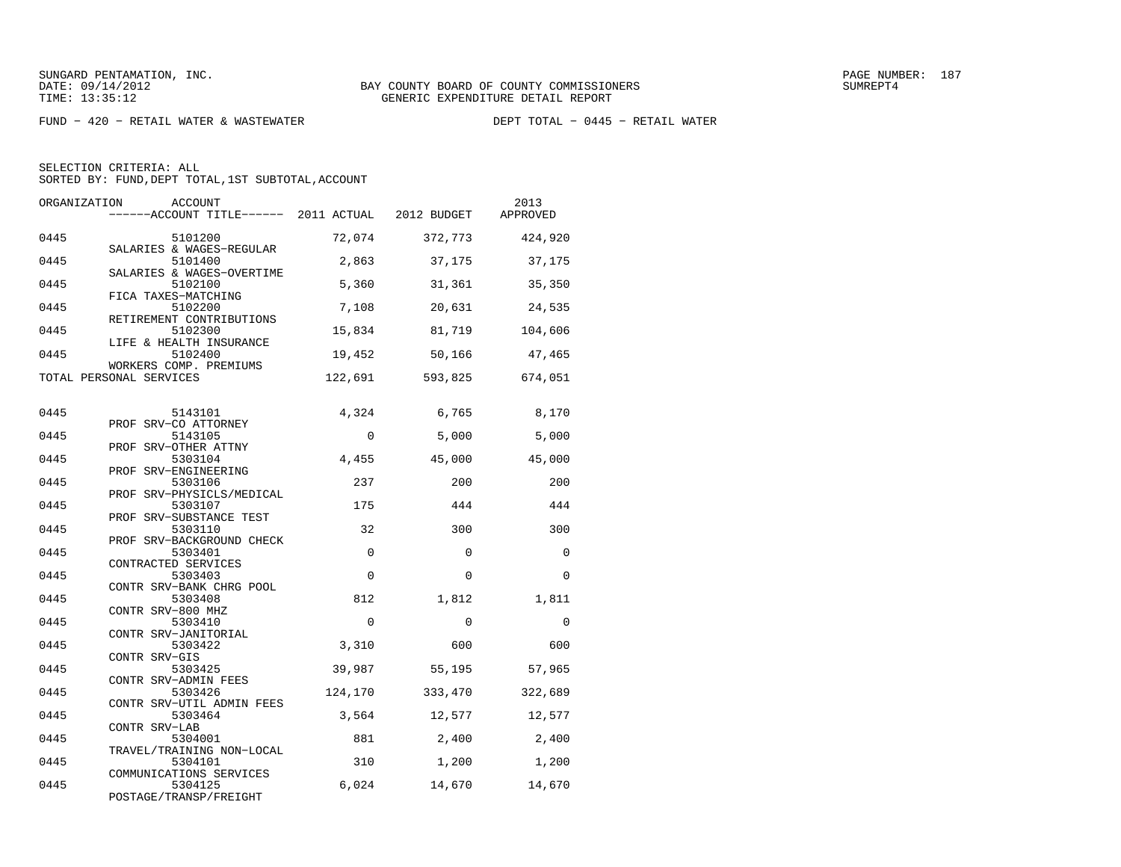FUND − 420 − RETAIL WATER & WASTEWATER DEPT TOTAL − 0445 − RETAIL WATER

| ORGANIZATION | <b>ACCOUNT</b><br>------ACCOUNT TITLE------ 2011 ACTUAL         |             | 2012 BUDGET | 2013<br>APPROVED |
|--------------|-----------------------------------------------------------------|-------------|-------------|------------------|
| 0445         | 5101200<br>SALARIES & WAGES-REGULAR                             | 72,074      | 372,773     | 424,920          |
| 0445         | 5101400                                                         | 2,863       | 37,175      | 37,175           |
| 0445         | SALARIES & WAGES-OVERTIME<br>5102100                            | 5,360       | 31,361      | 35,350           |
| 0445         | FICA TAXES-MATCHING<br>5102200                                  | 7,108       | 20,631      | 24,535           |
| 0445         | RETIREMENT CONTRIBUTIONS<br>5102300                             | 15,834      | 81,719      | 104,606          |
| 0445         | LIFE & HEALTH INSURANCE<br>5102400                              | 19,452      | 50,166      | 47,465           |
|              | WORKERS COMP. PREMIUMS<br>TOTAL PERSONAL SERVICES               | 122,691     | 593,825     | 674,051          |
| 0445         | 5143101                                                         | 4,324       | 6,765       | 8,170            |
| 0445         | PROF SRV-CO ATTORNEY<br>5143105                                 | $\mathbf 0$ | 5,000       | 5,000            |
| 0445         | PROF SRV-OTHER ATTNY<br>5303104                                 | 4,455       | 45,000      | 45,000           |
| 0445         | PROF SRV-ENGINEERING<br>5303106                                 | 237         | 200         | 200              |
| 0445         | PROF SRV-PHYSICLS/MEDICAL<br>5303107                            | 175         | 444         | 444              |
| 0445         | PROF SRV-SUBSTANCE TEST<br>5303110<br>PROF SRV-BACKGROUND CHECK | 32          | 300         | 300              |
| 0445         | 5303401<br>CONTRACTED SERVICES                                  | $\Omega$    | $\Omega$    | $\Omega$         |
| 0445         | 5303403<br>CONTR SRV-BANK CHRG POOL                             | $\Omega$    | $\Omega$    | $\Omega$         |
| 0445         | 5303408<br>CONTR SRV-800 MHZ                                    | 812         | 1,812       | 1,811            |
| 0445         | 5303410<br>CONTR SRV-JANITORIAL                                 | $\mathbf 0$ | $\mathbf 0$ | $\mathbf 0$      |
| 0445         | 5303422<br>CONTR SRV-GIS                                        | 3,310       | 600         | 600              |
| 0445         | 5303425<br>CONTR SRV-ADMIN FEES                                 | 39,987      | 55,195      | 57,965           |
| 0445         | 5303426<br>CONTR SRV-UTIL ADMIN FEES                            | 124,170     | 333,470     | 322,689          |
| 0445         | 5303464<br>CONTR SRV-LAB                                        | 3,564       | 12,577      | 12,577           |
| 0445         | 5304001<br>TRAVEL/TRAINING NON-LOCAL                            | 881         | 2,400       | 2,400            |
| 0445         | 5304101<br>COMMUNICATIONS SERVICES                              | 310         | 1,200       | 1,200            |
| 0445         | 5304125<br>POSTAGE/TRANSP/FREIGHT                               | 6,024       | 14,670      | 14,670           |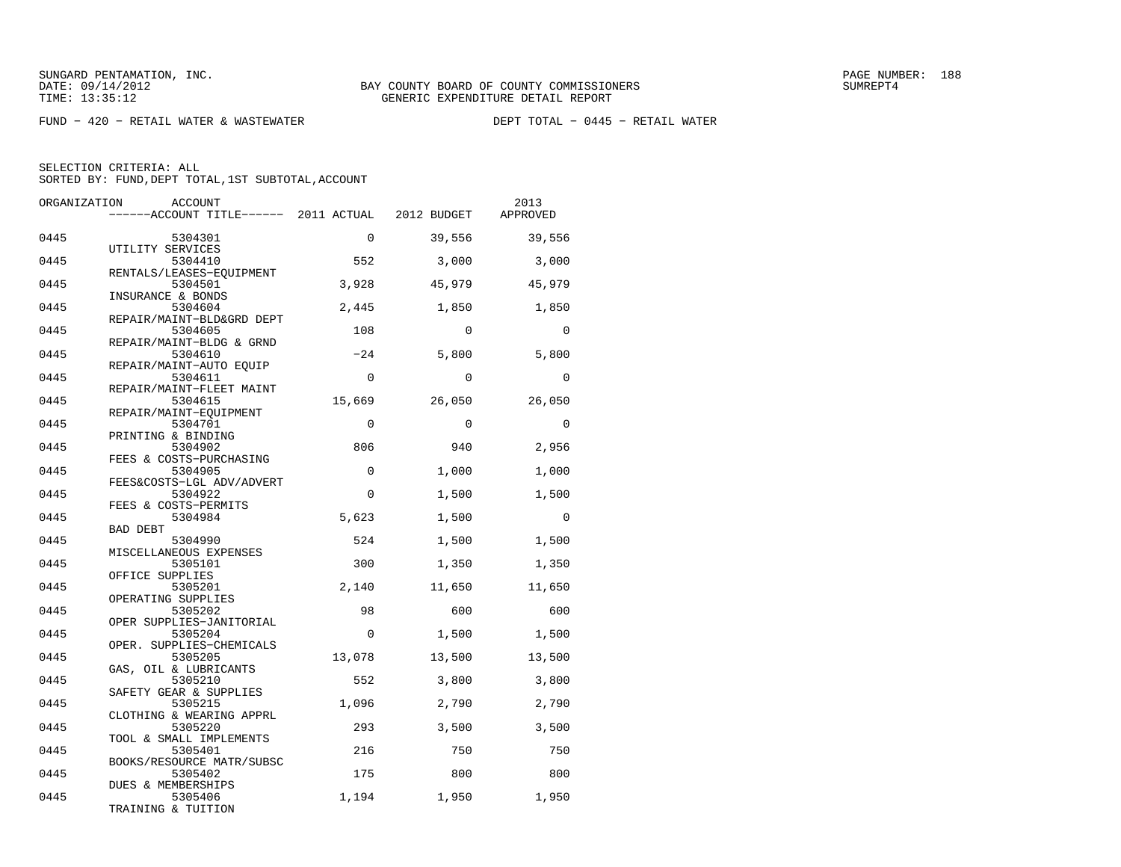FUND − 420 − RETAIL WATER & WASTEWATER DEPT TOTAL − 0445 − RETAIL WATER

| ORGANIZATION | ACCOUNT<br>------ACCOUNT TITLE------ 2011 ACTUAL               |             | 2012 BUDGET | 2013<br>APPROVED |
|--------------|----------------------------------------------------------------|-------------|-------------|------------------|
| 0445         | 5304301                                                        | $\Omega$    | 39,556      | 39,556           |
| 0445         | UTILITY SERVICES<br>5304410                                    | 552         | 3,000       | 3,000            |
| 0445         | RENTALS/LEASES-EQUIPMENT<br>5304501                            | 3,928       | 45,979      | 45,979           |
| 0445         | INSURANCE & BONDS<br>5304604                                   | 2,445       | 1,850       | 1,850            |
| 0445         | REPAIR/MAINT-BLD&GRD DEPT<br>5304605                           | 108         | $\Omega$    | $\Omega$         |
| 0445         | REPAIR/MAINT-BLDG & GRND<br>5304610                            | $-24$       | 5,800       | 5,800            |
| 0445         | REPAIR/MAINT-AUTO EQUIP<br>5304611<br>REPAIR/MAINT-FLEET MAINT | $\Omega$    | $\Omega$    | $\Omega$         |
| 0445         | 5304615<br>REPAIR/MAINT-EOUIPMENT                              | 15,669      | 26,050      | 26,050           |
| 0445         | 5304701<br>PRINTING & BINDING                                  | $\Omega$    | $\Omega$    | $\Omega$         |
| 0445         | 5304902<br>FEES & COSTS-PURCHASING                             | 806         | 940         | 2,956            |
| 0445         | 5304905<br>FEES&COSTS-LGL ADV/ADVERT                           | $\Omega$    | 1,000       | 1,000            |
| 0445         | 5304922<br>FEES & COSTS-PERMITS                                | $\Omega$    | 1,500       | 1,500            |
| 0445         | 5304984<br>BAD DEBT                                            | 5,623       | 1,500       | $\Omega$         |
| 0445         | 5304990<br>MISCELLANEOUS EXPENSES                              | 524         | 1,500       | 1,500            |
| 0445         | 5305101<br>OFFICE SUPPLIES                                     | 300         | 1,350       | 1,350            |
| 0445         | 5305201<br>OPERATING SUPPLIES                                  | 2,140       | 11,650      | 11,650           |
| 0445         | 5305202<br>OPER SUPPLIES-JANITORIAL                            | 98          | 600         | 600              |
| 0445         | 5305204<br>OPER. SUPPLIES-CHEMICALS                            | $\mathbf 0$ | 1,500       | 1,500            |
| 0445         | 5305205<br>GAS, OIL & LUBRICANTS                               | 13,078      | 13,500      | 13,500           |
| 0445         | 5305210<br>SAFETY GEAR & SUPPLIES                              | 552         | 3,800       | 3,800            |
| 0445         | 5305215<br>CLOTHING & WEARING APPRL                            | 1,096       | 2,790       | 2,790            |
| 0445         | 5305220<br>TOOL & SMALL IMPLEMENTS                             | 293         | 3,500       | 3,500            |
| 0445<br>0445 | 5305401<br>BOOKS/RESOURCE MATR/SUBSC                           | 216         | 750         | 750              |
|              | 5305402<br>DUES & MEMBERSHIPS                                  | 175         | 800         | 800              |
| 0445         | 5305406<br>TRAINING & TUITION                                  | 1,194       | 1,950       | 1,950            |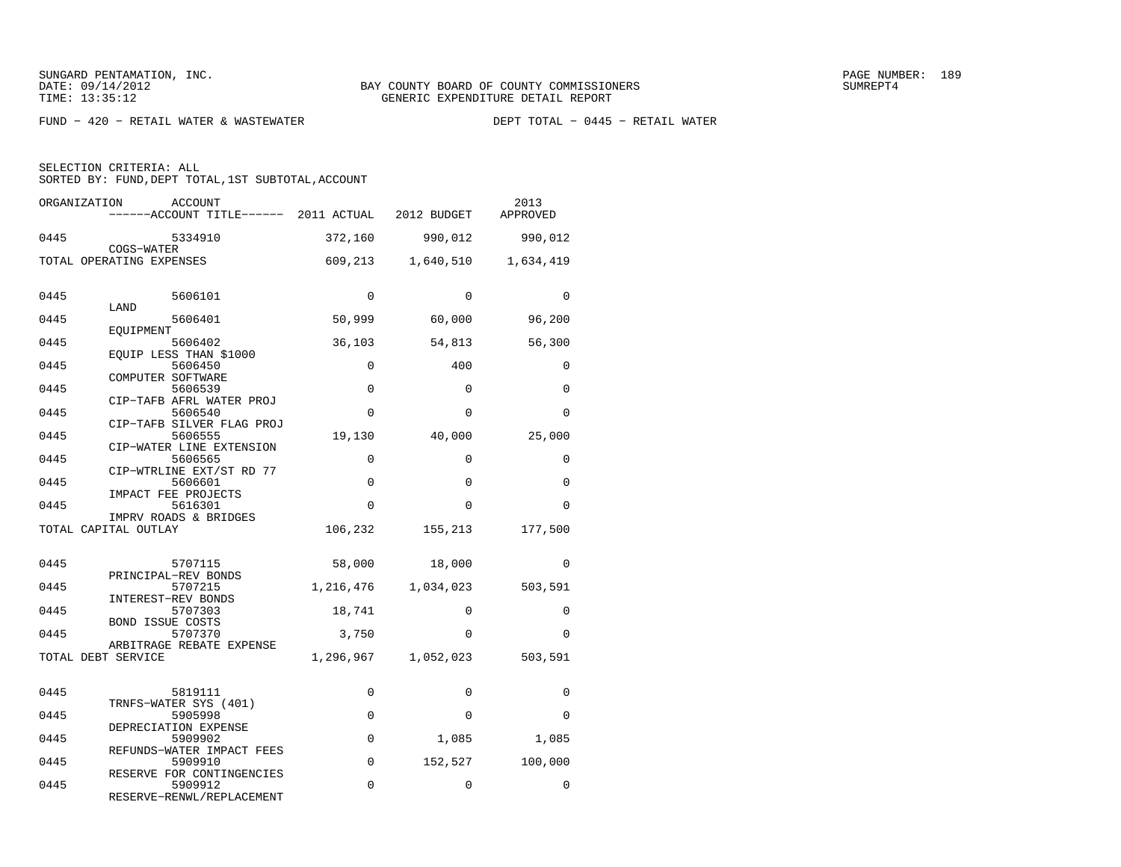$FUND - 420 - RETAIL WATER & WASTEWATER$ 

SELECTION CRITERIA: ALL

SORTED BY: FUND, DEPT TOTAL, 1ST SUBTOTAL, ACCOUNT

|      | ORGANIZATION<br><b>ACCOUNT</b><br>------ACCOUNT TITLE------ 2011 ACTUAL |           | 2012 BUDGET | 2013<br>APPROVED |
|------|-------------------------------------------------------------------------|-----------|-------------|------------------|
| 0445 | 5334910                                                                 | 372,160   | 990,012     | 990,012          |
|      | COGS-WATER<br>TOTAL OPERATING EXPENSES                                  | 609,213   | 1,640,510   | 1,634,419        |
| 0445 | 5606101                                                                 | $\Omega$  | $\Omega$    | $\Omega$         |
| 0445 | LAND<br>5606401                                                         | 50,999    | 60,000      | 96,200           |
| 0445 | EOUIPMENT<br>5606402<br>EOUIP LESS THAN \$1000                          | 36,103    | 54,813      | 56,300           |
| 0445 | 5606450                                                                 | 0         | 400         | 0                |
| 0445 | COMPUTER SOFTWARE<br>5606539                                            | 0         | $\Omega$    | $\Omega$         |
| 0445 | CIP-TAFB AFRL WATER PROJ<br>5606540                                     | 0         | $\Omega$    | $\Omega$         |
| 0445 | CIP-TAFB SILVER FLAG PROJ<br>5606555                                    | 19,130    | 40,000      | 25,000           |
| 0445 | CIP-WATER LINE EXTENSION<br>5606565                                     | 0         | $\Omega$    | $\Omega$         |
| 0445 | CIP-WTRLINE EXT/ST RD 77<br>5606601                                     | 0         | $\Omega$    | 0                |
| 0445 | IMPACT FEE PROJECTS<br>5616301                                          | $\Omega$  | $\Omega$    | $\Omega$         |
|      | IMPRV ROADS & BRIDGES<br>TOTAL CAPITAL OUTLAY                           | 106,232   | 155,213     | 177,500          |
| 0445 | 5707115                                                                 | 58,000    | 18,000      | $\Omega$         |
| 0445 | PRINCIPAL-REV BONDS<br>5707215                                          | 1,216,476 | 1,034,023   | 503,591          |
| 0445 | INTEREST-REV BONDS<br>5707303                                           | 18,741    | $\Omega$    | 0                |
| 0445 | <b>BOND ISSUE COSTS</b><br>5707370                                      | 3,750     | $\Omega$    | $\Omega$         |
|      | ARBITRAGE REBATE EXPENSE<br>TOTAL DEBT SERVICE                          | 1,296,967 | 1,052,023   | 503,591          |
| 0445 | 5819111                                                                 | 0         | $\Omega$    | 0                |
| 0445 | TRNFS-WATER SYS (401)<br>5905998                                        | $\Omega$  | $\Omega$    | $\Omega$         |
| 0445 | DEPRECIATION EXPENSE<br>5909902                                         | 0         | 1,085       | 1,085            |
| 0445 | REFUNDS-WATER IMPACT FEES<br>5909910                                    | $\Omega$  | 152,527     | 100,000          |
| 0445 | RESERVE FOR CONTINGENCIES<br>5909912                                    | 0         | 0           | 0                |
|      | RESERVE-RENWL/REPLACEMENT                                               |           |             |                  |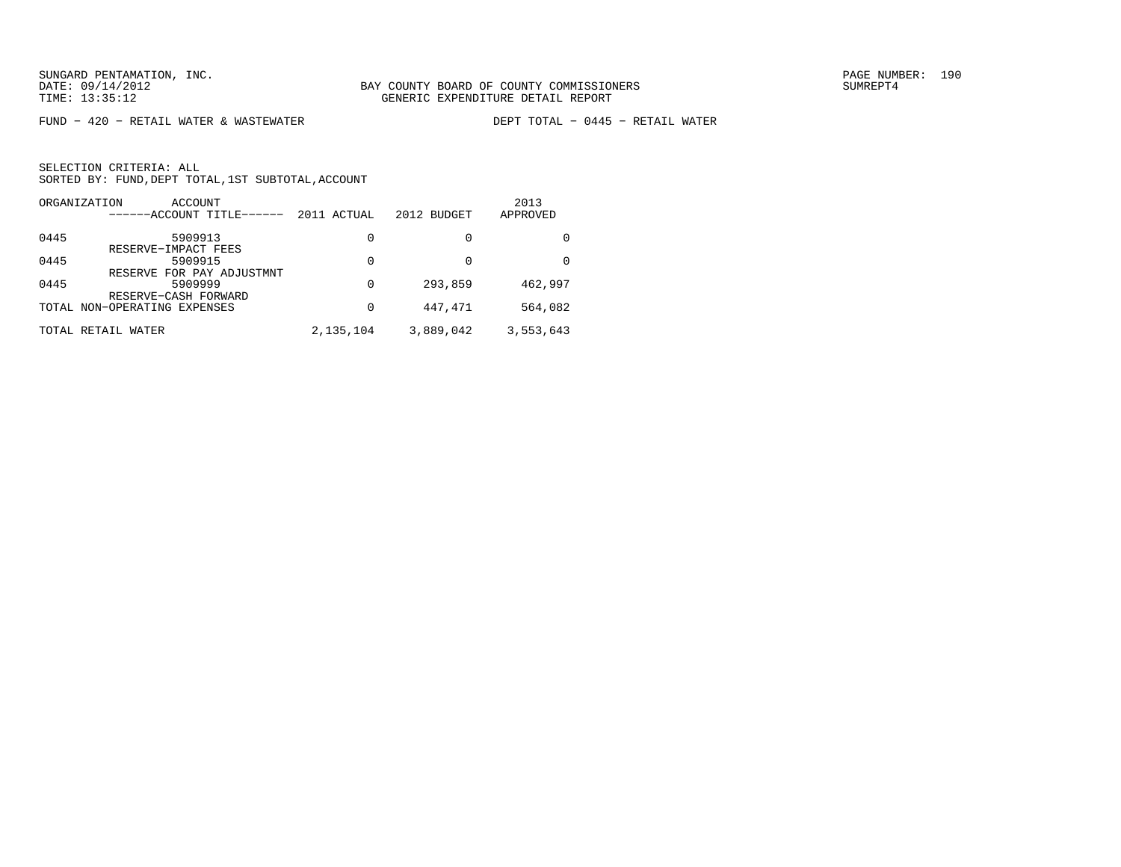$FUND - 420 - RETAIL WATER & WASTEWATER$ 

DEPT TOTAL - 0445 - RETAIL WATER

|      | ORGANIZATION<br>ACCOUNT<br>------ACCOUNT TITLE-      | 2011 ACTUAL | 2012 BUDGET | 2013<br>APPROVED |
|------|------------------------------------------------------|-------------|-------------|------------------|
| 0445 | 5909913<br>RESERVE-IMPACT FEES                       | 0           | 0           |                  |
| 0445 | 5909915                                              | 0           | 0           | <sup>0</sup>     |
| 0445 | RESERVE FOR PAY ADJUSTMNT<br>5909999                 | 0           | 293,859     | 462,997          |
|      | RESERVE-CASH FORWARD<br>TOTAL NON-OPERATING EXPENSES | 0           | 447,471     | 564,082          |
|      | TOTAL RETAIL<br>WATER                                | 2,135,104   | 3,889,042   | 3,553,643        |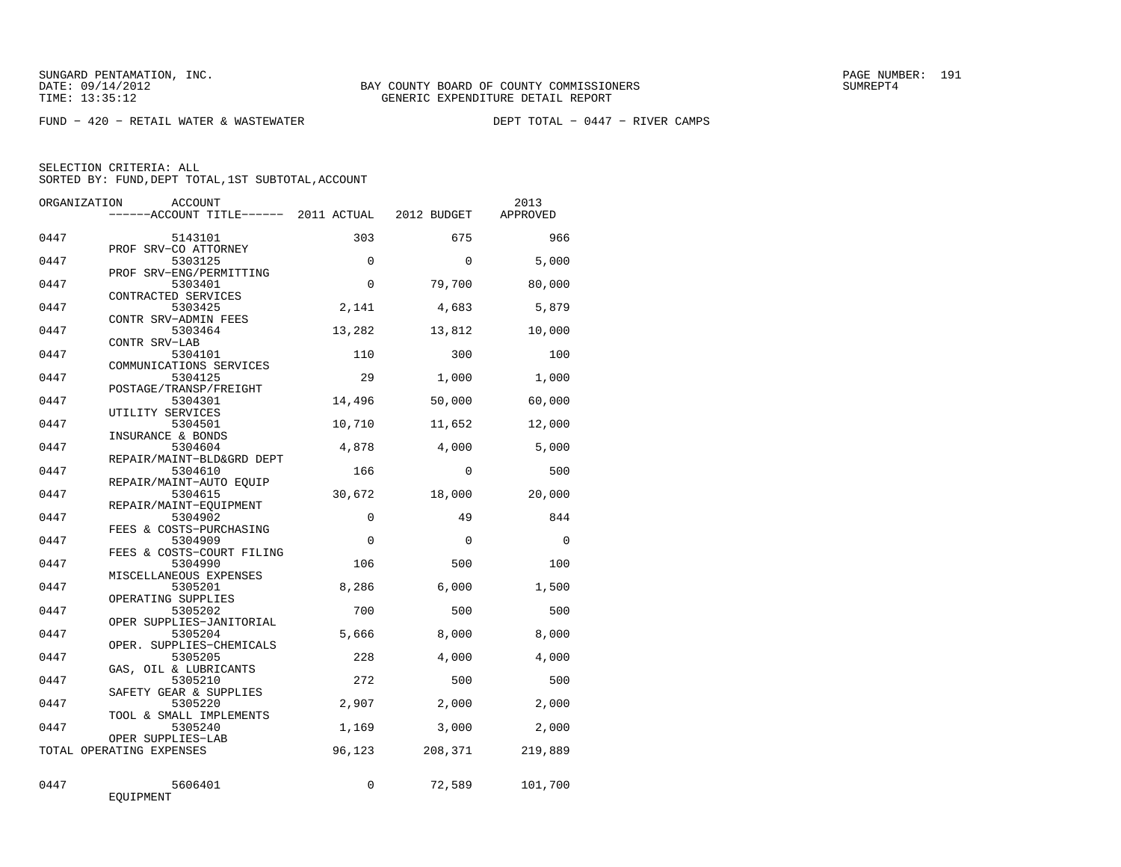$FUND - 420 - RETAIL WATER & WASTEWATER$ 

| ORGANIZATION | ACCOUNT                                           |             |          | 2013     |
|--------------|---------------------------------------------------|-------------|----------|----------|
|              | ------ACCOUNT TITLE------ 2011 ACTUAL 2012 BUDGET |             |          | APPROVED |
| 0447         | 5143101                                           | 303         | 675      | 966      |
| 0447         | PROF SRV-CO ATTORNEY<br>5303125                   | $\Omega$    | $\Omega$ | 5,000    |
| 0447         | PROF SRV-ENG/PERMITTING<br>5303401                | $\Omega$    | 79,700   | 80,000   |
| 0447         | CONTRACTED SERVICES<br>5303425                    | 2,141       | 4,683    | 5,879    |
| 0447         | CONTR SRV-ADMIN FEES<br>5303464                   | 13,282      | 13,812   | 10,000   |
| 0447         | CONTR SRV-LAB<br>5304101                          | 110         | 300      | 100      |
|              | COMMUNICATIONS SERVICES                           |             |          |          |
| 0447         | 5304125<br>POSTAGE/TRANSP/FREIGHT                 | 29          | 1,000    | 1,000    |
| 0447         | 5304301<br>UTILITY SERVICES                       | 14,496      | 50,000   | 60,000   |
| 0447         | 5304501<br>INSURANCE & BONDS                      | 10,710      | 11,652   | 12,000   |
| 0447         | 5304604<br>REPAIR/MAINT-BLD&GRD DEPT              | 4,878       | 4,000    | 5,000    |
| 0447         | 5304610<br>REPAIR/MAINT-AUTO EQUIP                | 166         | $\Omega$ | 500      |
| 0447         | 5304615                                           | 30,672      | 18,000   | 20,000   |
| 0447         | REPAIR/MAINT-EQUIPMENT<br>5304902                 | $\mathbf 0$ | 49       | 844      |
| 0447         | FEES & COSTS-PURCHASING<br>5304909                | $\Omega$    | $\Omega$ | $\Omega$ |
| 0447         | FEES & COSTS-COURT FILING<br>5304990              | 106         | 500      | 100      |
| 0447         | MISCELLANEOUS EXPENSES<br>5305201                 | 8,286       | 6,000    | 1,500    |
| 0447         | OPERATING SUPPLIES<br>5305202                     | 700         | 500      | 500      |
| 0447         | OPER SUPPLIES-JANITORIAL<br>5305204               | 5,666       | 8,000    | 8,000    |
| 0447         | OPER. SUPPLIES-CHEMICALS<br>5305205               | 228         | 4,000    | 4,000    |
|              | GAS, OIL & LUBRICANTS                             | 272         |          |          |
| 0447         | 5305210<br>SAFETY GEAR & SUPPLIES                 |             | 500      | 500      |
| 0447         | 5305220<br>TOOL & SMALL IMPLEMENTS                | 2,907       | 2,000    | 2,000    |
| 0447         | 5305240<br>OPER SUPPLIES-LAB                      | 1,169       | 3,000    | 2,000    |
|              | TOTAL OPERATING EXPENSES                          | 96,123      | 208,371  | 219,889  |
| 0447         | 5606401<br>EQUIPMENT                              | 0           | 72,589   | 101,700  |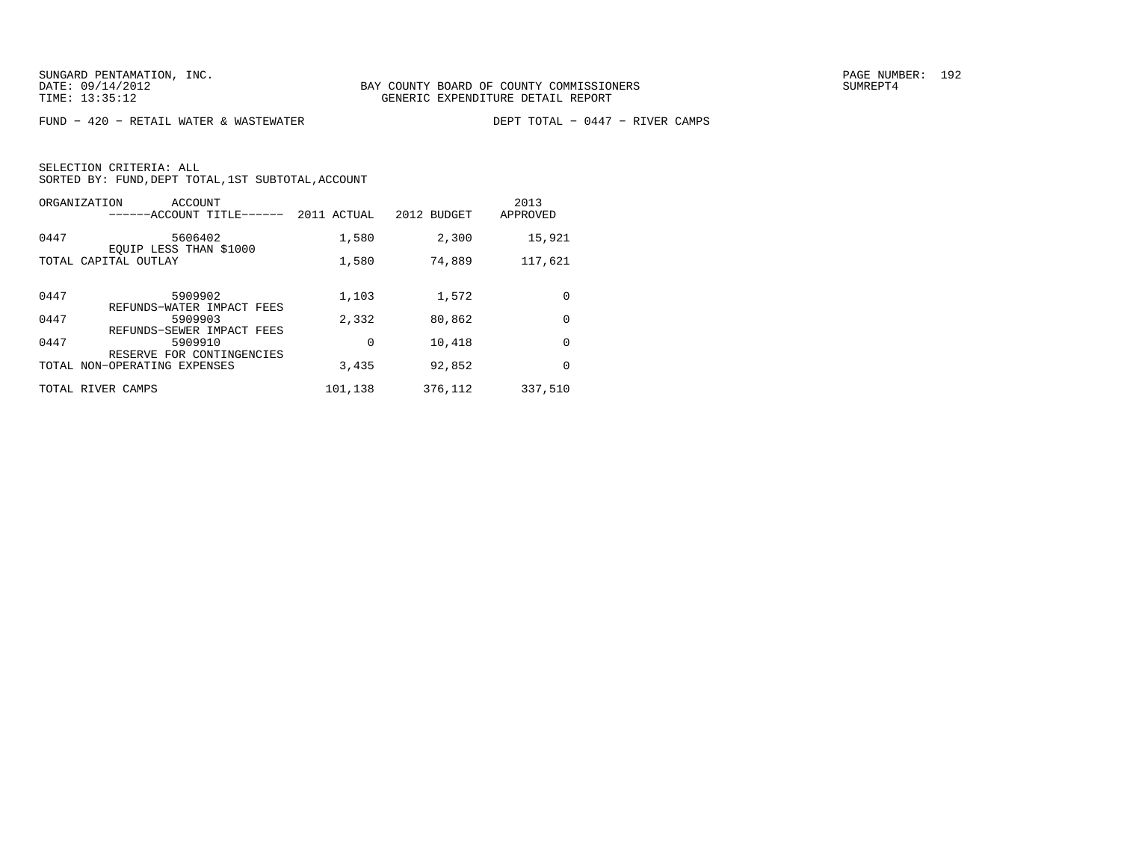FUND − 420 − RETAIL WATER & WASTEWATER DEPT TOTAL − 0447 − RIVER CAMPS

| ORGANIZATION<br>ACCOUNT<br>------ACCOUNT TITLE------                      | 2011 ACTUAL | 2012 BUDGET | 2013<br>APPROVED |
|---------------------------------------------------------------------------|-------------|-------------|------------------|
| 0447<br>5606402<br>EOUIP LESS THAN \$1000                                 | 1,580       | 2,300       | 15,921           |
| TOTAL CAPITAL OUTLAY                                                      | 1,580       | 74,889      | 117,621          |
| 0447<br>5909902                                                           | 1,103       | 1,572       | 0                |
| REFUNDS-WATER IMPACT FEES<br>0447<br>5909903<br>REFUNDS-SEWER IMPACT FEES | 2,332       | 80,862      | 0                |
| 0447<br>5909910<br>RESERVE FOR CONTINGENCIES                              | 0           | 10,418      | 0                |
| TOTAL NON-OPERATING EXPENSES                                              | 3,435       | 92,852      | 0                |
| TOTAL RIVER CAMPS                                                         | 101,138     | 376,112     | 337,510          |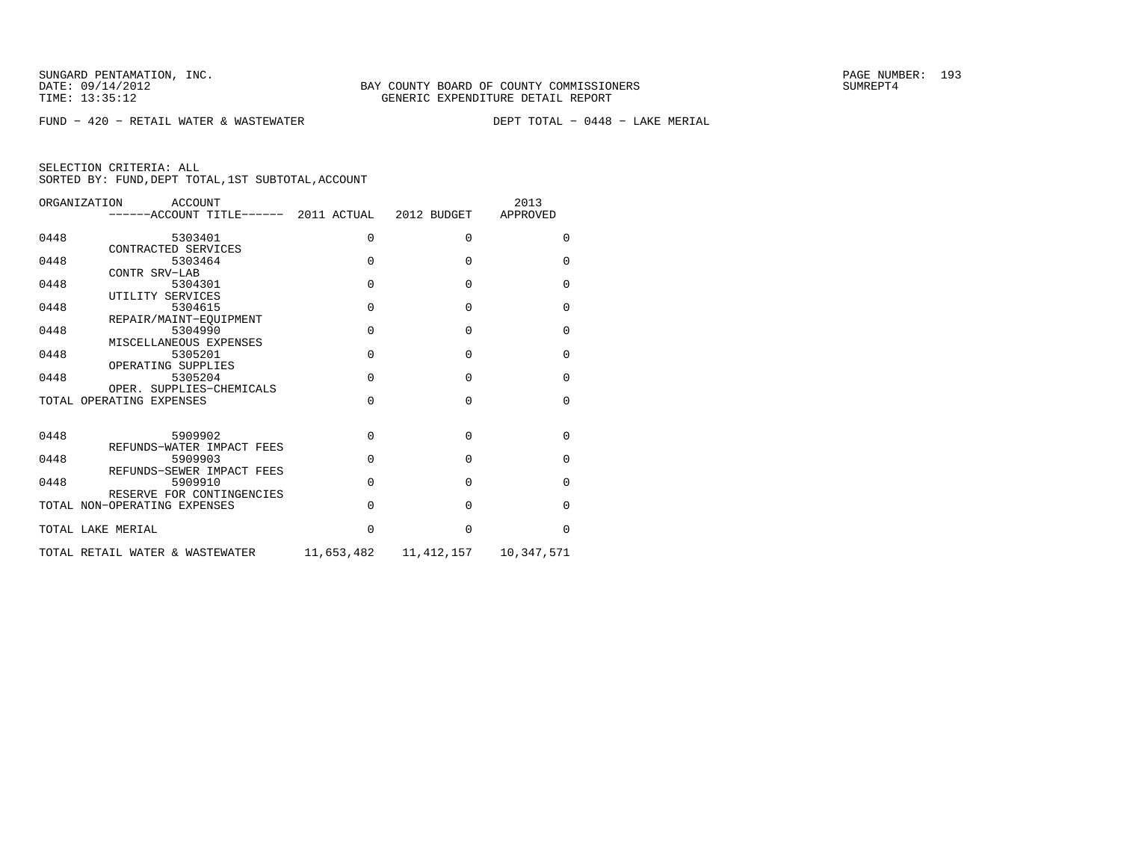$FUND - 420 - RETAIL WATER & WASTEWATER$ 

DEPT TOTAL - 0448 - LAKE MERIAL

| ORGANIZATION      | ACCOUNT<br>------ACCOUNT TITLE------ 2011 ACTUAL 2012 BUDGET |            |            | 2013<br>APPROVED |
|-------------------|--------------------------------------------------------------|------------|------------|------------------|
| 0448              | 5303401                                                      | $\Omega$   | 0          | 0                |
| 0448              | CONTRACTED SERVICES<br>5303464                               | $\Omega$   | $\Omega$   | $\Omega$         |
| 0448              | CONTR SRV-LAB<br>5304301                                     | $\Omega$   | $\Omega$   | $\mathbf 0$      |
| 0448              | UTILITY SERVICES<br>5304615<br>REPAIR/MAINT-EOUIPMENT        | $\Omega$   | $\Omega$   | $\Omega$         |
| 0448              | 5304990<br>MISCELLANEOUS EXPENSES                            | $\Omega$   | $\Omega$   | $\Omega$         |
| 0448              | 5305201<br>OPERATING SUPPLIES                                | $\Omega$   | $\Omega$   | 0                |
| 0448              | 5305204<br>OPER. SUPPLIES-CHEMICALS                          | $\Omega$   | $\Omega$   | $\Omega$         |
|                   | TOTAL OPERATING EXPENSES                                     | $\Omega$   | $\Omega$   | $\Omega$         |
| 0448              | 5909902                                                      | $\Omega$   | $\Omega$   | $\mathbf 0$      |
| 0448              | REFUNDS-WATER IMPACT FEES<br>5909903                         | $\Omega$   | $\Omega$   | $\Omega$         |
| 0448              | REFUNDS-SEWER IMPACT FEES<br>5909910                         | $\Omega$   | $\Omega$   | $\Omega$         |
|                   | RESERVE FOR CONTINGENCIES<br>TOTAL NON-OPERATING EXPENSES    | $\Omega$   | $\Omega$   | $\Omega$         |
| TOTAL LAKE MERIAL |                                                              | $\Omega$   | $\Omega$   | $\Omega$         |
|                   | TOTAL RETAIL WATER & WASTEWATER                              | 11,653,482 | 11,412,157 | 10,347,571       |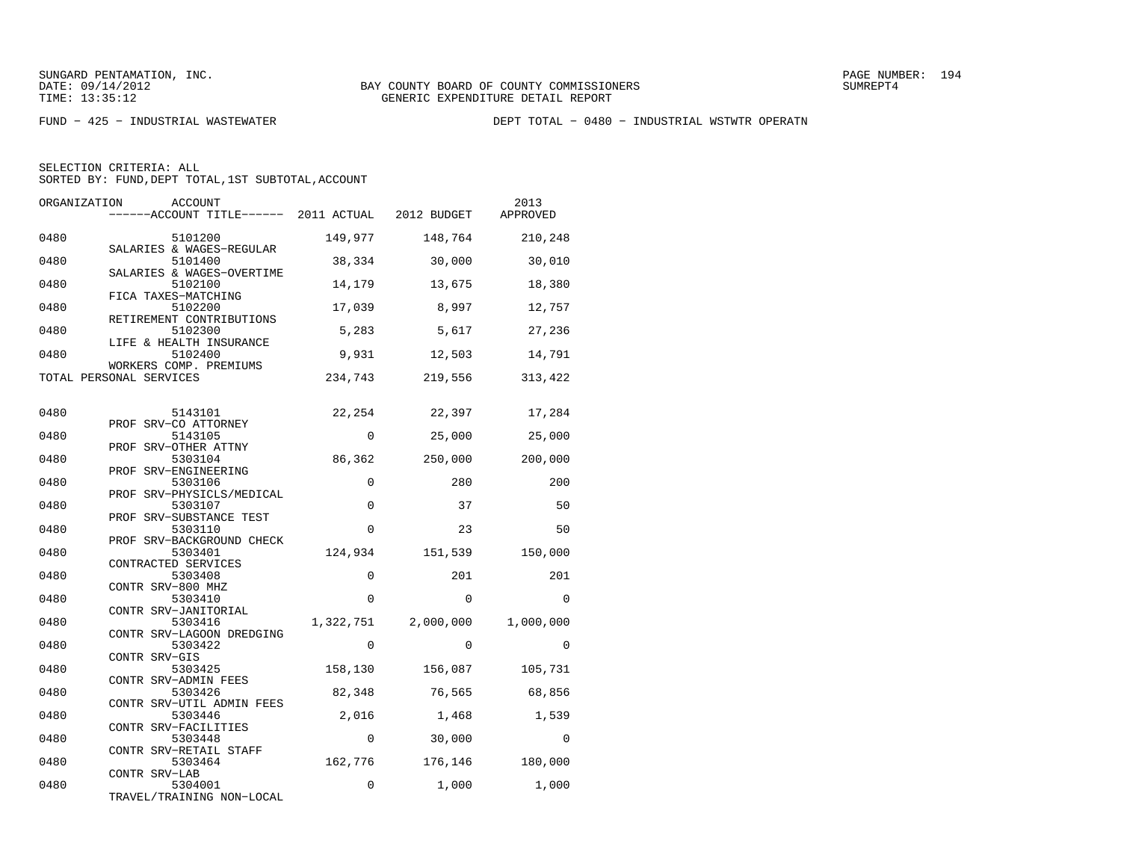FUND − 425 − INDUSTRIAL WASTEWATER DEPT TOTAL − 0480 − INDUSTRIAL WSTWTR OPERATN

| ORGANIZATION | <b>ACCOUNT</b><br>------ACCOUNT TITLE------ 2011 ACTUAL      |             | 2012 BUDGET | 2013<br>APPROVED |
|--------------|--------------------------------------------------------------|-------------|-------------|------------------|
| 0480         | 5101200<br>SALARIES & WAGES-REGULAR                          | 149,977     | 148,764     | 210,248          |
| 0480         | 5101400                                                      | 38,334      | 30,000      | 30,010           |
| 0480         | SALARIES & WAGES-OVERTIME<br>5102100                         | 14,179      | 13,675      | 18,380           |
| 0480         | FICA TAXES-MATCHING<br>5102200                               | 17,039      | 8,997       | 12,757           |
| 0480         | RETIREMENT CONTRIBUTIONS<br>5102300                          | 5,283       | 5,617       | 27,236           |
| 0480         | LIFE & HEALTH INSURANCE<br>5102400<br>WORKERS COMP. PREMIUMS | 9,931       | 12,503      | 14,791           |
|              | TOTAL PERSONAL SERVICES                                      | 234,743     | 219,556     | 313,422          |
| 0480         | 5143101                                                      | 22,254      | 22,397      | 17,284           |
| 0480         | PROF SRV-CO ATTORNEY<br>5143105                              | $\Omega$    | 25,000      | 25,000           |
| 0480         | PROF SRV-OTHER ATTNY<br>5303104                              | 86,362      | 250,000     | 200,000          |
| 0480         | PROF SRV-ENGINEERING<br>5303106                              | $\mathbf 0$ | 280         | 200              |
| 0480         | PROF SRV-PHYSICLS/MEDICAL<br>5303107                         | $\Omega$    | 37          | 50               |
| 0480         | PROF SRV-SUBSTANCE TEST<br>5303110                           | $\Omega$    | 23          | 50               |
| 0480         | PROF SRV-BACKGROUND CHECK<br>5303401                         | 124,934     | 151,539     | 150,000          |
| 0480         | CONTRACTED SERVICES<br>5303408                               | $\mathbf 0$ | 201         | 201              |
| 0480         | CONTR SRV-800 MHZ<br>5303410                                 | $\Omega$    | $\Omega$    | $\Omega$         |
| 0480         | CONTR SRV-JANITORIAL<br>5303416                              | 1,322,751   | 2,000,000   | 1,000,000        |
| 0480         | CONTR SRV-LAGOON DREDGING<br>5303422                         | $\Omega$    | $\Omega$    | $\Omega$         |
| 0480         | CONTR SRV-GIS<br>5303425                                     | 158,130     | 156,087     | 105,731          |
| 0480         | CONTR SRV-ADMIN FEES<br>5303426                              | 82,348      | 76,565      | 68,856           |
| 0480         | CONTR SRV-UTIL ADMIN FEES<br>5303446                         | 2,016       | 1,468       | 1,539            |
| 0480         | CONTR SRV-FACILITIES<br>5303448                              | 0           | 30,000      | $\Omega$         |
| 0480         | CONTR SRV-RETAIL STAFF<br>5303464<br>CONTR SRV-LAB           | 162,776     | 176,146     | 180,000          |
| 0480         | 5304001<br>TRAVEL/TRAINING NON-LOCAL                         | $\mathbf 0$ | 1,000       | 1,000            |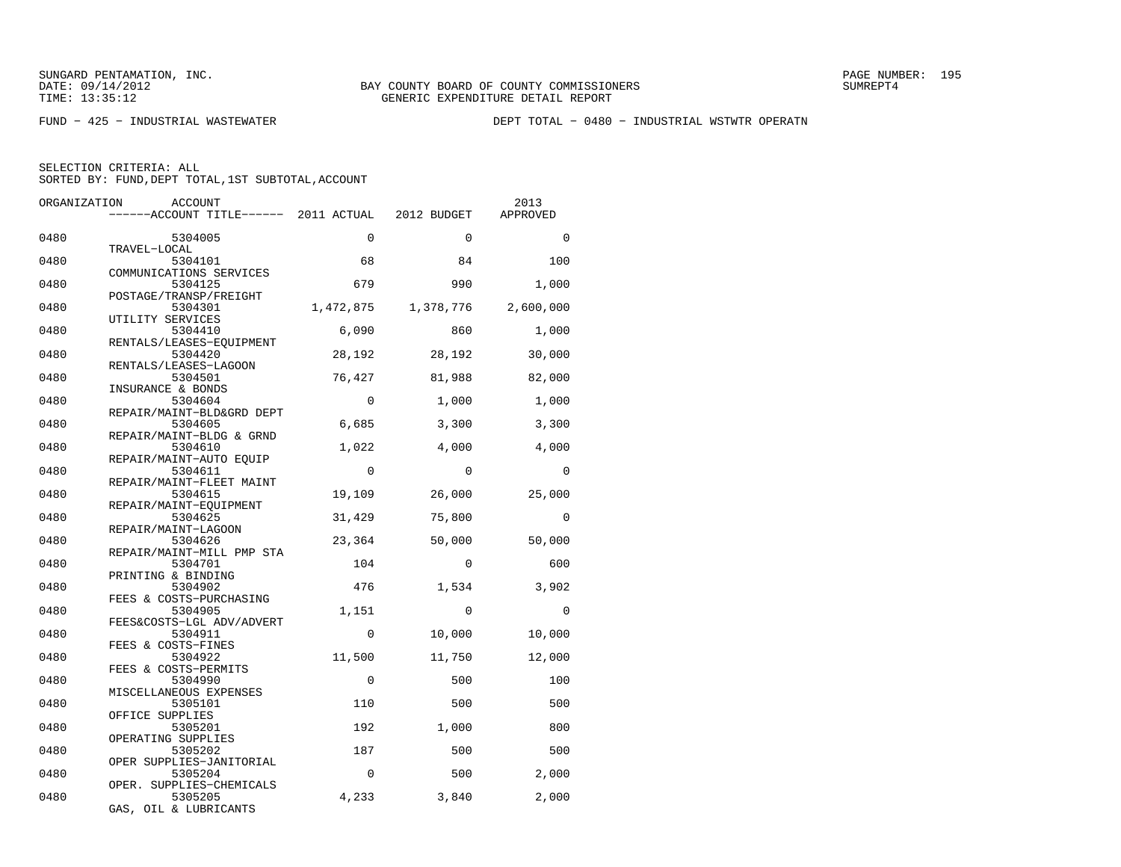FUND − 425 − INDUSTRIAL WASTEWATER DEPT TOTAL − 0480 − INDUSTRIAL WSTWTR OPERATN

| ORGANIZATION | ACCOUNT                               |             |             | 2013      |
|--------------|---------------------------------------|-------------|-------------|-----------|
|              | ------ACCOUNT TITLE------ 2011 ACTUAL |             | 2012 BUDGET | APPROVED  |
| 0480         | 5304005                               | $\Omega$    | $\Omega$    | $\Omega$  |
| 0480         | TRAVEL-LOCAL<br>5304101               | 68          | 84          | 100       |
| 0480         | COMMUNICATIONS SERVICES<br>5304125    | 679         | 990         | 1,000     |
| 0480         | POSTAGE/TRANSP/FREIGHT<br>5304301     | 1,472,875   | 1,378,776   | 2,600,000 |
| 0480         | UTILITY SERVICES<br>5304410           | 6,090       | 860         | 1,000     |
| 0480         | RENTALS/LEASES-EQUIPMENT<br>5304420   | 28,192      | 28,192      | 30,000    |
|              | RENTALS/LEASES-LAGOON                 |             |             |           |
| 0480         | 5304501<br>INSURANCE & BONDS          | 76,427      | 81,988      | 82,000    |
| 0480         | 5304604<br>REPAIR/MAINT-BLD&GRD DEPT  | $\mathbf 0$ | 1,000       | 1,000     |
| 0480         | 5304605<br>REPAIR/MAINT-BLDG & GRND   | 6,685       | 3,300       | 3,300     |
| 0480         | 5304610<br>REPAIR/MAINT-AUTO EOUIP    | 1,022       | 4,000       | 4,000     |
| 0480         | 5304611<br>REPAIR/MAINT-FLEET MAINT   | $\Omega$    | $\Omega$    | $\Omega$  |
| 0480         | 5304615                               | 19,109      | 26,000      | 25,000    |
| 0480         | REPAIR/MAINT-EQUIPMENT<br>5304625     | 31,429      | 75,800      | $\Omega$  |
| 0480         | REPAIR/MAINT-LAGOON<br>5304626        | 23,364      | 50,000      | 50,000    |
| 0480         | REPAIR/MAINT-MILL PMP STA<br>5304701  | 104         | $\Omega$    | 600       |
| 0480         | PRINTING & BINDING<br>5304902         | 476         | 1,534       | 3,902     |
| 0480         | FEES & COSTS-PURCHASING<br>5304905    | 1,151       | $\Omega$    | $\Omega$  |
| 0480         | FEES&COSTS-LGL ADV/ADVERT<br>5304911  | $\mathbf 0$ | 10,000      | 10,000    |
| 0480         | FEES & COSTS-FINES<br>5304922         | 11,500      | 11,750      | 12,000    |
| 0480         | FEES & COSTS-PERMITS<br>5304990       | $\mathbf 0$ | 500         | 100       |
| 0480         | MISCELLANEOUS EXPENSES<br>5305101     | 110         | 500         | 500       |
| 0480         | OFFICE SUPPLIES<br>5305201            | 192         | 1,000       | 800       |
|              | OPERATING SUPPLIES                    |             |             |           |
| 0480         | 5305202<br>OPER SUPPLIES-JANITORIAL   | 187         | 500         | 500       |
| 0480         | 5305204<br>OPER. SUPPLIES-CHEMICALS   | $\Omega$    | 500         | 2,000     |
| 0480         | 5305205<br>GAS, OIL & LUBRICANTS      | 4,233       | 3,840       | 2,000     |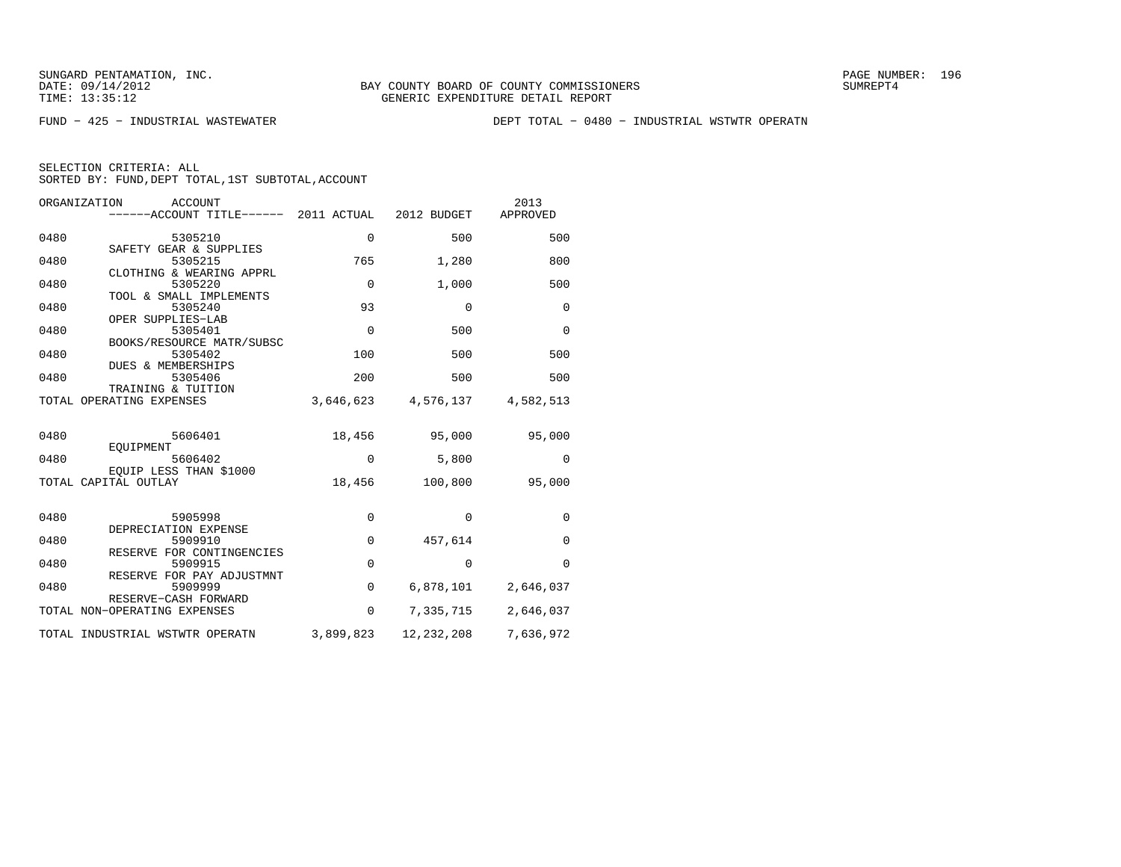FUND − 425 − INDUSTRIAL WASTEWATER DEPT TOTAL − 0480 − INDUSTRIAL WSTWTR OPERATN

| ORGANIZATION<br><b>ACCOUNT</b><br>------ACCOUNT TITLE------ 2011 ACTUAL |             | 2012 BUDGET | 2013<br>APPROVED |
|-------------------------------------------------------------------------|-------------|-------------|------------------|
| 0480<br>5305210                                                         | $\Omega$    | 500         | 500              |
| SAFETY GEAR & SUPPLIES<br>0480<br>5305215<br>CLOTHING & WEARING APPRL   | 765         | 1,280       | 800              |
| 0480<br>5305220                                                         | $\Omega$    | 1,000       | 500              |
| TOOL & SMALL IMPLEMENTS<br>0480<br>5305240<br>OPER SUPPLIES-LAB         | 93          | 0           | 0                |
| 0480<br>5305401<br>BOOKS/RESOURCE MATR/SUBSC                            | $\Omega$    | 500         | $\mathbf 0$      |
| 0480<br>5305402<br><b>DUES &amp; MEMBERSHIPS</b>                        | 100         | 500         | 500              |
| 0480<br>5305406<br>TRAINING & TUITION                                   | 200         | 500         | 500              |
| TOTAL OPERATING EXPENSES                                                | 3,646,623   | 4,576,137   | 4,582,513        |
| 0480<br>5606401                                                         | 18,456      | 95,000      | 95,000           |
| EOUIPMENT<br>0480<br>5606402                                            | 0           | 5,800       | 0                |
| EOUIP LESS THAN \$1000<br>TOTAL CAPITAL OUTLAY                          | 18,456      | 100,800     | 95,000           |
| 0480<br>5905998                                                         | 0           | $\Omega$    | $\Omega$         |
| DEPRECIATION EXPENSE<br>0480<br>5909910                                 | $\mathbf 0$ | 457,614     | $\mathbf 0$      |
| RESERVE FOR CONTINGENCIES<br>0480<br>5909915                            | $\mathbf 0$ | $\Omega$    | $\Omega$         |
| RESERVE FOR PAY ADJUSTMNT<br>0480<br>5909999                            | $\mathbf 0$ | 6,878,101   | 2,646,037        |
| RESERVE-CASH FORWARD<br>TOTAL NON-OPERATING EXPENSES                    | $\mathbf 0$ | 7,335,715   | 2,646,037        |
| TOTAL INDUSTRIAL WSTWTR OPERATN                                         | 3,899,823   | 12,232,208  | 7,636,972        |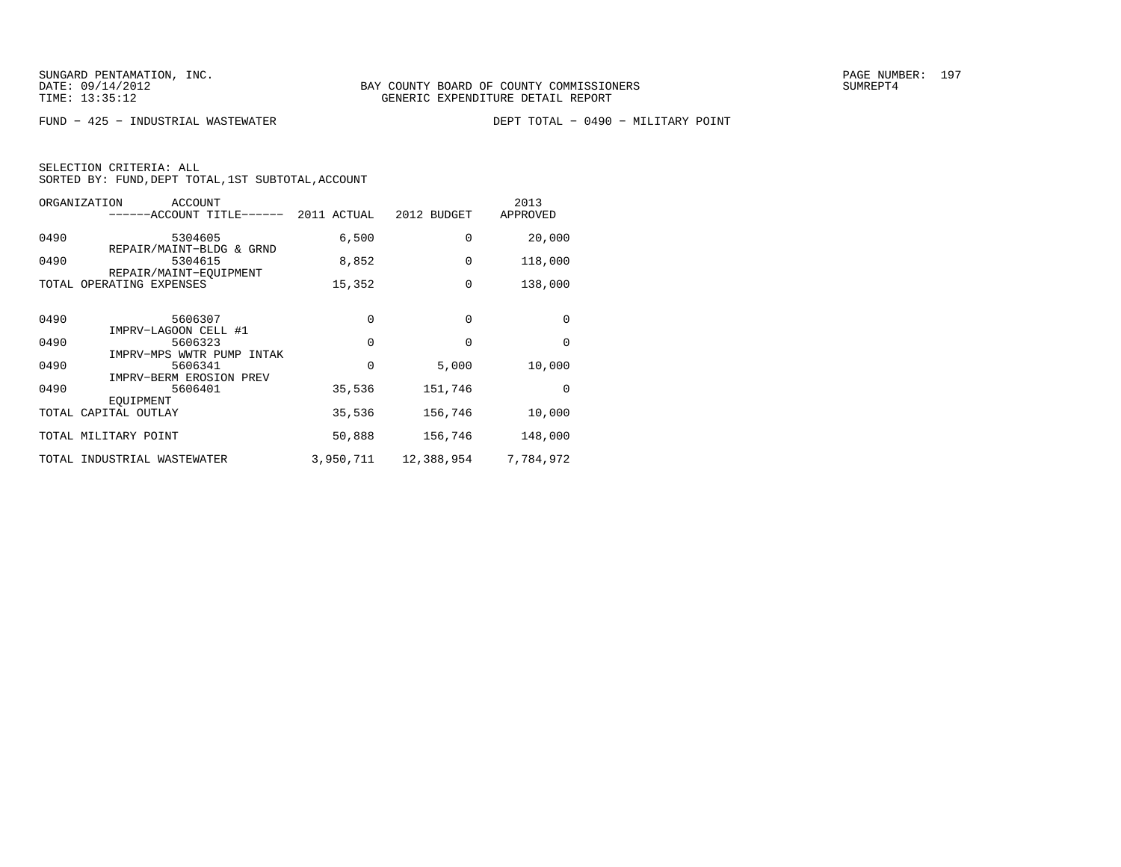| ORGANIZATION<br>ACCOUNT<br>-----ACCOUNT TITLE------   | 2011 ACTUAL | 2012 BUDGET | 2013<br>APPROVED |
|-------------------------------------------------------|-------------|-------------|------------------|
| 0490<br>5304605                                       | 6,500       | $\Omega$    | 20,000           |
| REPAIR/MAINT-BLDG & GRND<br>0490<br>5304615           | 8,852       | $\Omega$    | 118,000          |
| REPAIR/MAINT-EOUIPMENT<br>OPERATING EXPENSES<br>TOTAL | 15,352      | $\Omega$    | 138,000          |
|                                                       |             |             |                  |
| 0490<br>5606307<br>IMPRV-LAGOON CELL #1               | $\Omega$    | $\Omega$    | $\Omega$         |
| 0490<br>5606323                                       | $\Omega$    | $\Omega$    | $\Omega$         |
| IMPRV-MPS WWTR PUMP INTAK<br>0490<br>5606341          | $\Omega$    | 5,000       | 10,000           |
| IMPRV-BERM EROSION PREV<br>0490<br>5606401            | 35,536      | 151,746     | $\Omega$         |
| EOUIPMENT<br>TOTAL CAPITAL OUTLAY                     | 35,536      | 156,746     | 10,000           |
| TOTAL MILITARY POINT                                  | 50,888      | 156,746     | 148,000          |
| INDUSTRIAL WASTEWATER<br>TOTAL                        | 3,950,711   | 12,388,954  | 7,784,972        |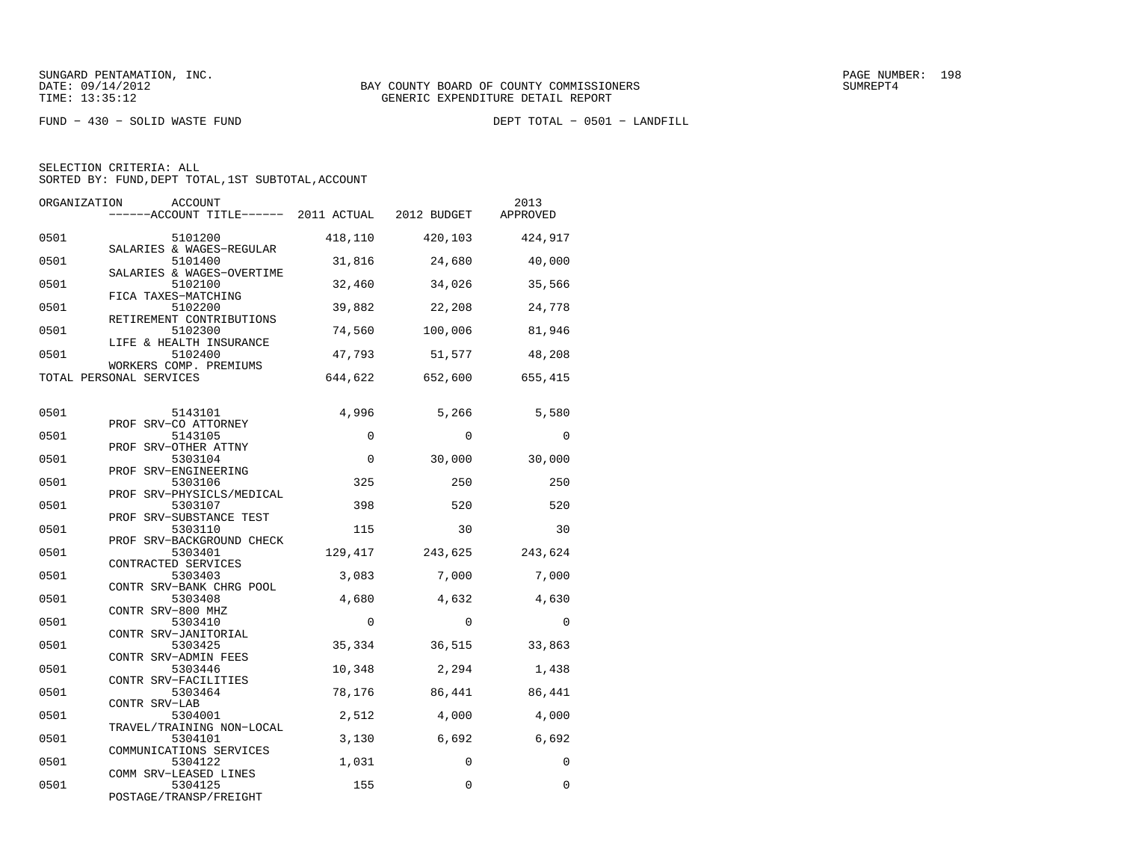FUND − 430 − SOLID WASTE FUND DEPT TOTAL − 0501 − LANDFILL

| ORGANIZATION | <b>ACCOUNT</b><br>------ACCOUNT TITLE------ 2011 ACTUAL 2012 BUDGET |             |             | 2013<br>APPROVED |
|--------------|---------------------------------------------------------------------|-------------|-------------|------------------|
| 0501         | 5101200<br>SALARIES & WAGES-REGULAR                                 | 418,110     | 420,103     | 424,917          |
| 0501         | 5101400                                                             | 31,816      | 24,680      | 40,000           |
| 0501         | SALARIES & WAGES-OVERTIME<br>5102100                                | 32,460      | 34,026      | 35,566           |
| 0501         | FICA TAXES-MATCHING<br>5102200<br>RETIREMENT CONTRIBUTIONS          | 39,882      | 22,208      | 24,778           |
| 0501         | 5102300<br>LIFE & HEALTH INSURANCE                                  | 74,560      | 100,006     | 81,946           |
| 0501         | 5102400<br>WORKERS COMP. PREMIUMS                                   | 47,793      | 51,577      | 48,208           |
|              | TOTAL PERSONAL SERVICES                                             | 644,622     | 652,600     | 655,415          |
| 0501         | 5143101                                                             | 4,996       | 5,266       | 5,580            |
| 0501         | PROF SRV-CO ATTORNEY<br>5143105                                     | $\mathbf 0$ | $\Omega$    | $\Omega$         |
| 0501         | PROF SRV-OTHER ATTNY<br>5303104                                     | $\Omega$    | 30,000      | 30,000           |
| 0501         | PROF SRV-ENGINEERING<br>5303106                                     | 325         | 250         | 250              |
| 0501         | PROF SRV-PHYSICLS/MEDICAL<br>5303107                                | 398         | 520         | 520              |
| 0501         | PROF SRV-SUBSTANCE TEST<br>5303110                                  | 115         | 30          | 30               |
| 0501         | PROF SRV-BACKGROUND CHECK<br>5303401                                | 129,417     | 243,625     | 243,624          |
| 0501         | CONTRACTED SERVICES<br>5303403                                      | 3,083       | 7,000       | 7,000            |
| 0501         | CONTR SRV-BANK CHRG POOL<br>5303408                                 | 4,680       | 4,632       | 4,630            |
| 0501         | CONTR SRV-800 MHZ<br>5303410                                        | $\Omega$    | $\Omega$    | $\Omega$         |
| 0501         | CONTR SRV-JANITORIAL<br>5303425                                     | 35,334      | 36,515      | 33,863           |
| 0501         | CONTR SRV-ADMIN FEES<br>5303446                                     | 10,348      | 2,294       | 1,438            |
| 0501         | CONTR SRV-FACILITIES<br>5303464<br>CONTR SRV-LAB                    | 78,176      | 86,441      | 86,441           |
| 0501         | 5304001<br>TRAVEL/TRAINING NON-LOCAL                                | 2,512       | 4,000       | 4,000            |
| 0501         | 5304101<br>COMMUNICATIONS SERVICES                                  | 3,130       | 6,692       | 6,692            |
| 0501         | 5304122<br>COMM SRV-LEASED LINES                                    | 1,031       | 0           | $\Omega$         |
| 0501         | 5304125<br>POSTAGE/TRANSP/FREIGHT                                   | 155         | $\mathbf 0$ | $\Omega$         |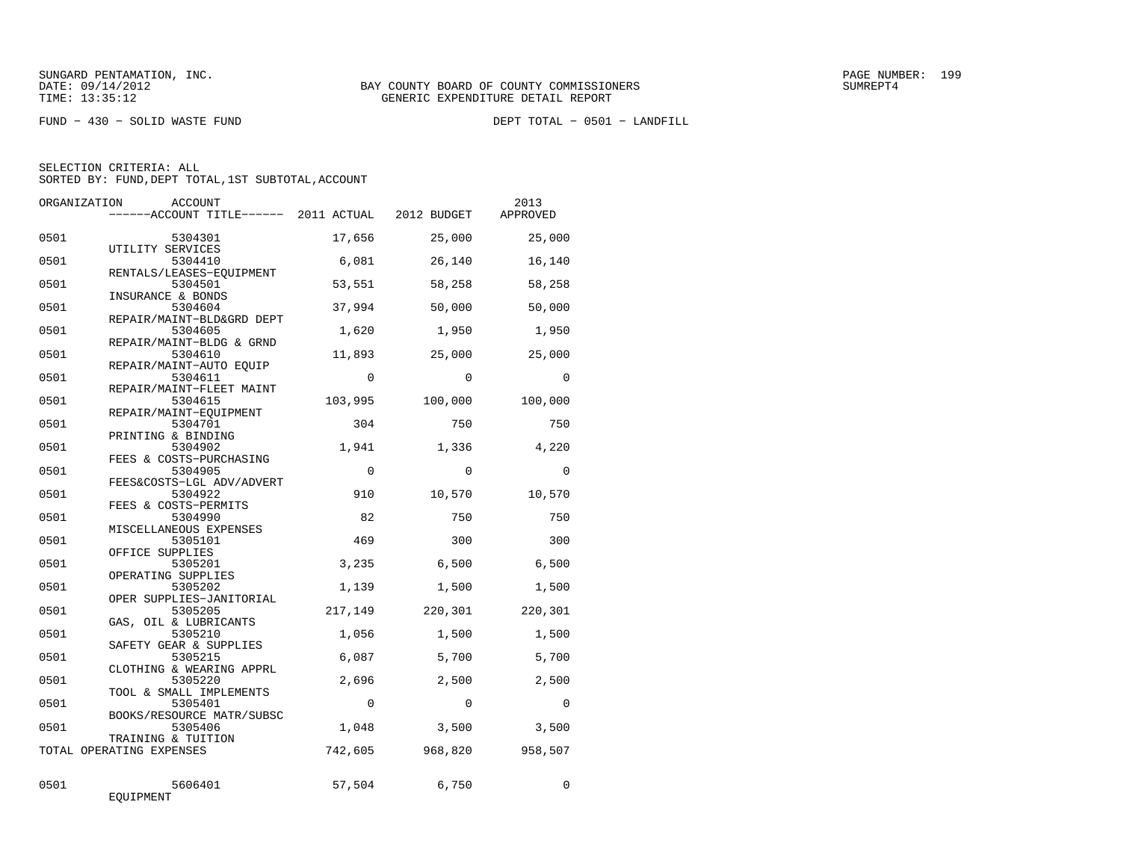FUND − 430 − SOLID WASTE FUND DEPT TOTAL − 0501 − LANDFILL

| ORGANIZATION | ACCOUNT<br>------ACCOUNT TITLE------ 2011 ACTUAL 2012 BUDGET |           |            | 2013<br>APPROVED |
|--------------|--------------------------------------------------------------|-----------|------------|------------------|
| 0501         | 5304301<br>UTILITY SERVICES                                  | 17,656    | 25,000     | 25,000           |
| 0501         | 5304410<br>RENTALS/LEASES-EOUIPMENT                          | 6,081     | 26,140     | 16,140           |
| 0501         | 5304501<br>INSURANCE & BONDS                                 | 53,551    | 58,258     | 58,258           |
| 0501         | 5304604<br>REPAIR/MAINT-BLD&GRD DEPT                         | 37,994    | 50,000     | 50,000           |
| 0501         | 5304605<br>REPAIR/MAINT-BLDG & GRND                          | 1,620     | 1,950      | 1,950            |
| 0501         | 5304610<br>REPAIR/MAINT-AUTO EOUIP                           | 11,893    | 25,000     | 25,000           |
| 0501         | 5304611<br>REPAIR/MAINT-FLEET MAINT                          | $\Omega$  | $\Omega$   | $\Omega$         |
| 0501         | 5304615<br>REPAIR/MAINT-EOUIPMENT                            | 103,995   | 100,000    | 100,000          |
| 0501         | 5304701<br>PRINTING & BINDING                                | 304       | 750        | 750              |
| 0501         | 5304902<br>FEES & COSTS-PURCHASING                           | 1,941     | 1,336      | 4,220            |
| 0501         | 5304905<br>FEES&COSTS-LGL ADV/ADVERT                         | $\Omega$  | $\Omega$   | $\Omega$         |
| 0501         | 5304922<br>FEES & COSTS-PERMITS                              | 910       | 10,570     | 10,570           |
| 0501<br>0501 | 5304990<br>MISCELLANEOUS EXPENSES<br>5305101                 | 82<br>469 | 750<br>300 | 750<br>300       |
| 0501         | OFFICE SUPPLIES<br>5305201                                   | 3,235     | 6,500      | 6,500            |
| 0501         | OPERATING SUPPLIES<br>5305202                                | 1,139     | 1,500      | 1,500            |
| 0501         | OPER SUPPLIES-JANITORIAL<br>5305205                          | 217,149   | 220,301    | 220,301          |
| 0501         | GAS, OIL & LUBRICANTS<br>5305210                             | 1,056     | 1,500      | 1,500            |
| 0501         | SAFETY GEAR & SUPPLIES<br>5305215                            | 6,087     | 5,700      | 5,700            |
| 0501         | CLOTHING & WEARING APPRL<br>5305220                          | 2,696     | 2,500      | 2,500            |
| 0501         | TOOL & SMALL IMPLEMENTS<br>5305401                           | $\Omega$  | $\Omega$   | $\Omega$         |
| 0501         | BOOKS/RESOURCE MATR/SUBSC<br>5305406                         | 1,048     | 3,500      | 3,500            |
|              | TRAINING & TUITION<br>TOTAL OPERATING EXPENSES               | 742,605   | 968,820    | 958,507          |
| 0501         | 5606401<br>EQUIPMENT                                         | 57,504    | 6,750      | 0                |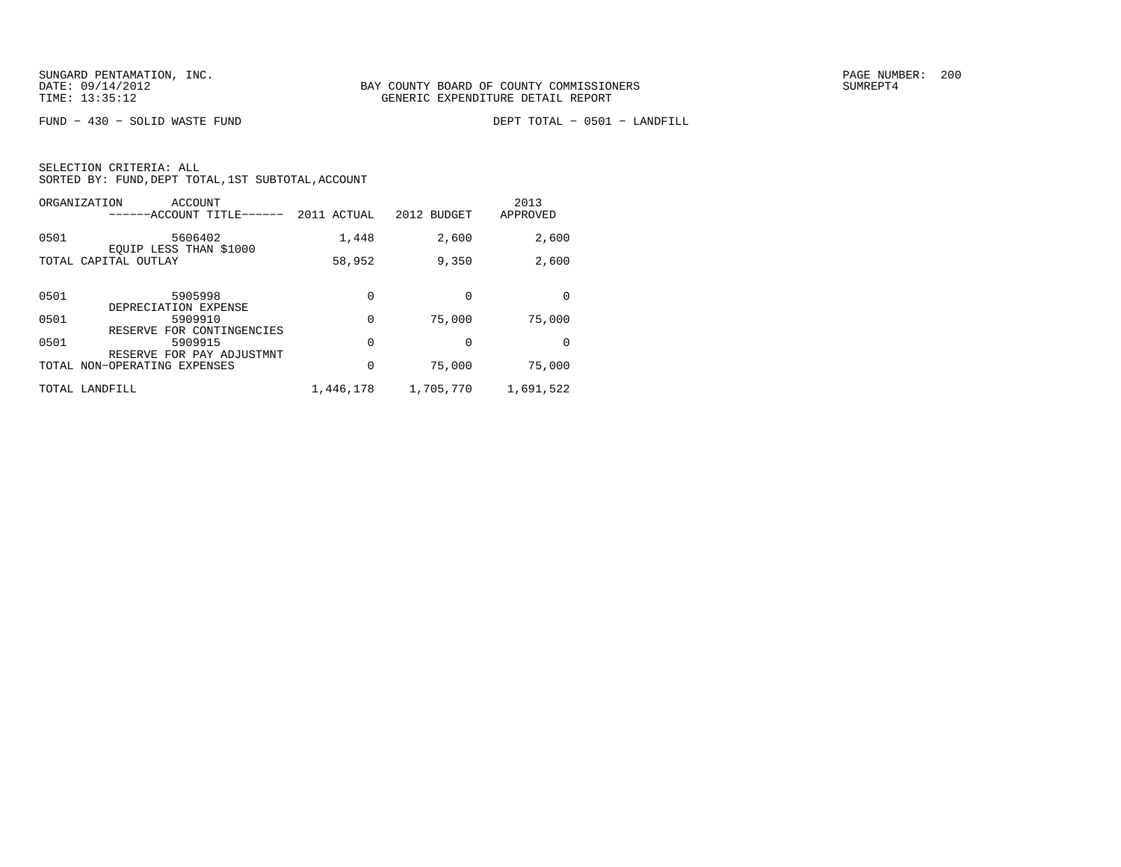FUND − 430 − SOLID WASTE FUND DEPT TOTAL − 0501 − LANDFILL

|      | ORGANIZATION<br>ACCOUNT<br>------ACCOUNT TITLE-                         | 2011 ACTUAL | 2012 BUDGET | 2013<br>APPROVED |
|------|-------------------------------------------------------------------------|-------------|-------------|------------------|
| 0501 | 5606402<br>EOUIP LESS THAN \$1000                                       | 1,448       | 2,600       | 2,600            |
|      | TOTAL CAPITAL OUTLAY                                                    | 58,952      | 9,350       | 2,600            |
| 0501 | 5905998<br>DEPRECIATION EXPENSE                                         | $\Omega$    | $\Omega$    | <sup>0</sup>     |
| 0501 | 5909910                                                                 | 0           | 75,000      | 75,000           |
| 0501 | FOR CONTINGENCIES<br>RESERVE<br>5909915<br>FOR PAY ADJUSTMNT<br>RESERVE | 0           | $\Omega$    | $\Omega$         |
|      | TOTAL NON-OPERATING EXPENSES                                            | 0           | 75,000      | 75,000           |
|      | TOTAL LANDFILL                                                          | 1,446,178   | 1,705,770   | 1,691,522        |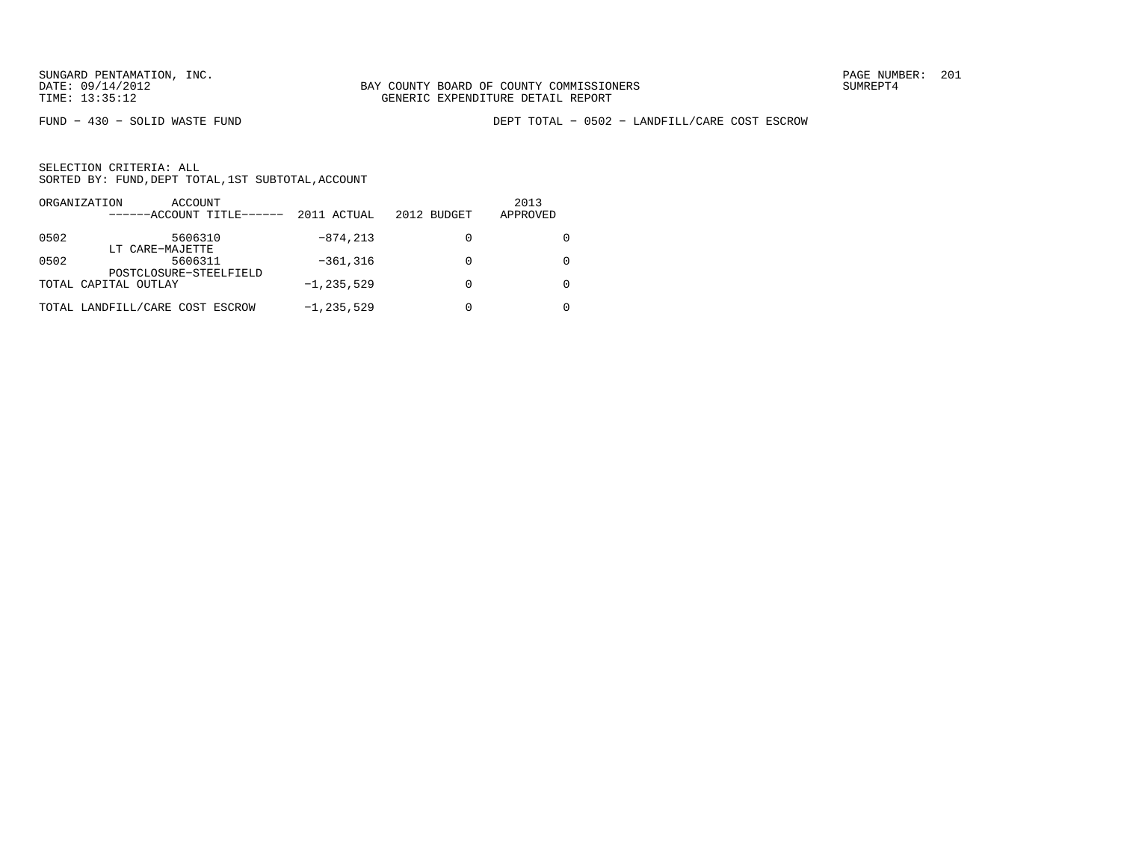FUND − 430 − SOLID WASTE FUND DEPT TOTAL − 0502 − LANDFILL/CARE COST ESCROW

|      | ORGANIZATION<br>ACCOUNT<br>------ACCOUNT TITLE------ | 2011 ACTUAL    | 2012 BUDGET | 2013<br>APPROVED |
|------|------------------------------------------------------|----------------|-------------|------------------|
| 0502 | 5606310                                              | $-874, 213$    |             |                  |
| 0502 | LT CARE-MAJETTE<br>5606311                           | $-361, 316$    |             |                  |
|      | POSTCLOSURE-STEELFIELD<br>TOTAL CAPITAL OUTLAY       | $-1, 235, 529$ |             |                  |
|      | TOTAL LANDFILL/CARE COST ESCROW                      | $-1, 235, 529$ |             |                  |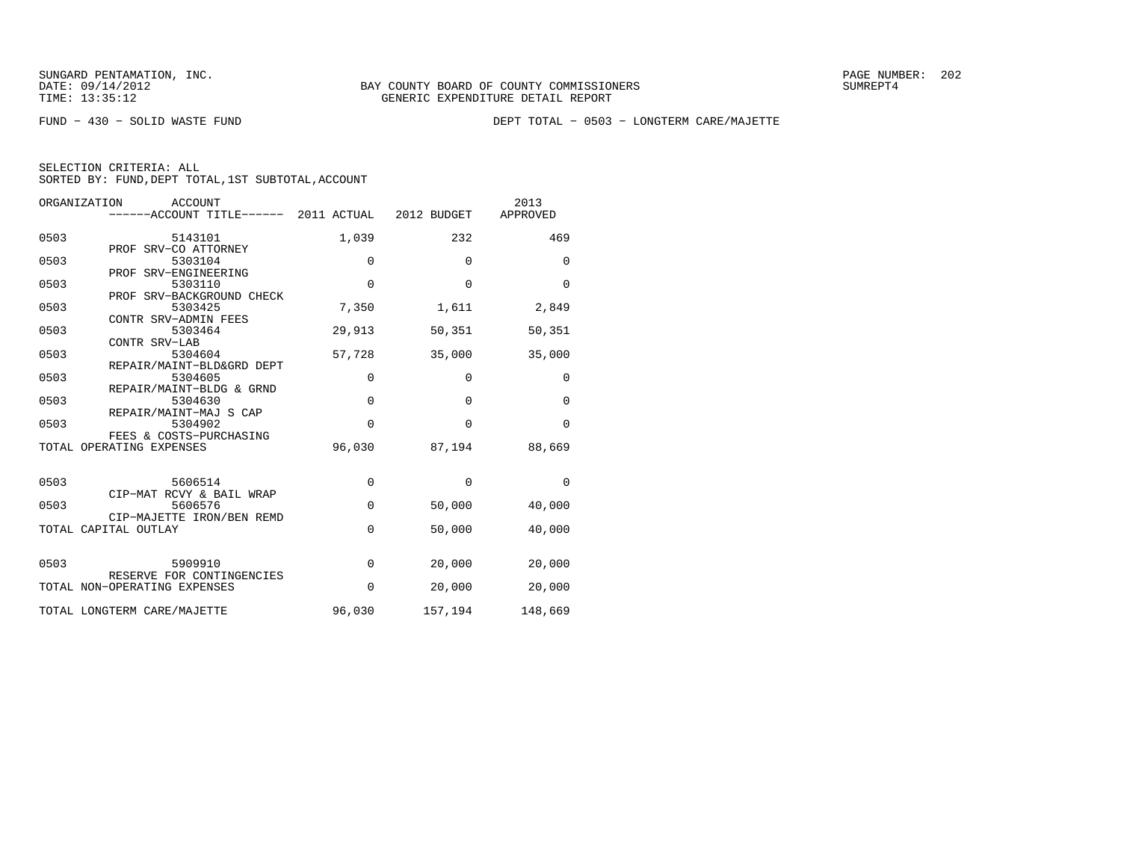FUND − 430 − SOLID WASTE FUND DEPT TOTAL − 0503 − LONGTERM CARE/MAJETTE

| SELECTION CRITERIA: ALL |  |                                                    |
|-------------------------|--|----------------------------------------------------|
|                         |  | SORTED BY: FUND, DEPT TOTAL, 1ST SUBTOTAL, ACCOUNT |

|      | ORGANIZATION<br><b>ACCOUNT</b>                    |             |             | 2013        |
|------|---------------------------------------------------|-------------|-------------|-------------|
|      | -----ACCOUNT TITLE------ 2011 ACTUAL 2012 BUDGET  |             |             | APPROVED    |
| 0503 | 5143101<br>PROF SRV-CO ATTORNEY                   | 1,039       | 232         | 469         |
| 0503 | 5303104<br>PROF SRV-ENGINEERING                   | 0           | 0           | $\mathbf 0$ |
| 0503 | 5303110                                           | $\Omega$    | $\Omega$    | $\Omega$    |
| 0503 | PROF SRV-BACKGROUND CHECK<br>5303425              | 7,350       | 1,611       | 2,849       |
| 0503 | CONTR SRV-ADMIN FEES<br>5303464<br>CONTR SRV-LAB  | 29,913      | 50,351      | 50,351      |
| 0503 | 5304604<br>REPAIR/MAINT-BLD&GRD DEPT              | 57,728      | 35,000      | 35,000      |
| 0503 | 5304605<br>REPAIR/MAINT-BLDG & GRND               | $\mathbf 0$ | 0           | $\mathbf 0$ |
| 0503 | 5304630<br>REPAIR/MAINT-MAJ S CAP                 | $\mathbf 0$ | $\mathbf 0$ | $\mathbf 0$ |
| 0503 | 5304902<br>FEES & COSTS-PURCHASING                | $\Omega$    | $\Omega$    | $\Omega$    |
|      | TOTAL OPERATING EXPENSES                          | 96,030      | 87,194      | 88,669      |
| 0503 | 5606514                                           | 0           | 0           | $\Omega$    |
| 0503 | CIP-MAT RCVY & BAIL WRAP<br>5606576               | $\mathbf 0$ | 50,000      | 40,000      |
|      | CIP-MAJETTE IRON/BEN REMD<br>TOTAL CAPITAL OUTLAY | 0           | 50,000      | 40,000      |
| 0503 | 5909910<br>RESERVE FOR CONTINGENCIES              | $\mathbf 0$ | 20,000      | 20,000      |
|      | TOTAL NON-OPERATING EXPENSES                      | $\Omega$    | 20,000      | 20,000      |
|      | TOTAL LONGTERM CARE/MAJETTE                       | 96,030      | 157,194     | 148,669     |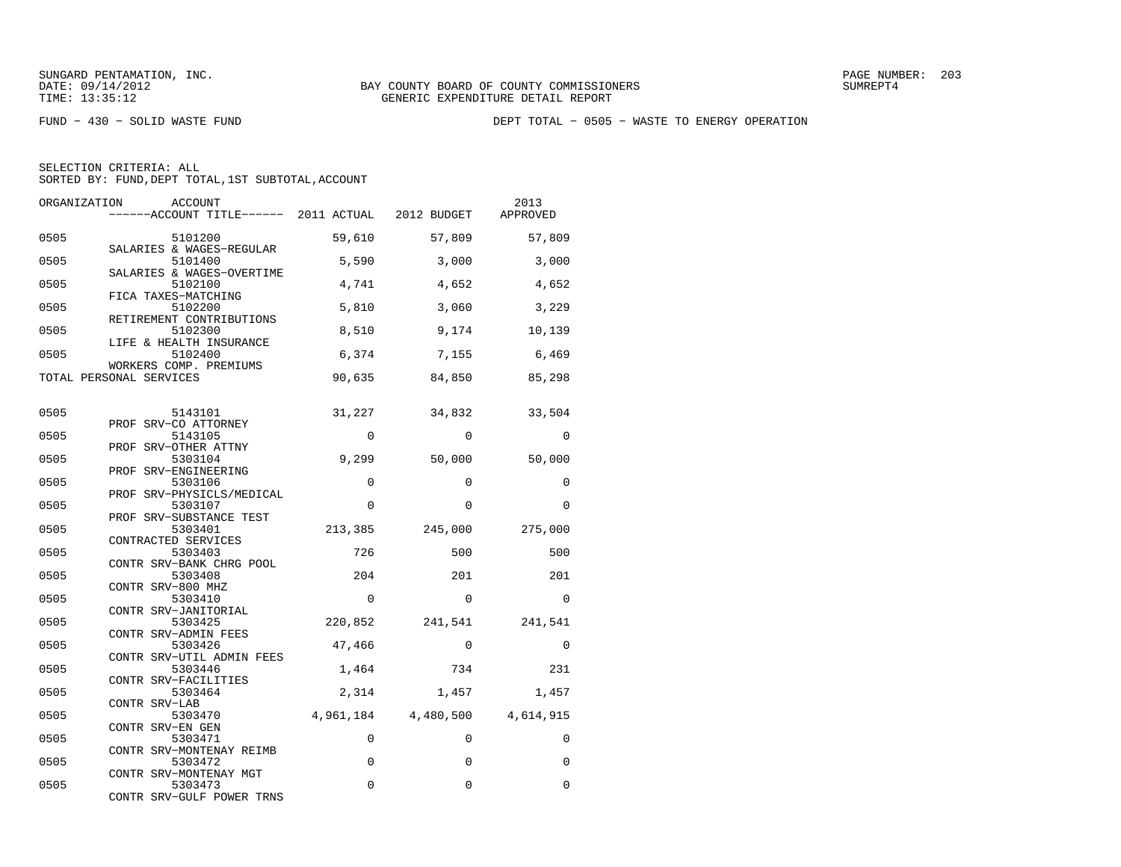FUND − 430 − SOLID WASTE FUND DEPT TOTAL − 0505 − WASTE TO ENERGY OPERATION

| ORGANIZATION            | ACCOUNT<br>------ACCOUNT TITLE------ 2011 ACTUAL 2012 BUDGET |             |             | 2013<br>APPROVED    |
|-------------------------|--------------------------------------------------------------|-------------|-------------|---------------------|
| 0505                    | 5101200                                                      | 59,610      | 57,809      | 57,809              |
| 0505                    | SALARIES & WAGES-REGULAR<br>5101400                          | 5,590       | 3,000       | 3,000               |
| 0505                    | SALARIES & WAGES-OVERTIME<br>5102100                         | 4,741       | 4,652       | 4,652               |
| 0505                    | FICA TAXES-MATCHING<br>5102200                               | 5,810       | 3,060       | 3,229               |
| 0505                    | RETIREMENT CONTRIBUTIONS<br>5102300                          | 8,510       | 9,174       | 10,139              |
| 0505                    | LIFE & HEALTH INSURANCE<br>5102400<br>WORKERS COMP. PREMIUMS | 6,374       | 7,155       | 6,469               |
| TOTAL PERSONAL SERVICES |                                                              | 90,635      | 84,850      | 85,298              |
| 0505                    | 5143101                                                      | 31,227      | 34,832      | 33,504              |
| 0505                    | PROF SRV-CO ATTORNEY<br>5143105                              | $\Omega$    | $\Omega$    | $\Omega$            |
| 0505                    | PROF SRV-OTHER ATTNY<br>5303104                              | 9,299       | 50,000      | 50,000              |
| 0505                    | PROF SRV-ENGINEERING<br>5303106                              | $\Omega$    | $\Omega$    | $\Omega$            |
| 0505                    | PROF SRV-PHYSICLS/MEDICAL<br>5303107                         | $\Omega$    | $\Omega$    | $\Omega$            |
| 0505                    | PROF SRV-SUBSTANCE TEST<br>5303401                           | 213,385     | 245,000     | 275,000             |
| 0505                    | CONTRACTED SERVICES<br>5303403                               | 726         | 500         | 500                 |
| 0505                    | CONTR SRV-BANK CHRG POOL<br>5303408                          | 204         | 201         | 201                 |
| 0505                    | CONTR SRV-800 MHZ<br>5303410                                 | $\Omega$    | $\Omega$    | $\Omega$            |
| 0505                    | CONTR SRV-JANITORIAL<br>5303425<br>CONTR SRV-ADMIN FEES      | 220,852     | 241,541     | 241,541             |
| 0505                    | 5303426<br>CONTR SRV-UTIL ADMIN FEES                         | 47,466      | $\Omega$    | $\Omega$            |
| 0505                    | 5303446<br>CONTR SRV-FACILITIES                              | 1,464       | 734         | 231                 |
| 0505                    | 5303464<br>CONTR SRV-LAB                                     | 2,314       | 1,457       | 1,457               |
| 0505                    | 5303470<br>CONTR SRV-EN GEN                                  | 4,961,184   |             | 4,480,500 4,614,915 |
| 0505                    | 5303471<br>CONTR SRV-MONTENAY REIMB                          | 0           | $\mathbf 0$ | 0                   |
| 0505                    | 5303472<br>CONTR SRV-MONTENAY MGT                            | $\Omega$    | 0           | $\Omega$            |
| 0505                    | 5303473<br>CONTR SRV-GULF POWER TRNS                         | $\mathbf 0$ | 0           | $\mathbf 0$         |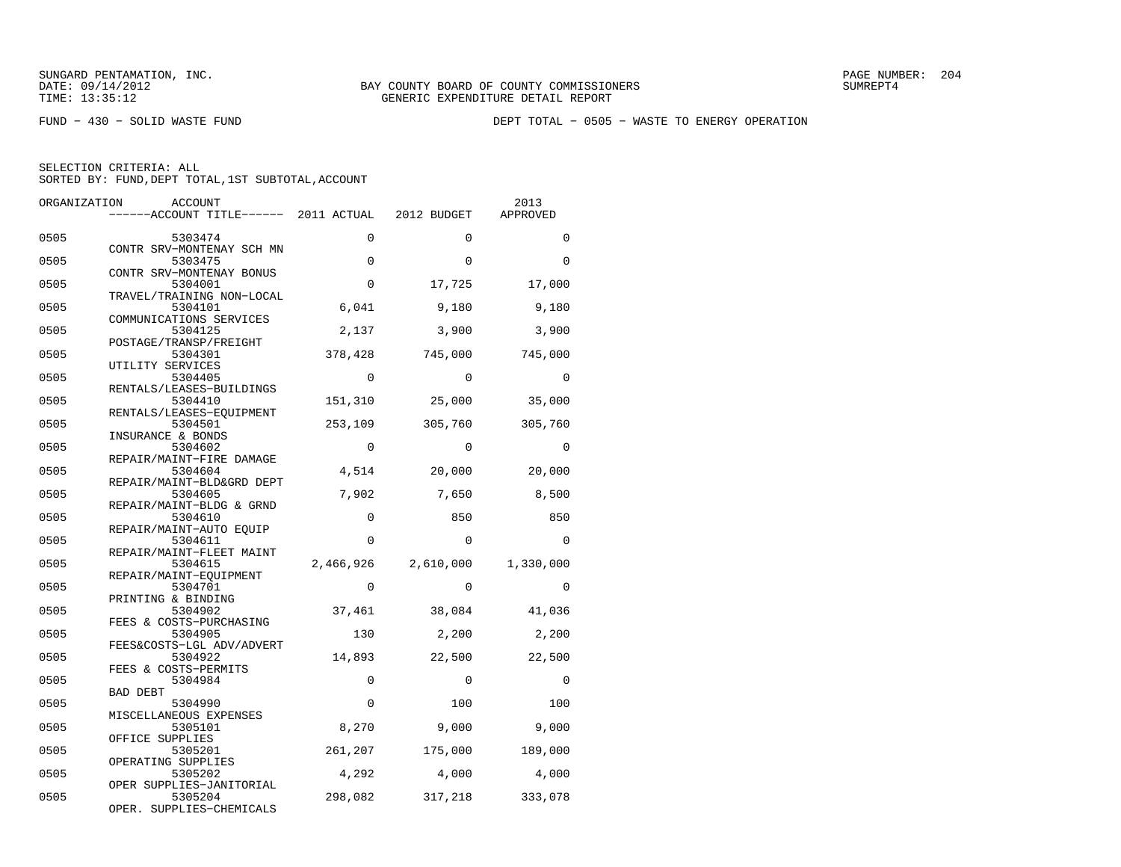FUND − 430 − SOLID WASTE FUND DEPT TOTAL − 0505 − WASTE TO ENERGY OPERATION

| ORGANIZATION | ACCOUNT<br>------ACCOUNT TITLE------ 2011 ACTUAL             |             | 2012 BUDGET | 2013<br>APPROVED |
|--------------|--------------------------------------------------------------|-------------|-------------|------------------|
| 0505         | 5303474                                                      | $\Omega$    | $\Omega$    | $\Omega$         |
| 0505         | CONTR SRV-MONTENAY SCH MN<br>5303475                         | $\mathbf 0$ | $\Omega$    | $\Omega$         |
| 0505         | CONTR SRV-MONTENAY BONUS<br>5304001                          | $\mathbf 0$ | 17,725      | 17,000           |
| 0505         | TRAVEL/TRAINING NON-LOCAL<br>5304101                         | 6,041       | 9,180       | 9,180            |
| 0505         | COMMUNICATIONS SERVICES<br>5304125                           | 2,137       | 3,900       | 3,900            |
| 0505         | POSTAGE/TRANSP/FREIGHT<br>5304301                            | 378,428     | 745,000     | 745,000          |
| 0505         | UTILITY SERVICES<br>5304405                                  | $\Omega$    | $\Omega$    | $\Omega$         |
| 0505         | RENTALS/LEASES-BUILDINGS<br>5304410                          | 151,310     | 25,000      | 35,000           |
| 0505         | RENTALS/LEASES-EQUIPMENT<br>5304501                          | 253,109     | 305,760     | 305,760          |
| 0505         | INSURANCE & BONDS<br>5304602                                 | $\Omega$    | $\Omega$    | $\Omega$         |
| 0505         | REPAIR/MAINT-FIRE DAMAGE<br>5304604                          | 4,514       | 20,000      | 20,000           |
| 0505         | REPAIR/MAINT-BLD&GRD DEPT<br>5304605                         | 7,902       | 7,650       | 8,500            |
| 0505         | REPAIR/MAINT-BLDG & GRND<br>5304610                          | 0           | 850         | 850              |
| 0505         | REPAIR/MAINT-AUTO EQUIP<br>5304611                           | $\Omega$    | $\Omega$    | $\Omega$         |
| 0505         | REPAIR/MAINT-FLEET MAINT<br>5304615                          | 2,466,926   | 2,610,000   | 1,330,000        |
| 0505         | REPAIR/MAINT-EQUIPMENT<br>5304701                            | $\Omega$    | $\Omega$    | $\Omega$         |
| 0505         | PRINTING & BINDING<br>5304902                                | 37,461      | 38,084      | 41,036           |
| 0505         | FEES & COSTS-PURCHASING<br>5304905                           | 130         | 2,200       | 2,200            |
| 0505         | FEES&COSTS-LGL ADV/ADVERT<br>5304922<br>FEES & COSTS-PERMITS | 14,893      | 22,500      | 22,500           |
| 0505         | 5304984<br><b>BAD DEBT</b>                                   | $\mathbf 0$ | $\mathbf 0$ | $\Omega$         |
| 0505         | 5304990<br>MISCELLANEOUS EXPENSES                            | 0           | 100         | 100              |
| 0505         | 5305101<br>OFFICE SUPPLIES                                   | 8,270       | 9,000       | 9,000            |
| 0505         | 5305201<br>OPERATING SUPPLIES                                | 261,207     | 175,000     | 189,000          |
| 0505         | 5305202<br>OPER SUPPLIES-JANITORIAL                          | 4,292       | 4,000       | 4,000            |
| 0505         | 5305204<br>OPER. SUPPLIES-CHEMICALS                          | 298,082     | 317,218     | 333,078          |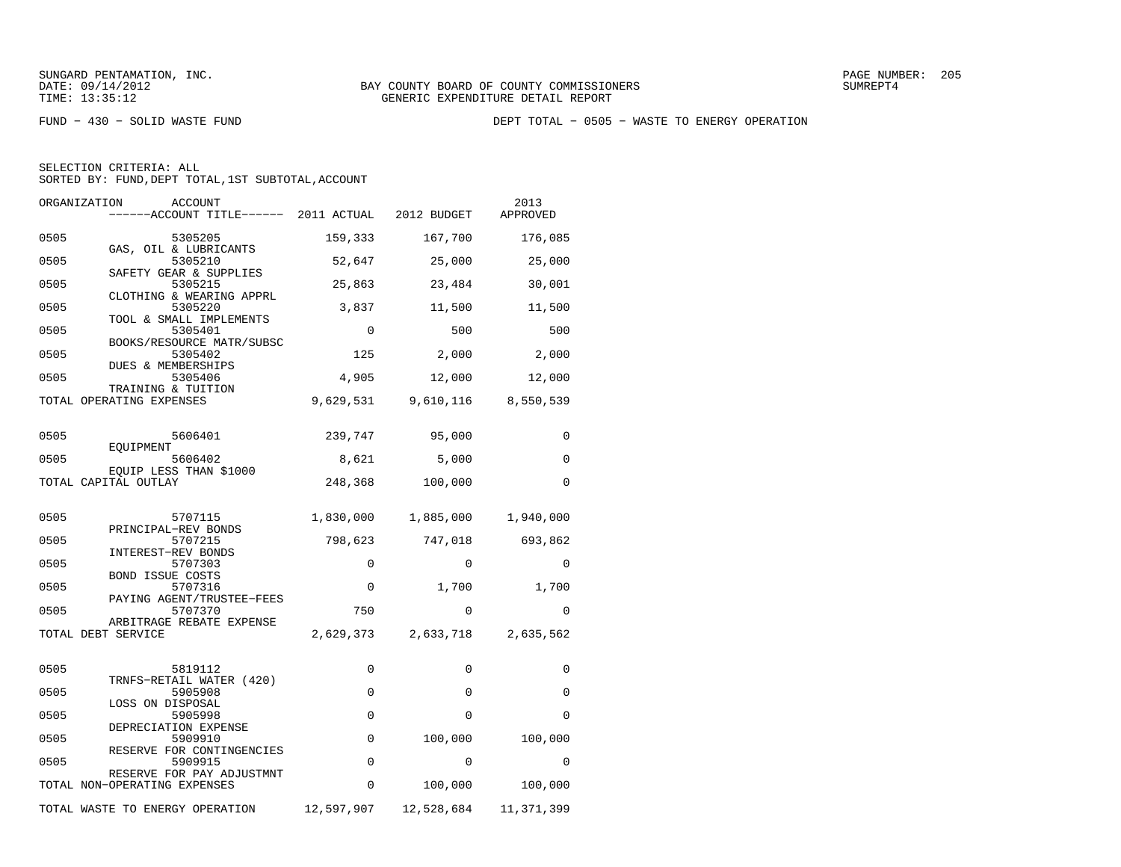FUND − 430 − SOLID WASTE FUND DEPT TOTAL − 0505 − WASTE TO ENERGY OPERATION

| SELECTION CRITERIA: ALL |  |  |                                                    |  |
|-------------------------|--|--|----------------------------------------------------|--|
|                         |  |  | SORTED BY: FUND, DEPT TOTAL, 1ST SUBTOTAL, ACCOUNT |  |

| ORGANIZATION | ACCOUNT                                                   |             |                               | 2013<br>APPROVED |
|--------------|-----------------------------------------------------------|-------------|-------------------------------|------------------|
| 0505         | 5305205                                                   | 159,333     | 167,700                       | 176,085          |
| 0505         | GAS, OIL & LUBRICANTS<br>5305210                          | 52,647      | 25,000                        | 25,000           |
| 0505         | SAFETY GEAR & SUPPLIES<br>5305215                         | 25,863      | 23,484                        | 30,001           |
| 0505         | CLOTHING & WEARING APPRL<br>5305220                       | 3,837       | 11,500                        | 11,500           |
| 0505         | TOOL & SMALL IMPLEMENTS<br>5305401                        | $\mathbf 0$ | 500                           | 500              |
| 0505         | BOOKS/RESOURCE MATR/SUBSC<br>5305402                      | 125         | 2,000                         | 2,000            |
| 0505         | DUES & MEMBERSHIPS<br>5305406                             | 4,905       | 12,000                        | 12,000           |
|              | TRAINING & TUITION<br>TOTAL OPERATING EXPENSES            |             | 9,629,531 9,610,116 8,550,539 |                  |
|              |                                                           |             |                               |                  |
| 0505         | 5606401<br>EOUIPMENT                                      | 239,747     | 95,000                        | 0                |
| 0505         | 5606402<br>EQUIP LESS THAN \$1000                         |             | 5,000                         | $\Omega$         |
|              | TOTAL CAPITAL OUTLAY                                      | 248,368     | 100,000                       | $\Omega$         |
| 0505         | 5707115                                                   |             | 1,830,000 1,885,000           | 1,940,000        |
| 0505         | PRINCIPAL-REV BONDS<br>5707215                            | 798,623     | 747,018                       | 693,862          |
| 0505         | INTEREST-REV BONDS<br>5707303                             | $\mathbf 0$ | $\Omega$                      | $\Omega$         |
| 0505         | <b>BOND ISSUE COSTS</b><br>5707316                        | 0           |                               | 1,700 1,700      |
| 0505         | PAYING AGENT/TRUSTEE-FEES<br>5707370                      | 750         | $\Omega$                      | $\Omega$         |
|              | ARBITRAGE REBATE EXPENSE<br>TOTAL DEBT SERVICE            |             | 2,629,373 2,633,718 2,635,562 |                  |
|              |                                                           |             |                               |                  |
| 0505         | 5819112<br>TRNFS-RETAIL WATER (420)                       | 0           | $\mathbf{0}$                  | 0                |
| 0505         | 5905908<br>LOSS ON DISPOSAL                               | 0           | $\mathbf{0}$                  | 0                |
| 0505         | 5905998                                                   | 0           | $\Omega$                      | $\Omega$         |
| 0505         | DEPRECIATION EXPENSE<br>5909910                           | 0           | 100,000                       | 100,000          |
| 0505         | RESERVE FOR CONTINGENCIES<br>5909915                      | $\mathbf 0$ | $\Omega$                      | $\Omega$         |
|              | RESERVE FOR PAY ADJUSTMNT<br>TOTAL NON-OPERATING EXPENSES | 0           | 100,000                       | 100,000          |
|              | TOTAL WASTE TO ENERGY OPERATION                           | 12,597,907  | 12,528,684                    | 11,371,399       |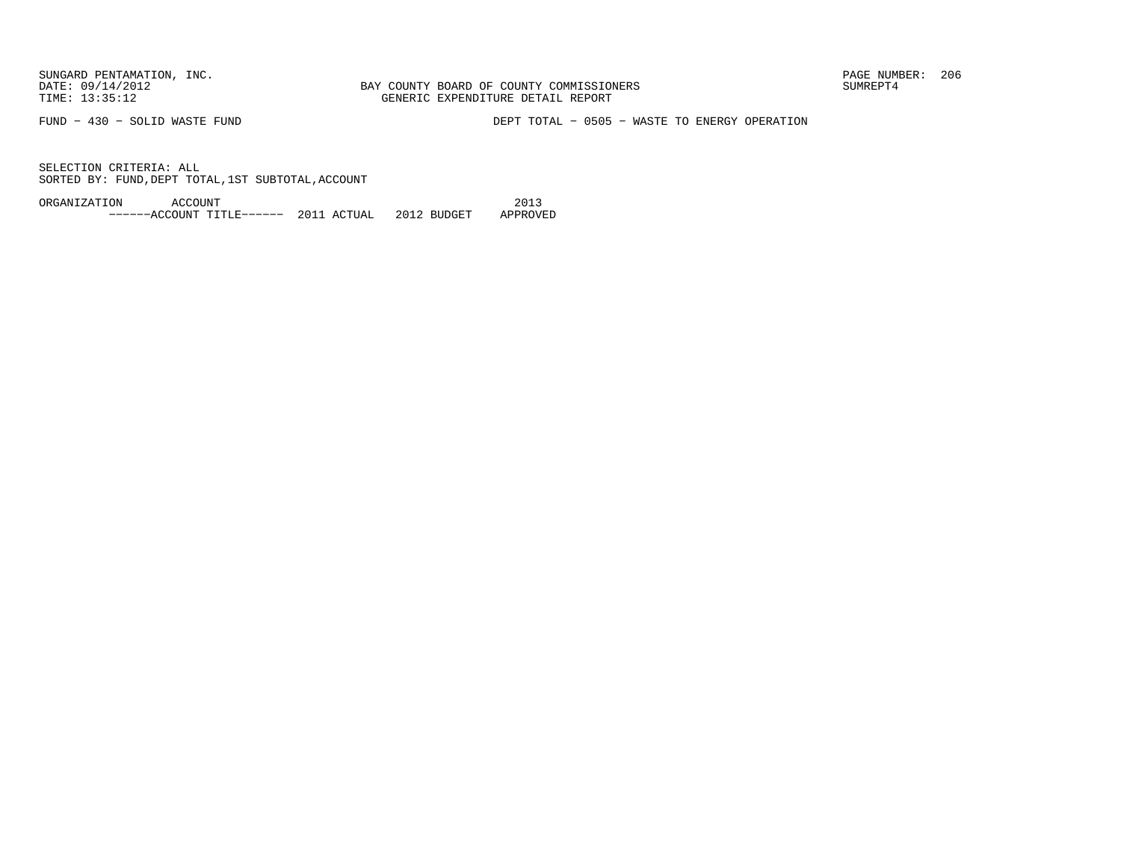BAY COUNTY BOARD OF COUNTY COMMISSIONERS TIME: 13:35:12 GENERIC EXPENDITURE DETAIL REPORT

FUND − 430 − SOLID WASTE FUND DEPT TOTAL − 0505 − WASTE TO ENERGY OPERATION

SELECTION CRITERIA: ALLSORTED BY: FUND, DEPT TOTAL, 1ST SUBTOTAL, ACCOUNT

ORGANIZATION ACCOUNT 2013−−−−−−ACCOUNT TITLE−−−−−− 2011 ACTUAL 2012 BUDGET APPROVED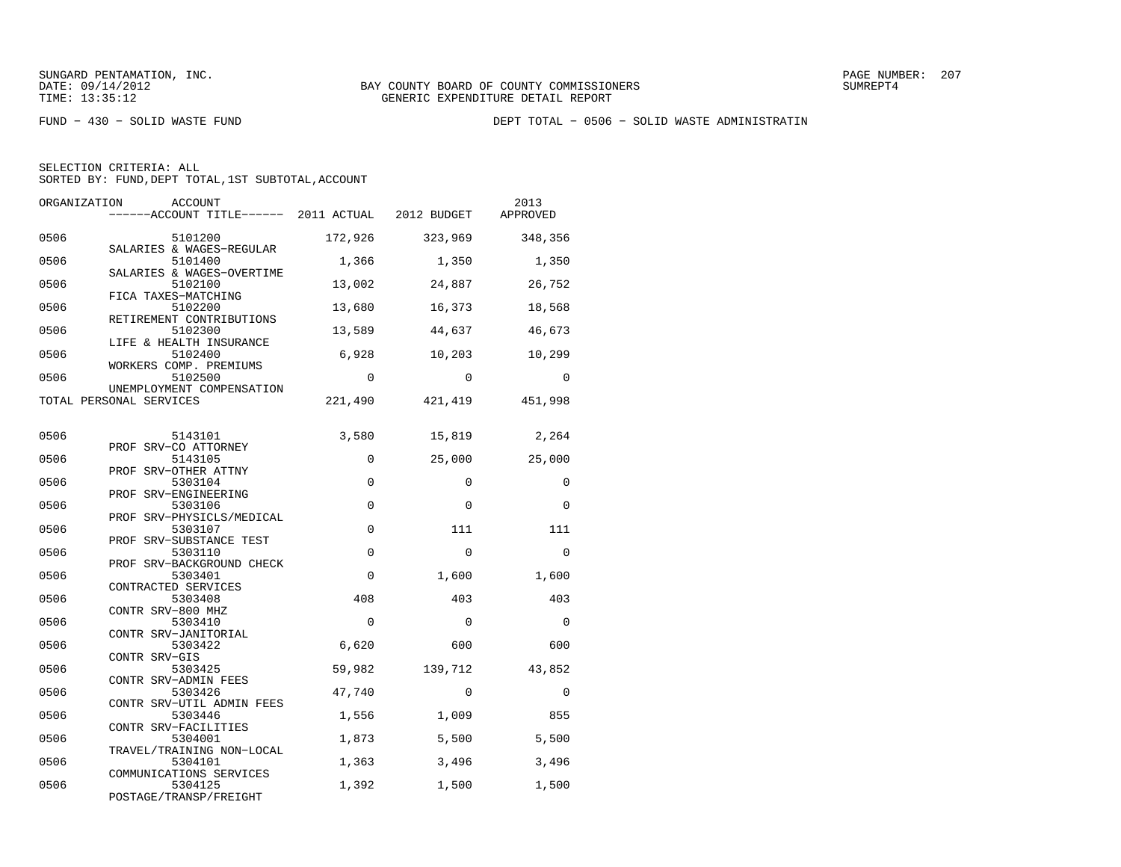FUND − 430 − SOLID WASTE FUND DEPT TOTAL − 0506 − SOLID WASTE ADMINISTRATIN

| ORGANIZATION | <b>ACCOUNT</b><br>------ACCOUNT TITLE------ 2011 ACTUAL |             | 2012 BUDGET | 2013<br>APPROVED |
|--------------|---------------------------------------------------------|-------------|-------------|------------------|
| 0506         | 5101200<br>SALARIES & WAGES-REGULAR                     | 172,926     | 323,969     | 348,356          |
| 0506         | 5101400                                                 | 1,366       | 1,350       | 1,350            |
| 0506         | SALARIES & WAGES-OVERTIME<br>5102100                    | 13,002      | 24,887      | 26,752           |
| 0506         | FICA TAXES-MATCHING<br>5102200                          | 13,680      | 16,373      | 18,568           |
| 0506         | RETIREMENT CONTRIBUTIONS<br>5102300                     | 13,589      | 44,637      | 46,673           |
| 0506         | LIFE & HEALTH INSURANCE<br>5102400                      | 6,928       | 10,203      | 10,299           |
| 0506         | WORKERS COMP. PREMIUMS<br>5102500                       | 0           | $\Omega$    | $\Omega$         |
|              | UNEMPLOYMENT COMPENSATION<br>TOTAL PERSONAL SERVICES    | 221,490     | 421,419     | 451,998          |
| 0506         | 5143101                                                 | 3,580       | 15,819      | 2,264            |
| 0506         | PROF SRV-CO ATTORNEY<br>5143105                         | 0           | 25,000      | 25,000           |
| 0506         | PROF SRV-OTHER ATTNY<br>5303104                         | $\Omega$    | $\Omega$    | $\Omega$         |
| 0506         | PROF SRV-ENGINEERING<br>5303106                         | $\mathbf 0$ | $\Omega$    | 0                |
| 0506         | PROF SRV-PHYSICLS/MEDICAL<br>5303107                    | $\mathbf 0$ | 111         | 111              |
| 0506         | PROF SRV-SUBSTANCE TEST<br>5303110                      | $\mathbf 0$ | $\Omega$    | $\mathbf 0$      |
| 0506         | PROF SRV-BACKGROUND CHECK<br>5303401                    | $\Omega$    | 1,600       | 1,600            |
| 0506         | CONTRACTED SERVICES<br>5303408                          | 408         | 403         | 403              |
| 0506         | CONTR SRV-800 MHZ<br>5303410                            | 0           | $\Omega$    | $\Omega$         |
| 0506         | CONTR SRV-JANITORIAL<br>5303422                         | 6,620       | 600         | 600              |
| 0506         | CONTR SRV-GIS<br>5303425                                | 59,982      | 139,712     | 43,852           |
| 0506         | CONTR SRV-ADMIN FEES<br>5303426                         | 47,740      | 0           | 0                |
| 0506         | CONTR SRV-UTIL ADMIN FEES<br>5303446                    | 1,556       | 1,009       | 855              |
| 0506         | CONTR SRV-FACILITIES<br>5304001                         | 1,873       | 5,500       | 5,500            |
| 0506         | TRAVEL/TRAINING NON-LOCAL<br>5304101                    | 1,363       | 3,496       | 3,496            |
| 0506         | COMMUNICATIONS SERVICES<br>5304125                      | 1,392       | 1,500       | 1,500            |
|              | POSTAGE/TRANSP/FREIGHT                                  |             |             |                  |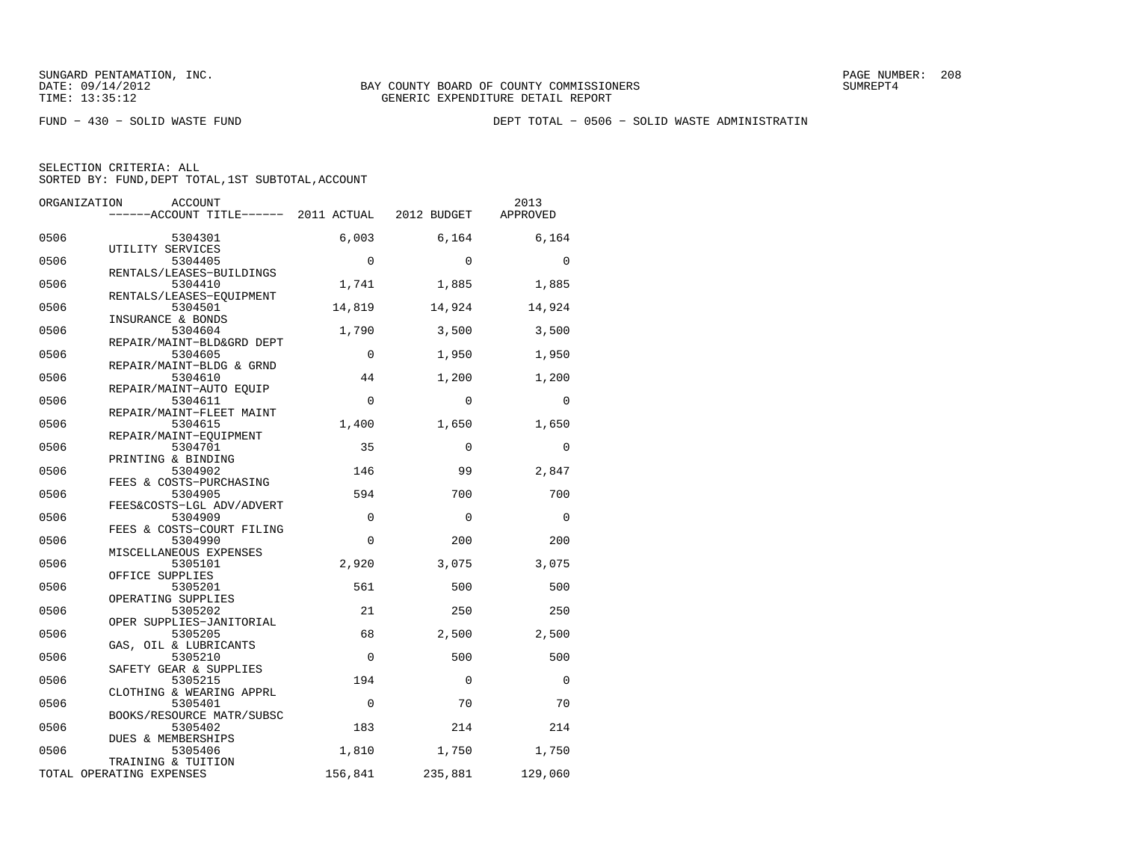FUND − 430 − SOLID WASTE FUND DEPT TOTAL − 0506 − SOLID WASTE ADMINISTRATIN

| ORGANIZATION | ACCOUNT<br>------ACCOUNT TITLE------ 2011 ACTUAL          |             | 2012 BUDGET  | 2013<br>APPROVED |
|--------------|-----------------------------------------------------------|-------------|--------------|------------------|
| 0506         | 5304301                                                   | 6,003       | 6,164        | 6,164            |
| 0506         | UTILITY SERVICES<br>5304405                               | $\Omega$    | $\Omega$     | $\Omega$         |
| 0506         | RENTALS/LEASES-BUILDINGS<br>5304410                       | 1,741       | 1,885        | 1,885            |
| 0506         | RENTALS/LEASES-EOUIPMENT<br>5304501                       | 14,819      | 14,924       | 14,924           |
| 0506         | INSURANCE & BONDS<br>5304604<br>REPAIR/MAINT-BLD&GRD DEPT | 1,790       | 3,500        | 3,500            |
| 0506         | 5304605<br>REPAIR/MAINT-BLDG & GRND                       | $\mathbf 0$ | 1,950        | 1,950            |
| 0506         | 5304610<br>REPAIR/MAINT-AUTO EOUIP                        | 44          | 1,200        | 1,200            |
| 0506         | 5304611<br>REPAIR/MAINT-FLEET MAINT                       | $\Omega$    | $\Omega$     | $\Omega$         |
| 0506         | 5304615<br>REPAIR/MAINT-EOUIPMENT                         | 1,400       | 1,650        | 1,650            |
| 0506         | 5304701<br>PRINTING & BINDING                             | 35          | $\Omega$     | $\Omega$         |
| 0506         | 5304902<br>FEES & COSTS-PURCHASING                        | 146         | 99           | 2,847            |
| 0506         | 5304905<br>FEES&COSTS-LGL ADV/ADVERT                      | 594         | 700          | 700              |
| 0506         | 5304909<br>FEES & COSTS-COURT FILING                      | $\mathbf 0$ | $\mathbf 0$  | $\mathbf 0$      |
| 0506         | 5304990<br>MISCELLANEOUS EXPENSES                         | $\Omega$    | 200          | 200              |
| 0506         | 5305101<br>OFFICE SUPPLIES                                | 2,920       | 3,075        | 3,075            |
| 0506<br>0506 | 5305201<br>OPERATING SUPPLIES                             | 561<br>21   | 500          | 500              |
| 0506         | 5305202<br>OPER SUPPLIES-JANITORIAL<br>5305205            | 68          | 250<br>2,500 | 250<br>2,500     |
| 0506         | GAS, OIL & LUBRICANTS<br>5305210                          | $\Omega$    | 500          | 500              |
| 0506         | SAFETY GEAR & SUPPLIES<br>5305215                         | 194         | $\Omega$     | $\Omega$         |
| 0506         | CLOTHING & WEARING APPRL<br>5305401                       | $\Omega$    | 70           | 70               |
| 0506         | BOOKS/RESOURCE MATR/SUBSC<br>5305402                      | 183         | 214          | 214              |
| 0506         | DUES & MEMBERSHIPS<br>5305406                             | 1,810       | 1,750        | 1,750            |
|              | TRAINING & TUITION<br>TOTAL OPERATING EXPENSES            | 156,841     | 235,881      | 129,060          |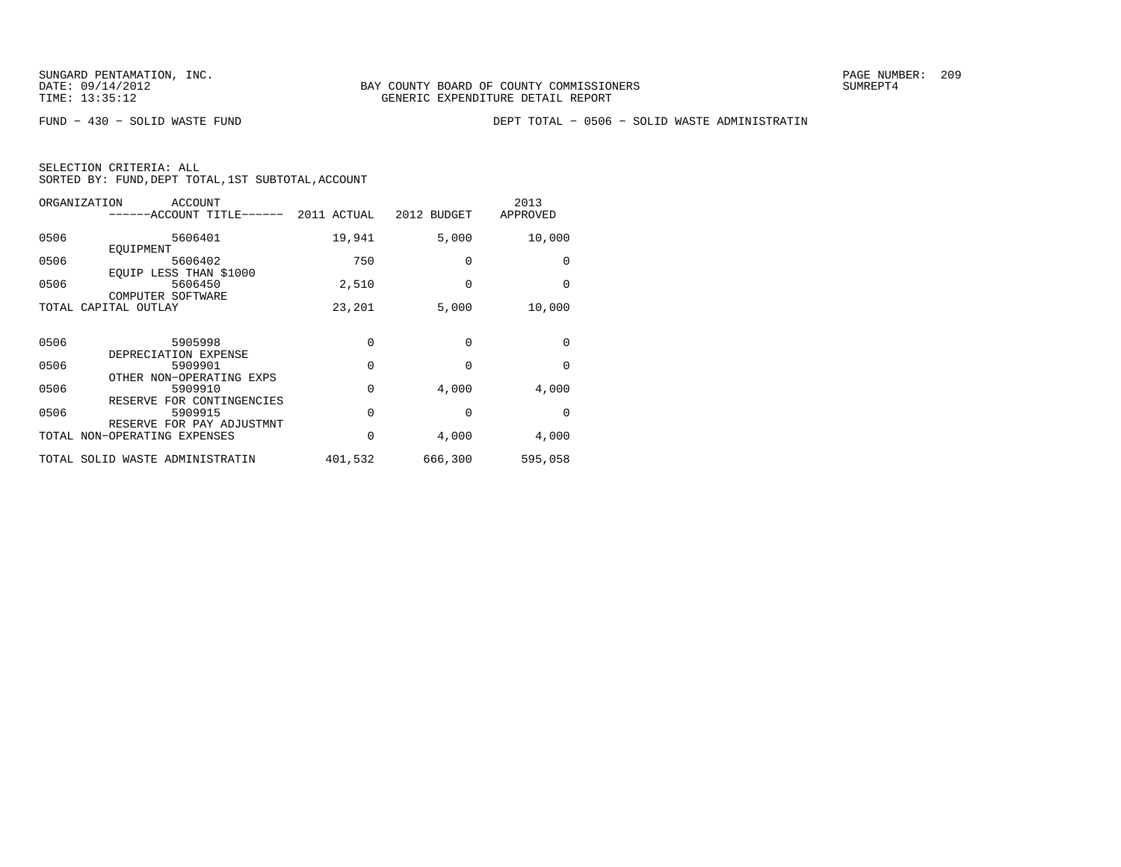FUND − 430 − SOLID WASTE FUND DEPT TOTAL − 0506 − SOLID WASTE ADMINISTRATIN

| SELECTION CRITERIA: ALL |  |  |                                                    |  |
|-------------------------|--|--|----------------------------------------------------|--|
|                         |  |  | SORTED BY: FUND, DEPT TOTAL, 1ST SUBTOTAL, ACCOUNT |  |

| ORGANIZATION | <b>ACCOUNT</b><br>---ACCOUNT TITLE------                            | 2011 ACTUAL | 2012 BUDGET | 2013<br>APPROVED |
|--------------|---------------------------------------------------------------------|-------------|-------------|------------------|
| 0506         | 5606401                                                             | 19,941      | 5,000       | 10,000           |
| 0506         | EOUIPMENT<br>5606402<br>EOUIP LESS THAN \$1000                      | 750         | 0           | 0                |
| 0506         | 5606450<br>COMPUTER SOFTWARE                                        | 2,510       | $\Omega$    | 0                |
|              | TOTAL CAPITAL OUTLAY                                                | 23,201      | 5,000       | 10,000           |
| 0506         | 5905998<br>DEPRECIATION EXPENSE                                     | 0           | $\Omega$    | 0                |
| 0506         | 5909901                                                             | 0           | 0           | 0                |
| 0506         | OTHER NON-OPERATING EXPS<br>5909910<br>FOR CONTINGENCIES<br>RESERVE | 0           | 4,000       | 4,000            |
| 0506         | 5909915<br>RESERVE FOR PAY ADJUSTMNT                                | 0           | $\Omega$    | $\Omega$         |
|              | TOTAL NON-OPERATING EXPENSES                                        | 0           | 4,000       | 4,000            |
|              | TOTAL SOLID WASTE ADMINISTRATIN                                     | 401,532     | 666,300     | 595,058          |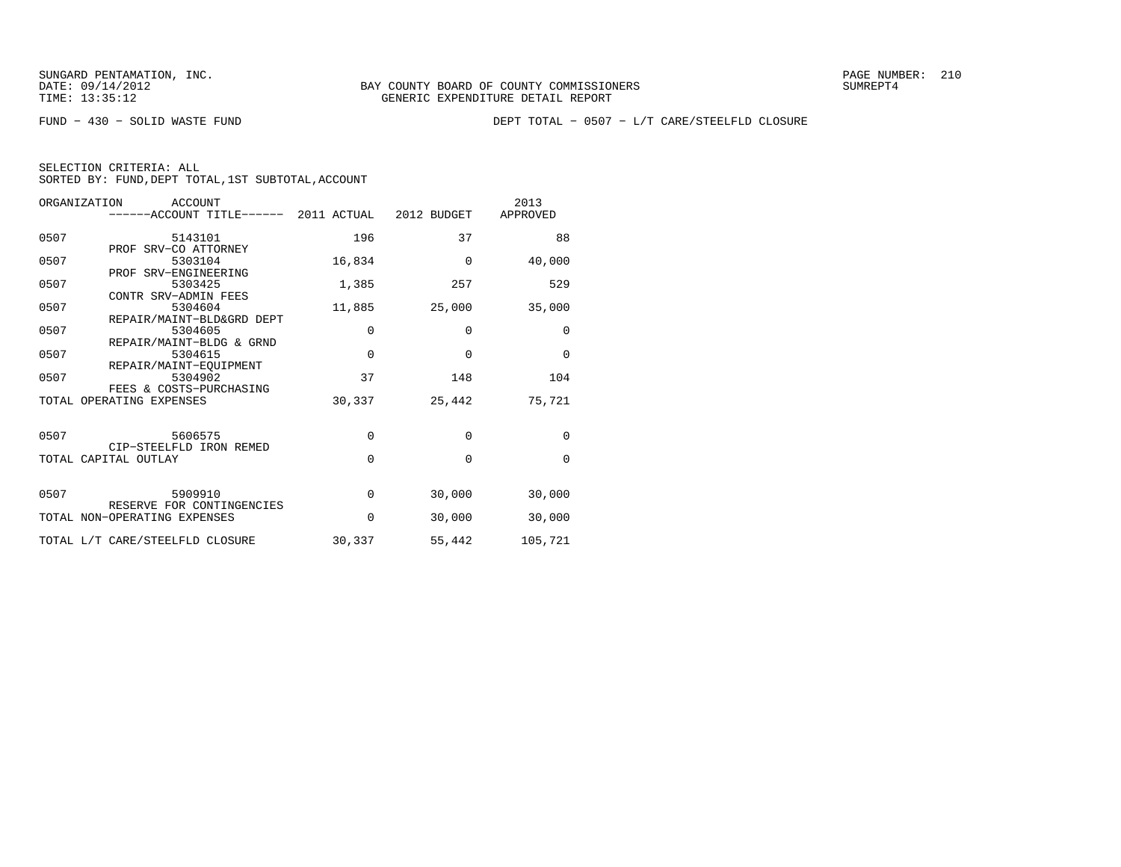FUND − 430 − SOLID WASTE FUND DEPT TOTAL − 0507 − L/T CARE/STEELFLD CLOSURE

| SELECTION CRITERIA: ALL |  |  |                                                    |  |
|-------------------------|--|--|----------------------------------------------------|--|
|                         |  |  | SORTED BY: FUND, DEPT TOTAL, 1ST SUBTOTAL, ACCOUNT |  |

| ORGANIZATION | ACCOUNT                                           |             |             | 2013     |
|--------------|---------------------------------------------------|-------------|-------------|----------|
|              | ------ACCOUNT TITLE------ 2011 ACTUAL 2012 BUDGET |             |             | APPROVED |
| 0507         | 5143101                                           | 196         | 37          | 88       |
|              | PROF SRV-CO ATTORNEY                              |             |             |          |
| 0507         | 5303104                                           | 16,834      | $\Omega$    | 40,000   |
| 0507         | PROF SRV-ENGINEERING<br>5303425                   | 1,385       | 257         | 529      |
|              | CONTR SRV-ADMIN FEES                              |             |             |          |
| 0507         | 5304604                                           | 11,885      | 25,000      | 35,000   |
|              | REPAIR/MAINT-BLD&GRD DEPT                         |             |             |          |
| 0507         | 5304605                                           | $\mathbf 0$ | $\mathbf 0$ | 0        |
| 0507         | REPAIR/MAINT-BLDG & GRND<br>5304615               | $\mathbf 0$ | $\Omega$    | $\Omega$ |
|              | REPAIR/MAINT-EOUIPMENT                            |             |             |          |
| 0507         | 5304902                                           | 37          | 148         | 104      |
|              | FEES & COSTS-PURCHASING                           |             |             |          |
|              | TOTAL OPERATING EXPENSES                          | 30,337      | 25,442      | 75,721   |
|              |                                                   |             |             |          |
| 0507         | 5606575                                           | $\Omega$    | $\Omega$    | $\Omega$ |
|              | CIP-STEELFLD IRON REMED                           |             |             |          |
|              | TOTAL CAPITAL OUTLAY                              | $\Omega$    | $\Omega$    | $\Omega$ |
|              |                                                   |             |             |          |
| 0507         | 5909910                                           | $\mathbf 0$ | 30,000      | 30,000   |
|              | RESERVE FOR CONTINGENCIES                         |             |             |          |
|              | TOTAL NON-OPERATING EXPENSES                      | $\Omega$    | 30,000      | 30,000   |
|              |                                                   |             |             |          |
|              | TOTAL L/T CARE/STEELFLD CLOSURE                   | 30,337      | 55,442      | 105,721  |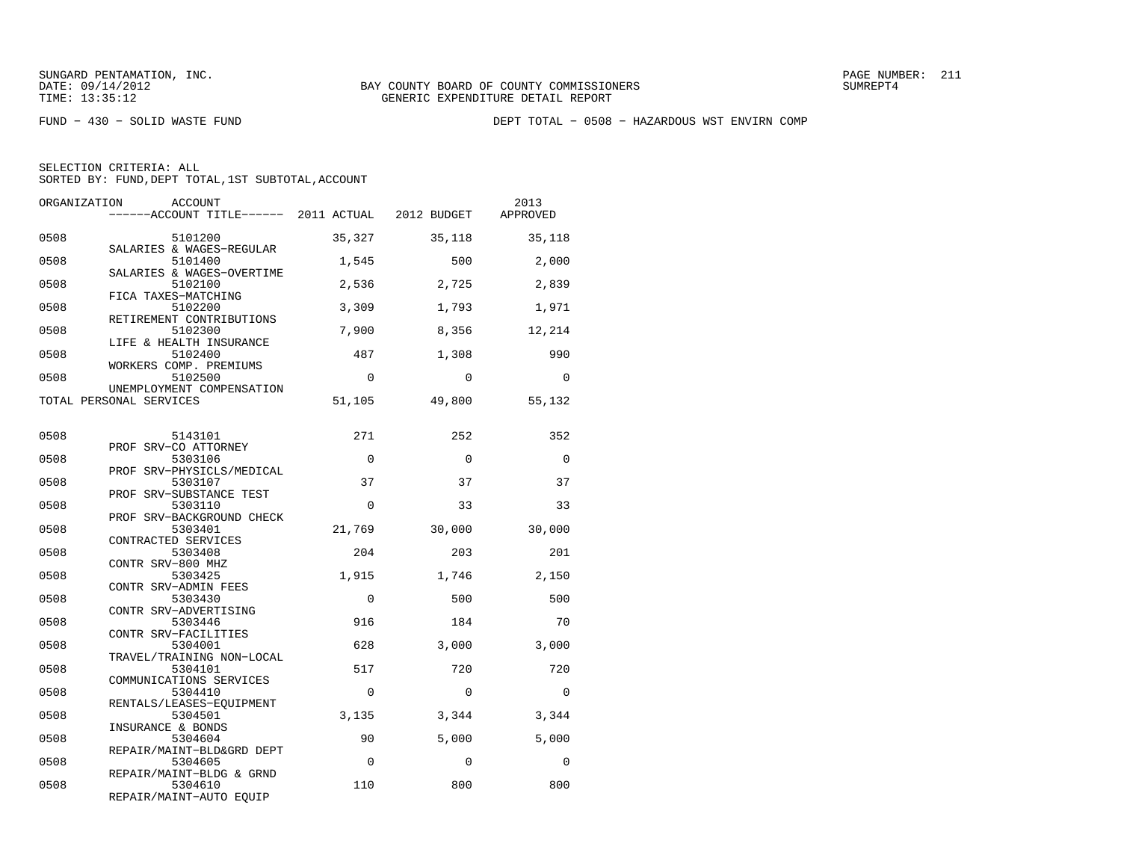FUND − 430 − SOLID WASTE FUND DEPT TOTAL − 0508 − HAZARDOUS WST ENVIRN COMP

| ORGANIZATION | ACCOUNT<br>------ACCOUNT TITLE------ 2011 ACTUAL 2012 BUDGET    |             |              | 2013<br>APPROVED |
|--------------|-----------------------------------------------------------------|-------------|--------------|------------------|
| 0508         | 5101200<br>SALARIES & WAGES-REGULAR                             | 35,327      | 35,118       | 35,118           |
| 0508         | 5101400                                                         | 1,545       | 500          | 2,000            |
| 0508         | SALARIES & WAGES-OVERTIME<br>5102100                            | 2,536       | 2,725        | 2,839            |
| 0508         | FICA TAXES-MATCHING<br>5102200<br>RETIREMENT CONTRIBUTIONS      | 3,309       | 1,793        | 1,971            |
| 0508         | 5102300<br>LIFE & HEALTH INSURANCE                              | 7,900       | 8,356        | 12,214           |
| 0508         | 5102400<br>WORKERS COMP. PREMIUMS                               | 487         | 1,308        | 990              |
| 0508         | 5102500<br>UNEMPLOYMENT COMPENSATION                            | $\Omega$    | $\Omega$     | $\Omega$         |
|              | TOTAL PERSONAL SERVICES                                         | 51,105      | 49,800       | 55,132           |
| 0508         | 5143101                                                         | 271         | 252          | 352              |
| 0508         | PROF SRV-CO ATTORNEY<br>5303106                                 | $\mathbf 0$ | $\mathbf{0}$ | $\Omega$         |
| 0508         | PROF SRV-PHYSICLS/MEDICAL<br>5303107                            | 37          | 37           | 37               |
| 0508         | PROF SRV-SUBSTANCE TEST<br>5303110<br>PROF SRV-BACKGROUND CHECK | $\Omega$    | 33           | 33               |
| 0508         | 5303401<br>CONTRACTED SERVICES                                  | 21,769      | 30,000       | 30,000           |
| 0508         | 5303408<br>CONTR SRV-800 MHZ                                    | 204         | 203          | 201              |
| 0508         | 5303425<br>CONTR SRV-ADMIN FEES                                 | 1,915       | 1,746        | 2,150            |
| 0508         | 5303430<br>CONTR SRV-ADVERTISING                                | $\Omega$    | 500          | 500              |
| 0508         | 5303446<br>CONTR SRV-FACILITIES                                 | 916         | 184          | 70               |
| 0508         | 5304001<br>TRAVEL/TRAINING NON-LOCAL                            | 628         | 3,000        | 3,000            |
| 0508         | 5304101<br>COMMUNICATIONS SERVICES                              | 517         | 720          | 720              |
| 0508         | 5304410<br>RENTALS/LEASES-EOUIPMENT                             | $\mathbf 0$ | $\Omega$     | $\Omega$         |
| 0508         | 5304501<br>INSURANCE & BONDS                                    | 3,135       | 3,344        | 3,344            |
| 0508         | 5304604<br>REPAIR/MAINT-BLD&GRD DEPT                            | 90          | 5,000        | 5,000            |
| 0508         | 5304605<br>REPAIR/MAINT-BLDG & GRND                             | $\Omega$    | $\Omega$     | $\Omega$         |
| 0508         | 5304610<br>REPAIR/MAINT-AUTO EQUIP                              | 110         | 800          | 800              |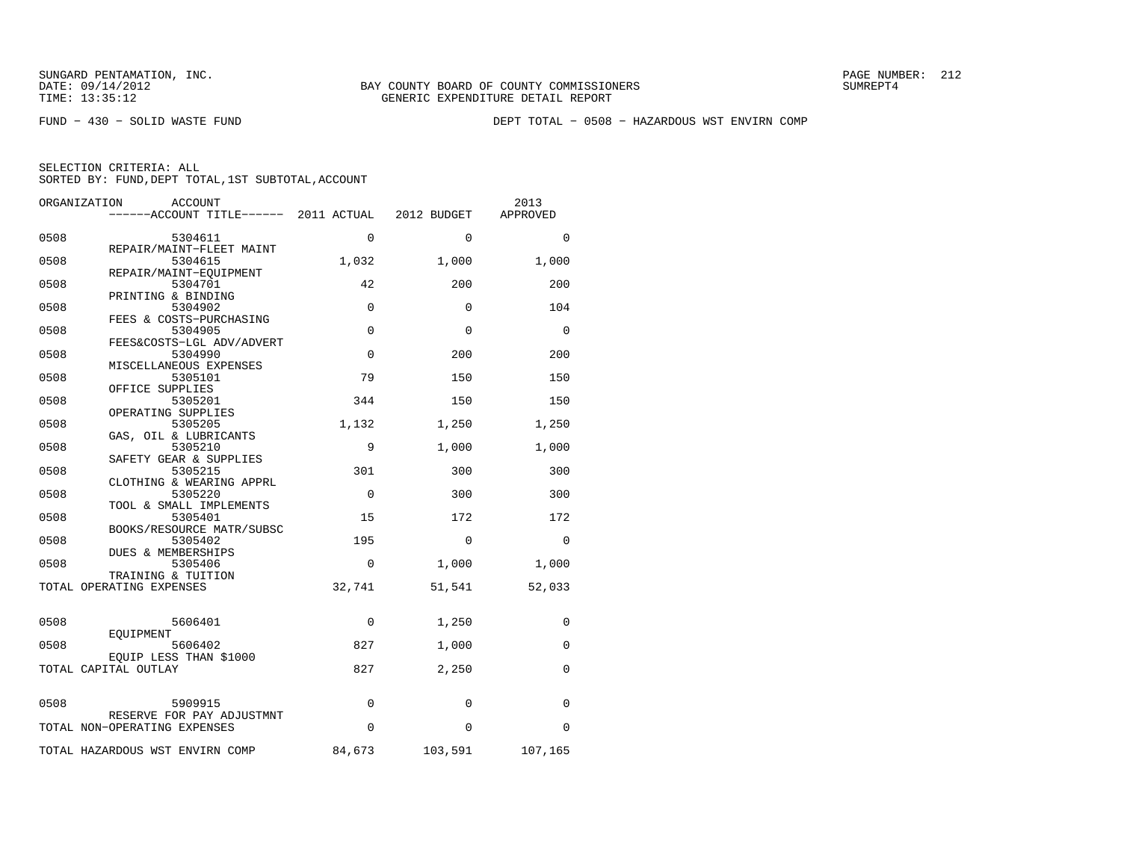FUND − 430 − SOLID WASTE FUND DEPT TOTAL − 0508 − HAZARDOUS WST ENVIRN COMP

| ORGANIZATION | <b>ACCOUNT</b><br>------ACCOUNT TITLE------ 2011 ACTUAL   |             | 2012 BUDGET | 2013<br>APPROVED |
|--------------|-----------------------------------------------------------|-------------|-------------|------------------|
| 0508         | 5304611                                                   | 0           | $\Omega$    | $\Omega$         |
| 0508         | REPAIR/MAINT-FLEET MAINT<br>5304615                       | 1,032       | 1,000       | 1,000            |
| 0508         | REPAIR/MAINT-EOUIPMENT<br>5304701                         | 42          | 200         | 200              |
| 0508         | PRINTING & BINDING<br>5304902                             | $\mathbf 0$ | $\Omega$    | 104              |
| 0508         | FEES & COSTS-PURCHASING<br>5304905                        | $\mathbf 0$ | $\Omega$    | 0                |
| 0508         | FEES&COSTS-LGL ADV/ADVERT<br>5304990                      | $\mathbf 0$ | 200         | 200              |
| 0508         | MISCELLANEOUS EXPENSES<br>5305101                         | 79          | 150         | 150              |
| 0508         | OFFICE SUPPLIES<br>5305201                                | 344         | 150         | 150              |
| 0508         | OPERATING SUPPLIES<br>5305205                             | 1,132       | 1,250       | 1,250            |
| 0508         | GAS, OIL & LUBRICANTS<br>5305210                          | 9           | 1,000       | 1,000            |
| 0508         | SAFETY GEAR & SUPPLIES<br>5305215                         | 301         | 300         | 300              |
| 0508         | CLOTHING & WEARING APPRL<br>5305220                       | $\mathbf 0$ | 300         | 300              |
| 0508         | TOOL & SMALL IMPLEMENTS<br>5305401                        | 15          | 172         | 172              |
| 0508         | BOOKS/RESOURCE MATR/SUBSC<br>5305402                      | 195         | $\Omega$    | $\Omega$         |
| 0508         | DUES & MEMBERSHIPS<br>5305406                             | $\Omega$    |             |                  |
|              | TRAINING & TUITION                                        |             | 1,000       | 1,000            |
|              | TOTAL OPERATING EXPENSES                                  | 32,741      | 51,541      | 52,033           |
| 0508         | 5606401                                                   | 0           | 1,250       | 0                |
| 0508         | EOUIPMENT<br>5606402                                      | 827         | 1,000       | 0                |
|              | EQUIP LESS THAN \$1000<br>TOTAL CAPITAL OUTLAY            | 827         | 2,250       | $\Omega$         |
| 0508         | 5909915                                                   | $\mathbf 0$ | 0           | $\mathbf 0$      |
|              | RESERVE FOR PAY ADJUSTMNT<br>TOTAL NON-OPERATING EXPENSES | $\Omega$    | $\Omega$    | $\Omega$         |
|              | TOTAL HAZARDOUS WST ENVIRN COMP                           | 84,673      | 103,591     | 107,165          |
|              |                                                           |             |             |                  |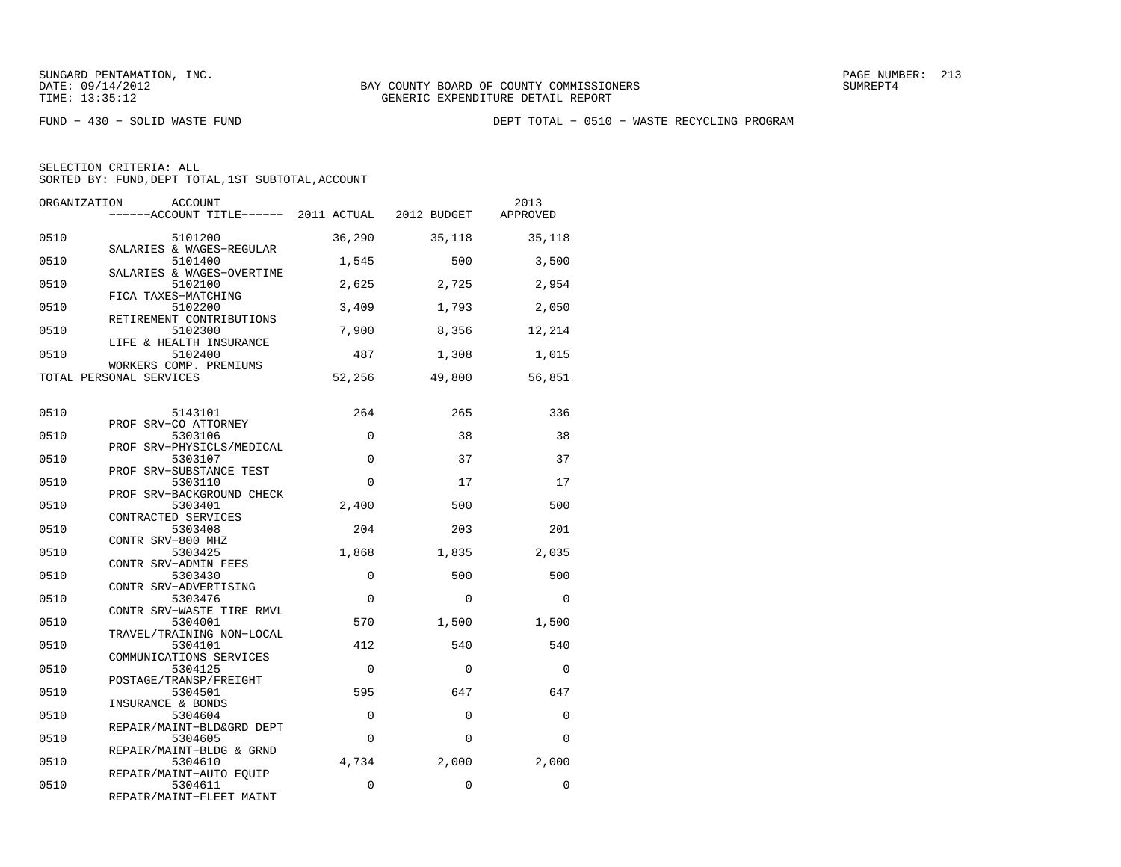FUND − 430 − SOLID WASTE FUND DEPT TOTAL − 0510 − WASTE RECYCLING PROGRAM

| ORGANIZATION | <b>ACCOUNT</b><br>------ACCOUNT TITLE------ 2011 ACTUAL 2012 BUDGET |          |             | 2013<br>APPROVED |
|--------------|---------------------------------------------------------------------|----------|-------------|------------------|
| 0510         | 5101200                                                             | 36,290   | 35,118      | 35,118           |
| 0510         | SALARIES & WAGES-REGULAR<br>5101400                                 | 1,545    | 500         | 3,500            |
| 0510         | SALARIES & WAGES-OVERTIME<br>5102100                                | 2,625    | 2,725       | 2,954            |
| 0510         | FICA TAXES-MATCHING<br>5102200                                      | 3,409    | 1,793       | 2,050            |
| 0510         | RETIREMENT CONTRIBUTIONS<br>5102300                                 | 7,900    | 8,356       | 12,214           |
| 0510         | LIFE & HEALTH INSURANCE<br>5102400<br>WORKERS COMP. PREMIUMS        | 487      | 1,308       | 1,015            |
|              | TOTAL PERSONAL SERVICES                                             | 52,256   | 49,800      | 56,851           |
| 0510         | 5143101                                                             | 264      | 265         | 336              |
| 0510         | PROF SRV-CO ATTORNEY<br>5303106                                     | $\Omega$ | 38          | 38               |
| 0510         | PROF SRV-PHYSICLS/MEDICAL<br>5303107                                | 0        | 37          | 37               |
| 0510         | PROF SRV-SUBSTANCE TEST<br>5303110                                  | $\Omega$ | 17          | 17               |
| 0510         | PROF SRV-BACKGROUND CHECK<br>5303401                                | 2,400    | 500         | 500              |
| 0510         | CONTRACTED SERVICES<br>5303408<br>CONTR SRV-800 MHZ                 | 204      | 203         | 201              |
| 0510         | 5303425<br>CONTR SRV-ADMIN FEES                                     | 1,868    | 1,835       | 2,035            |
| 0510         | 5303430<br>CONTR SRV-ADVERTISING                                    | 0        | 500         | 500              |
| 0510         | 5303476<br>CONTR SRV-WASTE TIRE RMVL                                | $\Omega$ | $\Omega$    | $\Omega$         |
| 0510         | 5304001<br>TRAVEL/TRAINING NON-LOCAL                                | 570      | 1,500       | 1,500            |
| 0510         | 5304101<br>COMMUNICATIONS SERVICES                                  | 412      | 540         | 540              |
| 0510         | 5304125<br>POSTAGE/TRANSP/FREIGHT                                   | $\Omega$ | $\Omega$    | $\Omega$         |
| 0510         | 5304501<br>INSURANCE & BONDS                                        | 595      | 647         | 647              |
| 0510         | 5304604<br>REPAIR/MAINT-BLD&GRD DEPT                                | 0        | $\mathbf 0$ | $\Omega$         |
| 0510         | 5304605<br>REPAIR/MAINT-BLDG & GRND                                 | $\Omega$ | $\Omega$    | $\Omega$         |
| 0510         | 5304610<br>REPAIR/MAINT-AUTO EQUIP                                  | 4,734    | 2,000       | 2,000            |
| 0510         | 5304611<br>REPAIR/MAINT-FLEET MAINT                                 | 0        | $\mathbf 0$ | 0                |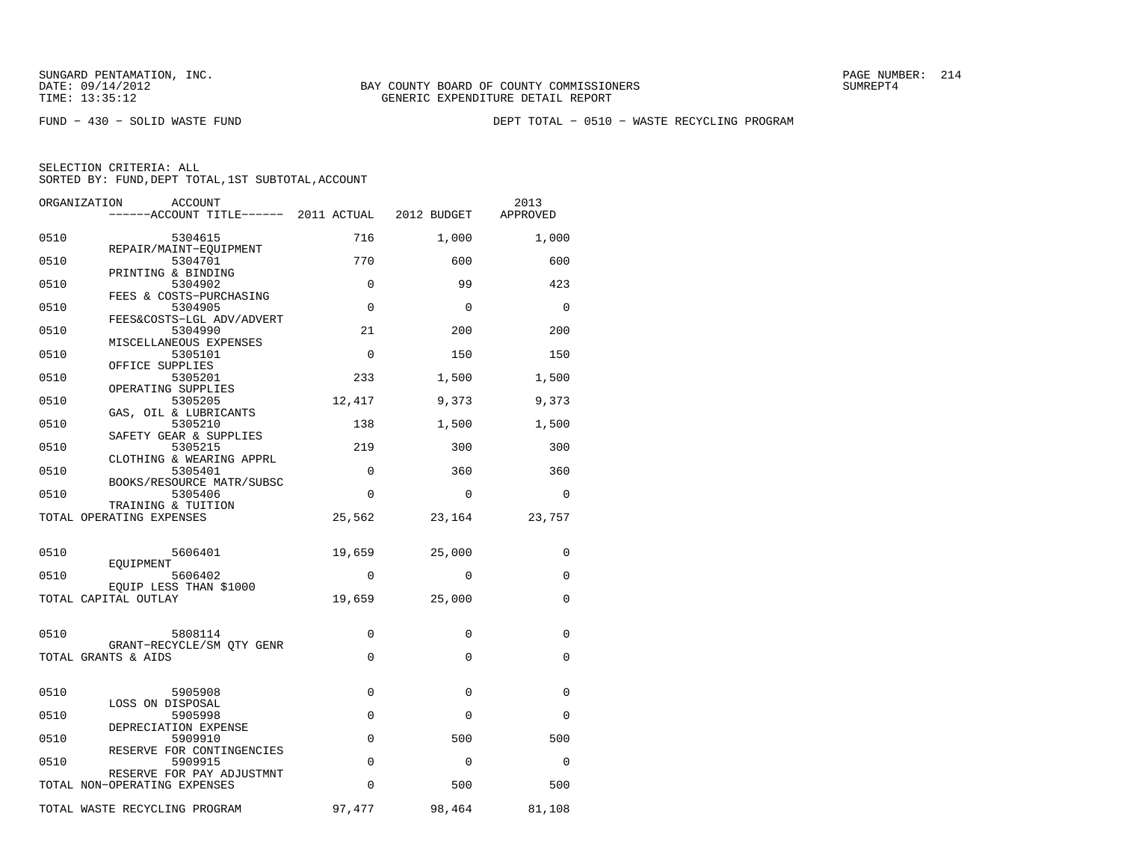FUND − 430 − SOLID WASTE FUND DEPT TOTAL − 0510 − WASTE RECYCLING PROGRAM

| ORGANIZATION<br>ACCOUNT                                   |             |              | 2013<br>APPROVED |
|-----------------------------------------------------------|-------------|--------------|------------------|
| 0510<br>5304615                                           | 716         | 1,000        | 1,000            |
| REPAIR/MAINT-EQUIPMENT<br>0510<br>5304701                 | 770         | 600          | 600              |
| PRINTING & BINDING<br>0510<br>5304902                     | $\Omega$    | 99           | 423              |
| FEES & COSTS-PURCHASING                                   |             |              |                  |
| 0510<br>5304905<br>FEES&COSTS-LGL ADV/ADVERT              | $\Omega$    | $\Omega$     | $\Omega$         |
| 0510<br>5304990<br>MISCELLANEOUS EXPENSES                 | 21          | 200          | 200              |
| 0510<br>5305101<br>OFFICE SUPPLIES                        | $\Omega$    | 150          | 150              |
| 0510<br>5305201                                           | 233         | 1,500        | 1,500            |
| OPERATING SUPPLIES<br>0510<br>5305205                     | 12,417      | 9,373        | 9,373            |
| GAS, OIL & LUBRICANTS<br>0510<br>5305210                  | 138         | 1,500        | 1,500            |
| SAFETY GEAR & SUPPLIES<br>0510<br>5305215                 | 219         | 300          | 300              |
| CLOTHING & WEARING APPRL<br>0510<br>5305401               | $\mathbf 0$ | 360          | 360              |
| BOOKS/RESOURCE MATR/SUBSC                                 |             |              |                  |
| 0510<br>5305406<br>TRAINING & TUITION                     | 0           | $\Omega$     | 0                |
| TOTAL OPERATING EXPENSES                                  | 25,562      | 23,164       | 23,757           |
| 0510<br>5606401                                           | 19,659      | 25,000       | $\Omega$         |
| EOUIPMENT<br>0510<br>5606402                              | $\Omega$    | $\Omega$     | $\Omega$         |
| EOUIP LESS THAN \$1000                                    |             |              |                  |
| TOTAL CAPITAL OUTLAY                                      | 19,659      | 25,000       | 0                |
| 0510<br>5808114                                           | 0           | $\mathbf 0$  | 0                |
| GRANT-RECYCLE/SM OTY GENR<br>TOTAL GRANTS & AIDS          | $\mathbf 0$ | $\Omega$     | 0                |
|                                                           |             |              |                  |
| 0510<br>5905908                                           | $\mathbf 0$ | $\Omega$     | 0                |
| LOSS ON DISPOSAL<br>0510<br>5905998                       | $\mathbf 0$ | $\mathbf{0}$ | 0                |
| DEPRECIATION EXPENSE<br>0510<br>5909910                   | $\Omega$    | 500          | 500              |
| RESERVE FOR CONTINGENCIES<br>0510<br>5909915              | $\Omega$    | $\Omega$     | $\Omega$         |
| RESERVE FOR PAY ADJUSTMNT<br>TOTAL NON-OPERATING EXPENSES | 0           | 500          | 500              |
|                                                           |             |              |                  |
| TOTAL WASTE RECYCLING PROGRAM                             | 97,477      | 98,464       | 81,108           |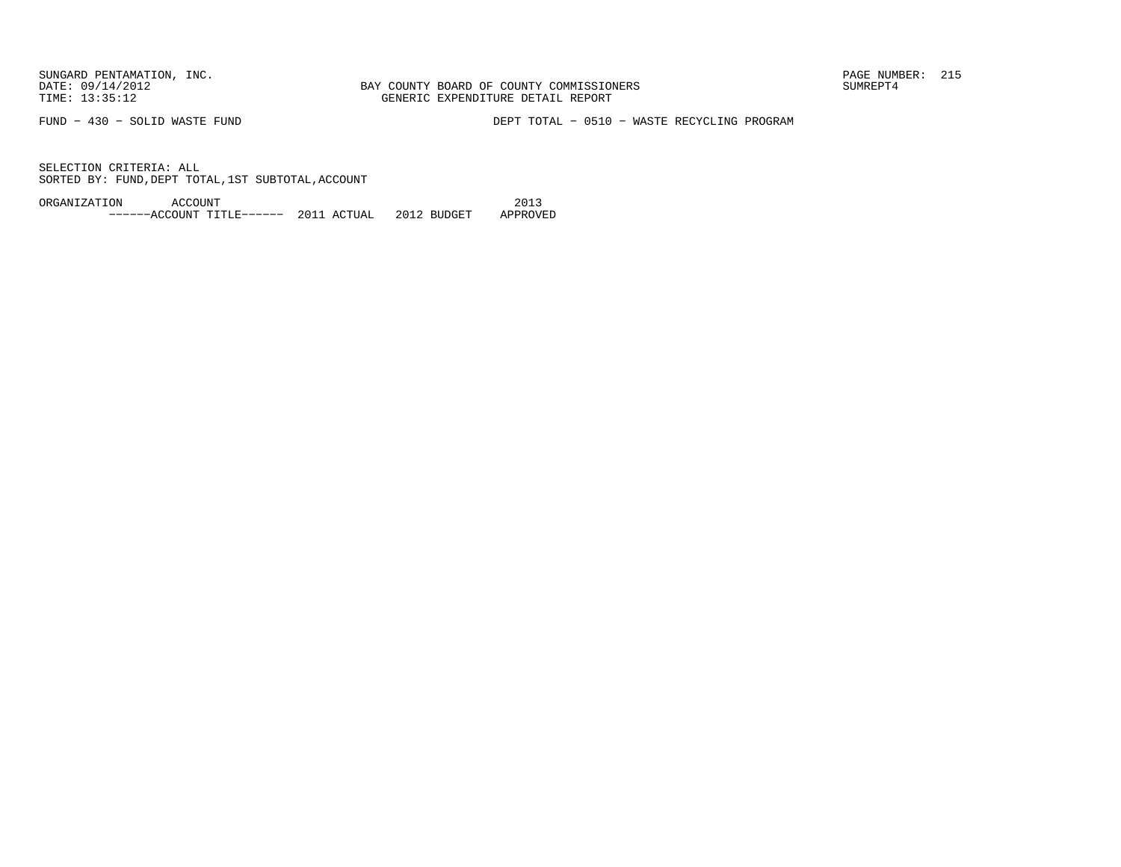BAY COUNTY BOARD OF COUNTY COMMISSIONERS TIME: 13:35:12 GENERIC EXPENDITURE DETAIL REPORT

FUND − 430 − SOLID WASTE FUND DEPT TOTAL − 0510 − WASTE RECYCLING PROGRAM

SELECTION CRITERIA: ALLSORTED BY: FUND, DEPT TOTAL, 1ST SUBTOTAL, ACCOUNT

ORGANIZATION ACCOUNT 2013−−−−−−ACCOUNT TITLE−−−−−− 2011 ACTUAL 2012 BUDGET APPROVED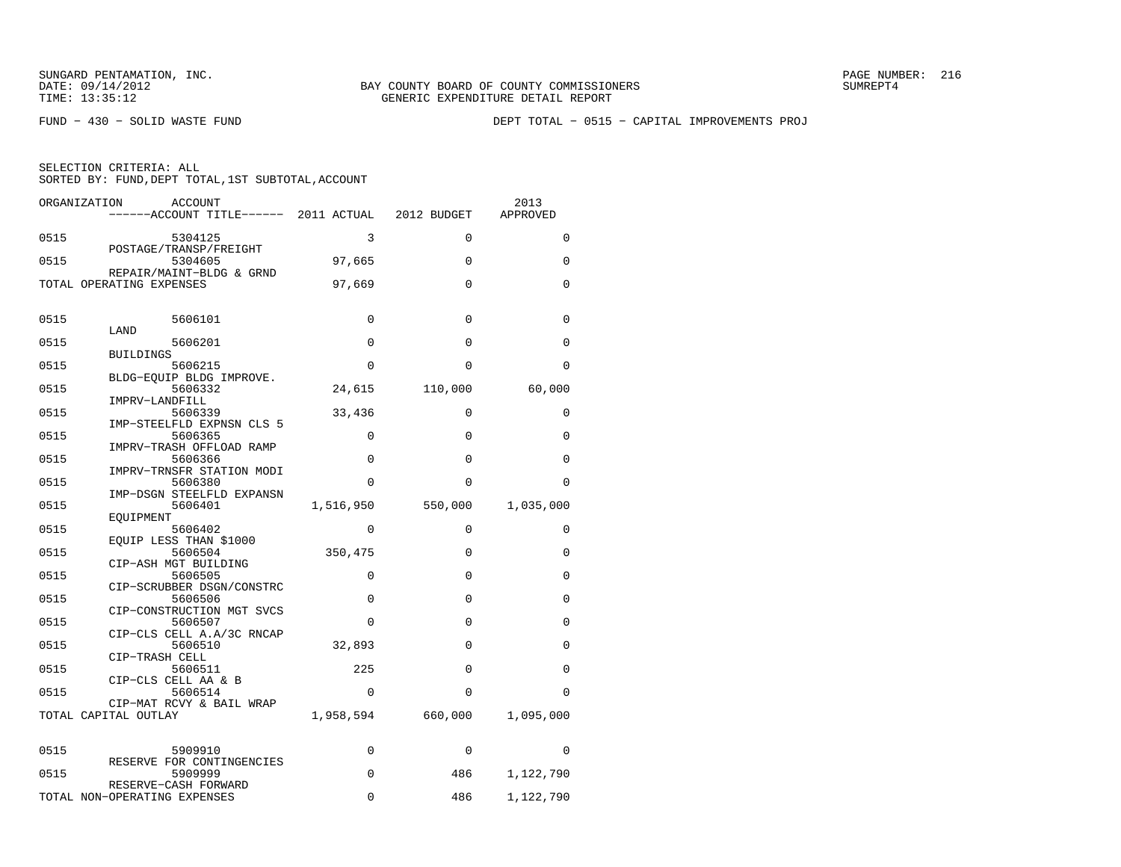FUND − 430 − SOLID WASTE FUND DEPT TOTAL − 0515 − CAPITAL IMPROVEMENTS PROJ

| ORGANIZATION         | ACCOUNT<br>------ACCOUNT TITLE------ 2011 ACTUAL 2012 BUDGET |             |              | 2013<br>APPROVED |
|----------------------|--------------------------------------------------------------|-------------|--------------|------------------|
| 0515                 | 5304125                                                      | 3           | $\Omega$     | $\Omega$         |
| 0515                 | POSTAGE/TRANSP/FREIGHT<br>5304605                            | 97,665      | $\Omega$     | $\Omega$         |
|                      | REPAIR/MAINT-BLDG & GRND<br>TOTAL OPERATING EXPENSES         | 97,669      | $\Omega$     | $\Omega$         |
| 0515                 | 5606101                                                      | 0           | $\mathbf{0}$ | $\mathbf 0$      |
| 0515                 | LAND<br>5606201                                              | $\Omega$    | $\Omega$     | $\Omega$         |
|                      | <b>BUILDINGS</b>                                             |             |              |                  |
| 0515                 | 5606215                                                      | 0           | $\Omega$     | $\Omega$         |
|                      | BLDG-EQUIP BLDG IMPROVE.                                     |             |              |                  |
| 0515                 | 5606332<br>IMPRV-LANDFILL                                    | 24,615      | 110,000      | 60,000           |
| 0515                 | 5606339                                                      | 33,436      | 0            | $\Omega$         |
| 0515                 | IMP-STEELFLD EXPNSN CLS 5<br>5606365                         | 0           | $\Omega$     | $\Omega$         |
|                      | IMPRV-TRASH OFFLOAD RAMP                                     |             |              |                  |
| 0515                 | 5606366                                                      | 0           | 0            | $\Omega$         |
| 0515                 | IMPRV-TRNSFR STATION MODI                                    | $\Omega$    | $\Omega$     | $\Omega$         |
|                      | 5606380<br>IMP-DSGN STEELFLD EXPANSN                         |             |              |                  |
| 0515                 | 5606401                                                      | 1,516,950   | 550,000      | 1,035,000        |
|                      | EOUIPMENT                                                    |             |              |                  |
| 0515                 | 5606402<br>EQUIP LESS THAN \$1000                            | 0           | 0            | 0                |
| 0515                 | 5606504                                                      | 350,475     | $\Omega$     | $\mathbf 0$      |
|                      | CIP-ASH MGT BUILDING                                         |             |              |                  |
| 0515                 | 5606505<br>CIP-SCRUBBER DSGN/CONSTRC                         | 0           | $\mathbf{0}$ | 0                |
| 0515                 | 5606506                                                      | $\Omega$    | $\Omega$     | $\Omega$         |
|                      | CIP-CONSTRUCTION MGT SVCS                                    |             |              |                  |
| 0515                 | 5606507<br>CIP-CLS CELL A.A/3C RNCAP                         | $\Omega$    | $\Omega$     | $\Omega$         |
| 0515                 | 5606510                                                      | 32,893      | $\Omega$     | $\Omega$         |
| 0515                 | CIP-TRASH CELL<br>5606511                                    | 225         | $\Omega$     | $\Omega$         |
|                      | CIP-CLS CELL AA & B                                          |             |              |                  |
| 0515                 | 5606514                                                      | $\mathbf 0$ | $\Omega$     | $\Omega$         |
| TOTAL CAPITAL OUTLAY | CIP-MAT RCVY & BAIL WRAP                                     | 1,958,594   | 660,000      | 1,095,000        |
| 0515                 | 5909910                                                      | 0           | 0            | $\Omega$         |
| 0515                 | RESERVE FOR CONTINGENCIES<br>5909999                         | 0           | 486          | 1,122,790        |
|                      | RESERVE-CASH FORWARD                                         |             |              |                  |
|                      | TOTAL NON-OPERATING EXPENSES                                 | $\Omega$    | 486          | 1,122,790        |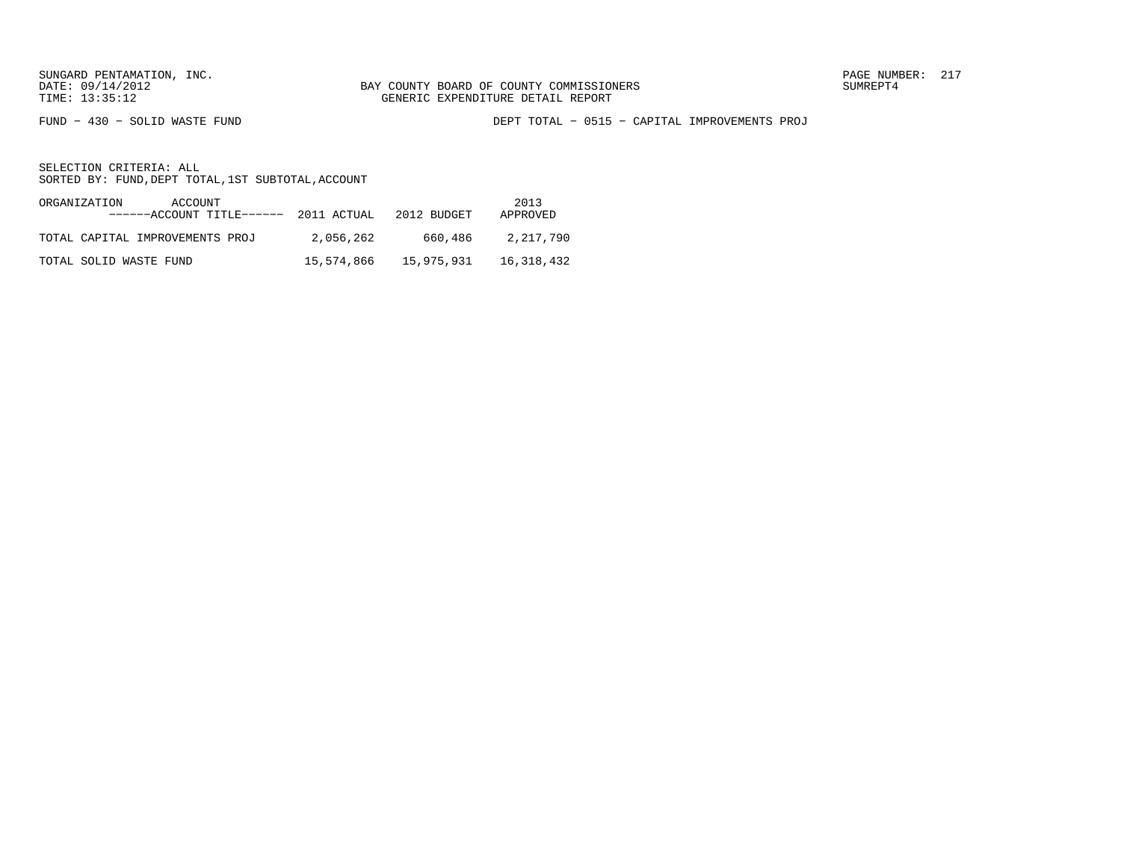FUND − 430 − SOLID WASTE FUND DEPT TOTAL − 0515 − CAPITAL IMPROVEMENTS PROJ

| ORGANIZATION<br>ACCOUNT<br>------ACCOUNT TITLE------ 2011 ACTUAL |            | 2012 BUDGET | 2013<br>APPROVED |
|------------------------------------------------------------------|------------|-------------|------------------|
| TOTAL CAPITAL IMPROVEMENTS PROJ                                  | 2,056,262  | 660,486     | 2,217,790        |
| TOTAL SOLID WASTE FUND                                           | 15,574,866 | 15,975,931  | 16,318,432       |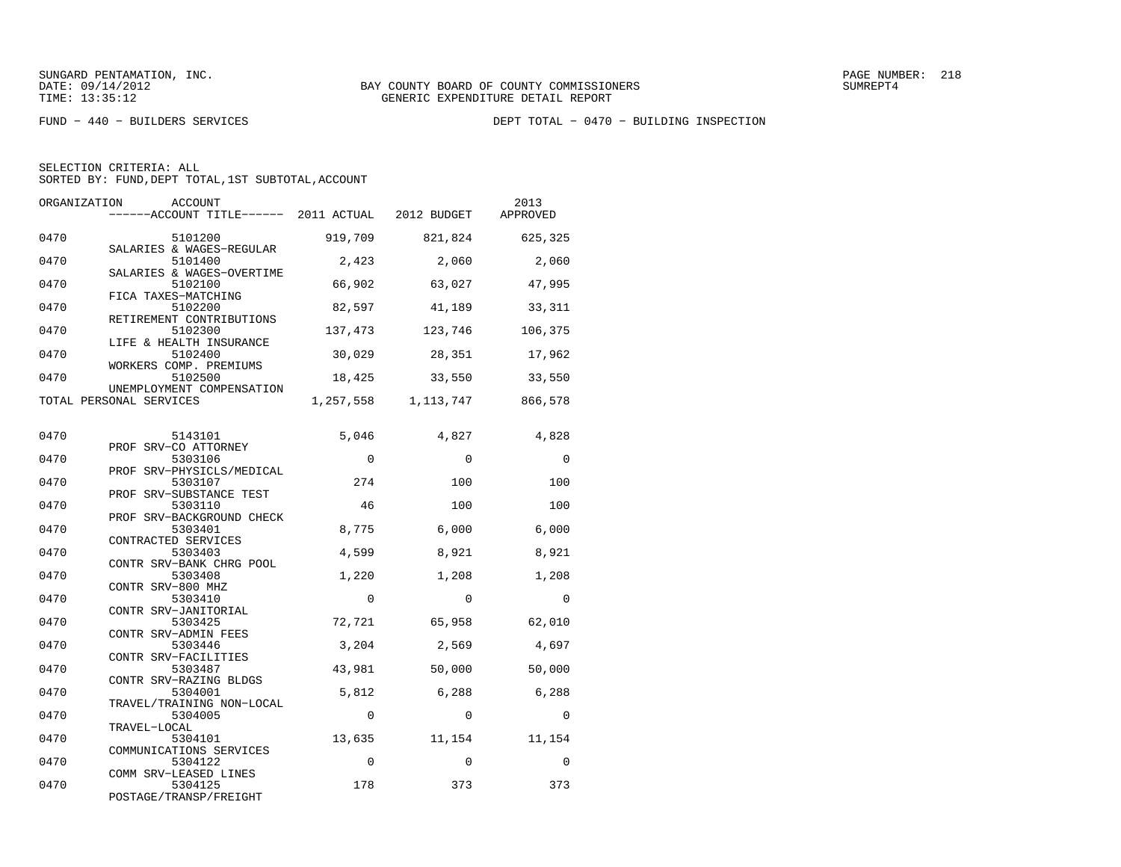| ORGANIZATION | <b>ACCOUNT</b><br>------ACCOUNT TITLE------ 2011 ACTUAL        |             | 2012 BUDGET | 2013<br>APPROVED |
|--------------|----------------------------------------------------------------|-------------|-------------|------------------|
| 0470         | 5101200<br>SALARIES & WAGES-REGULAR                            | 919,709     | 821,824     | 625,325          |
| 0470         | 5101400                                                        | 2,423       | 2,060       | 2,060            |
| 0470         | SALARIES & WAGES-OVERTIME<br>5102100                           | 66,902      | 63,027      | 47,995           |
| 0470         | FICA TAXES-MATCHING<br>5102200                                 | 82,597      | 41,189      | 33,311           |
| 0470         | RETIREMENT CONTRIBUTIONS<br>5102300<br>LIFE & HEALTH INSURANCE | 137,473     | 123,746     | 106,375          |
| 0470         | 5102400<br>WORKERS COMP. PREMIUMS                              | 30,029      | 28,351      | 17,962           |
| 0470         | 5102500<br>UNEMPLOYMENT COMPENSATION                           | 18,425      | 33,550      | 33,550           |
|              | TOTAL PERSONAL SERVICES                                        | 1,257,558   | 1,113,747   | 866,578          |
| 0470         | 5143101<br>PROF SRV-CO ATTORNEY                                | 5,046       | 4,827       | 4,828            |
| 0470         | 5303106<br>PROF SRV-PHYSICLS/MEDICAL                           | $\Omega$    | $\Omega$    | $\Omega$         |
| 0470         | 5303107                                                        | 274         | 100         | 100              |
| 0470         | PROF SRV-SUBSTANCE TEST<br>5303110                             | 46          | 100         | 100              |
| 0470         | PROF SRV-BACKGROUND CHECK<br>5303401                           | 8,775       | 6,000       | 6,000            |
| 0470         | CONTRACTED SERVICES<br>5303403                                 | 4,599       | 8,921       | 8,921            |
| 0470         | CONTR SRV-BANK CHRG POOL<br>5303408                            | 1,220       | 1,208       | 1,208            |
| 0470         | CONTR SRV-800 MHZ<br>5303410                                   | $\Omega$    | $\Omega$    | $\Omega$         |
| 0470         | CONTR SRV-JANITORIAL<br>5303425                                | 72,721      | 65,958      | 62,010           |
| 0470         | CONTR SRV-ADMIN FEES<br>5303446                                | 3,204       | 2,569       | 4,697            |
| 0470         | CONTR SRV-FACILITIES<br>5303487                                | 43,981      | 50,000      | 50,000           |
| 0470         | CONTR SRV-RAZING BLDGS<br>5304001                              | 5,812       | 6,288       | 6,288            |
| 0470         | TRAVEL/TRAINING NON-LOCAL<br>5304005                           | $\mathbf 0$ | $\Omega$    | $\Omega$         |
| 0470         | TRAVEL-LOCAL<br>5304101                                        | 13,635      | 11,154      | 11,154           |
| 0470         | COMMUNICATIONS SERVICES<br>5304122                             | $\mathbf 0$ | $\Omega$    | 0                |
| 0470         | COMM SRV-LEASED LINES<br>5304125<br>POSTAGE/TRANSP/FREIGHT     | 178         | 373         | 373              |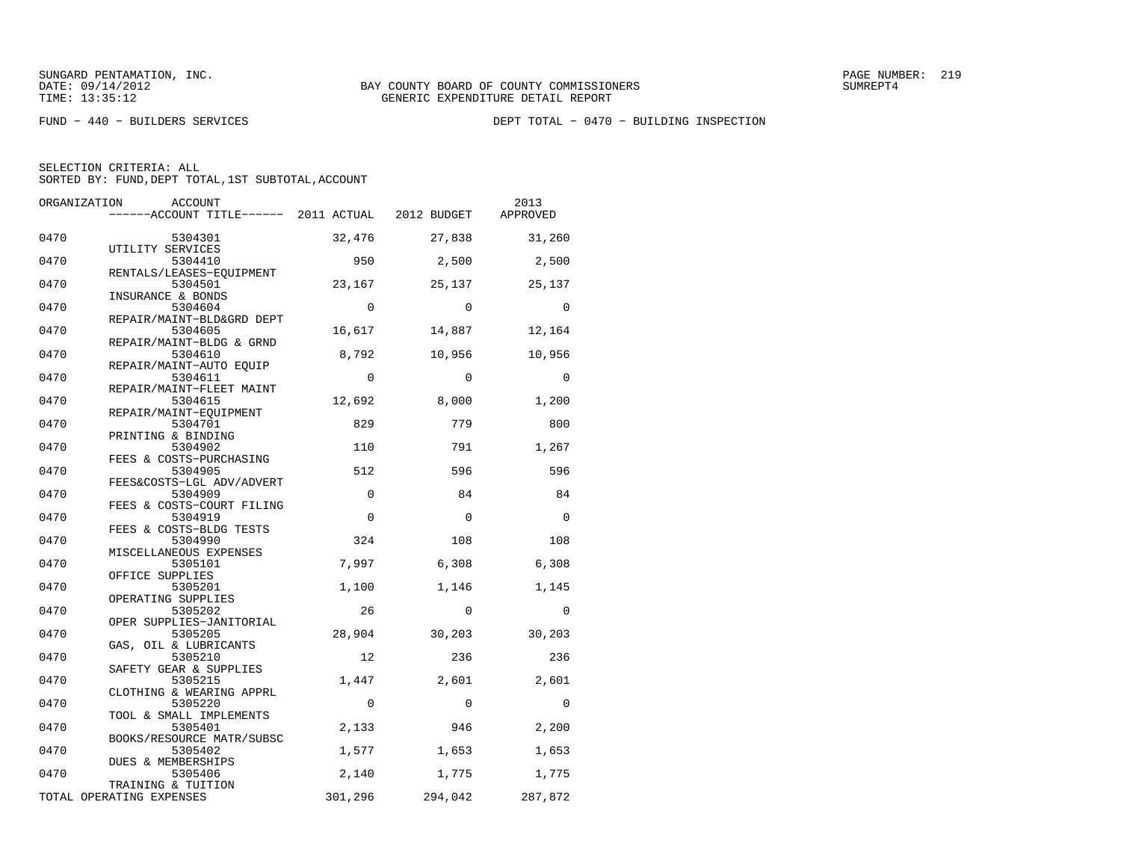| ORGANIZATION | ACCOUNT<br>------ACCOUNT TITLE------ 2011 ACTUAL 2012 BUDGET |              |             | 2013<br>APPROVED |
|--------------|--------------------------------------------------------------|--------------|-------------|------------------|
| 0470         | 5304301<br>UTILITY SERVICES                                  | 32,476       | 27,838      | 31,260           |
| 0470         | 5304410                                                      | 950          | 2,500       | 2,500            |
| 0470         | RENTALS/LEASES-EQUIPMENT<br>5304501                          | 23,167       | 25,137      | 25,137           |
| 0470         | INSURANCE & BONDS<br>5304604                                 | $\mathbf 0$  | $\mathbf 0$ | $\mathbf 0$      |
| 0470         | REPAIR/MAINT-BLD&GRD DEPT<br>5304605                         | 16,617       | 14,887      | 12,164           |
| 0470         | REPAIR/MAINT-BLDG & GRND<br>5304610                          | 8,792        | 10,956      | 10,956           |
| 0470         | REPAIR/MAINT-AUTO EQUIP<br>5304611                           | $\mathbf 0$  | $\Omega$    | 0                |
| 0470         | REPAIR/MAINT-FLEET MAINT<br>5304615                          | 12,692       | 8,000       | 1,200            |
| 0470         | REPAIR/MAINT-EOUIPMENT<br>5304701                            | 829          | 779         | 800              |
| 0470         | PRINTING & BINDING<br>5304902<br>FEES & COSTS-PURCHASING     | 110          | 791         | 1,267            |
| 0470         | 5304905<br>FEES&COSTS-LGL ADV/ADVERT                         | 512          | 596         | 596              |
| 0470         | 5304909<br>FEES & COSTS-COURT FILING                         | $\mathbf 0$  | 84          | 84               |
| 0470         | 5304919                                                      | $\Omega$     | $\Omega$    | $\Omega$         |
| 0470         | FEES & COSTS-BLDG TESTS<br>5304990<br>MISCELLANEOUS EXPENSES | 324          | 108         | 108              |
| 0470         | 5305101<br>OFFICE SUPPLIES                                   | 7,997        | 6,308       | 6,308            |
| 0470         | 5305201<br>OPERATING SUPPLIES                                | 1,100        | 1,146       | 1,145            |
| 0470         | 5305202<br>OPER SUPPLIES-JANITORIAL                          | 26           | $\Omega$    | $\overline{0}$   |
| 0470         | 5305205<br>GAS, OIL & LUBRICANTS                             | 28,904       | 30,203      | 30,203           |
| 0470         | 5305210<br>SAFETY GEAR & SUPPLIES                            | 12           | 236         | 236              |
| 0470         | 5305215<br>CLOTHING & WEARING APPRL                          | 1,447        | 2,601       | 2,601            |
| 0470         | 5305220<br>TOOL & SMALL IMPLEMENTS                           | $\mathbf{0}$ | $\mathbf 0$ | $\mathbf 0$      |
| 0470         | 5305401<br>BOOKS/RESOURCE MATR/SUBSC                         | 2,133        | 946         | 2,200            |
| 0470         | 5305402<br>DUES & MEMBERSHIPS                                | 1,577        | 1,653       | 1,653            |
| 0470         | 5305406<br>TRAINING & TUITION                                | 2,140        | 1,775       | 1,775            |
|              | TOTAL OPERATING EXPENSES                                     | 301,296      | 294,042     | 287,872          |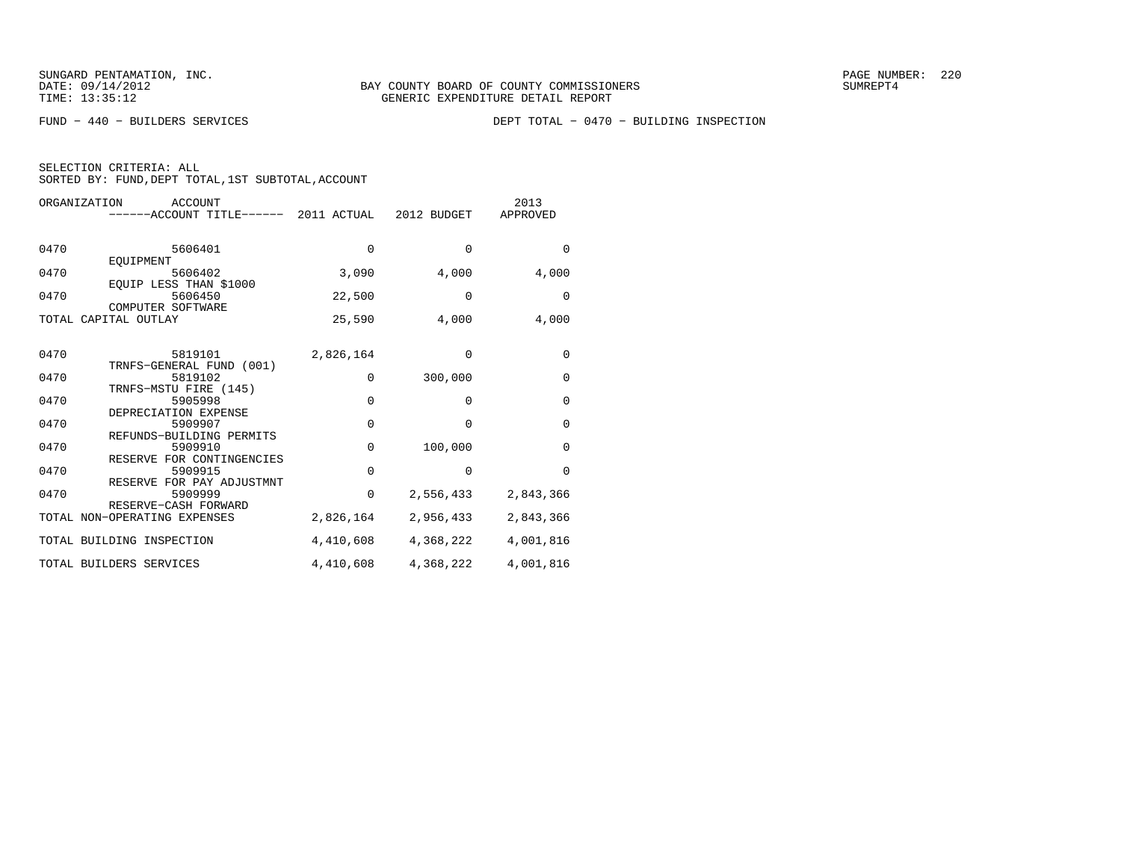| SELECTION CRITERIA: ALL |  |  |                                                 |  |
|-------------------------|--|--|-------------------------------------------------|--|
|                         |  |  | SORTED BY: FUND,DEPT TOTAL,1ST SUBTOTAL,ACCOUNT |  |

| ORGANIZATION | ACCOUNT<br>------ACCOUNT TITLE------ 2011 ACTUAL 2012 BUDGET      |             |             | 2013<br>APPROVED |
|--------------|-------------------------------------------------------------------|-------------|-------------|------------------|
| 0470         | 5606401<br>EQUIPMENT                                              | $\Omega$    | $\Omega$    | $\Omega$         |
| 0470         | 5606402<br>EQUIP LESS THAN \$1000                                 | 3,090       | 4,000       | 4,000            |
| 0470         | 5606450<br>COMPUTER SOFTWARE                                      | 22,500      | $\mathbf 0$ | $\mathbf 0$      |
|              | TOTAL CAPITAL OUTLAY                                              | 25,590      | 4,000       | 4,000            |
| 0470         | 5819101<br>TRNFS-GENERAL FUND (001)                               | 2,826,164   | $\Omega$    | 0                |
| 0470         | 5819102                                                           | $\Omega$    | 300,000     | 0                |
| 0470         | TRNFS-MSTU FIRE (145)<br>5905998                                  | $\mathbf 0$ | 0           | 0                |
| 0470         | DEPRECIATION EXPENSE<br>5909907                                   | $\mathbf 0$ | $\Omega$    | $\mathbf 0$      |
| 0470         | REFUNDS-BUILDING PERMITS<br>5909910                               | $\Omega$    | 100,000     | $\Omega$         |
| 0470         | RESERVE FOR CONTINGENCIES<br>5909915<br>RESERVE FOR PAY ADJUSTMNT | $\mathbf 0$ | $\mathbf 0$ | $\Omega$         |
| 0470         | 5909999<br>RESERVE-CASH FORWARD                                   | 0           | 2,556,433   | 2,843,366        |
|              | TOTAL NON-OPERATING EXPENSES                                      | 2,826,164   | 2,956,433   | 2,843,366        |
|              | TOTAL BUILDING INSPECTION                                         | 4,410,608   | 4,368,222   | 4,001,816        |
|              | TOTAL BUILDERS SERVICES                                           | 4,410,608   | 4,368,222   | 4,001,816        |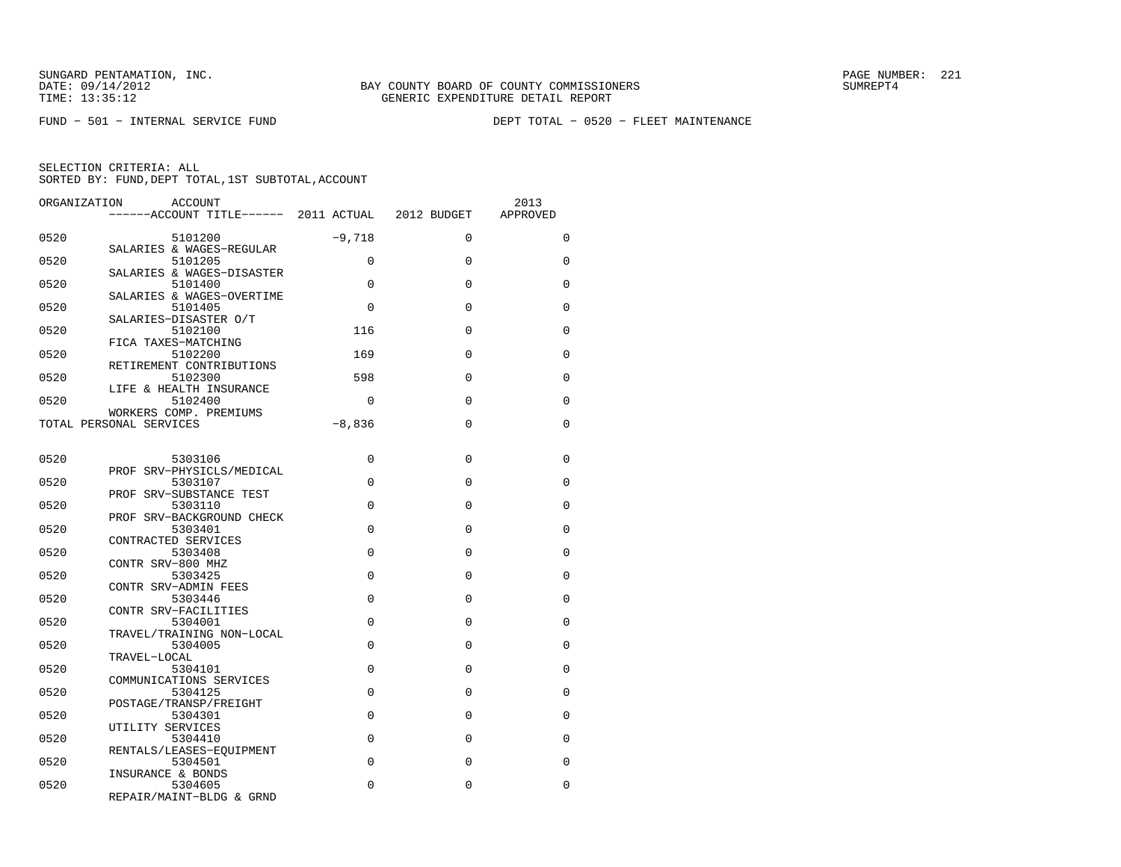FUND − 501 − INTERNAL SERVICE FUND DEPT TOTAL − 0520 − FLEET MAINTENANCE

| ORGANIZATION | ACCOUNT                                                  |             |             | 2013        |
|--------------|----------------------------------------------------------|-------------|-------------|-------------|
|              | ------ACCOUNT TITLE------ 2011 ACTUAL 2012 BUDGET        |             |             | APPROVED    |
| 0520         | 5101200<br>SALARIES & WAGES-REGULAR                      | $-9,718$    | $\Omega$    | $\Omega$    |
| 0520         | 5101205                                                  | $\Omega$    | $\Omega$    | $\Omega$    |
| 0520         | SALARIES & WAGES-DISASTER<br>5101400                     | $\Omega$    | $\mathbf 0$ | $\Omega$    |
| 0520         | SALARIES & WAGES-OVERTIME<br>5101405                     | $\Omega$    | $\Omega$    | $\mathbf 0$ |
| 0520         | SALARIES-DISASTER O/T<br>5102100                         | 116         | $\Omega$    | $\Omega$    |
| 0520         | FICA TAXES-MATCHING<br>5102200                           | 169         | $\Omega$    | $\Omega$    |
| 0520         | RETIREMENT CONTRIBUTIONS<br>5102300                      | 598         | $\Omega$    | $\Omega$    |
| 0520         | LIFE & HEALTH INSURANCE<br>5102400                       | $\Omega$    | $\Omega$    | $\Omega$    |
|              | WORKERS COMP. PREMIUMS<br>TOTAL PERSONAL SERVICES        | $-8,836$    | $\Omega$    | $\Omega$    |
|              |                                                          |             |             |             |
| 0520         | 5303106<br>PROF SRV-PHYSICLS/MEDICAL                     | $\Omega$    | $\Omega$    | $\Omega$    |
| 0520         | 5303107<br>PROF SRV-SUBSTANCE TEST                       | $\Omega$    | $\Omega$    | $\Omega$    |
| 0520         | 5303110<br>PROF SRV-BACKGROUND CHECK                     | $\Omega$    | $\Omega$    | $\Omega$    |
| 0520         | 5303401<br>CONTRACTED SERVICES                           | 0           | $\Omega$    | $\Omega$    |
| 0520         | 5303408<br>CONTR SRV-800 MHZ                             | $\Omega$    | $\Omega$    | $\Omega$    |
| 0520         | 5303425<br>CONTR SRV-ADMIN FEES                          | $\Omega$    | $\Omega$    | $\Omega$    |
| 0520         | 5303446<br>CONTR SRV-FACILITIES                          | $\mathbf 0$ | $\mathbf 0$ | 0           |
| 0520         | 5304001<br>TRAVEL/TRAINING NON-LOCAL                     | $\Omega$    | $\Omega$    | $\Omega$    |
| 0520         | 5304005<br>TRAVEL-LOCAL                                  | $\Omega$    | $\Omega$    | $\Omega$    |
| 0520         | 5304101                                                  | $\Omega$    | $\Omega$    | $\Omega$    |
| 0520         | COMMUNICATIONS SERVICES<br>5304125                       | 0           | $\Omega$    | 0           |
| 0520         | POSTAGE/TRANSP/FREIGHT<br>5304301                        | $\Omega$    | $\Omega$    | $\Omega$    |
| 0520         | UTILITY SERVICES<br>5304410                              | $\Omega$    | $\Omega$    | $\Omega$    |
| 0520         | RENTALS/LEASES-EOUIPMENT<br>5304501                      | $\Omega$    | $\Omega$    | $\Omega$    |
| 0520         | INSURANCE & BONDS<br>5304605<br>REPAIR/MAINT-BLDG & GRND | $\Omega$    | 0           | $\Omega$    |
|              |                                                          |             |             |             |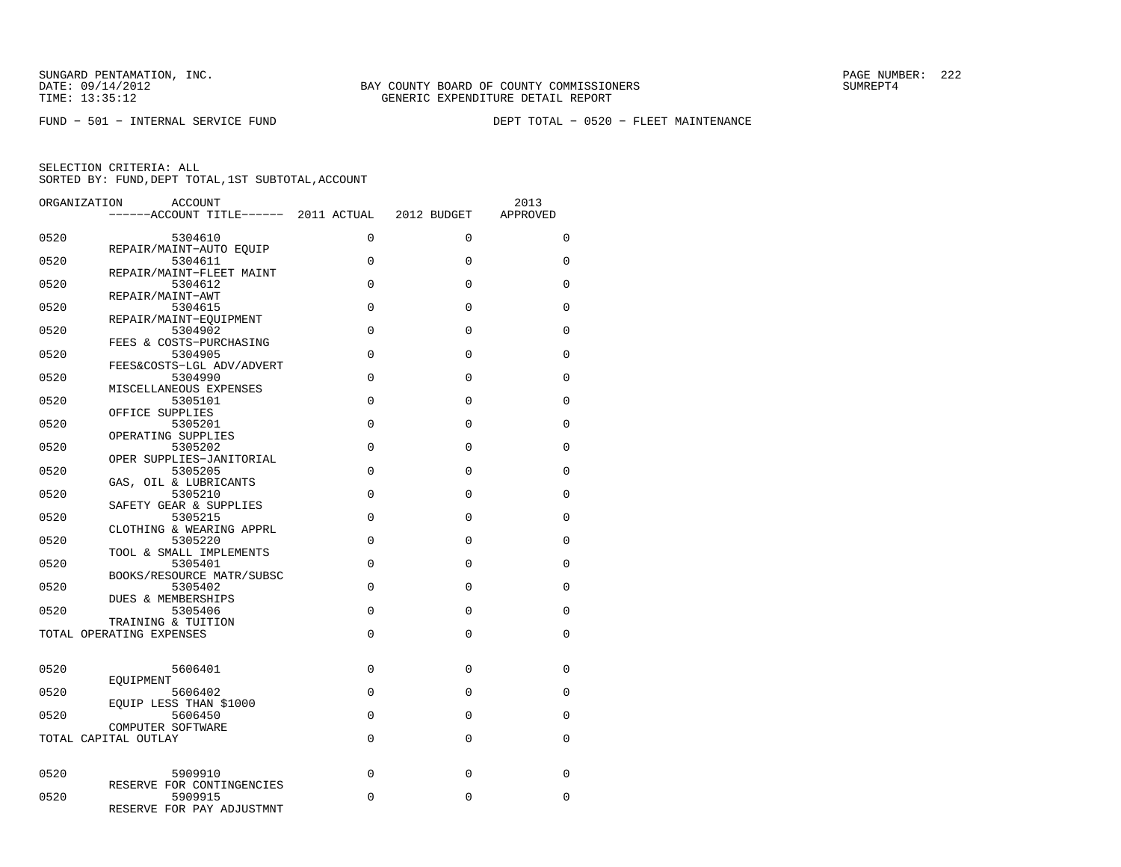FUND − 501 − INTERNAL SERVICE FUND DEPT TOTAL − 0520 − FLEET MAINTENANCE

| ORGANIZATION | <b>ACCOUNT</b>                                       |             |          | 2013        |
|--------------|------------------------------------------------------|-------------|----------|-------------|
|              | ------ACCOUNT TITLE------ 2011 ACTUAL 2012 BUDGET    |             |          | APPROVED    |
| 0520         | 5304610                                              | $\Omega$    | $\Omega$ | $\Omega$    |
| 0520         | REPAIR/MAINT-AUTO EQUIP<br>5304611                   | $\Omega$    | $\Omega$ | $\mathbf 0$ |
| 0520         | REPAIR/MAINT-FLEET MAINT<br>5304612                  | $\Omega$    | $\Omega$ | $\Omega$    |
| 0520         | REPAIR/MAINT-AWT<br>5304615                          | $\mathbf 0$ | $\Omega$ | $\Omega$    |
| 0520         | REPAIR/MAINT-EQUIPMENT<br>5304902                    | $\Omega$    | $\Omega$ | $\Omega$    |
| 0520         | FEES & COSTS-PURCHASING<br>5304905                   | $\Omega$    | $\Omega$ | $\Omega$    |
| 0520         | FEES&COSTS-LGL ADV/ADVERT<br>5304990                 | $\Omega$    | $\Omega$ | $\Omega$    |
| 0520         | MISCELLANEOUS EXPENSES<br>5305101<br>OFFICE SUPPLIES | $\Omega$    | $\Omega$ | $\Omega$    |
| 0520         | 5305201<br>OPERATING SUPPLIES                        | $\Omega$    | $\Omega$ | $\Omega$    |
| 0520         | 5305202<br>OPER SUPPLIES-JANITORIAL                  | $\Omega$    | $\Omega$ | $\Omega$    |
| 0520         | 5305205<br>GAS, OIL & LUBRICANTS                     | $\Omega$    | $\Omega$ | $\Omega$    |
| 0520         | 5305210<br>SAFETY GEAR & SUPPLIES                    | $\Omega$    | $\Omega$ | 0           |
| 0520         | 5305215<br>CLOTHING & WEARING APPRL                  | $\Omega$    | $\Omega$ | $\Omega$    |
| 0520         | 5305220<br>TOOL & SMALL IMPLEMENTS                   | $\Omega$    | $\Omega$ | $\Omega$    |
| 0520         | 5305401<br>BOOKS/RESOURCE MATR/SUBSC                 | $\Omega$    | 0        | 0           |
| 0520         | 5305402<br><b>DUES &amp; MEMBERSHIPS</b>             | $\Omega$    | $\Omega$ | $\Omega$    |
| 0520         | 5305406<br>TRAINING & TUITION                        | $\Omega$    | $\Omega$ | $\Omega$    |
|              | TOTAL OPERATING EXPENSES                             | $\Omega$    | $\Omega$ | 0           |
| 0520         | 5606401                                              | $\Omega$    | $\Omega$ | $\Omega$    |
| 0520         | EOUIPMENT<br>5606402                                 | $\Omega$    | $\Omega$ | $\Omega$    |
| 0520         | EQUIP LESS THAN \$1000<br>5606450                    | $\Omega$    | $\Omega$ | 0           |
|              | COMPUTER SOFTWARE<br>TOTAL CAPITAL OUTLAY            | $\Omega$    | $\Omega$ | $\Omega$    |
|              |                                                      |             |          |             |
| 0520         | 5909910<br>RESERVE FOR CONTINGENCIES                 | $\Omega$    | $\Omega$ | $\Omega$    |
| 0520         | 5909915<br>RESERVE FOR PAY ADJUSTMNT                 | $\Omega$    | $\Omega$ | 0           |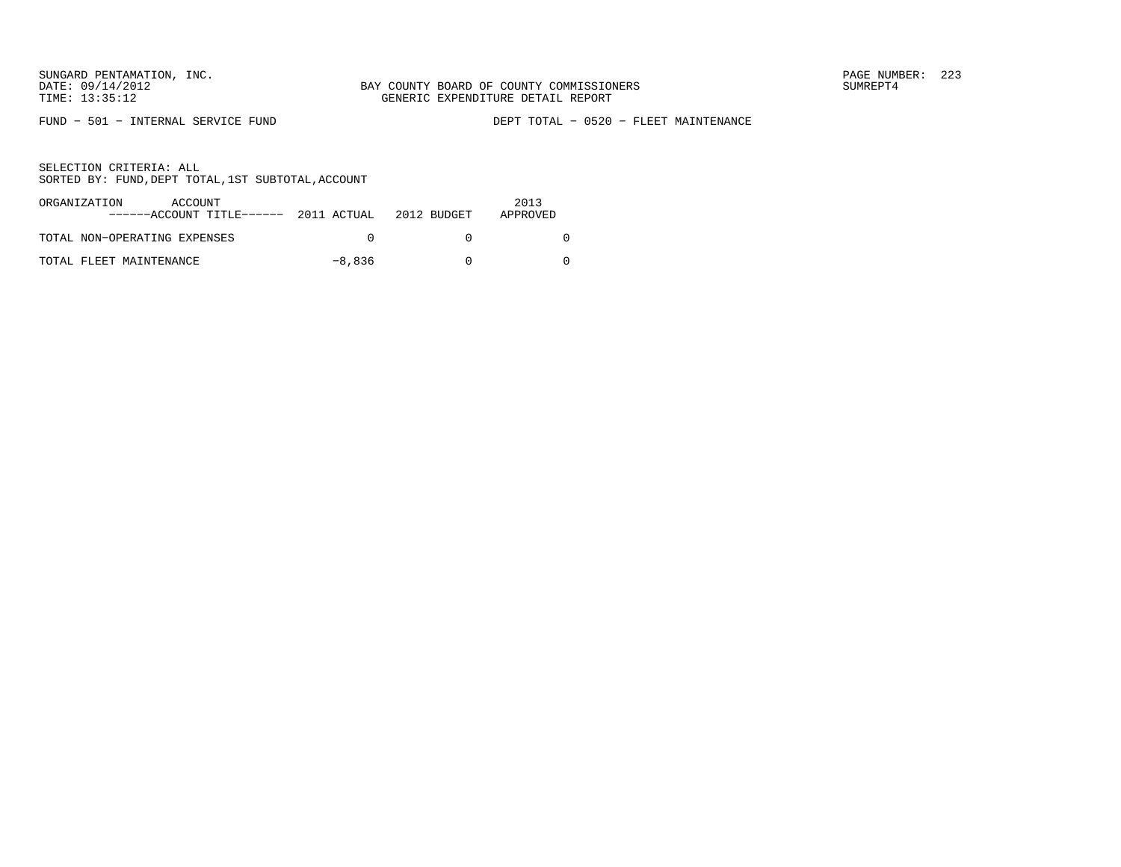FUND − 501 − INTERNAL SERVICE FUND DEPT TOTAL − 0520 − FLEET MAINTENANCE

| ORGANIZATION<br>ACCOUNT<br>$---ACCOUNT$ TITLE $---2011$ ACTUAL 2012 BUDGET |        | 2013<br>APPROVED |
|----------------------------------------------------------------------------|--------|------------------|
| TOTAL NON-OPERATING EXPENSES                                               |        |                  |
| TOTAL FLEET MAINTENANCE                                                    | -8,836 |                  |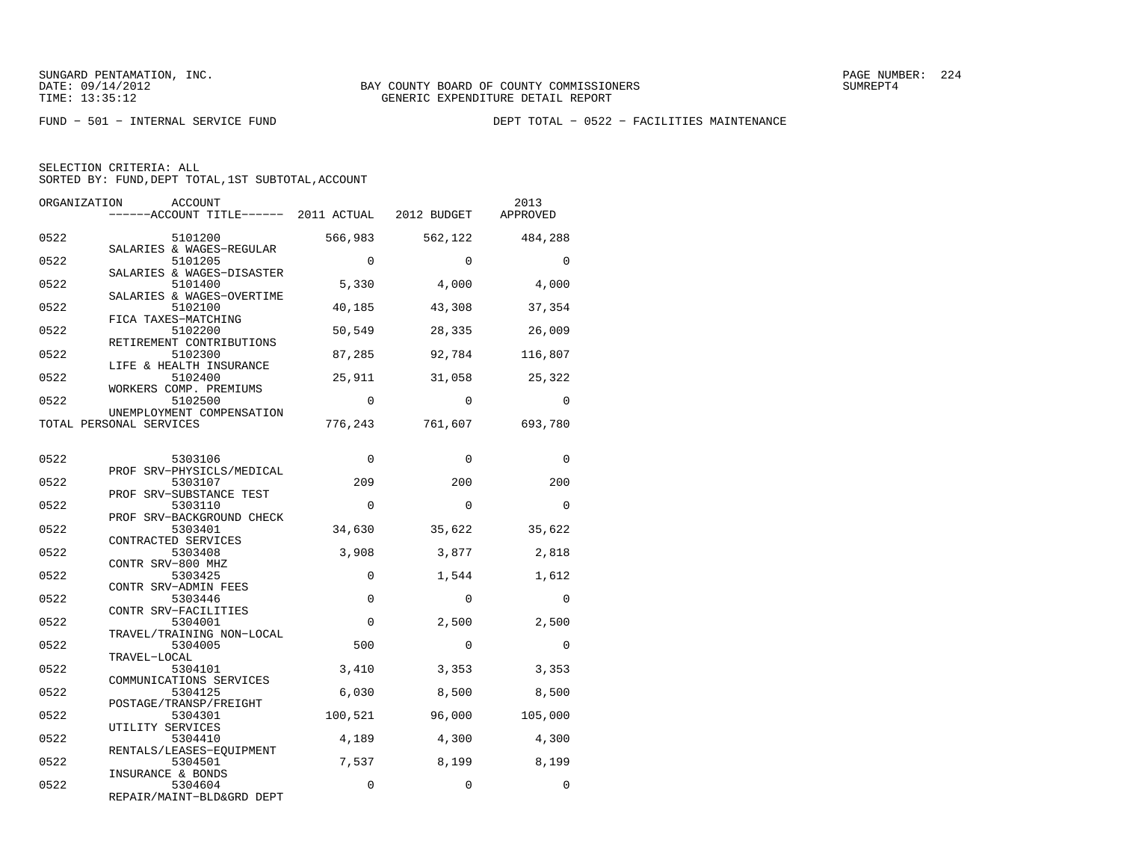FUND − 501 − INTERNAL SERVICE FUND DEPT TOTAL − 0522 − FACILITIES MAINTENANCE

| ORGANIZATION | <b>ACCOUNT</b><br>------ACCOUNT TITLE------ 2011 ACTUAL 2012 BUDGET |          |          | 2013<br>APPROVED |
|--------------|---------------------------------------------------------------------|----------|----------|------------------|
| 0522         | 5101200                                                             | 566,983  | 562,122  | 484,288          |
| 0522         | SALARIES & WAGES-REGULAR<br>5101205                                 | $\Omega$ | $\Omega$ | $\Omega$         |
| 0522         | SALARIES & WAGES-DISASTER<br>5101400                                | 5,330    | 4,000    | 4,000            |
| 0522         | SALARIES & WAGES-OVERTIME<br>5102100<br>FICA TAXES-MATCHING         | 40,185   | 43,308   | 37,354           |
| 0522         | 5102200<br>RETIREMENT CONTRIBUTIONS                                 | 50,549   | 28,335   | 26,009           |
| 0522         | 5102300<br>LIFE & HEALTH INSURANCE                                  | 87,285   | 92,784   | 116,807          |
| 0522         | 5102400<br>WORKERS COMP. PREMIUMS                                   | 25,911   | 31,058   | 25,322           |
| 0522         | 5102500<br>UNEMPLOYMENT COMPENSATION                                | $\Omega$ | $\Omega$ | $\Omega$         |
|              | TOTAL PERSONAL SERVICES                                             | 776,243  | 761,607  | 693,780          |
| 0522         | 5303106                                                             | $\Omega$ | $\Omega$ | $\Omega$         |
| 0522         | PROF SRV-PHYSICLS/MEDICAL<br>5303107                                | 209      | 200      | 200              |
| 0522         | PROF SRV-SUBSTANCE TEST<br>5303110                                  | $\Omega$ | $\Omega$ | $\Omega$         |
| 0522         | PROF SRV-BACKGROUND CHECK<br>5303401                                | 34,630   | 35,622   | 35,622           |
| 0522         | CONTRACTED SERVICES<br>5303408                                      | 3,908    | 3,877    | 2,818            |
| 0522         | CONTR SRV-800 MHZ<br>5303425                                        | $\Omega$ | 1,544    | 1,612            |
| 0522         | CONTR SRV-ADMIN FEES<br>5303446                                     | $\Omega$ | $\Omega$ | $\Omega$         |
| 0522         | CONTR SRV-FACILITIES<br>5304001                                     | $\Omega$ | 2,500    | 2,500            |
| 0522         | TRAVEL/TRAINING NON-LOCAL<br>5304005<br>TRAVEL-LOCAL                | 500      | $\Omega$ | $\Omega$         |
| 0522         | 5304101<br>COMMUNICATIONS SERVICES                                  | 3,410    | 3,353    | 3,353            |
| 0522         | 5304125<br>POSTAGE/TRANSP/FREIGHT                                   | 6,030    | 8,500    | 8,500            |
| 0522         | 5304301<br>UTILITY SERVICES                                         | 100,521  | 96,000   | 105,000          |
| 0522         | 5304410<br>RENTALS/LEASES-EOUIPMENT                                 | 4,189    | 4,300    | 4,300            |
| 0522         | 5304501<br>INSURANCE & BONDS                                        | 7,537    | 8,199    | 8,199            |
| 0522         | 5304604<br>REPAIR/MAINT-BLD&GRD DEPT                                | 0        | 0        | $\mathbf 0$      |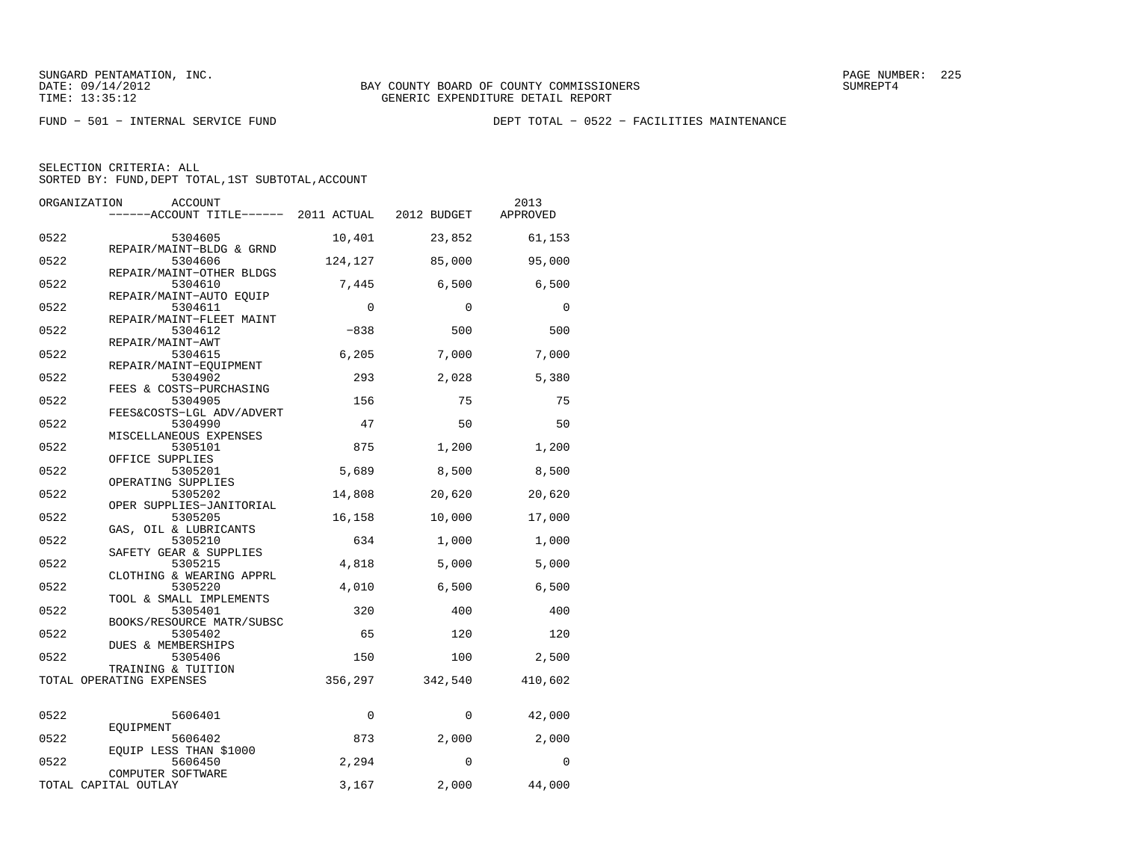FUND − 501 − INTERNAL SERVICE FUND DEPT TOTAL − 0522 − FACILITIES MAINTENANCE

| ORGANIZATION<br><b>ACCOUNT</b><br>------ACCOUNT TITLE------ | 2011 ACTUAL | 2012 BUDGET | 2013<br>APPROVED |
|-------------------------------------------------------------|-------------|-------------|------------------|
| 0522<br>5304605                                             | 10,401      | 23,852      | 61,153           |
| REPAIR/MAINT-BLDG & GRND<br>0522<br>5304606                 | 124,127     | 85,000      | 95,000           |
| REPAIR/MAINT-OTHER BLDGS<br>0522<br>5304610                 | 7,445       | 6,500       | 6,500            |
| REPAIR/MAINT-AUTO EOUIP<br>0522<br>5304611                  | $\mathbf 0$ | $\Omega$    | $\Omega$         |
| REPAIR/MAINT-FLEET MAINT<br>0522<br>5304612                 | $-838$      | 500         | 500              |
| REPAIR/MAINT-AWT<br>0522<br>5304615                         | 6, 205      | 7,000       | 7,000            |
| REPAIR/MAINT-EQUIPMENT<br>0522<br>5304902                   | 293         | 2,028       | 5,380            |
| FEES & COSTS-PURCHASING<br>0522<br>5304905                  | 156         | 75          | 75               |
| FEES&COSTS-LGL ADV/ADVERT<br>0522<br>5304990                | 47          | 50          | 50               |
| MISCELLANEOUS EXPENSES<br>0522<br>5305101                   | 875         | 1,200       | 1,200            |
| OFFICE SUPPLIES<br>0522<br>5305201<br>OPERATING SUPPLIES    | 5,689       | 8,500       | 8,500            |
| 0522<br>5305202<br>OPER SUPPLIES-JANITORIAL                 | 14,808      | 20,620      | 20,620           |
| 0522<br>5305205<br>GAS, OIL & LUBRICANTS                    | 16,158      | 10,000      | 17,000           |
| 0522<br>5305210<br>SAFETY GEAR & SUPPLIES                   | 634         | 1,000       | 1,000            |
| 0522<br>5305215<br>CLOTHING & WEARING APPRL                 | 4,818       | 5,000       | 5,000            |
| 0522<br>5305220<br>TOOL & SMALL IMPLEMENTS                  | 4,010       | 6,500       | 6,500            |
| 0522<br>5305401<br>BOOKS/RESOURCE MATR/SUBSC                | 320         | 400         | 400              |
| 0522<br>5305402<br><b>DUES &amp; MEMBERSHIPS</b>            | 65          | 120         | 120              |
| 0522<br>5305406<br>TRAINING & TUITION                       | 150         | 100         | 2,500            |
| TOTAL OPERATING EXPENSES                                    | 356,297     | 342,540     | 410,602          |
| 0522<br>5606401                                             | 0           | 0           | 42,000           |
| EOUIPMENT<br>0522<br>5606402                                | 873         | 2,000       | 2,000            |
| EQUIP LESS THAN \$1000<br>0522<br>5606450                   | 2,294       | $\Omega$    | 0                |
| COMPUTER SOFTWARE<br>TOTAL CAPITAL OUTLAY                   | 3,167       | 2,000       | 44,000           |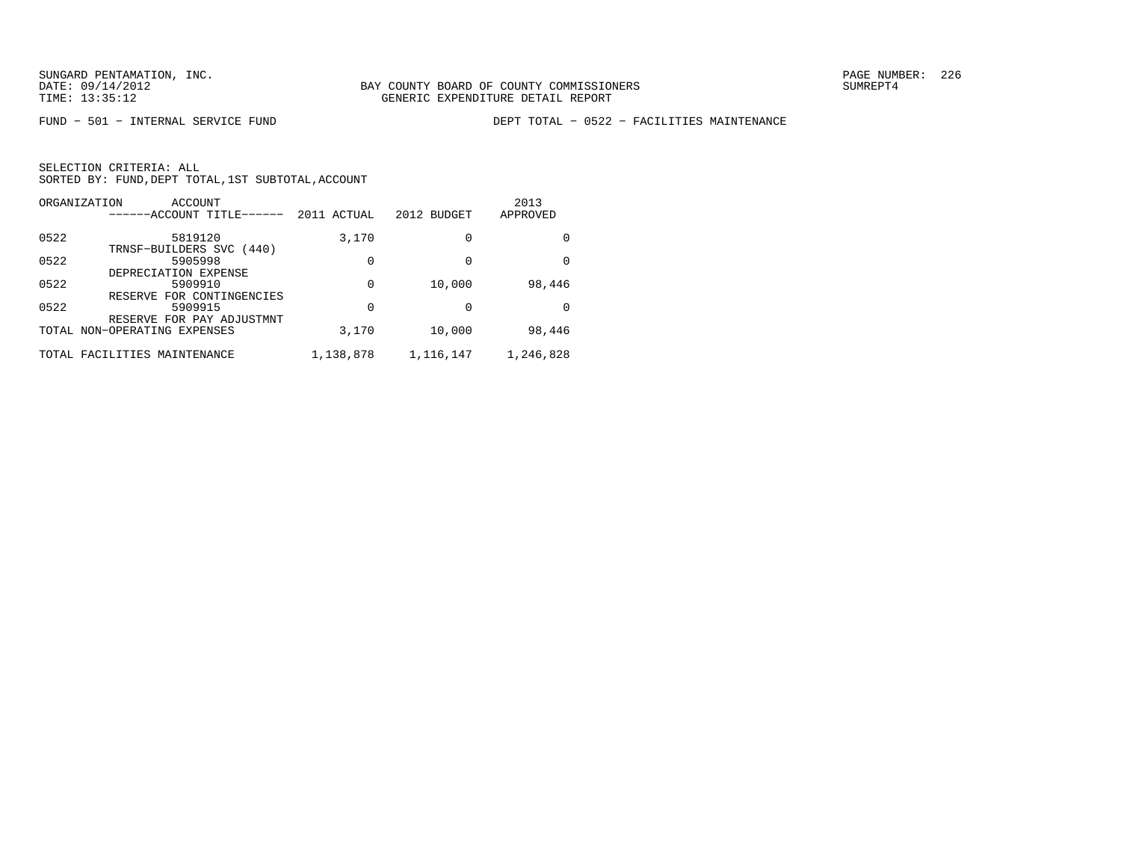FUND − 501 − INTERNAL SERVICE FUND DEPT TOTAL − 0522 − FACILITIES MAINTENANCE

| ORGANIZATION | ACCOUNT<br>------ACCOUNT TITLE------ | 2011 ACTUAL | 2012 BUDGET | 2013<br>APPROVED |
|--------------|--------------------------------------|-------------|-------------|------------------|
| 0522         | 5819120<br>TRNSF-BUILDERS SVC (440)  | 3,170       | 0           |                  |
| 0522         | 5905998<br>DEPRECIATION EXPENSE      | 0           | 0           | <sup>0</sup>     |
| 0522         | 5909910<br>RESERVE FOR CONTINGENCIES | 0           | 10,000      | 98,446           |
| 0522         | 5909915<br>RESERVE FOR PAY ADJUSTMNT | 0           | 0           | <sup>0</sup>     |
|              | TOTAL NON-OPERATING EXPENSES         | 3,170       | 10,000      | 98,446           |
|              | TOTAL FACILITIES MAINTENANCE         | 1,138,878   | 1,116,147   | 1,246,828        |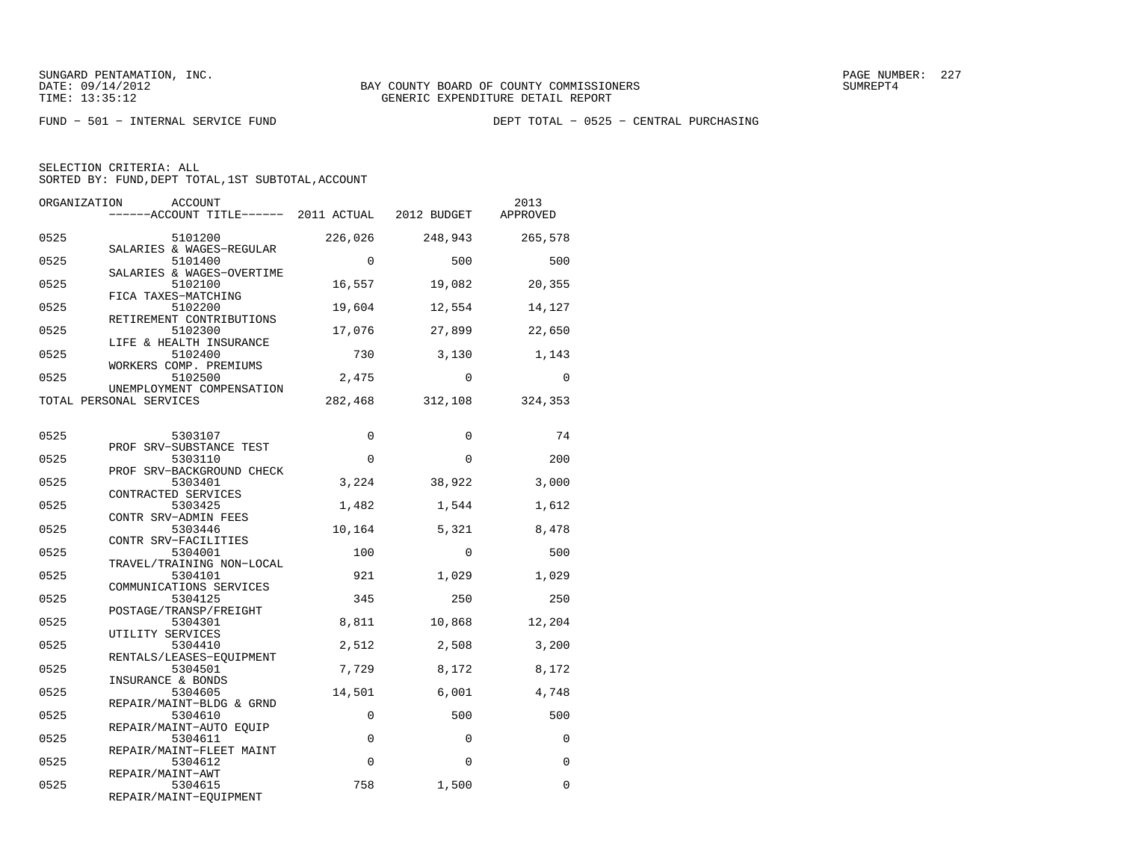FUND − 501 − INTERNAL SERVICE FUND DEPT TOTAL − 0525 − CENTRAL PURCHASING

| SELECTION CRITERIA: ALL |  |                                                    |  |
|-------------------------|--|----------------------------------------------------|--|
|                         |  | SORTED BY: FUND. DEPT TOTAL. 1ST SUBTOTAL. ACCOUNT |  |

| ORGANIZATION | <b>ACCOUNT</b><br>------ACCOUNT TITLE------ 2011 ACTUAL 2012 BUDGET |             |          | 2013<br>APPROVED |
|--------------|---------------------------------------------------------------------|-------------|----------|------------------|
| 0525         | 5101200<br>SALARIES & WAGES-REGULAR                                 | 226,026     | 248,943  | 265,578          |
| 0525         | 5101400                                                             | $\Omega$    | 500      | 500              |
| 0525         | SALARIES & WAGES-OVERTIME<br>5102100                                | 16,557      | 19,082   | 20,355           |
| 0525         | FICA TAXES-MATCHING<br>5102200                                      | 19,604      | 12,554   | 14,127           |
| 0525         | RETIREMENT CONTRIBUTIONS<br>5102300                                 | 17,076      | 27,899   | 22,650           |
| 0525         | LIFE & HEALTH INSURANCE<br>5102400                                  | 730         | 3,130    | 1,143            |
| 0525         | WORKERS COMP. PREMIUMS<br>5102500<br>UNEMPLOYMENT COMPENSATION      | 2,475       | $\Omega$ | $\Omega$         |
|              | TOTAL PERSONAL SERVICES                                             | 282,468     | 312,108  | 324,353          |
| 0525         | 5303107                                                             | $\mathbf 0$ | $\Omega$ | 74               |
| 0525         | PROF SRV-SUBSTANCE TEST<br>5303110                                  | $\Omega$    | $\Omega$ | 200              |
| 0525         | PROF SRV-BACKGROUND CHECK<br>5303401                                | 3,224       | 38,922   | 3,000            |
| 0525         | CONTRACTED SERVICES<br>5303425                                      | 1,482       | 1,544    | 1,612            |
| 0525         | CONTR SRV-ADMIN FEES<br>5303446                                     | 10,164      | 5,321    | 8,478            |
| 0525         | CONTR SRV-FACILITIES<br>5304001<br>TRAVEL/TRAINING NON-LOCAL        | 100         | $\Omega$ | 500              |
| 0525         | 5304101<br>COMMUNICATIONS SERVICES                                  | 921         | 1,029    | 1,029            |
| 0525         | 5304125<br>POSTAGE/TRANSP/FREIGHT                                   | 345         | 250      | 250              |
| 0525         | 5304301<br>UTILITY SERVICES                                         | 8,811       | 10,868   | 12,204           |
| 0525         | 5304410<br>RENTALS/LEASES-EQUIPMENT                                 | 2,512       | 2,508    | 3,200            |
| 0525         | 5304501<br>INSURANCE & BONDS                                        | 7,729       | 8,172    | 8,172            |
| 0525         | 5304605<br>REPAIR/MAINT-BLDG & GRND                                 | 14,501      | 6,001    | 4,748            |
| 0525         | 5304610<br>REPAIR/MAINT-AUTO EOUIP                                  | $\mathbf 0$ | 500      | 500              |
| 0525         | 5304611<br>REPAIR/MAINT-FLEET MAINT                                 | $\mathbf 0$ | $\Omega$ | 0                |
| 0525         | 5304612<br>REPAIR/MAINT-AWT                                         | $\mathbf 0$ | $\Omega$ | 0                |
| 0525         | 5304615<br>REPAIR/MAINT-EQUIPMENT                                   | 758         | 1,500    | 0                |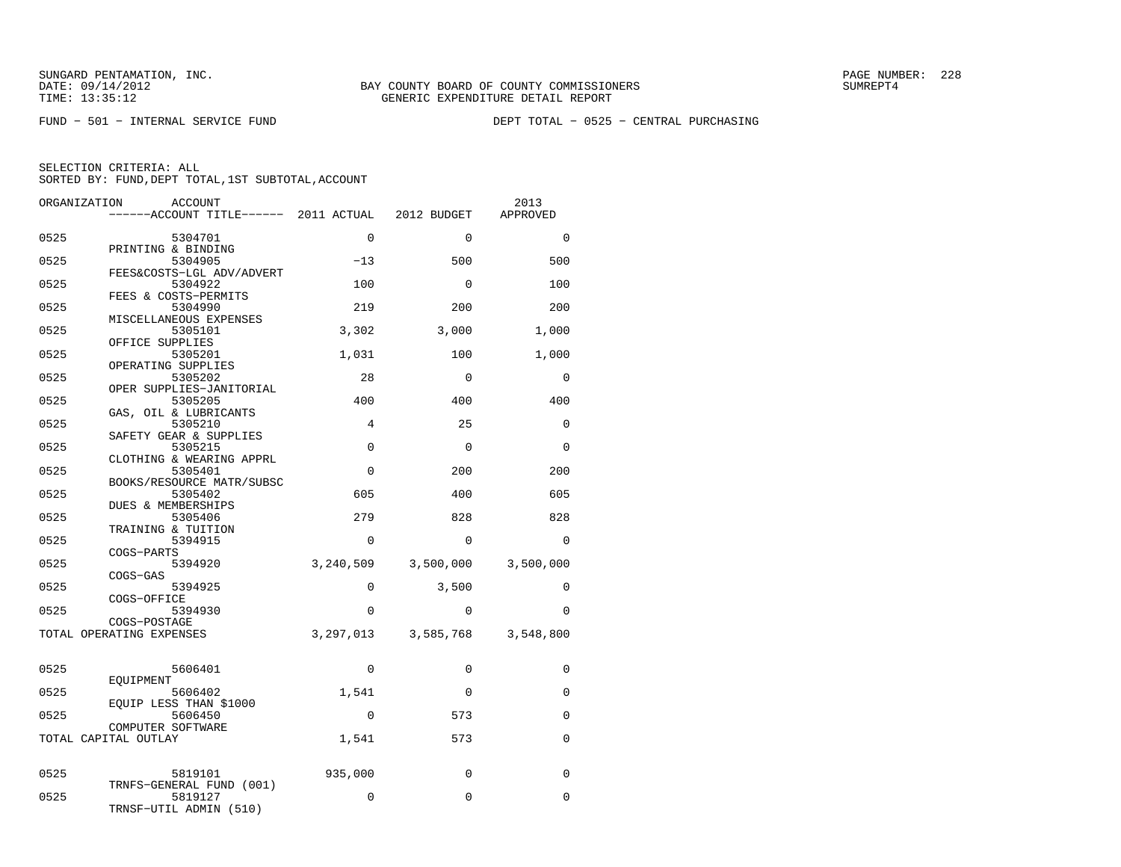FUND − 501 − INTERNAL SERVICE FUND DEPT TOTAL − 0525 − CENTRAL PURCHASING

| ORGANIZATION | ACCOUNT                                   |             |                                     | 2013        |
|--------------|-------------------------------------------|-------------|-------------------------------------|-------------|
|              |                                           |             |                                     | APPROVED    |
| 0525         | 5304701                                   |             | 0<br>$\Omega$                       | $\Omega$    |
| 0525         | PRINTING & BINDING<br>5304905             | $-13$       | 500                                 | 500         |
| 0525         | FEES&COSTS-LGL ADV/ADVERT<br>5304922      | 100         | $\Omega$                            | 100         |
| 0525         | FEES & COSTS-PERMITS<br>5304990           | 219         | 200                                 | 200         |
|              | MISCELLANEOUS EXPENSES                    |             |                                     |             |
| 0525         | 5305101<br>OFFICE SUPPLIES                | 3,302       | 3,000                               | 1,000       |
| 0525         | 5305201<br>OPERATING SUPPLIES             | 1,031       | 100                                 | 1,000       |
| 0525         | 5305202<br>OPER SUPPLIES-JANITORIAL       | 28          | $\Omega$                            | $\mathbf 0$ |
| 0525         | 5305205                                   | 400         | 400                                 | 400         |
| 0525         | GAS, OIL & LUBRICANTS<br>5305210          |             | 4<br>25                             | $\mathbf 0$ |
| 0525         | SAFETY GEAR & SUPPLIES<br>5305215         | $\Omega$    | $\Omega$                            | $\Omega$    |
| 0525         | CLOTHING & WEARING APPRL<br>5305401       |             | $\Omega$<br>200                     | 200         |
| 0525         | BOOKS/RESOURCE MATR/SUBSC                 | 605         |                                     | 605         |
|              | 5305402<br>DUES & MEMBERSHIPS             |             | 400                                 |             |
| 0525         | 5305406<br>TRAINING & TUITION             | 279         | 828                                 | 828         |
| 0525         | 5394915<br>COGS-PARTS                     |             | $\Omega$<br>$\Omega$                | $\Omega$    |
| 0525         | 5394920<br>COGS-GAS                       |             | 3,240,509 3,500,000 3,500,000       |             |
| 0525         | 5394925                                   |             | $\Omega$<br>3,500                   | $\Omega$    |
| 0525         | COGS-OFFICE<br>5394930                    |             | $\Omega$<br>$\Omega$                | $\Omega$    |
|              | COGS-POSTAGE<br>TOTAL OPERATING EXPENSES  |             | 3, 297, 013 3, 585, 768 3, 548, 800 |             |
|              |                                           |             |                                     |             |
| 0525         | 5606401<br>EOUIPMENT                      | $\mathbf 0$ | $\mathbf 0$                         | 0           |
| 0525         | 5606402                                   | 1,541       | $\Omega$                            | $\Omega$    |
| 0525         | EOUIP LESS THAN \$1000<br>5606450         | $\mathbf 0$ | 573                                 | $\mathbf 0$ |
|              | COMPUTER SOFTWARE<br>TOTAL CAPITAL OUTLAY | 1,541       | 573                                 | $\Omega$    |
|              |                                           |             |                                     |             |
| 0525         | 5819101                                   | 935,000     | $\mathbf 0$                         | $\mathbf 0$ |
| 0525         | TRNFS-GENERAL FUND (001)<br>5819127       |             | $\Omega$<br>$\Omega$                | $\Omega$    |
|              | TRNSF-UTIL ADMIN (510)                    |             |                                     |             |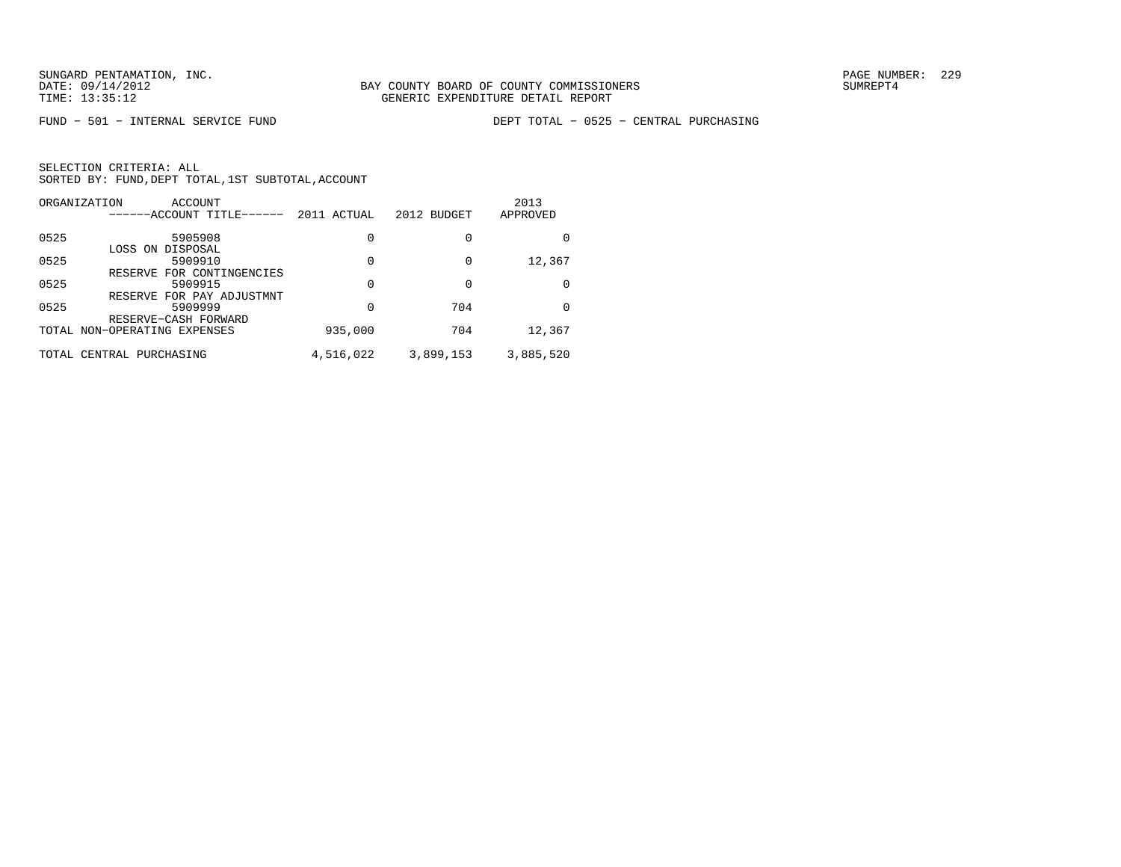FUND − 501 − INTERNAL SERVICE FUND DEPT TOTAL − 0525 − CENTRAL PURCHASING

| ORGANIZATION | ACCOUNT                                 |             |             | 2013      |
|--------------|-----------------------------------------|-------------|-------------|-----------|
|              | ------ACCOUNT TITLE------               | 2011 ACTUAL | 2012 BUDGET | APPROVED  |
| 0525         | 5905908                                 | 0           | 0           | U         |
|              | LOSS ON DISPOSAL                        |             |             |           |
| 0525         | 5909910                                 | 0           | 0           | 12,367    |
| 0525         | FOR CONTINGENCIES<br>RESERVE<br>5909915 | 0           |             | 0         |
|              | RESERVE FOR PAY ADJUSTMNT               |             |             |           |
| 0525         | 5909999                                 | 0           | 704         | O         |
|              | RESERVE-CASH FORWARD                    |             |             |           |
|              | TOTAL NON-OPERATING EXPENSES            | 935,000     | 704         | 12,367    |
| TOTAL        | CENTRAL PURCHASING                      | 4,516,022   | 3,899,153   | 3,885,520 |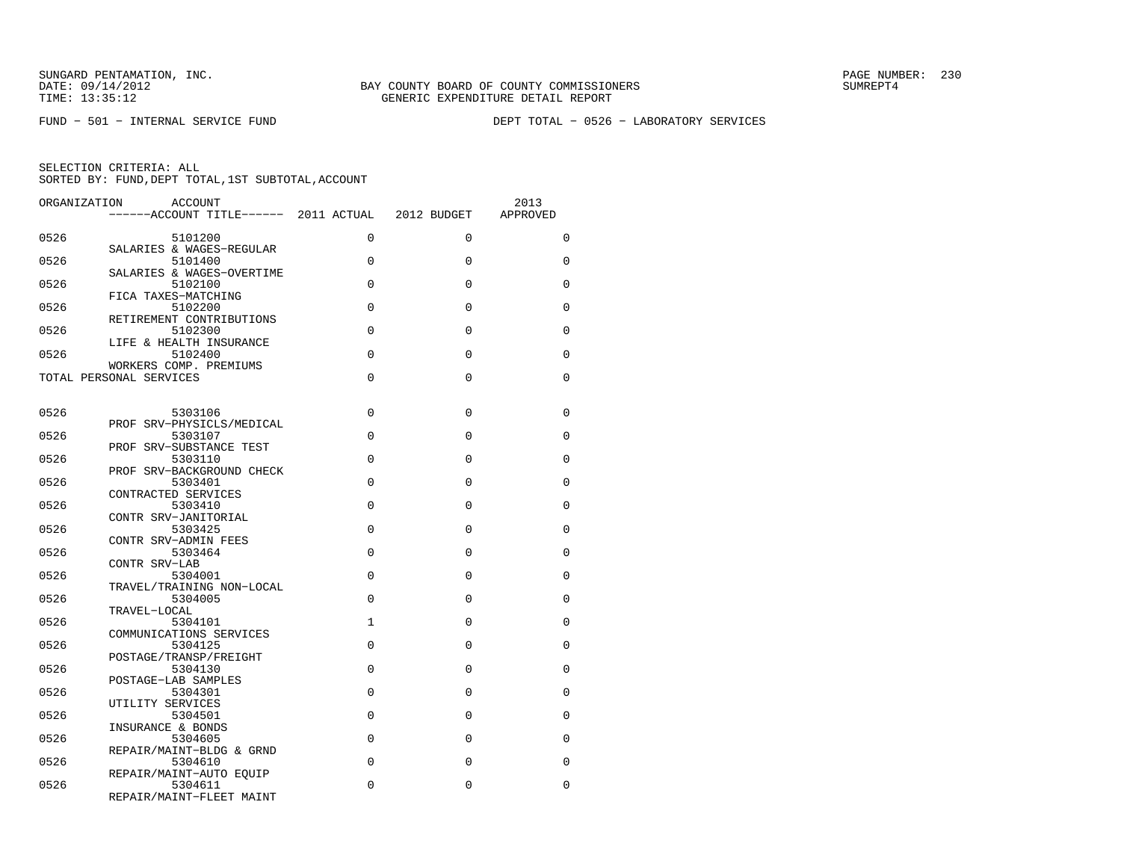FUND − 501 − INTERNAL SERVICE FUND DEPT TOTAL − 0526 − LABORATORY SERVICES

| ORGANIZATION | <b>ACCOUNT</b><br>------ACCOUNT TITLE------ 2011 ACTUAL 2012 BUDGET |              |             | 2013<br>APPROVED |
|--------------|---------------------------------------------------------------------|--------------|-------------|------------------|
| 0526         | 5101200                                                             | $\Omega$     | $\Omega$    | 0                |
| 0526         | SALARIES & WAGES-REGULAR<br>5101400                                 | $\Omega$     | $\Omega$    | $\Omega$         |
| 0526         | SALARIES & WAGES-OVERTIME<br>5102100                                | $\Omega$     | 0           | 0                |
| 0526         | FICA TAXES-MATCHING<br>5102200                                      | $\Omega$     | $\Omega$    | $\Omega$         |
| 0526         | RETIREMENT CONTRIBUTIONS<br>5102300                                 | $\Omega$     | $\Omega$    | $\Omega$         |
| 0526         | LIFE & HEALTH INSURANCE<br>5102400                                  | $\Omega$     | $\Omega$    | $\Omega$         |
|              | WORKERS COMP. PREMIUMS                                              |              |             |                  |
|              | TOTAL PERSONAL SERVICES                                             | $\Omega$     | $\Omega$    | 0                |
| 0526         | 5303106                                                             | $\Omega$     | 0           | 0                |
| 0526         | PROF SRV-PHYSICLS/MEDICAL<br>5303107                                | $\Omega$     | $\mathbf 0$ | 0                |
| 0526         | PROF SRV-SUBSTANCE TEST<br>5303110                                  | $\Omega$     | $\Omega$    | $\Omega$         |
| 0526         | PROF SRV-BACKGROUND CHECK<br>5303401                                | $\Omega$     | 0           | 0                |
| 0526         | CONTRACTED SERVICES<br>5303410                                      | $\Omega$     | $\Omega$    | $\Omega$         |
| 0526         | CONTR SRV-JANITORIAL<br>5303425                                     | $\Omega$     | $\Omega$    | $\Omega$         |
| 0526         | CONTR SRV-ADMIN FEES<br>5303464                                     | $\Omega$     | $\Omega$    | $\Omega$         |
| 0526         | CONTR SRV-LAB<br>5304001                                            | $\Omega$     | $\Omega$    | $\Omega$         |
|              | TRAVEL/TRAINING NON-LOCAL                                           | $\Omega$     | $\Omega$    |                  |
| 0526         | 5304005<br>TRAVEL-LOCAL                                             |              |             | 0                |
| 0526         | 5304101<br>COMMUNICATIONS SERVICES                                  | $\mathbf{1}$ | $\Omega$    | $\Omega$         |
| 0526         | 5304125<br>POSTAGE/TRANSP/FREIGHT                                   | $\Omega$     | $\Omega$    | 0                |
| 0526         | 5304130<br>POSTAGE-LAB SAMPLES                                      | $\Omega$     | $\Omega$    | $\Omega$         |
| 0526         | 5304301<br>UTILITY SERVICES                                         | $\Omega$     | 0           | 0                |
| 0526         | 5304501<br>INSURANCE & BONDS                                        | $\Omega$     | $\Omega$    | $\Omega$         |
| 0526         | 5304605<br>REPAIR/MAINT-BLDG & GRND                                 | $\Omega$     | $\Omega$    | $\Omega$         |
| 0526         | 5304610<br>REPAIR/MAINT-AUTO EOUIP                                  | $\Omega$     | $\Omega$    | $\Omega$         |
| 0526         | 5304611<br>REPAIR/MAINT-FLEET MAINT                                 | $\Omega$     | 0           | 0                |
|              |                                                                     |              |             |                  |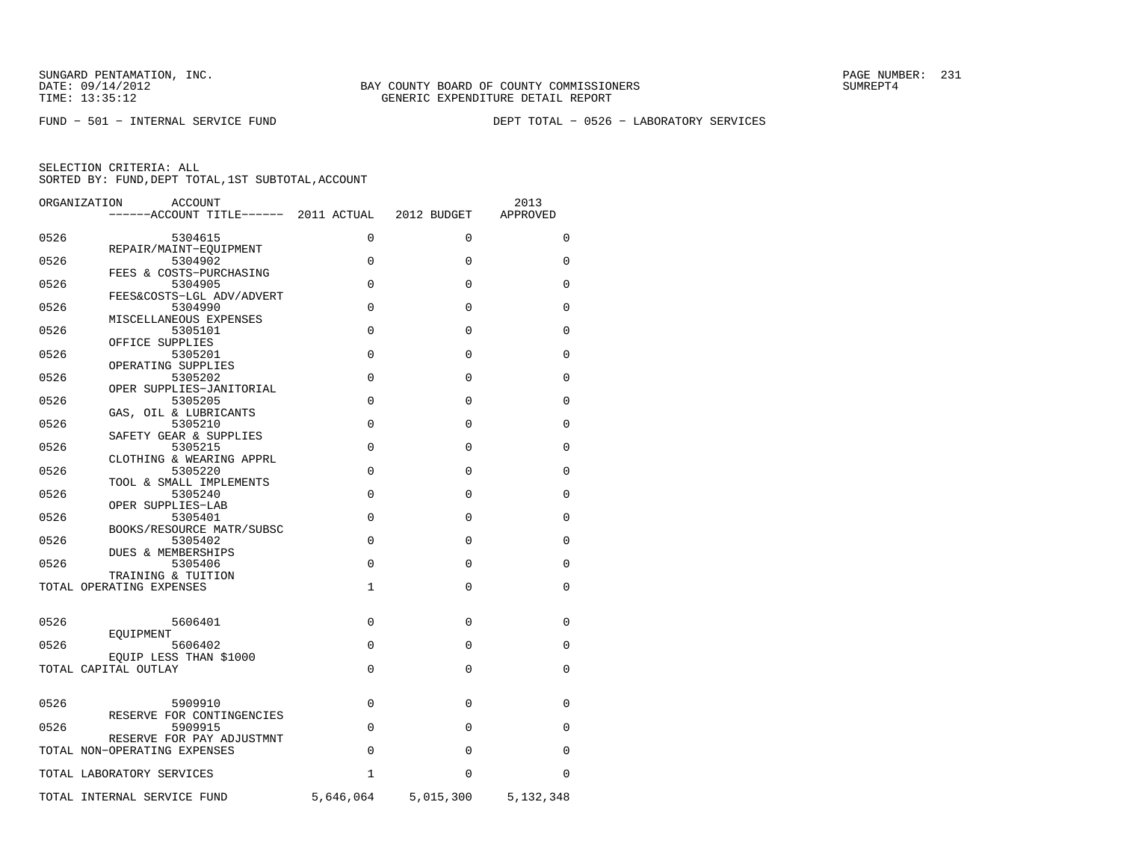FUND − 501 − INTERNAL SERVICE FUND DEPT TOTAL − 0526 − LABORATORY SERVICES

| ORGANIZATION | <b>ACCOUNT</b>                                            |              |             | 2013        |
|--------------|-----------------------------------------------------------|--------------|-------------|-------------|
|              | ------ACCOUNT TITLE------ 2011 ACTUAL                     |              | 2012 BUDGET | APPROVED    |
| 0526         | 5304615                                                   | $\Omega$     | $\Omega$    | $\Omega$    |
| 0526         | REPAIR/MAINT-EOUIPMENT<br>5304902                         | $\Omega$     | $\Omega$    | 0           |
| 0526         | FEES & COSTS-PURCHASING<br>5304905                        | $\mathbf 0$  | $\Omega$    | 0           |
| 0526         | FEES&COSTS-LGL ADV/ADVERT<br>5304990                      | $\Omega$     | 0           | $\mathbf 0$ |
| 0526         | MISCELLANEOUS EXPENSES<br>5305101                         | $\Omega$     | $\Omega$    | 0           |
| 0526         | OFFICE SUPPLIES<br>5305201                                | $\Omega$     | $\Omega$    | 0           |
| 0526         | OPERATING SUPPLIES<br>5305202                             | $\mathbf 0$  | $\Omega$    | $\mathbf 0$ |
| 0526         | OPER SUPPLIES-JANITORIAL<br>5305205                       | $\Omega$     | $\Omega$    | $\Omega$    |
| 0526         | GAS, OIL & LUBRICANTS<br>5305210                          | $\Omega$     | $\Omega$    | $\mathbf 0$ |
| 0526         | SAFETY GEAR & SUPPLIES<br>5305215                         | $\Omega$     | $\Omega$    | 0           |
| 0526         | CLOTHING & WEARING APPRL<br>5305220                       | $\Omega$     | $\mathbf 0$ | $\mathbf 0$ |
| 0526         | TOOL & SMALL IMPLEMENTS<br>5305240                        | $\Omega$     | $\Omega$    | 0           |
| 0526         | OPER SUPPLIES-LAB<br>5305401                              | $\Omega$     | $\Omega$    | 0           |
| 0526         | BOOKS/RESOURCE MATR/SUBSC<br>5305402                      | $\Omega$     | $\Omega$    | 0           |
| 0526         | DUES & MEMBERSHIPS<br>5305406                             | $\Omega$     | $\Omega$    | $\mathbf 0$ |
|              | TRAINING & TUITION<br>TOTAL OPERATING EXPENSES            | $\mathbf{1}$ | $\Omega$    | $\mathbf 0$ |
| 0526         | 5606401                                                   | $\Omega$     | $\Omega$    | 0           |
|              | EOUIPMENT                                                 |              |             |             |
| 0526         | 5606402<br>EOUIP LESS THAN \$1000                         | $\mathbf 0$  | $\Omega$    | 0           |
|              | TOTAL CAPITAL OUTLAY                                      | $\Omega$     | $\Omega$    | $\Omega$    |
| 0526         | 5909910                                                   | $\Omega$     | $\Omega$    | 0           |
| 0526         | RESERVE FOR CONTINGENCIES<br>5909915                      | $\Omega$     | $\Omega$    | 0           |
|              | RESERVE FOR PAY ADJUSTMNT<br>TOTAL NON-OPERATING EXPENSES | $\Omega$     | $\Omega$    | 0           |
|              | TOTAL LABORATORY SERVICES                                 | $\mathbf{1}$ | $\Omega$    | $\Omega$    |
|              | TOTAL INTERNAL SERVICE FUND                               | 5,646,064    | 5,015,300   | 5,132,348   |
|              |                                                           |              |             |             |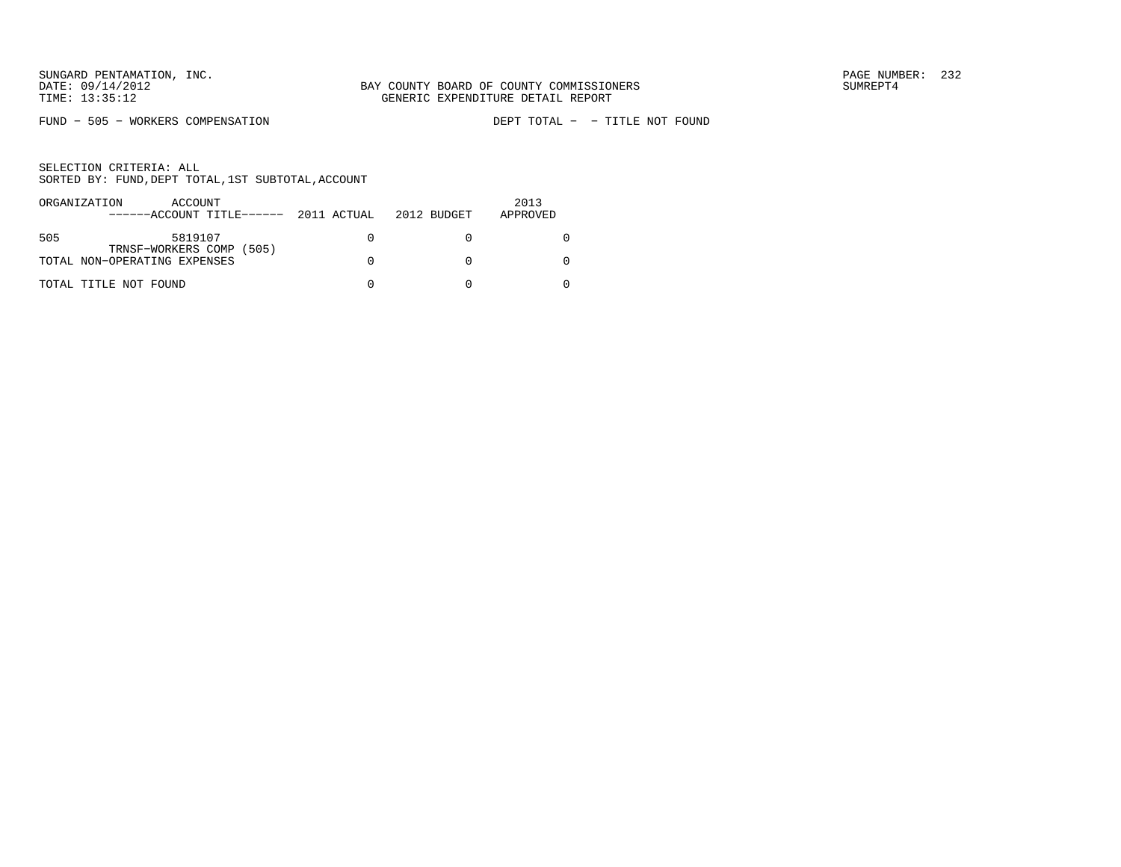FUND - 505 - WORKERS COMPENSATION

| ORGANIZATION | ACCOUNT                                          |  | 2013     |
|--------------|--------------------------------------------------|--|----------|
|              | $----ACCOUNT$ TITLE $---2011$ ACTUAL 2012 BUDGET |  | APPROVED |
|              |                                                  |  |          |
| 505          | 5819107                                          |  |          |
|              | TRNSF-WORKERS COMP (505)                         |  |          |
|              | TOTAL NON-OPERATING EXPENSES                     |  |          |
|              |                                                  |  |          |
|              | TOTAL TITLE NOT FOUND                            |  |          |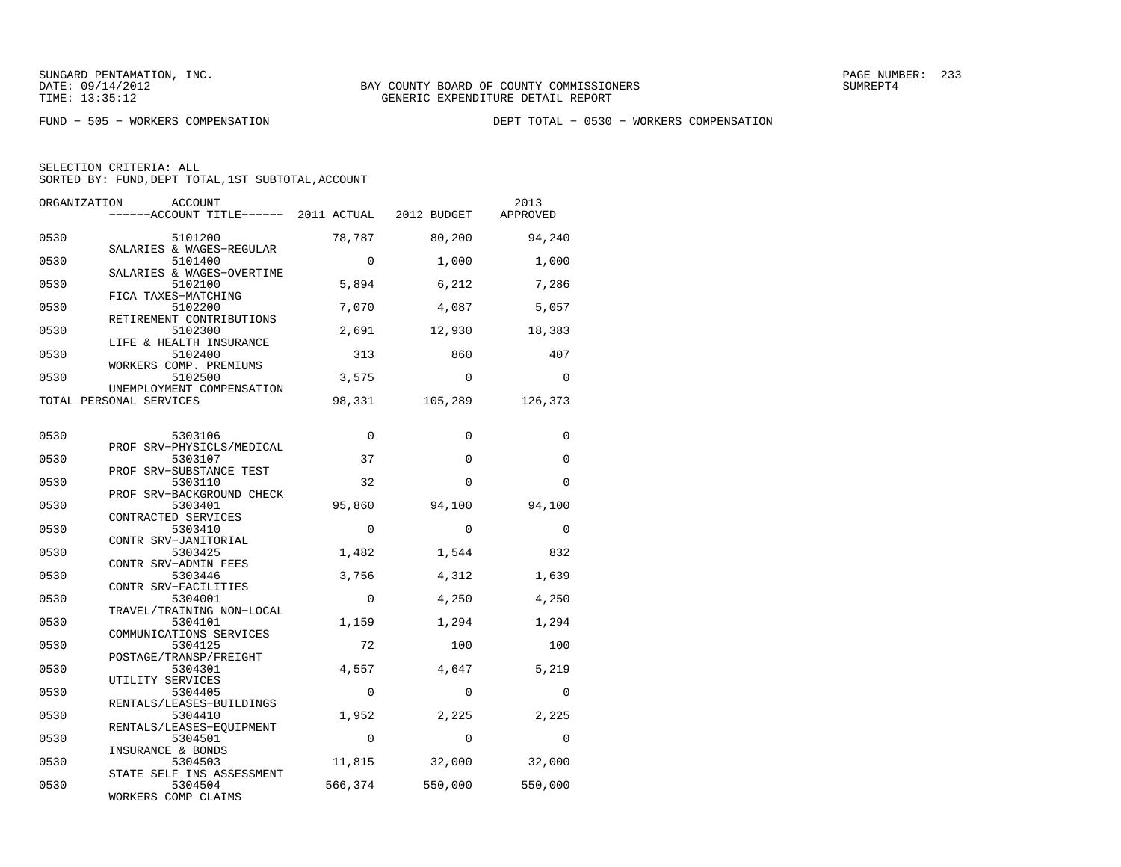FUND − 505 − WORKERS COMPENSATION DEPT TOTAL − 0530 − WORKERS COMPENSATION

| ORGANIZATION | <b>ACCOUNT</b><br>------ACCOUNT TITLE------ 2011 ACTUAL        |             | 2012 BUDGET | 2013<br>APPROVED |
|--------------|----------------------------------------------------------------|-------------|-------------|------------------|
| 0530         | 5101200<br>SALARIES & WAGES-REGULAR                            | 78,787      | 80,200      | 94,240           |
| 0530         | 5101400                                                        | $\Omega$    | 1,000       | 1,000            |
| 0530         | SALARIES & WAGES-OVERTIME<br>5102100                           | 5,894       | 6,212       | 7,286            |
| 0530         | FICA TAXES-MATCHING<br>5102200                                 | 7,070       | 4,087       | 5,057            |
| 0530         | RETIREMENT CONTRIBUTIONS<br>5102300<br>LIFE & HEALTH INSURANCE | 2,691       | 12,930      | 18,383           |
| 0530         | 5102400<br>WORKERS COMP. PREMIUMS                              | 313         | 860         | 407              |
| 0530         | 5102500<br>UNEMPLOYMENT COMPENSATION                           | 3,575       | $\mathbf 0$ | $\mathbf 0$      |
|              | TOTAL PERSONAL SERVICES                                        | 98,331      | 105,289     | 126,373          |
| 0530         | 5303106                                                        | $\mathbf 0$ | $\Omega$    | 0                |
| 0530         | PROF SRV-PHYSICLS/MEDICAL<br>5303107                           | 37          | $\Omega$    | $\Omega$         |
| 0530         | PROF SRV-SUBSTANCE TEST<br>5303110                             | 32          | $\Omega$    | $\Omega$         |
| 0530         | PROF SRV-BACKGROUND CHECK<br>5303401                           | 95,860      | 94,100      | 94,100           |
| 0530         | CONTRACTED SERVICES<br>5303410                                 | $\Omega$    | $\Omega$    | 0                |
| 0530         | CONTR SRV-JANITORIAL<br>5303425                                | 1,482       | 1,544       | 832              |
| 0530         | CONTR SRV-ADMIN FEES<br>5303446<br>CONTR SRV-FACILITIES        | 3,756       | 4,312       | 1,639            |
| 0530         | 5304001<br>TRAVEL/TRAINING NON-LOCAL                           | $\mathbf 0$ | 4,250       | 4,250            |
| 0530         | 5304101<br>COMMUNICATIONS SERVICES                             | 1,159       | 1,294       | 1,294            |
| 0530         | 5304125<br>POSTAGE/TRANSP/FREIGHT                              | 72          | 100         | 100              |
| 0530         | 5304301<br>UTILITY SERVICES                                    | 4,557       | 4,647       | 5,219            |
| 0530         | 5304405<br>RENTALS/LEASES-BUILDINGS                            | $\Omega$    | $\Omega$    | $\Omega$         |
| 0530         | 5304410<br>RENTALS/LEASES-EQUIPMENT                            | 1,952       | 2,225       | 2,225            |
| 0530         | 5304501<br>INSURANCE & BONDS                                   | $\mathbf 0$ | $\Omega$    | $\Omega$         |
| 0530         | 5304503<br>STATE SELF INS ASSESSMENT                           | 11,815      | 32,000      | 32,000           |
| 0530         | 5304504<br>WORKERS COMP CLAIMS                                 | 566,374     | 550,000     | 550,000          |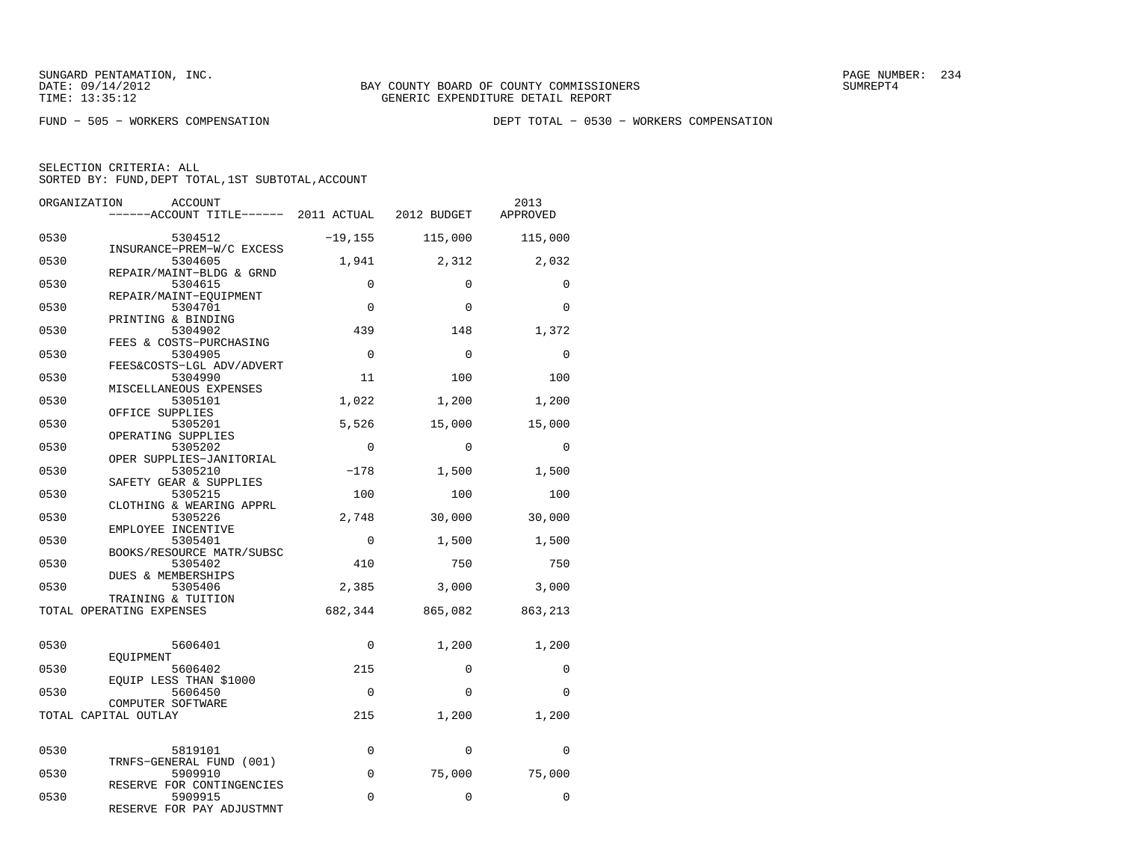FUND − 505 − WORKERS COMPENSATION DEPT TOTAL − 0530 − WORKERS COMPENSATION

| ORGANIZATION | <b>ACCOUNT</b><br>------ACCOUNT TITLE------ 2011 ACTUAL 2012 BUDGET |             |             | 2013<br>APPROVED |
|--------------|---------------------------------------------------------------------|-------------|-------------|------------------|
| 0530         | 5304512<br>INSURANCE-PREM-W/C EXCESS                                | $-19,155$   | 115,000     | 115,000          |
| 0530         | 5304605                                                             | 1,941       | 2,312       | 2,032            |
| 0530         | REPAIR/MAINT-BLDG & GRND<br>5304615                                 | 0           | $\mathbf 0$ | $\Omega$         |
| 0530         | REPAIR/MAINT-EOUIPMENT<br>5304701                                   | $\Omega$    | $\Omega$    | $\Omega$         |
| 0530         | PRINTING & BINDING<br>5304902                                       | 439         | 148         | 1,372            |
| 0530         | FEES & COSTS-PURCHASING<br>5304905                                  | $\Omega$    | $\Omega$    | $\Omega$         |
| 0530         | FEES&COSTS-LGL ADV/ADVERT<br>5304990                                | 11          | 100         | 100              |
| 0530         | MISCELLANEOUS EXPENSES<br>5305101<br>OFFICE SUPPLIES                | 1,022       | 1,200       | 1,200            |
| 0530         | 5305201<br>OPERATING SUPPLIES                                       | 5,526       | 15,000      | 15,000           |
| 0530         | 5305202<br>OPER SUPPLIES-JANITORIAL                                 | $\Omega$    | $\Omega$    | $\Omega$         |
| 0530         | 5305210<br>SAFETY GEAR & SUPPLIES                                   | $-178$      | 1,500       | 1,500            |
| 0530         | 5305215<br>CLOTHING & WEARING APPRL                                 | 100         | 100         | 100              |
| 0530         | 5305226<br>EMPLOYEE INCENTIVE                                       | 2,748       | 30,000      | 30,000           |
| 0530         | 5305401<br>BOOKS/RESOURCE MATR/SUBSC                                | $\mathbf 0$ | 1,500       | 1,500            |
| 0530         | 5305402<br>DUES & MEMBERSHIPS                                       | 410         | 750         | 750              |
| 0530         | 5305406<br>TRAINING & TUITION                                       | 2,385       | 3,000       | 3,000            |
|              | TOTAL OPERATING EXPENSES                                            | 682,344     | 865,082     | 863,213          |
| 0530         | 5606401                                                             | $\Omega$    | 1,200       | 1,200            |
| 0530         | EOUIPMENT<br>5606402                                                | 215         | $\Omega$    | $\Omega$         |
| 0530         | EOUIP LESS THAN \$1000<br>5606450                                   | $\Omega$    | $\Omega$    | $\Omega$         |
|              | COMPUTER SOFTWARE<br>TOTAL CAPITAL OUTLAY                           | 215         | 1,200       | 1,200            |
|              |                                                                     |             |             |                  |
| 0530         | 5819101<br>TRNFS-GENERAL FUND (001)                                 | 0           | $\mathbf 0$ | $\Omega$         |
| 0530         | 5909910<br>RESERVE FOR CONTINGENCIES                                | $\mathbf 0$ | 75,000      | 75,000           |
| 0530         | 5909915<br>RESERVE FOR PAY ADJUSTMNT                                | $\Omega$    | $\Omega$    | $\Omega$         |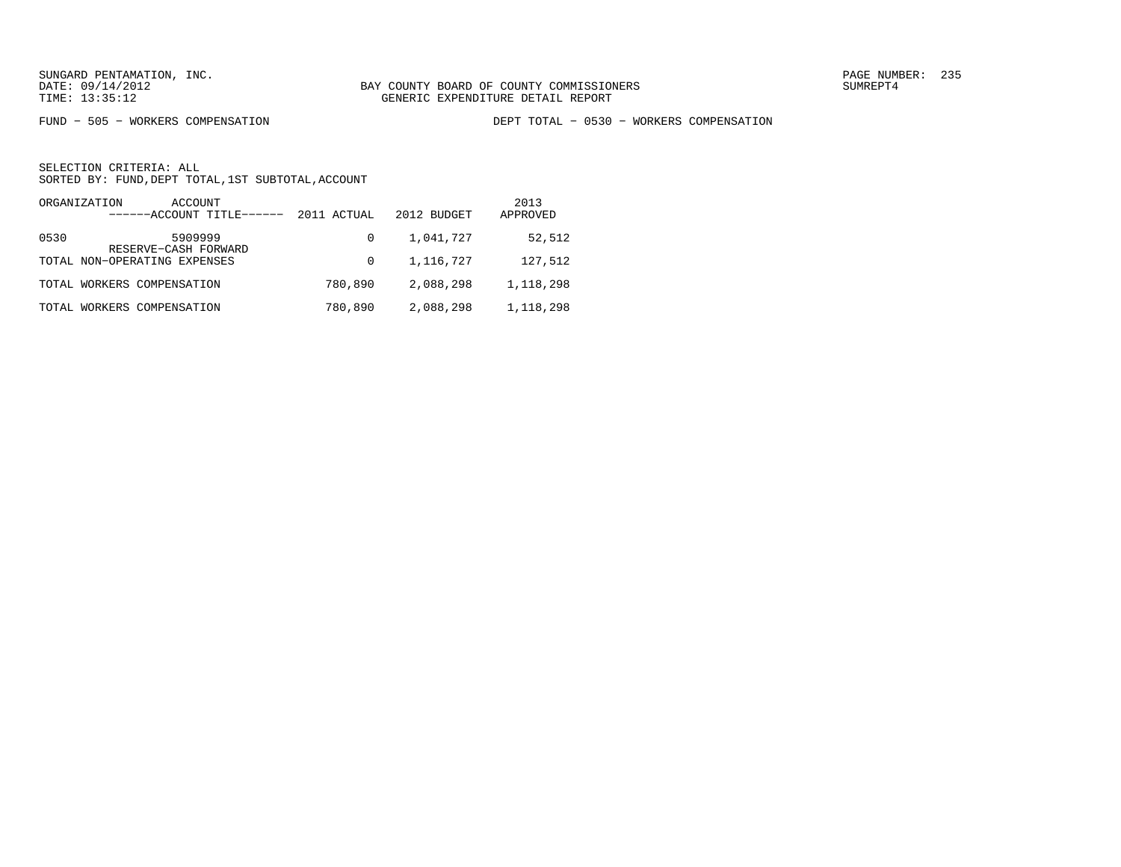FUND − 505 − WORKERS COMPENSATION DEPT TOTAL − 0530 − WORKERS COMPENSATION

| ORGANIZATION<br>ACCOUNT<br>------ACCOUNT TITLE------ | 2011 ACTUAL | 2012 BUDGET | 2013<br>APPROVED |
|------------------------------------------------------|-------------|-------------|------------------|
| 5909999<br>0530<br>RESERVE-CASH FORWARD              | 0           | 1,041,727   | 52,512           |
| TOTAL NON-OPERATING EXPENSES                         | $\Omega$    | 1,116,727   | 127,512          |
| TOTAL WORKERS COMPENSATION                           | 780,890     | 2,088,298   | 1,118,298        |
| TOTAL WORKERS COMPENSATION                           | 780,890     | 2,088,298   | 1,118,298        |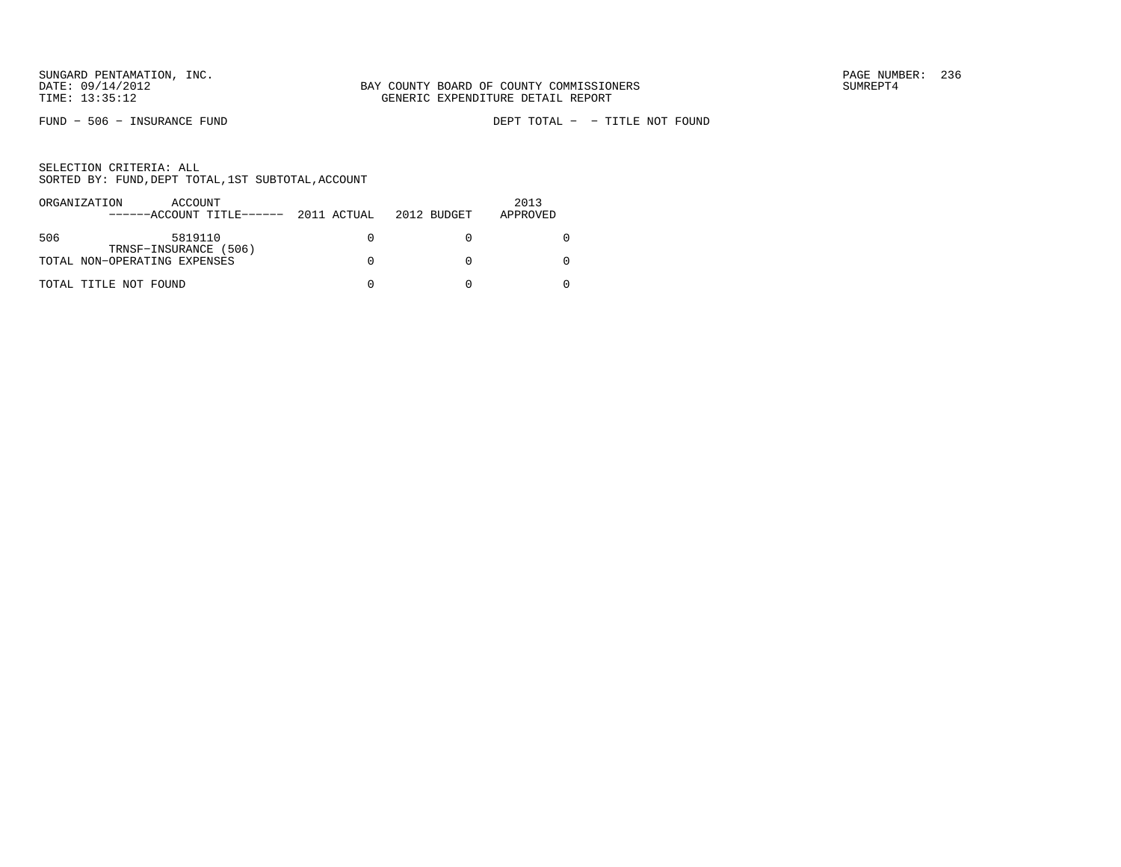FUND − 506 − INSURANCE FUND DEPT TOTAL − − TITLE NOT FOUND

| ORGANIZATION | ACCOUNT                                               |  | 2013     |
|--------------|-------------------------------------------------------|--|----------|
|              | $----ACCOUNT$ TITLE $---2011$ ACTUAL 2012 BUDGET      |  | APPROVED |
| 506          | 5819110                                               |  |          |
|              | TRNSF-INSURANCE (506)<br>TOTAL NON-OPERATING EXPENSES |  |          |
|              | TOTAL TITLE NOT FOUND                                 |  |          |
|              |                                                       |  |          |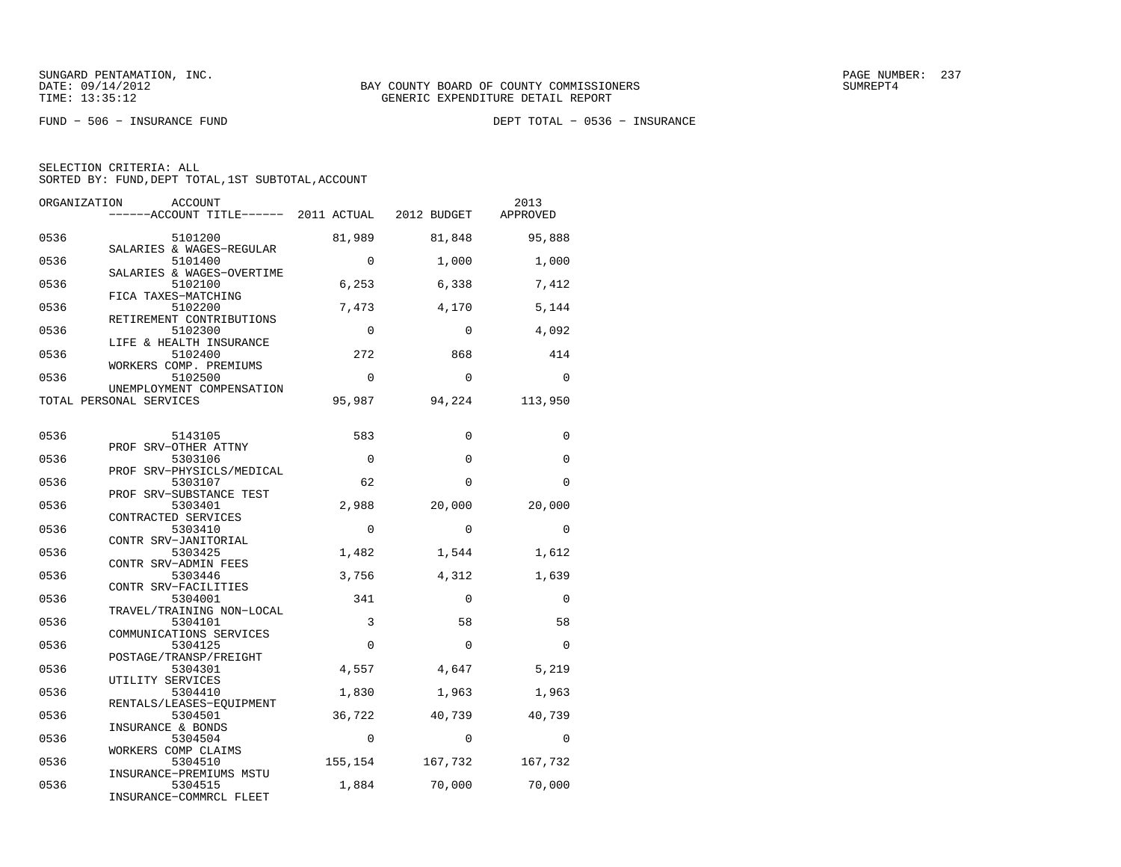FUND − 506 − INSURANCE FUND DEPT TOTAL − 0536 − INSURANCE

| ORGANIZATION | ACCOUNT<br>------ACCOUNT TITLE------ 2011 ACTUAL 2012 BUDGET |             |             | 2013<br>APPROVED |
|--------------|--------------------------------------------------------------|-------------|-------------|------------------|
| 0536         | 5101200<br>SALARIES & WAGES-REGULAR                          | 81,989      | 81,848      | 95,888           |
| 0536         | 5101400<br>SALARIES & WAGES-OVERTIME                         | $\mathbf 0$ | 1,000       | 1,000            |
| 0536         | 5102100<br>FICA TAXES-MATCHING                               | 6,253       | 6,338       | 7,412            |
| 0536         | 5102200<br>RETIREMENT CONTRIBUTIONS                          | 7,473       | 4,170       | 5,144            |
| 0536         | 5102300<br>LIFE & HEALTH INSURANCE                           | $\mathbf 0$ | 0           | 4,092            |
| 0536         | 5102400<br>WORKERS COMP. PREMIUMS                            | 272         | 868         | 414              |
| 0536         | 5102500<br>UNEMPLOYMENT COMPENSATION                         | $\Omega$    | $\Omega$    | $\Omega$         |
|              | TOTAL PERSONAL SERVICES                                      | 95,987      | 94,224      | 113,950          |
| 0536         | 5143105                                                      | 583         | $\Omega$    | $\Omega$         |
| 0536         | PROF SRV-OTHER ATTNY<br>5303106                              | $\mathbf 0$ | $\mathbf 0$ | $\Omega$         |
| 0536         | PROF SRV-PHYSICLS/MEDICAL<br>5303107                         | 62          | $\Omega$    | $\Omega$         |
| 0536         | PROF SRV-SUBSTANCE TEST<br>5303401                           | 2,988       | 20,000      | 20,000           |
| 0536         | CONTRACTED SERVICES<br>5303410                               | $\mathbf 0$ | $\Omega$    | $\mathbf 0$      |
| 0536         | CONTR SRV-JANITORIAL<br>5303425                              | 1,482       | 1,544       | 1,612            |
| 0536         | CONTR SRV-ADMIN FEES<br>5303446<br>CONTR SRV-FACILITIES      | 3,756       | 4,312       | 1,639            |
| 0536         | 5304001<br>TRAVEL/TRAINING NON-LOCAL                         | 341         | $\mathbf 0$ | $\mathbf 0$      |
| 0536         | 5304101<br>COMMUNICATIONS SERVICES                           | 3           | 58          | 58               |
| 0536         | 5304125<br>POSTAGE/TRANSP/FREIGHT                            | $\Omega$    | $\Omega$    | $\Omega$         |
| 0536         | 5304301<br>UTILITY SERVICES                                  | 4,557       | 4,647       | 5,219            |
| 0536         | 5304410<br>RENTALS/LEASES-EOUIPMENT                          | 1,830       | 1,963       | 1,963            |
| 0536         | 5304501<br>INSURANCE & BONDS                                 | 36,722      | 40,739      | 40,739           |
| 0536         | 5304504<br>WORKERS COMP CLAIMS                               | $\mathbf 0$ | $\mathbf 0$ | 0                |
| 0536         | 5304510<br>INSURANCE-PREMIUMS MSTU                           | 155,154     | 167,732     | 167,732          |
| 0536         | 5304515<br>INSURANCE-COMMRCL FLEET                           | 1,884       | 70,000      | 70,000           |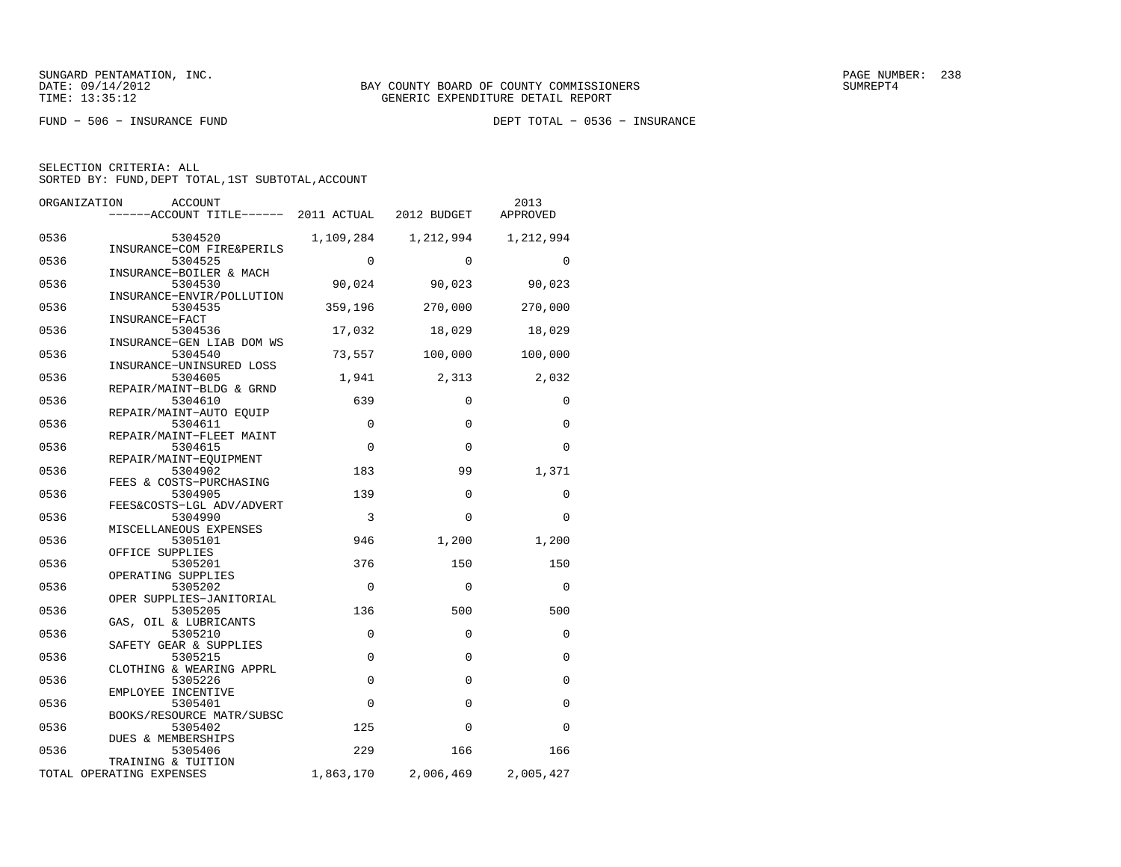FUND − 506 − INSURANCE FUND DEPT TOTAL − 0536 − INSURANCE

| ORGANIZATION | <b>ACCOUNT</b><br>------ACCOUNT TITLE------ | 2011 ACTUAL | 2012 BUDGET | 2013<br>APPROVED |
|--------------|---------------------------------------------|-------------|-------------|------------------|
| 0536         | 5304520<br>INSURANCE-COM FIRE&PERILS        | 1,109,284   | 1,212,994   | 1,212,994        |
| 0536         | 5304525<br>INSURANCE-BOILER & MACH          | $\Omega$    | $\Omega$    | $\Omega$         |
| 0536         | 5304530                                     | 90,024      | 90,023      | 90,023           |
| 0536         | INSURANCE-ENVIR/POLLUTION<br>5304535        | 359,196     | 270,000     | 270,000          |
| 0536         | INSURANCE-FACT<br>5304536                   | 17,032      | 18,029      | 18,029           |
| 0536         | INSURANCE-GEN LIAB DOM WS<br>5304540        | 73,557      | 100,000     | 100,000          |
| 0536         | INSURANCE-UNINSURED LOSS<br>5304605         | 1,941       | 2,313       | 2,032            |
| 0536         | REPAIR/MAINT-BLDG & GRND<br>5304610         | 639         | $\mathbf 0$ | $\Omega$         |
| 0536         | REPAIR/MAINT-AUTO EOUIP<br>5304611          | $\mathbf 0$ | $\Omega$    | $\Omega$         |
| 0536         | REPAIR/MAINT-FLEET MAINT<br>5304615         | $\Omega$    | $\Omega$    | $\Omega$         |
| 0536         | REPAIR/MAINT-EOUIPMENT<br>5304902           | 183         | 99          | 1,371            |
| 0536         | FEES & COSTS-PURCHASING<br>5304905          | 139         | $\Omega$    | $\Omega$         |
| 0536         | FEES&COSTS-LGL ADV/ADVERT<br>5304990        | 3           | $\Omega$    | $\Omega$         |
| 0536         | MISCELLANEOUS EXPENSES<br>5305101           | 946         | 1,200       | 1,200            |
| 0536         | OFFICE SUPPLIES<br>5305201                  | 376         | 150         | 150              |
| 0536         | OPERATING SUPPLIES<br>5305202               | $\mathbf 0$ | $\mathbf 0$ | 0                |
| 0536         | OPER SUPPLIES-JANITORIAL<br>5305205         | 136         | 500         | 500              |
| 0536         | GAS, OIL & LUBRICANTS<br>5305210            | $\mathbf 0$ | $\mathbf 0$ | $\Omega$         |
| 0536         | SAFETY GEAR & SUPPLIES<br>5305215           | $\mathbf 0$ | $\mathbf 0$ | 0                |
| 0536         | CLOTHING & WEARING APPRL<br>5305226         | $\mathbf 0$ | $\Omega$    | $\Omega$         |
| 0536         | EMPLOYEE INCENTIVE<br>5305401               | $\Omega$    | $\mathbf 0$ | $\Omega$         |
| 0536         | BOOKS/RESOURCE MATR/SUBSC<br>5305402        | 125         | $\Omega$    | $\Omega$         |
|              | DUES & MEMBERSHIPS                          |             |             |                  |
| 0536         | 5305406<br>TRAINING & TUITION               | 229         | 166         | 166              |
|              | TOTAL OPERATING EXPENSES                    | 1,863,170   | 2,006,469   | 2,005,427        |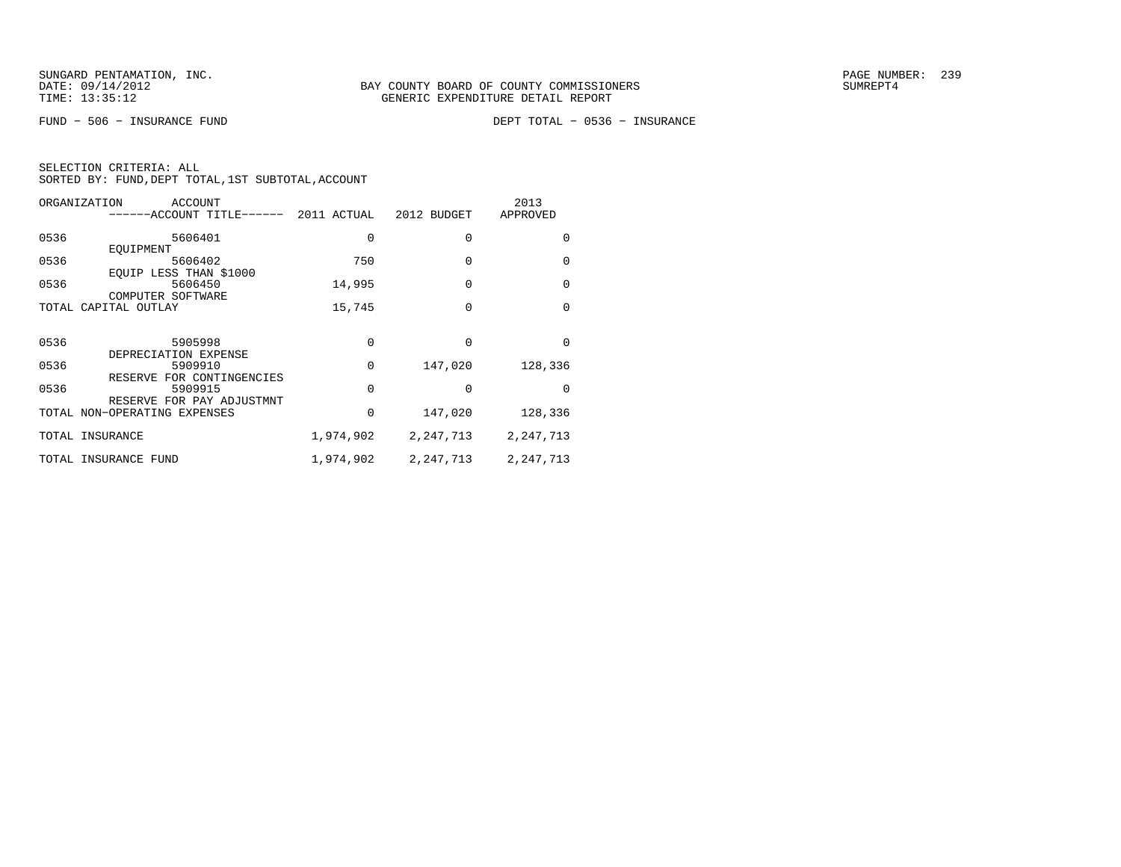FUND − 506 − INSURANCE FUND DEPT TOTAL − 0536 − INSURANCE

| SELECTION CRITERIA: ALL |  |  |                                                    |  |
|-------------------------|--|--|----------------------------------------------------|--|
|                         |  |  | SORTED BY: FUND, DEPT TOTAL, 1ST SUBTOTAL, ACCOUNT |  |

|      | ORGANIZATION<br>ACCOUNT<br>-----ACCOUNT TITLE------       | 2011 ACTUAL | 2012 BUDGET | 2013<br>APPROVED |
|------|-----------------------------------------------------------|-------------|-------------|------------------|
| 0536 | 5606401                                                   | 0           | 0           | <sup>0</sup>     |
| 0536 | EOUIPMENT<br>5606402                                      | 750         | 0           | $\Omega$         |
| 0536 | EOUIP LESS THAN \$1000<br>5606450                         | 14,995      | $\Omega$    | $\Omega$         |
|      | COMPUTER SOFTWARE<br>TOTAL CAPITAL OUTLAY                 | 15,745      | 0           | $\Omega$         |
|      |                                                           |             |             |                  |
| 0536 | 5905998<br>DEPRECIATION EXPENSE                           | O.          | O           | <sup>0</sup>     |
| 0536 | 5909910                                                   | $\Omega$    | 147,020     | 128,336          |
| 0536 | RESERVE FOR CONTINGENCIES<br>5909915                      | $\Omega$    | 0           | <sup>n</sup>     |
|      | RESERVE FOR PAY ADJUSTMNT<br>TOTAL NON-OPERATING EXPENSES | 0           | 147,020     | 128,336          |
|      | TOTAL INSURANCE                                           | 1,974,902   | 2, 247, 713 | 2, 247, 713      |
|      | TOTAL INSURANCE FUND                                      | 1,974,902   | 2, 247, 713 | 2, 247, 713      |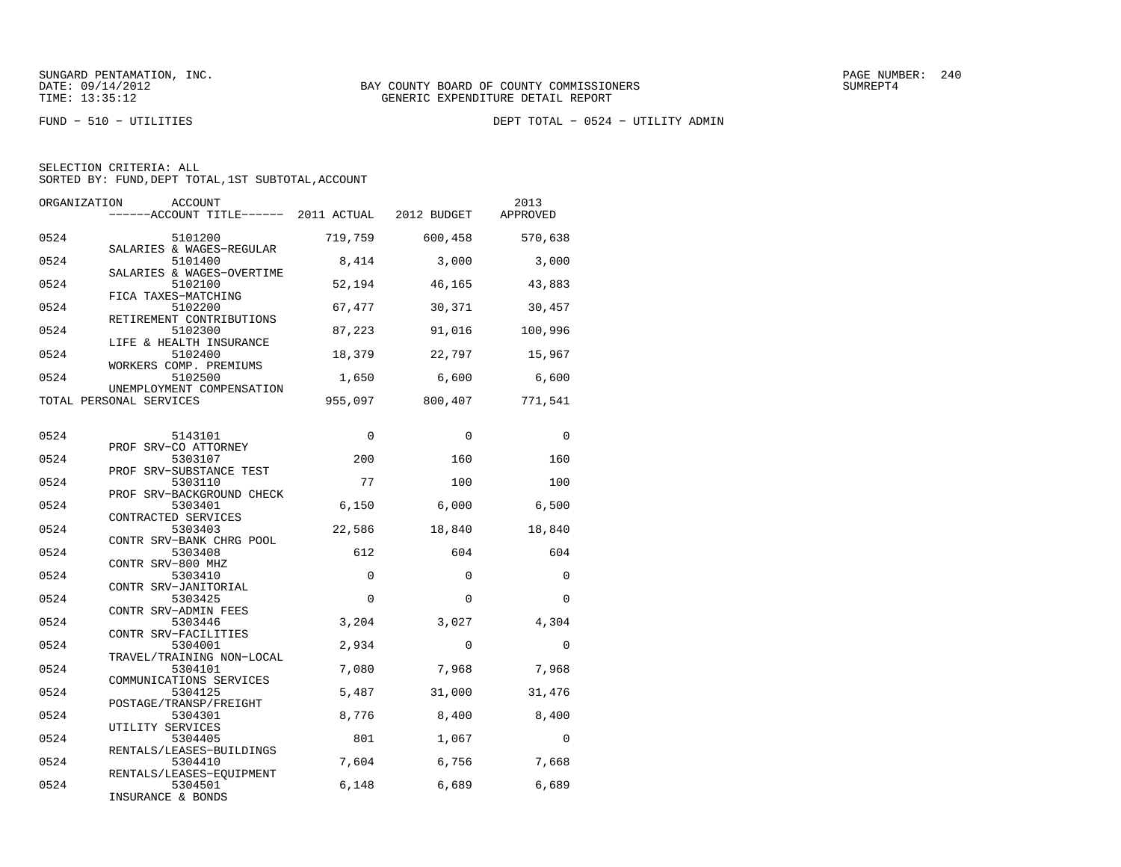FUND − 510 − UTILITIES DEPT TOTAL − 0524 − UTILITY ADMIN

|  | SELECTION CRITERIA: ALL |                                                    |  |
|--|-------------------------|----------------------------------------------------|--|
|  |                         | SORTED BY: FUND, DEPT TOTAL, 1ST SUBTOTAL, ACCOUNT |  |

| ORGANIZATION | <b>ACCOUNT</b><br>------ACCOUNT TITLE------ 2011 ACTUAL 2012 BUDGET |             |          | 2013<br>APPROVED |
|--------------|---------------------------------------------------------------------|-------------|----------|------------------|
| 0524         | 5101200                                                             | 719,759     | 600,458  | 570,638          |
| 0524         | SALARIES & WAGES-REGULAR<br>5101400<br>SALARIES & WAGES-OVERTIME    | 8,414       | 3,000    | 3,000            |
| 0524         | 5102100<br>FICA TAXES-MATCHING                                      | 52,194      | 46,165   | 43,883           |
| 0524         | 5102200<br>RETIREMENT CONTRIBUTIONS                                 | 67,477      | 30,371   | 30,457           |
| 0524         | 5102300<br>LIFE & HEALTH INSURANCE                                  | 87,223      | 91,016   | 100,996          |
| 0524         | 5102400<br>WORKERS COMP. PREMIUMS                                   | 18,379      | 22,797   | 15,967           |
| 0524         | 5102500<br>UNEMPLOYMENT COMPENSATION                                | 1,650       | 6,600    | 6,600            |
|              | TOTAL PERSONAL SERVICES                                             | 955,097     | 800,407  | 771,541          |
| 0524         | 5143101                                                             | $\mathbf 0$ | 0        | 0                |
| 0524         | PROF SRV-CO ATTORNEY<br>5303107                                     | 200         | 160      | 160              |
| 0524         | PROF SRV-SUBSTANCE TEST<br>5303110                                  | 77          | 100      | 100              |
| 0524         | PROF SRV-BACKGROUND CHECK<br>5303401<br>CONTRACTED SERVICES         | 6,150       | 6,000    | 6,500            |
| 0524         | 5303403<br>CONTR SRV-BANK CHRG POOL                                 | 22,586      | 18,840   | 18,840           |
| 0524         | 5303408<br>CONTR SRV-800 MHZ                                        | 612         | 604      | 604              |
| 0524         | 5303410<br>CONTR SRV-JANITORIAL                                     | 0           | 0        | $\mathbf 0$      |
| 0524         | 5303425<br>CONTR SRV-ADMIN FEES                                     | $\Omega$    | $\Omega$ | $\Omega$         |
| 0524         | 5303446<br>CONTR SRV-FACILITIES                                     | 3,204       | 3,027    | 4,304            |
| 0524         | 5304001<br>TRAVEL/TRAINING NON-LOCAL                                | 2,934       | 0        | 0                |
| 0524         | 5304101<br>COMMUNICATIONS SERVICES                                  | 7,080       | 7,968    | 7,968            |
| 0524         | 5304125<br>POSTAGE/TRANSP/FREIGHT                                   | 5,487       | 31,000   | 31,476           |
| 0524         | 5304301<br>UTILITY SERVICES                                         | 8,776       | 8,400    | 8,400            |
| 0524         | 5304405<br>RENTALS/LEASES-BUILDINGS                                 | 801         | 1,067    | $\mathbf 0$      |
| 0524         | 5304410<br>RENTALS/LEASES-EQUIPMENT                                 | 7,604       | 6,756    | 7,668            |
| 0524         | 5304501<br>INSURANCE & BONDS                                        | 6,148       | 6,689    | 6,689            |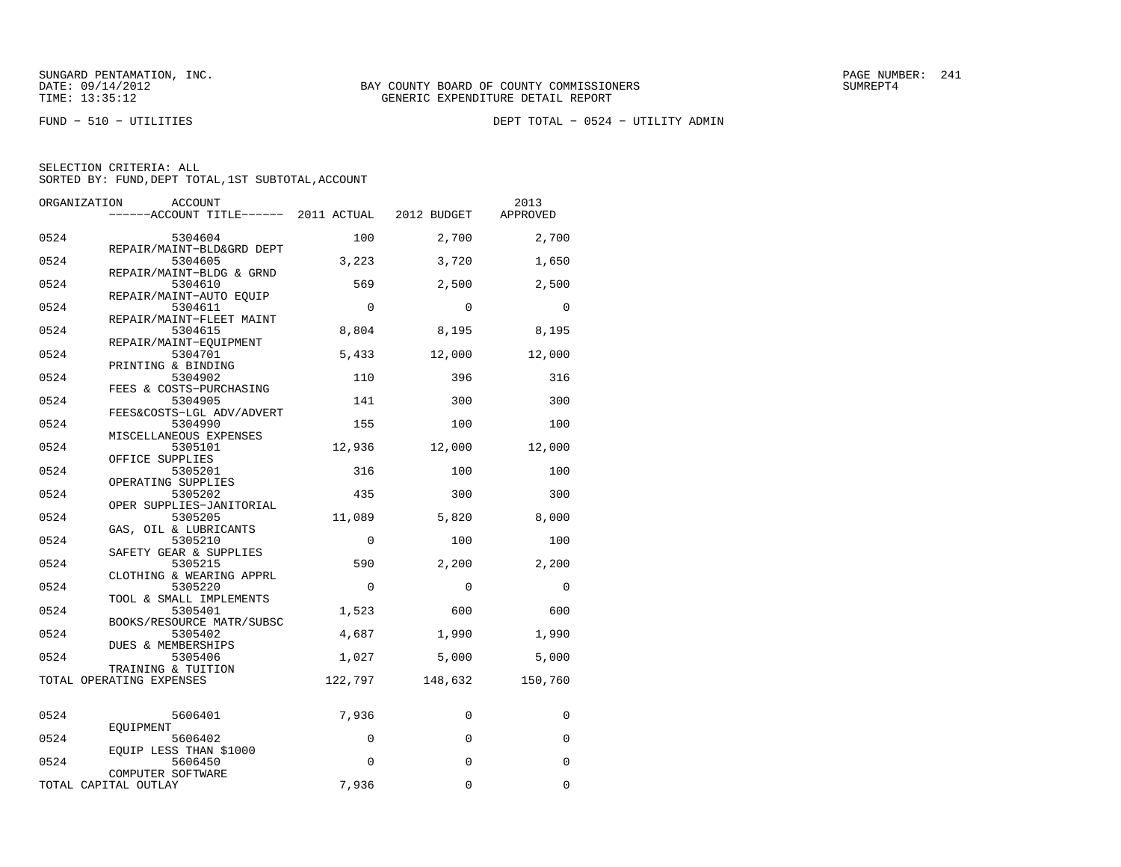FUND − 510 − UTILITIES DEPT TOTAL − 0524 − UTILITY ADMIN

| ORGANIZATION<br><b>ACCOUNT</b><br>------ACCOUNT TITLE------ 2011 ACTUAL |             | 2012 BUDGET | 2013<br>APPROVED |
|-------------------------------------------------------------------------|-------------|-------------|------------------|
| 0524<br>5304604                                                         | 100         | 2,700       | 2,700            |
| REPAIR/MAINT-BLD&GRD DEPT<br>0524<br>5304605                            | 3,223       | 3,720       | 1,650            |
| REPAIR/MAINT-BLDG & GRND<br>0524<br>5304610                             | 569         | 2,500       | 2,500            |
| REPAIR/MAINT-AUTO EOUIP<br>0524<br>5304611                              | $\mathbf 0$ | $\Omega$    | $\Omega$         |
| REPAIR/MAINT-FLEET MAINT<br>0524<br>5304615                             | 8,804       | 8,195       | 8,195            |
| REPAIR/MAINT-EQUIPMENT<br>0524<br>5304701                               | 5,433       | 12,000      | 12,000           |
| PRINTING & BINDING<br>0524<br>5304902                                   | 110         | 396         | 316              |
| FEES & COSTS-PURCHASING<br>0524<br>5304905                              | 141         | 300         | 300              |
| FEES&COSTS-LGL ADV/ADVERT<br>0524<br>5304990                            | 155         | 100         | 100              |
| MISCELLANEOUS EXPENSES<br>0524<br>5305101                               | 12,936      | 12,000      | 12,000           |
| OFFICE SUPPLIES<br>0524<br>5305201                                      | 316         | 100         | 100              |
| OPERATING SUPPLIES<br>0524<br>5305202                                   | 435         | 300         | 300              |
| OPER SUPPLIES-JANITORIAL<br>0524<br>5305205                             | 11,089      | 5,820       | 8,000            |
| GAS, OIL & LUBRICANTS<br>0524<br>5305210                                | $\Omega$    | 100         | 100              |
| SAFETY GEAR & SUPPLIES<br>0524<br>5305215                               | 590         | 2,200       | 2,200            |
| CLOTHING & WEARING APPRL<br>0524<br>5305220                             | $\mathbf 0$ | $\Omega$    | 0                |
| TOOL & SMALL IMPLEMENTS<br>0524<br>5305401                              | 1,523       | 600         | 600              |
| BOOKS/RESOURCE MATR/SUBSC<br>0524<br>5305402                            | 4,687       | 1,990       | 1,990            |
| DUES & MEMBERSHIPS<br>0524<br>5305406<br>TRAINING & TUITION             | 1,027       | 5,000       | 5,000            |
| TOTAL OPERATING EXPENSES                                                | 122,797     | 148,632     | 150,760          |
| 0524<br>5606401                                                         | 7,936       | 0           | 0                |
| EOUIPMENT<br>0524<br>5606402                                            | $\mathbf 0$ | $\mathbf 0$ | 0                |
| EQUIP LESS THAN \$1000<br>0524<br>5606450                               | $\mathbf 0$ | $\Omega$    | 0                |
| COMPUTER SOFTWARE<br>TOTAL CAPITAL OUTLAY                               | 7,936       | 0           | 0                |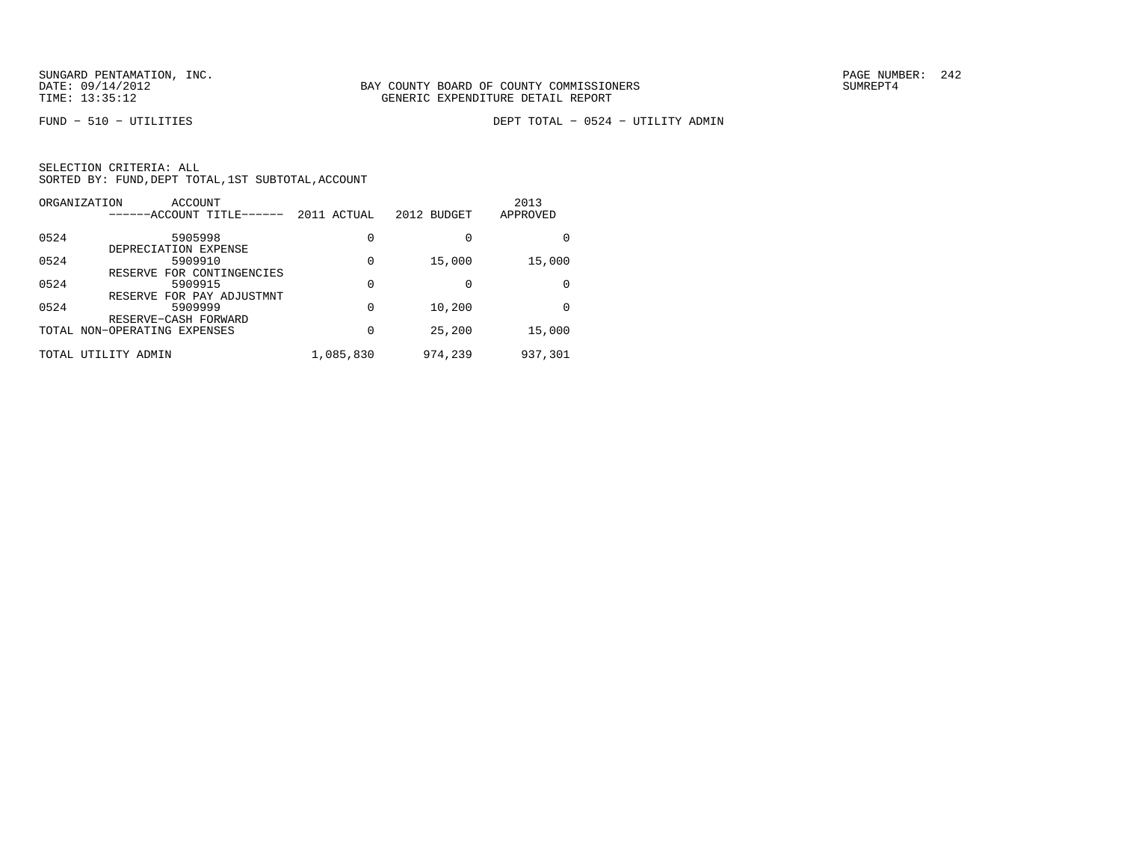FUND − 510 − UTILITIES DEPT TOTAL − 0524 − UTILITY ADMIN

| ORGANIZATION | ACCOUNT<br>------ACCOUNT TITLE------                 | 2011 ACTUAL | 2012 BUDGET | 2013<br>APPROVED |
|--------------|------------------------------------------------------|-------------|-------------|------------------|
| 0524         | 5905998                                              | 0           | 0           |                  |
| 0524         | DEPRECIATION EXPENSE<br>5909910                      | 0           | 15,000      | 15,000           |
| 0524         | RESERVE FOR CONTINGENCIES<br>5909915                 | 0           | 0           |                  |
| 0524         | RESERVE FOR PAY ADJUSTMNT<br>5909999                 | $\Omega$    | 10,200      |                  |
|              | RESERVE-CASH FORWARD<br>TOTAL NON-OPERATING EXPENSES | 0           | 25,200      | 15,000           |
| TOTAL        | UTILITY<br>ADMIN                                     | 1,085,830   | 974,239     | 937,301          |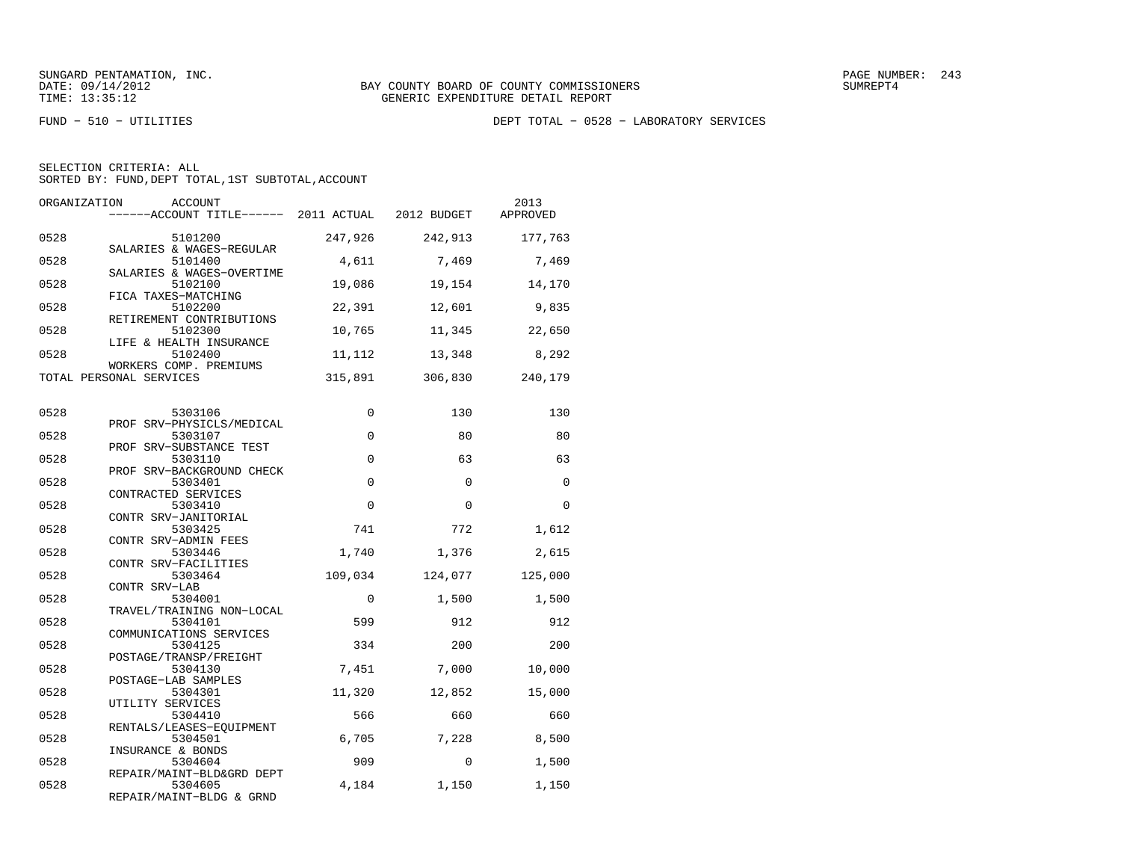FUND − 510 − UTILITIES DEPT TOTAL − 0528 − LABORATORY SERVICES

|  | SELECTION CRITERIA: ALL                            |  |  |
|--|----------------------------------------------------|--|--|
|  | SORTED BY: FUND, DEPT TOTAL, 1ST SUBTOTAL, ACCOUNT |  |  |

| ORGANIZATION | ACCOUNT<br>------ACCOUNT TITLE------ 2011 ACTUAL 2012 BUDGET |          |          | 2013<br>APPROVED |
|--------------|--------------------------------------------------------------|----------|----------|------------------|
| 0528         | 5101200<br>SALARIES & WAGES-REGULAR                          | 247,926  | 242,913  | 177,763          |
| 0528         | 5101400<br>SALARIES & WAGES-OVERTIME                         | 4,611    | 7,469    | 7,469            |
| 0528         | 5102100<br>FICA TAXES-MATCHING                               | 19,086   | 19,154   | 14,170           |
| 0528         | 5102200<br>RETIREMENT CONTRIBUTIONS                          | 22,391   | 12,601   | 9,835            |
| 0528         | 5102300<br>LIFE & HEALTH INSURANCE                           | 10,765   | 11,345   | 22,650           |
| 0528         | 5102400<br>WORKERS COMP. PREMIUMS                            | 11,112   | 13,348   | 8,292            |
|              | TOTAL PERSONAL SERVICES                                      | 315,891  | 306,830  | 240,179          |
| 0528         | 5303106                                                      | 0        | 130      | 130              |
| 0528         | PROF SRV-PHYSICLS/MEDICAL<br>5303107                         | $\Omega$ | 80       | 80               |
| 0528         | PROF SRV-SUBSTANCE TEST<br>5303110                           | $\Omega$ | 63       | 63               |
| 0528         | PROF SRV-BACKGROUND CHECK<br>5303401<br>CONTRACTED SERVICES  | $\Omega$ | $\Omega$ | $\Omega$         |
| 0528         | 5303410<br>CONTR SRV-JANITORIAL                              | $\Omega$ | $\Omega$ | $\Omega$         |
| 0528         | 5303425<br>CONTR SRV-ADMIN FEES                              | 741      | 772      | 1,612            |
| 0528         | 5303446<br>CONTR SRV-FACILITIES                              | 1,740    | 1,376    | 2,615            |
| 0528         | 5303464<br>CONTR SRV-LAB                                     | 109,034  | 124,077  | 125,000          |
| 0528         | 5304001<br>TRAVEL/TRAINING NON-LOCAL                         | $\Omega$ | 1,500    | 1,500            |
| 0528         | 5304101<br>COMMUNICATIONS SERVICES                           | 599      | 912      | 912              |
| 0528         | 5304125<br>POSTAGE/TRANSP/FREIGHT                            | 334      | 200      | 200              |
| 0528         | 5304130<br>POSTAGE-LAB SAMPLES                               | 7,451    | 7,000    | 10,000           |
| 0528         | 5304301<br>UTILITY SERVICES                                  | 11,320   | 12,852   | 15,000           |
| 0528         | 5304410<br>RENTALS/LEASES-EQUIPMENT                          | 566      | 660      | 660              |
| 0528         | 5304501<br>INSURANCE & BONDS                                 | 6,705    | 7,228    | 8,500            |
| 0528         | 5304604<br>REPAIR/MAINT-BLD&GRD DEPT                         | 909      | $\Omega$ | 1,500            |
| 0528         | 5304605<br>REPAIR/MAINT-BLDG & GRND                          | 4,184    | 1,150    | 1,150            |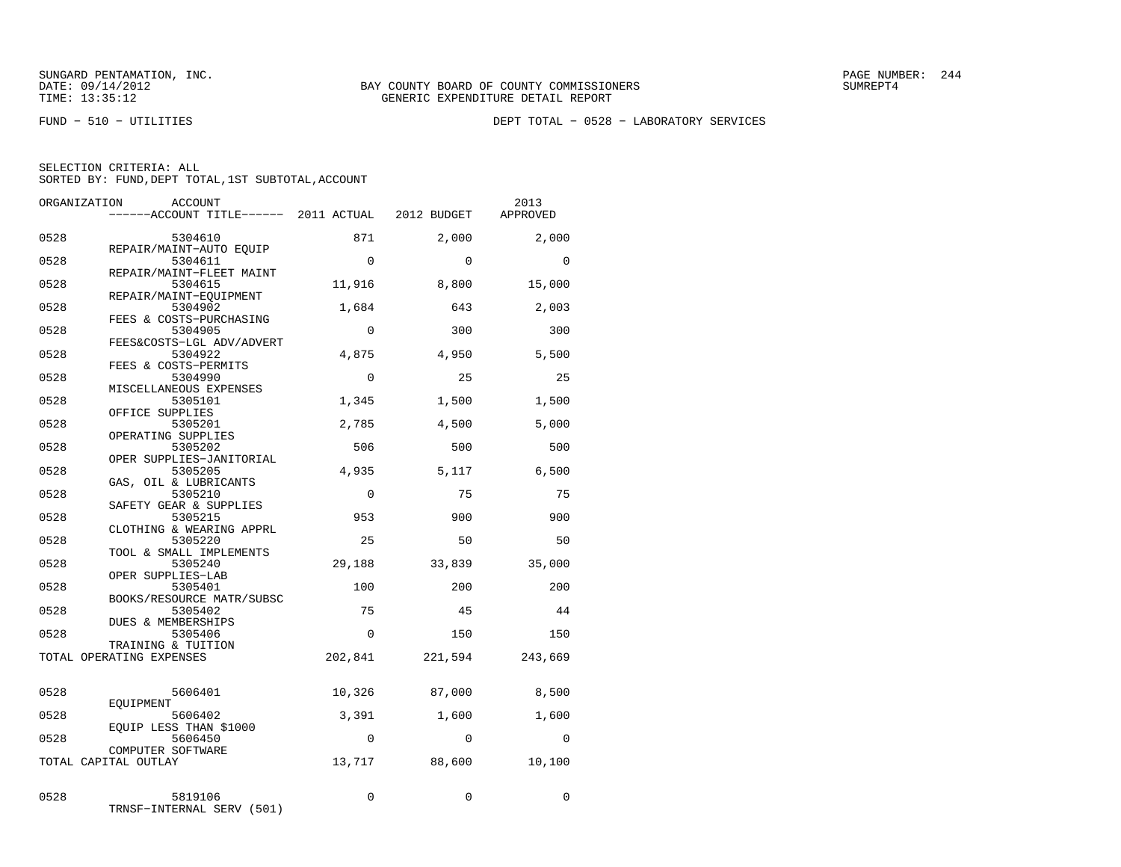FUND − 510 − UTILITIES DEPT TOTAL − 0528 − LABORATORY SERVICES

|  | SELECTION CRITERIA: ALL |                                                    |  |
|--|-------------------------|----------------------------------------------------|--|
|  |                         | SORTED BY: FUND, DEPT TOTAL, 1ST SUBTOTAL, ACCOUNT |  |

|              | ORGANIZATION<br>ACCOUNT                                       |               |               | 2013          |
|--------------|---------------------------------------------------------------|---------------|---------------|---------------|
|              | -----ACCOUNT TITLE------ 2011 ACTUAL 2012 BUDGET              |               |               | APPROVED      |
| 0528         | 5304610                                                       | 871           | 2,000         | 2,000         |
| 0528         | REPAIR/MAINT-AUTO EQUIP<br>5304611                            | $\Omega$      | $\Omega$      | $\Omega$      |
| 0528         | REPAIR/MAINT-FLEET MAINT<br>5304615<br>REPAIR/MAINT-EOUIPMENT | 11,916        | 8,800         | 15,000        |
| 0528         | 5304902<br>FEES & COSTS-PURCHASING                            | 1,684         | 643           | 2,003         |
| 0528         | 5304905<br>FEES&COSTS-LGL ADV/ADVERT                          | $\Omega$      | 300           | 300           |
| 0528         | 5304922<br>FEES & COSTS-PERMITS                               | 4,875         | 4,950         | 5,500         |
| 0528         | 5304990<br>MISCELLANEOUS EXPENSES                             | $\Omega$      | 25            | 25            |
| 0528         | 5305101<br>OFFICE SUPPLIES                                    | 1,345         | 1,500         | 1,500         |
| 0528         | 5305201<br>OPERATING SUPPLIES                                 | 2,785         | 4,500         | 5,000         |
| 0528         | 5305202<br>OPER SUPPLIES-JANITORIAL                           | 506           | 500           | 500           |
| 0528         | 5305205<br>GAS, OIL & LUBRICANTS                              | 4,935         | 5,117         | 6,500         |
| 0528         | 5305210<br>SAFETY GEAR & SUPPLIES                             | $\Omega$      | 75            | 75            |
| 0528         | 5305215<br>CLOTHING & WEARING APPRL                           | 953           | 900           | 900           |
| 0528         | 5305220<br>TOOL & SMALL IMPLEMENTS                            | 25            | 50            | 50            |
| 0528<br>0528 | 5305240<br>OPER SUPPLIES-LAB<br>5305401                       | 29,188<br>100 | 33,839<br>200 | 35,000<br>200 |
| 0528         | BOOKS/RESOURCE MATR/SUBSC<br>5305402                          | 75            | 45            | 44            |
| 0528         | DUES & MEMBERSHIPS<br>5305406                                 | 0             | 150           | 150           |
|              | TRAINING & TUITION<br>TOTAL OPERATING EXPENSES                | 202,841       | 221,594       | 243,669       |
| 0528         | 5606401                                                       | 10,326        | 87,000        | 8,500         |
| 0528         | EOUIPMENT<br>5606402                                          | 3,391         | 1,600         | 1,600         |
| 0528         | EQUIP LESS THAN \$1000<br>5606450                             | $\Omega$      | $\Omega$      | $\Omega$      |
|              | COMPUTER SOFTWARE<br>TOTAL CAPITAL OUTLAY                     | 13,717        | 88,600        | 10,100        |
| 0528         | 5819106<br>TRNSF-INTERNAL SERV (501)                          | $\Omega$      | 0             | 0             |